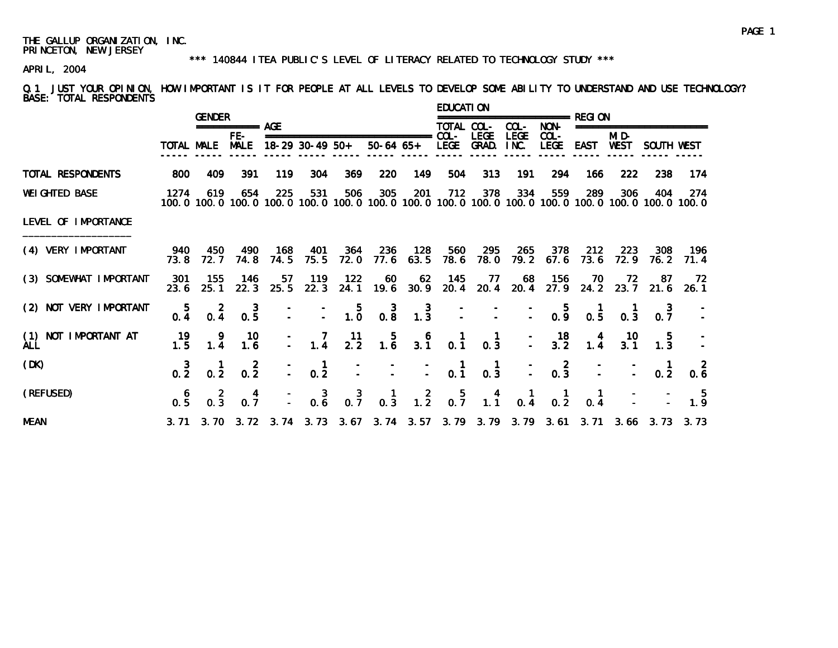#### \*\*\* 140844 ITEA PUBLIC'S LEVEL OF LITERACY RELATED TO TECHNOLOGY STUDY \*\*\*

APRIL, 2004

Q.1 JUST YOUR OPINION, HOW IMPORTANT IS IT FOR PEOPLE AT ALL LEVELS TO DEVELOP SOME ABILITY TO UNDERSTAND AND USE TECHNOLOGY? BASE: TOTAL RESPONDENTS

|                             |                 | <b>GENDER</b>                                    |                       |                 |                   |                                                              |                                                                          |                  | <b>EDUCATION</b>                                   |                                                                |                                        |                                                    | ≔================ REGI 0N                                                                                              |                  |                                             |             |
|-----------------------------|-----------------|--------------------------------------------------|-----------------------|-----------------|-------------------|--------------------------------------------------------------|--------------------------------------------------------------------------|------------------|----------------------------------------------------|----------------------------------------------------------------|----------------------------------------|----------------------------------------------------|------------------------------------------------------------------------------------------------------------------------|------------------|---------------------------------------------|-------------|
|                             |                 |                                                  | $== == == == ==$ AGE  |                 |                   |                                                              |                                                                          |                  | TOTAL COL-                                         |                                                                | COL-                                   | NON-                                               |                                                                                                                        |                  | ========================                    |             |
|                             |                 | TOTAL MALE                                       | $FE-$<br><b>MALE</b>  | 18-29 30-49 50+ |                   |                                                              | $50-64$ $65+$                                                            |                  | LEGE                                               | <b>LEGE</b><br>GRAD.                                           | <b>LEGE</b><br>INC.                    | COL-                                               | LEGE EAST WEST                                                                                                         | MI D-            | SOUTH WEST                                  |             |
| TOTAL RESPONDENTS           | 800             | 409                                              | 391                   | 119             | 304               | 369                                                          | 220                                                                      | 149              | 504                                                | 313                                                            | 191                                    | 294                                                | 166                                                                                                                    | 222              | 238                                         | 174         |
| <b>WEI GHTED BASE</b>       | 1274            | 619                                              | 654                   | 225             | 531               | 506                                                          | 305                                                                      | 201              | 712                                                | 378                                                            | 334                                    | 559                                                | 289<br>100, 0 100, 0 100, 0 100, 0 100, 0 100, 0 100, 0 100, 0 100, 0 100, 0 100, 0 100, 0 100, 0 100, 0 100, 0 100, 0 | 306              | 404                                         | 274         |
| LEVEL OF IMPORTANCE         |                 |                                                  |                       |                 |                   |                                                              |                                                                          |                  |                                                    |                                                                |                                        |                                                    |                                                                                                                        |                  |                                             |             |
| (4) VERY IMPORTANT          | 940<br>73.8     | 450<br>72. 7                                     | 490<br>74.8           | 168<br>74.5     | 401<br>75.5       | -364<br>72. 0                                                | - 236                                                                    | 128<br>77.6 63.5 | - 560<br>78.6                                      | 295<br>78.0                                                    | 265                                    | 378                                                | 212<br>79.2 67.6 73.6                                                                                                  | 223<br>72.9      | 308<br>76. 2                                | 196<br>71.4 |
| (3) SOMEWHAT IMPORTANT      | 301<br>23.6     | 155<br>25.1                                      | - 146<br>22.3         | 57<br>25.5      | 119<br>22.3       | 122                                                          | 60                                                                       | 62               | 145                                                | - 77                                                           |                                        | 68 156                                             | 70<br>24.1 19.6 30.9 20.4 20.4 20.4 27.9 24.2 23.7 21.6 26.1                                                           | 72               | -87                                         | - 72        |
| (2) NOT VERY IMPORTANT      | $\frac{5}{0.4}$ | $0.\overline{4}$                                 | $0.\overline{5}$      |                 |                   |                                                              | $\begin{array}{cccc} - & - & 5 & 3 \\ - & - & - & 1.0 & 0.8 \end{array}$ | $\frac{3}{1.3}$  |                                                    |                                                                |                                        |                                                    | $\begin{array}{ccccccc} - & - & - & - & 5 & 1 \\ - & - & - & - & 0.9 & 0.5 \end{array}$                                | 0.3              |                                             |             |
| (1) NOT IMPORTANT AT<br>ALL | 19<br>1.5       | $\begin{smallmatrix} 9 \\ 1.4 \end{smallmatrix}$ | 10<br>1.6             |                 | $\frac{-}{-}$ 1.4 | $\frac{11}{2.2}$                                             | $\begin{array}{c} 5 \\ 1.6 \end{array}$                                  |                  | $\begin{array}{cc} 6 & 1 \\ 3.1 & 0.1 \end{array}$ | $\begin{matrix} 1 \\ 0.3 \end{matrix}$                         |                                        |                                                    | $ 18$ $4$<br>$ 3.2$ $1.4$                                                                                              | $\frac{10}{3.1}$ |                                             |             |
| (DK)                        | $\frac{3}{0.2}$ | $\begin{smallmatrix} &1\0.2\end{smallmatrix}$    | $\overline{2}$<br>0.2 | $\mathbb{Z}^+$  | $\frac{1}{0.2}$   |                                                              |                                                                          |                  | $\frac{1}{2}$ $\frac{1}{2}$ 0.1                    | $\begin{matrix} 1 \\ 0.3 \end{matrix}$                         | $\mathbb{Z}^+$                         | $\begin{smallmatrix} 2 \\ 0.3 \end{smallmatrix}$   |                                                                                                                        |                  | 0.2                                         | 0.6         |
| (REFUSED)                   | 0.5             | $\begin{smallmatrix} 2 \\ 0.3 \end{smallmatrix}$ | $0.\frac{4}{7}$       |                 |                   | $\begin{array}{cccc} - & 3 & 3 \\ - & 0.6 & 0.7 \end{array}$ | $\begin{smallmatrix} 1 \\ 0.3 \end{smallmatrix}$                         |                  |                                                    | $\begin{array}{cccc} 2 & 5 & 4 \\ 1.2 & 0.7 & 1.1 \end{array}$ | $\begin{matrix} 1 \\ 0.4 \end{matrix}$ | $\begin{smallmatrix} 1 \\ 0 & 2 \end{smallmatrix}$ | $\begin{matrix} 1 \\ 0.4 \end{matrix}$                                                                                 |                  | $\frac{1}{2}$ $\frac{1}{2}$ $\frac{5}{1.9}$ |             |
| <b>MEAN</b>                 |                 |                                                  |                       |                 |                   |                                                              |                                                                          |                  |                                                    |                                                                |                                        |                                                    | 3. 71  3. 70  3. 72  3. 74  3. 73  3. 67  3. 74  3. 57  3. 79  3. 79  3. 79  3. 61  3. 71  3. 66  3. 73  3. 73         |                  |                                             |             |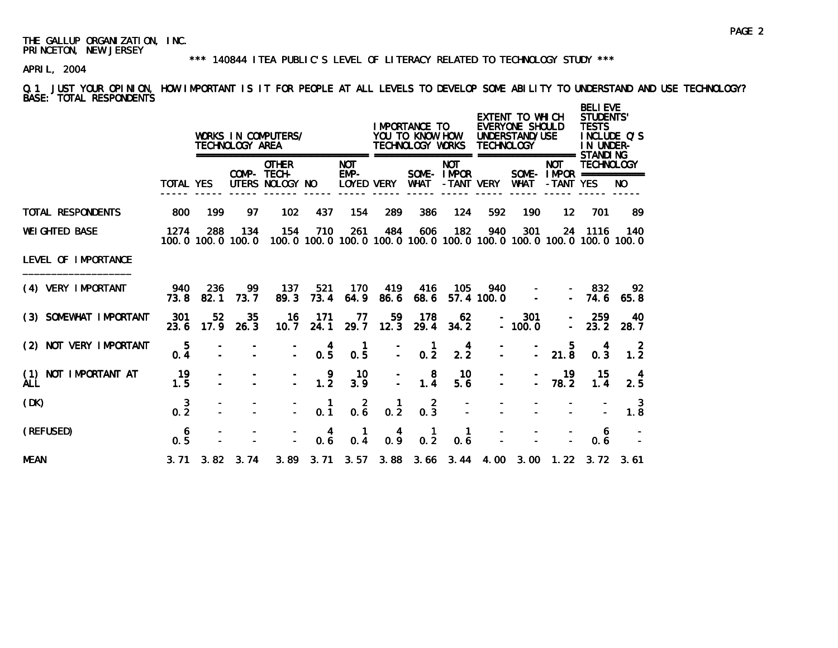#### \*\*\* 140844 ITEA PUBLIC'S LEVEL OF LITERACY RELATED TO TECHNOLOGY STUDY \*\*\*

# APRIL, 2004

Q.1 JUST YOUR OPINION, HOW IMPORTANT IS IT FOR PEOPLE AT ALL LEVELS TO DEVELOP SOME ABILITY TO UNDERSTAND AND USE TECHNOLOGY? BASE: TOTAL RESPONDENTS

|                                       |                       |             | TECHNOLOGY AREA              | WORKS IN COMPUTERS/                            |                                        |                      |             | I MPORTANCE TO<br>YOU TO KNOW HOW<br>TECHNOLOGY WORKS                               |                                        | <b>TECHNOLOGY</b> | EXTENT TO WHICH<br>EVERYONE SHOULD<br>UNDERSTAND/USE<br>==================== STANDI NG |                                                        | <b>BELI EVE</b><br><b>STUDENTS'</b><br><b>TESTS</b><br>IN UNDER- | INCLUDE O'S |
|---------------------------------------|-----------------------|-------------|------------------------------|------------------------------------------------|----------------------------------------|----------------------|-------------|-------------------------------------------------------------------------------------|----------------------------------------|-------------------|----------------------------------------------------------------------------------------|--------------------------------------------------------|------------------------------------------------------------------|-------------|
|                                       | <b>TOTAL YES</b>      |             |                              | <b>OTHER</b><br>COMP- TECH-<br>UTERS NOLOGY NO |                                        | <b>NOT</b><br>$EMP-$ | LOYED VERY  | WHAT                                                                                | <b>NOT</b><br>SOME-IMPOR<br>-TANT VERY |                   | WHAT                                                                                   | <b>NOT</b><br>SOME - $IMPOR$ ============<br>-TANT YES | <b>TECHNOLOGY</b>                                                | NO.         |
| TOTAL RESPONDENTS                     | 800                   | 199         | 97                           | 102                                            | 437                                    | 154                  | 289         | 386                                                                                 | 124                                    | 592               | 190                                                                                    | $12 \overline{ }$                                      | 701                                                              | -89         |
| <b>WEI GHTED BASE</b>                 | 1274                  | 288         | 134<br>100.0 100.0 100.0     | 154                                            | 710                                    | 261                  | 484         | 606<br>100, 0 100, 0 100, 0 100, 0 100, 0 100, 0 100, 0 100, 0 100, 0 100, 0 100, 0 | 182                                    | 940               | 301                                                                                    |                                                        | 24 1116                                                          | 140         |
| LEVEL OF IMPORTANCE                   |                       |             |                              |                                                |                                        |                      |             |                                                                                     |                                        |                   |                                                                                        |                                                        |                                                                  |             |
| (4) VERY IMPORTANT                    | 940<br>73.8           | 236<br>82.1 | 99<br>73.7                   | 137<br>89.3                                    | 521<br>73.4                            | 170<br>64.9          | 419<br>86.6 | 416<br>68.6                                                                         | 105                                    | 940<br>57.4 100.0 |                                                                                        |                                                        | - 832<br>$-74.6$                                                 | 92<br>65.8  |
| (3) SOMEWHAT IMPORTANT                | 301<br>23.6           | 52<br>17.9  | 35<br>26.3                   | 16<br>10.7                                     | 171<br>24.1                            | 77<br>29.7           | 59<br>12.3  | 178<br>29.4                                                                         | 62<br>34.2                             |                   | 301<br>$-100.0$                                                                        | $\sim$                                                 | 259<br>23.2                                                      | 40<br>28.7  |
| (2) NOT VERY IMPORTANT                | 5<br>0.4              |             |                              |                                                | $\begin{matrix} 4 \\ 0.5 \end{matrix}$ | 0.5                  |             | $\frac{1}{0.2}$                                                                     | 4<br>$2.\overline{2}$                  |                   | $\overline{a}$                                                                         | 5.<br>$21.\overline{8}$                                | 0.3                                                              | 1.2         |
| NOT IMPORTANT AT<br>(1)<br><b>ALL</b> | 19<br>1.5             |             |                              |                                                | 9<br>1.2                               | 10<br>3.9            |             | 8<br>1.4                                                                            | 10<br>5.6                              |                   | ÷.                                                                                     | 19<br>78.2                                             | 15<br>1.4                                                        | 4<br>2.5    |
| (DK)                                  | $0.\frac{3}{2}$       |             |                              |                                                | $\mathbf 1$<br>0.1                     | $0.\overline{6}$     | 1<br>0.2    | 2<br>$0.\overline{3}$                                                               |                                        |                   |                                                                                        |                                                        |                                                                  | 3<br>1.8    |
| (REFUSED)                             | 6<br>$0.\overline{5}$ |             |                              |                                                | 0.6                                    | $0.\overline{4}$     | 0.9         | $0.\overline{2}$                                                                    | 0.6                                    |                   |                                                                                        |                                                        | 6<br>0.6                                                         |             |
| <b>MEAN</b>                           |                       |             | $3.71 \quad 3.82 \quad 3.74$ |                                                |                                        |                      |             | 3.89 3.71 3.57 3.88 3.66 3.44 4.00 3.00 1.22 3.72 3.61                              |                                        |                   |                                                                                        |                                                        |                                                                  |             |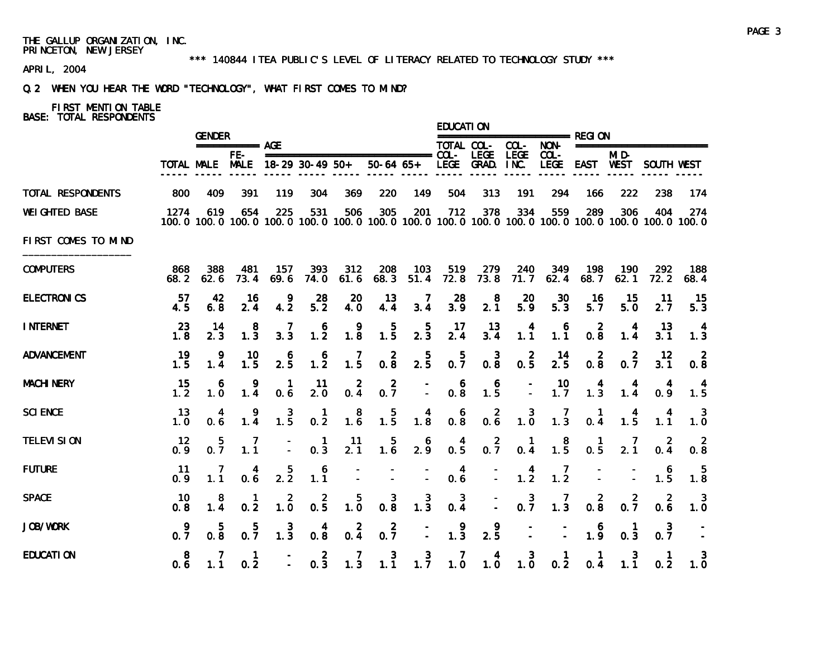#### \*\*\* 140844 ITEA PUBLIC'S LEVEL OF LITERACY RELATED TO TECHNOLOGY STUDY \*\*\*

# APRIL, 2004

# Q.2 WHEN YOU HEAR THE WORD "TECHNOLOGY", WHAT FIRST COMES TO MIND?

# FIRST MENTION TABLE

|                       |              | <b>GENDER</b>    |                                                                                                                        |                       |                                         |                                              |                                                |                                         | EDUCATI ON                             |                                         |                                                  |                                         |                                         |                  |                                        |                                                  |
|-----------------------|--------------|------------------|------------------------------------------------------------------------------------------------------------------------|-----------------------|-----------------------------------------|----------------------------------------------|------------------------------------------------|-----------------------------------------|----------------------------------------|-----------------------------------------|--------------------------------------------------|-----------------------------------------|-----------------------------------------|------------------|----------------------------------------|--------------------------------------------------|
|                       |              |                  | $== == == == ==$ AGE                                                                                                   |                       |                                         |                                              |                                                |                                         |                                        | TOTAL COL- COL-                         |                                                  |                                         |                                         |                  |                                        |                                                  |
|                       |              | TOTAL MALE MALE  | FE-                                                                                                                    |                       | 18-29 30-49 50+                         |                                              | $50-64$ $65+$                                  |                                         |                                        | LEGE GRAD. INC.                         | <b>LEGE</b>                                      | $COL -$                                 |                                         | MI D-            | LEGE EAST WEST SOUTH WEST              |                                                  |
| TOTAL RESPONDENTS     | 800          | 409              | 391                                                                                                                    | 119                   | 304                                     | 369                                          | 220                                            | 149                                     | 504                                    | 313                                     | 191                                              | 294                                     | 166                                     | 222              | 238                                    | 174                                              |
| <b>WEI GHTED BASE</b> | 1274         | 619              | 654<br>100, 0 100, 0 100, 0 100, 0 100, 0 100, 0 100, 0 100, 0 100, 0 100, 0 100, 0 100, 0 100, 0 100, 0 100, 0 100, 0 | 225                   | 531                                     | 506                                          | 305                                            | 201                                     | 712                                    | 378                                     | 334                                              | 559                                     | 289                                     | 306              | 404                                    | 274                                              |
| FIRST COMES TO MIND   |              |                  |                                                                                                                        |                       |                                         |                                              |                                                |                                         |                                        |                                         |                                                  |                                         |                                         |                  |                                        |                                                  |
| <b>COMPUTERS</b>      | 868<br>68. 2 | 388<br>62.6      | 481<br>73.4                                                                                                            | 157<br>69.6           | 393<br>74.0                             | 312<br>61.6                                  | 208<br>68.3                                    | 103<br>51.4                             | 519<br>72.8                            | 279<br>73.8                             | 240<br>71.7                                      | 349<br>62.4                             | 198<br>68.7                             | 190<br>62.1      | 292<br>72.2                            | 188<br>68.4                                      |
| <b>ELECTRONICS</b>    | 57<br>4.5    | 42<br>6.8        | 16<br>2.4                                                                                                              | 9<br>4.2              | 28<br>5.2                               | 20<br>4.0                                    | -13<br>4.4                                     | -7<br>3.4                               | 28<br>3.9                              | $2.1^{8}$                               | 20<br>5.9                                        | 30<br>5.3                               | -16<br>5.7                              | -15<br>5.0       | -11<br>2.7                             | -15<br>5.3                                       |
| <b>INTERNET</b>       | 23<br>1.8    | -14<br>2.3       | 8<br>$1.\overline{3}$                                                                                                  | 7<br>3.3              | $\begin{array}{c} 6 \\ 1.2 \end{array}$ | $\frac{9}{1.8}$                              | $\begin{array}{c} 5 \\ 1.5 \end{array}$        | $\frac{5}{2.3}$                         | -17<br>2.4                             | -13<br>$3.\overline{4}$                 | 4<br>1.1                                         | 6<br>$1.\overline{1}$                   | 2<br>0.8                                | 1.4              | 13<br>3.1                              | 1.3                                              |
| <b>ADVANCEMENT</b>    | 19<br>1.5    | 9<br>1.4         | 10<br>1.5                                                                                                              | 6<br>$2.\overline{5}$ | $\begin{array}{c} 6 \\ 1.2 \end{array}$ | $\frac{7}{1.5}$                              | $0.\overline{8}$                               | $\frac{5}{2.5}$                         | $0.\overline{7}$                       | $0.\overline{8}$                        | $0.\frac{2}{5}$                                  | 14<br>$2.\overline{5}$                  | $0.\overline{8}$                        | $0.\overline{7}$ | 12<br>3.1                              | $0.\overline{8}$                                 |
| <b>MACHI NERY</b>     | 15<br>1.2    | 6<br>1.0         | 9<br>1.4                                                                                                               | $\mathbf{1}$<br>0.6   | 11<br>2.0                               | $\overline{2}$<br>0.4                        | $0.\overline{7}$                               | $\overline{\phantom{a}}$                | 6<br>0.8                               | $\begin{array}{c} 6 \\ 1.5 \end{array}$ | $\overline{a}$                                   | $10 \ 1.7$                              | $\begin{array}{c} 4 \\ 1.3 \end{array}$ | $\frac{4}{1.4}$  | $\begin{matrix} 4 \\ 0.9 \end{matrix}$ | $\begin{array}{c} 4 \\ 1.5 \end{array}$          |
| <b>SCI ENCE</b>       | 13<br>1.0    | 4<br>0.6         | $\frac{9}{1.4}$                                                                                                        | $\frac{3}{1.5}$       | $\mathbf{1}$<br>0.2                     | $\begin{smallmatrix}8\\1.6\end{smallmatrix}$ | $\begin{smallmatrix}&&5\\1.5\end{smallmatrix}$ | $\begin{array}{c} 4 \\ 1.8 \end{array}$ | $0.\overline{8}$                       | $0.\overline{6}$                        | $\begin{smallmatrix} 3 \\ 1.0 \end{smallmatrix}$ | $\frac{7}{1.3}$                         | $\mathbf{1}$<br>0.4                     | $\frac{4}{1.5}$  | 4<br>1.1                               | $\begin{smallmatrix} 3 \\ 1.0 \end{smallmatrix}$ |
| <b>TELEVI SION</b>    | 12<br>0.9    | $0.\overline{7}$ | 1.1                                                                                                                    |                       | $\mathbf{1}$<br>0.3                     | 11<br>2.1                                    | $\begin{smallmatrix} &5\\1.6\end{smallmatrix}$ | $\frac{6}{2.9}$                         | $\begin{matrix} 4 \\ 0.5 \end{matrix}$ | $0.\overline{7}$                        | 0.4                                              | $\begin{array}{c} 8 \\ 1.5 \end{array}$ | $\frac{1}{0.5}$                         | 2.1              | 0.4                                    | $0.\overline{8}$                                 |
| <b>FUTURE</b>         | 11<br>0.9    | 1.1              | $0.\dot{6}$                                                                                                            | $\frac{5}{2.2}$       | 6<br>$1.\overline{1}$                   |                                              |                                                |                                         | 0.6                                    | $\overline{a}$                          | $\frac{4}{1.2}$                                  | $\frac{7}{1.2}$                         |                                         |                  | $1.\overline{5}$                       | -5<br>$1.\overline{8}$                           |
| <b>SPACE</b>          | 10<br>0.8    | 1.4              | 0.2                                                                                                                    | 2<br>1.0              | $0.\frac{2}{5}$                         | 5.<br>$1.\overline{0}$                       | 3<br>0.8                                       | $\frac{3}{1.3}$                         | $\mathbf{3}$<br>$0.\overline{4}$       | $\overline{\phantom{a}}$                | $0.\overline{7}$                                 | $\frac{7}{1.3}$                         | 2<br>0.8                                | 2<br>0.7         | -2<br>0.6                              | $\mathbf{3}$<br>1.0                              |
| JOB/WORK              | 9<br>0.7     | 5<br>0.8         | 5<br>0.7                                                                                                               | $\frac{3}{1.3}$       | $0.\frac{4}{8}$                         | $0.\frac{2}{4}$                              | $0.\overline{7}$                               | $\omega$                                | 1.3                                    | 9<br>2.5                                | $\blacksquare$                                   | $\mathcal{L}$                           | 6<br>1.9                                | 0.3              | 3<br>0.7                               |                                                  |
| <b>EDUCATION</b>      | 8<br>0.6     | 1.1              | -1<br>0.2                                                                                                              |                       | 2<br>0.3                                | 7                                            | 3<br>$1.3$ $1.1$ $1.7$                         | 3                                       | 7                                      | 4<br>$1.0 \quad 1.0$                    | 3                                                | $\mathbf 1$<br>$1.0 \t 0.2$             | 1<br>0.4                                | 3<br>1.1         | 0.2                                    | 1.0                                              |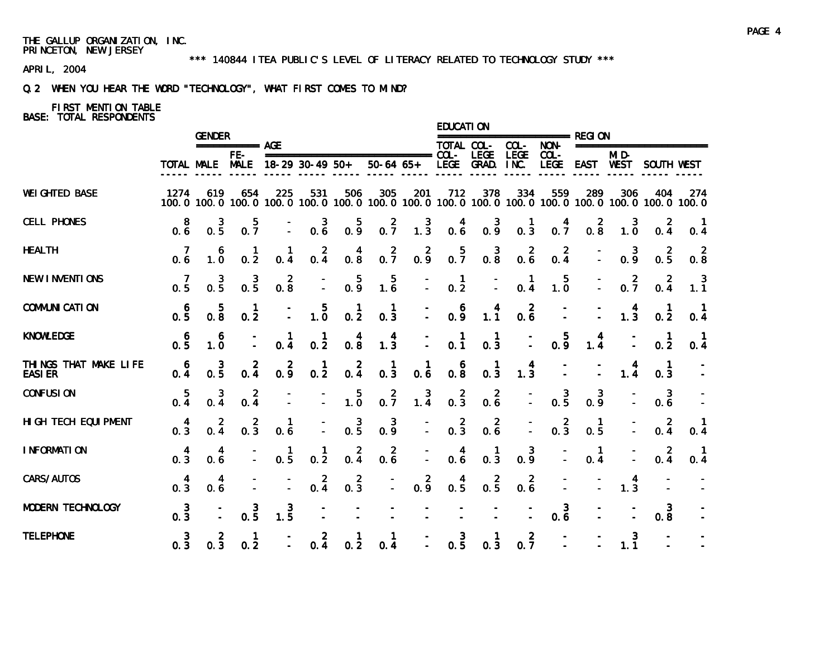#### \*\*\* 140844 ITEA PUBLIC'S LEVEL OF LITERACY RELATED TO TECHNOLOGY STUDY \*\*\*

APRIL, 2004

# Q.2 WHEN YOU HEAR THE WORD "TECHNOLOGY", WHAT FIRST COMES TO MIND?

# FIRST MENTION TABLE

|                                         |                                        | <b>GENDER</b>                                  |                      |                                        |                                                  |                                                  |                                                                                                              |                                        | EDUCATI ON                             |                                                  |                  |                                                  |                                         |                                                  |                      |                                                  |
|-----------------------------------------|----------------------------------------|------------------------------------------------|----------------------|----------------------------------------|--------------------------------------------------|--------------------------------------------------|--------------------------------------------------------------------------------------------------------------|----------------------------------------|----------------------------------------|--------------------------------------------------|------------------|--------------------------------------------------|-----------------------------------------|--------------------------------------------------|----------------------|--------------------------------------------------|
|                                         |                                        |                                                | $== == == == ==$ AGE |                                        |                                                  |                                                  |                                                                                                              |                                        | TOTAL COL-                             | ======================= REGI ON                  | COL-             | NON-                                             |                                         |                                                  | ===================  |                                                  |
|                                         |                                        | TOTAL MALE MALE                                | $FE-$                |                                        | 18-29 30-49 50+                                  |                                                  | $50-64$ $65+$                                                                                                |                                        |                                        | LEGE GRAD. INC.                                  | <b>LEGE</b>      | $COL -$<br>LEGE                                  |                                         | MI <sub>D</sub>                                  | EAST WEST SOUTH WEST |                                                  |
| <b>WEI GHTED BASE</b>                   | 1274                                   | 619                                            | 654                  | 225                                    | 531                                              | 506                                              | 305<br>100.0 100.0 100.0 100.0 100.0 100.0 100.0 100.0 100.0 100.0 100.0 100.0 100.0 100.0 100.0 100.0 100.0 | 201                                    | 712                                    | 378                                              | 334              | 559                                              | 289                                     | 306                                              | 404                  | 274                                              |
| <b>CELL PHONES</b>                      | 8<br>0.6                               | 3<br>$0.\bar{5}$                               | $0.\overline{7}$     |                                        | $0.\overline{6}$                                 | 0.5                                              | $0.\overline{7}$                                                                                             | $\frac{3}{1.3}$                        | $\begin{matrix} 4 \\ 0.6 \end{matrix}$ | $0.\overline{9}$                                 | $0.\overline{3}$ | $0.\overline{7}$                                 | $0.\overline{8}$                        | $\begin{smallmatrix} 3 \\ 1.0 \end{smallmatrix}$ | 0.4                  | 0.4                                              |
| <b>HEALTH</b>                           | 7<br>0.6                               | 6<br>1.0                                       | 0.2                  | 0.4                                    | $0.\frac{2}{4}$                                  | $\begin{smallmatrix} 4 \\ 0.8 \end{smallmatrix}$ | $0.\overline{7}$                                                                                             | $0.\frac{2}{9}$                        | $0.\overline{7}$                       | $\begin{smallmatrix} 3 \\ 0.8 \end{smallmatrix}$ | $0.\overline{6}$ | $0.\frac{2}{4}$                                  |                                         | 0.9                                              | $0.\frac{2}{5}$      | $\begin{smallmatrix} 2 \\ 0.8 \end{smallmatrix}$ |
| <b>NEW INVENTIONS</b>                   | 0.5                                    | $\frac{3}{0.5}$                                | $0.\overline{5}$     | $0.\overline{8}$                       | $\bar{z}$                                        | 0.5                                              | $\begin{array}{c} 5 \\ 1.6 \end{array}$                                                                      | Ē,                                     | $\frac{1}{0.2}$                        | $\bar{z}$                                        | 0.4              | $\begin{smallmatrix} 5 \\ 1.0 \end{smallmatrix}$ | E.                                      | $0.\overline{7}$                                 | $0.\frac{2}{4}$      | $\frac{3}{1.1}$                                  |
| <b>COMMUNI CATI ON</b>                  | $0.\frac{6}{5}$                        | $\begin{smallmatrix} &5\\0.8\end{smallmatrix}$ | $\mathbf{1}$<br>0.2  |                                        | $\begin{smallmatrix} 5 \\ 1.0 \end{smallmatrix}$ | $\frac{1}{0.2}$                                  | 1<br>$0.\overline{3}$                                                                                        | D.                                     | 0.9                                    | 1.1                                              | $0.\overline{6}$ |                                                  |                                         | $\frac{4}{1.3}$                                  | $0.\overline{2}$     | 0.4                                              |
| <b>KNOWLEDGE</b>                        | $0.\frac{6}{5}$                        | 6<br>$1.\overline{0}$                          |                      | 0.4                                    | $\frac{1}{0.2}$                                  | $\begin{smallmatrix} 4 \\ 0.8 \end{smallmatrix}$ | $\begin{matrix} 4 \\ 1.3 \end{matrix}$                                                                       | D,                                     | $0.\,1$                                | $\begin{matrix} 1 \\ 0.3 \end{matrix}$           | $\bar{z}$        | 0.9                                              | $\begin{array}{c} 4 \\ 1.4 \end{array}$ |                                                  | $0.\overline{2}$     | 0.4                                              |
| THINGS THAT MAKE LIFE<br><b>EASI ER</b> | $\overline{6}$<br>$0.\overline{4}$     | $0.\frac{3}{5}$                                | $0.\overline{4}$     | $0.\frac{2}{9}$                        | $\frac{1}{0.2}$                                  | $0.\frac{2}{4}$                                  | $\begin{smallmatrix} 1 \\ 0.3 \end{smallmatrix}$                                                             | $\begin{matrix} 1 \\ 0.6 \end{matrix}$ | $0.\overline{8}$                       | $\begin{smallmatrix} 1 \\ 0.3 \end{smallmatrix}$ | $1.\overline{3}$ |                                                  |                                         | $\frac{4}{1.4}$                                  | 0.3                  |                                                  |
| <b>CONFUSION</b>                        | 5<br>0.4                               | $0.\frac{3}{4}$                                | $0.\frac{2}{4}$      |                                        | $\mathbb{I}$                                     | $\begin{smallmatrix} 5 \\ 1.0 \end{smallmatrix}$ | $0.\overline{7}$                                                                                             | $1.\overline{4}$                       | $0.\overline{3}$                       | $0.\overline{6}$                                 | I.               | $0.\overline{5}$                                 | $0.\frac{3}{9}$                         |                                                  | $0.\overline{6}$     |                                                  |
| HI GH TECH EQUI PMENT                   | $\begin{matrix} 4 \\ 0.3 \end{matrix}$ | $0.\frac{2}{4}$                                | $0.\overline{3}$     | $0.\overline{6}$                       |                                                  | $0.\frac{3}{5}$                                  | $0.\frac{3}{9}$                                                                                              | $\mathbb{I}$                           | $0.\overline{3}$                       | $0.\overline{6}$                                 |                  | $0.\overline{3}$                                 | $\frac{1}{0.5}$                         |                                                  | $0.\frac{2}{4}$      | $\begin{matrix} 1 \\ 0.4 \end{matrix}$           |
| I NFORMATION                            | $\begin{matrix} 4 \\ 0.3 \end{matrix}$ | 0.6                                            |                      | $\begin{matrix} 1 \\ 0.5 \end{matrix}$ | 1<br>$0.\overline{2}$                            | $0.\frac{2}{4}$                                  | $0.\overline{6}$                                                                                             | $\mathbb{Z}$                           | $0.\overline{6}$                       | $\begin{smallmatrix} 1 \\ 0.3 \end{smallmatrix}$ | $0.\frac{3}{9}$  |                                                  | $\frac{1}{0.4}$                         |                                                  | $0.\frac{2}{4}$      | $\blacksquare$<br>0.4                            |
| CARS/AUTOS                              | $\begin{matrix} 4 \\ 0.3 \end{matrix}$ | 0.6                                            |                      |                                        | $0.\frac{2}{4}$                                  | $0.\overline{3}$                                 | $\mathbb{Z}^+$                                                                                               | $0.\overline{9}$                       | $0.\frac{4}{5}$                        | $0.\overline{5}$                                 | $0.\overline{6}$ |                                                  |                                         | $\frac{4}{1.3}$                                  |                      |                                                  |
| MODERN TECHNOLOGY                       | $0.\frac{3}{3}$                        |                                                | $0.\overline{5}$     | $\frac{3}{1.5}$                        |                                                  |                                                  |                                                                                                              |                                        |                                        |                                                  |                  | $0.\overline{6}$                                 |                                         |                                                  | 3<br>0.8             |                                                  |
| <b>TELEPHONE</b>                        | $0.\frac{3}{3}$                        | $\mathbf{z}$<br>0.3                            | 1<br>0.2             | $\Delta$                               | $0.\frac{2}{4}$                                  | 0.2                                              | 1<br>0.4                                                                                                     |                                        | $0.\frac{3}{5}$                        | 0.3                                              | 2<br>0.7         |                                                  |                                         | 3<br>1.1                                         |                      |                                                  |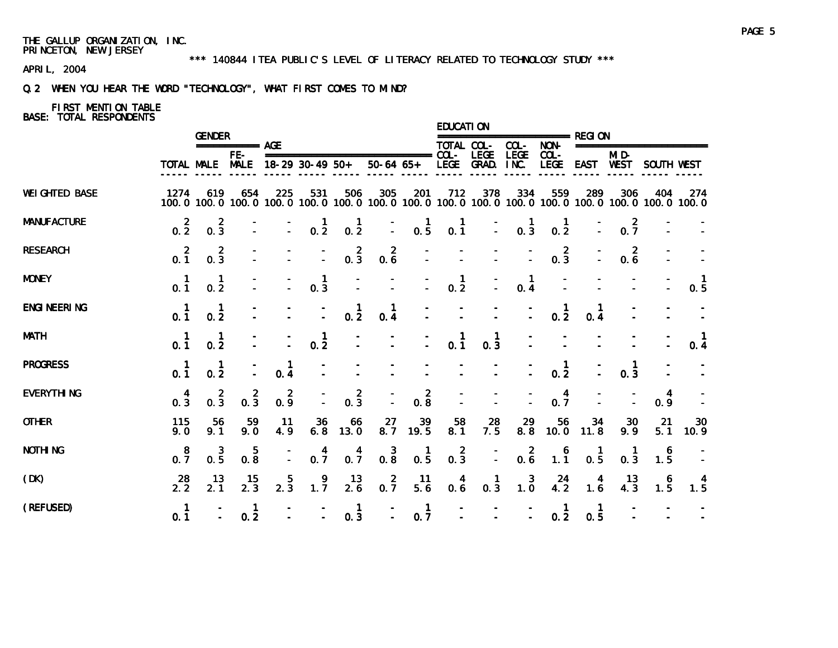#### \*\*\* 140844 ITEA PUBLIC'S LEVEL OF LITERACY RELATED TO TECHNOLOGY STUDY \*\*\*

APRIL, 2004

# Q.2 WHEN YOU HEAR THE WORD "TECHNOLOGY", WHAT FIRST COMES TO MIND?

# FIRST MENTION TABLE

|                       |                                        | <b>GENDER</b>                    |                             |                             |                                                  |                                                                  |                                                                                                              |                                              | EDUCATI ON                               |                                        |                                        |                                                  |                                         |                                  |           |                     |
|-----------------------|----------------------------------------|----------------------------------|-----------------------------|-----------------------------|--------------------------------------------------|------------------------------------------------------------------|--------------------------------------------------------------------------------------------------------------|----------------------------------------------|------------------------------------------|----------------------------------------|----------------------------------------|--------------------------------------------------|-----------------------------------------|----------------------------------|-----------|---------------------|
|                       |                                        |                                  | $== == == == ==$ AGE<br>FE- |                             |                                                  |                                                                  |                                                                                                              |                                              | TOTAL COL-                               | <b>LEGE</b>                            | $COL -$<br><b>LEGE</b>                 | NON-<br>$COL -$                                  |                                         | =======================<br>MI D- |           |                     |
|                       |                                        |                                  |                             |                             | TOTAL MALE MALE 18-29 30-49 50+                  |                                                                  | $50-64$ $65+$                                                                                                |                                              |                                          | LEGE GRAD. INC.                        |                                        | LEGE                                             |                                         | EAST WEST SOUTH WEST             |           |                     |
| <b>WEI GHTED BASE</b> | 1274                                   | 619                              | 654                         | 225                         | 531                                              | 506                                                              | 305<br>100.0 100.0 100.0 100.0 100.0 100.0 100.0 100.0 100.0 100.0 100.0 100.0 100.0 100.0 100.0 100.0 100.0 | 201                                          | 712                                      | 378                                    | 334                                    | 559                                              | 289                                     | 306                              | 404       | 274                 |
| <b>MANUFACTURE</b>    | $0.\overline{2}$                       | $0.\overline{3}$                 |                             | Ī.                          | $0.\overline{2}$                                 | $\begin{smallmatrix} 1 \\ 0.2 \end{smallmatrix}$                 | $\frac{1}{\sqrt{2}}$                                                                                         | $\begin{matrix} 1 \\ 0.5 \end{matrix}$       | $0.\overline{1}$                         | $\mathbb{Z}$                           | $\begin{matrix} 1 \\ 0.3 \end{matrix}$ | $\begin{smallmatrix} 1 \\ 0.2 \end{smallmatrix}$ |                                         | $0.\overline{7}$                 |           |                     |
| <b>RESEARCH</b>       | $0.\overline{1}$                       | $0.\overline{3}$                 |                             |                             | $\mathbb{Z}$                                     | $0.\overline{3}$                                                 | $0.\overline{6}$                                                                                             |                                              |                                          |                                        |                                        | $0.\frac{2}{3}$                                  |                                         | $\overline{2}$<br>0.6            |           |                     |
| <b>MONEY</b>          | 0.1                                    | 0.2                              |                             |                             | $\begin{smallmatrix} 1 \\ 0.3 \end{smallmatrix}$ |                                                                  |                                                                                                              |                                              | $\mathbf{1}$<br>0.2                      |                                        | $\mathbf{1}$<br>0.4                    |                                                  |                                         |                                  |           | $\mathbf{1}$<br>0.5 |
| <b>ENGI NEERI NG</b>  | 0.1                                    | $\mathbf{1}$<br>0.2              |                             |                             | $\mathbb{Z}$                                     | $\begin{smallmatrix} 1 \\ 0.2 \end{smallmatrix}$                 | 1<br>0.4                                                                                                     |                                              |                                          |                                        |                                        | $\frac{1}{0.2}$                                  | 0.4                                     |                                  |           |                     |
| <b>MATH</b>           | $0.\dot{1}$                            | 1<br>0.2                         |                             |                             | $\frac{1}{0.2}$                                  |                                                                  |                                                                                                              |                                              | 0.1                                      | $\mathbf{1}$<br>0.3                    |                                        |                                                  |                                         |                                  |           | 0.4                 |
| <b>PROGRESS</b>       | 0.1                                    | $\mathbf{1}$<br>$0.\overline{2}$ | $\overline{\phantom{a}}$    | $\mathbf{1}$<br>$0.\dot{4}$ |                                                  |                                                                  |                                                                                                              |                                              |                                          |                                        |                                        | $\frac{1}{0.2}$                                  |                                         | $\mathbf{1}$<br>0.3              |           |                     |
| <b>EVERYTHING</b>     | $\begin{matrix} 4 \\ 0.3 \end{matrix}$ | $0.\overline{3}$                 | $0.\overline{3}$            | $0.\frac{2}{9}$             |                                                  | $0.\overline{3}$                                                 |                                                                                                              | $\begin{smallmatrix}2\\0.8\end{smallmatrix}$ |                                          |                                        |                                        | $0.\overline{7}$                                 |                                         |                                  | 4<br>0.9  |                     |
| <b>OTHER</b>          | 115<br>9.0                             | 56<br>9.1                        | 59<br>9.0                   | 11<br>4.9                   | 36<br>$6.\overline{8}$                           | $\frac{66}{13.0}$                                                | 27<br>8.7                                                                                                    | $\frac{39}{19.5}$                            | $\begin{array}{c} 58 \\ 8.1 \end{array}$ | $\frac{28}{7.5}$                       | 29<br>$8.\overline{8}$                 | 56<br>10.0                                       | $\frac{34}{11.8}$                       | 30<br>9.9                        | 21<br>5.1 | 30<br>10.9          |
| <b>NOTHING</b>        | $0.\overline{7}$                       | 3<br>$0.\overline{5}$            | 5<br>$0.\overline{8}$       |                             | 4<br>$0.\overline{7}$                            | $0.\frac{4}{7}$                                                  | $0.\overline{8}$                                                                                             | $\frac{1}{0.5}$                              | $0.\overline{3}$                         | $\overline{a}$                         | $0.\overline{6}$                       | $\begin{array}{c} 6 \\ 1.1 \end{array}$          | $\frac{1}{0.5}$                         | -1<br>0.3                        | 6<br>1.5  |                     |
| (DK)                  | $28$<br>2.2                            | 13<br>2.1                        | $\frac{15}{2.3}$            | $2.\overline{3}$            | 1.7                                              | $\frac{13}{2.6}$                                                 | $0.\overline{7}$                                                                                             | 11<br>5.6                                    | 0.6                                      | $\begin{matrix} 1 \\ 0.3 \end{matrix}$ | $1.\overline{0}$                       | $^{24}_{4.2}$                                    | $\begin{array}{c} 4 \\ 1.6 \end{array}$ | 13<br>4.3                        | 6<br>1.5  | $\frac{4}{1.5}$     |
| (REFUSED)             | 0.1                                    |                                  | $\mathbf{1}$<br>0.2         |                             |                                                  | $\mathbf{1}$<br>$\begin{bmatrix} - & 1 \\ - & 0.3 \end{bmatrix}$ | $- 0.7$                                                                                                      | $\blacksquare$                               |                                          |                                        | the control of the control of the      | $\mathbf{1}$<br>0.2                              | 1<br>0.5                                |                                  |           |                     |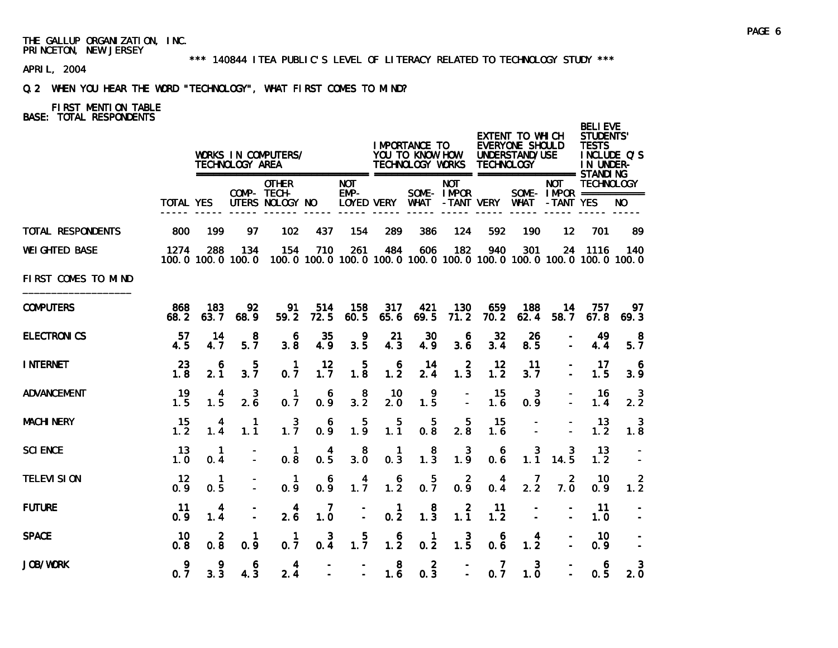#### \*\*\* 140844 ITEA PUBLIC'S LEVEL OF LITERACY RELATED TO TECHNOLOGY STUDY \*\*\*

APRIL, 2004

# Q.2 WHEN YOU HEAR THE WORD "TECHNOLOGY", WHAT FIRST COMES TO MIND?

|                       |                          |                       | TECHNOLOGY AREA    | WORKS IN COMPUTERS/                                                                                      |                      |                       |                       | <b>IMPORTANCE TO</b><br>YOU TO KNOW HOW<br>TECHNOLOGY WORKS |                           | TECHNOLOGY       | EXTENT TO WHICH<br><b>EVERYONE SHOULD</b><br>UNDERSTAND/USE |                  | <b>BELI EVE</b><br><b>STUDENTS'</b><br><b>TESTS</b><br>INCLUDE Q'S<br>IN UNDER- |                            |
|-----------------------|--------------------------|-----------------------|--------------------|----------------------------------------------------------------------------------------------------------|----------------------|-----------------------|-----------------------|-------------------------------------------------------------|---------------------------|------------------|-------------------------------------------------------------|------------------|---------------------------------------------------------------------------------|----------------------------|
|                       | <b>TOTAL YES</b>         |                       |                    | <b>OTHER</b><br>COMP- TECH-<br>UTERS NOLOGY NO                                                           |                      | <b>NOT</b><br>$EMP-$  | LOYED VERY WHAT       |                                                             | <b>NOT</b><br>SOME- IMPOR | -TANT VERY WHAT  |                                                             | NOT<br>-TANT YES | <b>TECHNOLOGY</b><br>SOME - IMPOR ===========                                   |                            |
| TOTAL RESPONDENTS     | 800                      | 199                   | 97                 | 102                                                                                                      | 437                  | 154                   | 289                   | 386                                                         | 124                       | 592              | 190                                                         | 12               | 701                                                                             | 89                         |
| <b>WEI GHTED BASE</b> | 1274                     | 288                   | 134                | 154<br>100, 0 100, 0 100, 0 100, 0 100, 0 100, 0 100, 0 100, 0 100, 0 100, 0 100, 0 100, 0 100, 0 100, 0 | 710                  | 261                   | 484                   | 606                                                         | 182                       | 940              | 301                                                         |                  | 24 1116                                                                         | 140                        |
| FIRST COMES TO MIND   |                          |                       |                    |                                                                                                          |                      |                       |                       |                                                             |                           |                  |                                                             |                  |                                                                                 |                            |
| <b>COMPUTERS</b>      | 868<br>68.2              | 183<br>63.7           | 92<br>68.9         | 91<br>59.2                                                                                               | 514<br>72.5          | 158<br>60.5           | 317<br>65.6           | 421<br>69.5                                                 | 130<br>71.2               | 659<br>70.2      | 188<br>62.4                                                 | 14<br>58.7       | 757<br>67.8                                                                     | 97<br>69.3                 |
| <b>ELECTRONICS</b>    | 57<br>4.5                | 14<br>4.7             | 8<br>5.7           | 6<br>3.8                                                                                                 | 35<br>4.9            | 9<br>3.5              | 21<br>4.3             | 30<br>4.9                                                   | 6<br>3.6                  | 32<br>3.4        | 26<br>8.5                                                   |                  | 49<br>4.4                                                                       | 8<br>5.7                   |
| <b>INTERNET</b>       | 23<br>1.8                | 6<br>2.1              | 5<br>3.7           | $\mathbf{1}$<br>0.7                                                                                      | 12<br>1.7            | 5<br>1.8              | 6<br>1.2              | 14<br>2.4                                                   | $\overline{2}$<br>1.3     | 12<br>1.2        | 11<br>3.7                                                   |                  | 17<br>1.5                                                                       | $\ddot{\mathbf{6}}$<br>3.9 |
| <b>ADVANCEMENT</b>    | 19<br>1.5                | $\overline{4}$<br>1.5 | 3<br>2.6           | -1<br>0.7                                                                                                | 6<br>0.9             | 8<br>3.2              | 10<br>2.0             | 9<br>1.5                                                    | $\equiv$                  | 15<br>1.6        | - 3<br>0.9                                                  |                  | -16<br>1.4                                                                      | - 3<br>2.2                 |
| <b>MACHI NERY</b>     | 15<br>1.2                | 4<br>1.4              | -1<br>1.1          | 3<br>1.7                                                                                                 | 6<br>0.9             | 5<br>1.9              | 5<br>1.1              | 5<br>0.8                                                    | 5<br>2.8                  | 15<br>1.6        |                                                             |                  | 13<br>1.2                                                                       | 3<br>1.8                   |
| <b>SCI ENCE</b>       | 13<br>1.0                | $\mathbf{1}$<br>0.4   |                    | $\mathbf{1}$<br>0.8                                                                                      | 4<br>0.5             | 8<br>3.0              | $\overline{1}$<br>0.3 | 8<br>$1.\overline{3}$                                       | 3<br>1.9                  | 6<br>0.6         | 3<br>1.1                                                    | 3<br>14.5        | 13<br>1.2                                                                       |                            |
| <b>TELEVI SION</b>    | $12 \overline{ }$<br>0.9 | $\mathbf{1}$<br>0.5   |                    | $\mathbf{1}$<br>0.9                                                                                      | 6<br>$0.\,\tilde{9}$ | $1.\overline{7}$      | 6<br>$1.\overline{2}$ | $0.\frac{5}{7}$                                             | $\overline{2}$<br>0, 9    | 4<br>$0.\dot{4}$ | 7<br>2.2                                                    | 2<br>7.0         | -10<br>0.9                                                                      | -2<br>1.2                  |
| <b>FUTURE</b>         | 11<br>0.9                | 4<br>1.4              |                    | 4<br>2.6                                                                                                 | 7<br>1.0             | $\frac{1}{2}$         | $\mathbf{1}$<br>0.2   | 8<br>$1.\overline{3}$                                       | $\overline{2}$<br>1.1     | 11<br>1.2        |                                                             |                  | 11<br>1.0                                                                       |                            |
| <b>SPACE</b>          | 10<br>0.8                | $\overline{2}$<br>0.8 | $\mathbf 1$<br>0.9 | $\mathbf 1$<br>0.7                                                                                       | 3<br>0.4             | 5<br>$1.\overline{7}$ | 6<br>$1.\overline{2}$ | $\mathbf{1}$<br>0.2                                         | 3<br>$1.\overline{5}$     | 6<br>0.6         | 4<br>1.2                                                    |                  | 10<br>0.9                                                                       |                            |
| <b>JOB/WORK</b>       | 9<br>0.7                 | 9<br>3.3              | 6<br>4.3           | $\overline{\mathbf{4}}$<br>2.4                                                                           |                      |                       | 8                     | $\overline{2}$<br>$1.6 \t 0.3$                              | $\sim$                    | 7<br>0.7         | $\mathbf{3}$<br>1.0                                         |                  | 6<br>0.5                                                                        | 3<br>2.0                   |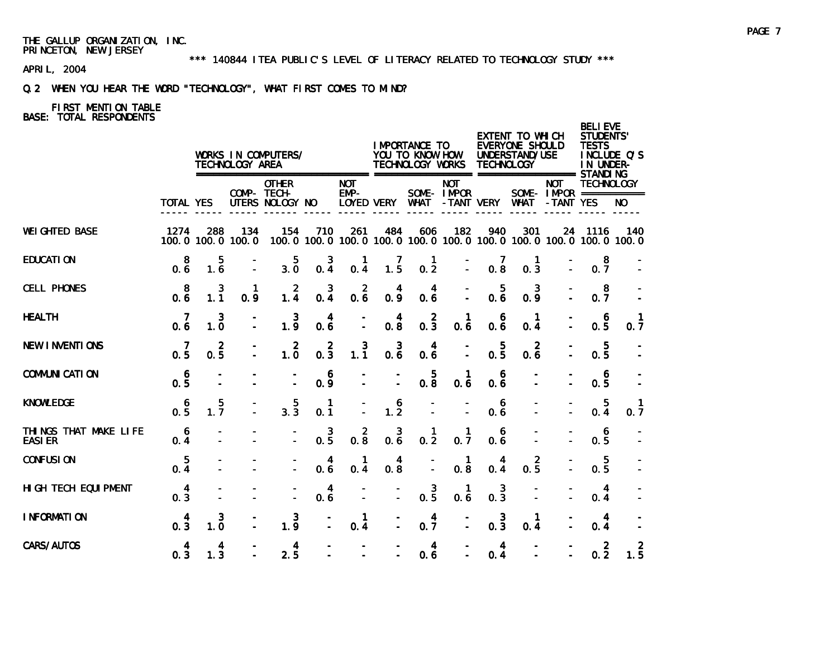\*\*\* 140844 ITEA PUBLIC'S LEVEL OF LITERACY RELATED TO TECHNOLOGY STUDY \*\*\*

APRIL, 2004

# Q.2 WHEN YOU HEAR THE WORD "TECHNOLOGY", WHAT FIRST COMES TO MIND?

|                                         |                       |                       | TECHNOLOGY AREA          | WORKS IN COMPUTERS/                                                    |                                |                     |                                                  | I MPORTANCE TO<br>YOU TO KNOW HOW<br>TECHNOLOGY WORKS |                           | <b>TECHNOLOGY</b>                                | EXTENT TO WHICH<br><b>EVERYONE SHOULD</b><br>UNDERSTAND/USE |                                                                   | <b>BELI EVE</b><br><b>STUDENTS'</b><br><b>TESTS</b><br>IN UNDER- | INCLUDE Q'S |
|-----------------------------------------|-----------------------|-----------------------|--------------------------|------------------------------------------------------------------------|--------------------------------|---------------------|--------------------------------------------------|-------------------------------------------------------|---------------------------|--------------------------------------------------|-------------------------------------------------------------|-------------------------------------------------------------------|------------------------------------------------------------------|-------------|
|                                         | <b>TOTAL YES</b>      |                       |                          | ====================<br><b>OTHER</b><br>COMP- TECH-<br>UTERS NOLOGY NO |                                | <b>NOT</b><br>EMP-  | LOYED VERY WHAT                                  |                                                       | <b>NOT</b><br>SOME- IMPOR | -TANT VERY                                       | WHAT                                                        | <b>NOT</b><br>SOME- $IMPOR$ ===========<br>-TANT YES              | <b>TECHNOLOGY</b>                                                | NO.         |
| <b>WEI GHTED BASE</b>                   | 1274                  | 288                   | 134<br>100.0 100.0 100.0 | 154                                                                    | 710                            | 261                 | 484                                              | 606                                                   | 182                       | 940                                              | 301                                                         | 100.0 100.0 100.0 100.0 100.0 100.0 100.0 100.0 100.0 100.0 100.0 | 24 1116                                                          | 140         |
| <b>EDUCATION</b>                        | 8<br>0.6              | 5<br>$1.\overline{6}$ |                          | $3.\overline{0}$                                                       | $0.\frac{3}{4}$                | 0.4                 | $\frac{7}{1.5}$                                  | $\mathbf{1}$<br>$0.\overline{2}$                      |                           | $\begin{smallmatrix} 7 \\ 0.8 \end{smallmatrix}$ | <b>1</b><br>0.3                                             |                                                                   | 8<br>0.7                                                         |             |
| <b>CELL PHONES</b>                      | -8<br>0.6             | 3<br>1.1              | 0.9                      | $\frac{2}{1.4}$                                                        | $0.\frac{3}{4}$                | $0.\overline{6}$    | 0.9                                              | 4<br>0.6                                              |                           | 5<br>0.6                                         | 3<br>0.9                                                    |                                                                   | -8<br>0.7                                                        |             |
| <b>HEALTH</b>                           | -7<br>0.6             | 3<br>1.0              |                          | 3<br>1.9                                                               | 4<br>0.6                       |                     | $\begin{smallmatrix} 4 \\ 0.8 \end{smallmatrix}$ | $0.\frac{2}{3}$                                       | 0.6                       | 6<br>0.6                                         | -1<br>0.4                                                   |                                                                   | 6<br>0.5                                                         | 0.7         |
| <b>NEW INVENTIONS</b>                   | 7<br>$0.\overline{5}$ | $\overline{2}$<br>0.5 |                          | $1.\overline{0}$                                                       | $0.\overline{3}$               | $1.\overline{1}$    | $0.\overline{6}$                                 | 4<br>0.6                                              |                           | 5<br>0.5                                         | 2<br>0.6                                                    |                                                                   | 5<br>0.5                                                         |             |
| <b>COMMUNICATION</b>                    | 6<br>0.5              |                       |                          |                                                                        | 6<br>0.9                       |                     |                                                  | $0.\overline{8}$                                      | -1<br>0.6                 | 6<br>0.6                                         |                                                             |                                                                   | 6<br>0.5                                                         |             |
| <b>KNOWLEDGE</b>                        | 6<br>0.5              | 5<br>$1.\bar{7}$      |                          | $3.\overline{3}$                                                       | $\mathbf{1}$<br>0.1            |                     | $\begin{array}{c} 6 \\ 1.2 \end{array}$          |                                                       |                           | 6<br>0.6                                         |                                                             |                                                                   | 5<br>0.4                                                         | 0.7         |
| THINGS THAT MAKE LIFE<br><b>EASI ER</b> | $\overline{6}$<br>0.4 |                       |                          |                                                                        | 3<br>$0.\overline{5}$          | $0.\overline{8}$    | $\mathbf{3}$<br>$0.\overline{6}$                 | 1<br>0.2                                              | $\mathbf{1}$<br>0.7       | 6<br>0.6                                         |                                                             |                                                                   | 6<br>0.5                                                         |             |
| <b>CONFUSION</b>                        | $\overline{5}$<br>0.4 |                       |                          |                                                                        | $\overline{\mathbf{4}}$<br>0.6 | $\mathbf{1}$<br>0.4 | 4<br>0.8                                         |                                                       | $\mathbf{1}$<br>0.8       | 4<br>0.4                                         | $\overline{2}$<br>0.5                                       |                                                                   | $\overline{5}$<br>0.5                                            |             |
| HI GH TECH EQUI PMENT                   | $\overline{4}$<br>0.3 |                       |                          | $\ddot{\phantom{a}}$                                                   | $\overline{4}$<br>0.6          |                     | $\mathbf{r}$                                     | $0.\frac{3}{5}$                                       | $\mathbf{1}$<br>0.6       | $\mathbf{3}$<br>$0.\overline{3}$                 |                                                             |                                                                   | 4<br>0.4                                                         |             |
| I NFORMATION                            | 4<br>0.3              | 3<br>1.0              |                          | $1.\overline{9}$                                                       |                                | $\mathbf{1}$<br>0.4 |                                                  | $0.\frac{4}{7}$                                       |                           | $0.\overline{3}$                                 | $\mathbf{1}$<br>0.4                                         |                                                                   | 4<br>0.4                                                         |             |
| CARS/AUTOS                              | $\overline{4}$<br>0.3 | 4<br>1.3              |                          | $\overline{\mathbf{4}}$<br>2.5                                         |                                |                     |                                                  | $\overline{4}$<br>0.6                                 |                           | $\overline{4}$<br>0.4                            |                                                             |                                                                   | $\overline{2}$<br>0.2                                            | 2<br>1.5    |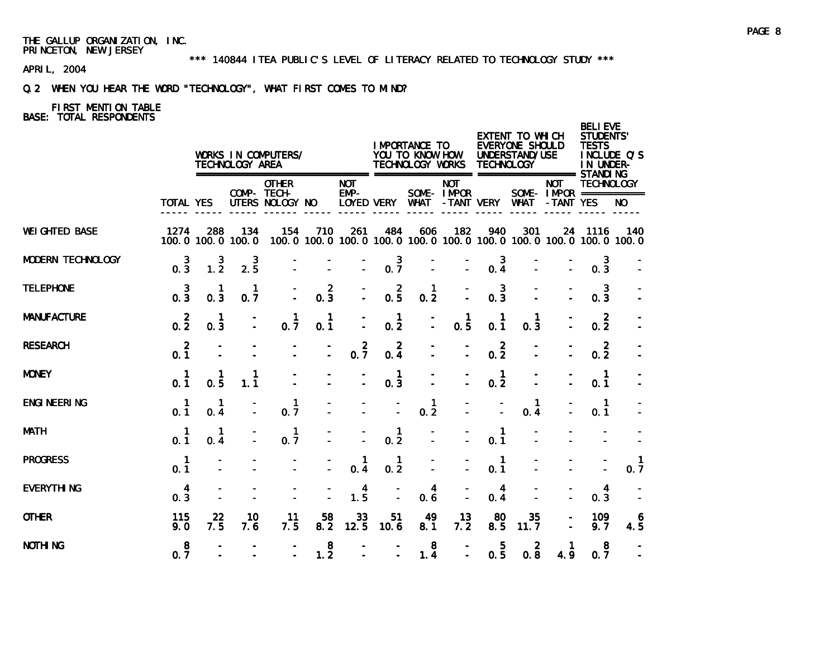\*\*\* 140844 ITEA PUBLIC'S LEVEL OF LITERACY RELATED TO TECHNOLOGY STUDY \*\*\*

APRIL, 2004

# Q.2 WHEN YOU HEAR THE WORD "TECHNOLOGY", WHAT FIRST COMES TO MIND?

|                          |                                        |                     | TECHNOLOGY AREA          | WORKS IN COMPUTERS/                            |                       |                                        |                                  | I MPORTANCE TO<br>YOU TO KNOW HOW<br>TECHNOLOGY WORKS |                          | <b>TECHNOLOGY</b>     | EXTENT TO WHICH<br>EVERYONE SHOULD<br>UNDERSTAND/USE                     |                                         | <b>BELI EVE</b><br><b>STUDENTS'</b><br><b>TESTS</b><br>IN UNDER- | INCLUDE Q'S         |
|--------------------------|----------------------------------------|---------------------|--------------------------|------------------------------------------------|-----------------------|----------------------------------------|----------------------------------|-------------------------------------------------------|--------------------------|-----------------------|--------------------------------------------------------------------------|-----------------------------------------|------------------------------------------------------------------|---------------------|
|                          | TOTAL YES                              |                     |                          | <b>OTHER</b><br>COMP- TECH-<br>UTERS NOLOGY NO |                       | <b>NOT</b><br>$EMP-$                   |                                  | LOYED VERY WHAT                                       | <b>NOT</b><br>SOME-IMPOR |                       | -TANT VERY WHAT -TANT YES                                                | <b>NOT</b><br>SOME- $IMPAR$ =========== | <b>TECHNOLOGY</b>                                                | NO.                 |
| <b>WEI GHTED BASE</b>    | 1274                                   | 288                 | 134<br>100.0 100.0 100.0 | 154                                            | 710                   | 261                                    | 484                              | 606                                                   | 182                      | 940                   | 301<br>100.0 100.0 100.0 100.0 100.0 100.0 100.0 100.0 100.0 100.0 100.0 |                                         | 24 1116                                                          | 140                 |
| <b>MODERN TECHNOLOGY</b> | $\overline{\mathbf{3}}$<br>$0.\bar{3}$ | $1.\overline{2}$    | $2.\overline{5}$         |                                                |                       | $\overline{\mathbb{Z}}$                | $0.\overline{7}$                 | $\overline{\phantom{a}}$                              |                          | $0.\frac{3}{4}$       |                                                                          |                                         | 3<br>0.3                                                         |                     |
| <b>TELEPHONE</b>         | $0.\frac{3}{3}$                        | 0.3                 | $\mathbf{1}$<br>0.7      |                                                | $\overline{2}$<br>0.3 | $\overline{\mathbb{Z}}$                | $0.\frac{2}{5}$                  | $\overline{1}$<br>0.2                                 |                          | 3<br>0.3              |                                                                          |                                         | 3<br>0.3                                                         |                     |
| <b>MANUFACTURE</b>       | $0.\overline{2}$                       | $\mathbf{1}$<br>0.3 |                          | 1<br>0.7                                       | -1<br>0.1             | Ī.                                     | $\overline{1}$<br>0.2            | Ī,                                                    | 0.5                      | 0.1                   | $\mathbf{1}$<br>0.3                                                      |                                         | $\overline{2}$<br>0.2                                            |                     |
| <b>RESEARCH</b>          | $\overline{2}$<br>0.1                  |                     |                          |                                                |                       | $0.\overline{7}$                       | $\overline{2}$<br>0.4            |                                                       |                          | $\overline{2}$<br>0.2 |                                                                          |                                         | $\overline{2}$<br>0.2                                            |                     |
| <b>MONEY</b>             | $\mathbf{1}$<br>0.1                    | 1<br>0.5            | 1<br>1.1                 |                                                |                       |                                        | $\mathbf{1}$<br>0.3              |                                                       |                          | $\mathbf{1}$<br>0.2   |                                                                          |                                         | $\mathbf{1}$<br>0.1                                              |                     |
| <b>ENGI NEERI NG</b>     | $\overline{1}$<br>0.1                  | $\mathbf{1}$<br>0.4 |                          | $\mathbf{1}$<br>0.7                            |                       |                                        |                                  | $\frac{1}{0.2}$                                       |                          |                       | 1<br>0.4                                                                 |                                         | $\overline{1}$<br>0.1                                            |                     |
| <b>MATH</b>              | $\blacksquare$<br>0.1                  | -1<br>0.4           |                          | $\mathbf{1}$<br>0.7                            |                       |                                        | $\mathbf{1}$<br>0.2              |                                                       |                          | $\mathbf{1}$<br>0.1   |                                                                          |                                         |                                                                  |                     |
| <b>PROGRESS</b>          | $\mathbf{1}$<br>0.1                    |                     |                          |                                                |                       | $\begin{matrix} 1 \\ 0.4 \end{matrix}$ | $\mathbf{1}$<br>$0.\overline{2}$ |                                                       |                          | $\mathbf{1}$<br>0.1   |                                                                          |                                         |                                                                  | $\mathbf{1}$<br>0.7 |
| <b>EVERYTHING</b>        | $\overline{4}$<br>0.3                  |                     |                          |                                                |                       | $1.\frac{4}{5}$                        |                                  | 4<br>0.6                                              |                          | 4<br>0.4              |                                                                          |                                         | 4<br>0.3                                                         |                     |
| <b>OTHER</b>             | 115<br>9.0                             | 22<br>7.5           | 10<br>7.6                | 11<br>7.5                                      | 58<br>8.2             | 33<br>12.5                             | 51<br>10.6                       | 49<br>8.1                                             | 13<br>7.2                | 80<br>8.5             | 35<br>11.7                                                               |                                         | 109<br>9.7                                                       | 6<br>4.5            |
| <b>NOTHING</b>           | 8<br>0.7                               |                     |                          | $\overline{a}$                                 | 8<br>1.2              | $\overline{a}$                         | $\overline{a}$                   | 8<br>1.4                                              | $\overline{a}$           | 5<br>0.5              | $\overline{2}$<br>0.8                                                    | -1<br>4.9                               | 8<br>0.7                                                         |                     |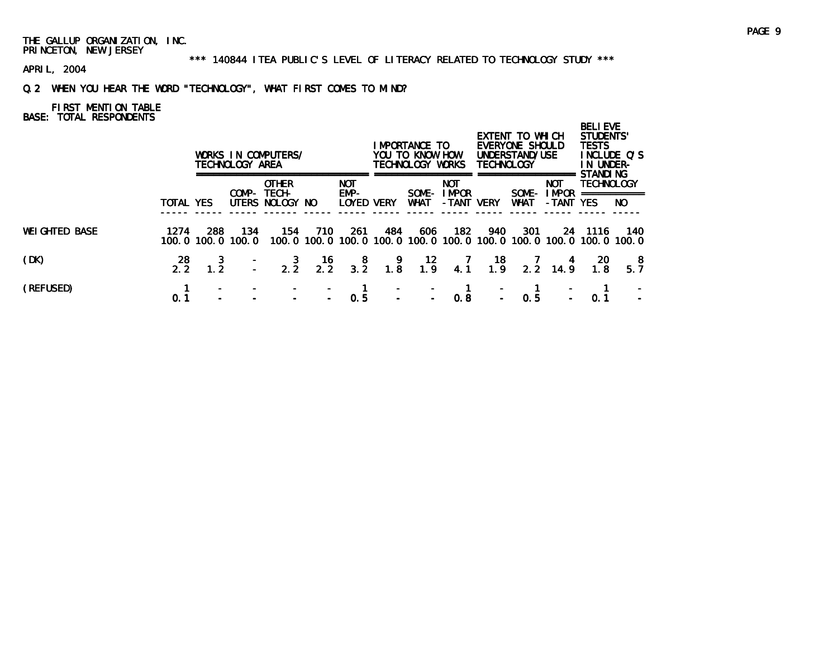\*\*\* 140844 ITEA PUBLIC'S LEVEL OF LITERACY RELATED TO TECHNOLOGY STUDY \*\*\*

APRIL, 2004

# Q.2 WHEN YOU HEAR THE WORD "TECHNOLOGY", WHAT FIRST COMES TO MIND?

|                       |           |                    | TECHNOLOGY AREA | WORKS IN COMPUTERS/                            |                  |                                         |                                         | IMPORTANCE TO<br>YOU TO KNOW HOW<br>TECHNOLOGY WORKS |                                            | <b>TECHNOLOGY</b>                        | EXTENT TO WHICH<br>EVERYONE SHOULD<br>UNDERSTAND/USE |                                                                                    | <b>BELIEVE</b><br><b>STUDENTS'</b><br><b>TESTS</b><br>IN UNDER- | INCLUDE Q'S |
|-----------------------|-----------|--------------------|-----------------|------------------------------------------------|------------------|-----------------------------------------|-----------------------------------------|------------------------------------------------------|--------------------------------------------|------------------------------------------|------------------------------------------------------|------------------------------------------------------------------------------------|-----------------------------------------------------------------|-------------|
|                       | TOTAL YES |                    |                 | <b>OTHER</b><br>COMP- TECH-<br>UTERS NOLOGY NO |                  | <b>NOT</b><br>EMP-<br><b>LOYED VERY</b> |                                         | SOME-<br>WHAT                                        | <b>NOT</b><br><b>I MPOR</b><br>-TANT       | <b>VERY</b>                              | SOME-<br><b>WHAT</b>                                 | <b>NOT</b><br><b>I MPOR</b><br>-TANT YES                                           | <b>STANDING</b><br><b>TECHNOLOGY</b><br>===========             | NO.         |
| <b>WEI GHTED BASE</b> | 1274      | 288<br>100.0 100.0 | 134<br>100.0    | 154                                            | 710              | -261                                    | 484                                     | 606                                                  | 182                                        | 940                                      | 301                                                  | 24<br>100, 0 100, 0 100, 0 100, 0 100, 0 100, 0 100, 0 100, 0 100, 0 100, 0 100, 0 | - 1116                                                          | 140         |
| (DK)                  | 28        |                    |                 | $\frac{3}{2.2}$                                | $\frac{16}{2.2}$ | $\frac{8}{3.2}$                         | $\begin{array}{c} 9 \\ 1.8 \end{array}$ | $\begin{array}{c} 12 \\ 1.9 \end{array}$             | $\begin{array}{cc} & 7 \\ 4.1 \end{array}$ | $\begin{array}{c} 18 \\ 1.9 \end{array}$ | 2.2                                                  | 14.9                                                                               | <b>20</b>                                                       | -8<br>5.7   |
| (REFUSED)             | 0.1       |                    |                 |                                                |                  | 0.5                                     |                                         |                                                      | 0.8                                        |                                          | 0.5                                                  |                                                                                    | 0.1                                                             |             |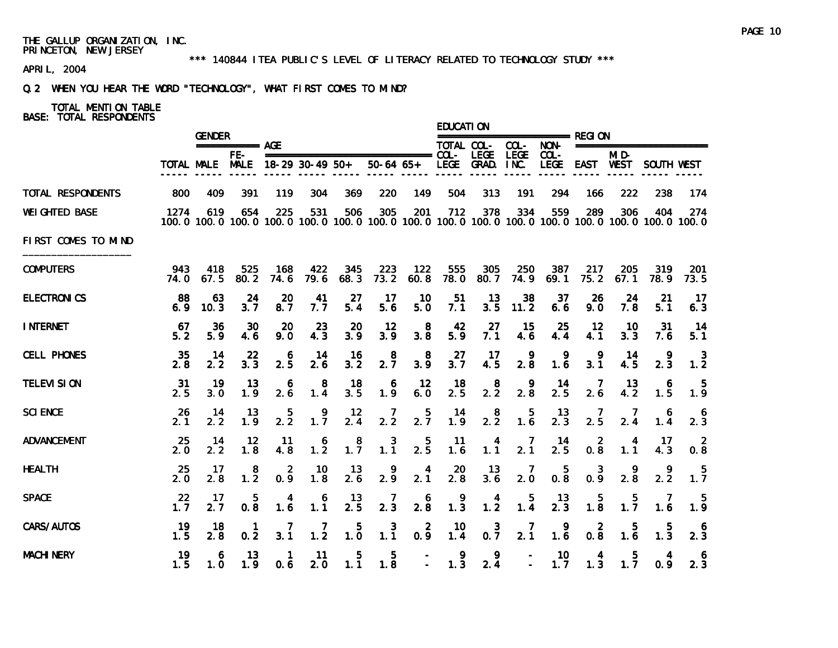#### \*\*\* 140844 ITEA PUBLIC'S LEVEL OF LITERACY RELATED TO TECHNOLOGY STUDY \*\*\*

APRIL, 2004

# Q.2 WHEN YOU HEAR THE WORD "TECHNOLOGY", WHAT FIRST COMES TO MIND?

# TOTAL MENTION TABLE

|                       |              | <b>GENDER</b><br>$== == == == ==$ AGE |                                  |                     |                                              |                  |                       |                       | <b>EDUCATION</b> |                        |                                         |                                                |                       |                                    |                 |                                                                                                              |
|-----------------------|--------------|---------------------------------------|----------------------------------|---------------------|----------------------------------------------|------------------|-----------------------|-----------------------|------------------|------------------------|-----------------------------------------|------------------------------------------------|-----------------------|------------------------------------|-----------------|--------------------------------------------------------------------------------------------------------------|
|                       |              |                                       |                                  |                     |                                              |                  |                       |                       |                  | TOTAL COL- COL-        |                                         |                                                |                       |                                    |                 |                                                                                                              |
|                       |              | TOTAL MALE MALE                       | FE-                              | 18-29 30-49 50+     |                                              |                  | $50-64$ $65+$         |                       |                  | LEGE GRAD. INC.        | <b>LEGE</b>                             | $COL -$                                        |                       | MI D-<br>LEGE EAST WEST SOUTH WEST |                 |                                                                                                              |
| TOTAL RESPONDENTS     | 800          | 409                                   | 391                              | 119                 | 304                                          | 369              | 220                   | 149                   | 504              | 313                    | 191                                     | 294                                            | 166                   | 222                                | 238             | 174                                                                                                          |
| <b>WEI GHTED BASE</b> | 1274         | 619                                   | 654                              | 225                 | 531                                          | 506              | 305                   | 201                   | 712              | 378                    | 334                                     | 559                                            | 289                   | 306                                | 404             | 274<br>100.0 100.0 100.0 100.0 100.0 100.0 100.0 100.0 100.0 100.0 100.0 100.0 100.0 100.0 100.0 100.0 100.0 |
| FIRST COMES TO MIND   |              |                                       |                                  |                     |                                              |                  |                       |                       |                  |                        |                                         |                                                |                       |                                    |                 |                                                                                                              |
| <b>COMPUTERS</b>      | 943<br>74. O | 418<br>67.5                           | 525<br>80.2                      | 168<br>74.6         | 422<br>79.6                                  | 345<br>68.3      | 223<br>73.2           | 122<br>60.8           | 555<br>78.0      | 305<br>80.7            | 250<br>74.9                             | 387<br>69.1                                    | 217<br>75.2           | 205<br>67.1                        | 319<br>78.9     | 201<br>73.5                                                                                                  |
| <b>ELECTRONICS</b>    | 88<br>6.9    | 63<br>10.3                            | 24<br>3.7                        | 20<br>8.7           | 41<br>7.7                                    | 27<br>5.4        | 17<br>5.6             | 10<br>5.0             | 51<br>7.1        | 13<br>3.5              | 38<br>11.2                              | 37<br>6.6                                      | 26<br>9.0             | 24<br>7.8                          | 21<br>5.1       | 17<br>6.3                                                                                                    |
| <b>INTERNET</b>       | 67<br>5.2    | 36<br>5.9                             | 30<br>4.6                        | 20<br>9.0           | 23<br>4.3                                    | 20<br>3.9        | 12<br>3.9             | 8<br>3.8              | 42<br>5.9        | 27<br>7.1              | 15<br>4.6                               | 25<br>4.4                                      | 12<br>4.1             | 10<br>3.3                          | 31<br>7.6       | 14<br>5.1                                                                                                    |
| <b>CELL PHONES</b>    | 35<br>2.8    | 14<br>2.2                             | 22<br>3.3                        | 6<br>2.5            | 14<br>2.6                                    | 16<br>3.2        | $2.\overline{7}$      | -8<br>3.9             | 27<br>3.7        | -17<br>4.5             | 9<br>2.8                                | 9<br>1.6                                       | 9<br>3.1              | 14<br>4.5                          | 9<br>2.3        | 3<br>1.2                                                                                                     |
| <b>TELEVI SION</b>    | 31<br>2.5    | 19<br>3.0                             | 13<br>1.9                        | 6<br>2.6            | $\begin{smallmatrix}8\\1.4\end{smallmatrix}$ | 18<br>3.5        | 6<br>1.9              | 12<br>6.0             | 18<br>2.5        | $2.\overline{2}$       | 9<br>2.8                                | 14<br>2.5                                      | -7<br>2.6             | 13<br>4.2                          | 6<br>1.5        | 1.9                                                                                                          |
| <b>SCI ENCE</b>       | 26<br>2.1    | -14<br>2.2                            | 13<br>1.9                        | 5<br>2.2            | 1.7                                          | 12<br>2.4        | $\frac{7}{2.2}$       | $2.\overline{7}$      | 14<br>1.9        | $2.\overline{2}$       | $\begin{array}{c} 5 \\ 1.6 \end{array}$ | $\frac{13}{2.3}$                               | 7<br>$2.\overline{5}$ | 7<br>2.4                           | 6<br>1.4        | $\frac{6}{2.3}$                                                                                              |
| <b>ADVANCEMENT</b>    | 25<br>2.0    | 14<br>2.2                             | 12<br>1.8                        | 11<br>4.8           | 6<br>$1.\overline{2}$                        | 8<br>1.7         | 3<br>1.1              | $2.\overline{5}$      | 11<br>1.6        | 4<br>1.1               | 7<br>2.1                                | 14<br>2.5                                      | 2<br>0.8              | 4<br>1.1                           | -17<br>4.3      | $\overline{2}$<br>0.8                                                                                        |
| <b>HEALTH</b>         | 25<br>2.0    | 17<br>2.8                             | 8<br>$1.\overline{2}$            | 2<br>0.9            | 10<br>1.8                                    | 13<br>2.6        | $\frac{9}{2.9}$       | $\frac{4}{2.1}$       | $\frac{20}{2.8}$ | 13<br>$3.\overline{6}$ | 2.0                                     | $\begin{smallmatrix} &5\\0.8\end{smallmatrix}$ | 0.9                   | $2.\overline{8}$                   | 2.2             | -5<br>$1.\overline{7}$                                                                                       |
| <b>SPACE</b>          | 22<br>1.7    | 17<br>2.7                             | 5<br>$0.\overline{8}$            | 4<br>1.6            | 6<br>$1.\overline{1}$                        | $\frac{13}{2.5}$ | 7<br>$2.\overline{3}$ | 6<br>$2.\overline{8}$ | $\frac{9}{1.3}$  | 1.4                    | 1.4                                     | 13<br>$2.\overline{3}$                         | 5<br>$1.\overline{8}$ | 5<br>1.7                           | 7<br>1.6        | -5<br>$1.\overline{9}$                                                                                       |
| CARS/AUTOS            | 19<br>1.5    | 18<br>2.8                             | $\mathbf{1}$<br>$0.\overline{2}$ | $\frac{7}{3.1}$     | 7<br>$1.\overline{2}$                        | $1.\overline{0}$ | $1.\overline{1}$      | $0.\frac{2}{9}$       | 10<br>1.4        | $0.\overline{7}$       | 7<br>2.1                                | $\frac{9}{1.6}$                                | $0.\overline{8}$      | 5<br>1.6                           | $\frac{5}{1.3}$ | $\begin{smallmatrix}6\\2.3\end{smallmatrix}$                                                                 |
| <b>MACHI NERY</b>     | 19<br>1.5    | 6<br>1.0                              | 13<br>1.9                        | $\mathbf{1}$<br>0.6 | 11<br>2.0                                    | 5<br>1.1         | 5.<br>1.8             | $\blacksquare$        | 9<br>1.3         | 9<br>2.4               | $\overline{\phantom{a}}$                | 10<br>1.7                                      | 4<br>1.3              | 5.<br>1.7                          | 4<br>0.9        | 2.3                                                                                                          |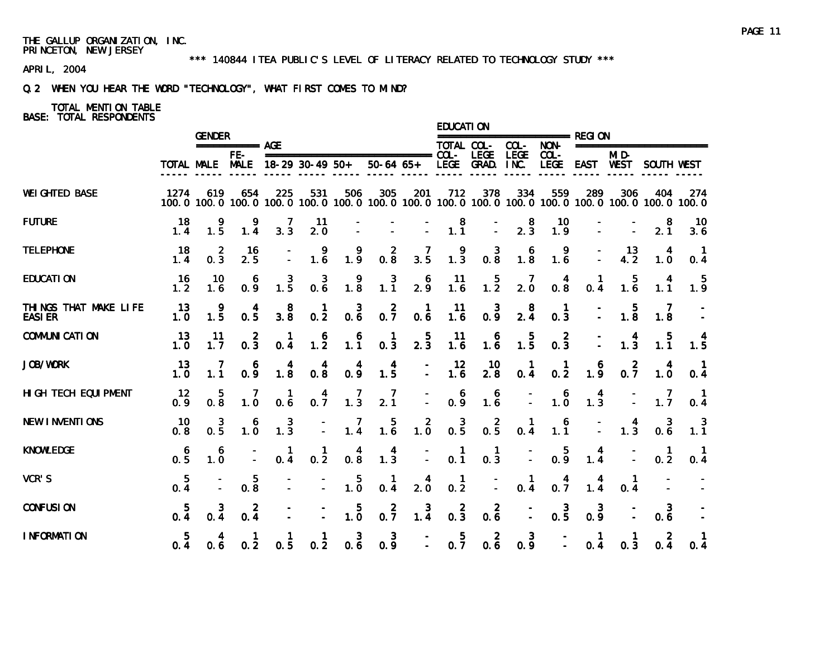#### \*\*\* 140844 ITEA PUBLIC'S LEVEL OF LITERACY RELATED TO TECHNOLOGY STUDY \*\*\*

APRIL, 2004

# Q.2 WHEN YOU HEAR THE WORD "TECHNOLOGY", WHAT FIRST COMES TO MIND?

# TOTAL MENTION TABLE

|                                         |                 | <b>GENDER</b>         |                       |                                              |                                                  |                                                  |                                                                                                              |                                        | <b>EDUCATION</b>                                 | ======================= REGI ON                  |                                              |                                         |                                         |                                         |                                         |                                                  |
|-----------------------------------------|-----------------|-----------------------|-----------------------|----------------------------------------------|--------------------------------------------------|--------------------------------------------------|--------------------------------------------------------------------------------------------------------------|----------------------------------------|--------------------------------------------------|--------------------------------------------------|----------------------------------------------|-----------------------------------------|-----------------------------------------|-----------------------------------------|-----------------------------------------|--------------------------------------------------|
|                                         |                 |                       | =========== AGE       |                                              |                                                  |                                                  |                                                                                                              |                                        | TOTAL COL-                                       |                                                  | COL-                                         | NON-                                    |                                         |                                         | ===================                     |                                                  |
|                                         |                 | TOTAL MALE MALE       | FE-                   |                                              | $18-29$ 30-49 50+                                |                                                  | $50-64$ $65+$                                                                                                |                                        |                                                  | LEGE GRAD. INC.                                  | LEGE                                         | $COL -$<br>LEGE                         |                                         | MID-<br>EAST WEST                       | SOUTH WEST                              |                                                  |
| <b>WEI GHTED BASE</b>                   | 1274            | 619                   | 654                   | 225                                          | 531                                              | 506                                              | 305<br>100.0 100.0 100.0 100.0 100.0 100.0 100.0 100.0 100.0 100.0 100.0 100.0 100.0 100.0 100.0 100.0 100.0 | 201                                    | 712                                              | 378                                              | 334                                          | 559                                     | 289                                     | 306                                     | 404                                     | 274                                              |
| <b>FUTURE</b>                           | 18<br>1.4       | $1.\overline{5}$      | 1.4                   | 7<br>3.3                                     | -11<br>2.0                                       |                                                  |                                                                                                              |                                        | $\begin{smallmatrix}8\\1.1\end{smallmatrix}$     |                                                  | $\begin{smallmatrix}8\\2.3\end{smallmatrix}$ | 10<br>$1.\overline{9}$                  |                                         |                                         | 8<br>$2.\overline{1}$                   | 10<br>3.6                                        |
| <b>TELEPHONE</b>                        | 18<br>1.4       | $\overline{a}$<br>0.3 | 16<br>2.5             |                                              | $\begin{smallmatrix} 9 \\ 1.6 \end{smallmatrix}$ | $\frac{9}{1.9}$                                  | $0.\overline{8}$                                                                                             | $\frac{7}{3.5}$                        | $\frac{9}{1.3}$                                  | $\begin{smallmatrix} 3 \\ 0.8 \end{smallmatrix}$ | $\begin{smallmatrix}6\\1.8\end{smallmatrix}$ | $\frac{9}{1.6}$                         |                                         | $\frac{13}{4.2}$                        | 4<br>$1.\overline{0}$                   | 0.4                                              |
| <b>EDUCATION</b>                        | 16<br>1.2       | 10<br>1.6             | 6<br>0.9              | $\frac{3}{1.5}$                              | $0.\overline{6}$                                 | $\begin{smallmatrix} 9 \\ 1.8 \end{smallmatrix}$ | $1.\overline{1}$                                                                                             | 2.9                                    | $\frac{11}{1.6}$                                 | 1.5                                              | $\frac{7}{2.0}$                              | $\begin{matrix} 4 \\ 0.8 \end{matrix}$  | $0.\overline{4}$                        | $\begin{array}{c} 5 \\ 1.6 \end{array}$ | 4<br>$1.\overline{1}$                   | $\frac{5}{1.9}$                                  |
| THINGS THAT MAKE LIFE<br><b>EASI ER</b> | 13<br>1.0       | $\frac{9}{1.5}$       | $\frac{4}{0.5}$       | $\begin{smallmatrix}8\\3.8\end{smallmatrix}$ | $\frac{1}{0.2}$                                  | $\begin{smallmatrix} 3 \\ 0.6 \end{smallmatrix}$ | $0.\overline{7}$                                                                                             | $\begin{matrix} 1 \\ 0.6 \end{matrix}$ | $\begin{array}{c} 11 \\ 1.6 \end{array}$         | $0.\frac{3}{9}$                                  | $\frac{8}{2.4}$                              | $\begin{matrix} 1 \\ 0.3 \end{matrix}$  |                                         | $\begin{array}{c} 5 \\ 1.8 \end{array}$ | 7<br>1.8                                |                                                  |
| <b>COMMUNI CATI ON</b>                  | 13<br>1.0       | 11<br>1.7             | $0.\overline{3}$      | $0.\dot{4}$                                  | $\begin{array}{c} 6 \\ 1.2 \end{array}$          | $\begin{smallmatrix}6\\1.1\end{smallmatrix}$     | $\begin{matrix} 1 \\ 0.3 \end{matrix}$                                                                       | $\frac{5}{2.3}$                        | $\frac{11}{1.6}$                                 | $\begin{array}{c} 6 \\ 1.6 \end{array}$          | $\begin{array}{c} 5 \\ 1.5 \end{array}$      | $0.\overline{3}$                        | $\mathbb{Z}$                            | $\frac{4}{1.3}$                         | $\frac{5}{1.1}$                         | 1.5                                              |
| <b>JOB/WORK</b>                         | 13<br>1.0       | 1.1                   | 0.9                   | $\begin{array}{c} 4 \\ 1.8 \end{array}$      | $\begin{matrix} 4 \\ 0.8 \end{matrix}$           | 0.9                                              | $\frac{4}{1.5}$                                                                                              | $\mathbb{I}$                           | $\frac{12}{1.6}$                                 | $\frac{10}{2.8}$                                 | $\begin{matrix} 1 \\ 0.4 \end{matrix}$       | $\frac{1}{0.2}$                         | 1.9                                     | $0.\overline{7}$                        | $\begin{array}{c} 4 \\ 1.0 \end{array}$ | $\begin{smallmatrix} 1 \\ 0.4 \end{smallmatrix}$ |
| HI GH TECH EQUI PMENT                   | 12<br>0.9       | 5<br>0.8              | 7<br>1.0              | $\mathbf{1}$<br>0.6                          | $0.\overline{7}$                                 | $\frac{7}{1.3}$                                  | $\frac{7}{2.1}$                                                                                              | $\overline{\mathbb{Z}}$                | 0.9                                              | $\begin{array}{c} 6 \\ 1.6 \end{array}$          |                                              | $\begin{array}{c} 6 \\ 1.0 \end{array}$ | $\begin{matrix} 4 \\ 1.3 \end{matrix}$  |                                         | $\frac{7}{1.7}$                         | $\blacksquare$<br>0.4                            |
| <b>NEW INVENTIONS</b>                   | 10<br>0.8       | 3<br>$0.\overline{5}$ | $1.\overline{0}$      | $\frac{3}{1.3}$                              | $\mathbb{Z}$                                     | $\frac{7}{1.4}$                                  | $\begin{matrix}5\\1.6\end{matrix}$                                                                           | $1.\overline{0}$                       | $0.\overline{5}$                                 | $0.\overline{5}$                                 | $\begin{matrix} 1 \\ 0.4 \end{matrix}$       | $\begin{array}{c} 6 \\ 1.1 \end{array}$ | $\mathbb{I}$                            | $\begin{array}{c} 4 \\ 1.3 \end{array}$ | $0.\overline{6}$                        | $\frac{3}{1.1}$                                  |
| <b>KNOWLEDGE</b>                        | $0.\frac{6}{5}$ | 6<br>1.0              |                       | 0.4                                          | $\frac{1}{0.2}$                                  | $\begin{matrix} 4 \\ 0.8 \end{matrix}$           | $\begin{smallmatrix} 4 \\ 1.3 \end{smallmatrix}$                                                             | Ī.                                     | $\begin{smallmatrix} 1 \\ 0.1 \end{smallmatrix}$ | $\begin{matrix} 1 \\ 0.3 \end{matrix}$           | Ī.                                           | 0.9                                     | $\frac{4}{1.4}$                         |                                         | 0.2                                     | $\blacksquare$<br>$0.\overline{4}$               |
| VCR'S                                   | $0.\frac{5}{4}$ |                       | 5<br>$0.\overline{8}$ |                                              |                                                  | $\frac{5}{1.0}$                                  | $\frac{1}{0.4}$                                                                                              | $\frac{4}{2.0}$                        | $\frac{1}{0.2}$                                  | $\mathbb{Z}$                                     | $\begin{matrix} 1 \\ 0.4 \end{matrix}$       | $0.\overline{7}$                        | $\begin{array}{c} 4 \\ 1.4 \end{array}$ | $\begin{matrix} 1 \\ 0.4 \end{matrix}$  |                                         |                                                  |
| <b>CONFUSION</b>                        | $\frac{5}{0.4}$ | $0.\frac{3}{4}$       | $0.\frac{2}{4}$       |                                              |                                                  | $\begin{array}{c} 5 \\ 1.0 \end{array}$          | $0.\overline{7}$                                                                                             | $\frac{3}{1.4}$                        | $0.\overline{3}$                                 | $0.\overline{6}$                                 | Ī.                                           | $0.\overline{5}$                        | $0.\frac{3}{9}$                         |                                         | 3<br>0.6                                |                                                  |
| <b>I NFORMATION</b>                     | $0.\frac{5}{4}$ | 4<br>0.6              | 1<br>0.2              | 0.5                                          | 1<br>0.2                                         | $0.\overline{6}$                                 | $0.\overline{9}$                                                                                             | $\frac{1}{2}$ .                        | $0.\overline{7}$                                 | $0.\overline{6}$                                 | 3<br>$0.\overline{9}$                        | $\frac{1}{2}$                           | $\overline{1}$<br>0.4                   | 1<br>0.3                                | $\overline{2}$<br>0.4                   | $\mathbf{1}$<br>0.4                              |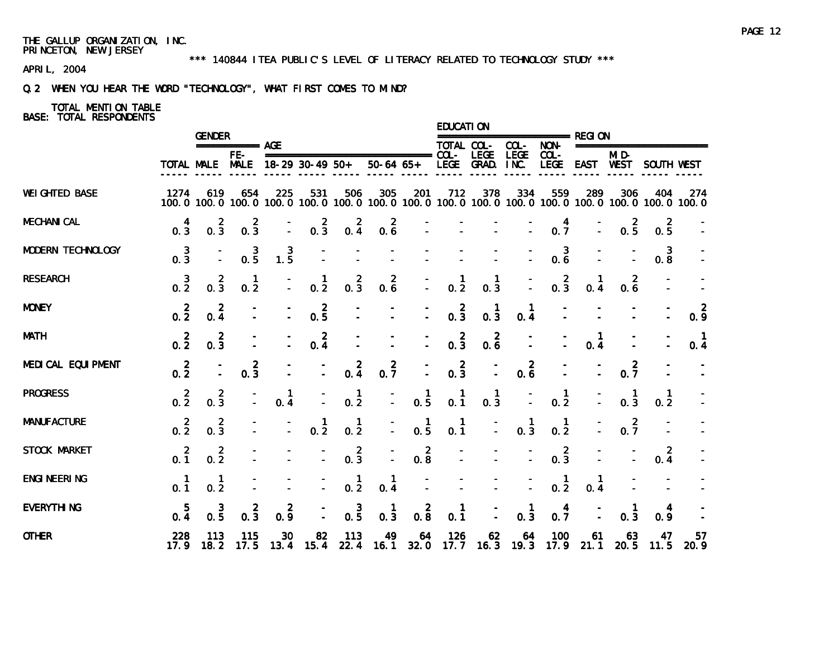#### \*\*\* 140844 ITEA PUBLIC'S LEVEL OF LITERACY RELATED TO TECHNOLOGY STUDY \*\*\*

APRIL, 2004

# Q.2 WHEN YOU HEAR THE WORD "TECHNOLOGY", WHAT FIRST COMES TO MIND?

# TOTAL MENTION TABLE

|                       |                       | <b>GENDER</b>    |                       |                 |                                  |                                                  |                                                                                                              |                                                  | <b>EDUCATION</b>   |                                                  |                                        |                  |                     |                     |                                |                       |
|-----------------------|-----------------------|------------------|-----------------------|-----------------|----------------------------------|--------------------------------------------------|--------------------------------------------------------------------------------------------------------------|--------------------------------------------------|--------------------|--------------------------------------------------|----------------------------------------|------------------|---------------------|---------------------|--------------------------------|-----------------------|
|                       |                       |                  | $== == == == ==$ AGE  |                 |                                  |                                                  |                                                                                                              |                                                  | TOTAL COL-         |                                                  | $COL-$                                 | $NON-$           |                     |                     | ========================       |                       |
|                       |                       | TOTAL MALE MALE  | $FE-$                 |                 | $18-29$ 30-49 50+                |                                                  | $50-64$ $65+$                                                                                                |                                                  |                    | LEGE GRAD. INC.                                  | <b>LEGE</b>                            | $COL -$<br>LEGE  |                     | $MI$ D-             | EAST WEST SOUTH WEST           |                       |
| <b>WEI GHTED BASE</b> | 1274                  | 619              | 654                   | 225             | 531                              | 506                                              | 305<br>100.0 100.0 100.0 100.0 100.0 100.0 100.0 100.0 100.0 100.0 100.0 100.0 100.0 100.0 100.0 100.0 100.0 | 201                                              | 712                | 378                                              | 334                                    | 559              | 289                 | 306                 | 404                            | 274                   |
| <b>MECHANI CAL</b>    | 4<br>$0.\overline{3}$ | $0.\overline{3}$ | $0.\overline{3}$      |                 | $0.\overline{3}$                 | $0.\frac{2}{4}$                                  | $0.\overline{6}$                                                                                             |                                                  |                    |                                                  |                                        | $0.\overline{7}$ |                     | $0.\overline{5}$    | 2<br>$0.\overline{5}$          |                       |
| MODERN TECHNOLOGY     | $0.\frac{3}{3}$       |                  | $0.\frac{3}{5}$       | $\frac{3}{1.5}$ |                                  |                                                  |                                                                                                              |                                                  |                    |                                                  |                                        | $0.\overline{6}$ |                     |                     | 3<br>0.8                       |                       |
| <b>RESEARCH</b>       | $0.\frac{3}{2}$       | $0.\overline{3}$ | $\mathbf{1}$<br>0.2   |                 | $\mathbf{1}$<br>$0.\overline{2}$ | $0.\overline{3}$                                 | $0.\overline{6}$                                                                                             |                                                  | $\frac{1}{0.2}$    | $\mathbf{1}$<br>0.3                              |                                        | $0.\overline{3}$ | 0.4                 | 2<br>0.6            |                                |                       |
| <b>MONEY</b>          | $0.\overline{2}$      | 2<br>0, 4        |                       |                 | $0.\frac{2}{5}$                  |                                                  |                                                                                                              |                                                  | $0.\overline{3}$   | $\begin{smallmatrix} 1 \\ 0.3 \end{smallmatrix}$ | $\mathbf{1}$<br>0.4                    |                  |                     |                     |                                | $0.\frac{2}{9}$       |
| <b>MATH</b>           | $0.\overline{2}$      | $0.\frac{2}{3}$  |                       |                 | $0.\frac{2}{4}$                  |                                                  |                                                                                                              |                                                  | $0.\overline{3}$   | $0.\overline{6}$                                 |                                        |                  | $\mathbf{1}$<br>0.4 |                     |                                | $\blacksquare$<br>0.4 |
| MEDI CAL EQUI PMENT   | $0.\frac{2}{2}$       |                  | $0.\overline{3}$      |                 | $\bar{z}$                        | $0.\frac{2}{4}$                                  | $0.\frac{2}{7}$                                                                                              |                                                  | $0.\frac{2}{3}$    | $\overline{a}$                                   | $0.\overline{6}$                       |                  |                     | $0.\overline{7}$    |                                |                       |
| <b>PROGRESS</b>       | $0.\overline{2}$      | $0.\frac{2}{3}$  |                       | 1<br>0.4        |                                  | $\frac{1}{0.2}$                                  | Ī,                                                                                                           | $\frac{1}{0.5}$                                  | $\mathbf 1$<br>0.1 | $\begin{smallmatrix} 1 \\ 0.3 \end{smallmatrix}$ |                                        | $\frac{1}{0.2}$  |                     | $\mathbf{1}$<br>0.3 | 1<br>0.2                       |                       |
| <b>MANUFACTURE</b>    | $0.\overline{2}$      | $0.\frac{2}{3}$  |                       |                 | $\frac{1}{0.2}$                  | $\frac{1}{0.2}$                                  | Ī.                                                                                                           | $\frac{1}{0.5}$                                  | $0.\,1$            | Ī.                                               | $\begin{matrix} 1 \\ 0.3 \end{matrix}$ | $0.\overline{2}$ | $\bar{z}$           | $0.\overline{7}$    |                                |                       |
| STOCK MARKET          | $0.\overline{1}$      | $0.\overline{2}$ |                       |                 |                                  | $0.\frac{2}{3}$                                  |                                                                                                              | $\begin{smallmatrix} 2 \\ 0.8 \end{smallmatrix}$ |                    |                                                  |                                        | $0.\frac{2}{3}$  |                     |                     | $\overline{\mathbf{c}}$<br>0.4 |                       |
| <b>ENGI NEERI NG</b>  | 0.1                   | $0.\overline{2}$ |                       |                 |                                  | $\begin{smallmatrix} 1 \\ 0.2 \end{smallmatrix}$ | $\frac{1}{0.4}$                                                                                              |                                                  |                    |                                                  |                                        | $\frac{1}{0.2}$  | 0.4                 |                     |                                |                       |
| <b>EVERYTHING</b>     | $0.\frac{5}{4}$       | $0.\frac{3}{5}$  | $0.\overline{3}$      | $0.\frac{2}{9}$ |                                  | $0.\frac{3}{5}$                                  | $\mathbf{1}$<br>$0.\overline{3}$                                                                             | $0.\overline{8}$                                 | 0.1                | $\overline{a}$                                   | $\mathbf{1}$<br>0.3                    | $0.\frac{4}{7}$  |                     | 0.3                 | 4<br>0.9                       |                       |
| <b>OTHER</b>          | 228                   | 113              | 115<br>17.9 18.2 17.5 | 30              | 82                               | 113                                              | 49<br>13.4 15.4 22.4 16.1 32.0 17.7 16.3 19.3 17.9 21.1                                                      | 64                                               | 126                | 62                                               | 64                                     | 100              | 61                  | 63                  | 47<br>20.5 11.5                | 57<br>20.9            |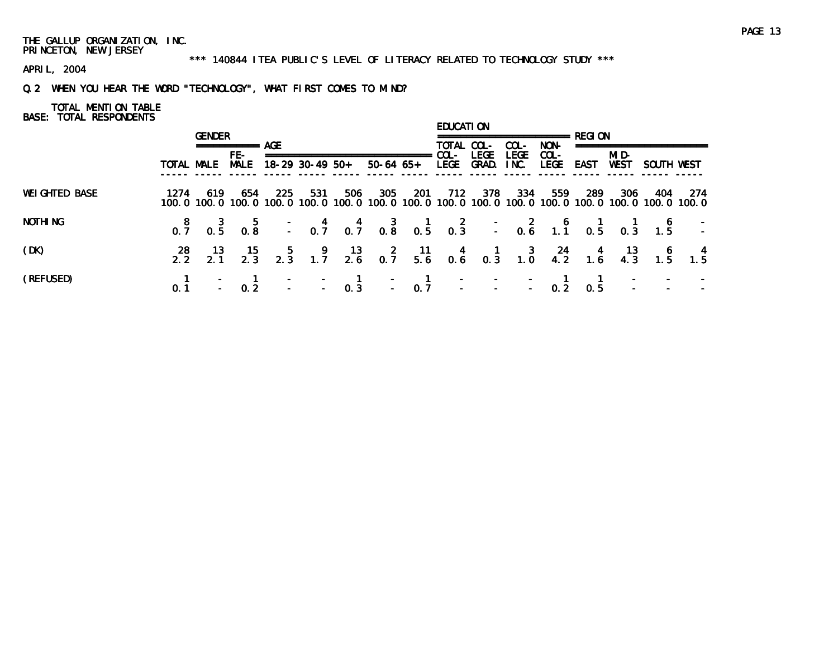#### \*\*\* 140844 ITEA PUBLIC'S LEVEL OF LITERACY RELATED TO TECHNOLOGY STUDY \*\*\*

APRIL, 2004

# Q.2 WHEN YOU HEAR THE WORD "TECHNOLOGY", WHAT FIRST COMES TO MIND?

# TOTAL MENTION TABLE

|                      |            | <b>GENDER</b> |                         |      |                 |     |               |      | EDUCATI ON         |             |                     |              |      |       |                                                                                                                        |                                                                                                           |
|----------------------|------------|---------------|-------------------------|------|-----------------|-----|---------------|------|--------------------|-------------|---------------------|--------------|------|-------|------------------------------------------------------------------------------------------------------------------------|-----------------------------------------------------------------------------------------------------------|
|                      |            |               | ============ AGF<br>FE- |      |                 |     |               |      | TOTAL COL-<br>COL- | <b>LEGE</b> | COL-<br><b>LEGE</b> | NON-<br>COL- |      | MI D- |                                                                                                                        |                                                                                                           |
|                      | TOTAL MALE |               | <b>MALE</b>             |      | 18-29 30-49 50+ |     | $50-64$ $65+$ |      | LEGE               | GRAD.       | INC.                | <b>LEGE</b>  | EAST | WEST  | SOUTH WEST                                                                                                             |                                                                                                           |
| <b>WEIGHTED BASE</b> | 1274       | 619           | 654                     | -225 | 531             | 506 | 305           | -201 | -712               | -378        | -334                | 559          | -289 | 306   | 404<br>100, 0 100, 0 100, 0 100, 0 100, 0 100, 0 100, 0 100, 0 100, 0 100, 0 100, 0 100, 0 100, 0 100, 0 100, 0 100, 0 | -274                                                                                                      |
| NOTHI NG             |            |               |                         |      |                 |     |               |      |                    |             |                     |              |      |       |                                                                                                                        | 8 3 5 - 4 4 3 1 2 - 2 6 1 1 6 -<br>0.7 0.5 0.8 - 0.7 0.7 0.8 0.5 0.3 - 0.6 1.1 0.5 0.3 1.5 -              |
| (DK)                 |            |               |                         |      |                 |     |               |      |                    |             |                     |              |      |       |                                                                                                                        | 28 13 15 5 9 13 2 11 4 1 3 24 4 13 6 4<br>2.2 2.1 2.3 2.3 1.7 2.6 0.7 5.6 0.6 0.3 1.0 4.2 1.6 4.3 1.5 1.5 |
| (REFUSED)            |            |               |                         |      |                 |     |               |      |                    |             |                     |              |      |       |                                                                                                                        |                                                                                                           |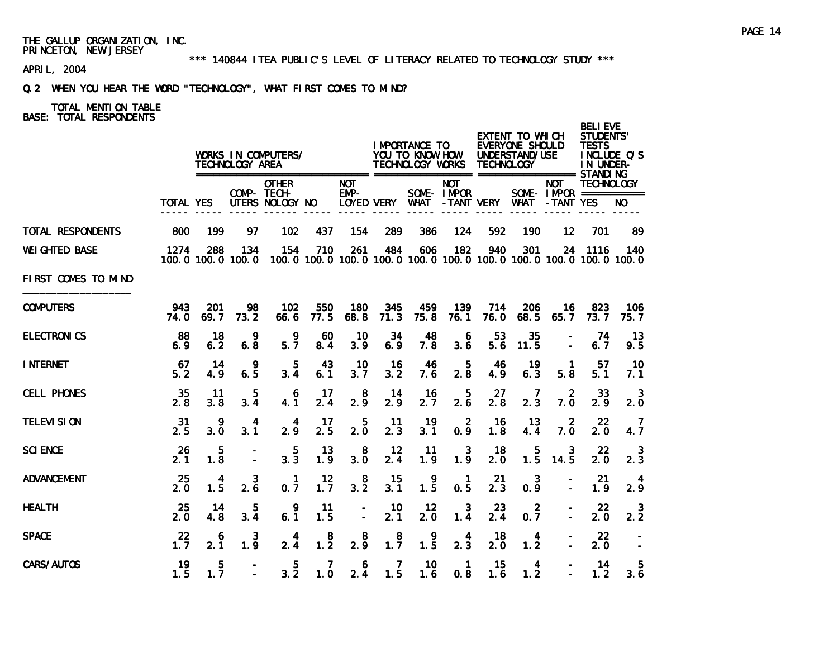#### \*\*\* 140844 ITEA PUBLIC'S LEVEL OF LITERACY RELATED TO TECHNOLOGY STUDY \*\*\*

APRIL, 2004

# Q.2 WHEN YOU HEAR THE WORD "TECHNOLOGY", WHAT FIRST COMES TO MIND?

|                       |                  |             | TECHNOLOGY AREA          | WORKS IN COMPUTERS/                            |                       |                      |                       | <b>IMPORTANCE TO</b><br>YOU TO KNOW HOW<br>TECHNOLOGY WORKS |                           | TECHNOLOGY  | EXTENT TO WHICH<br><b>EVERYONE SHOULD</b><br>UNDERSTAND/USE |                                                                                    | <b>BELI EVE</b><br><b>STUDENTS'</b><br><b>TESTS</b><br>IN UNDER- | INCLUDE Q'S  |
|-----------------------|------------------|-------------|--------------------------|------------------------------------------------|-----------------------|----------------------|-----------------------|-------------------------------------------------------------|---------------------------|-------------|-------------------------------------------------------------|------------------------------------------------------------------------------------|------------------------------------------------------------------|--------------|
|                       | <b>TOTAL YES</b> |             |                          | <b>OTHER</b><br>COMP- TECH-<br>UTERS NOLOGY NO |                       | <b>NOT</b><br>$EMP-$ | LOYED VERY WHAT       |                                                             | <b>NOT</b><br>SOME- IMPOR | -TANT VERY  | <b>WHAT</b>                                                 | <b>NOT</b><br>SOME- $IMPOR$ ===========<br>-TANT YES                               | <b>TECHNOLOGY</b>                                                | NO.          |
| TOTAL RESPONDENTS     | 800              | 199         | 97                       | 102                                            | 437                   | 154                  | 289                   | 386                                                         | 124                       | 592         | 190                                                         | $12 \overline{ }$                                                                  | 701                                                              | 89           |
| <b>WEI GHTED BASE</b> | 1274             | 288         | 134<br>100.0 100.0 100.0 | 154                                            | 710                   | 261                  | 484                   | 606                                                         | 182                       | 940         | 301                                                         | 24<br>100, 0 100, 0 100, 0 100, 0 100, 0 100, 0 100, 0 100, 0 100, 0 100, 0 100, 0 | 1116                                                             | 140          |
| FIRST COMES TO MIND   |                  |             |                          |                                                |                       |                      |                       |                                                             |                           |             |                                                             |                                                                                    |                                                                  |              |
| <b>COMPUTERS</b>      | 943<br>74.0      | 201<br>69.7 | 98<br>73.2               | 102<br>66.6                                    | 550<br>77.5           | 180<br>68.8          | 345<br>71.3           | 459<br>75.8                                                 | 139<br>76.1               | 714<br>76.0 | 206<br>68.5                                                 | 16<br>65.7                                                                         | 823<br>73.7                                                      | 106<br>75. 7 |
| <b>ELECTRONICS</b>    | 88<br>6.9        | 18<br>6.2   | 9<br>6.8                 | 9<br>5.7                                       | 60<br>8.4             | 10<br>3.9            | 34<br>6.9             | 48<br>7.8                                                   | 6<br>3.6                  | 53<br>5.6   | 35<br>11.5                                                  |                                                                                    | 74<br>6.7                                                        | 13<br>9.5    |
| <b>INTERNET</b>       | 67<br>5.2        | 14<br>4.9   | 9<br>6.5                 | 5<br>3.4                                       | 43<br>6.1             | 10<br>3.7            | 16<br>3.2             | 46<br>7.6                                                   | 5<br>2.8                  | 46<br>4.9   | 19<br>6.3                                                   | -1<br>5.8                                                                          | -57<br>5.1                                                       | 10<br>7.1    |
| <b>CELL PHONES</b>    | 35<br>2.8        | 11<br>3.8   | 5<br>3.4                 | 6<br>4.1                                       | 17<br>2.4             | 8<br>2.9             | 14<br>2.9             | 16<br>2.7                                                   | 5<br>2.6                  | 27<br>2.8   | 7<br>2.3                                                    | 2<br>7.0                                                                           | 33<br>2.9                                                        | -3<br>2.0    |
| <b>TELEVI SION</b>    | 31<br>2.5        | 9<br>3.0    | 4<br>3.1                 | 4<br>2.9                                       | 17<br>2.5             | 5<br>2.0             | 11<br>2.3             | 19<br>3.1                                                   | $\overline{2}$<br>0.9     | 16<br>1.8   | 13<br>4.4                                                   | 2<br>7.0                                                                           | 22<br>2.0                                                        | 4.7          |
| <b>SCI ENCE</b>       | 26<br>2.1        | 5<br>1.8    |                          | 5<br>3.3                                       | 13<br>1.9             | 8<br>3.0             | 12<br>2.4             | 11<br>1.9                                                   | 3<br>1.9                  | 18<br>2.0   | 5<br>1.5                                                    | 3<br>14.5                                                                          | 22<br>2.0                                                        | -3<br>2.3    |
| <b>ADVANCEMENT</b>    | 25<br>2.0        | 4<br>1.5    | 3<br>2.6                 | -1<br>0.7                                      | 12<br>1.7             | 8<br>3.2             | 15<br>3.1             | $\frac{9}{1.5}$                                             | $\mathbf{1}$<br>0.5       | 21<br>2.3   | 3<br>0.9                                                    |                                                                                    | -21<br>1.9                                                       | 4<br>2.9     |
| <b>HEALTH</b>         | 25<br>2. 0       | 14<br>4.8   | 5<br>3.4                 | 9<br>6.1                                       | 11<br>1.5             |                      | 10<br>2.1             | 12<br>2.0                                                   | 3<br>1.4                  | 23<br>2.4   | 2<br>0.7                                                    |                                                                                    | 22<br>2.0                                                        | -3<br>2.2    |
| <b>SPACE</b>          | 22<br>1.7        | 6<br>2.1    | 3<br>1.9                 | 4<br>2.4                                       | 8<br>1.2              | 8<br>2.9             | 8<br>$1.\overline{7}$ | 9<br>1.5                                                    | 4<br>2.3                  | 18<br>2.0   | 4<br>1.2                                                    |                                                                                    | -22<br>2.0                                                       |              |
| CARS/AUTOS            | 19<br>1.5        | 5<br>1.7    |                          | 5<br>3.2                                       | $\overline{7}$<br>1.0 | 6<br>2.4             | $\overline{7}$<br>1.5 | 10<br>1.6                                                   | $\mathbf{1}$<br>0.8       | 15<br>1.6   | $\overline{4}$<br>1.2                                       |                                                                                    | 14<br>1.2                                                        | 5.<br>3.6    |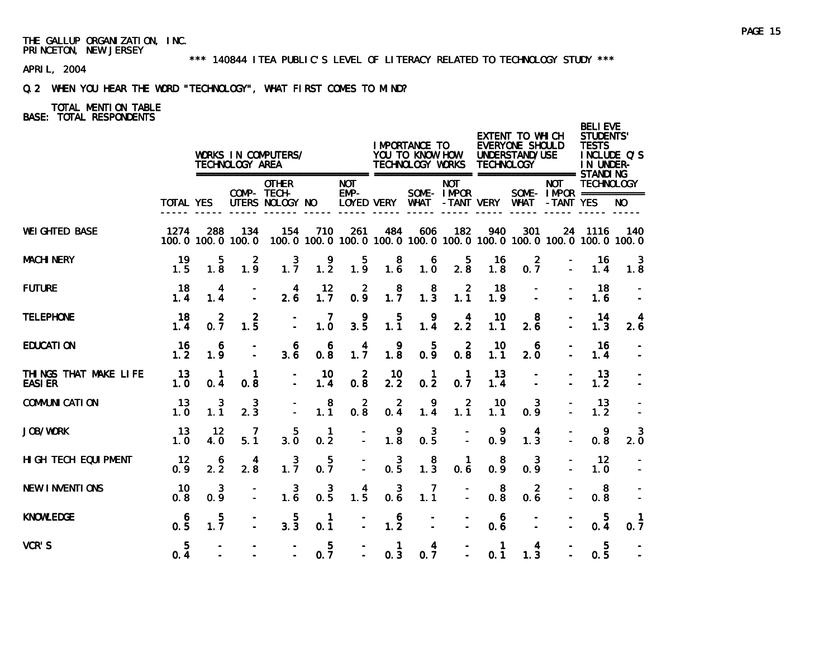\*\*\* 140844 ITEA PUBLIC'S LEVEL OF LITERACY RELATED TO TECHNOLOGY STUDY \*\*\*

APRIL, 2004

# Q.2 WHEN YOU HEAR THE WORD "TECHNOLOGY", WHAT FIRST COMES TO MIND?

|                                        |                       |                                                  | TECHNOLOGY AREA             | WORKS IN COMPUTERS/                                                         |                       |                                 |                                              | I MPORTANCE TO<br>YOU TO KNOW HOW<br>TECHNOLOGY WORKS |                           | <b>TECHNOLOGY</b>       | EXTENT TO WHICH<br>EVERYONE SHOULD<br>UNDERSTAND/USE                     |                                        | <b>BELI EVE</b><br><b>STUDENTS'</b><br><b>TESTS</b><br>IN UNDER- | INCLUDE Q'S         |
|----------------------------------------|-----------------------|--------------------------------------------------|-----------------------------|-----------------------------------------------------------------------------|-----------------------|---------------------------------|----------------------------------------------|-------------------------------------------------------|---------------------------|-------------------------|--------------------------------------------------------------------------|----------------------------------------|------------------------------------------------------------------|---------------------|
|                                        | <b>TOTAL YES</b>      |                                                  |                             | =========================<br><b>OTHER</b><br>COMP- TECH-<br>UTERS NOLOGY NO |                       | <b>NOT</b><br>$EMP-$            |                                              |                                                       | <b>NOT</b><br>SOME- IMPOR |                         | LOYED VERY WHAT - TANT VERY WHAT - TANT YES                              | <b>NOT</b><br>SOME - IMPOR =========== | <b>TECHNOLOGY</b>                                                | NO.                 |
| <b>WEI GHTED BASE</b>                  | 1274                  | 288                                              | 134<br>100.0 100.0 100.0    | 154                                                                         | 710                   | 261                             | 484                                          | 606                                                   | 182                       | 940                     | 301<br>100.0 100.0 100.0 100.0 100.0 100.0 100.0 100.0 100.0 100.0 100.0 |                                        | 24 1116                                                          | 140                 |
| <b>MACHI NERY</b>                      | 19<br>1.5             | 5<br>1.8                                         | 2<br>1.9                    | $1.\overline{7}$                                                            | 1.2                   | 1.9                             | $\begin{smallmatrix}8\\1.6\end{smallmatrix}$ | 6<br>$1.\overline{0}$                                 | $2.\overline{8}$          | 16<br>1.8               | $\overline{2}$<br>0.7                                                    |                                        | 16<br>1.4                                                        | 3<br>1.8            |
| <b>FUTURE</b>                          | 18<br>1.4             | 4<br>1.4                                         |                             | $\overline{4}$<br>2.6                                                       | 12<br>1.7             | $\overline{\phantom{a}}$<br>0.9 | $1.7^{8}$                                    | $\begin{smallmatrix}8\\1.3\end{smallmatrix}$          | $\overline{2}$<br>1.1     | 18<br>1.9               |                                                                          |                                        | 18<br>1.6                                                        |                     |
| <b>TELEPHONE</b>                       | 18<br>1.4             | $0.\overline{7}$                                 | $1.\overline{5}$            |                                                                             | 7<br>1.0              | 9<br>3.5                        | 5<br>$1.\overline{1}$                        | 9<br>1.4                                              | $\overline{4}$<br>2.2     | 10<br>1.1               | 8<br>2.6                                                                 |                                        | 14<br>1.3                                                        | 2.6                 |
| <b>EDUCATION</b>                       | 16<br>1.2             | 6<br>1.9                                         |                             | 6<br>3.6                                                                    | 6<br>0.8              | 4<br>1.7                        | 9<br>1.8                                     | 5<br>0.9                                              | 2<br>0.8                  | 10<br>1.1               | -6<br>2.0                                                                |                                        | -16<br>1.4                                                       |                     |
| THINGS THAT MAKE LIFE<br><b>EASIER</b> | 13<br>1.0             | $\mathbf{1}$<br>0.4                              | -1<br>0.8                   |                                                                             | $\frac{10}{1.4}$      | $0.\overline{8}$                | 10<br>2.2                                    | $\blacksquare$<br>0.2                                 | -1<br>0.7                 | 13<br>1.4               |                                                                          |                                        | 13<br>1.2                                                        |                     |
| <b>COMMUNI CATI ON</b>                 | 13<br>1.0             | $\begin{smallmatrix} 3 \\ 1.1 \end{smallmatrix}$ | $\frac{3}{2.3}$             |                                                                             | 8<br>1.1              | $\overline{2}$<br>0.8           | $\overline{2}$<br>0.4                        | 9<br>1.4                                              | $\overline{2}$<br>1.1     | 10<br>1.1               | 3<br>0.9                                                                 |                                        | -13<br>1.2                                                       |                     |
| <b>JOB/WORK</b>                        | 13<br>1.0             | 12<br>4.0                                        | $\overline{7}$<br>5.1       | 5<br>$3.\overline{0}$                                                       | $\overline{1}$<br>0.2 | $\mathbb{Z}^2$                  | 9<br>$1.\overline{8}$                        | $\mathbf{3}$<br>0.5                                   | $\mathbf{r}$              | 9<br>0.9                | 4<br>1.3                                                                 |                                        | -9<br>0.8                                                        | 3<br>2.0            |
| HIGH TECH EQUIPMENT                    | 12<br>0.9             | 6<br>2.2                                         | 4<br>2.8                    | $1.\overline{7}$                                                            | 5 <sub>5</sub><br>0.7 | $\overline{\mathbb{Z}}$         | $\overline{\mathbf{3}}$<br>0.5               | $\begin{smallmatrix}8\\1.3\end{smallmatrix}$          | $\mathbf{1}$<br>0.6       | 8<br>0.9                | $\mathbf{3}$<br>0.9                                                      |                                        | 12<br>1.0                                                        |                     |
| <b>NEW INVENTIONS</b>                  | 10<br>0.8             | $\mathbf{3}$<br>0.9                              | $\mathcal{L}^{\mathcal{L}}$ | $\mathbf{3}$<br>1.6                                                         | $\mathbf{3}$<br>0.5   | 4<br>$1.\overline{5}$           | $\overline{\mathbf{3}}$<br>$0.\overline{6}$  | 7<br>1.1                                              | $\overline{a}$            | 8<br>$0.\overline{8}$   | $\overline{2}$<br>0.6                                                    |                                        | 8<br>0.8                                                         |                     |
| <b>KNOWLEDGE</b>                       | 6<br>$0.\overline{5}$ | $1.\overline{7}$                                 |                             | $\begin{array}{c} 5 \\ 3.3 \end{array}$                                     | $\overline{1}$<br>0.1 | $\frac{1}{2}$                   | $\begin{array}{c} 6 \\ 1.2 \end{array}$      | $\bar{1}$                                             |                           | - 6<br>$0.\overline{6}$ |                                                                          |                                        | 5<br>$0.\overline{4}$                                            | $\mathbf{1}$<br>0.7 |
| VCR'S                                  | 5 <sub>5</sub><br>0.4 |                                                  |                             |                                                                             | 5<br>0.7              |                                 | $\overline{1}$<br>0, 3                       | $\overline{\mathbf{4}}$<br>0.7                        | $\equiv$                  | $\mathbf{1}$<br>0.1     | $\overline{4}$<br>1.3                                                    |                                        | $\overline{5}$<br>0.5                                            |                     |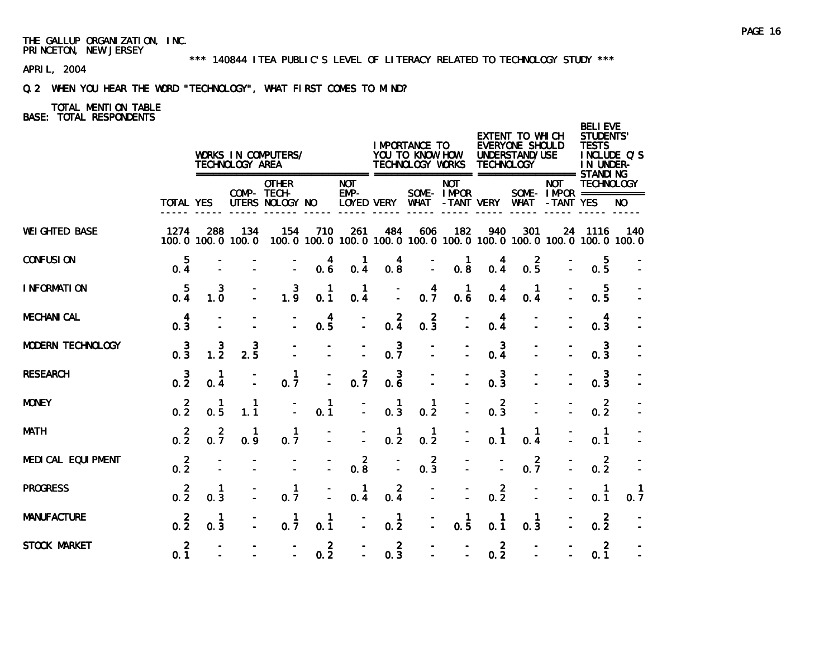\*\*\* 140844 ITEA PUBLIC'S LEVEL OF LITERACY RELATED TO TECHNOLOGY STUDY \*\*\*

APRIL, 2004

# Q.2 WHEN YOU HEAR THE WORD "TECHNOLOGY", WHAT FIRST COMES TO MIND?

|                       |                       |                     | TECHNOLOGY AREA                        | WORKS IN COMPUTERS/<br>========================= |                       |                                                  |                       | I MPORTANCE TO<br>YOU TO KNOW HOW<br>TECHNOLOGY WORKS |                           | <b>TECHNOLOGY</b>     | EXTENT TO WHICH<br>EVERYONE SHOULD<br>UNDERSTAND/USE                     |                                                      | <b>BELIEVE</b><br><b>STUDENTS'</b><br><b>TESTS</b><br>IN UNDER- | INCLUDE Q'S |
|-----------------------|-----------------------|---------------------|----------------------------------------|--------------------------------------------------|-----------------------|--------------------------------------------------|-----------------------|-------------------------------------------------------|---------------------------|-----------------------|--------------------------------------------------------------------------|------------------------------------------------------|-----------------------------------------------------------------|-------------|
|                       | <b>TOTAL YES</b>      |                     |                                        | <b>OTHER</b><br>COMP- TECH-<br>UTERS NOLOGY NO   |                       | <b>NOT</b><br>$EMP-$                             | LOYED VERY            | WHAT                                                  | <b>NOT</b><br>SOME- IMPOR | -TANT VERY WHAT       |                                                                          | <b>NOT</b><br>SOME- $IMFOR$ ===========<br>-TANT YES | <b>TECHNOLOGY</b>                                               | NO.         |
| <b>WEI GHTED BASE</b> | 1274                  | 288                 | 134<br>100.0 100.0 100.0               | 154                                              | 710                   | 261                                              | 484                   | 606                                                   | 182                       | 940                   | 301<br>100.0 100.0 100.0 100.0 100.0 100.0 100.0 100.0 100.0 100.0 100.0 | 24                                                   | 1116                                                            | 140         |
| <b>CONFUSION</b>      | 5<br>0.4              |                     |                                        |                                                  | $0.\overline{6}$      | 0.4                                              | $0.\frac{4}{8}$       | Ξ                                                     | 0.8                       | 0.4                   | $0.\frac{2}{5}$                                                          |                                                      | 5<br>0.5                                                        |             |
| I NFORMATION          | $\overline{5}$<br>0.4 | 3<br>1.0            |                                        | $1.\overline{9}$                                 | 1<br>0.1              | $\mathbf 1$<br>0.4                               | ă.                    | 4<br>$0.\overline{7}$                                 | $\mathbf 1$<br>0.6        | 0.4                   | 0.4                                                                      |                                                      | 5<br>0.5                                                        |             |
| <b>MECHANI CAL</b>    | 4<br>0.3              |                     |                                        |                                                  | $0.\frac{4}{5}$       |                                                  | $0.\frac{2}{4}$       | $\overline{2}$<br>0.3                                 |                           | 4<br>0.4              |                                                                          |                                                      | 4<br>0.3                                                        |             |
| MODERN TECHNOLOGY     | $0.\frac{3}{3}$       | $\frac{3}{1.2}$     | $2.\overline{5}$                       |                                                  |                       |                                                  | $0.\overline{7}$      |                                                       |                           | $\mathbf{3}$<br>0.4   |                                                                          |                                                      | 3<br>0.3                                                        |             |
| <b>RESEARCH</b>       | $0.\,\frac{3}{2}$     | -1<br>0.4           |                                        | $\mathbf 1$<br>0.7                               |                       | $0.\overline{7}$                                 | 3<br>0.6              | ÷.                                                    |                           | $\overline{3}$<br>0.3 |                                                                          |                                                      | $\mathbf{3}$<br>0.3                                             |             |
| <b>MONEY</b>          | $0.\overline{2}$      | $\mathbf{1}$<br>0.5 | $\mathbf{1}$<br>1.1                    |                                                  | $\mathbf{1}$<br>0.1   |                                                  | $\mathbf{1}$<br>0.3   | 1<br>0.2                                              |                           | $0.\overline{3}$      |                                                                          |                                                      | $0.\overline{2}$                                                |             |
| <b>MATH</b>           | $0.\overline{2}$      | $0.\overline{7}$    | $\begin{matrix} 1 \\ 0.9 \end{matrix}$ | $\mathbf{1}$<br>0.7                              |                       | $\overline{\phantom{a}}$                         | $\frac{1}{0.2}$       | $\mathbf{1}$<br>0.2                                   |                           | $\mathbf{1}$<br>0.1   | $\mathbf 1$<br>0.4                                                       |                                                      | $\overline{1}$<br>0.1                                           |             |
| MEDI CAL EQUI PMENT   | $0.\overline{2}$      |                     |                                        |                                                  |                       | $\begin{smallmatrix} 2 \\ 0.8 \end{smallmatrix}$ |                       | $0.\overline{3}$                                      |                           |                       | $0.\overline{7}$                                                         |                                                      | $\overline{2}$<br>0.2                                           |             |
| <b>PROGRESS</b>       | $0.\overline{2}$      | 0.3                 |                                        | $\mathbf{1}$<br>0.7                              |                       | -1<br>0.4                                        | 2<br>0.4              | ÷.                                                    |                           | $\overline{2}$<br>0.2 |                                                                          |                                                      | $\mathbf{1}$<br>0.1                                             | 0.7         |
| <b>MANUFACTURE</b>    | $0.\overline{2}$      | $\mathbf{1}$<br>0.3 |                                        | $\mathbf{1}$<br>0.7                              | 1<br>0.1              |                                                  | $\mathbf{1}$<br>0.2   |                                                       | 1<br>$0.\overline{5}$     | 0.1                   | $\mathbf 1$<br>0.3                                                       |                                                      | $\overline{2}$<br>0.2                                           |             |
| STOCK MARKET          | $\overline{2}$<br>0.1 |                     |                                        | $\overline{a}$                                   | $\overline{2}$<br>0.2 | $\overline{a}$                                   | $\overline{2}$<br>0.3 |                                                       |                           | $\overline{2}$<br>0.2 |                                                                          |                                                      | 2<br>0.1                                                        |             |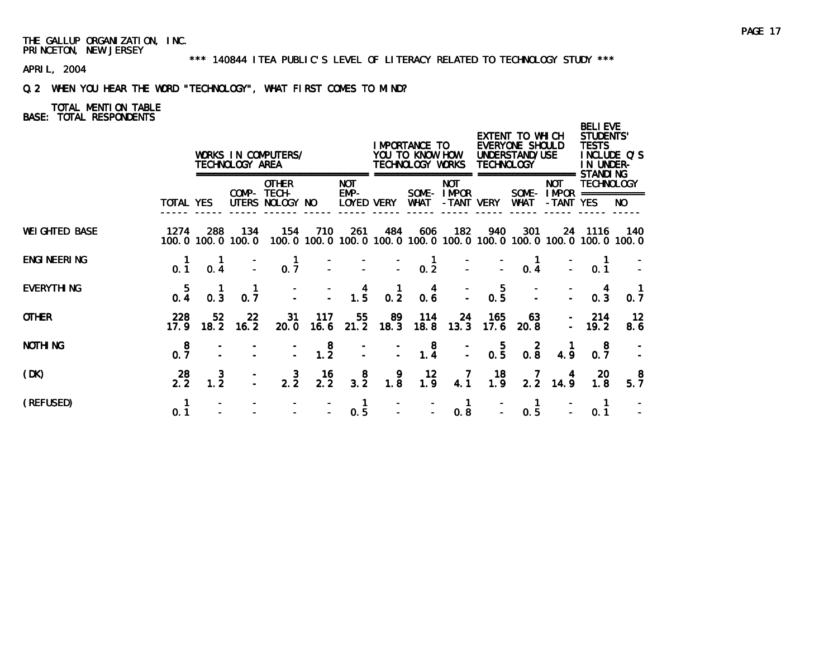\*\*\* 140844 ITEA PUBLIC'S LEVEL OF LITERACY RELATED TO TECHNOLOGY STUDY \*\*\*

APRIL, 2004

# Q.2 WHEN YOU HEAR THE WORD "TECHNOLOGY", WHAT FIRST COMES TO MIND?

|                       |                                                 |                         | TECHNOLOGY AREA          | WORKS IN COMPUTERS/                                         |                                              |                                                   |                                                                                 | IMPORTANCE TO<br>YOU TO KNOW HOW<br>TECHNOLOGY WORKS |                                        | <b>TECHNOLOGY</b>                              | EXTENT TO WHICH<br>EVERYONE SHOULD<br>UNDERSTAND/USE |                         | <b>BELIEVE</b><br>STUDENTS'<br><b>TESTS</b><br>IN UNDER-                     | INCLUDE Q'S     |
|-----------------------|-------------------------------------------------|-------------------------|--------------------------|-------------------------------------------------------------|----------------------------------------------|---------------------------------------------------|---------------------------------------------------------------------------------|------------------------------------------------------|----------------------------------------|------------------------------------------------|------------------------------------------------------|-------------------------|------------------------------------------------------------------------------|-----------------|
|                       | TOTAL YES                                       |                         |                          | <b>OTHER</b><br>COMP- TECH-<br>UTERS NOLOGY NO              |                                              | <b>NOT</b><br>EMP-<br>LOYED VERY                  |                                                                                 | WHAT                                                 | <b>NOT</b><br>SOME-IMPOR<br>-TANT VERY |                                                | WHAT                                                 | <b>NOT</b><br>-TANT YES | <b>STANDING</b><br><b>TECHNOLOGY</b><br>SOME - $IMPOR$ ===========           | NO.             |
| <b>WEI GHTED BASE</b> | 1274                                            | 288                     | 134<br>100.0 100.0 100.0 | 154                                                         | 710                                          | 261                                               | 484                                                                             | 606                                                  | 182                                    | 940                                            | 301                                                  |                         | 24 1116<br>100.0 100.0 100.0 100.0 100.0 100.0 100.0 100.0 100.0 100.0 100.0 | - 140           |
| <b>ENGI NEERI NG</b>  | $\begin{smallmatrix} 1 \ 0.1 \end{smallmatrix}$ | 0.4                     |                          | $0.\overline{7}$                                            |                                              |                                                   | $\begin{array}{ccccccc} - & & - & & - & & 1 \\ - & & - & & - & 0.2 \end{array}$ |                                                      |                                        |                                                | $\begin{matrix} 1 \\ 0.4 \end{matrix}$               |                         | 0.1                                                                          |                 |
| <b>EVERYTHING</b>     | 0.4                                             | $0.\overline{3}$        | $\frac{1}{0.7}$          |                                                             |                                              | $\begin{array}{ccc} - & 4 \\ - & 1.5 \end{array}$ | 0.2                                                                             | $0.\overline{6}$                                     |                                        | $\frac{1}{2}$ 0.5                              |                                                      |                         | 0.3                                                                          | 0.7             |
| <b>OTHER</b>          | 228<br>17.9                                     | 52 <sub>2</sub><br>18.2 | -22<br>16.2              | 31<br>20.0                                                  | 117                                          | 55                                                | 89<br>$16.6$ 21.2 18.3                                                          | 114<br>18.8                                          | -24<br>13.3                            | 165<br>17.6                                    | 63.<br>20.8                                          |                         | 214<br>$-19.2$                                                               | 12<br>8.6       |
| <b>NOTHING</b>        | $0.\frac{8}{7}$                                 |                         |                          |                                                             | $\begin{smallmatrix}8\\1.2\end{smallmatrix}$ |                                                   |                                                                                 | $\begin{array}{c} 8 \\ 1.4 \end{array}$              |                                        | $\begin{smallmatrix}&&5\\0.5\end{smallmatrix}$ | $0.\overline{8}$                                     | 4.9                     | -8<br>0.7                                                                    |                 |
| (DK)                  | 28<br>2.2                                       | $\frac{3}{1.2}$         |                          | $2.\overline{2}$                                            | $\frac{16}{2.2}$                             | $\begin{array}{c} 8 \\ 3.2 \end{array}$           | $\begin{smallmatrix} 9 \\ 1.8 \end{smallmatrix}$                                | $\frac{12}{1.9}$                                     | $\frac{7}{4.1}$                        | $\frac{18}{1.9}$                               | $\frac{7}{2.2}$                                      | $\frac{4}{14.9}$        | 20<br>1.8                                                                    | $\frac{8}{5.7}$ |
| (REFUSED)             | 0.1                                             |                         |                          | $\frac{1}{2}$ $\frac{1}{2}$ $\frac{1}{2}$ $\frac{1}{2}$ 0.5 |                                              |                                                   |                                                                                 | $\begin{bmatrix} 1 & 1 \\ -1 & -1 \end{bmatrix}$ 0.8 | $\blacksquare$                         |                                                | $\blacksquare$<br>0.5                                |                         | 0.1                                                                          |                 |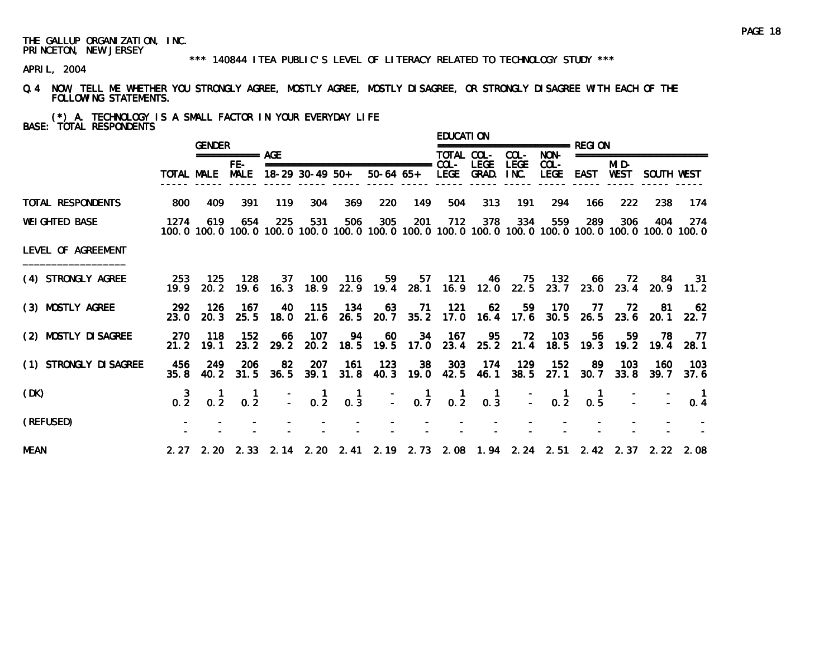#### \*\*\* 140844 ITEA PUBLIC'S LEVEL OF LITERACY RELATED TO TECHNOLOGY STUDY \*\*\*

APRIL, 2004

Q.4 NOW, TELL ME WHETHER YOU STRONGLY AGREE, MOSTLY AGREE, MOSTLY DISAGREE, OR STRONGLY DISAGREE WITH EACH OF THE FOLLOWING STATEMENTS.

(\*) A. TECHNOLOGY IS A SMALL FACTOR IN YOUR EVERYDAY LIFE BASE: TOTAL RESPONDENTS

|                        |              | <b>GENDER</b> |                      |                 |                                                              |                 |                           |                                               | <b>EDUCATION</b> |                                   |             |                                         |                                                 |               |                          |                                                                                                                |
|------------------------|--------------|---------------|----------------------|-----------------|--------------------------------------------------------------|-----------------|---------------------------|-----------------------------------------------|------------------|-----------------------------------|-------------|-----------------------------------------|-------------------------------------------------|---------------|--------------------------|----------------------------------------------------------------------------------------------------------------|
|                        |              |               | $== == == == ==$ AGE |                 |                                                              |                 |                           |                                               | TOTAL COL-       |                                   | COL-        | NON-                                    |                                                 |               | ======================== |                                                                                                                |
|                        |              |               | $FE-$                |                 | TOTAL MALE MALE 18-29 30-49 50+                              |                 | 50-64 65+ LEGE GRAD. INC. |                                               |                  | <b>LEGE</b>                       | <b>LEGE</b> | $COL -$<br>LEGE                         | EAST                                            | MI D-<br>WEST | SOUTH WEST               |                                                                                                                |
| TOTAL RESPONDENTS      | 800          | 409           | 391                  | 119             | 304                                                          | 369             | 220                       | 149                                           | 504              | 313                               | 191         | 294                                     | 166.                                            | 222           | -238                     | -174                                                                                                           |
| <b>WEIGHTED BASE</b>   | 1274         | 619           | 654                  | 225             | 531                                                          | 506             | 305                       | -201                                          | 712              | 378                               | 334         | 559                                     | 289                                             | 306           | 404                      | - 274<br>100.0 100.0 100.0 100.0 100.0 100.0 100.0 100.0 100.0 100.0 100.0 100.0 100.0 100.0 100.0 100.0 100.0 |
| LEVEL OF AGREEMENT     |              |               |                      |                 |                                                              |                 |                           |                                               |                  |                                   |             |                                         |                                                 |               |                          |                                                                                                                |
| (4) STRONGLY AGREE     | 253<br>19.9  |               | 125 128              | 37              | 20.2 19.6 16.3 18.9                                          | 100 116         |                           |                                               |                  |                                   |             | 59 57 121 46 75 132                     |                                                 |               | 66 72 84 31              | 22.9 19.4 28.1 16.9 12.0 22.5 23.7 23.0 23.4 20.9 11.2                                                         |
| (3) MOSTLY AGREE       | -292<br>23.0 | - 126         | - 167                | 40              | 20.3 25.5 18.0 21.6                                          | 115 134<br>26.5 | 63                        | 71                                            | - 121            | - 62                              | 59          | 170                                     | - 77<br>20.7 35.2 17.0 16.4 17.6 30.5 26.5 23.6 | 72            | -81<br>20.1              | 62<br>22.7                                                                                                     |
| (2) MOSTLY DI SAGREE   | -270<br>21.2 | 118<br>19.1   | 152                  | 66<br>23.2 29.2 | - 107                                                        |                 | 94 60                     |                                               |                  | 34 167 95                         |             | 72 103                                  | 56                                              | -59           |                          | 78 77<br>20.2 18.5 19.5 17.0 23.4 25.2 21.4 18.5 19.3 19.2 19.4 28.1                                           |
| (1) STRONGLY DI SAGREE | 456<br>35.8  | 249           | 206<br>40.2 31.5     | 82              | 207<br>$36.5$ $39.1$                                         | - 161<br>31.8   | 123                       |                                               |                  | 38 303 174<br>40.3 19.0 42.5 46.1 | 129         | 152                                     | - 89<br>38.5 27.1 30.7 33.8                     | 103           |                          | 160 103<br>39.7 37.6                                                                                           |
| (DK)                   | $0.\, 2^{3}$ | 0.2           | $0.\overline{2}$     |                 | $\begin{array}{cccc} - & 1 & 1 \\ - & 0.2 & 0.3 \end{array}$ |                 |                           | $\begin{bmatrix} 1 \\ - \\ 0.7 \end{bmatrix}$ | $0.\overline{2}$ | $\blacksquare$<br>0.3             |             | $\begin{bmatrix} 1 \\ -2 \end{bmatrix}$ | $\blacksquare$<br>0.5                           |               |                          | $\blacksquare$<br>0.4                                                                                          |
| (REFUSED)              |              |               |                      |                 |                                                              |                 |                           |                                               |                  |                                   |             |                                         |                                                 |               |                          |                                                                                                                |
| <b>MEAN</b>            |              |               |                      |                 |                                                              |                 |                           |                                               |                  |                                   |             |                                         |                                                 |               |                          | 2.27 2.20 2.33 2.14 2.20 2.41 2.19 2.73 2.08 1.94 2.24 2.51 2.42 2.37 2.22 2.08                                |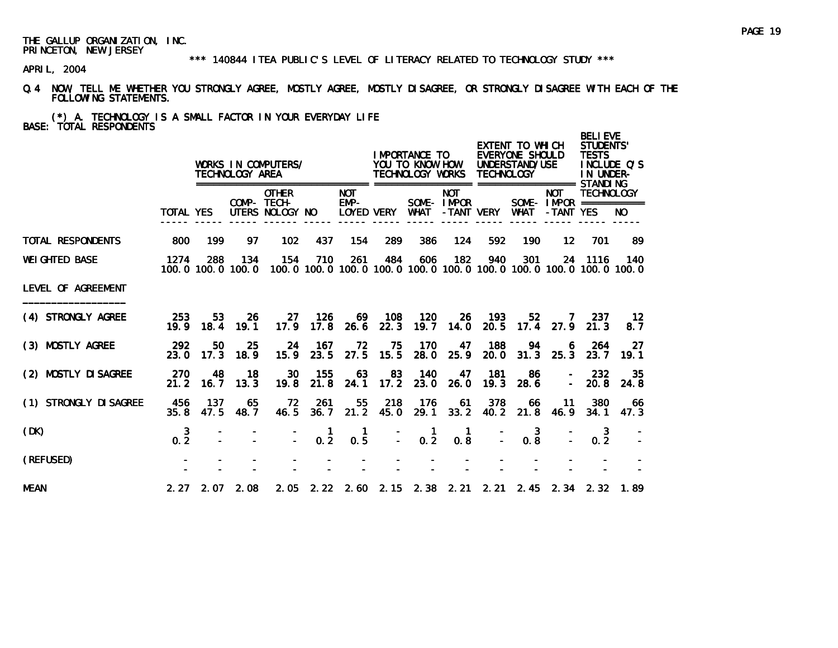\*\*\* 140844 ITEA PUBLIC'S LEVEL OF LITERACY RELATED TO TECHNOLOGY STUDY \*\*\*

APRIL, 2004

Q.4 NOW, TELL ME WHETHER YOU STRONGLY AGREE, MOSTLY AGREE, MOSTLY DISAGREE, OR STRONGLY DISAGREE WITH EACH OF THE FOLLOWING STATEMENTS.

(\*) A. TECHNOLOGY IS A SMALL FACTOR IN YOUR EVERYDAY LIFE BASE: TOTAL RESPONDENTS

|                        |                     |               | TECHNOLOGY AREA          | WORKS IN COMPUTERS/                            |                 | =====                            |                    | I MPORTANCE TO<br>YOU TO KNOW HOW<br>TECHNOLOGY WORKS<br>================= ================== STANDI NG |                          | <b>TECHNOLOGY</b> | EXTENT TO WHICH<br>EVERYONE SHOULD<br>UNDERSTAND/USE |                                                       | <b>BELI EVE</b><br><b>STUDENTS'</b><br><b>TESTS</b><br>IN UNDER- | INCLUDE O'S                                                                         |
|------------------------|---------------------|---------------|--------------------------|------------------------------------------------|-----------------|----------------------------------|--------------------|---------------------------------------------------------------------------------------------------------|--------------------------|-------------------|------------------------------------------------------|-------------------------------------------------------|------------------------------------------------------------------|-------------------------------------------------------------------------------------|
|                        | <b>TOTAL YES</b>    |               |                          | <b>OTHER</b><br>COMP- TECH-<br>UTERS NOLOGY NO |                 | <b>NOT</b><br>EMP-<br>LOYED VERY |                    | WHAT                                                                                                    | <b>NOT</b><br>SOME-IMPOR | -TANT VERY        | WHAT                                                 | <b>NOT</b><br>SOME - $IMPOR$ ===========<br>-TANT YES | <b>TECHNOLOGY</b>                                                | NO.                                                                                 |
| TOTAL RESPONDENTS      | 800                 | 199           | 97                       | 102                                            | 437             | 154                              | 289                | 386                                                                                                     | 124                      | 592               | 190                                                  | $12 \overline{ }$                                     | 701                                                              | -89                                                                                 |
| <b>WEI GHTED BASE</b>  | 1274                | 288           | 134<br>100.0 100.0 100.0 | 154                                            | 710             | 261                              | 484                | 606                                                                                                     | 182                      | 940               | 301                                                  |                                                       | 24 1116                                                          | 140<br>100, 0 100, 0 100, 0 100, 0 100, 0 100, 0 100, 0 100, 0 100, 0 100, 0 100, 0 |
| LEVEL OF AGREEMENT     |                     |               |                          |                                                |                 |                                  |                    |                                                                                                         |                          |                   |                                                      |                                                       |                                                                  |                                                                                     |
| (4) STRONGLY AGREE     | 253                 | 53            | -26<br>19.9 18.4 19.1    | -27<br>17.9                                    | 126             | 17.8 26.6                        | 69 108<br>22.3     | 120<br>19.7                                                                                             | -26<br>14.0              | - 193<br>20.5     | 52 <sub>1</sub><br>17.4                              | <b>7</b>                                              | 237<br>$27.9$ $21.3$                                             | 12<br>8.7                                                                           |
| (3) MOSTLY AGREE       | 292<br>23.0         | 50<br>17.3    | 25<br>18.9               | 24<br>15.9                                     | -167<br>23.5    | 72<br>27.5                       | 75<br>15.5         | 170<br>28.0                                                                                             | 47<br>25.9               | 188<br>20.0       | 94<br>31.3                                           | 6<br>25.3                                             | 264<br>23.7                                                      | 27<br>$-19.1$                                                                       |
| (2) MOSTLY DI SAGREE   | 270<br>21.2         | 48<br>16.7    | 18<br>13.3               | <b>30</b><br>19.8                              | 155<br>21.8     | 63<br>24.1                       | 83<br>17.2         | 140<br>23.0                                                                                             | 47<br>26.0               | 181<br>19.3       | -86<br>28.6                                          | $\sim$                                                | 232<br>20.8                                                      | -35<br>24.8                                                                         |
| (1) STRONGLY DI SAGREE | 456<br>35.8         | - 137<br>47.5 | 65<br>48. 7              | - 72<br>46.5                                   | 261<br>36.7     | 55                               | 218<br>$21.2$ 45.0 | -176<br>29.1                                                                                            | 61                       | 378<br>33.2 40.2  | 66<br>21.8                                           | - 11<br>46.9                                          | 380<br>34.1                                                      | -66<br>47.3                                                                         |
| (DK)                   | $\mathbf{3}$<br>0.2 |               |                          |                                                | $\frac{1}{0.2}$ | 0.5                              |                    | $\mathbf{1}$<br>$\mathbb{Z}^{\times}$<br>$0.\overline{2}$                                               | $\mathbf{1}$<br>0.8      |                   | 3<br>0.8                                             |                                                       | 0.2                                                              |                                                                                     |
| (REFUSED)              |                     |               |                          |                                                |                 |                                  |                    |                                                                                                         |                          |                   |                                                      |                                                       |                                                                  |                                                                                     |
| <b>MEAN</b>            |                     |               | $2.27$ $2.07$ $2.08$     |                                                |                 |                                  |                    | 2.05 2.22 2.60 2.15 2.38 2.21 2.21 2.45 2.34 2.32 1.89                                                  |                          |                   |                                                      |                                                       |                                                                  |                                                                                     |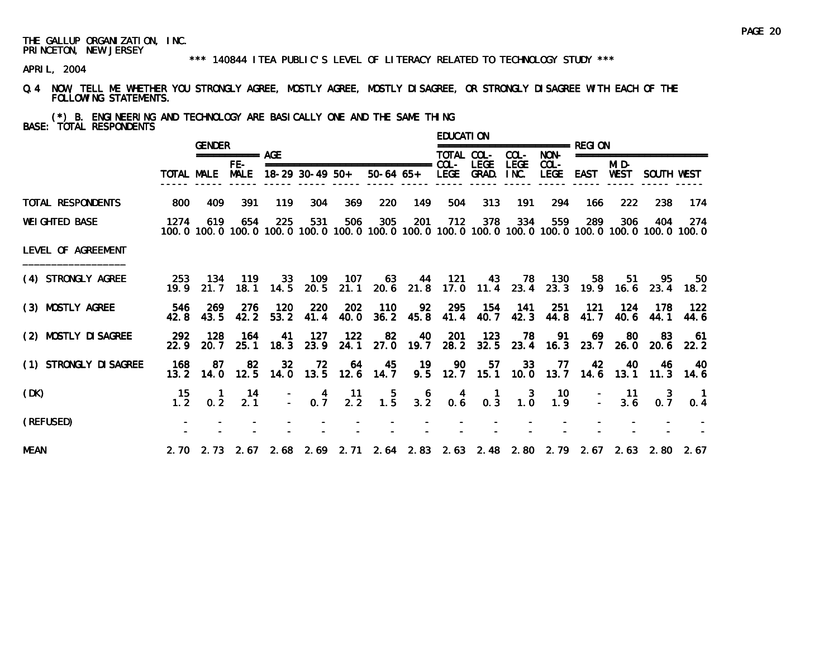#### \*\*\* 140844 ITEA PUBLIC'S LEVEL OF LITERACY RELATED TO TECHNOLOGY STUDY \*\*\*

APRIL, 2004

Q.4 NOW, TELL ME WHETHER YOU STRONGLY AGREE, MOSTLY AGREE, MOSTLY DISAGREE, OR STRONGLY DISAGREE WITH EACH OF THE FOLLOWING STATEMENTS.

(\*) B. ENGINEERING AND TECHNOLOGY ARE BASICALLY ONE AND THE SAME THING BASE: TOTAL RESPONDENTS

|                        |              | <b>GENDER</b>   |                    |                 |                 |                                                               |                                                                                                                        |                  | <b>EDUCATION</b>                       |                                        |                                                  |                                           |              |               |                                                 |                  |
|------------------------|--------------|-----------------|--------------------|-----------------|-----------------|---------------------------------------------------------------|------------------------------------------------------------------------------------------------------------------------|------------------|----------------------------------------|----------------------------------------|--------------------------------------------------|-------------------------------------------|--------------|---------------|-------------------------------------------------|------------------|
|                        |              |                 | ============ AGF   |                 |                 |                                                               |                                                                                                                        |                  | TOTAL COL-                             |                                        | COL-                                             | NON-                                      |              |               | ====================                            |                  |
|                        | TOTAL MALE   |                 | FE-<br><b>MALE</b> |                 | 18-29 30-49 50+ |                                                               | 50-64 65+ LEGE GRAD.                                                                                                   |                  |                                        | <b>LEGE</b>                            | <b>LEGE</b><br>INC.                              | $COL -$<br>LEGE                           | EAST         | MI D-<br>WEST | SOUTH WEST                                      |                  |
| TOTAL RESPONDENTS      | 800          | 409             | 391                | 119             | 304             | 369                                                           | 220                                                                                                                    | 149              | 504                                    | 313                                    | 191                                              | 294                                       | 166          | 222           | 238                                             | -174             |
| <b>WEI GHTED BASE</b>  | 1274         | 619             | 654                | 225             | 531             | 506                                                           | 305<br>100, 0 100, 0 100, 0 100, 0 100, 0 100, 0 100, 0 100, 0 100, 0 100, 0 100, 0 100, 0 100, 0 100, 0 100, 0 100, 0 | 201              | 712                                    | 378                                    | 334                                              | 559                                       | 289          | 306           | 404                                             | -274             |
| LEVEL OF AGREEMENT     |              |                 |                    |                 |                 |                                                               |                                                                                                                        |                  |                                        |                                        |                                                  |                                           |              |               |                                                 |                  |
| (4) STRONGLY AGREE     | 253<br>19.9  | 134<br>21.7     | 119                |                 | 33 109          | - 107                                                         | 63<br>18.1 14.5 20.5 21.1 20.6 21.8 17.0 11.4 23.4 23.3 19.9 16.6 23.4 18.2                                            |                  |                                        |                                        |                                                  | 44 121 43 78 130                          |              | 58<br>-51     | - 95                                            | 50               |
| (3) MOSTLY AGREE       | 42.8         | 546 269<br>43.5 | 276<br>42.2        | 120<br>53.2     | 220<br>41.4     | 202<br>40.0                                                   | 110                                                                                                                    | $36.2$ 45.8      |                                        | 92 295 154<br>41.4 40.7                | - 141                                            | 251<br>42.3 44.8                          | -121<br>41.7 | 124<br>40.6   | 178<br>44.1                                     | - 122<br>44.6    |
| (2) MOSTLY DI SAGREE   | -292<br>22.9 | - 128<br>20.7   | 164                | 41<br>25.1 18.3 | - 127<br>23.9   | 122                                                           | 82<br>24.1 27.0 19.7                                                                                                   | 40               |                                        | 201 123                                | 78                                               | 91                                        | 69           | -80           | 83<br>28. 2 32. 5 23. 4 16. 3 23. 7 26. 0 20. 6 | 61<br>22.2       |
| (1) STRONGLY DI SAGREE | 168<br>13.2  | -87<br>14.0     | -82                | 32 <sub>2</sub> |                 | 72 64                                                         | 45<br>12.5 14.0 13.5 12.6 14.7                                                                                         | 19               | - 90                                   | 57                                     | 33                                               | - 77<br>9.5 12.7 15.1 10.0 13.7 14.6 13.1 | -42          | -40           | -46                                             | -40<br>11.3 14.6 |
| (DK)                   | 15<br>1.2    | 0.2             | 14<br>2.1          |                 |                 | $\begin{array}{cccc} - & 4 & 11 \\ - & 0.7 & 2.2 \end{array}$ | $\frac{5}{1.5}$                                                                                                        | $3.\overline{2}$ | $\begin{matrix} 4 \\ 0.6 \end{matrix}$ | $\begin{matrix} 1 \\ 0.3 \end{matrix}$ | $\begin{smallmatrix} 3 \\ 1.0 \end{smallmatrix}$ | - 10<br>1.9                               |              | $-11$<br>3.6  | -3<br>0.7                                       | 0.4              |
| (REFUSED)              |              |                 |                    |                 |                 |                                                               |                                                                                                                        |                  |                                        |                                        |                                                  |                                           |              |               |                                                 |                  |
| <b>MEAN</b>            |              |                 |                    |                 |                 |                                                               | 2.70 2.73 2.67 2.68 2.69 2.71 2.64 2.83 2.63 2.48 2.80 2.79 2.67 2.63 2.80 2.67                                        |                  |                                        |                                        |                                                  |                                           |              |               |                                                 |                  |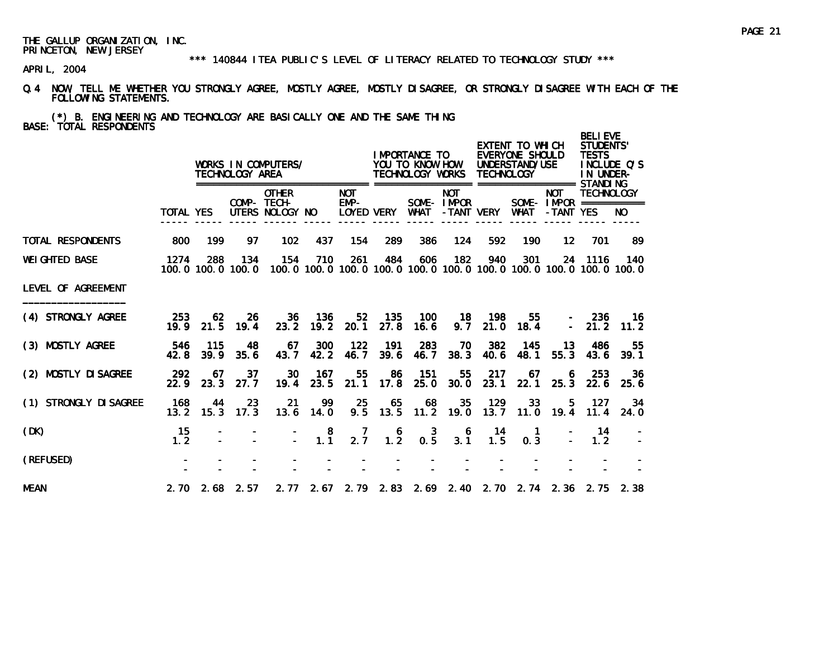\*\*\* 140844 ITEA PUBLIC'S LEVEL OF LITERACY RELATED TO TECHNOLOGY STUDY \*\*\*

- Q.4 NOW, TELL ME WHETHER YOU STRONGLY AGREE, MOSTLY AGREE, MOSTLY DISAGREE, OR STRONGLY DISAGREE WITH EACH OF THE FOLLOWING STATEMENTS.
- (\*) B. ENGINEERING AND TECHNOLOGY ARE BASICALLY ONE AND THE SAME THING BASE: TOTAL RESPONDENTS

|                        |             |             | TECHNOLOGY AREA          | WORKS IN COMPUTERS/                            |                                              |                      |                                         | I MPORTANCE TO<br>YOU TO KNOW HOW<br>TECHNOLOGY WORKS             |                          | <b>TECHNOLOGY</b> | EXTENT TO WHICH<br>EVERYONE SHOULD<br>UNDERSTAND/USE |                         | <b>BELIEVE</b><br><b>STUDENTS'</b><br><b>TESTS</b><br>IN UNDER- | INCLUDE O'S                                                                         |
|------------------------|-------------|-------------|--------------------------|------------------------------------------------|----------------------------------------------|----------------------|-----------------------------------------|-------------------------------------------------------------------|--------------------------|-------------------|------------------------------------------------------|-------------------------|-----------------------------------------------------------------|-------------------------------------------------------------------------------------|
|                        | TOTAL YES   |             |                          | <b>OTHER</b><br>COMP- TECH-<br>UTERS NOLOGY NO |                                              | <b>NOT</b><br>$EMP-$ | LOYED VERY                              | WHAT                                                              | <b>NOT</b><br>SOME-IMPOR | -TANT VERY        | <b>WHAT</b>                                          | <b>NOT</b><br>-TANT YES | <b>TECHNOLOGY</b><br>SOME - IMPOR ===========                   | NO.                                                                                 |
| TOTAL RESPONDENTS      | 800         | 199         | 97                       | 102                                            | 437                                          | 154                  | 289                                     | 386                                                               | 124                      | 592               | 190                                                  | $12 \,$                 | 701                                                             | 89                                                                                  |
| <b>WEI GHTED BASE</b>  | 1274        | 288         | 134<br>100.0 100.0 100.0 | 154                                            | 710                                          | 261                  | 484                                     | 606                                                               | 182                      | 940               | 301                                                  |                         | 24 1116                                                         | 140<br>100, 0 100, 0 100, 0 100, 0 100, 0 100, 0 100, 0 100, 0 100, 0 100, 0 100, 0 |
| LEVEL OF AGREEMENT     |             |             |                          |                                                |                                              |                      |                                         |                                                                   |                          |                   |                                                      |                         |                                                                 |                                                                                     |
| (4) STRONGLY AGREE     | 253<br>19.9 | 62<br>21.5  | -26<br>19.4              | 23.2                                           | 36 136<br>19.2                               | 20.1                 | 52 135<br>27.8                          | - 100<br>16.6                                                     | 9.7                      | 18 198            | 55<br>$21.0$ 18.4                                    | $\sim$ $-$              | $-236$                                                          | - 16<br>$21.2$ 11.2                                                                 |
| (3) MOSTLY AGREE       | 546<br>42.8 | 115<br>39.9 | 48<br>35.6               | 67<br>43.7                                     | 300<br>42.2                                  | 122<br>46.7          | - 191<br>39.6                           | 283<br>46.7                                                       | 70<br>38.3               | 382<br>40.6       | 145<br>48.1                                          | 13 <sup>°</sup><br>55.3 | 486<br>43.6                                                     | 55<br>39.1                                                                          |
| (2) MOSTLY DI SAGREE   | 292<br>22.9 | 67<br>23.3  | 37<br>27.7               | 30<br>19.4                                     | 167<br>23.5                                  | 55<br>21.1           | 86<br>17.8                              | - 151<br>25.0                                                     | 55<br>30.0               | 217<br>23.1       | 67<br>22.1                                           | 6<br>25.3               | 253<br>22.6                                                     | 36<br>25.6                                                                          |
| (1) STRONGLY DI SAGREE | 168<br>13.2 | 44<br>15.3  | 23<br>17.3               | 21                                             | 99<br>$13.6$ 14.0                            | 25<br>9.5            | 65                                      | 68<br>13.5 11.2 19.0                                              | 35                       | 129               | 33<br>13.7 11.0 19.4                                 | 5                       | 127<br>11.4                                                     | -34<br>24.0                                                                         |
| (DK)                   | 15<br>1.2   |             |                          |                                                | $\begin{smallmatrix}8\\1.1\end{smallmatrix}$ | $\frac{7}{2.7}$      | $\begin{array}{c} 6 \\ 1.2 \end{array}$ | $0.\overline{5}$                                                  | 6<br>3.1                 | -14<br>1.5        | $\mathbf{1}$<br>0.3                                  |                         | 14<br>1.2                                                       |                                                                                     |
| (REFUSED)              |             |             |                          |                                                |                                              |                      |                                         |                                                                   |                          |                   |                                                      |                         |                                                                 |                                                                                     |
| <b>MEAN</b>            |             |             | $2.70$ $2.68$ $2.57$     |                                                |                                              |                      |                                         | 2. 77 2. 67 2. 79 2. 83 2. 69 2. 40 2. 70 2. 74 2. 36 2. 75 2. 38 |                          |                   |                                                      |                         |                                                                 |                                                                                     |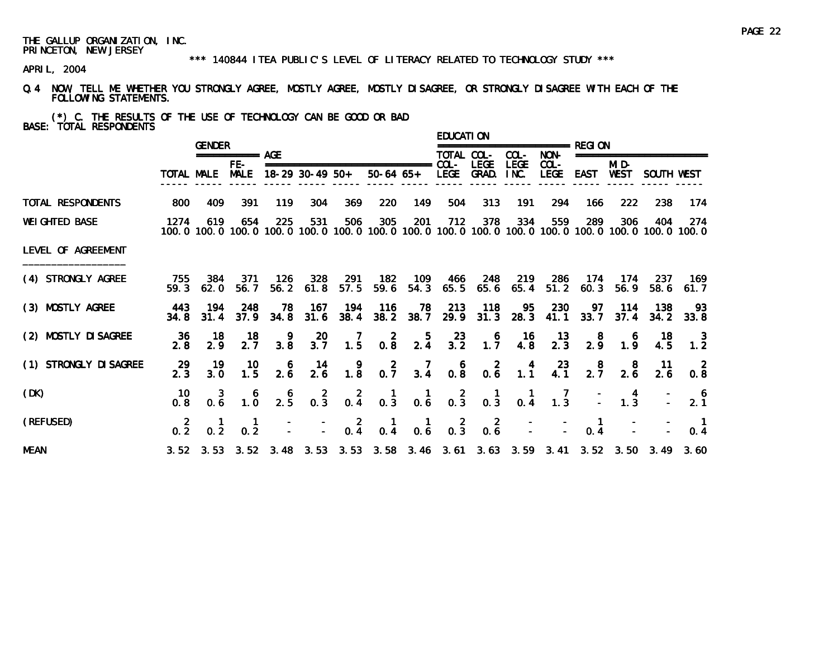#### \*\*\* 140844 ITEA PUBLIC'S LEVEL OF LITERACY RELATED TO TECHNOLOGY STUDY \*\*\*

APRIL, 2004

Q.4 NOW, TELL ME WHETHER YOU STRONGLY AGREE, MOSTLY AGREE, MOSTLY DISAGREE, OR STRONGLY DISAGREE WITH EACH OF THE FOLLOWING STATEMENTS.

(\*) C. THE RESULTS OF THE USE OF TECHNOLOGY CAN BE GOOD OR BAD BASE: TOTAL RESPONDENTS

|                        |                  | <b>GENDER</b>                                    |                                              |                                                 |                   |                                         |                                                                                 |                                        | <b>EDUCATION</b>                         |                      |                                                                  | =============== RFGI ON                  |                                              |                                              |                      |                                                                                                               |
|------------------------|------------------|--------------------------------------------------|----------------------------------------------|-------------------------------------------------|-------------------|-----------------------------------------|---------------------------------------------------------------------------------|----------------------------------------|------------------------------------------|----------------------|------------------------------------------------------------------|------------------------------------------|----------------------------------------------|----------------------------------------------|----------------------|---------------------------------------------------------------------------------------------------------------|
|                        |                  |                                                  | =========== AGE                              |                                                 |                   |                                         |                                                                                 |                                        | TOTAL COL-                               |                      | COL-                                                             | NON-                                     |                                              |                                              | ==================== |                                                                                                               |
|                        |                  | TOTAL MALE                                       | FE-<br><b>MALE</b>                           |                                                 | $18-29$ 30-49 50+ |                                         | ===============================                                                 | 50-64 65+ LEGE                         | $COL -$                                  | <b>LEGE</b><br>GRAD. | <b>LEGE</b><br>INC.                                              | $COL -$<br><b>LEGE</b>                   | EAST                                         | MI D-<br>WEST                                | SOUTH WEST           |                                                                                                               |
| TOTAL RESPONDENTS      | 800              | 409                                              | 391                                          | 119                                             | 304               | 369                                     | 220                                                                             | 149                                    | 504                                      | 313                  | 191                                                              | 294                                      | 166                                          | 222                                          | 238                  | 174                                                                                                           |
| <b>WEIGHTED BASE</b>   | 1274             | 619                                              | 654                                          | 225                                             | 531               | 506                                     | 305                                                                             | 201                                    | 712                                      | 378                  | 334                                                              | 559                                      | 289                                          | 306                                          | 404                  | -274<br>100.0 100.0 100.0 100.0 100.0 100.0 100.0 100.0 100.0 100.0 100.0 100.0 100.0 100.0 100.0 100.0 100.0 |
| LEVEL OF AGREEMENT     |                  |                                                  |                                              |                                                 |                   |                                         |                                                                                 |                                        |                                          |                      |                                                                  |                                          |                                              |                                              |                      |                                                                                                               |
| (4) STRONGLY AGREE     | 755<br>59.3      | 384<br>62.0                                      | 371<br>56.7                                  | - 126<br>56.2                                   | 328<br>61.8       | 291<br>57.5                             | 182<br>59.6                                                                     | 109<br>54.3                            | - 466                                    | 248                  |                                                                  | 219 286<br>65.5 65.6 65.4 51.2 60.3      | - 174                                        | - 174<br>56.9                                | 237<br>58.6          | 169<br>61.7                                                                                                   |
| (3) MOSTLY AGREE       | 443<br>34.8      | 194<br>31.4                                      | 248<br>37.9                                  | 78<br>34.8                                      | 167<br>31.6       | 194<br>38.4                             | 116                                                                             | 78<br>38.2 38.7                        | 213                                      | 118<br>$29.9$ 31.3   | 95<br>28.3                                                       | 230<br>41.1                              | 97                                           | 114<br>$33.7$ $37.4$                         | 138                  | 93<br>$34.2$ $33.8$                                                                                           |
| (2) MOSTLY DI SAGREE   | 36<br>2.8        | 18<br>2.9                                        | 18<br>$2.\overline{7}$                       | $\frac{9}{3.8}$                                 | $\frac{20}{3.7}$  | 1.5                                     | $0.\overline{8}$                                                                | $\frac{5}{2.4}$                        | $\begin{array}{c} 23 \\ 3.2 \end{array}$ | $1.7^{6}$            | 16<br>4. 8                                                       | $\begin{array}{c} 13 \\ 2.3 \end{array}$ | $\begin{smallmatrix}8\\2.9\end{smallmatrix}$ | 1.9                                          | $\frac{18}{4.5}$     | $\begin{array}{c} 3 \\ 1.2 \end{array}$                                                                       |
| (1) STRONGLY DI SAGREE | 29<br>2.3        | 19<br>3.0                                        | 10<br>1.5                                    | $\begin{smallmatrix}&&6\\&2.6\end{smallmatrix}$ | 14<br>2.6         | $\begin{array}{c} 9 \\ 1.8 \end{array}$ | $0.\overline{7}$                                                                | $\frac{7}{3.4}$                        | $0.\overline{8}$                         | $0.\overline{6}$     | $\begin{array}{c} 4 \\ 1.1 \end{array}$                          | $\frac{23}{4.1}$                         | $\frac{8}{2.7}$                              | $\begin{smallmatrix}8\\2.6\end{smallmatrix}$ | 11<br>2.6            | $\overline{2}$<br>0.8                                                                                         |
| (DK)                   | 10.<br>0.8       | 3<br>0.6                                         | $\begin{smallmatrix}6\\1.0\end{smallmatrix}$ | $\frac{6}{2.5}$                                 | $0.\,3$           |                                         | $\begin{array}{cccc} 2 & 1 & 1 \\ 0.4 & 0.3 & 0.6 \end{array}$                  |                                        |                                          |                      | $\begin{array}{cccc} & 2 & 1 & 1 \\ 0.3 & 0.3 & 0.4 \end{array}$ | $\begin{array}{c} 7 \\ 1.3 \end{array}$  |                                              | 1.3                                          |                      | $\frac{6}{2.1}$                                                                                               |
| (REFUSED)              | $0.\overline{2}$ | $\begin{smallmatrix} 1 \\ 0.2 \end{smallmatrix}$ | 0.2                                          |                                                 |                   |                                         | $\begin{bmatrix} 2 & 1 \\ - & 0.4 & 0.4 \end{bmatrix}$                          | $\begin{matrix} 1 \\ 0.6 \end{matrix}$ | $0.\overline{3}$                         | $0.\overline{6}$     |                                                                  |                                          | $\blacksquare$<br>$0.\overline{4}$           |                                              |                      | 0.4                                                                                                           |
| <b>MEAN</b>            |                  |                                                  |                                              |                                                 |                   |                                         | 3.52 3.53 3.52 3.48 3.53 3.53 3.58 3.46 3.61 3.63 3.59 3.41 3.52 3.50 3.49 3.60 |                                        |                                          |                      |                                                                  |                                          |                                              |                                              |                      |                                                                                                               |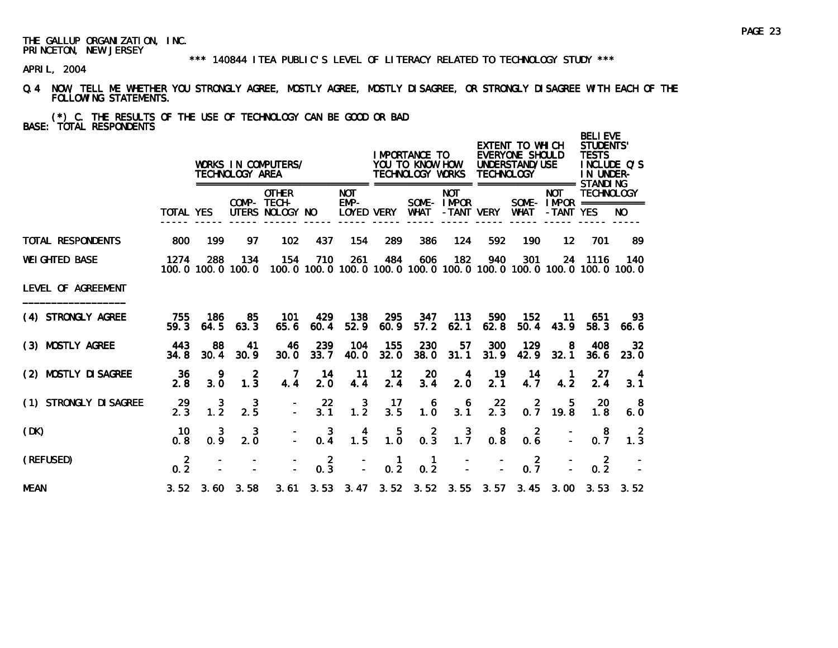#### \*\*\* 140844 ITEA PUBLIC'S LEVEL OF LITERACY RELATED TO TECHNOLOGY STUDY \*\*\*

- Q.4 NOW, TELL ME WHETHER YOU STRONGLY AGREE, MOSTLY AGREE, MOSTLY DISAGREE, OR STRONGLY DISAGREE WITH EACH OF THE FOLLOWING STATEMENTS.
- (\*) C. THE RESULTS OF THE USE OF TECHNOLOGY CAN BE GOOD OR BAD BASE: TOTAL RESPONDENTS

|                          |                       |                       | TECHNOLOGY AREA          | WORKS IN COMPUTERS/                            |                       |                              |                                         | I MPORTANCE TO<br>YOU TO KNOW HOW<br>TECHNOLOGY WORKS |                          | <b>TECHNOLOGY</b>     | EXTENT TO WHICH<br>EVERYONE SHOULD<br>UNDERSTAND/USE |                         | <b>BELIEVE</b><br><b>STUDENTS'</b><br><b>TESTS</b><br>IN UNDER-                         | INCLUDE O'S             |
|--------------------------|-----------------------|-----------------------|--------------------------|------------------------------------------------|-----------------------|------------------------------|-----------------------------------------|-------------------------------------------------------|--------------------------|-----------------------|------------------------------------------------------|-------------------------|-----------------------------------------------------------------------------------------|-------------------------|
|                          | TOTAL YES             |                       |                          | <b>OTHER</b><br>COMP- TECH-<br>UTERS NOLOGY NO |                       | ======<br><b>NOT</b><br>EMP- | LOYED VERY                              | WHAT                                                  | <b>NOT</b><br>SOME-IMPOR | -TANT VERY            | WHAT                                                 | <b>NOT</b><br>-TANT YES | <b>TECHNOLOGY</b><br>SOME - $IMPOR$ ============                                        | NO.                     |
| <b>TOTAL RESPONDENTS</b> | 800                   | 199                   | 97                       | 102                                            | 437                   | 154                          | 289                                     | 386                                                   | 124                      | 592                   | 190                                                  | $12 \,$                 | 701                                                                                     | -89                     |
| <b>WEI GHTED BASE</b>    | 1274                  | 288                   | 134<br>100.0 100.0 100.0 | 154                                            | 710                   | 261                          | 484                                     | 606                                                   | 182                      | 940                   | 301                                                  |                         | 24 1116<br>100, 0 100, 0 100, 0 100, 0 100, 0 100, 0 100, 0 100, 0 100, 0 100, 0 100, 0 | 140                     |
| LEVEL OF AGREEMENT       |                       |                       |                          |                                                |                       |                              |                                         |                                                       |                          |                       |                                                      |                         |                                                                                         |                         |
| (4) STRONGLY AGREE       | 755<br>59.3           | 186<br>64.5           | 85<br>63.3               | 101<br>65.6                                    | 429<br>60.4           | 138<br>52.9                  | 295<br>60.9                             | 347<br>57.2                                           | 113<br>62.1              | 590<br>62.8           | 152<br>50.4                                          | 11<br>43.9              | 651<br>58.3                                                                             | 93.<br>66.6             |
| (3) MOSTLY AGREE         | 443<br>34.8           | 88<br>30.4            | 41<br>30.9               | 46<br>30.0                                     | 239<br>33.7           | 104<br>40.0                  | 155<br>32.0                             | 230<br>38.0                                           | 57<br>31.1               | 300<br>31.9           | 129<br>42.9                                          | 8<br>32.1               | 408<br>36.6                                                                             | 32 <sub>2</sub><br>23.0 |
| (2) MOSTLY DI SAGREE     | 36<br>2.8             | 9<br>3.0              | $\overline{2}$<br>1.3    | 7<br>4.4                                       | 14<br>2.0             | 11<br>4.4                    | 12<br>2.4                               | 20<br>3.4                                             | 4<br>2.0                 | 19<br>2.1             | 14<br>4.7                                            | $\overline{1}$<br>4.2   | 27<br>2.4                                                                               | 4<br>3.1                |
| (1) STRONGLY DI SAGREE   | 29<br>2.3             | 3<br>$1.\overline{2}$ | 3<br>2.5                 |                                                | 22<br>3.1             | $\frac{3}{1.2}$              | 17<br>3.5                               | 6<br>1.0                                              | 6<br>3.1                 | 22<br>2.3             | $\overline{2}$<br>0.7                                | - 5<br>19.8             | -20<br>1.8                                                                              | -8<br>6.0               |
| (DK)                     | 10<br>0.8             | 3<br>0.9              | 3<br>2.0                 |                                                | 3<br>0.4              | 4<br>$1.\overline{5}$        | $\begin{array}{c} 5 \\ 1.0 \end{array}$ | $0.\overline{3}$                                      | $1.\overline{7}$         | 8<br>$0.\overline{8}$ | $\overline{2}$<br>0.6                                |                         | -8<br>0.7                                                                               | $\overline{2}$<br>1.3   |
| (REFUSED)                | $\overline{2}$<br>0.2 |                       |                          |                                                | $\overline{2}$<br>0.3 |                              | $\mathbf{1}$<br>0.2                     | $\mathbf{1}$<br>0.2                                   |                          |                       | $0.\overline{7}$                                     |                         | $\overline{2}$<br>0.2                                                                   |                         |
| <b>MEAN</b>              |                       |                       | $3.52$ $3.60$ $3.58$     |                                                |                       |                              |                                         |                                                       |                          |                       |                                                      |                         | 3.61 3.53 3.47 3.52 3.52 3.55 3.57 3.45 3.00 3.53                                       | 3.52                    |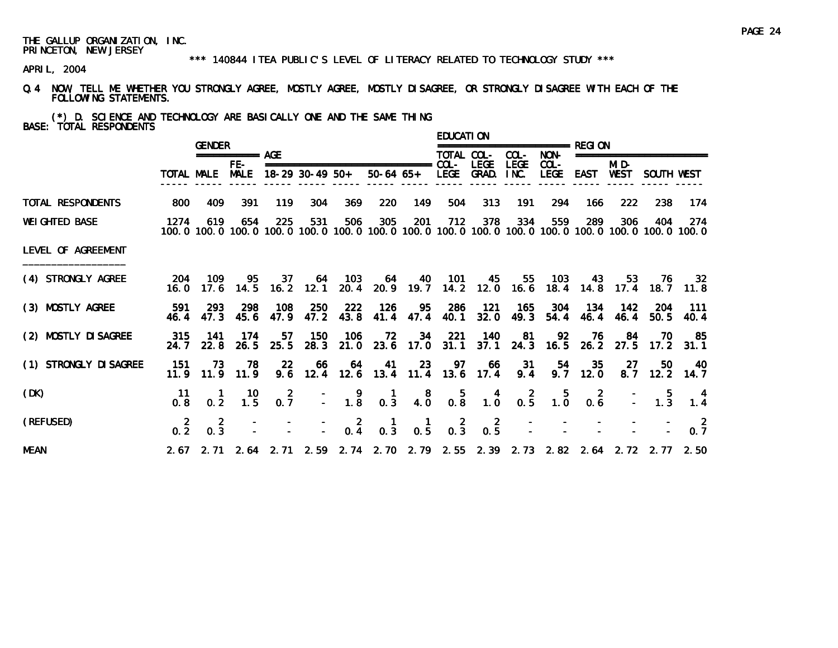#### \*\*\* 140844 ITEA PUBLIC'S LEVEL OF LITERACY RELATED TO TECHNOLOGY STUDY \*\*\*

- Q.4 NOW, TELL ME WHETHER YOU STRONGLY AGREE, MOSTLY AGREE, MOSTLY DISAGREE, OR STRONGLY DISAGREE WITH EACH OF THE FOLLOWING STATEMENTS.
- (\*) D. SCIENCE AND TECHNOLOGY ARE BASICALLY ONE AND THE SAME THING BASE: TOTAL RESPONDENTS

|                        |                 | <b>GENDER</b>                   |                                                     |                  |     |                                                                                |                                                  |                                                  | EDUCATI ON                                   |                                   |             |                                                                                                      |                     |                 |                          |                                                                                                                          |
|------------------------|-----------------|---------------------------------|-----------------------------------------------------|------------------|-----|--------------------------------------------------------------------------------|--------------------------------------------------|--------------------------------------------------|----------------------------------------------|-----------------------------------|-------------|------------------------------------------------------------------------------------------------------|---------------------|-----------------|--------------------------|--------------------------------------------------------------------------------------------------------------------------|
|                        |                 |                                 | =========== AGE                                     |                  |     |                                                                                |                                                  |                                                  | TOTAL COL-                                   |                                   | COL-        | NON-                                                                                                 |                     |                 | ======================== |                                                                                                                          |
|                        |                 | TOTAL MALE MALE 18-29 30-49 50+ | FE-                                                 |                  |     |                                                                                |                                                  |                                                  |                                              | LEGE<br>50-64 65+ LEGE GRAD. INC. | <b>LEGE</b> | $COL -$<br>LEGE EAST                                                                                 |                     | MI D-           | WEST SOUTH WEST          |                                                                                                                          |
| TOTAL RESPONDENTS      | 800             | 409                             | -391                                                | 119              | 304 | 369                                                                            | 220                                              | 149                                              | 504                                          | 313                               | 191         | 294                                                                                                  | 166                 | 222             | 238                      | 174                                                                                                                      |
| <b>WEI GHTED BASE</b>  | 1274            | 619                             | 654                                                 | 225              | 531 | 506                                                                            | 305                                              | 201                                              | 712                                          | 378                               | 334         | 559                                                                                                  | 289                 | 306             | 404                      | - 274<br>100, 0 100, 0 100, 0 100, 0 100, 0 100, 0 100, 0 100, 0 100, 0 100, 0 100, 0 100, 0 100, 0 100, 0 100, 0 100, 0 |
| LEVEL OF AGREEMENT     |                 |                                 |                                                     |                  |     |                                                                                |                                                  |                                                  |                                              |                                   |             |                                                                                                      |                     |                 |                          |                                                                                                                          |
| (4) STRONGLY AGREE     | 16. 0           |                                 |                                                     |                  |     | 204 109 95 37 64 103                                                           |                                                  |                                                  |                                              | 64 40 101 45 55                   |             |                                                                                                      | 103 43              |                 |                          | 53 76 32<br>17.6 14.5 16.2 12.1 20.4 20.9 19.7 14.2 12.0 16.6 18.4 14.8 17.4 18.7 11.8                                   |
| (3) MOSTLY AGREE       | 591<br>46.4     | - 293<br>47.3                   | -298<br>45.6                                        | 108<br>47.9      | 250 | 222<br>47.2 43.8                                                               | 126                                              | 95<br>41.4 47.4                                  | - 286<br>40.1                                | 121                               | $32.0$ 49.3 | 165 304<br>54.4                                                                                      | 46.4                | 134 142<br>46.4 | -204<br>50.5             | - 111<br>40.4                                                                                                            |
| (2) MOSTLY DI SAGREE   | 315<br>24. 7    | - 141                           | -174                                                | 57               | 150 | - 106<br>22.8 26.5 25.5 28.3 21.0 23.6 17.0 31.1 37.1 24.3 16.5 26.2 27.5 17.2 | 72                                               |                                                  |                                              | 34 221 140                        | 81          |                                                                                                      | 92 76 84            |                 | - 70                     | 85<br>31.1                                                                                                               |
| (1) STRONGLY DI SAGREE | -151            | 73<br>$11.9$ $11.9$ $11.9$      | 78                                                  | -22              | 66  | 64<br>9.6 12.4 12.6 13.4 11.4 13.6 17.4 9.4                                    | $-41$                                            |                                                  | 23 97                                        |                                   | 66 31       |                                                                                                      | 54 35<br>$9.7$ 12.0 | 27              | 50                       | $-40$<br>$8.7$ 12.2 14.7                                                                                                 |
| (DK)                   | -11<br>0.8      |                                 | $\begin{array}{cc} 1 & 10 \\ 0.2 & 1.5 \end{array}$ | $0.\overline{7}$ |     | $\begin{array}{ccc} & - & 9 \\ - & 1.8 \end{array}$                            | $\begin{smallmatrix} 1 \\ 0.3 \end{smallmatrix}$ | $\begin{smallmatrix}8\\4.0\end{smallmatrix}$     | $\begin{array}{c} 5 \\ 0.8 \end{array}$      |                                   |             | $\begin{array}{ccccccccc}\n & 4 & 2 & 5 & 2 & - & 5 \\ 1.0 & 0.5 & 1.0 & 0.6 & - & 1.3\n\end{array}$ |                     |                 |                          | 1.4                                                                                                                      |
| (REFUSED)              | $0.\frac{2}{2}$ | $\overline{2}$<br>0.3           |                                                     |                  |     | $\begin{array}{cccc} - & - & 2 & 1 \\ - & - & 0.4 & 0.3 \end{array}$           |                                                  | $\begin{smallmatrix} 1 \\ 0.5 \end{smallmatrix}$ | $\begin{smallmatrix}2\\0.3\end{smallmatrix}$ | $0.\frac{2}{5}$                   |             |                                                                                                      |                     |                 |                          | $\overline{\phantom{0}}$<br>0.7                                                                                          |
| <b>MEAN</b>            |                 |                                 |                                                     |                  |     |                                                                                |                                                  |                                                  |                                              |                                   |             |                                                                                                      |                     |                 |                          | 2.67 2.71 2.64 2.71 2.59 2.74 2.70 2.79 2.55 2.39 2.73 2.82 2.64 2.72 2.77 2.50                                          |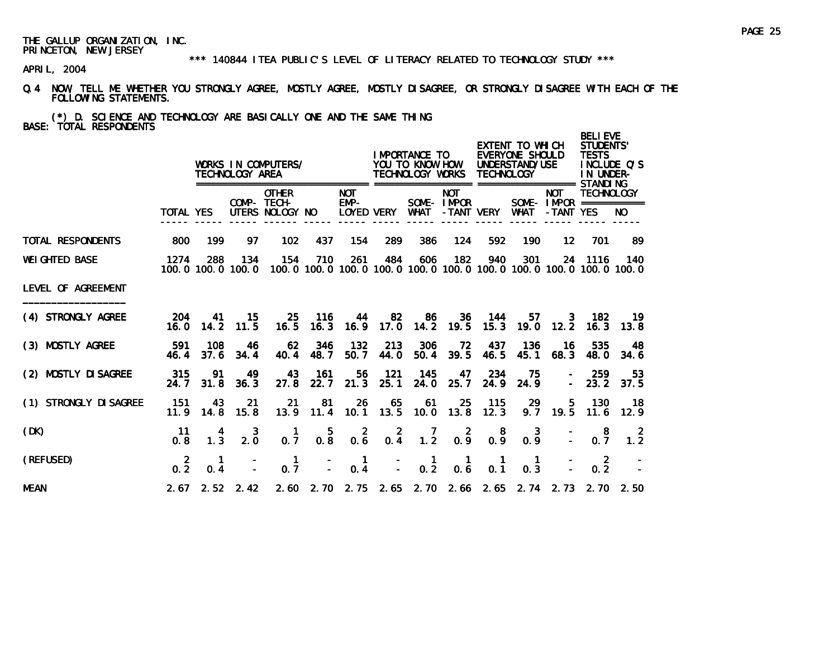#### \*\*\* 140844 ITEA PUBLIC'S LEVEL OF LITERACY RELATED TO TECHNOLOGY STUDY \*\*\*

- Q.4 NOW, TELL ME WHETHER YOU STRONGLY AGREE, MOSTLY AGREE, MOSTLY DISAGREE, OR STRONGLY DISAGREE WITH EACH OF THE FOLLOWING STATEMENTS.
- (\*) D. SCIENCE AND TECHNOLOGY ARE BASICALLY ONE AND THE SAME THING BASE: TOTAL RESPONDENTS

|                        |                  |                     | TECHNOLOGY AREA             | WORKS IN COMPUTERS/                            |                                                |                       |                 | <b>IMPORTANCE TO</b><br>YOU TO KNOW HOW<br>TECHNOLOGY WORKS |                             | <b>TECHNOLOGY</b>           | EXTENT TO WHICH<br>EVERYONE SHOULD<br>UNDERSTAND/USE |                         | <b>BELIEVE</b><br><b>STUDENTS'</b><br><b>TESTS</b><br>IN UNDER-                         | INCLUDE O'S           |
|------------------------|------------------|---------------------|-----------------------------|------------------------------------------------|------------------------------------------------|-----------------------|-----------------|-------------------------------------------------------------|-----------------------------|-----------------------------|------------------------------------------------------|-------------------------|-----------------------------------------------------------------------------------------|-----------------------|
|                        | <b>TOTAL YES</b> |                     |                             | <b>OTHER</b><br>COMP- TECH-<br>UTERS NOLOGY NO |                                                | <b>NOT</b><br>EMP-    | LOYED VERY      | WHAT                                                        | <b>NOT</b><br>SOME-IMPOR    | -TANT VERY                  | WHAT                                                 | <b>NOT</b><br>-TANT YES | <b>TECHNOLOGY</b><br>SOME - IMPOR ===========                                           | NO.                   |
| TOTAL RESPONDENTS      | 800              | 199                 | 97                          | 102                                            | 437                                            | 154                   | 289             | 386                                                         | 124                         | 592                         | 190                                                  | $12 \,$                 | 701                                                                                     | 89                    |
| <b>WEI GHTED BASE</b>  | 1274             | 288                 | 134<br>100.0 100.0 100.0    | 154                                            | 710                                            | 261                   | 484             | 606                                                         | 182                         | 940                         | 301                                                  |                         | 24 1116<br>100, 0 100, 0 100, 0 100, 0 100, 0 100, 0 100, 0 100, 0 100, 0 100, 0 100, 0 | 140                   |
| LEVEL OF AGREEMENT     |                  |                     |                             |                                                |                                                |                       |                 |                                                             |                             |                             |                                                      |                         |                                                                                         |                       |
| (4) STRONGLY AGREE     | 204              | 41                  | -15<br>$16.0$ $14.2$ $11.5$ | 16.5                                           | 25 116                                         | 44                    | 82              | 86<br>16.3 16.9 17.0 14.2 19.5                              | 36                          | 144                         | $15.3$ $19.0$                                        |                         | 57 3 182<br>$12.2$ 16.3                                                                 | $-19$<br>13.8         |
| (3) MOSTLY AGREE       | 591<br>46.4      | 108<br>37.6         | 46<br>34.4                  | 62<br>40.4                                     | 346<br>48.7                                    | 132<br>50.7           | 213<br>44.0     | 306                                                         | 72<br>50.4 39.5             | 437<br>46.5                 | 136<br>45.1                                          | - 16<br>68.3            | 535<br>48. 0                                                                            | 48<br>34.6            |
| (2) MOSTLY DI SAGREE   | 315<br>24.7      | 91<br>31.8          | 49<br>36.3                  | 43<br>27.8                                     | 161<br>22.7                                    | 56<br>21.3            | 121<br>25.1     | 145<br>24.0                                                 | 47<br>25.7                  | 234<br>24.9                 | -75<br>24.9                                          |                         | -259<br>$-23.2$                                                                         | 53<br>37.5            |
| (1) STRONGLY DI SAGREE | 151<br>11.9      | 43<br>14.8          | 21<br>15.8                  | 21                                             | 81<br>13.9 11.4                                | 26                    | 65              | 61<br>10.1 13.5 10.0 13.8                                   | 25                          | 115<br>12.3                 | 29                                                   | 5.<br>$9.7$ 19.5        | 130<br>11.6                                                                             | - 18<br>12.9          |
| (DK)                   | 11<br>0.8        | 4<br>1.3            | 3<br>2.0                    | -1<br>0.7                                      | $\begin{smallmatrix} &5\\0.8\end{smallmatrix}$ | $0.\overline{6}$      | $0.\frac{2}{4}$ | 1.2                                                         | $0.\frac{2}{9}$             | 0.8                         | $0.\frac{3}{9}$                                      | $\Delta \sim 10^{-1}$   | - 8<br>0.7                                                                              | $\overline{2}$<br>1.2 |
| (REFUSED)              | 2<br>0.2         | $\mathbf{1}$<br>0.4 |                             | $\mathbf{1}$<br>0.7                            | $\mathbb{Z}^2$                                 | $\blacksquare$<br>0.4 | $\mathbf{r}$    | $\begin{smallmatrix} 1 \\ 0.2 \end{smallmatrix}$            | $\mathbf{1}$<br>$0.\dot{6}$ | $\mathbf{1}$<br>$0.\dot{1}$ | $\mathbf{1}$<br>0.3                                  |                         | $\overline{2}$<br>0.2                                                                   |                       |
| <b>MEAN</b>            |                  |                     | $2.67$ $2.52$ $2.42$        |                                                |                                                |                       |                 |                                                             |                             |                             |                                                      |                         | 2.60 2.70 2.75 2.65 2.70 2.66 2.65 2.74 2.73 2.70 2.50                                  |                       |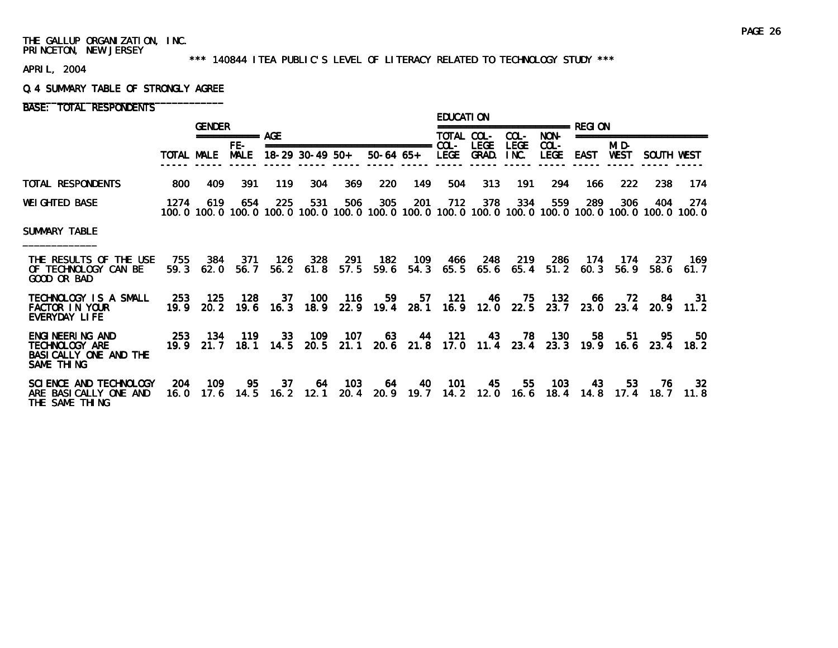#### \*\*\* 140844 ITEA PUBLIC'S LEVEL OF LITERACY RELATED TO TECHNOLOGY STUDY \*\*\*

APRIL, 2004

#### Q.4 SUMMARY TABLE OF STRONGLY AGREE

|                                                                           |             | <b>GENDER</b>          |                 |                     |                 |                    |                                                  |                  | <b>EDUCATION</b> |                            |                     | =================== RFGI ON |             |                          |              |                                                                                                                        |
|---------------------------------------------------------------------------|-------------|------------------------|-----------------|---------------------|-----------------|--------------------|--------------------------------------------------|------------------|------------------|----------------------------|---------------------|-----------------------------|-------------|--------------------------|--------------|------------------------------------------------------------------------------------------------------------------------|
|                                                                           |             |                        | =========== AGE |                     |                 |                    |                                                  |                  | TOTAL COL-       |                            | COL-                | NON-                        |             | ======================== |              |                                                                                                                        |
|                                                                           | TOTAL MALE  |                        | FE-<br>MALE     |                     | 18-29 30-49 50+ |                    | ===============================<br>$50-64$ $65+$ |                  | COL-<br>LEGE     | <b>LEGE</b><br>GRAD.       | <b>LEGE</b><br>INC. | COL-<br><b>LEGE</b>         | <b>EAST</b> | MI D-<br><b>WEST</b>     | SOUTH WEST   |                                                                                                                        |
| TOTAL RESPONDENTS                                                         | 800         | 409                    | 391             | 119                 | 304             | 369                | <b>220</b>                                       | 149              | 504              | 313                        | 191                 | 294                         | 166         | 222                      | 238          | 174                                                                                                                    |
| <b>WEI GHTED BASE</b>                                                     | 1274        | 619                    | 654             | 225                 | 531             | 506                | 305                                              | 201              | 712              | 378                        | 334                 | 559                         | 289         | 306                      | 404          | 274<br>100, 0 100, 0 100, 0 100, 0 100, 0 100, 0 100, 0 100, 0 100, 0 100, 0 100, 0 100, 0 100, 0 100, 0 100, 0 100, 0 |
| SUMMARY TABLE                                                             |             |                        |                 |                     |                 |                    |                                                  |                  |                  |                            |                     |                             |             |                          |              |                                                                                                                        |
| THE RESULTS OF THE USE<br>OF TECHNOLOGY CAN BE<br>GOOD OR BAD             | 755<br>59.3 | 384<br>62.0            | 371<br>56.7     | 126<br>56.2         | 328             | 291<br>$61.8$ 57.5 | 182                                              | 109<br>59.6 54.3 | 466<br>65.5      | 248                        | 219<br>65.6 65.4    | 286<br>51.2                 | 174<br>60.3 | -174<br>56.9             | -237<br>58.6 | 169.<br>61.7                                                                                                           |
| TECHNOLOGY IS A SMALL<br><b>FACTOR IN YOUR</b><br>EVERYDAY LIFE           | 253<br>19.9 | 125<br>20. 2           | 128<br>19.6     | 37<br>16.3          | 100             | 116                | 59<br>18.9 22.9 19.4 28.1                        | 57               | 121              | 46<br>$16.9$ $12.0$ $22.5$ | 75                  | 132<br>23.7                 | 66<br>23.0  | 72<br>23.4               | -84<br>20.9  | 31<br>11.2                                                                                                             |
| ENGINEERING AND<br>TECHNOLOGY ARE<br>BASI CALLY ONE AND THE<br>SAME THING |             | 253 134<br>$19.9$ 21.7 | 119             | 33<br>$18.1$ $14.5$ | 109<br>20.5     | $-107$<br>21.1     | 63                                               | 44<br>20.6 21.8  | 121              | 43<br>17.0 11.4            | 23.4                | 78 130<br>23.3              | 58<br>19.9  | -51<br>16.6              | -95<br>23.4  | 50.<br>18.2                                                                                                            |
| SCIENCE AND TECHNOLOGY<br>ARE BASICALLY ONE AND<br>THE SAME THING         | 204<br>16.0 | 109<br>17.6            | 95<br>14.5      | 37<br>16.2          | 12.1            | 64 103<br>20.4     | 64                                               | 40<br>20.9 19.7  | 101              | 45<br>14.2 12.0            | 55<br>16.6          | - 103<br>18.4               | 43<br>14.8  | 53<br>17.4               | -76<br>18. 7 | 32<br>11.8                                                                                                             |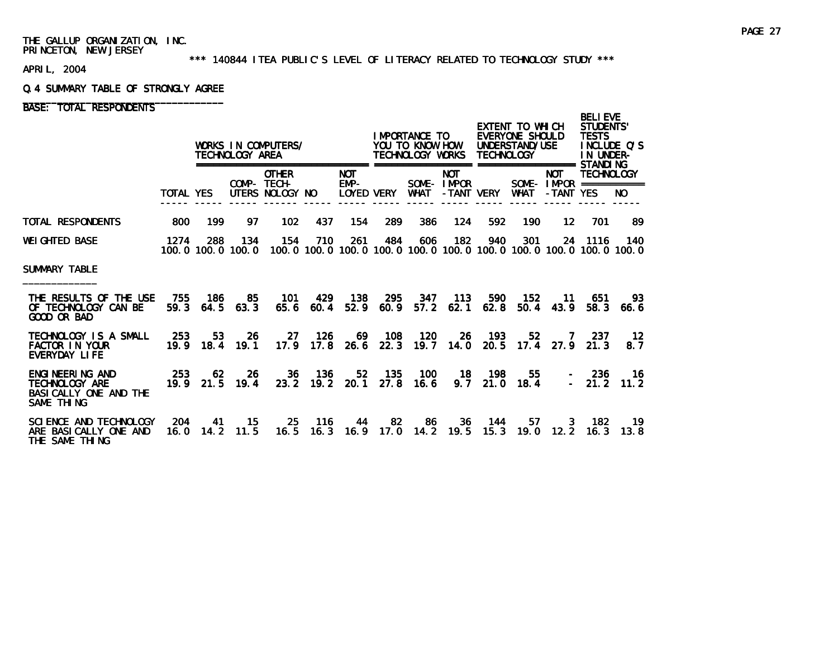#### \*\*\* 140844 ITEA PUBLIC'S LEVEL OF LITERACY RELATED TO TECHNOLOGY STUDY \*\*\*

APRIL, 2004

#### Q.4 SUMMARY TABLE OF STRONGLY AGREE

|                                                                           |                  |                                 | TECHNOLOGY AREA | WORKS IN COMPUTERS/                                                                                      |                      |                      |                          | IMPORTANCE TO<br>YOU TO KNOW HOW<br>TECHNOLOGY WORKS |                          | <b>TECHNOLOGY</b> | EXTENT TO WHICH<br>EVERYONE SHOULD<br>UNDERSTAND/USE |                                        | <b>BELIEVE</b><br>STUDENTS'<br><b>TESTS</b><br>INCLUDE O'S<br>IN UNDER- |              |
|---------------------------------------------------------------------------|------------------|---------------------------------|-----------------|----------------------------------------------------------------------------------------------------------|----------------------|----------------------|--------------------------|------------------------------------------------------|--------------------------|-------------------|------------------------------------------------------|----------------------------------------|-------------------------------------------------------------------------|--------------|
|                                                                           | <b>TOTAL YES</b> |                                 | ============    | <b>OTHER</b><br>COMP- TECH-<br>UTERS NOLOGY NO                                                           |                      | <b>NOT</b><br>$EMP-$ | LOYED VERY               | WHAT                                                 | <b>NOT</b><br>SOME-IMPOR | -TANT VERY        | <b>WHAT</b>                                          | <b>NOT</b><br>-TANT YES                | <b>TECHNOLOGY</b><br>SOME - $IMPOR$ ============                        | NO.          |
| TOTAL RESPONDENTS                                                         | 800              | 199                             | 97              | 102                                                                                                      | 437                  | 154                  | <b>289</b>               | 386                                                  | 124                      | 592               | 190                                                  | 12 <sup>12</sup>                       | 701                                                                     | -89          |
| WEIGHTED BASE                                                             | 1274             | 288                             | 134             | 154<br>100, 0 100, 0 100, 0 100, 0 100, 0 100, 0 100, 0 100, 0 100, 0 100, 0 100, 0 100, 0 100, 0 100, 0 | 710                  | 261                  | 484                      | 606                                                  | 182                      | 940               | 301                                                  |                                        | 24 1116                                                                 | 140          |
| SUMMARY TABLE                                                             |                  |                                 |                 |                                                                                                          |                      |                      |                          |                                                      |                          |                   |                                                      |                                        |                                                                         |              |
| THE RESULTS OF THE USE<br>OF TECHNOLOGY CAN BE<br>GOOD OR BAD             | 755              | - 186 -<br>$59.3$ $64.5$ $63.3$ | 85              | - 101                                                                                                    | 429<br>$65.6$ $60.4$ | - 138                |                          | 295 347 113<br>52.9 60.9 57.2 62.1                   |                          | 590<br>62.8       | -152<br>50.4                                         | - 11<br>43.9                           | -651<br>58.3                                                            | 93.<br>66.6  |
| TECHNOLOGY IS A SMALL<br><b>FACTOR IN YOUR</b><br>EVERYDAY LIFE           | -253             | 53<br>19.9 18.4 19.1            | -26             | -27                                                                                                      | 126                  |                      | 69 108                   | 120<br>17.9 17.8 26.6 22.3 19.7 14.0 20.5            |                          | 26 193            | 52                                                   | $\overline{7}$<br>$17.4$ $27.9$ $21.3$ | -237                                                                    | $-12$<br>8.7 |
| ENGINEERING AND<br>TECHNOLOGY ARE<br>BASI CALLY ONE AND THE<br>SAME THING | 253              | 62<br>19.9 21.5 19.4            |                 | 26                                                                                                       | 36 136               | 23.2 19.2 20.1 27.8  |                          | 52 135 100<br>16.6                                   |                          | 18 198            | $9.7$ 21.0 18.4                                      | 55<br>3.4                              | $-236$<br>$-21.2$                                                       | - 16<br>11.2 |
| SCIENCE AND TECHNOLOGY<br>ARE BASICALLY ONE AND<br>THE SAME THING         | -204<br>16.0     | -41<br>14.2                     | 15.<br>11.5     | 25<br>16.5                                                                                               | 116<br>16.3          |                      | -82<br>44<br>$16.9$ 17.0 | - 86<br>14.2                                         | 19.5                     | 36 144<br>15.3    | 57<br>19.0                                           |                                        | 3 182<br>$12.2$ 16.3                                                    | -19<br>13.8  |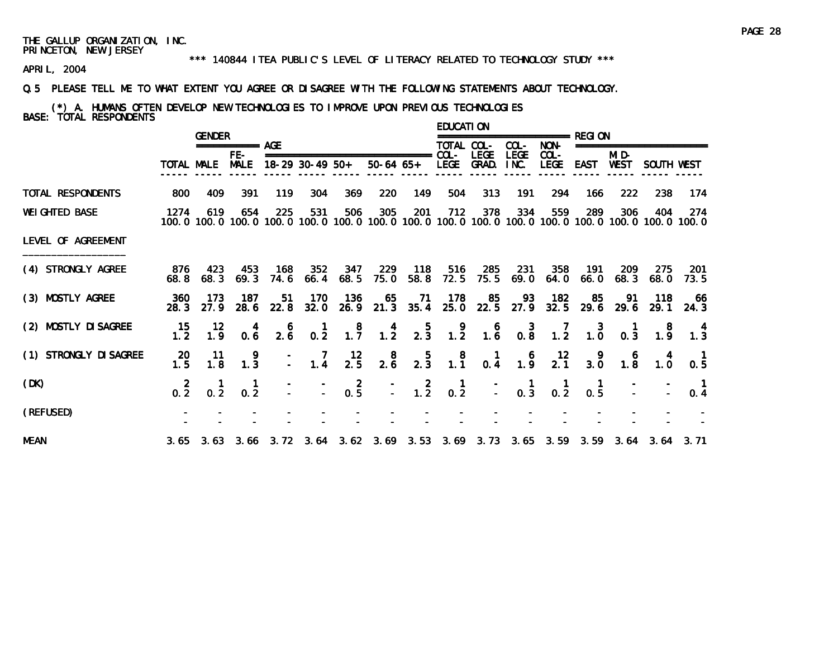#### \*\*\* 140844 ITEA PUBLIC'S LEVEL OF LITERACY RELATED TO TECHNOLOGY STUDY \*\*\*

APRIL, 2004

#### Q.5 PLEASE TELL ME TO WHAT EXTENT YOU AGREE OR DISAGREE WITH THE FOLLOWING STATEMENTS ABOUT TECHNOLOGY.

# (\*) A. HUMANS OFTEN DEVELOP NEW TECHNOLOGIES TO IMPROVE UPON PREVIOUS TECHNOLOGIES BASE: TOTAL RESPONDENTS

|                        |                        | <b>GENDER</b>                                        |                       |                                                 |                                                   |                                              |                                         |                      | <b>EDUCATION</b>                                 |                 |                     | ================ RFGI ON                                        |                                         |                                                      |                                              |                                                                                                               |
|------------------------|------------------------|------------------------------------------------------|-----------------------|-------------------------------------------------|---------------------------------------------------|----------------------------------------------|-----------------------------------------|----------------------|--------------------------------------------------|-----------------|---------------------|-----------------------------------------------------------------|-----------------------------------------|------------------------------------------------------|----------------------------------------------|---------------------------------------------------------------------------------------------------------------|
|                        |                        |                                                      | $== == == == ==$ AGE  |                                                 |                                                   |                                              |                                         |                      | TOTAL COL-                                       |                 | COL-                | NON-                                                            |                                         |                                                      | ========================                     |                                                                                                               |
|                        |                        | TOTAL MALE                                           | $FE-$<br><b>MALE</b>  |                                                 | $18-29$ 30-49 50+                                 |                                              | ===============================         | 50-64 65+ LEGE GRAD. | $COL -$                                          | <b>LEGE</b>     | <b>LEGE</b><br>INC. | $COL -$<br>LEGE                                                 | EAST                                    | MI D-<br>WEST                                        | SOUTH WEST                                   |                                                                                                               |
| TOTAL RESPONDENTS      | 800                    | 409                                                  | 391                   | 119                                             | 304                                               | 369                                          | 220                                     | 149                  | 504                                              | 313             | 191                 | 294                                                             | 166                                     | 222                                                  | 238                                          | 174                                                                                                           |
| <b>WEIGHTED BASE</b>   | 1274                   | 619                                                  | 654                   | 225                                             | 531                                               | 506                                          | 305                                     | 201                  | 712                                              | 378             | 334                 | 559                                                             | 289                                     | 306                                                  | 404                                          | -274<br>100.0 100.0 100.0 100.0 100.0 100.0 100.0 100.0 100.0 100.0 100.0 100.0 100.0 100.0 100.0 100.0 100.0 |
| LEVEL OF AGREEMENT     |                        |                                                      |                       |                                                 |                                                   |                                              |                                         |                      |                                                  |                 |                     |                                                                 |                                         |                                                      |                                              |                                                                                                               |
| (4) STRONGLY AGREE     | 876<br>68. 8           | 423<br>68.3                                          | 453<br>69.3           | - 168<br>74.6                                   | 352<br>66.4                                       | 347<br>68.5                                  | 229<br>75.0                             | 118<br>58.8          | 72.5                                             | 516 285<br>75.5 | 231                 | 358<br>$69.0\quad 64.0$                                         | - 191<br>66. 0                          | -209<br>68.3                                         | -275<br>68.0                                 | -201<br>73.5                                                                                                  |
| (3) MOSTLY AGREE       | 360<br>28.3            | -173<br>27.9                                         | 187                   | 51                                              | 170<br>28.6 22.8 32.0                             | 136<br>26.9                                  |                                         | $65$ 71<br>21.3 35.4 | 178                                              | 85<br>25.0 22.5 | 93                  | 182<br>$27.9$ 32.5                                              | 85<br>29.6                              | -91<br>29.6                                          | - 118<br>29.1                                | - 66<br>24.3                                                                                                  |
| (2) MOSTLY DI SAGREE   | 15<br>1.2 <sub>2</sub> | 12 <sup>12</sup><br>1.9                              | $\overline{4}$<br>0.6 | $\begin{smallmatrix}&&6\\&2.6\end{smallmatrix}$ | $0.\overline{2}$                                  | $\begin{smallmatrix}8\\1.7\end{smallmatrix}$ | $\begin{array}{c} 4 \\ 1.2 \end{array}$ | $\frac{5}{2.3}$      | $\begin{array}{c} 9 \\ 1.2 \end{array}$          |                 |                     | $\begin{array}{cccc} 6 & 3 & 7 \\ 1.6 & 0.8 & 1.2 \end{array}$  |                                         | $\begin{array}{cc} & 3 & 1 \\ 1.0 & 0.3 \end{array}$ | $\begin{smallmatrix}8\\1.9\end{smallmatrix}$ | $\begin{array}{c} 4 \\ 1.3 \end{array}$                                                                       |
| (1) STRONGLY DI SAGREE | $\frac{20}{1.5}$       | $-11$<br>1.8                                         | $\frac{9}{1.3}$       |                                                 | $\begin{array}{ccc} - & 7 \\ - & 1.4 \end{array}$ | $\frac{12}{2.5}$                             | $2.\overline{6}$                        | $\frac{5}{2.3}$      | $\begin{array}{c} 8 \\ 1.1 \end{array}$          |                 |                     | $\begin{array}{cccc} 1 & 6 & 12 \\ 0.4 & 1.9 & 2.1 \end{array}$ | $\begin{array}{c} 9 \\ 3.0 \end{array}$ | $\begin{array}{c} 6 \\ 1.8 \end{array}$              | $\begin{array}{c} 4 \\ 1.0 \end{array}$      | $\mathbf{1}$<br>0.5                                                                                           |
| (DK)                   |                        | $\begin{array}{cccc} 2 & 1 \\ 0.2 & 0.2 \end{array}$ | $\frac{1}{0.2}$       |                                                 |                                                   | $\frac{1}{2}$ 0.5                            |                                         | $\frac{1}{2}$ 1.2    | $\begin{smallmatrix} 1 \\ 0.2 \end{smallmatrix}$ |                 |                     | $\begin{array}{cccc} - & 1 & 1 \\ - & 0.3 & 0.2 \end{array}$    | $\begin{matrix} 1 \\ 0.5 \end{matrix}$  |                                                      |                                              | $\blacksquare$<br>0.4                                                                                         |
| (REFUSED)              |                        |                                                      |                       |                                                 |                                                   |                                              |                                         |                      |                                                  |                 |                     |                                                                 |                                         |                                                      |                                              |                                                                                                               |
| <b>MEAN</b>            |                        |                                                      |                       |                                                 |                                                   |                                              |                                         |                      |                                                  |                 |                     |                                                                 |                                         |                                                      |                                              | 3.65 3.63 3.66 3.72 3.64 3.62 3.69 3.53 3.69 3.73 3.65 3.59 3.59 3.64 3.64 3.71                               |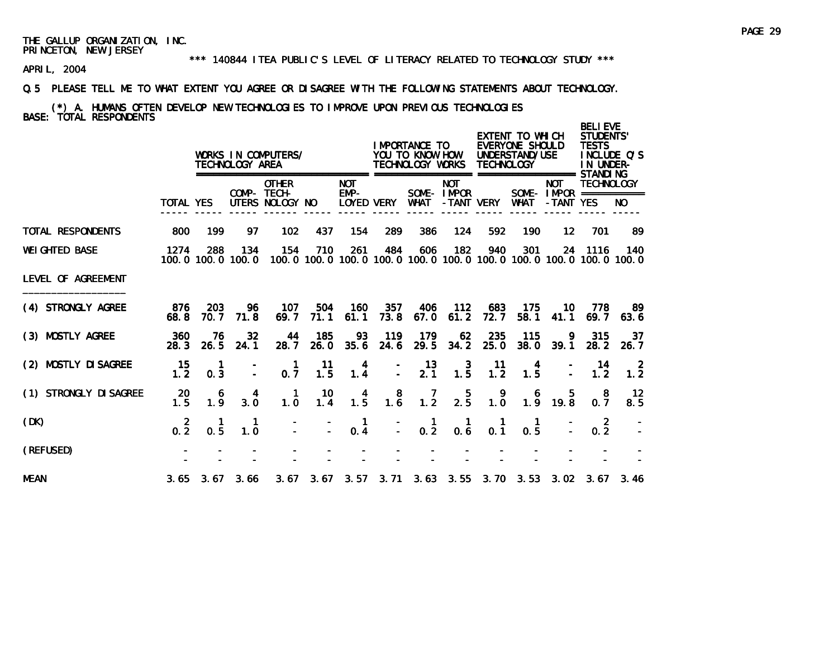#### \*\*\* 140844 ITEA PUBLIC'S LEVEL OF LITERACY RELATED TO TECHNOLOGY STUDY \*\*\*

APRIL, 2004

#### Q.5 PLEASE TELL ME TO WHAT EXTENT YOU AGREE OR DISAGREE WITH THE FOLLOWING STATEMENTS ABOUT TECHNOLOGY.

# (\*) A. HUMANS OFTEN DEVELOP NEW TECHNOLOGIES TO IMPROVE UPON PREVIOUS TECHNOLOGIES BASE: TOTAL RESPONDENTS

|                        |                  |                             | TECHNOLOGY AREA | WORKS IN COMPUTERS/                            |             |                                    |                                              | <b>IMPORTANCE TO</b><br>YOU TO KNOW HOW<br>TECHNOLOGY WORKS                         |                                         | <b>TECHNOLOGY</b>                                | EXTENT TO WHICH<br>EVERYONE SHOULD<br>UNDERSTAND/USE<br>================= |                                                       | <b>BELIEVE</b><br>STUDENTS'<br><b>TESTS</b><br>IN UNDER-<br>STANDI NG | INCLUDE O'S |
|------------------------|------------------|-----------------------------|-----------------|------------------------------------------------|-------------|------------------------------------|----------------------------------------------|-------------------------------------------------------------------------------------|-----------------------------------------|--------------------------------------------------|---------------------------------------------------------------------------|-------------------------------------------------------|-----------------------------------------------------------------------|-------------|
|                        | <b>TOTAL YES</b> |                             |                 | <b>OTHER</b><br>COMP- TECH-<br>UTERS NOLOGY NO |             | <b>NOT</b><br>$EMP-$<br>Loyed very |                                              | WHAT                                                                                | <b>NOT</b><br>SOME-IMPOR<br>-TANT VERY  |                                                  | WHAT                                                                      | <b>NOT</b><br>SOME - $IMPOR$ ===========<br>-TANT YES | <b>TECHNOLOGY</b>                                                     | NO.         |
| TOTAL RESPONDENTS      | 800              | 199                         | 97              | 102                                            | 437         | 154                                | 289                                          | 386                                                                                 | 124                                     | 592                                              | 190                                                                       | $12 \,$                                               | 701                                                                   | 89          |
| <b>WEI GHTED BASE</b>  | 1274             | 288<br>100, 0 100, 0 100, 0 | 134             | 154                                            | 710         | 261                                | 484                                          | 606<br>100, 0 100, 0 100, 0 100, 0 100, 0 100, 0 100, 0 100, 0 100, 0 100, 0 100, 0 | 182                                     | 940                                              | 301                                                                       | 24                                                    | 1116                                                                  | 140         |
| LEVEL OF AGREEMENT     |                  |                             |                 |                                                |             |                                    |                                              |                                                                                     |                                         |                                                  |                                                                           |                                                       |                                                                       |             |
| (4) STRONGLY AGREE     | 876<br>68.8      | 203<br>70.7                 | 96<br>71.8      | 107<br>69.7                                    | 504<br>71.1 | 160<br>61.1                        | 357<br>73.8                                  | 406<br>67.0                                                                         | 112<br>61.2                             | 683<br>72.7                                      | 175<br>58.1                                                               | 10.<br>41.1                                           | 778<br>69.7                                                           | -89<br>63.6 |
| (3) MOSTLY AGREE       | 360<br>28.3      | 76<br>26.5                  | 32<br>24.1      | 44<br>28.7                                     | 185<br>26.0 | 93<br>35.6                         | 119<br>24.6                                  | 179<br>29.5                                                                         | 62<br>34.2                              | 235<br>25.0                                      | 115<br>38.0                                                               | 9<br>39.1                                             | 315<br>28.2                                                           | 37<br>26.7  |
| (2) MOSTLY DI SAGREE   | 15<br>1.2        | 0.3                         |                 | $\mathbf{1}$<br>0.7                            | 11<br>1.5   | 4<br>1.4                           | $\overline{a}$                               | 13<br>$2.\overline{1}$                                                              | $\begin{array}{c} 3 \\ 1.5 \end{array}$ | 11<br>1.2                                        | 1.5                                                                       |                                                       | 14<br>1.2 <sub>1</sub>                                                | -2<br>1.2   |
| (1) STRONGLY DI SAGREE | 20<br>1.5        | 6<br>$1.\overline{9}$       | 4<br>3.0        | -1<br>1.0                                      | 10<br>1.4   | 4<br>1.5                           | $\begin{smallmatrix}8\\1.6\end{smallmatrix}$ | 1.2                                                                                 | $2.\overline{5}$                        | $\begin{smallmatrix} 9 \\ 1.0 \end{smallmatrix}$ | 6                                                                         | 5.<br>$1.\overline{9}$ 19.8                           | 8<br>0.7                                                              | 12<br>8.5   |
| (DK)                   | $0.\overline{2}$ | 0.5                         | 1.0             |                                                |             | 0.4                                |                                              | $\frac{1}{0.2}$                                                                     | 0.6                                     | 0.1                                              | 0.5                                                                       |                                                       | -2<br>0.2                                                             |             |
| (REFUSED)              |                  |                             |                 |                                                |             |                                    |                                              |                                                                                     |                                         |                                                  |                                                                           |                                                       |                                                                       |             |
| <b>MEAN</b>            |                  | $3.65$ $3.67$ $3.66$        |                 |                                                |             |                                    |                                              | 3.67 3.67 3.57 3.71 3.63 3.55 3.70 3.53 3.02 3.67 3.46                              |                                         |                                                  |                                                                           |                                                       |                                                                       |             |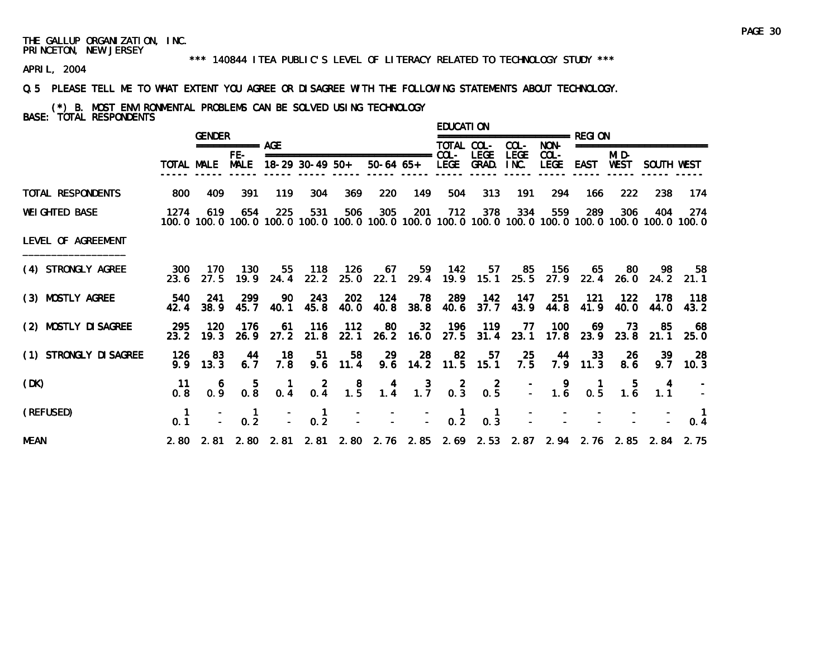#### \*\*\* 140844 ITEA PUBLIC'S LEVEL OF LITERACY RELATED TO TECHNOLOGY STUDY \*\*\*

APRIL, 2004

#### Q.5 PLEASE TELL ME TO WHAT EXTENT YOU AGREE OR DISAGREE WITH THE FOLLOWING STATEMENTS ABOUT TECHNOLOGY.

(\*) B. MOST ENVIRONMENTAL PROBLEMS CAN BE SOLVED USING TECHNOLOGY BASE: TOTAL RESPONDENTS

|                        |             | <b>GENDER</b>    |                                                |                                        |                                              |                                              |                                                                                     |                                                                          | EDUCATI ON |                                        |             | =============== RFGI ON |                    |               |                            |                                                                                                               |
|------------------------|-------------|------------------|------------------------------------------------|----------------------------------------|----------------------------------------------|----------------------------------------------|-------------------------------------------------------------------------------------|--------------------------------------------------------------------------|------------|----------------------------------------|-------------|-------------------------|--------------------|---------------|----------------------------|---------------------------------------------------------------------------------------------------------------|
|                        |             |                  | $== == == == ==$ AGE                           |                                        |                                              |                                              |                                                                                     |                                                                          | TOTAL COL- |                                        | COL-        | NON-                    |                    |               | ========================   |                                                                                                               |
|                        |             | TOTAL MALE MALE  | FE-                                            |                                        | 18-29 30-49 50+                              |                                              |                                                                                     | 50-64 65+ LEGE GRAD. INC.                                                |            | <b>LEGE</b>                            | <b>LEGE</b> | $COL -$<br>LEGE         | EAST               | MI D-<br>WEST | SOUTH WEST                 |                                                                                                               |
| TOTAL RESPONDENTS      | 800         | 409              | 391                                            | 119                                    | 304                                          | 369                                          | 220                                                                                 | 149                                                                      | 504        | 313                                    | 191         | 294                     | 166                | 222           | 238                        | 174                                                                                                           |
| <b>WEI GHTED BASE</b>  | 1274        | 619              | 654                                            | 225                                    | 531                                          | 506                                          | 305                                                                                 | 201                                                                      | 712        | 378                                    | 334         | 559                     | 289                | 306           | 404                        | -274<br>100.0 100.0 100.0 100.0 100.0 100.0 100.0 100.0 100.0 100.0 100.0 100.0 100.0 100.0 100.0 100.0 100.0 |
| LEVEL OF AGREEMENT     |             |                  |                                                |                                        |                                              |                                              |                                                                                     |                                                                          |            |                                        |             |                         |                    |               |                            |                                                                                                               |
| (4) STRONGLY AGREE     | 300<br>23.6 | - 170<br>27.5    | - 130                                          | $19.9$ 24.4                            | 55 118 126<br>22.2                           |                                              | 25.0 22.1 29.4 19.9 15.1                                                            |                                                                          |            |                                        |             | 67 59 142 57 85 156     | 65                 | - 80          | - 98                       | 58<br>25.5 27.9 22.4 26.0 24.2 21.1                                                                           |
| (3) MOSTLY AGREE       | 540<br>42.4 | - 241<br>38.9    | 299<br>45.7                                    | 90<br>40.1                             | 243<br>45.8                                  | 202<br>40.0                                  | 124                                                                                 | 78<br>40.8 38.8                                                          |            | 289 142<br>40.6 37.7                   | 147<br>43.9 | -251<br>44.8            | - 121<br>41.9      | 122<br>40. O  | 178<br>44.0                | - 118<br>43.2                                                                                                 |
| (2) MOSTLY DI SAGREE   | 295<br>23.2 | 120<br>19.3      | - 176                                          | 61                                     | - 116<br>26.9 27.2 21.8                      | $-112$                                       | 80<br>22.1 26.2 16.0 27.5 31.4 23.1                                                 | 32 <sub>1</sub>                                                          | 196        | $-119$                                 | - 77        | 100                     | -69                | 73            | -85<br>17.8 23.9 23.8 21.1 | - 68<br>25.0                                                                                                  |
| (1) STRONGLY DI SAGREE | 126<br>9.9  | -83<br>13.3      | 44<br>6.7                                      | 18<br>7.8                              | 51                                           | 58<br>$9.6$ 11.4                             | 29                                                                                  | -28<br>9.6 14.2 11.5 15.1                                                | 82         | 57                                     | - 25<br>7.5 | - 44                    | -33-<br>$7.9$ 11.3 | -26<br>8.6    | 39<br>9.7                  | -28<br>10.3                                                                                                   |
| (DK)                   | -11<br>0.8  | 0.9 <sub>1</sub> | $\begin{smallmatrix} &5\\0.8\end{smallmatrix}$ | $\begin{matrix} 1 \\ 0.4 \end{matrix}$ | $\begin{smallmatrix}2\\0.4\end{smallmatrix}$ | $\begin{smallmatrix}8\\1.5\end{smallmatrix}$ |                                                                                     | $\begin{array}{cccc} 4 & 3 & 2 & 2 \\ 1.4 & 1.7 & 0.3 & 0.5 \end{array}$ |            |                                        |             | $\frac{1}{2}$ 1.6       | 0.5                | 5.<br>1.6     | 1.1                        |                                                                                                               |
| (REFUSED)              | 0.1         |                  | $\blacksquare$<br>0.2                          |                                        | $0.\overline{2}$                             |                                              | $\begin{array}{ccccccccc}\n- & & - & & - & & 1 \\ - & & - & & - & 0.2\n\end{array}$ |                                                                          |            | $\begin{matrix} 1 \\ 0.3 \end{matrix}$ |             |                         |                    |               |                            | $\blacksquare$<br>0.4                                                                                         |
| <b>MEAN</b>            |             |                  |                                                |                                        |                                              |                                              | 2.80 2.81 2.80 2.81 2.81 2.80 2.76 2.85 2.69 2.53 2.87 2.94 2.76 2.85 2.84 2.75     |                                                                          |            |                                        |             |                         |                    |               |                            |                                                                                                               |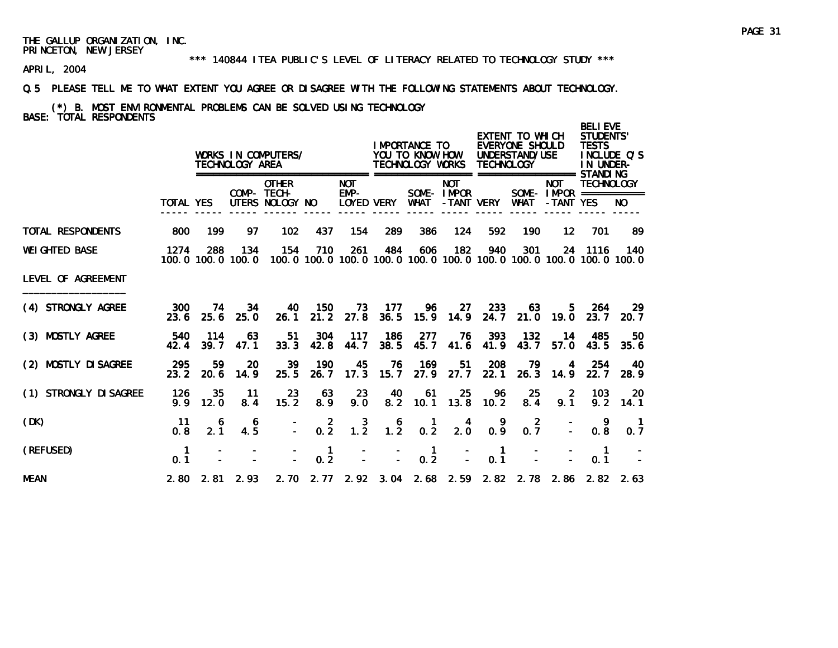#### \*\*\* 140844 ITEA PUBLIC'S LEVEL OF LITERACY RELATED TO TECHNOLOGY STUDY \*\*\*

APRIL, 2004

#### Q.5 PLEASE TELL ME TO WHAT EXTENT YOU AGREE OR DISAGREE WITH THE FOLLOWING STATEMENTS ABOUT TECHNOLOGY.

# (\*) B. MOST ENVIRONMENTAL PROBLEMS CAN BE SOLVED USING TECHNOLOGY BASE: TOTAL RESPONDENTS

|                        |                     |             | TECHNOLOGY AREA             | WORKS IN COMPUTERS/                            |                       |                                  |             | I MPORTANCE TO<br>YOU TO KNOW HOW<br>TECHNOLOGY WORKS |                          | TECHNOLOGY            | EXTENT TO WHICH<br>EVERYONE SHOULD<br>UNDERSTAND/USE                                |                         | <b>BELIEVE</b><br><b>STUDENTS'</b><br><b>TESTS</b><br>IN UNDER- | INCLUDE Q'S           |
|------------------------|---------------------|-------------|-----------------------------|------------------------------------------------|-----------------------|----------------------------------|-------------|-------------------------------------------------------|--------------------------|-----------------------|-------------------------------------------------------------------------------------|-------------------------|-----------------------------------------------------------------|-----------------------|
|                        | <b>TOTAL YES</b>    |             |                             | <b>OTHER</b><br>COMP- TECH-<br>UTERS NOLOGY NO |                       | <b>NOT</b><br>EMP-<br>LOYED VERY |             | WHAT                                                  | <b>NOT</b><br>SOME-IMPOR | -TANT VERY            | WHAT                                                                                | <b>NOT</b><br>-TANT YES | <b>TECHNOLOGY</b><br>SOME - $IMPOR$ ===========                 | NO.                   |
| TOTAL RESPONDENTS      | 800                 | 199         | 97.                         | 102                                            | 437                   | 154                              | 289         | 386                                                   | 124                      | 592                   | 190                                                                                 | 12 <sup>1</sup>         | 701                                                             | -89                   |
| <b>WEI GHTED BASE</b>  | 1274                | 288         | 134<br>100, 0 100, 0 100, 0 | 154                                            | 710                   | 261                              | 484         | 606                                                   | 182                      | 940                   | 301<br>100, 0 100, 0 100, 0 100, 0 100, 0 100, 0 100, 0 100, 0 100, 0 100, 0 100, 0 |                         | 24 1116                                                         | 140                   |
| LEVEL OF AGREEMENT     |                     |             |                             |                                                |                       |                                  |             |                                                       |                          |                       |                                                                                     |                         |                                                                 |                       |
| (4) STRONGLY AGREE     | 300<br>23.6         | -74<br>25.6 | 34<br>25.0                  | 40<br>26.1                                     | - 150                 | 73<br>21.2 27.8 36.5             | - 177       | 96                                                    | 27<br>15.9 14.9          | 233<br>24.7           | 63<br>21.0                                                                          | 5.<br>19.0              | -264<br>23.7                                                    | -29<br>20.7           |
| (3) MOSTLY AGREE       | 540<br>42.4         | 114<br>39.7 | 63<br>47.1                  | -51<br>33.3                                    | 304<br>42.8           | 117<br>44.7                      | 186<br>38.5 | 277<br>45.7                                           | 76<br>41.6               | 393<br>41.9           | 132<br>43.7                                                                         | 14<br>57.0              | 485<br>43.5                                                     | 50<br>35.6            |
| (2) MOSTLY DI SAGREE   | 295<br>23.2         | 59.<br>20.6 | 20<br>14.9                  | 39<br>25.5                                     | 190<br>26.7           | 45<br>17.3                       | 76<br>15.7  | 169<br>27.9                                           | 51<br>27.7               | 208<br>22.1           | 79<br>26.3                                                                          | 4<br>14.9               | 254<br>22.7                                                     | 40.<br>28.9           |
| (1) STRONGLY DI SAGREE | 126<br>9.9          | 35<br>12.0  | $-11$<br>8.4                | 23<br>15.2                                     | 63<br>8.9             | 23<br>9.0                        | 40          | - 61<br>8.2 10.1                                      | 25<br>13.8               | 96<br>10.2            | 25<br>8.4                                                                           | -2<br>9.1               | 103<br>9.2                                                      | 20<br>14.1            |
| (DK)                   | 11<br>0.8           | 6<br>2.1    | 6<br>4.5                    |                                                | $0.\overline{2}$      | $1.\overline{2}$                 | $1.2^{6}$   | $0.\overline{2}$                                      | 4<br>$2.\overline{0}$    | 0.9                   | $\overline{2}$<br>0.7                                                               |                         | 9<br>0.8                                                        | $\overline{1}$<br>0.7 |
| (REFUSED)              | $\mathbf{1}$<br>0.1 |             |                             |                                                | $\overline{1}$<br>0.2 |                                  |             | $\overline{1}$<br>0.2                                 |                          | $\overline{1}$<br>0.1 |                                                                                     |                         | $\mathbf{1}$<br>0.1                                             |                       |
| <b>MEAN</b>            |                     |             | $2.80$ $2.81$ $2.93$        |                                                |                       |                                  |             |                                                       |                          |                       | 2. 70 2. 77 2. 92 3. 04 2. 68 2. 59 2. 82 2. 78 2. 86 2. 82 2. 63                   |                         |                                                                 |                       |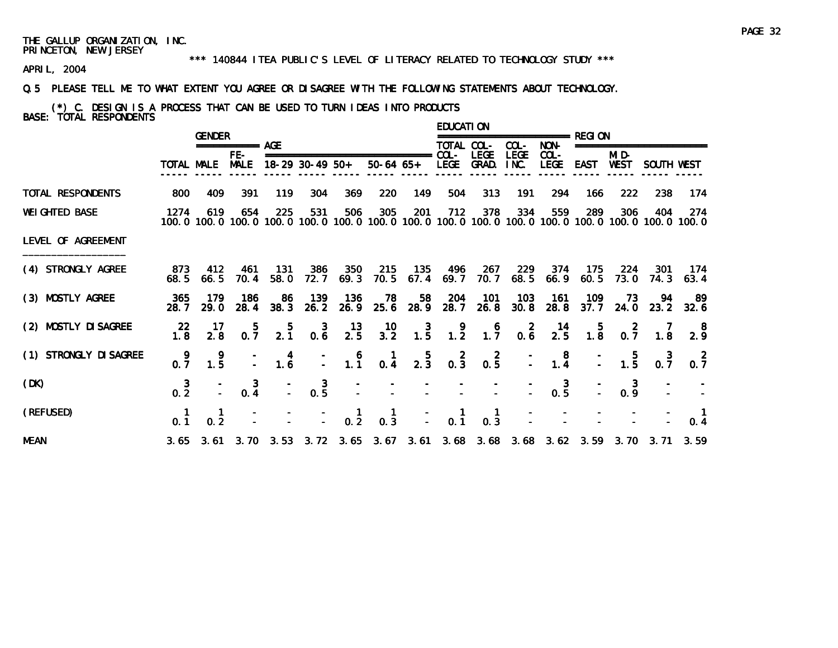#### \*\*\* 140844 ITEA PUBLIC'S LEVEL OF LITERACY RELATED TO TECHNOLOGY STUDY \*\*\*

APRIL, 2004

#### Q.5 PLEASE TELL ME TO WHAT EXTENT YOU AGREE OR DISAGREE WITH THE FOLLOWING STATEMENTS ABOUT TECHNOLOGY.

(\*) C. DESIGN IS A PROCESS THAT CAN BE USED TO TURN IDEAS INTO PRODUCTS BASE: TOTAL RESPONDENTS

|                        |                 | <b>GENDER</b> |                    |                                         |                                                           |                                         |                                                                                 |                 | <b>EDUCATION</b>                        |                       |                                                  |                                              |             |                                                      |                     |                                                                                                              |
|------------------------|-----------------|---------------|--------------------|-----------------------------------------|-----------------------------------------------------------|-----------------------------------------|---------------------------------------------------------------------------------|-----------------|-----------------------------------------|-----------------------|--------------------------------------------------|----------------------------------------------|-------------|------------------------------------------------------|---------------------|--------------------------------------------------------------------------------------------------------------|
|                        |                 |               | =========== AGE    |                                         |                                                           |                                         |                                                                                 |                 | TOTAL COL-                              |                       | COL-                                             | NON-                                         |             |                                                      | =================== |                                                                                                              |
|                        |                 | TOTAL MALE    | FE-<br><b>MALE</b> |                                         | $18-29$ 30-49 50+                                         |                                         | ===============================<br>$50-64$ $65+$                                |                 | $COL -$<br>LEGE                         | <b>LEGE</b><br>GRAD.  | <b>LEGE</b><br>INC.                              | $COL -$<br><b>LEGE</b>                       | EAST        | MI D-<br>WEST                                        | SOUTH WEST          |                                                                                                              |
| TOTAL RESPONDENTS      | 800             | 409           | 391                | 119                                     | 304                                                       | 369                                     | 220                                                                             | 149             | 504                                     | 313                   | 191                                              | 294                                          | 166         | 222                                                  | 238                 | 174                                                                                                          |
| <b>WEI GHTED BASE</b>  | 1274            | 619           | 654                | 225                                     | 531                                                       | 506                                     | 305                                                                             | 201             | 712                                     | 378                   | 334                                              | 559                                          | 289         | 306                                                  | 404                 | 274<br>100.0 100.0 100.0 100.0 100.0 100.0 100.0 100.0 100.0 100.0 100.0 100.0 100.0 100.0 100.0 100.0 100.0 |
| LEVEL OF AGREEMENT     |                 |               |                    |                                         |                                                           |                                         |                                                                                 |                 |                                         |                       |                                                  |                                              |             |                                                      |                     |                                                                                                              |
| (4) STRONGLY AGREE     | 873<br>68.5     | 412<br>66.5   | 461<br>70.4        | 131<br>58. 0                            | 386<br>72.7                                               | 350<br>69.3                             | 215<br>70.5                                                                     | 135<br>67.4     | 496<br>69.7                             | - 267<br>70.7         | 229<br>68.5                                      | 374<br>66.9                                  | 175<br>60.5 | 224<br>73.0                                          | -301<br>74.3        | 174<br>63.4                                                                                                  |
| (3) MOSTLY AGREE       | 365<br>28. 7    | 179<br>29.0   | 186<br>28.4        | 86<br>38.3                              | 139<br>26.2                                               | 136<br>26.9                             | 78<br>25.6                                                                      | 58<br>28.9      | 204<br>28.7                             | 101<br>26.8           | 103<br>30.8                                      | 161<br>28.8                                  | 109<br>37.7 | 73<br>24.0                                           | 94                  | -89<br>$23.2$ $32.6$                                                                                         |
| (2) MOSTLY DI SAGREE   | 22<br>1.8       | -17<br>2.8    | $0.\overline{7}$   | $\frac{5}{2.1}$                         | $0.\overline{6}$                                          | $\frac{13}{2.5}$                        | $\frac{10}{3.2}$                                                                | $\frac{3}{1.5}$ | $\begin{array}{c} 9 \\ 1.2 \end{array}$ | $1.7^{6}$             | $\begin{smallmatrix} 2 \\ 0.6 \end{smallmatrix}$ | $\frac{14}{2.5}$                             |             | $\begin{array}{cc} & 5 & 2 \\ 1.8 & 0.7 \end{array}$ | $\frac{7}{1.8}$     | 2.9                                                                                                          |
| (1) STRONGLY DI SAGREE | - 9<br>0.7      | -9<br>1.5     |                    | $\begin{array}{c} 4 \\ 1.6 \end{array}$ | $\mathbb{Z}^+$                                            | $\begin{array}{c} 6 \\ 1.1 \end{array}$ | $\frac{1}{0.4}$                                                                 | $\frac{5}{2.3}$ | $0.\overline{3}$                        | $0.\overline{5}$      |                                                  | $\begin{smallmatrix}8\\1.4\end{smallmatrix}$ |             | $\frac{-}{-}$ 1.5                                    | $0.\overline{7}$    | $0.\overline{7}$                                                                                             |
| (DK)                   | $\frac{3}{0.2}$ |               | 3<br>0.4           |                                         | $0.\frac{3}{5}$                                           |                                         |                                                                                 |                 |                                         |                       |                                                  | $0.\overline{5}$                             |             | 3<br>0.9                                             |                     |                                                                                                              |
| (REFUSED)              |                 | 0.2           |                    |                                         | $\begin{array}{ccc} - & - & 1 \\ - & - & 0.2 \end{array}$ |                                         | $\begin{matrix} 1 \\ 0.3 \end{matrix}$                                          | $\bar{L}$       | $\frac{1}{0.1}$                         | $\blacksquare$<br>0.3 |                                                  |                                              |             |                                                      |                     | 0.4                                                                                                          |
| <b>MEAN</b>            |                 |               |                    |                                         |                                                           |                                         | 3.65 3.61 3.70 3.53 3.72 3.65 3.67 3.61 3.68 3.68 3.68 3.62 3.59 3.70 3.71 3.59 |                 |                                         |                       |                                                  |                                              |             |                                                      |                     |                                                                                                              |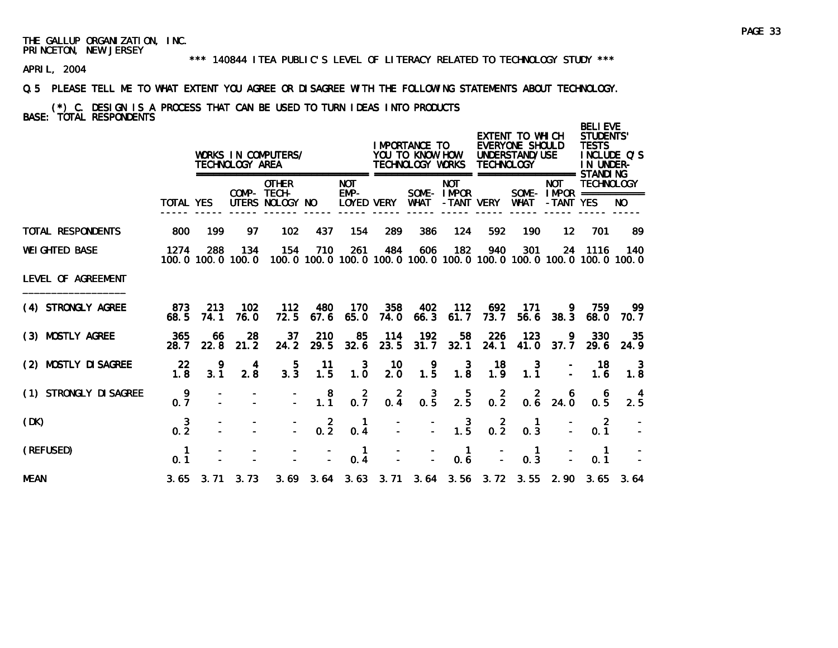#### \*\*\* 140844 ITEA PUBLIC'S LEVEL OF LITERACY RELATED TO TECHNOLOGY STUDY \*\*\*

APRIL, 2004

#### Q.5 PLEASE TELL ME TO WHAT EXTENT YOU AGREE OR DISAGREE WITH THE FOLLOWING STATEMENTS ABOUT TECHNOLOGY.

(\*) C. DESIGN IS A PROCESS THAT CAN BE USED TO TURN IDEAS INTO PRODUCTS BASE: TOTAL RESPONDENTS

|                        |                       |             | TECHNOLOGY AREA             | WORKS IN COMPUTERS/                                                                 |                       |                                    |                 | IMPORTANCE TO<br>YOU TO KNOW HOW<br>TECHNOLOGY WORKS |                                         | <b>TECHNOLOGY</b>   | EXTENT TO WHICH<br>EVERYONE SHOULD<br>UNDERSTAND/USE | =================== STANDI NG                          | <b>BELIEVE</b><br>STUDENTS'<br><b>TESTS</b><br>INCLUDE O'S<br>IN UNDER- |                                                                                     |
|------------------------|-----------------------|-------------|-----------------------------|-------------------------------------------------------------------------------------|-----------------------|------------------------------------|-----------------|------------------------------------------------------|-----------------------------------------|---------------------|------------------------------------------------------|--------------------------------------------------------|-------------------------------------------------------------------------|-------------------------------------------------------------------------------------|
|                        | <b>TOTAL YES</b>      |             |                             | <b>OTHER</b><br>COMP- TECH-<br>UTERS NOLOGY NO                                      |                       | <b>NOT</b><br>$EMP-$<br>LOYED VERY |                 | WHAT                                                 | <b>NOT</b><br>SOME-IMPOR                | -TANT VERY          | WHAT                                                 | <b>NOT</b><br>SOME - $IMPOR$ ============<br>-TANT YES | <b>TECHNOLOGY</b>                                                       | NO.                                                                                 |
| TOTAL RESPONDENTS      | 800                   | 199         | 97                          | 102                                                                                 | 437                   | 154                                | 289             | 386                                                  | 124                                     | 592                 | 190                                                  | 12 <sup>2</sup>                                        | 701                                                                     | 89                                                                                  |
| <b>WEI GHTED BASE</b>  | 1274                  | 288         | 134<br>100, 0 100, 0 100, 0 | 154                                                                                 | 710                   | 261                                | 484             | 606                                                  | 182                                     | 940                 | 301                                                  |                                                        | 24 1116                                                                 | 140<br>100, 0 100, 0 100, 0 100, 0 100, 0 100, 0 100, 0 100, 0 100, 0 100, 0 100, 0 |
| LEVEL OF AGREEMENT     |                       |             |                             |                                                                                     |                       |                                    |                 |                                                      |                                         |                     |                                                      |                                                        |                                                                         |                                                                                     |
| (4) STRONGLY AGREE     | 873<br>68.5           | 213<br>74.1 | 102<br>76.0                 | 112<br>72.5                                                                         | 480<br>67.6           | 170<br>65.0                        | 358<br>74.0     | 402<br>66.3                                          | 112<br>61.7                             | 692<br>73.7         | 171<br>56.6                                          | 9.<br>38.3                                             | 759<br>68.0                                                             | -99.<br>70. 7                                                                       |
| (3) MOSTLY AGREE       | 365<br>28.7           | 66<br>22.8  | 28<br>21.2                  | 37<br>24.2                                                                          | 210<br>29.5           | -85<br>32.6                        | 114<br>23.5     | 192<br>31.7                                          | 58<br>32.1                              | 226<br>24.1         | 123<br>41.0                                          | 9<br>37.7                                              | 330<br><b>29.6</b>                                                      | 35<br>24.9                                                                          |
| (2) MOSTLY DI SAGREE   | 22<br>1.8             | 3.1         | 4<br>2.8                    | 5<br>3.3                                                                            | -11<br>1.5            | 3<br>1.0                           | 10<br>2.0       | 9<br>$1.\overline{5}$                                | 3<br>1.8                                | 18<br>1.9           | 3<br>1.1                                             |                                                        | 18<br>1.6                                                               | -3<br>1.8                                                                           |
| (1) STRONGLY DI SAGREE | 9<br>0.7              |             |                             |                                                                                     | 8<br>$1.\overline{1}$ | $0.\overline{7}$                   | $0.\frac{2}{4}$ | $0.\frac{3}{5}$                                      | $2.\overline{5}$                        | $\mathbf{2}$<br>0.2 | -2                                                   | 6<br>$0.6$ 24.0                                        | 6<br>0.5                                                                | 2.5                                                                                 |
| (DK)                   | 3<br>$0.\overline{2}$ |             |                             |                                                                                     | $0.\overline{2}$      | 0.4                                |                 |                                                      | $\begin{array}{c} 3 \\ 1.5 \end{array}$ | $0.\overline{2}$    | 0.3                                                  |                                                        | -2<br>0.1                                                               |                                                                                     |
| (REFUSED)              | 0.1                   |             |                             |                                                                                     |                       | 0.4                                |                 |                                                      | 1<br>0.6                                |                     | 0.3                                                  |                                                        | 0.1                                                                     |                                                                                     |
| <b>MEAN</b>            |                       |             |                             | 3, 65 3, 71 3, 73 3, 69 3, 64 3, 63 3, 71 3, 64 3, 56 3, 72 3, 55 2, 90 3, 65 3, 64 |                       |                                    |                 |                                                      |                                         |                     |                                                      |                                                        |                                                                         |                                                                                     |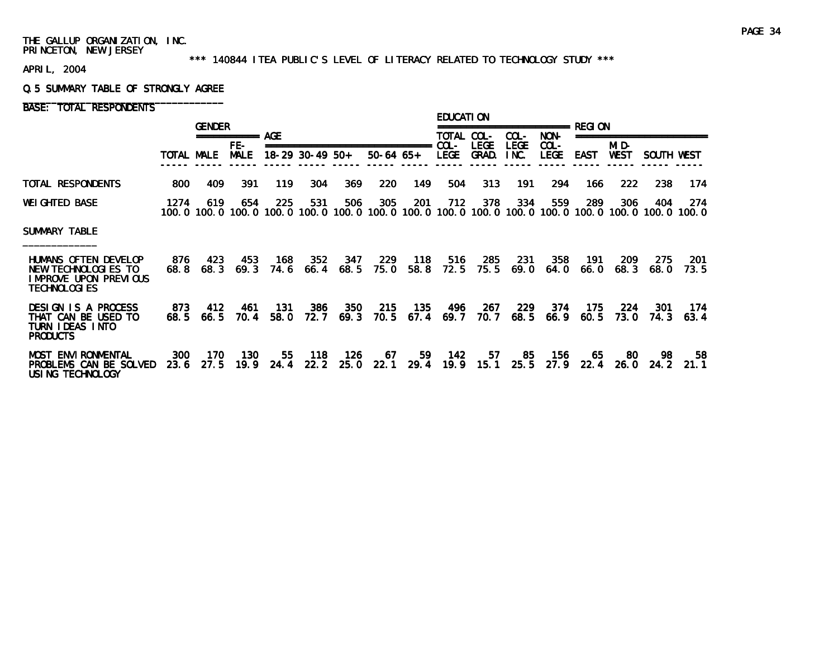#### \*\*\* 140844 ITEA PUBLIC'S LEVEL OF LITERACY RELATED TO TECHNOLOGY STUDY \*\*\*

APRIL, 2004

#### Q.5 SUMMARY TABLE OF STRONGLY AGREE

|                                                                                              |             | <b>GENDER</b> |                      |             |                   |             |                                |             | <b>EDUCATION</b>      |             |                     |                 |             |             |                                                                                                        |              |
|----------------------------------------------------------------------------------------------|-------------|---------------|----------------------|-------------|-------------------|-------------|--------------------------------|-------------|-----------------------|-------------|---------------------|-----------------|-------------|-------------|--------------------------------------------------------------------------------------------------------|--------------|
|                                                                                              |             |               | ===========<br>$FE-$ | AGF         |                   |             | ============================== |             | TOTAL COL-<br>$COL -$ | <b>LEGE</b> | COL-<br><b>LEGE</b> | NON-<br>$COL -$ |             | MID-        |                                                                                                        |              |
|                                                                                              | TOTAL MALE  |               | <b>MALE</b>          |             | $18-29$ 30-49 50+ |             | $50-64$ 65+                    |             | <b>LEGE</b>           | GRAD.       | INC.                | <b>LEGE</b>     | EAST        | <b>WEST</b> | SOUTH WEST                                                                                             |              |
| TOTAL RESPONDENTS                                                                            | 800         | 409           | 391                  | 119         | 304               | 369         | 220                            | 149         | 504                   | 313         | 191                 | 294             | 166         | 222         | 238                                                                                                    | 174          |
| <b>WEI GHTED BASE</b>                                                                        | 1274        | 619           | 654                  | 225         | 531               | 506         | 305                            | 201         | 712                   | 378         | 334                 | 559             | 289         | 306         | 404<br>100.0 100.0 100.0 100.0 100.0 100.0 100.0 100.0 100.0 100.0 100.0 100.0 100.0 100.0 100.0 100.0 | 274<br>100.0 |
| <b>SUMMARY TABLE</b>                                                                         |             |               |                      |             |                   |             |                                |             |                       |             |                     |                 |             |             |                                                                                                        |              |
| HUMANS OFTEN DEVELOP<br>NEW TECHNOLOGIES TO<br>I MPROVE UPON PREVIOUS<br><b>TECHNOLOGIES</b> | 876<br>68.8 | 423<br>68.3   | 453<br>69.3          | 168<br>74.6 | 352<br>66.4       | 347<br>68.5 | 229<br>75.0                    | 118<br>58.8 | 516<br>72.5           | 285<br>75.5 | 231<br>69.0         | 358<br>64.0     | 191<br>66.0 | 209<br>68.3 | 275<br>68.0                                                                                            | -201<br>73.5 |
| DESIGN IS A PROCESS<br>THAT CAN BE USED TO<br>TURN I DEAS INTO<br><b>PRODUCTS</b>            | 873<br>68.5 | 412<br>66.5   | 461<br>70.4          | 131<br>58.0 | 386<br>72.7       | 350<br>69.3 | 215<br>70.5                    | 135<br>67.4 | 496<br>69.7           | 267<br>70.7 | 229<br>68.5         | 374<br>66.9     | 175<br>60.5 | 224<br>73.0 | 301<br>74.3                                                                                            | 174<br>63.4  |
| <b>MOST ENVI RONMENTAL</b><br>PROBLEMS CAN BE SOLVED<br>USING TECHNOLOGY                     | 300<br>23.6 | 170<br>27.5   | 130<br>19.9          | 55<br>24.4  | 118<br>22.2       | 126<br>25.0 | 67<br>22.1                     | 59<br>29.4  | 142<br>19.9           | -57<br>15.1 | 85<br>25.5          | 156<br>27.9     | 65<br>22.4  | -80<br>26.0 | 98<br>24.2                                                                                             | 58<br>21.1   |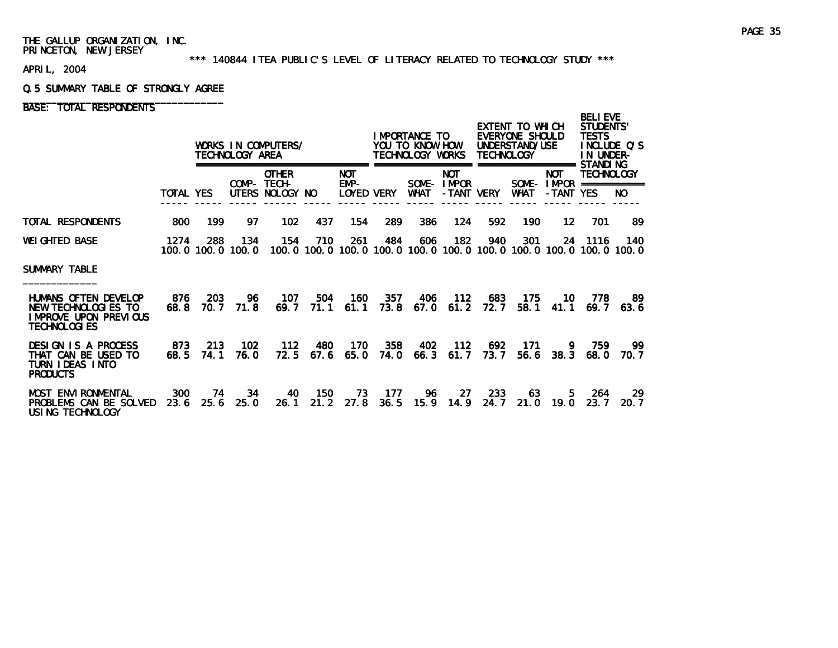#### \*\*\* 140844 ITEA PUBLIC'S LEVEL OF LITERACY RELATED TO TECHNOLOGY STUDY \*\*\*

APRIL, 2004

#### Q.5 SUMMARY TABLE OF STRONGLY AGREE

|                                                                                              |                  |                          | TECHNOLOGY AREA | WORKS IN COMPUTERS/                            |             |                            |               | IMPORTANCE TO<br>YOU TO KNOW HOW<br>TECHNOLOGY WORKS |                                        | TECHNOLOGY   | EXTENT TO WHICH<br>EVERYONE SHOULD<br>UNDERSTAND/USE                                |                                                      | <b>BELI EVE</b><br><b>STUDENTS'</b><br><b>TESTS</b><br>INCLUDE O'S<br>IN UNDER-<br>STANDI NG |              |
|----------------------------------------------------------------------------------------------|------------------|--------------------------|-----------------|------------------------------------------------|-------------|----------------------------|---------------|------------------------------------------------------|----------------------------------------|--------------|-------------------------------------------------------------------------------------|------------------------------------------------------|----------------------------------------------------------------------------------------------|--------------|
|                                                                                              | <b>TOTAL YES</b> |                          |                 | <b>OTHER</b><br>COMP- TECH-<br>UTERS NOLOGY NO |             | NOT.<br>EMP-<br>LOYED VERY |               | WHAT                                                 | <b>NOT</b><br>SOME-IMPOR<br>-TANT VERY |              | ============<br><b>WHAT</b>                                                         | <b>NOT</b><br>SOME- $IMPOR$ ===========<br>-TANT YES | TECHNOLOGY                                                                                   | NO.          |
| TOTAL RESPONDENTS                                                                            | 800              | 199                      | 97              | 102                                            | 437         | 154                        | 289           | 386                                                  | 124                                    | 592          | 190                                                                                 | 12                                                   | 701                                                                                          | -89          |
| <b>WEI GHTED BASE</b>                                                                        | 1274             | 288<br>100.0 100.0 100.0 | 134             | 154                                            | 710         | 261                        | 484           | 606                                                  | 182                                    | 940          | 301<br>100, 0 100, 0 100, 0 100, 0 100, 0 100, 0 100, 0 100, 0 100, 0 100, 0 100, 0 |                                                      | 24 1116                                                                                      | 140.         |
| SUMMARY TABLE                                                                                |                  |                          |                 |                                                |             |                            |               |                                                      |                                        |              |                                                                                     |                                                      |                                                                                              |              |
| HUMANS OFTEN DEVELOP<br>NEW TECHNOLOGIES TO<br>I MPROVE UPON PREVIOUS<br><b>TECHNOLOGIES</b> | 876<br>68.8      | 203<br>70. 7             | 96<br>71.8      | 107<br>69.7                                    | 504<br>71.1 | 160<br>61.1                | 357<br>73.8   | 406<br>67.0                                          | 112<br>61.2                            | 683<br>72. 7 | 175<br>58.1                                                                         | 10.<br>41.1                                          | 778<br>69.7                                                                                  | -89<br>63.6  |
| <b>DESIGN IS A PROCESS</b><br>THAT CAN BE USED TO<br>TURN IDEAS INTO<br><b>PRODUCTS</b>      | 873<br>68.5      | 213<br>74.1              | 102<br>76.0     | 112<br>72.5                                    | 480<br>67.6 | 170<br>65.0                | 358<br>74. 0  | 402<br>66.3                                          | 112<br>61.7                            | 692<br>73. 7 | 171<br>56.6                                                                         | 9.<br>38.3                                           | 759<br>68.0                                                                                  | -99<br>70. 7 |
| <b>MOST ENVI RONMENTAL</b><br>PROBLEMS CAN BE SOLVED<br>USING TECHNOLOGY                     | 300<br>23.6      | 74<br>25.6               | 34<br>25.0      | 40<br>26.1                                     | 150<br>21.2 | 73<br>27.8                 | - 177<br>36.5 | 96<br>15.9                                           | -27<br>14.9                            | 233<br>24.7  | 63<br>21.0                                                                          | 5.<br>19.0                                           | 264<br>23.7                                                                                  | -29<br>20.7  |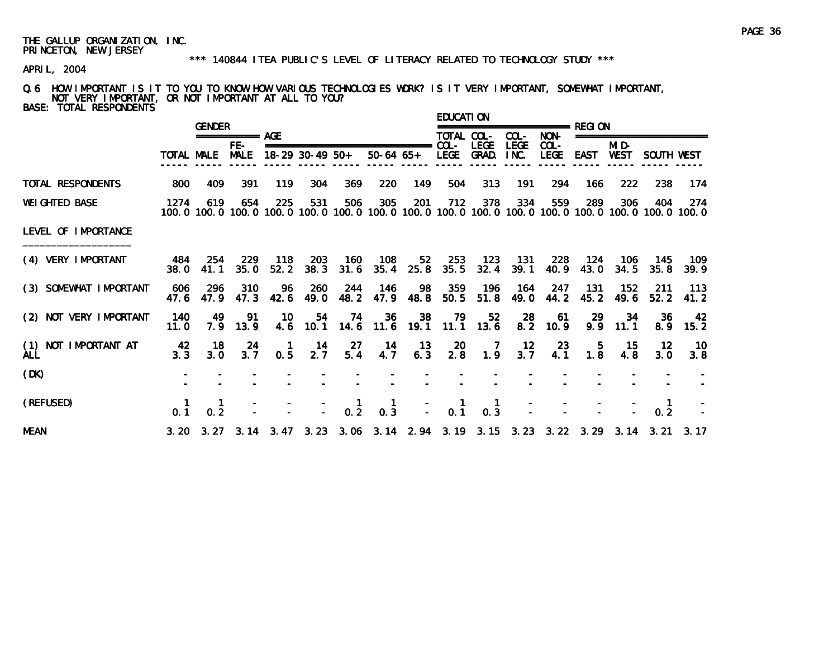#### \*\*\* 140844 ITEA PUBLIC'S LEVEL OF LITERACY RELATED TO TECHNOLOGY STUDY \*\*\*

APRIL, 2004

Q.6 HOW IMPORTANT IS IT TO YOU TO KNOW HOW VARIOUS TECHNOLOGIES WORK? IS IT VERY IMPORTANT, SOMEWHAT IMPORTANT, NOT VERY IMPORTANT, OR NOT IMPORTANT AT ALL TO YOU? BASE: TOTAL RESPONDENTS

|                                    |              | <b>GENDER</b> |                    |             |                   |             |                                                                                                                        |                  | EDUCATI ON  |                       |                     | ============= REGI ON  |               |                      |                          |              |
|------------------------------------|--------------|---------------|--------------------|-------------|-------------------|-------------|------------------------------------------------------------------------------------------------------------------------|------------------|-------------|-----------------------|---------------------|------------------------|---------------|----------------------|--------------------------|--------------|
|                                    |              |               | =========== AGE    |             |                   |             |                                                                                                                        |                  | TOTAL COL-  |                       | $COL-$              | NON-                   |               |                      | ======================== |              |
|                                    | TOTAL MALE   |               | FE-<br><b>MALE</b> |             | $18-29$ 30-49 50+ |             | $50-64$ $65+$                                                                                                          |                  | <b>LEGE</b> | LEGE<br>GRAD.         | <b>LEGE</b><br>INC. | $COL -$<br><b>LEGE</b> | <b>EAST</b>   | MI D-<br><b>WEST</b> | SOUTH WEST               |              |
| TOTAL RESPONDENTS                  | 800          | 409           | 391                | 119         | 304               | 369         | 220                                                                                                                    | 149              | 504         | 313                   | 191                 | 294                    | 166           | 222                  | 238                      | 174          |
| <b>WEI GHTED BASE</b>              | 1274         | 619           | 654                | 225         | 531               | 506         | 305<br>100, 0 100, 0 100, 0 100, 0 100, 0 100, 0 100, 0 100, 0 100, 0 100, 0 100, 0 100, 0 100, 0 100, 0 100, 0 100, 0 | 201              | 712         | 378                   | 334                 | 559                    | 289           | 306                  | 404                      | 274          |
| LEVEL OF IMPORTANCE                |              |               |                    |             |                   |             |                                                                                                                        |                  |             |                       |                     |                        |               |                      |                          |              |
| (4) VERY IMPORTANT                 | 484<br>38. O | -254<br>41.1  | 229<br>35.0        | 118<br>52.2 | 203<br>38.3       | 160<br>31.6 | 108<br>35.4                                                                                                            | 52<br>25.8       | 253<br>35.5 | - 123<br>32.4         | 131<br>39.1         | 228<br>40.9            | - 124<br>43.0 | 106<br>34.5          | 145<br>35.8              | 109.<br>39.9 |
| (3) SOMEWHAT IMPORTANT             | 606<br>47.6  | 296<br>47.9   | 310<br>47.3        | 96.<br>42.6 | 260<br>49.0       | 244<br>48.2 | - 146                                                                                                                  | -98<br>47.9 48.8 | 359<br>50.5 | 196<br>51.8           | 164<br>49.0         | 247<br>44.2            | 131<br>45.2   | 152<br>49.6          | -211<br>52.2             | 113<br>41.2  |
| (2) NOT VERY IMPORTANT             | 140<br>11.0  | 49<br>7.9     | 91<br>13.9         | 10          | 54<br>4.6 10.1    | - 74        | -36<br>14.6 11.6 19.1                                                                                                  | 38               | - 79        | 52<br>$11.1$ 13.6     | 28<br>8.2           | -61<br>10.9            | 29<br>9.9     | -34<br>11.1          | -36.<br>8.9              | 42<br>15.2   |
| (1) NOT IMPORTANT AT<br><b>ALL</b> | 42<br>3.3    | 18<br>3.0     | 24<br>3.7          | 1<br>0.5    | 14<br>2.7         | 27<br>5.4   | 14<br>4.7                                                                                                              | - 13<br>6.3      | 20<br>2.8   | $\overline{7}$<br>1.9 | 12<br>3.7           | 23<br>4.1              | $-5$<br>1.8   | 15<br>4.8            | $12 \,$<br>3.0           | 10<br>3.8    |
| (DK)                               |              |               |                    |             |                   |             |                                                                                                                        |                  |             |                       |                     |                        |               |                      |                          |              |
| (REFUSED)                          | 0.1          | 1<br>0.2      |                    |             |                   | 0.2         | 0.3                                                                                                                    |                  | 0.1         | 0.3                   |                     |                        |               |                      | 0.2                      |              |
| <b>MEAN</b>                        |              |               |                    |             |                   |             | 3, 20 3, 27 3, 14 3, 47 3, 23 3, 06 3, 14 2, 94 3, 19 3, 15 3, 23 3, 22 3, 29 3, 14 3, 21 3, 17                        |                  |             |                       |                     |                        |               |                      |                          |              |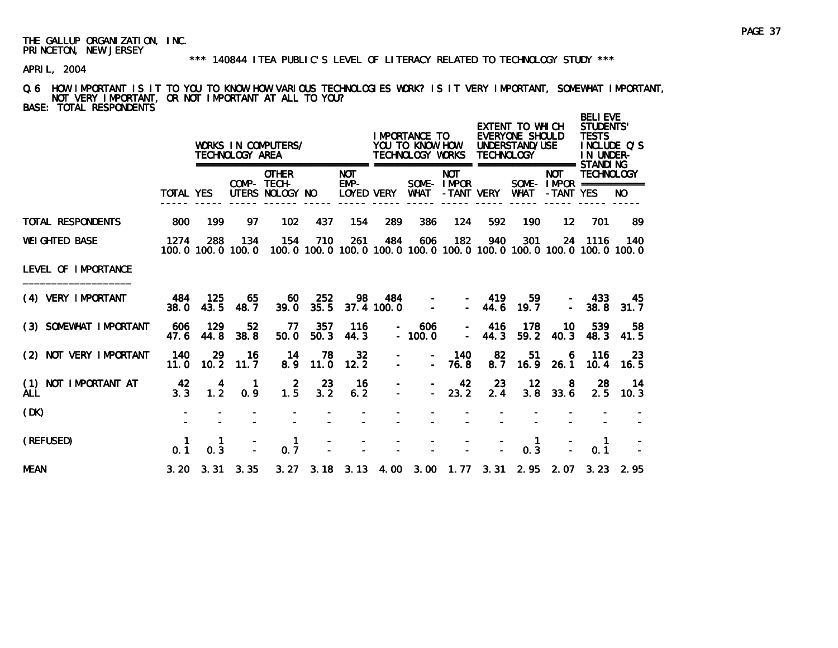#### \*\*\* 140844 ITEA PUBLIC'S LEVEL OF LITERACY RELATED TO TECHNOLOGY STUDY \*\*\*

APRIL, 2004

Q.6 HOW IMPORTANT IS IT TO YOU TO KNOW HOW VARIOUS TECHNOLOGIES WORK? IS IT VERY IMPORTANT, SOMEWHAT IMPORTANT, NOT VERY IMPORTANT, OR NOT IMPORTANT AT ALL TO YOU? BASE: TOTAL RESPONDENTS

|                                       |                  |                                         | TECHNOLOGY AREA          | WORKS IN COMPUTERS/                            |             |                                  |                   | I MPORTANCE TO<br>YOU TO KNOW HOW<br>TECHNOLOGY WORKS |                                        | <b>TECHNOLOGY</b> | EXTENT TO WHICH<br>EVERYONE SHOULD<br>UNDERSTAND/USE<br>=================== STANDI NG |                         | <b>BELIEVE</b><br><b>STUDENTS'</b><br><b>TESTS</b><br>IN UNDER- | INCLUDE Q'S |
|---------------------------------------|------------------|-----------------------------------------|--------------------------|------------------------------------------------|-------------|----------------------------------|-------------------|-------------------------------------------------------|----------------------------------------|-------------------|---------------------------------------------------------------------------------------|-------------------------|-----------------------------------------------------------------|-------------|
|                                       | <b>TOTAL YES</b> |                                         |                          | <b>OTHER</b><br>COMP- TECH-<br>UTERS NOLOGY NO |             | <b>NOT</b><br>EMP-<br>LOYED VERY |                   | <b>WHAT</b>                                           | <b>NOT</b><br>SOME-IMPOR<br>-TANT VERY |                   | <b>WHAT</b>                                                                           | <b>NOT</b><br>-TANT YES | <b>TECHNOLOGY</b><br>SOME - $IMPOR$ ===========                 | NO.         |
| <b>TOTAL RESPONDENTS</b>              | 800              | 199                                     | 97                       | 102                                            | 437         | 154                              | 289               | 386                                                   | 124                                    | 592               | 190                                                                                   | 12                      | 701                                                             | 89          |
| <b>WEI GHTED BASE</b>                 | 1274             | 288                                     | 134<br>100.0 100.0 100.0 | 154                                            | 710         | 261                              | 484               | 606                                                   | 182                                    | 940               | 301<br>100.0 100.0 100.0 100.0 100.0 100.0 100.0 100.0 100.0 100.0 100.0              |                         | 24 1116                                                         | 140         |
| LEVEL OF IMPORTANCE                   |                  |                                         |                          |                                                |             |                                  |                   |                                                       |                                        |                   |                                                                                       |                         |                                                                 |             |
| (4) VERY IMPORTANT                    | - 484<br>38.0    | 125<br>43.5                             | 65<br>48.7               | 60<br>39.0                                     | 252<br>35.5 | 98                               | 484<br>37.4 100.0 | $\overline{\phantom{a}}$                              |                                        | - 419<br>$-44.6$  | 59<br>19.7                                                                            | $\equiv$                | 433<br>38.8                                                     | 45.<br>31.7 |
| (3) SOMEWHAT IMPORTANT                | 606<br>47.6      | 129<br>44.8                             | 52<br>38.8               | 77<br>50.0                                     | 357<br>50.3 | 116<br>44.3                      |                   | 606<br>$-100.0$                                       | $\blacksquare$                         | 416<br>44.3       | 178<br>59.2                                                                           | 10<br>40.3              | 539<br>48.3                                                     | 58<br>41.5  |
| (2) NOT VERY IMPORTANT                | 140<br>11.0      | 29<br>10.2                              | 16<br>11.7               | 14<br>8.9                                      | 78<br>11.0  | $32\phantom{a}$<br>12.2          | $\equiv$          | $\sim$                                                | 140<br>76.8                            | 82<br>8.7         | 51<br>16.9                                                                            | 6<br>26.1               | 116<br>10.4                                                     | 23<br>16.5  |
| NOT IMPORTANT AT<br>(1)<br><b>ALL</b> | 42<br>3.3        | $\begin{array}{c} 4 \\ 1.2 \end{array}$ | 0.9                      | $1.\overline{5}$                               | 23<br>3.2   | 16<br>6.2                        |                   | $\sim$                                                | 42<br>23.2                             | 23<br>2.4         | 12<br>3.8                                                                             | 8<br>33.6               | 28<br>2.5                                                       | 14<br>10.3  |
| (DK)                                  |                  |                                         |                          |                                                |             |                                  |                   |                                                       |                                        |                   |                                                                                       |                         |                                                                 |             |
| (REFUSED)                             | 0.1              | 1<br>0.3                                |                          | 1<br>0.7                                       |             |                                  |                   |                                                       |                                        |                   | 1<br>0.3                                                                              |                         | -1<br>0.1                                                       |             |
| <b>MEAN</b>                           |                  |                                         | $3.20$ $3.31$ $3.35$     |                                                |             |                                  |                   |                                                       |                                        |                   | 3. 27 3. 18 3. 13 4. 00 3. 00 1. 77 3. 31 2. 95 2. 07                                 |                         |                                                                 | $3.23$ 2.95 |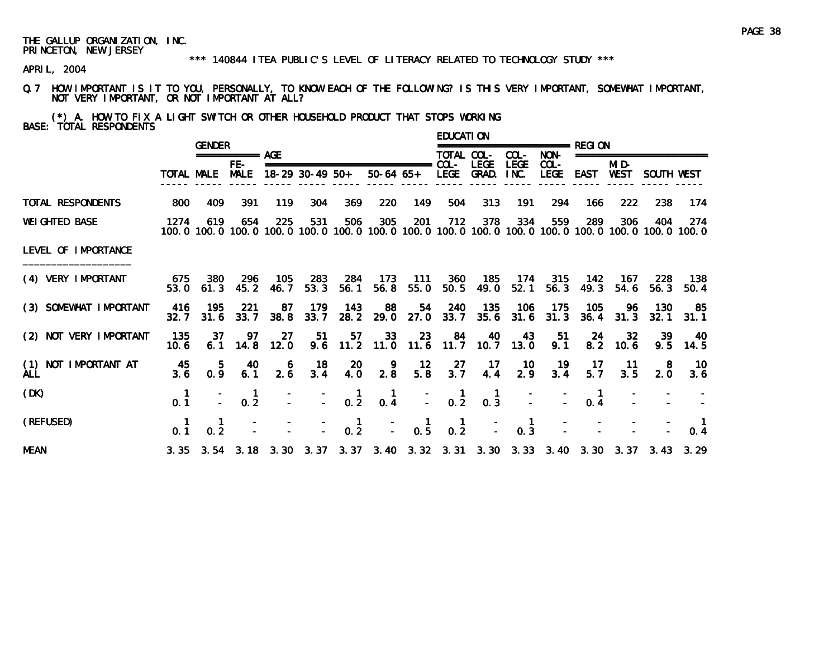#### \*\*\* 140844 ITEA PUBLIC'S LEVEL OF LITERACY RELATED TO TECHNOLOGY STUDY \*\*\*

APRIL, 2004

Q.7 HOW IMPORTANT IS IT TO YOU, PERSONALLY, TO KNOW EACH OF THE FOLLOWING? IS THIS VERY IMPORTANT, SOMEWHAT IMPORTANT, NOT VERY IMPORTANT, OR NOT IMPORTANT AT ALL?

(\*) A. HOW TO FIX A LIGHT SWITCH OR OTHER HOUSEHOLD PRODUCT THAT STOPS WORKING BASE: TOTAL RESPONDENTS

|                                    |             | <b>GENDER</b>           |                      |             |                   |                                                  |                                                                                                              |                                    | <b>EDUCATION</b>                       |                                        |                       | ================ RFGI ON |                        |                  |                      |               |
|------------------------------------|-------------|-------------------------|----------------------|-------------|-------------------|--------------------------------------------------|--------------------------------------------------------------------------------------------------------------|------------------------------------|----------------------------------------|----------------------------------------|-----------------------|--------------------------|------------------------|------------------|----------------------|---------------|
|                                    |             |                         | $== == == == ==$ AGE |             |                   |                                                  |                                                                                                              |                                    | TOTAL COL-                             |                                        | COL-                  | NON-                     |                        |                  | ==================== |               |
|                                    |             | TOTAL MALE              | FE-<br><b>MALE</b>   |             | $18-29$ 30-49 50+ |                                                  | ===============================<br>50-64 65+ LEGE GRAD.                                                      |                                    | $COL -$                                | <b>LEGE</b>                            | <b>LEGE</b><br>INC.   | $COL -$<br><b>LEGE</b>   | EAST                   | MI D-<br>WEST    | SOUTH WEST           |               |
| TOTAL RESPONDENTS                  | 800         | 409                     | 391                  | 119         | 304               | 369                                              | 220                                                                                                          | 149                                | 504                                    | 313                                    | 191                   | 294                      | 166                    | 222              | 238                  | 174           |
| <b>WEI GHTED BASE</b>              | 1274        | 619                     | 654                  | 225         | 531               | 506                                              | 305<br>100.0 100.0 100.0 100.0 100.0 100.0 100.0 100.0 100.0 100.0 100.0 100.0 100.0 100.0 100.0 100.0 100.0 | 201                                | 712                                    | 378                                    | 334                   | 559                      | 289                    | 306              | 404                  | -274          |
| LEVEL OF IMPORTANCE                |             |                         |                      |             |                   |                                                  |                                                                                                              |                                    |                                        |                                        |                       |                          |                        |                  |                      |               |
| (4) VERY IMPORTANT                 | 675         | 380<br>$53.0\quad 61.3$ | 296<br>45.2          | 105<br>46.7 | 283<br>53.3       | 284<br>56.1                                      | 173<br>56.8                                                                                                  | 111<br>55.0                        |                                        | 360 185<br>50.5 49.0                   | 52.1                  | 174 315<br>56.3          | 142<br>49.3            | - 167<br>54.6    | -228<br>56.3         | - 138<br>50.4 |
| (3) SOMEWHAT IMPORTANT             | 416<br>32.7 | 195<br>31.6             | 221<br>33.7          | -87<br>38.8 | 179<br>33.7       | 143<br>28.2                                      | 88<br>29.0                                                                                                   | 54<br>27.0                         | 240<br>33.7                            | 135<br>35.6                            | 106                   | 175<br>$31.6$ $31.3$     | 105<br>36.4            | -96<br>31.3      | 130<br>32.1          | -85<br>31.1   |
| (2) NOT VERY IMPORTANT             | 135<br>10.6 | -37<br>6.1              | 97<br>14.8           | 27<br>12.0  | 51                | 57                                               | 33<br>$9.6$ 11.2 11.0                                                                                        | 23<br>$11.6$ 11.7                  | 84                                     | 40<br>10.7                             | 43<br>13.0            | 51<br>9.1                | 24                     | 32<br>$8.2$ 10.6 | 39<br>9.5            | 40<br>14.5    |
| (1) NOT IMPORTANT AT<br><b>ALL</b> | 45<br>3.6   | 5.<br>0.9               | 40<br>6.1            | 6<br>2.6    | 18<br>3.4         | -20<br>4.0                                       | $\begin{smallmatrix} 9 \\ 2.8 \end{smallmatrix}$                                                             | $\frac{12}{5.8}$                   | $\frac{27}{3.7}$                       | $-17$<br>4.4                           | - 10<br>2.9           | 19<br>3.4                | 17<br>$5.\overline{7}$ | $-11$<br>3.5     | 8<br>2.0             | 10<br>3.6     |
| (DK)                               | 0.1         |                         | 0.2                  |             |                   | $\frac{1}{0.2}$                                  | $0.\dot{4}$                                                                                                  | $\mathbb{Z}^{\mathbb{Z}^{\times}}$ | $\begin{matrix} 1 \\ 0.2 \end{matrix}$ | $\begin{matrix} 1 \\ 0.3 \end{matrix}$ |                       |                          | 0.4                    |                  |                      |               |
| (REFUSED)                          | 0.1         | 0.2                     |                      |             |                   | $\begin{smallmatrix} 1 \\ 0.2 \end{smallmatrix}$ |                                                                                                              | $\frac{1}{2}$ 0.5                  | $\frac{1}{0.2}$                        |                                        | $\blacksquare$<br>0.3 |                          |                        |                  |                      | 0.4           |
| <b>MEAN</b>                        |             |                         |                      |             |                   |                                                  | 3. 35 3. 54 3. 18 3. 30 3. 37 3. 37 3. 40 3. 32 3. 31 3. 30 3. 33 3. 40 3. 30 3. 37 3. 43 3. 29              |                                    |                                        |                                        |                       |                          |                        |                  |                      |               |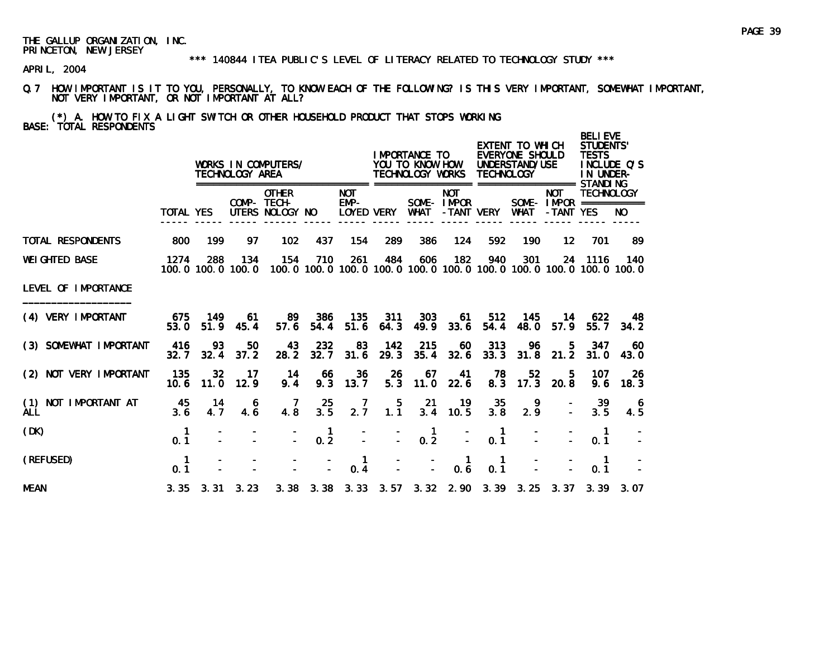#### \*\*\* 140844 ITEA PUBLIC'S LEVEL OF LITERACY RELATED TO TECHNOLOGY STUDY \*\*\*

APRIL, 2004

Q.7 HOW IMPORTANT IS IT TO YOU, PERSONALLY, TO KNOW EACH OF THE FOLLOWING? IS THIS VERY IMPORTANT, SOMEWHAT IMPORTANT, NOT VERY IMPORTANT, OR NOT IMPORTANT AT ALL?

(\*) A. HOW TO FIX A LIGHT SWITCH OR OTHER HOUSEHOLD PRODUCT THAT STOPS WORKING BASE: TOTAL RESPONDENTS

|                                    |                  |               | TECHNOLOGY AREA          | WORKS IN COMPUTERS/                            |                                    |                                    |                  | <b>IMPORTANCE TO</b><br>YOU TO KNOW HOW<br>TECHNOLOGY WORKS                         |                          | <b>TECHNOLOGY</b>     | EXTENT TO WHICH<br>EVERYONE SHOULD<br>UNDERSTAND/USE<br>=================== STANDI NG |                                                        | <b>BELI EVE</b><br>STUDENTS'<br><b>TESTS</b><br>IN UNDER- | INCLUDE O'S |
|------------------------------------|------------------|---------------|--------------------------|------------------------------------------------|------------------------------------|------------------------------------|------------------|-------------------------------------------------------------------------------------|--------------------------|-----------------------|---------------------------------------------------------------------------------------|--------------------------------------------------------|-----------------------------------------------------------|-------------|
|                                    | <b>TOTAL YES</b> |               |                          | <b>OTHER</b><br>COMP- TECH-<br>UTERS NOLOGY NO |                                    | <b>NOT</b><br>$EMP-$<br>LOYED VERY |                  | <b>WHAT</b>                                                                         | <b>NOT</b><br>SOME-IMPOR | -TANT VERY            | WHAT                                                                                  | <b>NOT</b><br>SOME - $IMPOR$ ============<br>-TANT YES | <b>TECHNOLOGY</b>                                         | NO.         |
| <b>TOTAL RESPONDENTS</b>           | 800              | 199           | 97                       | 102 <sub>2</sub>                               | 437                                | 154                                | 289              | 386                                                                                 | 124                      | 592                   | 190                                                                                   | 12                                                     | 701                                                       | -89         |
| <b>WEI GHTED BASE</b>              | 1274             | 288           | 134<br>100.0 100.0 100.0 | 154                                            | 710                                | 261                                | 484              | 606<br>100, 0 100, 0 100, 0 100, 0 100, 0 100, 0 100, 0 100, 0 100, 0 100, 0 100, 0 | 182                      | 940                   | 301                                                                                   |                                                        | 24 1116                                                   | 140         |
| LEVEL OF IMPORTANCE                |                  |               |                          |                                                |                                    |                                    |                  |                                                                                     |                          |                       |                                                                                       |                                                        |                                                           |             |
| (4) VERY IMPORTANT                 | 675<br>53.0      | - 149<br>51.9 | -61<br>45.4              | 89.<br>57.6                                    | 386<br>54.4                        | 135<br>51.6                        | 311<br>64.3      | 303<br>49.9                                                                         | 61.<br>33.6              | 512<br>54.4           | 145<br>48.0                                                                           | 14<br>57.9                                             | 622<br>55.7                                               | 48.<br>34.2 |
| (3) SOMEWHAT IMPORTANT             | 416<br>32.7      | 93<br>32.4    | 50<br>37.2               | 43<br>28.2                                     | 232<br>32.7                        | 83<br>31.6                         | 142<br>29.3      | 215<br>35.4                                                                         | 60<br>32.6               | 313<br>33.3           | 96<br>31.8                                                                            | 5.<br>21.2                                             | 347<br>31.0                                               | 60<br>43.0  |
| (2) NOT VERY IMPORTANT             | 135<br>10.6      | 32<br>11.0    | -17<br>12.9              | 14<br>9.4                                      | -66<br>9.3                         | 36<br>13.7                         | 26<br>5.3        | 67<br>11.0                                                                          | 41<br>22.6               | 78<br>8.3             | 52<br>17.3                                                                            | 5.<br>20.8                                             | 107<br>9.6                                                | -26<br>18.3 |
| (1) NOT IMPORTANT AT<br><b>ALL</b> | -45<br>3.6       | 14<br>4.7     | 6<br>4.6                 | 7<br>4.8                                       | 25<br>3.5                          | $2.\overline{7}$                   | $1.\overline{1}$ | -21                                                                                 | $-19$<br>$3.4$ 10.5      | - 35<br>3.8           | 9<br>2.9                                                                              |                                                        | -39<br>3.5                                                | -6<br>4.5   |
| (DK)                               | 0.1              |               |                          |                                                | $\blacksquare$<br>$0.\overline{2}$ |                                    |                  | $\overline{1}$<br>$0.\overline{2}$                                                  |                          | $\mathbf{1}$<br>0.1   |                                                                                       |                                                        | $\mathbf{1}$<br>0.1                                       |             |
| (REFUSED)                          | 0.1              |               |                          |                                                |                                    | $\mathbf{1}$<br>0.4                |                  |                                                                                     | $\mathbf{1}$<br>0.6      | $\overline{1}$<br>0.1 |                                                                                       |                                                        | $\overline{1}$<br>0.1                                     |             |
| <b>MEAN</b>                        |                  |               | $3.35$ $3.31$ $3.23$     |                                                |                                    |                                    |                  | 3. 38 3. 38 3. 33 3. 57 3. 32 2. 90 3. 39 3. 25 3. 37 3. 39 3. 07                   |                          |                       |                                                                                       |                                                        |                                                           |             |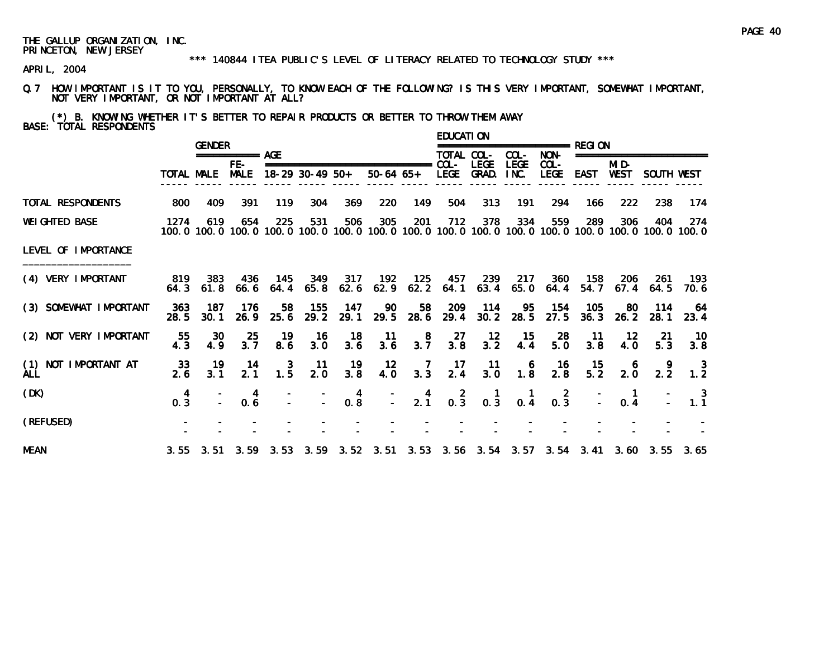#### \*\*\* 140844 ITEA PUBLIC'S LEVEL OF LITERACY RELATED TO TECHNOLOGY STUDY \*\*\*

APRIL, 2004

Q.7 HOW IMPORTANT IS IT TO YOU, PERSONALLY, TO KNOW EACH OF THE FOLLOWING? IS THIS VERY IMPORTANT, SOMEWHAT IMPORTANT, NOT VERY IMPORTANT, OR NOT IMPORTANT AT ALL?

(\*) B. KNOWING WHETHER IT'S BETTER TO REPAIR PRODUCTS OR BETTER TO THROW THEM AWAY BASE: TOTAL RESPONDENTS

|                                    |             | <b>GENDER</b> |                 |                 |                   |             |                                                                                 |                                              | <b>EDUCATION</b> |                                        |                                         | ================ RFGI ON           |                  |                          |                  |                                                                                                               |
|------------------------------------|-------------|---------------|-----------------|-----------------|-------------------|-------------|---------------------------------------------------------------------------------|----------------------------------------------|------------------|----------------------------------------|-----------------------------------------|------------------------------------|------------------|--------------------------|------------------|---------------------------------------------------------------------------------------------------------------|
|                                    |             |               | =========== AGE |                 |                   |             |                                                                                 |                                              | TOTAL COL-       |                                        | COL-                                    | NON-                               |                  | ======================== |                  |                                                                                                               |
|                                    |             | TOTAL MALE    | FE-<br>MALE     |                 | $18-29$ 30-49 50+ |             | ===============================<br>50-64 65+ LEGE                               |                                              | $COL -$          | <b>LEGE</b><br>GRAD.                   | <b>LEGE</b><br>INC.                     | $COL -$<br><b>LEGE</b>             | EAST             | MI D-<br>WEST            | SOUTH WEST       |                                                                                                               |
| TOTAL RESPONDENTS                  | 800         | 409           | 391             | 119             | 304               | 369         | 220                                                                             | 149                                          | 504              | 313                                    | 191                                     | 294                                | 166              | 222                      | 238              | 174                                                                                                           |
| <b>WEI GHTED BASE</b>              | 1274        | 619           | 654             | 225             | 531               | 506         | 305                                                                             | 201                                          | 712              | 378                                    | 334                                     | 559                                | 289              | 306                      | 404              | -274<br>100.0 100.0 100.0 100.0 100.0 100.0 100.0 100.0 100.0 100.0 100.0 100.0 100.0 100.0 100.0 100.0 100.0 |
| LEVEL OF IMPORTANCE                |             |               |                 |                 |                   |             |                                                                                 |                                              |                  |                                        |                                         |                                    |                  |                          |                  |                                                                                                               |
| (4) VERY IMPORTANT                 | 819<br>64.3 | 383<br>61.8   | 436<br>66.6     | 64.4            | 145 349<br>65.8   | 317<br>62.6 | 192                                                                             | 125<br>$62.9$ $62.2$                         | 64.1             | 457 239<br>63.4                        | 217<br>65. 0                            | 360<br>64.4                        | 158<br>54.7      | -206<br>67.4             | -261<br>64.5     | -193<br>70. 6                                                                                                 |
| (3) SOMEWHAT IMPORTANT             | 363<br>28.5 | 187<br>30.1   | 176<br>26.9     | 58.<br>25.6     | 155<br>29.2       | 147<br>29.1 | 90<br>29.5                                                                      | 58<br>28.6                                   | 209<br>29.4      | 114<br>30.2                            | 95<br>28.5                              | 154<br>27.5                        | 105<br>36.3      | -80<br>26.2              | 114<br>28.1      | -64<br>23.4                                                                                                   |
| (2) NOT VERY IMPORTANT             | 55<br>4.3   | 30<br>4.9     | 25<br>3.7       | 19<br>8.6       | 16<br>3.0         | 18<br>3.6   | $-11$<br>3.6                                                                    | $\begin{smallmatrix}8\\3.7\end{smallmatrix}$ | 27<br>3.8        | $\frac{12}{3.2}$                       | 15<br>4.4                               | 28<br>5.0                          | $-11$<br>3.8     | - 12<br>4.0              | -21<br>5.3       | 10<br>3.8                                                                                                     |
| (1) NOT IMPORTANT AT<br><b>ALL</b> | 33<br>2.6   | 19<br>3.1     | -14<br>2.1      | $\frac{3}{1.5}$ | -11<br>2.0        | 19<br>3.8   | 12<br>4.0                                                                       | $\begin{array}{c} 7 \\ 3.3 \end{array}$      | $\frac{17}{2.4}$ | $\frac{11}{3.0}$                       | $\begin{array}{c} 6 \\ 1.8 \end{array}$ | $\frac{16}{2.8}$                   | $\frac{15}{5.2}$ | $\frac{6}{2.0}$          | $2.\overline{2}$ | 1.2                                                                                                           |
| (DK)                               | 4<br>0.3    |               | 4<br>0.6        |                 |                   | 4<br>0.8    | D.                                                                              | $\frac{4}{2.1}$                              | $0.\overline{3}$ | $\begin{matrix} 1 \\ 0.3 \end{matrix}$ | $\blacksquare$<br>0.4                   | $\overline{2}$<br>$0.\overline{3}$ |                  | $\blacksquare$<br>0.4    |                  | $\overline{\mathbf{3}}$<br>1.1                                                                                |
| (REFUSED)                          |             |               |                 |                 |                   |             |                                                                                 |                                              |                  |                                        |                                         |                                    |                  |                          |                  |                                                                                                               |
| <b>MEAN</b>                        |             |               |                 |                 |                   |             | 3.55 3.51 3.59 3.53 3.59 3.52 3.51 3.53 3.56 3.54 3.57 3.54 3.41 3.60 3.55 3.65 |                                              |                  |                                        |                                         |                                    |                  |                          |                  |                                                                                                               |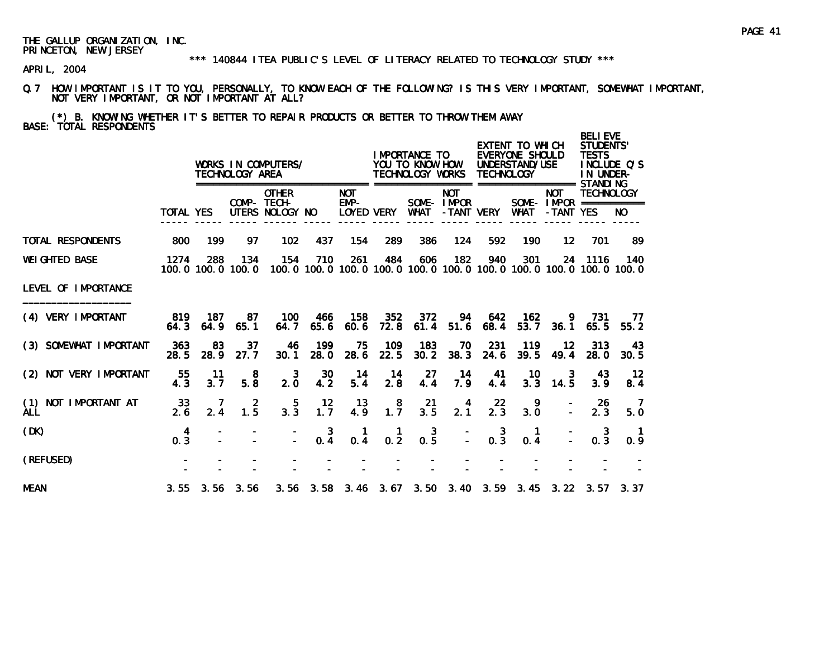\*\*\* 140844 ITEA PUBLIC'S LEVEL OF LITERACY RELATED TO TECHNOLOGY STUDY \*\*\*

APRIL, 2004

Q.7 HOW IMPORTANT IS IT TO YOU, PERSONALLY, TO KNOW EACH OF THE FOLLOWING? IS THIS VERY IMPORTANT, SOMEWHAT IMPORTANT, NOT VERY IMPORTANT, OR NOT IMPORTANT AT ALL?

(\*) B. KNOWING WHETHER IT'S BETTER TO REPAIR PRODUCTS OR BETTER TO THROW THEM AWAY BASE: TOTAL RESPONDENTS

|                                       |                  |                 | TECHNOLOGY AREA          | WORKS IN COMPUTERS/                            |                 |                                  |                  | I MPORTANCE TO<br>YOU TO KNOW HOW<br>TECHNOLOGY WORKS |                          | <b>TECHNOLOGY</b>                               | EXTENT TO WHICH<br>EVERYONE SHOULD<br>UNDERSTAND/USE |                                                                              | <b>BELIEVE</b><br>STUDENTS'<br><b>TESTS</b><br>IN UNDER- | INCLUDE O'S          |
|---------------------------------------|------------------|-----------------|--------------------------|------------------------------------------------|-----------------|----------------------------------|------------------|-------------------------------------------------------|--------------------------|-------------------------------------------------|------------------------------------------------------|------------------------------------------------------------------------------|----------------------------------------------------------|----------------------|
|                                       | <b>TOTAL YES</b> |                 |                          | <b>OTHER</b><br>COMP- TECH-<br>UTERS NOLOGY NO |                 | <b>NOT</b><br>EMP-<br>LOYED VERY |                  | WHAT                                                  | <b>NOT</b><br>SOME-IMPOR | -TANT VERY                                      | WHAT                                                 | <b>NOT</b><br>SOME - $IMPOR$ ============<br>-TANT YES                       | <b>TECHNOLOGY</b>                                        | NO.                  |
| <b>TOTAL RESPONDENTS</b>              | 800              | 199             | 97                       | 102                                            | 437             | 154                              | 289              | 386                                                   | 124                      | 592                                             | 190                                                  | $12 \,$                                                                      | 701                                                      | -89                  |
| <b>WEI GHTED BASE</b>                 | 1274             | 288             | 134<br>100.0 100.0 100.0 | 154                                            | 710             | 261                              | 484              | 606                                                   | 182                      | 940                                             | 301                                                  | 100, 0 100, 0 100, 0 100, 0 100, 0 100, 0 100, 0 100, 0 100, 0 100, 0 100, 0 | 24 1116                                                  | 140                  |
| LEVEL OF IMPORTANCE                   |                  |                 |                          |                                                |                 |                                  |                  |                                                       |                          |                                                 |                                                      |                                                                              |                                                          |                      |
| (4) VERY IMPORTANT                    | 64.3             | 819 187<br>64.9 | 87<br>65.1               | 100<br>64.7                                    | 466<br>65.6     | 158<br>60.6                      | 352<br>72.8      | 372<br>61.4                                           | 94<br>51.6               | 642<br>68.4                                     | 162<br>53.7                                          | 9.<br>36.1                                                                   | 731<br>65.5                                              | -77<br>55.2          |
| (3) SOMEWHAT IMPORTANT                | 363<br>28.5      | 83<br>28.9      | 37<br>27.7               | 46<br>30.1                                     | 199<br>28.0     | 75<br>28.6                       | 109<br>22.5      | 183<br>30.2                                           | 70<br>38.3               | 231<br>24.6                                     | 119<br>39.5                                          | 12<br>49.4                                                                   | 313<br>28.0                                              | 43<br>30.5           |
| (2) NOT VERY IMPORTANT                | 55<br>4.3        | 11<br>3.7       | -8<br>5.8                | 3<br>2.0                                       | 30<br>4.2       | 14<br>5.4                        | -14<br>2.8       | 27<br>4.4                                             | -14<br>7.9               | 41<br>4.4                                       | 10<br>3.3                                            | 3<br>14.5                                                                    | 43.<br>3.9                                               | $12 \,$<br>8.4       |
| NOT IMPORTANT AT<br>(1)<br><b>ALL</b> | 33<br>2.6        | 7<br>2.4        | 2<br>$1.\overline{5}$    | $3.\overline{3}$                               | 12<br>1.7       | 13<br>4.9                        | $1.\overline{7}$ | 21<br>3.5                                             | 4<br>2.1                 | 22<br>2.3                                       | 9<br>3.0                                             |                                                                              | -26<br>2.3                                               | - 7<br>5.0           |
| (DK)                                  | 4<br>0.3         |                 |                          |                                                | $0.\frac{3}{4}$ | 0.4                              | $0.\overline{2}$ | $0.\overline{5}$                                      |                          | $\begin{smallmatrix}&&3\\&0.3\end{smallmatrix}$ | 0.4                                                  |                                                                              | $0.\overline{3}$                                         | $\mathbf{1}$<br>0.9  |
| (REFUSED)                             |                  |                 |                          |                                                |                 |                                  |                  |                                                       |                          |                                                 |                                                      |                                                                              |                                                          |                      |
| <b>MEAN</b>                           |                  |                 | $3.55$ $3.56$ $3.56$     |                                                |                 |                                  |                  | 3.56 3.58 3.46 3.67 3.50 3.40 3.59 3.45               |                          |                                                 |                                                      |                                                                              |                                                          | $3.22$ $3.57$ $3.37$ |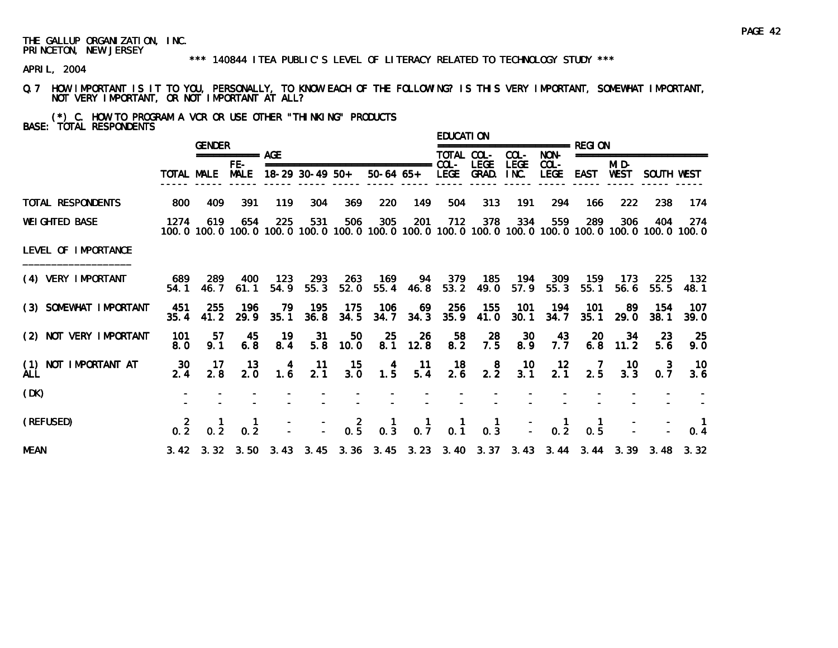#### \*\*\* 140844 ITEA PUBLIC'S LEVEL OF LITERACY RELATED TO TECHNOLOGY STUDY \*\*\*

APRIL, 2004

Q.7 HOW IMPORTANT IS IT TO YOU, PERSONALLY, TO KNOW EACH OF THE FOLLOWING? IS THIS VERY IMPORTANT, SOMEWHAT IMPORTANT, NOT VERY IMPORTANT, OR NOT IMPORTANT AT ALL?

(\*) C. HOW TO PROGRAM A VCR OR USE OTHER "THINKING" PRODUCTS BASE: TOTAL RESPONDENTS

|                             |             | <b>GENDER</b>                                                  |                      |                                         |                   |             |                                 |                      | <b>EDUCATION</b> |                    |                     | ================ RFGI ON                                                        |                 |                  |                          |                                                                                                                         |
|-----------------------------|-------------|----------------------------------------------------------------|----------------------|-----------------------------------------|-------------------|-------------|---------------------------------|----------------------|------------------|--------------------|---------------------|---------------------------------------------------------------------------------|-----------------|------------------|--------------------------|-------------------------------------------------------------------------------------------------------------------------|
|                             |             |                                                                | =========== AGE      |                                         |                   |             |                                 |                      | TOTAL COL-       |                    | COL-                | NON-                                                                            |                 |                  | ======================== |                                                                                                                         |
|                             | TOTAL MALE  |                                                                | $FE-$<br><b>MALE</b> |                                         | $18-29$ 30-49 50+ |             | =============================== | 50-64 65+ LEGE GRAD. | $COL -$          | <b>LEGE</b>        | <b>LEGE</b><br>INC. | $COL -$<br><b>LEGE</b>                                                          | EAST            | MI D-<br>WEST    | SOUTH WEST               |                                                                                                                         |
| TOTAL RESPONDENTS           | 800         | 409                                                            | 391                  | 119                                     | 304               | 369         | 220                             | 149                  | 504              | 313                | 191                 | 294                                                                             | 166             | 222              | 238                      | 174                                                                                                                     |
| <b>WEI GHTED BASE</b>       | 1274        | 619                                                            | 654                  | 225                                     | 531               | 506         | 305                             | 201                  | 712              | 378                | 334                 | 559                                                                             | 289             | 306              | 404                      | -274<br>100, 0 100, 0 100, 0 100, 0 100, 0 100, 0 100, 0 100, 0 100, 0 100, 0 100, 0 100, 0 100, 0 100, 0 100, 0 100, 0 |
| LEVEL OF IMPORTANCE         |             |                                                                |                      |                                         |                   |             |                                 |                      |                  |                    |                     |                                                                                 |                 |                  |                          |                                                                                                                         |
| (4) VERY IMPORTANT          | 689<br>54.1 | -289<br>46.7                                                   | 400<br>61.1          | 123<br>54.9                             | 293<br>55.3       | 263<br>52.0 | 169                             | 55.4 46.8            | 53.2             | 94 379 185<br>49.0 | 194<br>57.9         | 309<br>55.3                                                                     | 159<br>55.1     | -173<br>56.6     | 225<br>55.5              | 132<br>48.1                                                                                                             |
| (3) SOMEWHAT IMPORTANT      | 451<br>35.4 | 255<br>41.2                                                    | 196<br>29.9          | 79.<br>35.1                             | 195<br>36.8       | 175<br>34.5 | 106<br>34.7                     | 69<br>34.3           | -256<br>35.9     | 155<br>41.0        | 101<br>30.1         | 194<br>34.7                                                                     | 101<br>35.1     | -89<br>29.0      | 154<br>38.1              | 107<br>39.0                                                                                                             |
| (2) NOT VERY IMPORTANT      | 101<br>8.0  | 57<br>9.1                                                      | 45<br>6.8            | 19<br>8.4                               | 31<br>5.8         | 50<br>10.0  | 25                              | 26<br>8.1 12.8       | 58<br>8.2        | 28<br>7.5          | 30<br>8.9           | 43<br>7.7                                                                       | 20              | 34<br>$6.8$ 11.2 | -23<br>5.6               | 25<br>9.0                                                                                                               |
| (1) NOT IMPORTANT AT<br>ALL | 30<br>2.4   | $-17$<br>2.8                                                   | -13<br>2.0           | $\begin{array}{c} 4 \\ 1.6 \end{array}$ | $\frac{11}{2.1}$  | 15<br>3.0   | $1.\frac{4}{5}$                 | $-11$<br>5.4         | $\frac{18}{2.6}$ | $2.\overline{2}$   | $\frac{10}{3.1}$    | $\frac{12}{2.1}$                                                                | $\frac{7}{2.5}$ | 10<br>3.3        | 3<br>0.7                 | 10<br>3.6                                                                                                               |
| (DK)                        |             |                                                                |                      |                                         |                   |             |                                 |                      |                  |                    |                     |                                                                                 |                 |                  |                          |                                                                                                                         |
| (REFUSED)                   |             | $\begin{array}{cccc} 2 & 1 & 1 \\ 0.2 & 0.2 & 0.2 \end{array}$ |                      |                                         |                   |             |                                 |                      |                  |                    |                     | $   2$ $1$ $1$ $1$ $1$ $ 1$<br>$ -$ 0.5 0.3 0.7 0.1 0.3 $-$ 0.2                 | $\frac{1}{0.5}$ |                  |                          |                                                                                                                         |
| <b>MEAN</b>                 |             |                                                                |                      |                                         |                   |             |                                 |                      |                  |                    |                     | 3.42 3.32 3.50 3.43 3.45 3.36 3.45 3.23 3.40 3.37 3.43 3.44 3.44 3.39 3.48 3.32 |                 |                  |                          |                                                                                                                         |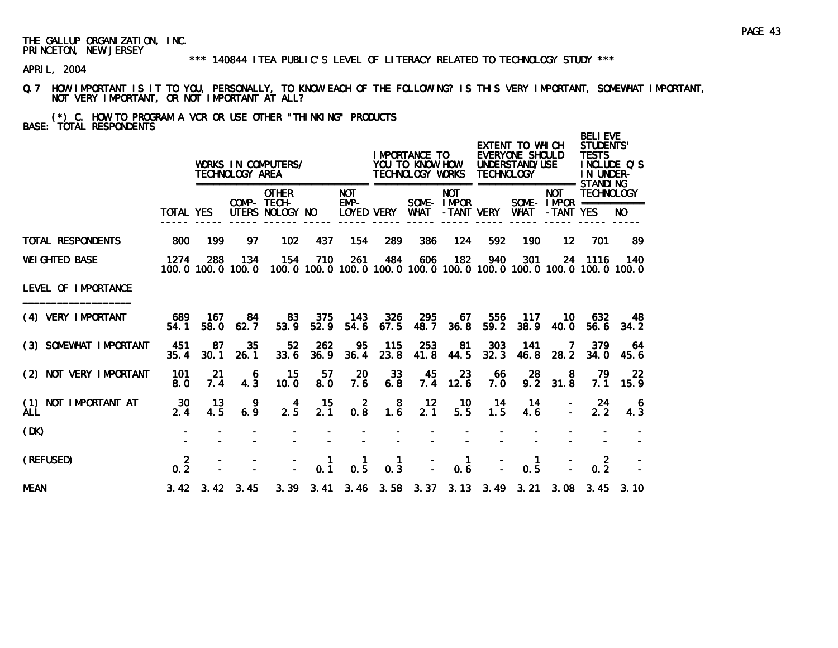#### \*\*\* 140844 ITEA PUBLIC'S LEVEL OF LITERACY RELATED TO TECHNOLOGY STUDY \*\*\*

APRIL, 2004

Q.7 HOW IMPORTANT IS IT TO YOU, PERSONALLY, TO KNOW EACH OF THE FOLLOWING? IS THIS VERY IMPORTANT, SOMEWHAT IMPORTANT, NOT VERY IMPORTANT, OR NOT IMPORTANT AT ALL?

(\*) C. HOW TO PROGRAM A VCR OR USE OTHER "THINKING" PRODUCTS BASE: TOTAL RESPONDENTS

|                                       |                       |             | TECHNOLOGY AREA              | WORKS IN COMPUTERS/                            |                     |                                                                                     |                     | I MPORTANCE TO<br>YOU TO KNOW HOW<br>TECHNOLOGY WORKS |                          | <b>TECHNOLOGY</b> | EXTENT TO WHICH<br>EVERYONE SHOULD<br>UNDERSTAND/USE |                                                       | <b>BELIEVE</b><br>STUDENTS'<br><b>TESTS</b><br>IN UNDER- | INCLUDE Q'S          |
|---------------------------------------|-----------------------|-------------|------------------------------|------------------------------------------------|---------------------|-------------------------------------------------------------------------------------|---------------------|-------------------------------------------------------|--------------------------|-------------------|------------------------------------------------------|-------------------------------------------------------|----------------------------------------------------------|----------------------|
|                                       | <b>TOTAL YES</b>      |             |                              | <b>OTHER</b><br>COMP- TECH-<br>UTERS NOLOGY NO |                     | <b>NOT</b><br>EMP-<br>LOYED VERY                                                    |                     | WHAT                                                  | <b>NOT</b><br>SOME-IMPOR | -TANT VERY        | <b>WHAT</b>                                          | <b>NOT</b><br>SOME- $IMPROR$ ===========<br>-TANT YES | <b>TECHNOLOGY</b>                                        | NO.                  |
| <b>TOTAL RESPONDENTS</b>              | 800                   | 199         | 97                           | 102                                            | 437                 | 154                                                                                 | 289                 | 386                                                   | 124                      | 592               | 190                                                  | $12 \overline{ }$                                     | 701                                                      | 89                   |
| <b>WEI GHTED BASE</b>                 | 1274                  | 288         | 134<br>100.0 100.0 100.0     | 154                                            | 710                 | 261<br>100, 0 100, 0 100, 0 100, 0 100, 0 100, 0 100, 0 100, 0 100, 0 100, 0 100, 0 | 484                 | 606                                                   | 182                      | 940               | 301                                                  |                                                       | 24 1116                                                  | 140                  |
| LEVEL OF IMPORTANCE                   |                       |             |                              |                                                |                     |                                                                                     |                     |                                                       |                          |                   |                                                      |                                                       |                                                          |                      |
| (4) VERY IMPORTANT                    | 689<br>54.1           | 167<br>58.0 | 84<br>62.7                   | 83<br>53.9                                     | 375<br>52.9         | 143<br>54.6                                                                         | 326<br>67.5         | 295<br>48.7                                           | 67<br>36.8               | 556<br>59.2       | 117<br>38.9                                          | 10.<br><b>40.0</b>                                    | 632<br>56.6                                              | 48.<br>34.2          |
| (3) SOMEWHAT IMPORTANT                | 451<br>35.4           | 87<br>30.1  | 35<br>26.1                   | 52 <sub>2</sub><br>33.6                        | 262<br>36.9         | 95<br>36.4                                                                          | 115<br>23.8         | 253<br>41.8                                           | 81<br>44.5               | 303<br>32.3       | 141<br>46.8                                          | 7<br>28.2                                             | 379<br>34.0                                              | 64<br>45.6           |
| (2) NOT VERY IMPORTANT                | 101<br>8.0            | 21<br>7.4   | 6<br>4.3                     | 15<br>10.0                                     | 57<br>8.0           | 20<br>7.6                                                                           | 33<br>6.8           | 45<br>7.4                                             | 23<br>12.6               | 66<br>7.0         | 28<br>9.2                                            | 8<br>31.8                                             | 79<br>7.1                                                | 22<br>15.9           |
| NOT IMPORTANT AT<br>(1)<br><b>ALL</b> | 30<br>2.4             | 13<br>4.5   | -9<br>6.9                    | 4<br>2.5                                       | 15<br>2.1           | $\overline{2}$<br>0.8                                                               | 8<br>1.6            | 12<br>2.1                                             | -10<br>5.5               | 14<br>1.5         | -14<br>4.6                                           |                                                       | -24<br>2.2                                               | 6<br>4.3             |
| (DK)                                  |                       |             |                              |                                                |                     |                                                                                     |                     |                                                       |                          |                   |                                                      |                                                       |                                                          |                      |
| (REFUSED)                             | $\overline{2}$<br>0.2 |             |                              |                                                | $\mathbf{1}$<br>0.1 | 0.5                                                                                 | $\mathbf{1}$<br>0.3 |                                                       | $\mathbf{1}$<br>0.6      |                   | $\mathbf{1}$<br>0.5                                  |                                                       | $\overline{2}$<br>0.2                                    |                      |
| <b>MEAN</b>                           |                       |             | $3.42 \quad 3.42 \quad 3.45$ |                                                |                     | 3. 39 3. 41 3. 46 3. 58 3. 37 3. 13 3. 49 3. 21                                     |                     |                                                       |                          |                   |                                                      |                                                       |                                                          | $3.08$ $3.45$ $3.10$ |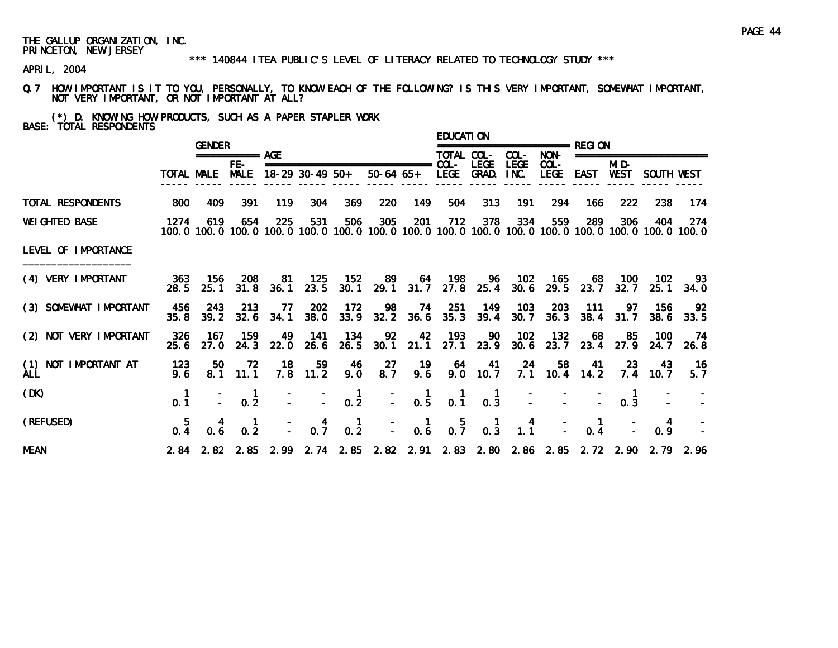#### \*\*\* 140844 ITEA PUBLIC'S LEVEL OF LITERACY RELATED TO TECHNOLOGY STUDY \*\*\*

APRIL, 2004

Q.7 HOW IMPORTANT IS IT TO YOU, PERSONALLY, TO KNOW EACH OF THE FOLLOWING? IS THIS VERY IMPORTANT, SOMEWHAT IMPORTANT, NOT VERY IMPORTANT, OR NOT IMPORTANT AT ALL?

(\*) D. KNOWING HOW PRODUCTS, SUCH AS A PAPER STAPLER WORK BASE: TOTAL RESPONDENTS

|                                    |              | <b>GENDER</b> |                                        |                     |                  |                                         |                                   |                                                  | <b>EDUCATION</b>                                 |                                        |                                                  | ================= RFGI ON |              |                      |                                                                                                              |              |
|------------------------------------|--------------|---------------|----------------------------------------|---------------------|------------------|-----------------------------------------|-----------------------------------|--------------------------------------------------|--------------------------------------------------|----------------------------------------|--------------------------------------------------|---------------------------|--------------|----------------------|--------------------------------------------------------------------------------------------------------------|--------------|
|                                    |              |               | =========== AGE                        |                     |                  |                                         |                                   |                                                  | TOTAL COL-                                       |                                        | COL-                                             | NON-                      |              |                      | ========================                                                                                     |              |
|                                    |              |               | FE-<br>TOTAL MALE MALE 18-29 30-49 50+ |                     |                  |                                         |                                   | 50-64 65+ LEGE GRAD. INC.                        |                                                  | LEGE                                   | <b>LEGE</b>                                      | $COL -$<br>LEGE EAST      |              | MI D-<br>WEST        | SOUTH WEST                                                                                                   |              |
| TOTAL RESPONDENTS                  | 800          | 409           | 391                                    | 119                 | 304              | 369                                     | 220                               | 149                                              | 504                                              | 313                                    | 191                                              | 294                       | 166          | 222                  | 238                                                                                                          | 174          |
| <b>WEIGHTED BASE</b>               | 1274         | 619           | 654                                    | 225                 | 531              | 506                                     | 305                               | 201                                              | 712                                              | 378                                    | 334                                              | 559                       | 289          | 306                  | 404<br>100.0 100.0 100.0 100.0 100.0 100.0 100.0 100.0 100.0 100.0 100.0 100.0 100.0 100.0 100.0 100.0 100.0 | -274         |
| LEVEL OF IMPORTANCE                |              |               |                                        |                     |                  |                                         |                                   |                                                  |                                                  |                                        |                                                  |                           |              |                      |                                                                                                              |              |
| (4) VERY IMPORTANT                 | 28.5         | 25.1          | 363 156 208                            | 81<br>$31.8$ $36.1$ | 125<br>23.5      | 152                                     | 30.1 29.1 31.7 27.8 25.4          | 89 64 198 96 102                                 |                                                  |                                        |                                                  | - 165<br>$30.6$ 29.5      | - 68<br>23.7 | - 100<br>32.7        | - 102<br>25.1                                                                                                | - 93<br>34.0 |
| (3) SOMEWHAT IMPORTANT             | 456<br>35.8  | 243           | 213<br>39.2 32.6                       | 77<br>34.1          | 202<br>38.0      | 172                                     | 98<br>$33.9$ $32.2$ $36.6$ $35.3$ | 74                                               | - 251                                            | 149<br>39.4                            | 103<br>30.7                                      | 203<br>36.3               | 111          | -97<br>$38.4$ $31.7$ | -156<br>38.6                                                                                                 | -92<br>33.5  |
| (2) NOT VERY IMPORTANT             | -326<br>25.6 | 167<br>27. O  | 159<br>24.3                            | 49                  | 141<br>22.0 26.6 | - 134                                   | -92<br>26.5 30.1 21.1 27.1 23.9   | 42                                               | - 193                                            | 90                                     | - 102                                            | - 132<br>$30.6$ 23.7      | 68           | -85<br>23.4 27.9     | 100<br>24.7                                                                                                  | - 74<br>26.8 |
| (1) NOT IMPORTANT AT<br><b>ALL</b> | 123<br>9.6   | 50            | 72<br>$8.1$ 11.1                       | 18                  | 59<br>$7.8$ 11.2 | - 46<br>9.0                             | 27<br>8.7                         | -19<br>9.6                                       |                                                  | 64 41<br>$9.0$ 10.7                    | -24                                              | 58<br>$7.1$ 10.4 14.2     | 41           | -23<br>7.4           | - 43<br>10.7                                                                                                 | 16<br>5.7    |
| (DK)                               | 0.1          |               | $\frac{1}{2}$ 0.2                      |                     |                  | $\begin{bmatrix} 1 \\ -2 \end{bmatrix}$ |                                   | $\begin{bmatrix} - & 1 \\ - & 0.5 \end{bmatrix}$ | $\begin{smallmatrix} 1 \\ 0.1 \end{smallmatrix}$ | $\begin{matrix} 1 \\ 0.3 \end{matrix}$ |                                                  |                           |              | 0.3                  |                                                                                                              |              |
| (REFUSED)                          | -5<br>0.4    | 0.6           | 0.2                                    |                     | $0.\overline{7}$ | $\frac{1}{0.2}$                         |                                   | $\begin{bmatrix} 1 \\ - \\ 0.6 \end{bmatrix}$    | $0.\overline{7}$                                 | $\begin{matrix} 1 \\ 0.3 \end{matrix}$ | $\begin{smallmatrix} 4 \\ 1.1 \end{smallmatrix}$ |                           | 0.4          |                      | 4<br>0.9                                                                                                     |              |
| <b>MEAN</b>                        |              |               |                                        |                     |                  |                                         |                                   |                                                  |                                                  |                                        |                                                  |                           |              |                      | 2.84 2.82 2.85 2.99 2.74 2.85 2.82 2.91 2.83 2.80 2.86 2.85 2.72 2.90 2.79 2.96                              |              |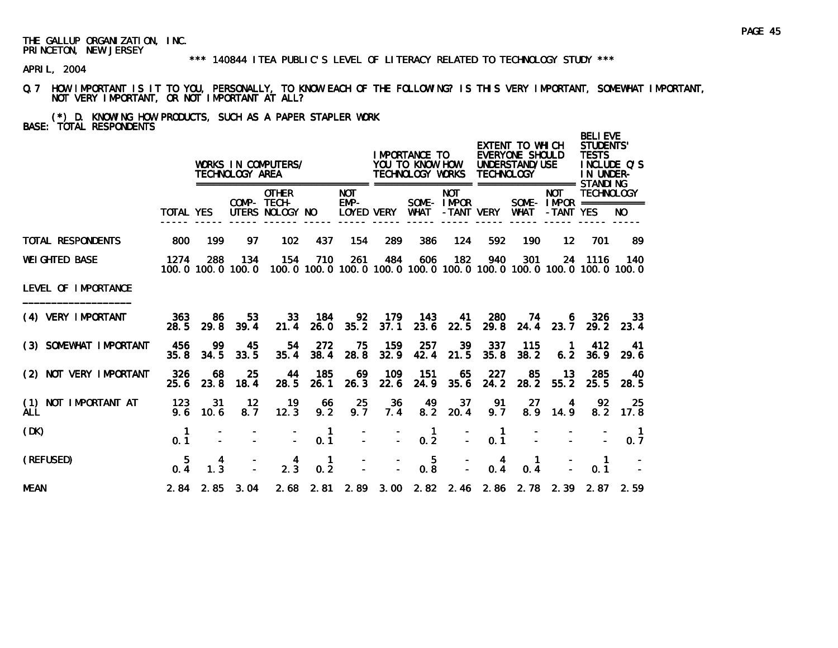#### \*\*\* 140844 ITEA PUBLIC'S LEVEL OF LITERACY RELATED TO TECHNOLOGY STUDY \*\*\*

APRIL, 2004

- Q.7 HOW IMPORTANT IS IT TO YOU, PERSONALLY, TO KNOW EACH OF THE FOLLOWING? IS THIS VERY IMPORTANT, SOMEWHAT IMPORTANT, NOT VERY IMPORTANT, OR NOT IMPORTANT AT ALL?
- (\*) D. KNOWING HOW PRODUCTS, SUCH AS A PAPER STAPLER WORK BASE: TOTAL RESPONDENTS

|                                    |                    |                       | TECHNOLOGY AREA          | WORKS IN COMPUTERS/                            |                       |                      |               | IMPORTANCE TO<br>YOU TO KNOW HOW<br>TECHNOLOGY WORKS |                          | <b>TECHNOLOGY</b>                               | EXTENT TO WHICH<br>EVERYONE SHOULD<br>UNDERSTAND/USE |                         | <b>BELI EVE</b><br><b>STUDENTS'</b><br><b>TESTS</b><br>INCLUDE O'S<br>IN UNDER-         |                       |
|------------------------------------|--------------------|-----------------------|--------------------------|------------------------------------------------|-----------------------|----------------------|---------------|------------------------------------------------------|--------------------------|-------------------------------------------------|------------------------------------------------------|-------------------------|-----------------------------------------------------------------------------------------|-----------------------|
|                                    | <b>TOTAL YES</b>   |                       |                          | <b>OTHER</b><br>COMP- TECH-<br>UTERS NOLOGY NO |                       | <b>NOT</b><br>$EMP-$ | LOYED VERY    | WHAT                                                 | <b>NOT</b><br>SOME-IMPOR | -TANT VERY                                      | WHAT                                                 | <b>NOT</b><br>-TANT YES | <b>TECHNOLOGY</b><br>SOME- $IMPOR$ ===========                                          | NO.                   |
| TOTAL RESPONDENTS                  | 800                | 199                   | 97                       | 102                                            | 437                   | 154                  | 289           | 386                                                  | 124                      | 592                                             | 190                                                  | $12 \,$                 | 701                                                                                     | 89                    |
| <b>WEI GHTED BASE</b>              | 1274               | 288                   | 134<br>100.0 100.0 100.0 | 154                                            | 710                   | 261                  | 484           | 606                                                  | 182                      | 940                                             | 301                                                  |                         | 24 1116<br>100, 0 100, 0 100, 0 100, 0 100, 0 100, 0 100, 0 100, 0 100, 0 100, 0 100, 0 | 140                   |
| LEVEL OF IMPORTANCE                |                    |                       |                          |                                                |                       |                      |               |                                                      |                          |                                                 |                                                      |                         |                                                                                         |                       |
| (4) VERY IMPORTANT                 | 363<br>28.5        | -86<br>29.8           | 53<br>39.4               | 33<br>21.4                                     | 184<br>26.0           | 92                   | $35.2$ $37.1$ | 179 143<br>23.6                                      | 41<br>22.5               | 280<br>29.8                                     | - 74                                                 | 6                       | 326<br>24.4 23.7 29.2 23.4                                                              | 33                    |
| (3) SOMEWHAT IMPORTANT             | 456<br>35.8        | 99<br>34.5            | 45<br>33.5               | 54<br>35.4                                     | 272<br>38.4           | 75<br>28.8           | 159<br>32.9   | 257<br>42.4                                          | 39<br>21.5               | 337<br>35.8                                     | 115<br>38.2                                          | $\blacksquare$<br>6.2   | 412<br>36.9                                                                             | -41<br>29.6           |
| (2) NOT VERY IMPORTANT             | 326<br>25.6        | 68<br>23.8            | 25<br>18.4               | 44<br>28.5                                     | 185<br>26.1           | 69<br>26.3           | 109<br>22.6   | 151<br>24.9                                          | 65<br>35.6               | 227<br>24.2                                     | 85<br>28.2                                           | -13<br>55.2             | 285<br>25.5                                                                             | 40<br>28.5            |
| (1) NOT IMPORTANT AT<br><b>ALL</b> | 123<br>9.6         | 31<br>10.6            | $12 \,$<br>8.7           | 19<br>12.3                                     | 66<br>9.2             | 25<br>9.7            | 36<br>7.4     | 49<br>8.2                                            | 37<br>20.4               | 91<br>9.7                                       | 27<br>8.9                                            | 4<br>14.9               | 92<br>8.2                                                                               | 25<br>17.8            |
| (DK)                               | $\mathbf 1$<br>0.1 |                       |                          |                                                | $\blacksquare$<br>0.1 | $\mathbf{r}$         |               | $\mathbf{1}$<br>$\Delta \sim 10^4$<br>0.2            |                          | $\blacksquare$<br>0.1<br>$\Delta \sim 10^{-11}$ |                                                      |                         |                                                                                         | $\blacksquare$<br>0.7 |
| (REFUSED)                          | 5<br>0.4           | 4<br>$1.\overline{3}$ |                          | $\frac{4}{2.3}$                                | $\mathbf{1}$<br>0.2   |                      |               | $0.\overline{8}$                                     | $\overline{a}$           | 4<br>0.4                                        | -1.<br>0.4                                           |                         | $\mathbf{1}$<br>0.1                                                                     |                       |
| <b>MEAN</b>                        |                    | $2.84$ $2.85$         | 3.04                     |                                                |                       |                      |               |                                                      |                          |                                                 |                                                      |                         | 2.68 2.81 2.89 3.00 2.82 2.46 2.86 2.78 2.39 2.87 2.59                                  |                       |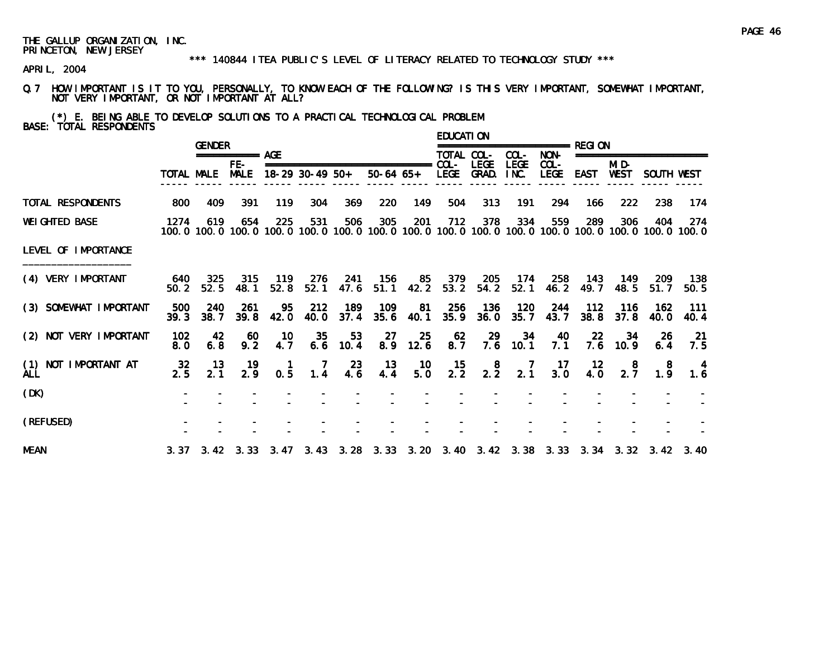#### \*\*\* 140844 ITEA PUBLIC'S LEVEL OF LITERACY RELATED TO TECHNOLOGY STUDY \*\*\*

APRIL, 2004

Q.7 HOW IMPORTANT IS IT TO YOU, PERSONALLY, TO KNOW EACH OF THE FOLLOWING? IS THIS VERY IMPORTANT, SOMEWHAT IMPORTANT, NOT VERY IMPORTANT, OR NOT IMPORTANT AT ALL?

(\*) E. BEING ABLE TO DEVELOP SOLUTIONS TO A PRACTICAL TECHNOLOGICAL PROBLEM BASE: TOTAL RESPONDENTS

|                                    |                  | <b>GENDER</b> |                  |                     |                 |                  |                                                         |                          | <b>EDUCATION</b> |                                   |                     |                        |                  |                        |                                                                                                                        |               |
|------------------------------------|------------------|---------------|------------------|---------------------|-----------------|------------------|---------------------------------------------------------|--------------------------|------------------|-----------------------------------|---------------------|------------------------|------------------|------------------------|------------------------------------------------------------------------------------------------------------------------|---------------|
|                                    |                  |               | ============ AGF |                     |                 |                  |                                                         |                          | TOTAL COL-       |                                   | COL-                | NON-                   |                  |                        | ====================                                                                                                   |               |
|                                    | TOTAL MALE       |               | FE-<br>MALE      |                     | 18-29 30-49 50+ |                  | ===============================<br>50-64 65+ LEGE GRAD. |                          | COL-             | <b>LEGE</b>                       | <b>LEGE</b><br>INC. | $COL -$<br><b>LEGE</b> | EAST             | MI D-<br>WEST          | SOUTH WEST                                                                                                             |               |
| TOTAL RESPONDENTS                  | 800              | 409           | 391              | 119                 | 304             | 369              | 220                                                     | 149                      | 504              | 313                               | 191                 | 294                    | 166              | 222                    | 238                                                                                                                    | -174          |
| <b>WEI GHTED BASE</b>              | 1274             | 619           | 654              | 225                 | 531             | 506              | 305                                                     | 201                      | 712              | 378                               | 334                 | 559                    | 289              | 306                    | 404<br>100, 0 100, 0 100, 0 100, 0 100, 0 100, 0 100, 0 100, 0 100, 0 100, 0 100, 0 100, 0 100, 0 100, 0 100, 0 100, 0 | 274           |
| LEVEL OF IMPORTANCE                |                  |               |                  |                     |                 |                  |                                                         |                          |                  |                                   |                     |                        |                  |                        |                                                                                                                        |               |
| (4) VERY IMPORTANT                 | 640<br>50.2      | 325<br>52.5   | 315<br>48.1      | - 119<br>52.8       | - 276<br>52.1   | 241<br>47.6      | - 156                                                   |                          |                  | 85 379 205<br>51.1 42.2 53.2 54.2 | 174<br>52.1         | 258<br>46. 2           | - 143<br>49.7    | - 149<br>48.5          | -209<br>51.7                                                                                                           | - 138<br>50.5 |
| (3) SOMEWHAT IMPORTANT             | 500<br>39.3      | 240<br>38.7   | 261<br>39.8      | 95<br>42.0          | 212<br>40.0     | 189<br>37.4      | 109<br>35.6                                             | 81<br>40.1               | 256<br>35.9      | - 136<br>36.0                     | 120<br>35.7         | 244<br>43.7            | - 112            | - 116<br>$38.8$ $37.8$ | 162<br><b>40.0</b>                                                                                                     | -111<br>40.4  |
| (2) NOT VERY IMPORTANT             | 102<br>8.0       | 42<br>6.8     | -60<br>9.2       | 10<br>4.7           | 35              | 53<br>$6.6$ 10.4 | 27                                                      | 25<br>8.9 12.6           | 62<br>8.7        | 29                                | 34<br>$7.6$ 10.1    | 40<br>7.1              | <b>22</b>        | 34<br>$7.6$ 10.9       | 26<br>6.4                                                                                                              | -21<br>7.5    |
| (1) NOT IMPORTANT AT<br><b>ALL</b> | $\frac{32}{2.5}$ | - 13<br>2.1   | 19<br>2.9        | $\mathbf{1}$<br>0.5 | -7<br>1.4       | -23<br>4.6       | $-13$<br>4.4                                            | - 10<br>$5.\overline{0}$ | $\frac{15}{2.2}$ | $2.\overline{2}$                  | $\frac{7}{2.1}$     | $\frac{17}{3.0}$       | $\frac{12}{4.0}$ | 8<br>2.7               | 8<br>1.9                                                                                                               | 1.6           |
| (DK)                               |                  |               |                  |                     |                 |                  |                                                         |                          |                  |                                   |                     |                        |                  |                        |                                                                                                                        |               |
| (REFUSED)                          |                  |               |                  |                     |                 |                  |                                                         |                          |                  |                                   |                     |                        |                  |                        |                                                                                                                        |               |
| <b>MEAN</b>                        |                  |               |                  |                     |                 |                  |                                                         |                          |                  |                                   |                     |                        |                  |                        | 3. 37  3. 42  3. 33  3. 47  3. 43  3. 28  3. 33  3. 20  3. 40  3. 42  3. 38  3. 33  3. 34  3. 32  3. 42  3. 40         |               |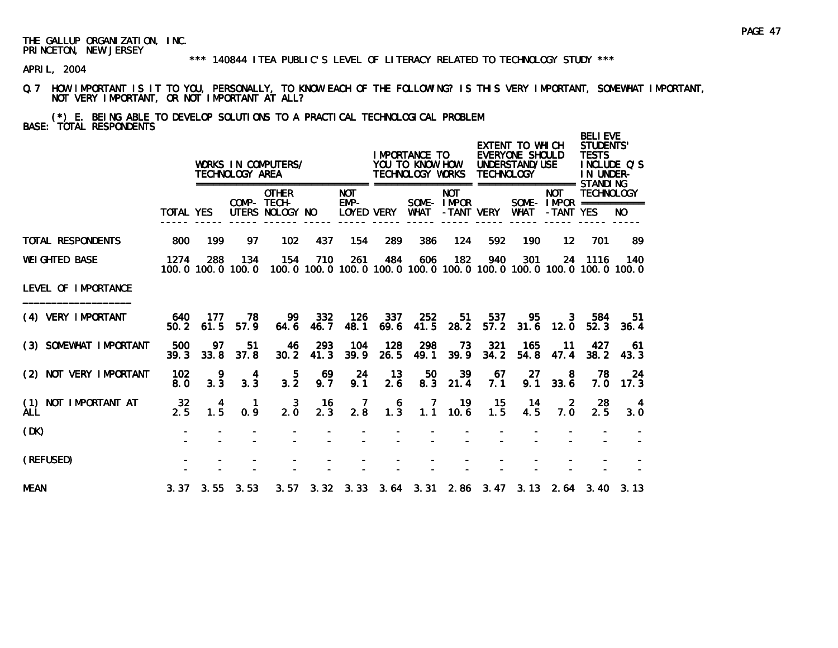#### \*\*\* 140844 ITEA PUBLIC'S LEVEL OF LITERACY RELATED TO TECHNOLOGY STUDY \*\*\*

APRIL, 2004

Q.7 HOW IMPORTANT IS IT TO YOU, PERSONALLY, TO KNOW EACH OF THE FOLLOWING? IS THIS VERY IMPORTANT, SOMEWHAT IMPORTANT, NOT VERY IMPORTANT, OR NOT IMPORTANT AT ALL?

(\*) E. BEING ABLE TO DEVELOP SOLUTIONS TO A PRACTICAL TECHNOLOGICAL PROBLEM BASE: TOTAL RESPONDENTS

|                                       |             |             | TECHNOLOGY AREA          | WORKS IN COMPUTERS/                            |             |                                    |                                         | <b>IMPORTANCE TO</b><br>YOU TO KNOW HOW<br>TECHNOLOGY WORKS                         |                          | <b>TECHNOLOGY</b> | EXTENT TO WHICH<br>EVERYONE SHOULD<br>UNDERSTAND/USE |                                                       | <b>BELIEVE</b><br>STUDENTS'<br><b>TESTS</b><br>IN UNDER- | INCLUDE Q'S |
|---------------------------------------|-------------|-------------|--------------------------|------------------------------------------------|-------------|------------------------------------|-----------------------------------------|-------------------------------------------------------------------------------------|--------------------------|-------------------|------------------------------------------------------|-------------------------------------------------------|----------------------------------------------------------|-------------|
|                                       | TOTAL YES   |             |                          | <b>OTHER</b><br>COMP- TECH-<br>UTERS NOLOGY NO |             | <b>NOT</b><br>$EMP-$<br>LOYED VERY |                                         | <b>WHAT</b>                                                                         | <b>NOT</b><br>SOME-IMPOR | -TANT VERY        | WHAT                                                 | <b>NOT</b><br>SOME - $IMPOR$ ===========<br>-TANT YES | <b>TECHNOLOGY</b>                                        | NO.         |
| <b>TOTAL RESPONDENTS</b>              | 800         | 199         | 97                       | 102                                            | 437         | 154                                | 289                                     | 386                                                                                 | 124                      | 592               | 190                                                  | $12 \overline{ }$                                     | 701                                                      | 89          |
| <b>WEI GHTED BASE</b>                 | 1274        | 288         | 134<br>100.0 100.0 100.0 | 154                                            | 710         | 261                                | 484                                     | 606<br>100, 0 100, 0 100, 0 100, 0 100, 0 100, 0 100, 0 100, 0 100, 0 100, 0 100, 0 | 182                      | 940               | 301                                                  | 24                                                    | - 1116                                                   | 140         |
| LEVEL OF IMPORTANCE                   |             |             |                          |                                                |             |                                    |                                         |                                                                                     |                          |                   |                                                      |                                                       |                                                          |             |
| (4) VERY IMPORTANT                    | 640<br>50.2 | 177<br>61.5 | 78<br>57.9               | 99<br>64.6                                     | 332<br>46.7 | 126<br>48.1                        | 337<br>69.6                             | 252<br>41.5                                                                         | 51<br>28.2               | 537<br>57.2       | 95<br>31.6                                           | 3<br>12.0                                             | 584<br>52.3                                              | -51<br>36.4 |
| (3) SOMEWHAT IMPORTANT                | 500<br>39.3 | 97<br>33.8  | 51<br>37.8               | 46<br>30.2                                     | 293<br>41.3 | 104<br>39.9                        | 128<br>26.5                             | 298<br>49.1                                                                         | 73<br>39.9               | 321<br>34.2       | 165<br>54.8                                          | 11<br>47.4                                            | 427<br>38.2                                              | 61<br>43.3  |
| (2) NOT VERY IMPORTANT                | 102<br>8.0  | 9<br>3.3    | 4<br>3.3                 | $3.\overline{2}$                               | 69<br>9.7   | 24<br>9.1                          | 13<br>2.6                               | 50<br>8.3                                                                           | 39<br>21.4               | 67<br>7.1         | <b>27</b><br>9.1                                     | 8<br>33.6                                             | 78<br>7.0                                                | 24<br>17.3  |
| NOT IMPORTANT AT<br>(1)<br><b>ALL</b> | 32<br>2.5   | 4<br>1.5    | $\mathbf{1}$<br>0.9      | 3<br>2.0                                       | 16<br>2.3   | $\frac{7}{2.8}$                    | $\begin{array}{c} 6 \\ 1.3 \end{array}$ | $\overline{7}$                                                                      | 19<br>$1.1$ 10.6         | - 15<br>1.5       | -14<br>4.5                                           | $\overline{2}$<br>7.0                                 | 28<br>2.5                                                | 4<br>3.0    |
| (DK)                                  |             |             |                          |                                                |             |                                    |                                         |                                                                                     |                          |                   |                                                      |                                                       |                                                          |             |
| (REFUSED)                             |             |             |                          |                                                |             |                                    |                                         |                                                                                     |                          |                   |                                                      |                                                       |                                                          |             |
| <b>MEAN</b>                           |             |             | $3.37$ $3.55$ $3.53$     |                                                |             |                                    |                                         | 3. 57 3. 32 3. 33 3. 64 3. 31 2. 86 3. 47 3. 13 2. 64 3. 40 3. 13                   |                          |                   |                                                      |                                                       |                                                          |             |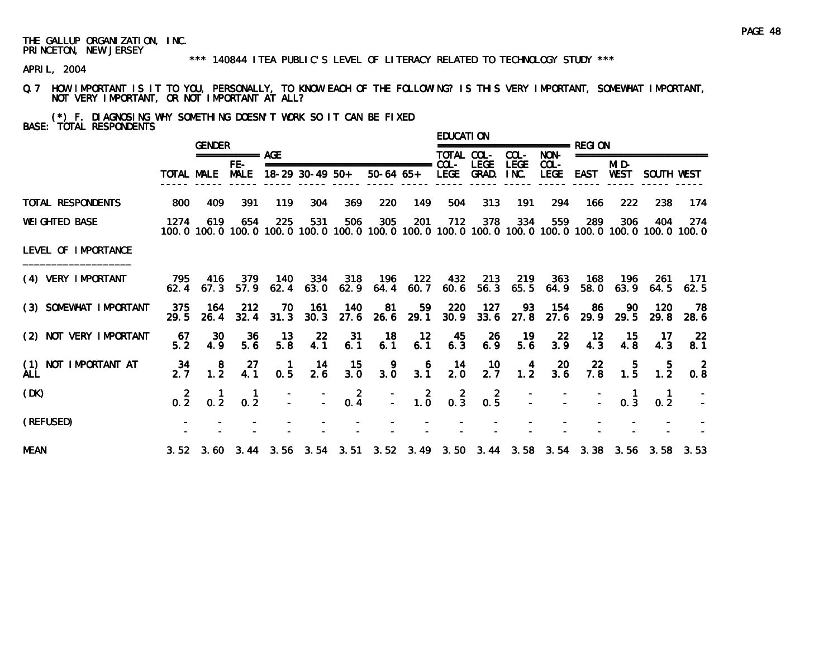#### \*\*\* 140844 ITEA PUBLIC'S LEVEL OF LITERACY RELATED TO TECHNOLOGY STUDY \*\*\*

APRIL, 2004

Q.7 HOW IMPORTANT IS IT TO YOU, PERSONALLY, TO KNOW EACH OF THE FOLLOWING? IS THIS VERY IMPORTANT, SOMEWHAT IMPORTANT, NOT VERY IMPORTANT, OR NOT IMPORTANT AT ALL?

(\*) F. DIAGNOSING WHY SOMETHING DOESN'T WORK SO IT CAN BE FIXED BASE: TOTAL RESPONDENTS

|                                    |                 | <b>GENDER</b>                                      |                                                  |                        |                  |                                               |                                                   |                                         | <b>EDUCATION</b> |                             |                     | =============== RFGI ON                |                  |                                                  |                                                  |                                                                                                               |
|------------------------------------|-----------------|----------------------------------------------------|--------------------------------------------------|------------------------|------------------|-----------------------------------------------|---------------------------------------------------|-----------------------------------------|------------------|-----------------------------|---------------------|----------------------------------------|------------------|--------------------------------------------------|--------------------------------------------------|---------------------------------------------------------------------------------------------------------------|
|                                    |                 |                                                    | $== == == == ==$ AGE                             |                        |                  |                                               |                                                   |                                         | TOTAL COL-       |                             | COL-                | NON-                                   |                  |                                                  | ===================                              |                                                                                                               |
|                                    |                 | TOTAL MALE                                         | FE-<br><b>MALE</b>                               |                        | 18-29 30-49 50+  |                                               | ===============================<br>50-64 65+ LEGE |                                         | $COL-$           | <b>LEGE</b><br>GRAD.        | <b>LEGE</b><br>INC. | $COL -$<br><b>LEGE</b>                 | EAST             | MI D-<br>WEST                                    | SOUTH WEST                                       |                                                                                                               |
| TOTAL RESPONDENTS                  | 800             | 409                                                | 391                                              | 119                    | 304              | 369                                           | 220                                               | 149                                     | 504              | 313                         | 191                 | 294                                    | 166              | 222                                              | 238                                              | 174                                                                                                           |
| <b>WEI GHTED BASE</b>              | 1274            | 619                                                | 654                                              | 225                    | 531              | 506                                           | 305                                               | 201                                     | 712              | 378                         | 334                 | 559                                    | 289              | 306                                              | 404                                              | -274<br>100.0 100.0 100.0 100.0 100.0 100.0 100.0 100.0 100.0 100.0 100.0 100.0 100.0 100.0 100.0 100.0 100.0 |
| LEVEL OF IMPORTANCE                |                 |                                                    |                                                  |                        |                  |                                               |                                                   |                                         |                  |                             |                     |                                        |                  |                                                  |                                                  |                                                                                                               |
| (4) VERY IMPORTANT                 | 795             | $62.4$ $67.3$                                      | 416 379                                          |                        | $57.9$ 62.4 63.0 | 140 334 318                                   | - 196<br>$62.9$ $64.4$ $60.7$                     |                                         |                  | 122 432 213                 |                     | 219 363 168<br>$60.6$ 56.3 $65.5$ 64.9 | 58.0             | - 196                                            | -261<br>$63.9$ $64.5$                            | -171<br>62.5                                                                                                  |
| (3) SOMEWHAT IMPORTANT             | 375<br>29.5     | 164<br>26.4                                        | 212<br>32.4                                      | 70<br>31.3             | 161<br>30.3      | 140                                           | 81<br>$27.6$ 26.6                                 | 59<br>29.1                              | 220              | 127<br>$30.9$ $33.6$ $27.8$ | 93                  | 154<br>27.6                            | 86<br>29.9       | 90<br>29.5                                       | 120<br>29.8                                      | 78<br>28.6                                                                                                    |
| (2) NOT VERY IMPORTANT             | 67<br>52        | 30<br>4.9                                          | 36<br>5.6                                        | 13<br>$5.\overline{8}$ | 22<br>4.1        | -31<br>6.1                                    | 18<br>6.1                                         | 12<br>6.1                               | $45$<br>6.3      | $^{26}_{6.9}$               | $19$<br>5.6         | $\frac{22}{3.9}$                       | $\frac{12}{4.3}$ | $\begin{array}{c} 15 \\ 4.8 \end{array}$         | 17<br>4.3                                        | $\frac{22}{8.1}$                                                                                              |
| (1) NOT IMPORTANT AT<br><b>ALL</b> | 34<br>2.7       | $\begin{smallmatrix}8\\1.2\end{smallmatrix}$       | $^{27}_{4.1}$                                    | $\blacksquare$<br>0.5  | 14<br>2.6        | 15<br>3.0                                     | $3.\overline{0}$                                  | $\begin{array}{c} 6 \\ 3.1 \end{array}$ | $\frac{14}{2.0}$ | $\frac{10}{2.7}$            | 1.4                 | $\frac{20}{3.6}$                       | $\frac{22}{7.8}$ | $\begin{array}{c} 5 \\ 1.5 \end{array}$          | $\begin{smallmatrix} 5 \\ 1.2 \end{smallmatrix}$ | 0.8                                                                                                           |
| (DK)                               | $0.\frac{2}{2}$ | $\begin{smallmatrix} 1 \\ 0 & 2 \end{smallmatrix}$ | $\begin{smallmatrix} 1 \\ 0.2 \end{smallmatrix}$ |                        |                  | $\begin{bmatrix} 2 \\ - \\ 0.4 \end{bmatrix}$ |                                                   | $\begin{bmatrix} 2 \\ -2 \end{bmatrix}$ | $0.\,3$          | $0.\overline{5}$            |                     |                                        | $\sim 10^6$      | $\begin{smallmatrix} 1 \\ 0.3 \end{smallmatrix}$ | 0.2                                              |                                                                                                               |
| (REFUSED)                          |                 |                                                    |                                                  |                        |                  |                                               |                                                   |                                         |                  |                             |                     |                                        |                  |                                                  |                                                  |                                                                                                               |
| <b>MEAN</b>                        |                 |                                                    |                                                  |                        |                  |                                               |                                                   |                                         |                  |                             |                     |                                        |                  |                                                  |                                                  | 3.52 3.60 3.44 3.56 3.54 3.51 3.52 3.49 3.50 3.44 3.58 3.54 3.38 3.56 3.58 3.53                               |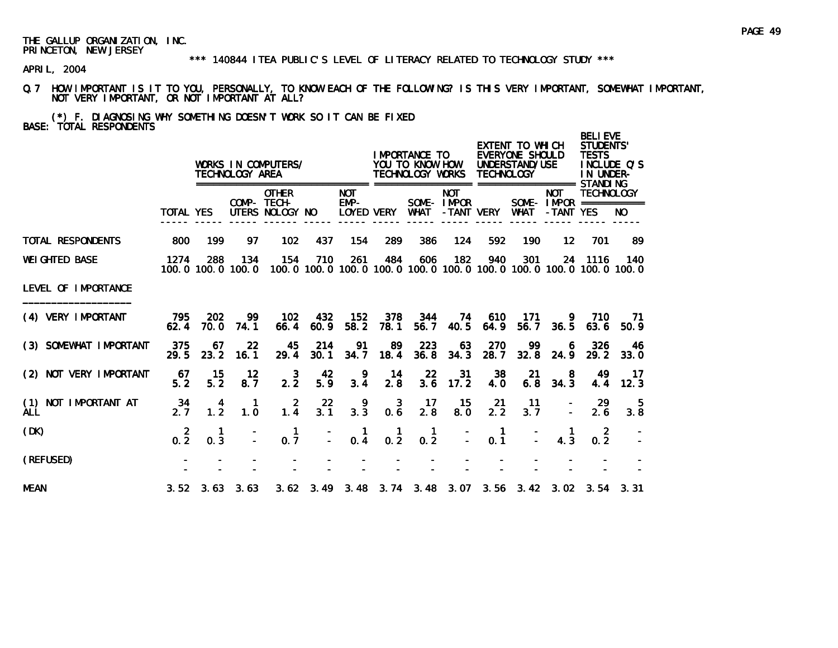#### \*\*\* 140844 ITEA PUBLIC'S LEVEL OF LITERACY RELATED TO TECHNOLOGY STUDY \*\*\*

APRIL, 2004

- Q.7 HOW IMPORTANT IS IT TO YOU, PERSONALLY, TO KNOW EACH OF THE FOLLOWING? IS THIS VERY IMPORTANT, SOMEWHAT IMPORTANT, NOT VERY IMPORTANT, OR NOT IMPORTANT AT ALL?
- (\*) F. DIAGNOSING WHY SOMETHING DOESN'T WORK SO IT CAN BE FIXED BASE: TOTAL RESPONDENTS

|                                    |                  |                       | TECHNOLOGY AREA          | WORKS IN COMPUTERS/                            |                         |                                  |                                | I MPORTANCE TO<br>YOU TO KNOW HOW<br>TECHNOLOGY WORKS |                          | <b>TECHNOLOGY</b>   | EXTENT TO WHICH<br>EVERYONE SHOULD<br>UNDERSTAND/USE |                         | <b>BELIEVE</b><br><b>STUDENTS'</b><br><b>TESTS</b><br>IN UNDER-<br>STANDI NG | INCLUDE O'S                                                                         |
|------------------------------------|------------------|-----------------------|--------------------------|------------------------------------------------|-------------------------|----------------------------------|--------------------------------|-------------------------------------------------------|--------------------------|---------------------|------------------------------------------------------|-------------------------|------------------------------------------------------------------------------|-------------------------------------------------------------------------------------|
|                                    | <b>TOTAL YES</b> |                       |                          | <b>OTHER</b><br>COMP- TECH-<br>UTERS NOLOGY NO |                         | <b>NOT</b><br>EMP-<br>LOYED VERY |                                | WHAT                                                  | <b>NOT</b><br>SOME-IMPOR | -TANT VERY          | <b>WHAT</b>                                          | <b>NOT</b><br>-TANT YES | <b>TECHNOLOGY</b><br>SOME - $IMPOR$ ============                             | NO.                                                                                 |
| TOTAL RESPONDENTS                  | 800              | 199                   | 97                       | 102                                            | 437                     | 154                              | 289                            | 386                                                   | 124                      | 592                 | 190                                                  | $12 \overline{ }$       | 701                                                                          | 89                                                                                  |
| <b>WEI GHTED BASE</b>              | 1274             | 288                   | 134<br>100.0 100.0 100.0 | 154                                            | 710                     | 261                              | 484                            | 606                                                   | 182                      | 940                 | 301                                                  |                         | 24 1116                                                                      | 140<br>100, 0 100, 0 100, 0 100, 0 100, 0 100, 0 100, 0 100, 0 100, 0 100, 0 100, 0 |
| LEVEL OF IMPORTANCE                |                  |                       |                          |                                                |                         |                                  |                                |                                                       |                          |                     |                                                      |                         |                                                                              |                                                                                     |
| (4) VERY IMPORTANT                 | 795<br>62.4      | <b>202</b><br>70.0    | 99<br>74.1               | 102<br>66.4                                    | 432<br>60.9             | 152<br>58.2                      | 378<br>78.1                    | 344<br>56.7                                           | 74<br>40.5               | 610<br>64.9         | 171<br>56.7                                          | -9                      | 710<br>$36.5$ $63.6$                                                         | 71<br>50.9                                                                          |
| (3) SOMEWHAT IMPORTANT             | 375<br>29.5      | 67<br>23.2            | 22<br>16.1               | 45<br>29.4                                     | 214<br>30.1             | 91<br>34.7                       | 89<br>18.4                     | 223<br>36.8                                           | 63<br>34.3               | 270<br>28.7         | 99<br>32.8                                           | 6<br>24.9               | 326<br>29.2                                                                  | 46<br>33.0                                                                          |
| (2) NOT VERY IMPORTANT             | 67<br>5.2        | 15<br>5.2             | $12 \,$<br>8.7           | 3<br>2.2                                       | 42<br>5.9               | 9<br>3.4                         | - 14<br>2.8                    | 22<br>3.6                                             | 31<br>17.2               | 38<br>4.0           | 21<br>6.8                                            | 8<br>34.3               | 49<br>4.4                                                                    | -17<br>12.3                                                                         |
| (1) NOT IMPORTANT AT<br><b>ALL</b> | 34<br>2.7        | 4<br>$1.\overline{2}$ | $\overline{1}$<br>1.0    | $\overline{2}$<br>1.4                          | $22\overline{ }$<br>3.1 | 9<br>$3.\overline{3}$            | $\overline{\mathbf{3}}$<br>0.6 | 17<br>2.8                                             | 15<br>8.0                | <b>21</b><br>2.2    | 11<br>3.7                                            |                         | 29<br>2.6                                                                    | 5<br>3.8                                                                            |
| (DK)                               | $0.\frac{2}{2}$  | 0.3                   |                          | $\mathbf{1}$<br>0.7                            | Ō,                      | $\frac{1}{0.4}$                  | $0.\overline{2}$               | $\mathbf{1}$<br>$0.\overline{2}$                      |                          | $\mathbf{1}$<br>0.1 |                                                      | 4.3                     | $\overline{2}$<br>0.2                                                        |                                                                                     |
| (REFUSED)                          |                  |                       |                          |                                                |                         |                                  |                                |                                                       |                          |                     |                                                      |                         |                                                                              |                                                                                     |
| <b>MEAN</b>                        |                  |                       | $3.52$ $3.63$ $3.63$     |                                                |                         |                                  |                                |                                                       |                          |                     |                                                      |                         | 3.62 3.49 3.48 3.74 3.48 3.07 3.56 3.42 3.02 3.54 3.31                       |                                                                                     |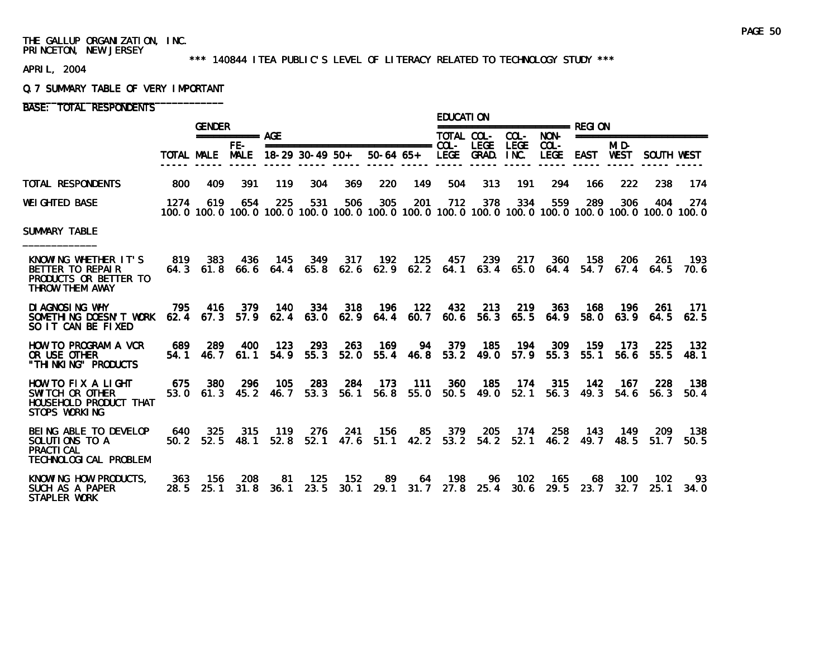#### \*\*\* 140844 ITEA PUBLIC'S LEVEL OF LITERACY RELATED TO TECHNOLOGY STUDY \*\*\*

APRIL, 2004

#### Q.7 SUMMARY TABLE OF VERY IMPORTANT

BASE: TOTAL RESPONDENTS

|                                                                                       |             | <b>GENDER</b>        |                      |                      |                 |             |                                                                                                                        |                      | <b>EDUCATION</b>            | ========================= RFGI ON |                      |                          |             |                     |                         |             |
|---------------------------------------------------------------------------------------|-------------|----------------------|----------------------|----------------------|-----------------|-------------|------------------------------------------------------------------------------------------------------------------------|----------------------|-----------------------------|-----------------------------------|----------------------|--------------------------|-------------|---------------------|-------------------------|-------------|
|                                                                                       |             |                      | $== == == == ==$ AGE |                      |                 |             |                                                                                                                        |                      | TOTAL COL-                  |                                   | $COL -$              | NON-                     |             |                     | ======================= |             |
|                                                                                       | TOTAL MALE  |                      | FE-<br><b>MALE</b>   |                      | 18-29 30-49 50+ |             | $50-64$ $65+$                                                                                                          |                      | LEGE GRAD.                  | <b>LEGE</b>                       | <b>LEGE</b><br>INC.  | $COL -$<br><b>LEGE</b>   | <b>EAST</b> | MID-<br><b>WEST</b> | SOUTH WEST              |             |
| TOTAL RESPONDENTS                                                                     | 800         | 409                  | 391                  | 119                  | 304             | 369         | 220                                                                                                                    | 149                  | 504                         | 313                               | 191                  | 294                      | 166         | 222                 | 238                     | 174         |
| <b>WEIGHTED BASE</b>                                                                  | 1274        | 619                  | 654                  | 225                  | 531             | 506         | 305<br>100, 0 100, 0 100, 0 100, 0 100, 0 100, 0 100, 0 100, 0 100, 0 100, 0 100, 0 100, 0 100, 0 100, 0 100, 0 100, 0 | 201                  | 712                         | 378                               | 334                  | 559                      | 289         | 306                 | 404                     | 274         |
| <b>SUMMARY TABLE</b>                                                                  |             |                      |                      |                      |                 |             |                                                                                                                        |                      |                             |                                   |                      |                          |             |                     |                         |             |
| KNOWING WHETHER IT'S<br>BETTER TO REPAIR<br>PRODUCTS OR BETTER TO<br>THROW THEM AWAY  | 819<br>64.3 | 383<br>61.8          | 436                  | 145<br>$66.6$ $64.4$ | 349<br>65.8     | 317<br>62.6 | 192                                                                                                                    | 125                  | 457<br>$62.9$ $62.2$ $64.1$ | 239                               | 217<br>$63.4$ $65.0$ | 360<br>64.4              | 158<br>54.7 | 206<br>67.4         | 261<br>64.5             | 193<br>70.6 |
| DI AGNOSI NG WHY<br>SOMETHING DOESN'T WORK<br>SO IT CAN BE FIXED                      | 795         | 416<br>$62.4$ $67.3$ | 379<br>57.9          | 140<br>62.4          | 334<br>63.0     | 318<br>62.9 | 196                                                                                                                    | 122<br>$64.4$ $60.7$ | 432<br>60.6                 | 213<br>56.3                       | 219<br>65.5          | 363<br>64.9              | 168<br>58.0 | 196<br>63.9         | <b>261</b><br>64.5      | 171<br>62.5 |
| HOW TO PROGRAM A VCR<br>OR USE OTHER<br>"THINKING" PRODUCTS                           | 689<br>54.1 | 289<br>46.7          | 400<br>61.1          | - 123<br>54.9        | 293<br>55.3     | 263<br>52.0 | 169                                                                                                                    | 94<br>55.4 46.8      | 379<br>53.2                 | 185<br>49.0                       | 194                  | 309<br>$57.9$ $55.3$     | 159<br>55.1 | 173<br>56.6         | 225<br>55.5             | 132<br>48.1 |
| HOW TO FIX A LIGHT<br>SWITCH OR OTHER<br>HOUSEHOLD PRODUCT THAT<br>STOPS WORKING      | 675<br>53.0 | 380                  | -296<br>$61.3$ 45.2  | 105<br>46.7          | 283<br>53.3     | 284<br>56.1 | - 173                                                                                                                  | $-111$               | 360                         | - 185<br>56.8 55.0 50.5 49.0      |                      | 174 315<br>$52.1$ $56.3$ | 142<br>49.3 | - 167<br>54.6       | 228<br>56.3             | 138<br>50.4 |
| BEING ABLE TO DEVELOP<br>SOLUTIONS TO A<br><b>PRACTI CAL</b><br>TECHNOLOGICAL PROBLEM | 640         | 325<br>$50.2$ $52.5$ | 315<br>48.1          | 119<br>52.8          | 276<br>52.1     | 241<br>47.6 | 156                                                                                                                    | 85                   | 379                         | 205<br>51.1 42.2 53.2 54.2        | 174<br>52.1          | 258<br>46.2              | 143<br>49.7 | 149<br>48.5         | 209<br>51.7             | 138<br>50.5 |
| KNOWING HOW PRODUCTS,<br>SUCH AS A PAPER<br>STAPLER WORK                              | 363<br>28.5 | 156<br>25.1          | 208<br>31.8          | 81<br>36.1           | 125<br>23.5     | 152<br>30.1 | 89                                                                                                                     | 64<br>29.1 31.7      | 198                         | 96<br>$27.8$ 25.4                 | 102<br>30.6          | 165<br>29.5              | 68<br>23.7  | 100<br>32.7         | 102<br>25.1             | 93<br>34. O |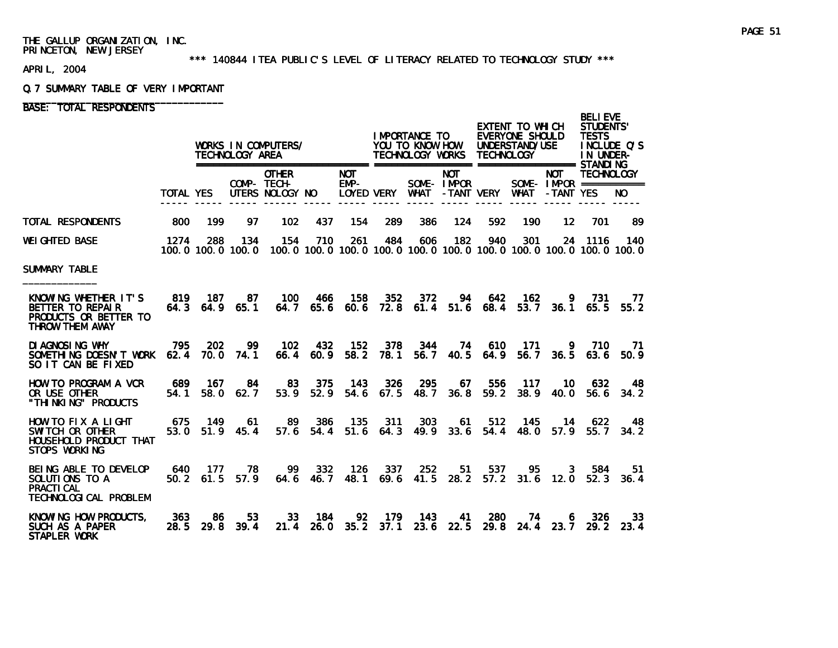#### \*\*\* 140844 ITEA PUBLIC'S LEVEL OF LITERACY RELATED TO TECHNOLOGY STUDY \*\*\*

APRIL, 2004

#### Q.7 SUMMARY TABLE OF VERY IMPORTANT

# BASE: TOTAL RESPONDENTS

|                                                                                               |                  |                   | TECHNOLOGY AREA                    | WORKS IN COMPUTERS/                                                                                      |                             |               |                    | IMPORTANCE TO<br>YOU TO KNOW HOW<br>TECHNOLOGY WORKS          |            | <b>TECHNOLOGY</b>        | EXTENT TO WHICH<br>EVERYONE SHOULD<br>UNDERSTAND/USE |                 | <b>BELIEVE</b><br><b>STUDENTS'</b><br><b>TESTS</b><br>INCLUDE O'S<br>IN UNDER- |                    |
|-----------------------------------------------------------------------------------------------|------------------|-------------------|------------------------------------|----------------------------------------------------------------------------------------------------------|-----------------------------|---------------|--------------------|---------------------------------------------------------------|------------|--------------------------|------------------------------------------------------|-----------------|--------------------------------------------------------------------------------|--------------------|
|                                                                                               | <b>TOTAL YES</b> |                   |                                    | <b>OTHER</b><br>COMP- TECH-<br>UTERS NOLOGY NO                                                           |                             | <b>NOT</b>    | $EMP-$             | SOME-IMPOR<br>LOYED VERY WHAT -TANT VERY WHAT -TANT YES       | <b>NOT</b> |                          |                                                      | <b>NOT</b>      | <b>TECHNOLOGY</b><br>SOME- $IMPROR$ ===========                                | NO.                |
| TOTAL RESPONDENTS                                                                             | 800              | 199               | 97                                 | 102                                                                                                      | 437                         | 154           | 289                | 386                                                           | 124        | 592                      | 190                                                  | $12 \,$         | 701                                                                            | -89                |
| WEIGHTED BASE                                                                                 | 1274             | 288               | 134                                | 154<br>100, 0 100, 0 100, 0 100, 0 100, 0 100, 0 100, 0 100, 0 100, 0 100, 0 100, 0 100, 0 100, 0 100, 0 | 710                         | 261           | 484                | 606                                                           | 182        | 940                      | 301                                                  |                 | 24 1116                                                                        | 140                |
| SUMMARY TABLE                                                                                 |                  |                   |                                    |                                                                                                          |                             |               |                    |                                                               |            |                          |                                                      |                 |                                                                                |                    |
| KNOWING WHETHER IT'S<br>BETTER TO REPAIR<br>PRODUCTS OR BETTER TO<br>THROW THEM AWAY          | 819 187          |                   | 87<br>64.3 64.9 65.1               | 100                                                                                                      | 466<br>$64.7$ $65.6$ $60.6$ | 158           | - 352              | 372<br>72.8 61.4 51.6 68.4                                    | 94         | 642                      | 162                                                  | -9              | 731<br>53.7 36.1 65.5 55.2                                                     | - 77               |
| DI AGNOSI NG WHY<br>SOMETHING DOESN'T WORK 62.4 70.0 74.1<br>SO IT CAN BE FIXED               | 795              | 202               | 99.                                | - 102                                                                                                    | 432<br>66.4 60.9            | 152<br>58.2   | 378<br>78.1        | 344                                                           |            | 74 610<br>56.7 40.5 64.9 |                                                      | 56.7 36.5       | 171 9 710<br>63.6                                                              | 71<br>50.9         |
| HOW TO PROGRAM A VCR<br>OR USE OTHER<br>"THI NKI NG" PRODUCTS                                 | 689<br>54.1      | - 167<br>58.0     | 84<br>62.7                         | 83<br>53.9                                                                                               | 375<br>52.9                 | - 143         | 326<br>$54.6$ 67.5 | 295                                                           | 67         | 556<br>48.7 36.8 59.2    | - 117                                                | 10<br>38.9 40.0 | 632                                                                            | 48.<br>$56.6$ 34.2 |
| HOW TO FIX A LIGHT<br>SWITCH OR OTHER<br>HOUSEHOLD PRODUCT THAT<br>STOPS WORKING              |                  |                   | 675 149 61<br>$53.0$ $51.9$ $45.4$ | - 89                                                                                                     | - 386                       | 135           | 311                | 303<br>57.6 54.4 51.6 64.3 49.9 33.6 54.4 48.0 57.9 55.7 34.2 |            | 61 512 145               |                                                      | - 14            | - 622                                                                          | 48                 |
| BEING ABLE TO DEVELOP 640 177<br>SOLUTIONS TO A<br><b>PRACTI CAL</b><br>TECHNOLOGICAL PROBLEM |                  | $50.2 \quad 61.5$ | 78.<br>57.9                        | 99<br>64.6                                                                                               | 332<br>46. 7                | - 126<br>48.1 | 337<br>69.6        | 252                                                           | 51         | 537                      |                                                      | 95<br>3         | 584<br>41.5 28.2 57.2 31.6 12.0 52.3 36.4                                      | 51.                |
| KNOWING HOW PRODUCTS.<br>SUCH AS A PAPER<br>STAPLER WORK                                      | 363              | 86                | 53<br>28.5 29.8 39.4               | 33                                                                                                       | - 184                       | 92            | 179                | 143<br>21.4 26.0 35.2 37.1 23.6 22.5 29.8 24.4 23.7 29.2 23.4 | 41         | 280                      | 74                                                   | 6.              | 326                                                                            | 33                 |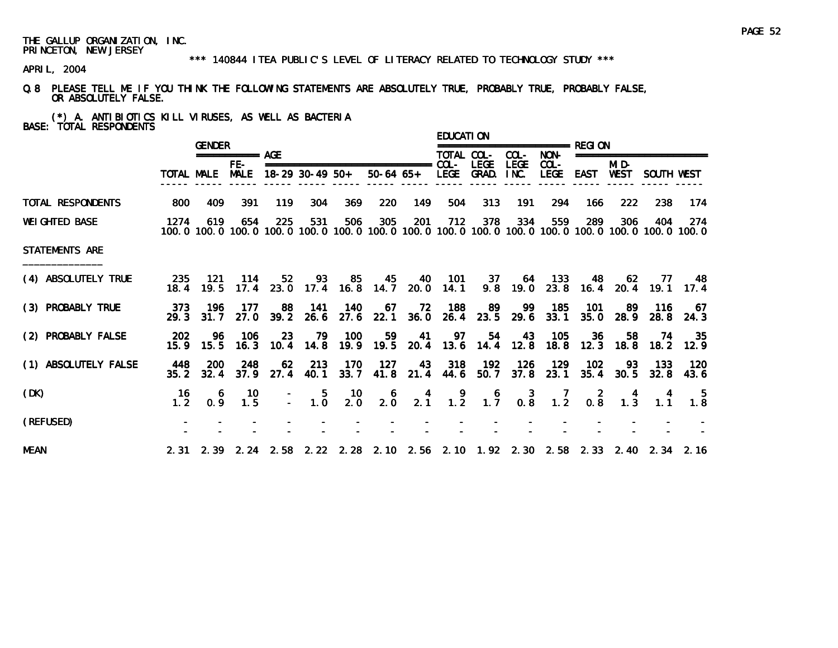#### \*\*\* 140844 ITEA PUBLIC'S LEVEL OF LITERACY RELATED TO TECHNOLOGY STUDY \*\*\*

APRIL, 2004

Q.8 PLEASE TELL ME IF YOU THINK THE FOLLOWING STATEMENTS ARE ABSOLUTELY TRUE, PROBABLY TRUE, PROBABLY FALSE, OR ABSOLUTELY FALSE.

(\*) A. ANTIBIOTICS KILL VIRUSES, AS WELL AS BACTERIA BASE: TOTAL RESPONDENTS

|                       |                | <b>GENDER</b>      |                    |            |                   |                                                                            |                                                 |      | <b>EDUCATION</b> |             |                     |                            |        |                         |                                                                                 |                                                                                                                         |
|-----------------------|----------------|--------------------|--------------------|------------|-------------------|----------------------------------------------------------------------------|-------------------------------------------------|------|------------------|-------------|---------------------|----------------------------|--------|-------------------------|---------------------------------------------------------------------------------|-------------------------------------------------------------------------------------------------------------------------|
|                       |                |                    | ============ AGF   |            |                   |                                                                            |                                                 |      | TOTAL COL-       |             | COL-                | NON-                       |        |                         | ====================                                                            |                                                                                                                         |
|                       |                | TOTAL MALE         | FE-<br><b>MALE</b> |            | 18-29 30-49 50+   |                                                                            | 50-64 65+ LEGE GRAD.                            |      |                  | <b>LEGE</b> | <b>LEGE</b><br>INC. | $COL -$<br>LEGE            | EAST   | MI D-<br>WEST           | SOUTH WEST                                                                      |                                                                                                                         |
| TOTAL RESPONDENTS     | 800            | 409                | 391                | 119        | 304               | 369                                                                        | 220                                             | 149  | 504              | 313         | 191                 | 294                        | 166    | 222                     | 238                                                                             | -174                                                                                                                    |
| <b>WEI GHTED BASE</b> | 1274           | 619                | 654                | 225        | 531               | 506                                                                        | 305                                             | 201  | 712              | 378         | 334                 | 559                        | 289    | 306                     | 404                                                                             | -274<br>100, 0 100, 0 100, 0 100, 0 100, 0 100, 0 100, 0 100, 0 100, 0 100, 0 100, 0 100, 0 100, 0 100, 0 100, 0 100, 0 |
| <b>STATEMENTS ARE</b> |                |                    |                    |            |                   |                                                                            |                                                 |      |                  |             |                     |                            |        |                         |                                                                                 |                                                                                                                         |
| (4) ABSOLUTELY TRUE   | 235<br>18.4    | - 121<br>19.5      | 114                | 52         |                   | 93 85 45 40 101 37 64 133<br>17.4 23.0 17.4 16.8 14.7 20.0 14.1            |                                                 |      |                  |             |                     |                            |        | 48 62                   | 9.8 19.0 23.8 16.4 20.4 19.1 17.4                                               | 77 48                                                                                                                   |
| (3) PROBABLY TRUE     | 373<br>29.3    | - 196<br>31.7      | 177<br>27.0        | 88<br>39.2 | - 141<br>26.6     | - 140                                                                      | -67<br>27.6 22.1 36.0                           | - 72 | - 188            | - 89        | -99                 | 185<br>26.4 23.5 29.6 33.1 | - 101  | -89<br>$35.0\quad 28.9$ | - 116                                                                           | -67<br>28.8 24.3                                                                                                        |
| (2) PROBABLY FALSE    | 202<br>15.9    | -96                | - 106              | 23         |                   | 79 100<br>15.5 16.3 10.4 14.8 19.9 19.5 20.4 13.6 14.4 12.8 18.8 12.3 18.8 | 59                                              |      |                  |             |                     | 41 97 54 43 105            | - 36 - | 58                      | 74                                                                              | - 35<br>18.2 12.9                                                                                                       |
| (1) ABSOLUTELY FALSE  | 448<br>35.2    | <b>200</b><br>32.4 | 248<br>37.9        | 62         | 213<br>27.4 40.1  | 170                                                                        | 127<br>33.7 41.8 21.4 44.6 50.7                 |      |                  | 43 318 192  | 126                 | 129<br>37.8 23.1           | 102    | 35.4 30.5               | 93 133 120                                                                      | $32.8$ 43.6                                                                                                             |
| (DK)                  | -16<br>$1.2 -$ | 6<br>0.9           | 10<br>1.5          |            | $\frac{-}{-}$ 1.0 | - 10<br>2.0                                                                | $\begin{smallmatrix}&&6\\&2.0\end{smallmatrix}$ |      |                  |             |                     |                            |        |                         | 4 9 6 3 7 2 4 4<br>2.1 1.2 1.7 0.8 1.2 0.8 1.3 1.1                              | $\begin{array}{c} 5 \\ 1.8 \end{array}$                                                                                 |
| (REFUSED)             |                |                    |                    |            |                   |                                                                            |                                                 |      |                  |             |                     |                            |        |                         |                                                                                 |                                                                                                                         |
| <b>MEAN</b>           |                |                    |                    |            |                   |                                                                            |                                                 |      |                  |             |                     |                            |        |                         | 2.31 2.39 2.24 2.58 2.22 2.28 2.10 2.56 2.10 1.92 2.30 2.58 2.33 2.40 2.34 2.16 |                                                                                                                         |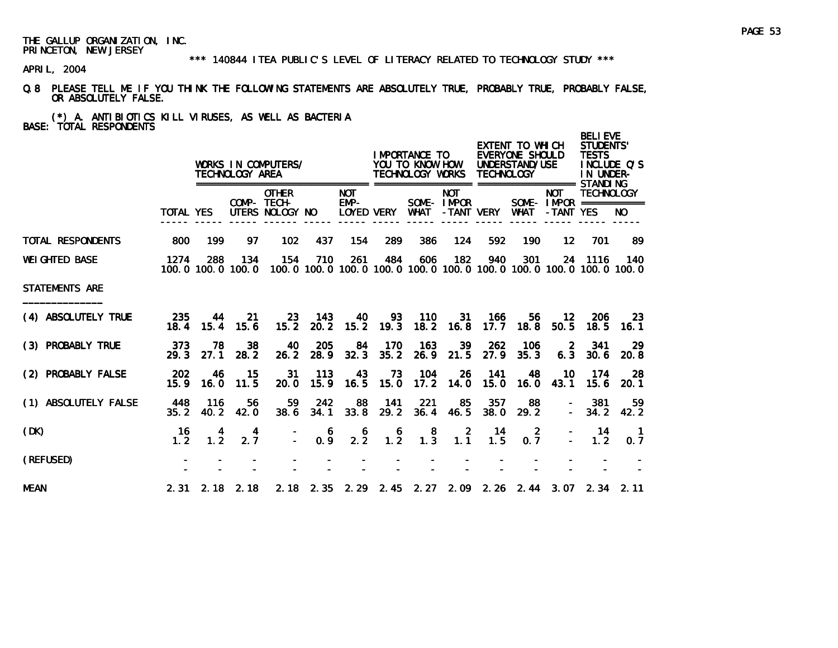\*\*\* 140844 ITEA PUBLIC'S LEVEL OF LITERACY RELATED TO TECHNOLOGY STUDY \*\*\*

APRIL, 2004

Q.8 PLEASE TELL ME IF YOU THINK THE FOLLOWING STATEMENTS ARE ABSOLUTELY TRUE, PROBABLY TRUE, PROBABLY FALSE, OR ABSOLUTELY FALSE.

(\*) A. ANTIBIOTICS KILL VIRUSES, AS WELL AS BACTERIA BASE: TOTAL RESPONDENTS

|                       |                        |             | TECHNOLOGY AREA          | WORKS IN COMPUTERS/                            |             |                               |                                         | I MPORTANCE TO<br>YOU TO KNOW HOW<br>TECHNOLOGY WORKS TECHNOLOGY |                          |             | EXTENT TO WHICH<br>EVERYONE SHOULD<br>UNDERSTAND/USE              |                                                       | <b>BELIEVE</b><br><b>STUDENTS'</b><br><b>TESTS</b><br>IN UNDER- | INCLUDE Q'S                                                                           |
|-----------------------|------------------------|-------------|--------------------------|------------------------------------------------|-------------|-------------------------------|-----------------------------------------|------------------------------------------------------------------|--------------------------|-------------|-------------------------------------------------------------------|-------------------------------------------------------|-----------------------------------------------------------------|---------------------------------------------------------------------------------------|
|                       | <b>TOTAL YES</b>       |             |                          | <b>OTHER</b><br>COMP- TECH-<br>UTERS NOLOGY NO |             | <b>NOT</b><br>$EMP-$          | LOYED VERY                              | WHAT                                                             | <b>NOT</b><br>SOME-IMPOR | -TANT VERY  | <b>WHAT</b>                                                       | <b>NOT</b><br>SOME - $IMPOR$ ===========<br>-TANT YES | <b>TECHNOLOGY</b>                                               | NO.                                                                                   |
| TOTAL RESPONDENTS     | 800                    | 199         | 97                       | 102                                            | 437         | 154                           | 289                                     | 386                                                              | 124                      | 592         | 190                                                               | $12 \,$                                               | 701                                                             | 89                                                                                    |
| <b>WEI GHTED BASE</b> | 1274                   | 288         | 134<br>100.0 100.0 100.0 | 154                                            | 710         | 261                           | 484                                     | 606                                                              | 182                      | 940         | 301                                                               |                                                       | 24 1116                                                         | - 140<br>100, 0 100, 0 100, 0 100, 0 100, 0 100, 0 100, 0 100, 0 100, 0 100, 0 100, 0 |
| STATEMENTS ARE        |                        |             |                          |                                                |             |                               |                                         |                                                                  |                          |             |                                                                   |                                                       |                                                                 |                                                                                       |
| (4) ABSOLUTELY TRUE   | 235<br>18.4            | 44<br>15.4  | -21<br>15.6              | 15.2                                           | 23 143      | 40<br>20. 2 15. 2 19. 3 18. 2 | 93                                      | - 110                                                            | 31<br>16.8               | 166<br>17.7 | 56<br>18.8                                                        | 12<br>50.5                                            | 206<br>18.5                                                     | 23<br>16.1                                                                            |
| (3) PROBABLY TRUE     | 373<br>29.3            | 78<br>27.1  | 38<br>28.2               | 40<br>26.2                                     | 205<br>28.9 | 84<br>32.3                    | 170<br>35.2                             | 163                                                              | 39<br>$26.9$ 21.5        | 262<br>27.9 | 106<br>35.3                                                       | -2<br>6.3                                             | 341<br>30.6                                                     | 29<br>20.8                                                                            |
| (2) PROBABLY FALSE    | 202<br>15.9            | 46<br>16.0  | 15<br>11.5               | 31<br>20.0                                     | 113         | 43<br>15.9 16.5               | 73<br>15.0                              | 104<br>17.2                                                      | 26<br>14.0               | 141<br>15.0 | 48<br>16.0                                                        | 10<br>43.1                                            | 174<br>15.6                                                     | -28<br>20.1                                                                           |
| (1) ABSOLUTELY FALSE  | 448<br>35.2            | 116<br>40.2 | 56<br>42.0               | 59<br>38.6                                     | 242<br>34.1 | 88<br>33.8                    | 141<br>29.2                             | 221<br>36.4                                                      | -85<br>46.5              | 357<br>38.0 | 88<br>29.2                                                        |                                                       | 381<br>$-34.2$                                                  | 59<br>42.2                                                                            |
| (DK)                  | 16<br>1.2 <sub>1</sub> | 1.2         | 4<br>2.7                 | $\Delta \sim 10^4$                             | 6<br>0.9    | 6<br>$2.\overline{2}$         | $\begin{array}{c} 6 \\ 1.2 \end{array}$ | $\begin{smallmatrix}8\\1.3\end{smallmatrix}$                     | $1.\overline{1}$         | - 14<br>1.5 | $\overline{2}$<br>0.7                                             |                                                       | -14<br>1.2                                                      | $\blacksquare$ 1<br>0, 7                                                              |
| (REFUSED)             |                        |             |                          |                                                |             |                               |                                         |                                                                  |                          |             |                                                                   |                                                       |                                                                 |                                                                                       |
| <b>MEAN</b>           |                        |             | $2.31$ $2.18$ $2.18$     |                                                |             |                               |                                         |                                                                  |                          |             | 2. 18 2. 35 2. 29 2. 45 2. 27 2. 09 2. 26 2. 44 3. 07 2. 34 2. 11 |                                                       |                                                                 |                                                                                       |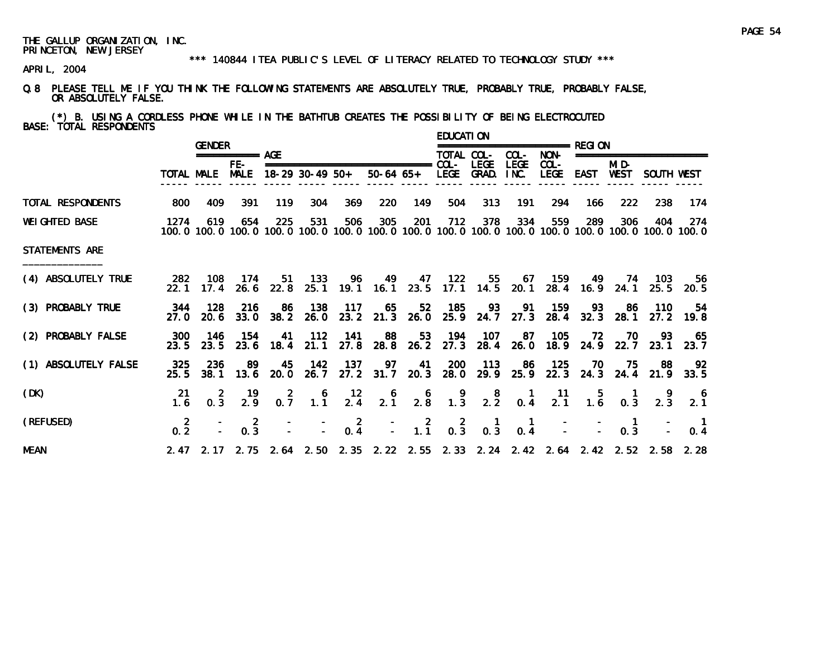#### \*\*\* 140844 ITEA PUBLIC'S LEVEL OF LITERACY RELATED TO TECHNOLOGY STUDY \*\*\*

APRIL, 2004

Q.8 PLEASE TELL ME IF YOU THINK THE FOLLOWING STATEMENTS ARE ABSOLUTELY TRUE, PROBABLY TRUE, PROBABLY FALSE, OR ABSOLUTELY FALSE.

(\*) B. USING A CORDLESS PHONE WHILE IN THE BATHTUB CREATES THE POSSIBILITY OF BEING ELECTROCUTED BASE: TOTAL RESPONDENTS

|                       |                       | <b>GENDER</b>    |                      |                  |                   |                  |                                                                                 |                                         | <b>EDUCATION</b> |                                                  |                                        |                        |                                         |                       |                          |                                                                                                                         |
|-----------------------|-----------------------|------------------|----------------------|------------------|-------------------|------------------|---------------------------------------------------------------------------------|-----------------------------------------|------------------|--------------------------------------------------|----------------------------------------|------------------------|-----------------------------------------|-----------------------|--------------------------|-------------------------------------------------------------------------------------------------------------------------|
|                       |                       |                  | ============ AGF     |                  |                   |                  |                                                                                 |                                         | TOTAL COL-       |                                                  | COL-                                   | NON-                   |                                         |                       | ======================== |                                                                                                                         |
|                       |                       | TOTAL MALE       | $FE-$<br><b>MALE</b> |                  | $18-29$ 30-49 50+ |                  |                                                                                 |                                         |                  | <b>LEGE</b><br>50-64 65+ LEGE GRAD. INC.         | <b>LEGE</b>                            | $COL -$<br><b>LEGE</b> | EAST                                    | MI D-<br>WEST         | SOUTH WEST               |                                                                                                                         |
| TOTAL RESPONDENTS     | 800                   | 409              | 391                  | 119              | 304               | 369              | 220                                                                             | 149                                     | 504              | 313                                              | 191                                    | 294                    | 166                                     | 222                   | 238                      | 174                                                                                                                     |
| <b>WEI GHTED BASE</b> | 1274                  | 619              | 654                  | 225              | 531               | 506              | 305                                                                             | 201                                     | 712              | 378                                              | 334                                    | 559                    | 289                                     | 306                   | 404                      | -274<br>100, 0 100, 0 100, 0 100, 0 100, 0 100, 0 100, 0 100, 0 100, 0 100, 0 100, 0 100, 0 100, 0 100, 0 100, 0 100, 0 |
| STATEMENTS ARE        |                       |                  |                      |                  |                   |                  |                                                                                 |                                         |                  |                                                  |                                        |                        |                                         |                       |                          |                                                                                                                         |
| (4) ABSOLUTELY TRUE   | -282<br>22.1          | - 108<br>17.4    | - 174                | $26.6$ 22.8      | 51 133            |                  | 96 49 47 122<br>25.1 19.1 16.1 23.5 17.1 14.5 20.1                              |                                         |                  |                                                  |                                        |                        | 55 67 159 49 74 103<br>28.4 16.9 24.1   |                       |                          | 56.<br>25.5 20.5                                                                                                        |
| (3) PROBABLY TRUE     | 27.0                  | 344 128<br>20. 6 | 216<br>33.0          | -86<br>38.2      | 138<br>26.0       | - 117            | 65<br>23.2 21.3 26.0                                                            | 52                                      | 185              | - 93<br>25.9 24.7                                | 91<br>27.3                             | - 159<br>28.4          | 93<br>32.3                              | -86<br>28.1           | - 110<br>27.2            | 54<br>19.8                                                                                                              |
| (2) PROBABLY FALSE    | 300<br>23.5           | - 146<br>23.5    | - 154<br>23.6        | 18.4             | 41 112<br>21.1    | 141<br>27.8      | 88                                                                              | 53<br>28.8 26.2                         |                  | 194 107<br>27.3 28.4                             | -87                                    | - 105                  | 72<br>26.0 18.9 24.9 22.7 23.1          | - 70                  | 93                       | 65<br>23.7                                                                                                              |
| (1) ABSOLUTELY FALSE  | 325<br>25.5           | 236<br>38.1      | 89<br>13.6           | 45<br>20.0       | 142               | 137              | 97<br>26.7 27.2 31.7 20.3 28.0                                                  | 41                                      | <b>200</b>       | 113<br>29.9                                      | -86                                    | 125                    | 70<br>25.9 22.3 24.3 24.4               | 75.                   | -88                      | 92<br>21.9 33.5                                                                                                         |
| (DK)                  | 21<br>1.6             | $0.\overline{3}$ | 19<br>2.9            | $0.\overline{7}$ | $1.1^{6}$         | $\frac{12}{2.4}$ | $\begin{smallmatrix}&&6\\2&1\end{smallmatrix}$                                  | $\begin{array}{c} 6 \\ 2.8 \end{array}$ | $\frac{9}{1.3}$  | $2.\overline{2}$                                 | $\begin{matrix} 1 \\ 0.4 \end{matrix}$ | $\frac{11}{2.1}$       | $\begin{array}{c} 5 \\ 1.6 \end{array}$ | 0.3                   | 2.3                      | 2.1                                                                                                                     |
| (REFUSED)             | $\overline{2}$<br>0.2 |                  | -2<br>0.3            |                  |                   | $0.\frac{2}{4}$  |                                                                                 | $\frac{-}{-}$ 1.1                       | $0.\,3$          | $\begin{smallmatrix} 1 \\ 0.3 \end{smallmatrix}$ | $\blacksquare$<br>0.4                  |                        |                                         | $\blacksquare$<br>0.3 |                          | $\blacksquare$<br>0.4                                                                                                   |
| <b>MEAN</b>           |                       |                  |                      |                  |                   |                  | 2.47 2.17 2.75 2.64 2.50 2.35 2.22 2.55 2.33 2.24 2.42 2.64 2.42 2.52 2.58 2.28 |                                         |                  |                                                  |                                        |                        |                                         |                       |                          |                                                                                                                         |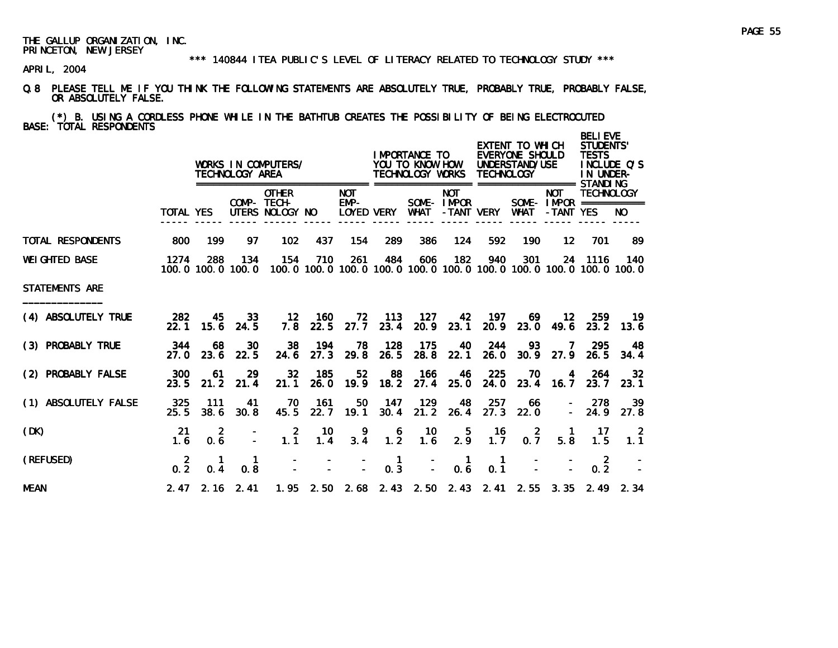\*\*\* 140844 ITEA PUBLIC'S LEVEL OF LITERACY RELATED TO TECHNOLOGY STUDY \*\*\*

APRIL, 2004

Q.8 PLEASE TELL ME IF YOU THINK THE FOLLOWING STATEMENTS ARE ABSOLUTELY TRUE, PROBABLY TRUE, PROBABLY FALSE, OR ABSOLUTELY FALSE.

(\*) B. USING A CORDLESS PHONE WHILE IN THE BATHTUB CREATES THE POSSIBILITY OF BEING ELECTROCUTED BASE: TOTAL RESPONDENTS

|                       |                       |                       | TECHNOLOGY AREA          | WORKS IN COMPUTERS/                            |                      |                    |                     | I MPORTANCE TO<br>YOU TO KNOW HOW<br>TECHNOLOGY WORKS |                          | <b>TECHNOLOGY</b>     | EXTENT TO WHICH<br>EVERYONE SHOULD<br>UNDERSTAND/USE |                                 | <b>BELIEVE</b><br>STUDENTS'<br><b>TESTS</b><br>IN UNDER- | INCLUDE Q'S                                                                           |
|-----------------------|-----------------------|-----------------------|--------------------------|------------------------------------------------|----------------------|--------------------|---------------------|-------------------------------------------------------|--------------------------|-----------------------|------------------------------------------------------|---------------------------------|----------------------------------------------------------|---------------------------------------------------------------------------------------|
|                       | <b>TOTAL YES</b>      |                       |                          | <b>OTHER</b><br>COMP- TECH-<br>UTERS NOLOGY NO |                      | <b>NOT</b><br>EMP- | LOYED VERY          | WHAT                                                  | <b>NOT</b><br>SOME-IMPOR | -TANT VERY            | WHAT                                                 | <b>NOT</b><br>-TANT YES         | <b>TECHNOLOGY</b><br>SOME- $IMFOR$ ===========           | NO.                                                                                   |
| TOTAL RESPONDENTS     | 800                   | 199                   | 97                       | 102                                            | 437                  | 154                | 289                 | 386                                                   | 124                      | 592                   | 190                                                  | $12 \overline{ }$               | 701                                                      | -89                                                                                   |
| <b>WEI GHTED BASE</b> | 1274                  | 288                   | 134<br>100.0 100.0 100.0 | 154                                            | 710                  | 261                | 484                 | 606                                                   | 182                      | 940                   | 301                                                  |                                 | 24 1116                                                  | - 140<br>100, 0 100, 0 100, 0 100, 0 100, 0 100, 0 100, 0 100, 0 100, 0 100, 0 100, 0 |
| <b>STATEMENTS ARE</b> |                       |                       |                          |                                                |                      |                    |                     |                                                       |                          |                       |                                                      |                                 |                                                          |                                                                                       |
| (4) ABSOLUTELY TRUE   | 282<br>22.1           | 45.<br>15.6           | 33<br>24.5               |                                                | 12 160<br>$7.8$ 22.5 | 72.<br>27.7        | - 113<br>23.4       | - 127                                                 | 42<br>20.9 23.1          | 197<br>20.9           | 69                                                   | 12 <sup>12</sup><br>$23.0$ 49.6 | 259<br>23.2                                              | -19<br>13.6                                                                           |
| (3) PROBABLY TRUE     | 344<br>27.0           | 68<br>23.6            | 30<br>22.5               | 38<br>24.6                                     | - 194<br>27.3        | 78.<br>29.8        | 128<br>26.5         | - 175<br>28.8                                         | 40<br>22.1               | 244<br>26.0           | 93.                                                  | 7<br>$30.9$ 27.9                | -295<br>26.5                                             | 48<br>34.4                                                                            |
| (2) PROBABLY FALSE    | 300<br>23.5           | 61<br>21.2            | -29<br>21.4              | 32 <sub>2</sub><br>21.1                        | 185<br>26.0          | 52                 | 88                  | 166<br>19.9 18.2 27.4                                 | 46<br>25.0               | 225<br>24.0           | 70                                                   | $\overline{4}$<br>23.4 16.7     | -264<br>23.7                                             | 32 <sub>2</sub><br>23.1                                                               |
| (1) ABSOLUTELY FALSE  | 325<br>25.5           | 111<br>38.6           | 41<br>30.8               | 70<br>45.5                                     | 161<br>22.7          | 50<br>19.1         | 147<br>30.4         | 129<br>21.2                                           | 48<br>26.4               | 257<br>27.3           | 66<br>22.0                                           |                                 | 278<br>$-24.9$                                           | 39<br>27.8                                                                            |
| (DK)                  | 21<br>1.6             | $\overline{2}$<br>0.6 |                          | $\overline{2}$<br>1.1                          | 10<br>1.4            | -9<br>3.4          | 6<br>1.2            | -10<br>1.6                                            | 5<br>2.9                 | 16<br>1.7             | $\overline{2}$<br>0.7                                | $\overline{1}$<br>5.8           | 17 <sub>1</sub><br>1.5                                   | $\overline{\phantom{0}}$ 2<br>1.1                                                     |
| (REFUSED)             | $\overline{2}$<br>0.2 | 0.4                   | $\mathbf{1}$<br>0.8      |                                                |                      |                    | $\mathbf{1}$<br>0.3 | $\overline{a}$                                        | $\blacksquare$<br>0.6    | $\overline{1}$<br>0.1 |                                                      |                                 | $\overline{2}$<br>0.2                                    |                                                                                       |
| <b>MEAN</b>           |                       |                       | $2.47$ $2.16$ $2.41$     |                                                |                      |                    |                     |                                                       |                          |                       |                                                      |                                 |                                                          | 1.95 2.50 2.68 2.43 2.50 2.43 2.41 2.55 3.35 2.49 2.34                                |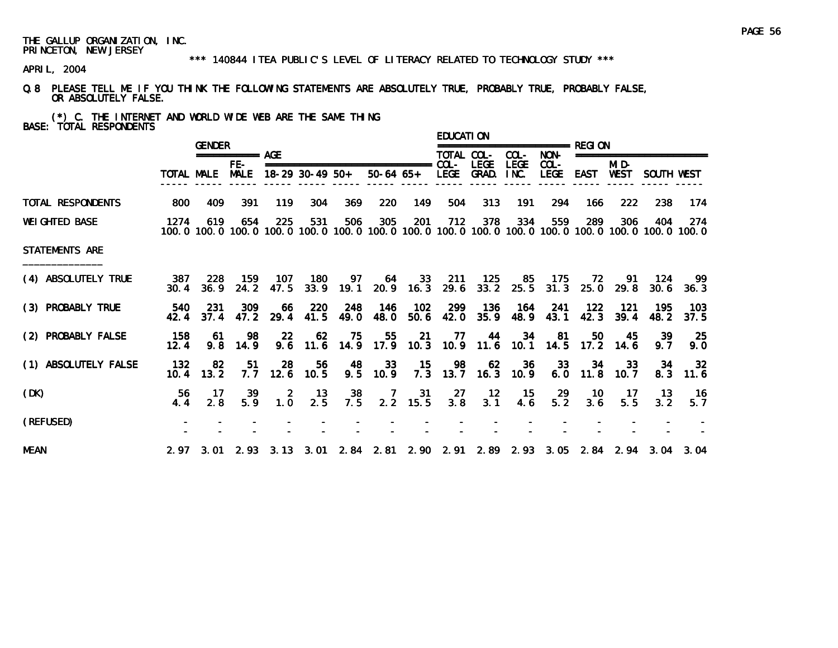#### \*\*\* 140844 ITEA PUBLIC'S LEVEL OF LITERACY RELATED TO TECHNOLOGY STUDY \*\*\*

APRIL, 2004

Q.8 PLEASE TELL ME IF YOU THINK THE FOLLOWING STATEMENTS ARE ABSOLUTELY TRUE, PROBABLY TRUE, PROBABLY FALSE, OR ABSOLUTELY FALSE.

(\*) C. THE INTERNET AND WORLD WIDE WEB ARE THE SAME THING BASE: TOTAL RESPONDENTS

|                       |             | <b>GENDER</b>          |                 |                       |                   |             |                                                             |                      | <b>EDUCATION</b> |                              |                     |                  |             |                   |                                                                                                                        |                   |
|-----------------------|-------------|------------------------|-----------------|-----------------------|-------------------|-------------|-------------------------------------------------------------|----------------------|------------------|------------------------------|---------------------|------------------|-------------|-------------------|------------------------------------------------------------------------------------------------------------------------|-------------------|
|                       |             |                        | =========== AGE |                       |                   |             |                                                             |                      | TOTAL COL-       |                              | COL-                | NON-             |             |                   | ========================                                                                                               |                   |
|                       |             | TOTAL MALE MALE        | FE-             |                       | $18-29$ 30-49 50+ |             |                                                             | 50-64 65+ LEGE GRAD. |                  | <b>LEGE</b>                  | <b>LEGE</b><br>INC. | $COL -$<br>LEGE  | EAST        | MI D-<br>WEST     | SOUTH WEST                                                                                                             |                   |
| TOTAL RESPONDENTS     | 800         | 409                    | 391             | 119                   | 304               | 369         | 220                                                         | 149                  | 504              | 313                          | 191                 | 294              | 166         | 222               | 238                                                                                                                    | -174              |
| <b>WEI GHTED BASE</b> | 1274        | 619                    | 654             | 225                   | 531               | 506         | 305                                                         | 201                  | 712              | 378                          | 334                 | 559              | 289         | 306               | 404<br>100, 0 100, 0 100, 0 100, 0 100, 0 100, 0 100, 0 100, 0 100, 0 100, 0 100, 0 100, 0 100, 0 100, 0 100, 0 100, 0 | 274               |
| <b>STATEMENTS ARE</b> |             |                        |                 |                       |                   |             |                                                             |                      |                  |                              |                     |                  |             |                   |                                                                                                                        |                   |
| (4) ABSOLUTELY TRUE   | 387<br>30.4 | -228<br>36.9           | 159<br>24.2     | 107<br>47.5           | 180<br>33.9       | 97          | 19.1 20.9 16.3                                              | 64 33                | - 211            | - 125<br>29.6 33.2 25.5 31.3 | 85                  | - 175            | 72<br>25.0  | -91<br>29.8       | - 124                                                                                                                  | -99.<br>30.6 36.3 |
| (3) PROBABLY TRUE     | 540<br>42.4 | -231<br>37.4           | 309<br>47.2     | -66<br>29.4           | 220<br>41.5       | 248<br>49.0 | 146<br>48.0                                                 | 102<br>50.6          | 42.0             | 299 136<br>35.9              | - 164               | 241<br>48.9 43.1 | 122<br>42.3 | -121<br>39.4      | 195<br>48.2                                                                                                            | - 103<br>37.5     |
| (2) PROBABLY FALSE    | 158<br>12.4 | -61<br>9.8             | 98<br>14.9      | <b>22</b>             | 62                | - 75        | 55<br>9.6 11.6 14.9 17.9 10.3 10.9 11.6 10.1 14.5 17.2 14.6 | 21                   | - 77             | 44                           |                     | 34<br>81         | 50          | 45                | -39<br>9.7                                                                                                             | -25<br>9.0        |
| (1) ABSOLUTELY FALSE  | 132<br>10.4 | -82<br>13.2            | 51<br>7.7       | 28<br>12.6            | 56<br>10.5        | 48          | 33<br>9.5 10.9                                              | $-15$                | 98               | 62<br>7.3 13.7 16.3 10.9     | 36                  | 33<br>6.0        | 34          | 33<br>$11.8$ 10.7 | 34<br>8.3                                                                                                              | -32<br>11.6       |
| (DK)                  | 56.<br>4.4  | 17 <sup>7</sup><br>2.8 | -39<br>5.9      | $\overline{2}$<br>1.0 | - 13<br>2.5       | 38<br>7.5   |                                                             | $2.2$ 15.5           | 3.8              | 7 31 27 12<br>3.1            | 4.6                 | 15 29<br>5.2     | - 10<br>3.6 | $-17$<br>5.5      | - 13 -<br>3.2                                                                                                          | - 16<br>5.7       |
| (REFUSED)             |             |                        |                 |                       |                   |             |                                                             |                      |                  |                              |                     |                  |             |                   |                                                                                                                        |                   |
| <b>MEAN</b>           |             |                        |                 |                       |                   |             |                                                             |                      |                  |                              |                     |                  |             |                   | 2.97 3.01 2.93 3.13 3.01 2.84 2.81 2.90 2.91 2.89 2.93 3.05 2.84 2.94 3.04 3.04                                        |                   |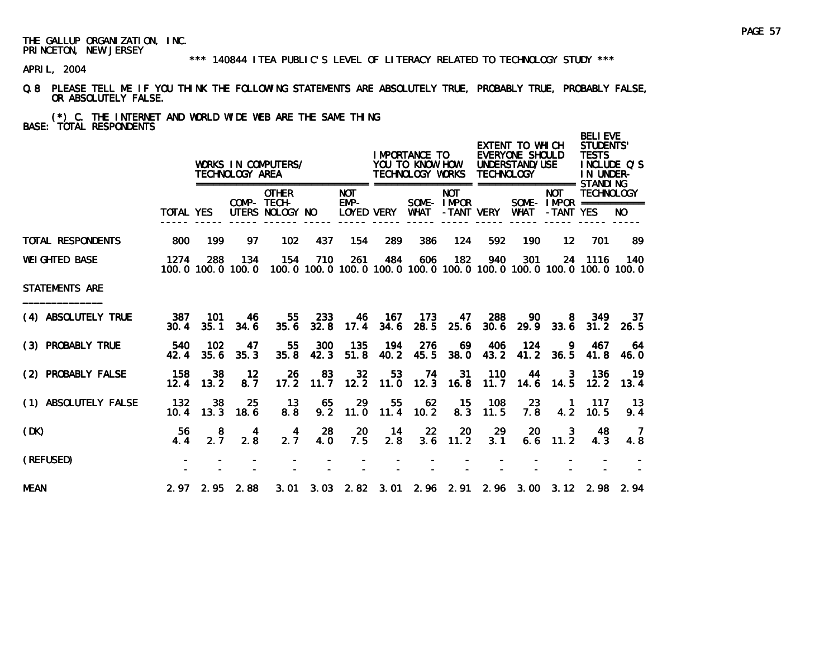#### \*\*\* 140844 ITEA PUBLIC'S LEVEL OF LITERACY RELATED TO TECHNOLOGY STUDY \*\*\*

APRIL, 2004

Q.8 PLEASE TELL ME IF YOU THINK THE FOLLOWING STATEMENTS ARE ABSOLUTELY TRUE, PROBABLY TRUE, PROBABLY FALSE, OR ABSOLUTELY FALSE.

# (\*) C. THE INTERNET AND WORLD WIDE WEB ARE THE SAME THING BASE: TOTAL RESPONDENTS

|                       |             |                   | TECHNOLOGY AREA          | WORKS IN COMPUTERS/                            |             |                              |                        | I MPORTANCE TO<br>YOU TO KNOW HOW<br>TECHNOLOGY WORKS |                          | <b>TECHNOLOGY</b> | EXTENT TO WHICH<br>EVERYONE SHOULD<br>UNDERSTAND/USE<br>================= =================== STANDI NG |                         | <b>BELIEVE</b><br><b>STUDENTS'</b><br><b>TESTS</b><br>IN UNDER- | INCLUDE O'S                                                                         |
|-----------------------|-------------|-------------------|--------------------------|------------------------------------------------|-------------|------------------------------|------------------------|-------------------------------------------------------|--------------------------|-------------------|---------------------------------------------------------------------------------------------------------|-------------------------|-----------------------------------------------------------------|-------------------------------------------------------------------------------------|
|                       | TOTAL YES   |                   |                          | <b>OTHER</b><br>COMP- TECH-<br>UTERS NOLOGY NO |             | ======<br><b>NOT</b><br>EMP- | LOYED VERY             | WHAT                                                  | <b>NOT</b><br>SOME-IMPOR | -TANT VERY        | WHAT                                                                                                    | <b>NOT</b><br>-TANT YES | <b>TECHNOLOGY</b><br>SOME- $IMPROR$ ===========                 | NO.                                                                                 |
| TOTAL RESPONDENTS     | 800         | 199               | 97                       | 102                                            | 437         | 154                          | 289                    | 386                                                   | 124                      | 592               | 190                                                                                                     | $12 \,$                 | 701                                                             | -89                                                                                 |
| <b>WEI GHTED BASE</b> | 1274        | 288               | 134<br>100.0 100.0 100.0 | 154                                            | 710         | 261                          | 484                    | 606                                                   | 182                      | 940               | 301                                                                                                     |                         | 24 1116                                                         | 140<br>100, 0 100, 0 100, 0 100, 0 100, 0 100, 0 100, 0 100, 0 100, 0 100, 0 100, 0 |
| STATEMENTS ARE        |             |                   |                          |                                                |             |                              |                        |                                                       |                          |                   |                                                                                                         |                         |                                                                 |                                                                                     |
| (4) ABSOLUTELY TRUE   | 387<br>30.4 | 101<br>35.1       | -46<br>34.6              | 55<br>35.6                                     | 233<br>32.8 | 46                           | - 167<br>$17.4$ $34.6$ | 173<br>28.5                                           | 47<br>25.6               | 288<br>30.6       | 90                                                                                                      | 8<br>$29.9$ 33.6        | 349<br>31.2                                                     | -37<br>26.5                                                                         |
| (3) PROBABLY TRUE     | 540<br>42.4 | 102<br>35.6       | 47<br>35.3               | 55<br>35.8                                     | 300<br>42.3 | 135<br>51.8                  | 194<br>40.2            | 276<br>45.5                                           | 69<br>38.0               | 406<br>43.2       | 124<br>41.2                                                                                             | - 9<br>36.5             | 467<br>41.8                                                     | 64<br>46.0                                                                          |
| (2) PROBABLY FALSE    | 158         | 38<br>$12.4$ 13.2 | $12 \,$<br>8.7           | 26<br>17.2                                     | 83<br>11.7  | 32                           | 53<br>$12.2$ 11.0      | 74<br>12.3                                            | 31<br>16.8               | 110<br>11.7       | 44                                                                                                      | 3<br>14.6 14.5          | 136<br>12.2                                                     | -19<br>13.4                                                                         |
| (1) ABSOLUTELY FALSE  | 132<br>10.4 | 38<br>13.3        | 25<br>18.6               | 13<br>8.8                                      | 65<br>9.2   | 29<br>11.0                   | 55<br>11.4             | 62<br>10.2                                            | - 15<br>8.3              | 108<br>11.5       | 23<br>7.8                                                                                               | $\overline{1}$<br>4.2   | 117<br>10.5                                                     | 13<br>9.4                                                                           |
| (DK)                  | 56<br>4.4   | 8<br>2.7          | -4<br>2.8                | 4<br>2.7                                       | 28<br>4.0   | 20<br>7.5                    | -14<br>2.8             | -22<br>3.6                                            | 20<br>11.2               | -29<br>3.1        | <b>20</b>                                                                                               | 3<br>$6.6$ 11.2         | 48<br>4.3                                                       | $\overline{7}$<br>4.8                                                               |
| (REFUSED)             |             |                   |                          |                                                |             |                              |                        |                                                       |                          |                   |                                                                                                         |                         |                                                                 |                                                                                     |
| <b>MEAN</b>           |             |                   | $2.97$ $2.95$ $2.88$     |                                                |             |                              |                        |                                                       |                          |                   |                                                                                                         |                         |                                                                 | 3.01 3.03 2.82 3.01 2.96 2.91 2.96 3.00 3.12 2.98 2.94                              |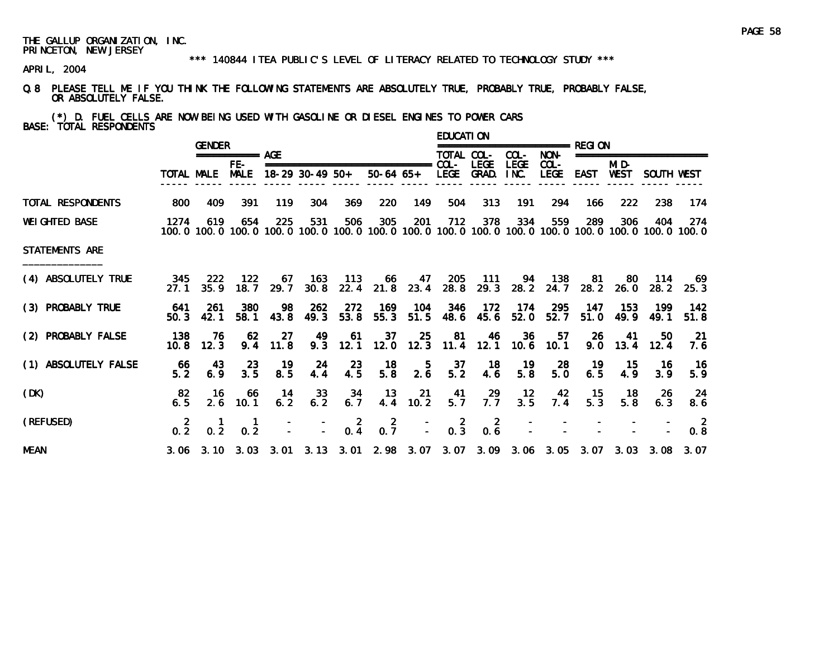#### \*\*\* 140844 ITEA PUBLIC'S LEVEL OF LITERACY RELATED TO TECHNOLOGY STUDY \*\*\*

APRIL, 2004

Q.8 PLEASE TELL ME IF YOU THINK THE FOLLOWING STATEMENTS ARE ABSOLUTELY TRUE, PROBABLY TRUE, PROBABLY FALSE, OR ABSOLUTELY FALSE.

(\*) D. FUEL CELLS ARE NOW BEING USED WITH GASOLINE OR DIESEL ENGINES TO POWER CARS BASE: TOTAL RESPONDENTS

|                       |                  | <b>GENDER</b> |                             |            |                   |                       |                                                                                                                        |                            | <b>EDUCATION</b>                              |                                          |                  | =============== RFGI ON |              |                          |                          |                       |
|-----------------------|------------------|---------------|-----------------------------|------------|-------------------|-----------------------|------------------------------------------------------------------------------------------------------------------------|----------------------------|-----------------------------------------------|------------------------------------------|------------------|-------------------------|--------------|--------------------------|--------------------------|-----------------------|
|                       |                  |               | =========== AGE             |            |                   |                       |                                                                                                                        |                            | TOTAL COL-                                    |                                          | COL-             | NON-                    |              |                          | ======================== |                       |
|                       |                  | TOTAL MALE    | FE-<br><b>MALE</b>          |            | $18-29$ 30-49 50+ |                       |                                                                                                                        |                            |                                               | <b>LEGE</b><br>50-64 65+ LEGE GRAD. INC. | <b>LEGE</b>      | $COL -$<br><b>LEGE</b>  | EAST         | MI D-<br>WEST            | SOUTH WEST               |                       |
| TOTAL RESPONDENTS     | 800              | 409           | 391                         | 119        | 304               | 369                   | 220                                                                                                                    | 149                        | 504                                           | 313                                      | 191              | 294                     | 166          | 222                      | 238                      | 174                   |
| <b>WEI GHTED BASE</b> | 1274             | 619           | 654                         | 225        | 531               | 506                   | 305<br>100, 0 100, 0 100, 0 100, 0 100, 0 100, 0 100, 0 100, 0 100, 0 100, 0 100, 0 100, 0 100, 0 100, 0 100, 0 100, 0 | <b>201</b>                 | 712                                           | 378                                      | 334              | 559                     | 289          | 306                      | 404                      | -274                  |
| <b>STATEMENTS ARE</b> |                  |               |                             |            |                   |                       |                                                                                                                        |                            |                                               |                                          |                  |                         |              |                          |                          |                       |
| (4) ABSOLUTELY TRUE   | 345<br>27.1      | 222<br>35.9   | 122<br>18.7                 | 29.7       | 67 163<br>30.8    | $-113$                | -66<br>22.4 21.8 23.4 28.8                                                                                             | 47                         | 205                                           | $-111$<br>29.3                           | 94<br>28.2       | - 138<br>24.7           | - 81<br>28.2 | -80<br>26.0              | 114                      | -69<br>$28.2$ $25.3$  |
| (3) PROBABLY TRUE     | 641<br>50.3      | -261<br>42.1  | 380<br>58.1                 | 98<br>43.8 | 262<br>49.3       | 272<br>53.8           | 169<br>55.3                                                                                                            | 104<br>51.5                | 346                                           | $-172$<br>48.6 45.6                      | - 174<br>52.0    | 295<br>52.7             | 147<br>51.0  | 153<br>49.9              | 199<br>49.1              | -142<br>51.8          |
| (2) PROBABLY FALSE    | 138<br>10.8      | -76<br>12.3   | -62<br>9.4                  | 27<br>11.8 | 49                | 61<br>$9.3$ 12.1      | 37                                                                                                                     | 25<br>$12.0$ $12.3$ $11.4$ | 81                                            | 46                                       | 36               | 57<br>12.1 10.6 10.1    | 26           | - 41<br>$9.0 \quad 13.4$ | 50.<br>12.4              | -21<br>7.6            |
| (1) ABSOLUTELY FALSE  | -66<br>5.2       | 43<br>6.9     | -23<br>3.5                  | 19<br>8.5  | 24<br>4.4         | 23<br>4.5             | 18<br>5.8                                                                                                              | -5<br>2.6                  | 37<br>5.2                                     | - 18<br>4.6                              | $\frac{19}{5.8}$ | 28<br>5.0               | 19<br>6.5    | 15<br>4.9                | -16<br>3.9               | 16<br>5.9             |
| (DK)                  | 82<br>6.5        | -16<br>2.6    | -66<br>10.1                 | -14<br>6.2 | 33<br>6.2         | -34<br>6.7            | 13                                                                                                                     | - 21<br>4.4 10.2           | 41<br>5.7                                     | $7.7^{29}$                               | $\frac{12}{3.5}$ | 42<br>7.4               | - 15<br>5.3  | 18<br>5.8                | 26<br>6.3                | 24<br>8.6             |
| (REFUSED)             | 0.2 <sub>1</sub> | 0.2           | 0.2                         |            |                   | $\overline{2}$<br>0.4 | $\mathbf{2}$<br>0.7                                                                                                    |                            | $0.\overline{3}$<br>$\mathbf{L}^{\text{max}}$ | $\overline{2}$<br>0.6                    |                  |                         |              |                          |                          | $\overline{2}$<br>0.8 |
| <b>MEAN</b>           |                  |               | $3.06$ $3.10$ $3.03$ $3.01$ |            |                   |                       | 3. 13 3. 01 2. 98 3. 07 3. 07 3. 09 3. 06 3. 05                                                                        |                            |                                               |                                          |                  |                         |              |                          | 3.07 3.03 3.08 3.07      |                       |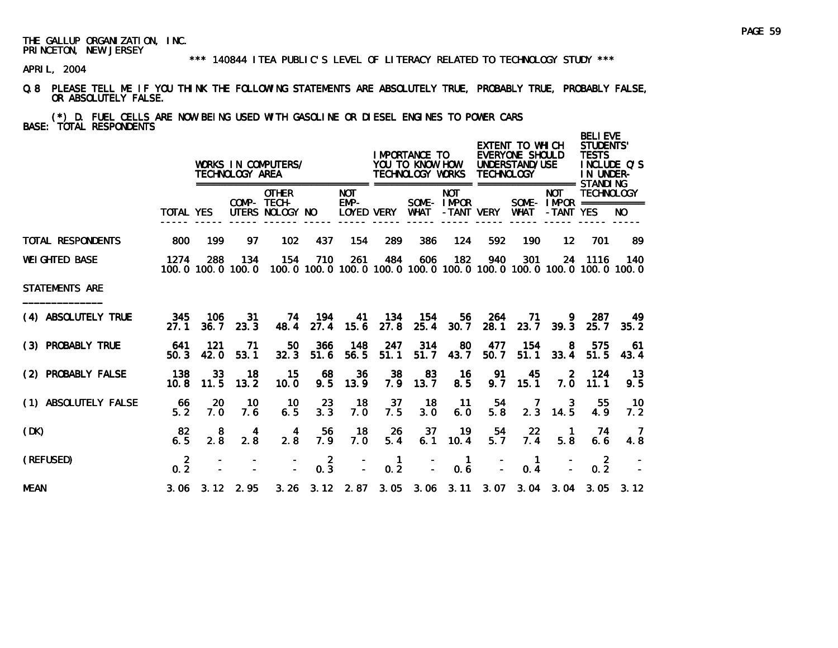\*\*\* 140844 ITEA PUBLIC'S LEVEL OF LITERACY RELATED TO TECHNOLOGY STUDY \*\*\*

APRIL, 2004

Q.8 PLEASE TELL ME IF YOU THINK THE FOLLOWING STATEMENTS ARE ABSOLUTELY TRUE, PROBABLY TRUE, PROBABLY FALSE, OR ABSOLUTELY FALSE.

(\*) D. FUEL CELLS ARE NOW BEING USED WITH GASOLINE OR DIESEL ENGINES TO POWER CARS BASE: TOTAL RESPONDENTS

|                       |                       |             | TECHNOLOGY AREA          | WORKS IN COMPUTERS/                            |                  |                      |                                  | <b>IMPORTANCE TO</b><br>YOU TO KNOW HOW<br>TECHNOLOGY WORKS |                          | <b>TECHNOLOGY</b> | EXTENT TO WHICH<br>EVERYONE SHOULD<br>UNDERSTAND/USE |                         | <b>BELIEVE</b><br><b>STUDENTS'</b><br><b>TESTS</b><br>IN UNDER-                      | INCLUDE O'S |
|-----------------------|-----------------------|-------------|--------------------------|------------------------------------------------|------------------|----------------------|----------------------------------|-------------------------------------------------------------|--------------------------|-------------------|------------------------------------------------------|-------------------------|--------------------------------------------------------------------------------------|-------------|
|                       | <b>TOTAL YES</b>      |             |                          | <b>OTHER</b><br>COMP- TECH-<br>UTERS NOLOGY NO |                  | <b>NOT</b><br>$EMP-$ | LOYED VERY                       | <b>WHAT</b>                                                 | <b>NOT</b><br>SOME-IMPOR | -TANT VERY        | <b>WHAT</b>                                          | <b>NOT</b><br>-TANT YES | <b>TECHNOLOGY</b><br>SOME- $IMPROR$ ===========                                      | NO.         |
| TOTAL RESPONDENTS     | 800                   | 199         | 97                       | 102                                            | 437              | 154                  | 289                              | 386                                                         | 124                      | 592               | 190                                                  | $12 \overline{ }$       | 701                                                                                  | 89          |
| <b>WEI GHTED BASE</b> | 1274                  | 288         | 134<br>100.0 100.0 100.0 | 154                                            | 710              | 261                  | 484                              | 606                                                         | 182                      | 940               | 301                                                  | 24                      | 1116<br>100, 0 100, 0 100, 0 100, 0 100, 0 100, 0 100, 0 100, 0 100, 0 100, 0 100, 0 | 140         |
| <b>STATEMENTS ARE</b> |                       |             |                          |                                                |                  |                      |                                  |                                                             |                          |                   |                                                      |                         |                                                                                      |             |
| (4) ABSOLUTELY TRUE   | 345<br>27.1           | 106<br>36.7 | 31<br>23.3               | 48.4                                           | 74 194<br>27.4   | 41<br>15.6           | 134<br>27.8                      | - 154<br>25.4                                               | 56<br>30.7               | 264<br>28.1       | 71<br>23.7                                           | 39.3                    | 287<br>25.7                                                                          | 49<br>35.2  |
| (3) PROBABLY TRUE     | 641<br>50.3           | 121<br>42.0 | -71<br>53.1              | 50<br>32.3                                     | 366<br>51.6      | 148<br>56.5          | 247<br>51.1                      | 314<br>51.7                                                 | 80<br>43.7               | 477<br>50.7       | 154<br>51.1                                          | 8<br>33.4               | 575<br>51.5                                                                          | 61<br>43.4  |
| (2) PROBABLY FALSE    | 138<br>10.8           | 33<br>11.5  | 18<br>13.2               | 15<br>10.0                                     | 68<br>9.5        | 36<br>13.9           | 38<br>7.9                        | 83<br>13.7                                                  | 16<br>8.5                | 91<br>9.7         | 45<br>15.1                                           | 2<br>7.0                | 124<br>11.1                                                                          | 13<br>9.5   |
| (1) ABSOLUTELY FALSE  | -66<br>5.2            | 20<br>7.0   | 10<br>7.6                | 10<br>6.5                                      | 23<br>3.3        | 18<br>7.0            | 37<br>7.5                        | 18<br>3.0                                                   | $-11$<br>6.0             | 54<br>5.8         | 7<br>2.3                                             | 3<br>14.5               | 55<br>4.9                                                                            | 10<br>7.2   |
| (DK)                  | 82<br>6.5             | 8<br>2.8    | 4<br>2.8                 | 4<br>2.8                                       | 56<br>7.9        | 18<br>7.0            | 26<br>5.4                        | 37<br>6.1                                                   | 19<br>10.4               | 54<br>5.7         | 22<br>7.4                                            | $\overline{1}$<br>5.8   | 74<br>6.6                                                                            | -7<br>4.8   |
| (REFUSED)             | $\overline{2}$<br>0.2 |             |                          |                                                | $0.\overline{3}$ |                      | $\mathbf{1}$<br>$0.\overline{2}$ |                                                             | $\mathbf{1}$<br>0.6      |                   | $\mathbf{1}$<br>0.4                                  |                         | $\overline{2}$<br>0.2                                                                |             |
| <b>MEAN</b>           |                       |             | $3.06$ $3.12$ $2.95$     |                                                |                  |                      |                                  |                                                             |                          |                   |                                                      |                         | 3. 26 3. 12 2. 87 3. 05 3. 06 3. 11 3. 07 3. 04 3. 04 3. 05 3. 12                    |             |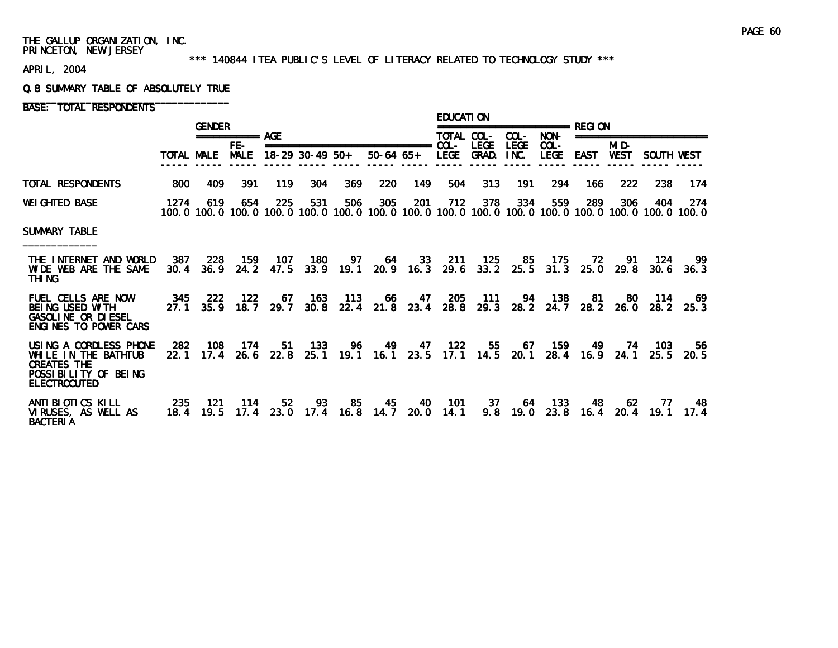#### \*\*\* 140844 ITEA PUBLIC'S LEVEL OF LITERACY RELATED TO TECHNOLOGY STUDY \*\*\*

APRIL, 2004

#### Q.8 SUMMARY TABLE OF ABSOLUTELY TRUE

BASE: TOTAL RESPONDENTS

|                                                                                                                     |             | <b>GENDER</b> |                    |             |                   |                   |                 |                   | <b>EDUCATION</b> |                             |                     |                        | =============== RFGI ON |                      |                                                                                                              |             |
|---------------------------------------------------------------------------------------------------------------------|-------------|---------------|--------------------|-------------|-------------------|-------------------|-----------------|-------------------|------------------|-----------------------------|---------------------|------------------------|-------------------------|----------------------|--------------------------------------------------------------------------------------------------------------|-------------|
|                                                                                                                     |             |               | =========== AGE    |             |                   |                   |                 |                   | TOTAL COL-       |                             | COL-                | NON-                   |                         |                      | ========================                                                                                     |             |
|                                                                                                                     | TOTAL MALE  |               | FE-<br><b>MALE</b> |             | $18-29$ 30-49 50+ |                   | $50-64$ 65+     |                   | <b>LEGE</b>      | <b>LEGE</b><br><b>GRAD.</b> | <b>LEGE</b><br>INC. | $COL -$<br><b>LEGE</b> | <b>EAST</b>             | MI D-<br><b>WEST</b> | SOUTH WEST                                                                                                   |             |
| TOTAL RESPONDENTS                                                                                                   | 800         | 409           | 391                | 119         | 304               | 369               | 220             | 149               | 504              | 313                         | 191                 | 294                    | 166                     | 222                  | 238                                                                                                          | 174         |
| <b>WEI GHTED BASE</b>                                                                                               | 1274        | 619           | 654                | 225         | 531               | 506               | 305             | 201               | 712              | 378                         | 334                 | 559                    | 289                     | 306                  | 404<br>100.0 100.0 100.0 100.0 100.0 100.0 100.0 100.0 100.0 100.0 100.0 100.0 100.0 100.0 100.0 100.0 100.0 | 274         |
| <b>SUMMARY TABLE</b>                                                                                                |             |               |                    |             |                   |                   |                 |                   |                  |                             |                     |                        |                         |                      |                                                                                                              |             |
| THE INTERNET AND WORLD<br>WIDE WEB ARE THE SAME<br>THI NG                                                           | 387<br>30.4 | 228<br>36.9   | 159<br>24.2        | 107<br>47.5 | 180               | 97<br>$33.9$ 19.1 | 64              | 33<br>$20.9$ 16.3 | 211<br>29.6      | 125<br>33.2                 | 85<br>25.5          | 175<br>31.3            | 72<br>25.0              | 91<br>29.8           | 124<br>30.6                                                                                                  | -99<br>36.3 |
| <b>FUEL CELLS ARE NOW</b><br><b>BEING USED WITH</b><br><b>GASOLINE OR DIESEL</b><br>ENGLNES TO POWER CARS           | 345<br>27.1 | 222<br>35.9   | 122<br>18.7        | -67<br>29.7 | 163<br>30.8       | 113<br>22.4       | -66             | 47<br>$21.8$ 23.4 | 205<br>28.8      | - 111<br>29.3               | 94<br>28.2          | - 138<br>24.7          | -81<br>28.2             | -80<br>26.0          | - 114<br>28.2                                                                                                | -69<br>25.3 |
| USING A CORDLESS PHONE<br>WHILE IN THE BATHTUB<br><b>CREATES THE</b><br>POSSIBILITY OF BEING<br><b>ELECTROCUTED</b> | 282<br>22.1 | 108<br>17.4   | 174<br>26.6        | 51<br>22.8  | 133<br>25.1       | 96                | 49<br>19.1 16.1 | 47<br>23.5        | 122<br>17.1      | 55<br>14.5                  | 67<br>20.1          | 159<br>28.4            | 49<br>16.9              | 74<br>24.1           | 103<br>25.5                                                                                                  | 56<br>20.5  |
| ANTI BI OTI CS KI LL<br>VIRUSES, AS WELL AS<br><b>BACTERIA</b>                                                      | 235<br>18.4 | 121<br>19.5   | 114<br>17.4        | 52<br>23.0  | 93<br>17.4        | 85<br>16.8        | 45<br>14.7      | 40<br>20.0        | 101<br>14.1      | 37<br>9.8                   | 64<br>19.0          | 133<br>23.8            | 48<br>16.4              | 62<br>20.4           | 77<br>19.1                                                                                                   | 48<br>17.4  |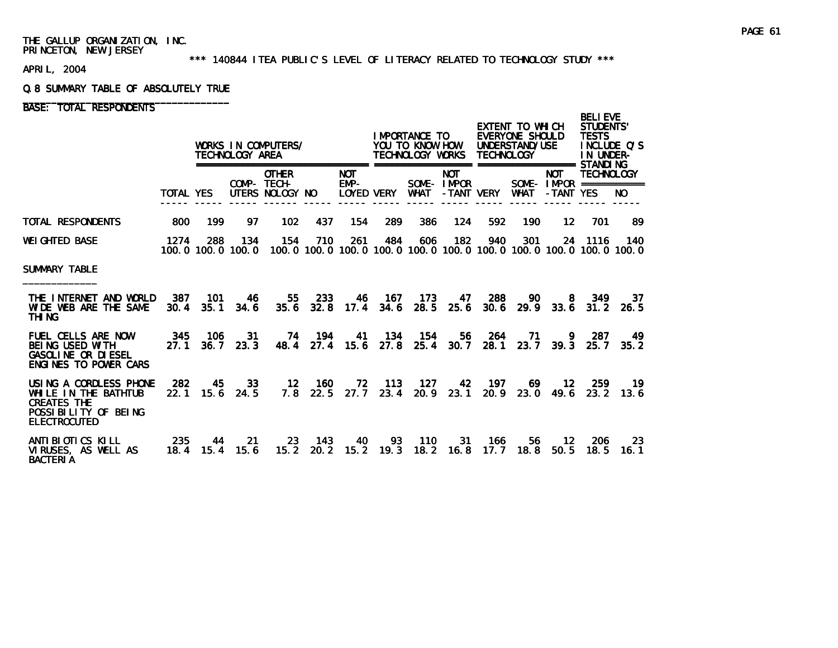#### \*\*\* 140844 ITEA PUBLIC'S LEVEL OF LITERACY RELATED TO TECHNOLOGY STUDY \*\*\*

APRIL, 2004

#### Q.8 SUMMARY TABLE OF ABSOLUTELY TRUE

# BASE: TOTAL RESPONDENTS

|                                                                                                                     |                  |                          | TECHNOLOGY AREA | WORKS IN COMPUTERS/<br>===================     |               |                                    |                        | IMPORTANCE TO<br>YOU TO KNOW HOW<br>TECHNOLOGY WORKS<br>================= ================== STANDI NG |                          | <b>TECHNOLOGY</b> | EXTENT TO WHICH<br>EVERYONE SHOULD<br>UNDERSTAND/USE |                                                     | <b>BELI EVE</b><br><b>STUDENTS'</b><br><b>TESTS</b><br>IN UNDER- | INCLUDE O'S |  |
|---------------------------------------------------------------------------------------------------------------------|------------------|--------------------------|-----------------|------------------------------------------------|---------------|------------------------------------|------------------------|--------------------------------------------------------------------------------------------------------|--------------------------|-------------------|------------------------------------------------------|-----------------------------------------------------|------------------------------------------------------------------|-------------|--|
|                                                                                                                     | TOTAL YES        |                          |                 | <b>OTHER</b><br>COMP- TECH-<br>UTERS NOLOGY NO |               | <b>NOT</b><br>$EMP-$<br>LOYED VERY |                        | SOME-IMPOR<br>WHAT                                                                                     | <b>NOT</b><br>-TANT VERY |                   | <b>WHAT</b>                                          | <b>NOT</b><br>SOME - IMPOR ===========<br>-TANT YES | <b>TECHNOLOGY</b>                                                | NO.         |  |
| TOTAL RESPONDENTS                                                                                                   | 800              | 199                      | 97              | 102                                            | 437           | 154                                | 289                    | 386                                                                                                    | 124                      | 592               | 190                                                  | 12                                                  | 701                                                              | 89          |  |
| WEIGHTED BASE                                                                                                       | 1274             | 288<br>100.0 100.0 100.0 | 134             | 154                                            | 710           | 261                                | 484                    | 606<br>100, 0 100, 0 100, 0 100, 0 100, 0 100, 0 100, 0 100, 0 100, 0 100, 0 100, 0                    | 182                      | 940               | 301                                                  |                                                     | 24 1116                                                          | 140         |  |
| SUMMARY TABLE                                                                                                       |                  |                          |                 |                                                |               |                                    |                        |                                                                                                        |                          |                   |                                                      |                                                     |                                                                  |             |  |
| THE INTERNET AND WORLD<br>WIDE WEB ARE THE SAME<br>THI NG                                                           | 387<br>30.4      | 101<br>35.1              | 46<br>34.6      | 55<br>35.6                                     | 233<br>32.8   | 46                                 | - 167<br>$17.4$ $34.6$ | -173<br>28.5                                                                                           | 47<br>25.6               | 288<br>30.6       | 90                                                   | 8<br>$29.9$ 33.6                                    | 349<br>31.2                                                      | 37<br>26.5  |  |
| <b>FUEL CELLS ARE NOW</b><br><b>BEING USED WITH</b><br><b>GASOLINE OR DIESEL</b><br>ENGINES TO POWER CARS           | 345<br>27.1      | 106<br>36.7              | 31<br>23.3      | 74<br>48.4                                     | 194<br>27.4   | 41                                 | - 134<br>$15.6$ 27.8   | - 154<br>25.4                                                                                          | 56<br>30.7               | 264<br>28.1       | 71<br>23.7                                           | 9<br>39.3                                           | 287<br>25.7                                                      | 49<br>35.2  |  |
| USING A CORDLESS PHONE<br>WHILE IN THE BATHTUB<br><b>CREATES THE</b><br>POSSIBILITY OF BEING<br><b>ELECTROCUTED</b> | 282<br>22.1      | 45<br>15.6               | 33<br>24.5      | $12 \,$<br>7.8                                 | - 160<br>22.5 | 72<br>27.7                         | 113<br>23.4            | 127<br>20.9                                                                                            | 42<br>23.1               | 197<br>20.9       | 69.<br>23.0                                          | 12 <sup>7</sup><br>49.6                             | 259<br>23.2                                                      | 19.<br>13.6 |  |
| ANTI BI OTI CS KI LL<br>VIRUSES. AS WELL AS<br><b>BACTERIA</b>                                                      | 235<br>18.4 15.4 | 44                       | 21<br>15.6      | 23<br>15.2                                     | - 143<br>20.2 | 40                                 | 93<br>$15.2$ 19.3      | - 110<br>18.2                                                                                          | 31<br>16.8               | 166<br>17.7       | 56<br>18.8                                           | 12<br>50.5                                          | 206<br>18.5                                                      | 23<br>16. 1 |  |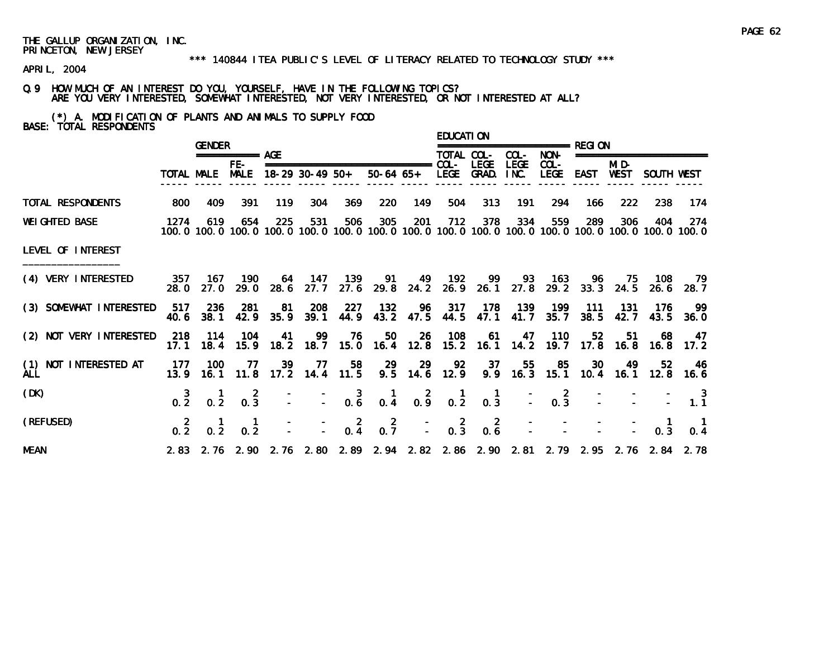#### \*\*\* 140844 ITEA PUBLIC'S LEVEL OF LITERACY RELATED TO TECHNOLOGY STUDY \*\*\*

APRIL, 2004

# Q.9 HOW MUCH OF AN INTEREST DO YOU, YOURSELF, HAVE IN THE FOLLOWING TOPICS? ARE YOU VERY INTERESTED, SOMEWHAT INTERESTED, NOT VERY INTERESTED, OR NOT INTERESTED AT ALL?

(\*) A. MODIFICATION OF PLANTS AND ANIMALS TO SUPPLY FOOD BASE: TOTAL RESPONDENTS

|                                     |       | <b>GENDER</b>       |                                                                |     |               |         |                                                                                           |     | <b>EDUCATION</b> |         |             |                            |     |             |                           |                                                                                                                           |
|-------------------------------------|-------|---------------------|----------------------------------------------------------------|-----|---------------|---------|-------------------------------------------------------------------------------------------|-----|------------------|---------|-------------|----------------------------|-----|-------------|---------------------------|---------------------------------------------------------------------------------------------------------------------------|
|                                     |       |                     | $== == == == ==$ AGE                                           |     |               |         |                                                                                           |     | TOTAL COL-       |         | COL-        | NON-                       |     |             | ========================  |                                                                                                                           |
|                                     |       |                     | $FE-$                                                          |     |               |         | TOTAL MALE MALE 18-29 30-49 50+ 50-64 65+ LEGE GRAD. INC.                                 |     |                  | LEGE    | <b>LEGE</b> | $COL -$                    |     | MI D-       | LEGE EAST WEST SOUTH WEST |                                                                                                                           |
| TOTAL RESPONDENTS                   | 800   | 409                 | 391                                                            | 119 | 304           | 369     | 220                                                                                       | 149 | 504              | 313     | 191         | 294                        | 166 | 222         | 238                       | 174                                                                                                                       |
| <b>WEIGHTED BASE</b>                | 1274  | 619                 | 654                                                            | 225 | 531           | 506     | 305                                                                                       | 201 |                  | 712 378 | 334         | 559                        | 289 | 306         | 404                       | 274<br>100.0 100.0 100.0 100.0 100.0 100.0 100.0 100.0 100.0 100.0 100.0 100.0 100.0 100.0 100.0 100.0 100.0              |
| LEVEL OF INTEREST                   |       |                     |                                                                |     |               |         |                                                                                           |     |                  |         |             |                            |     |             |                           |                                                                                                                           |
| (4) VERY INTERESTED                 | 28.0  |                     | 357 167 190                                                    |     |               |         |                                                                                           |     |                  |         |             |                            |     |             |                           | 64 147 139 91 49 192 99 93 163 96 75 108 79<br>27.0 29.0 28.6 27.7 27.6 29.8 24.2 26.9 26.1 27.8 29.2 33.3 24.5 26.6 28.7 |
| (3) SOMEWHAT INTERESTED             | 40.6  | 517 236 281<br>38.1 | 42.9                                                           | 81  | $35.9$ $39.1$ | 208 227 | 132<br>44.9 43.2 47.5 44.5 47.1 41.7 35.7                                                 |     |                  |         |             | 96 317 178 139 199 111 131 |     | $38.5$ 42.7 | - 176                     | - 99<br>43.5 36.0                                                                                                         |
| (2) NOT VERY INTERESTED             | 17.1  |                     | 218 114 104                                                    |     |               |         | 41 99 76 50<br>18.4 15.9 18.2 18.7 15.0 16.4 12.8 15.2 16.1 14.2 19.7 17.8 16.8 16.8 17.2 |     | 26 108           |         |             | 61 47 110                  | 52  | 51          | 68                        | 47                                                                                                                        |
| (1) NOT INTERESTED AT<br><b>ALL</b> | - 177 | - 100               | -77                                                            | 39  | 77            | -58     | 29<br>13.9 16.1 11.8 17.2 14.4 11.5 9.5 14.6 12.9 9.9 16.3 15.1 10.4 16.1 12.8 16.6       | 29  | 92               | - 37    |             | 55 85 30                   |     |             | 49 52 46                  |                                                                                                                           |
| (DK)                                |       |                     |                                                                |     |               |         |                                                                                           |     |                  |         |             |                            |     |             |                           |                                                                                                                           |
| (REFUSED)                           |       |                     | $\begin{array}{cccc} 2 & 1 & 1 \\ 0.2 & 0.2 & 0.2 \end{array}$ |     |               |         | $  2$ $2$ $ 2$ $2$ $   -$<br>$  0.4$ $0.7$ $ 0.3$ $0.6$ $  -$                             |     |                  |         |             |                            |     |             | $0.\overline{3}$          | 0.4                                                                                                                       |
| <b>MEAN</b>                         |       |                     |                                                                |     |               |         | 2.83 2.76 2.90 2.76 2.80 2.89 2.94 2.82 2.86 2.90 2.81 2.79 2.95 2.76 2.84 2.78           |     |                  |         |             |                            |     |             |                           |                                                                                                                           |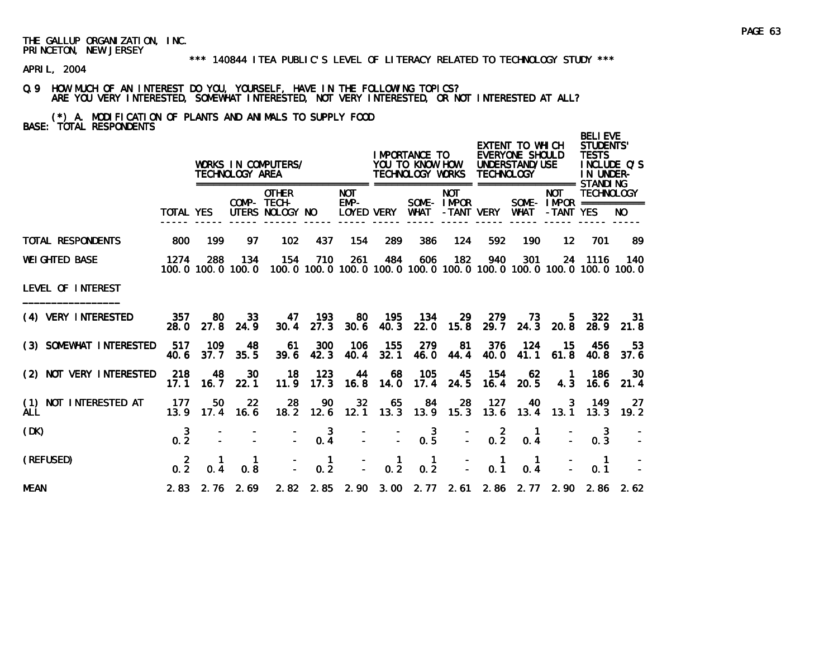APRIL, 2004

# Q.9 HOW MUCH OF AN INTEREST DO YOU, YOURSELF, HAVE IN THE FOLLOWING TOPICS? ARE YOU VERY INTERESTED, SOMEWHAT INTERESTED, NOT VERY INTERESTED, OR NOT INTERESTED AT ALL?

(\*) A. MODIFICATION OF PLANTS AND ANIMALS TO SUPPLY FOOD BASE: TOTAL RESPONDENTS

|                                     |                       |             | TECHNOLOGY AREA          | WORKS IN COMPUTERS/                            |                       |                                       |                      | I MPORTANCE TO<br>YOU TO KNOW HOW<br>TECHNOLOGY WORKS TECHNOLOGY |                  |                                             | EXTENT TO WHICH<br>EVERYONE SHOULD<br>UNDERSTAND/USE |                             | <b>BELIEVE</b><br>STUDENTS'<br><b>TESTS</b><br>IN UNDER- | INCLUDE O'S                                                                           |
|-------------------------------------|-----------------------|-------------|--------------------------|------------------------------------------------|-----------------------|---------------------------------------|----------------------|------------------------------------------------------------------|------------------|---------------------------------------------|------------------------------------------------------|-----------------------------|----------------------------------------------------------|---------------------------------------------------------------------------------------|
|                                     | TOTAL YES             |             |                          | <b>OTHER</b><br>COMP- TECH-<br>UTERS NOLOGY NO |                       | <b>NOT</b><br>EMP-<br>LOYED VERY WHAT |                      | SOME-IMPOR                                                       | <b>NOT</b>       | -TANT VERY                                  | WHAT                                                 | <b>NOT</b><br>-TANT YES     | <b>TECHNOLOGY</b><br>SOME- $IMPROR$ ===========          | NO.                                                                                   |
| <b>TOTAL RESPONDENTS</b>            | 800                   | 199         | 97                       | 102                                            | 437                   | 154                                   | 289                  | 386                                                              | 124              | 592                                         | 190                                                  | $12 \overline{ }$           | 701                                                      | -89                                                                                   |
| <b>WEI GHTED BASE</b>               | 1274                  | 288         | 134<br>100.0 100.0 100.0 | 154                                            | 710                   | 261                                   | 484                  | 606                                                              | 182              | 940                                         | 301                                                  |                             | 24 1116                                                  | - 140<br>100, 0 100, 0 100, 0 100, 0 100, 0 100, 0 100, 0 100, 0 100, 0 100, 0 100, 0 |
| LEVEL OF INTEREST                   |                       |             |                          |                                                |                       |                                       |                      |                                                                  |                  |                                             |                                                      |                             |                                                          |                                                                                       |
| (4) VERY INTERESTED                 | 357<br>28.0           | 80<br>27.8  | 33<br>24.9               | 30.4                                           | 47 193<br>27.3        | 80                                    | - 195<br>$30.6$ 40.3 | - 134                                                            | -29<br>22.0 15.8 | 279                                         | 73<br>29.7 24.3 20.8                                 | 5.                          | 322<br>28.9                                              | -31<br>21.8                                                                           |
| (3) SOMEWHAT INTERESTED             | 517<br>40.6           | 109<br>37.7 | 48<br>35.5               | 61<br>39.6                                     | 300<br>42.3           | 106                                   | - 155<br>40.4 32.1   | 279<br><b>46.0</b>                                               | -81<br>44.4      | 376<br>40.0                                 | 124                                                  | 15<br>41.1 61.8             | 456<br>40.8                                              | 53<br>37.6                                                                            |
| (2) NOT VERY INTERESTED             | 218<br>17.1           | 48<br>16.7  | 30<br>22.1               | 18                                             | 123<br>$11.9$ 17.3    | 44                                    | 68<br>$16.8$ 14.0    | 105<br>17.4                                                      | 45<br>24.5       | - 154<br>16.4                               | - 62<br>20.5                                         | $\blacksquare$<br>4.3       | 186<br>16.6                                              | 30<br>21.4                                                                            |
| (1) NOT INTERESTED AT<br><b>ALL</b> | -177<br>13.9          | 50          | 22<br>$17.4$ 16.6        | 28                                             | 90                    | 32 <sub>2</sub>                       | 65                   | 84<br>18.2 12.6 12.1 13.3 13.9 15.3                              | 28               | 127<br>13.6                                 | 40                                                   | $\mathbf{3}$<br>$13.4$ 13.1 | 149<br>13.3                                              | 27<br>19.2                                                                            |
| (DK)                                | $0.\frac{3}{2}$       |             |                          |                                                | 3<br>0.4              |                                       |                      | $0.\overline{5}$                                                 |                  | $\begin{bmatrix} 2 \\ -2 \end{bmatrix}$     | $\blacksquare$<br>0.4                                |                             | 3<br>0.3                                                 |                                                                                       |
| (REFUSED)                           | $\overline{2}$<br>0.2 | 0.4         | $\mathbf{1}$<br>0.8      |                                                | $\blacksquare$<br>0.2 | $\mathbf{r}$                          | $\frac{1}{0.2}$      | $\blacksquare$<br>0.2                                            |                  | $\blacksquare$<br>$\Delta \sim 10^4$<br>0.1 | $\blacksquare$<br>0.4                                |                             | $\blacksquare$<br>0.1                                    |                                                                                       |
| <b>MEAN</b>                         |                       |             | $2.83$ $2.76$ $2.69$     |                                                |                       |                                       |                      |                                                                  |                  |                                             |                                                      |                             |                                                          | 2.82 2.85 2.90 3.00 2.77 2.61 2.86 2.77 2.90 2.86 2.62                                |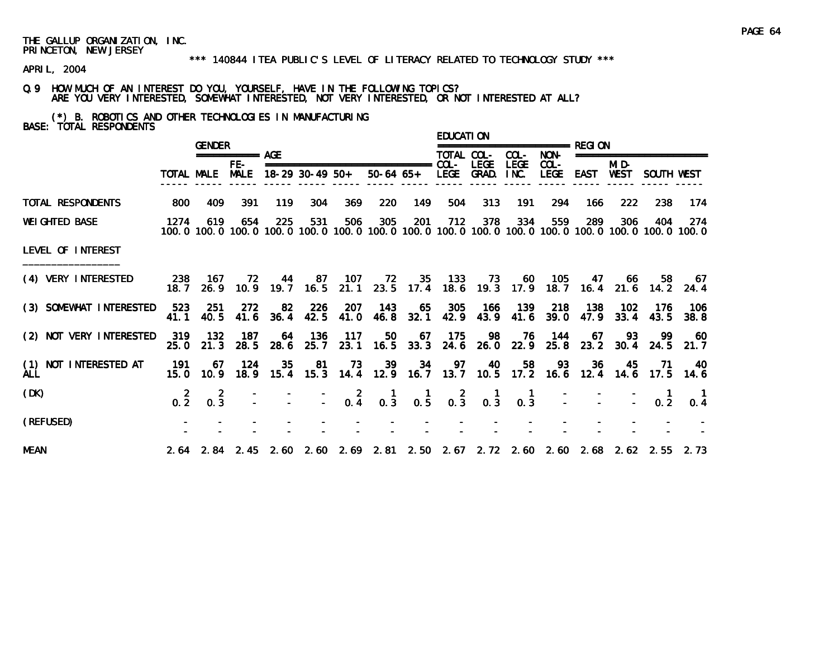#### \*\*\* 140844 ITEA PUBLIC'S LEVEL OF LITERACY RELATED TO TECHNOLOGY STUDY \*\*\*

APRIL, 2004

Q.9 HOW MUCH OF AN INTEREST DO YOU, YOURSELF, HAVE IN THE FOLLOWING TOPICS? ARE YOU VERY INTERESTED, SOMEWHAT INTERESTED, NOT VERY INTERESTED, OR NOT INTERESTED AT ALL?

(\*) B. ROBOTICS AND OTHER TECHNOLOGIES IN MANUFACTURING BASE: TOTAL RESPONDENTS

|                                     |       | <b>GENDER</b>           |                     |      |     |                                 |                                                                                 |     | <b>EDUCATION</b> |      |                |                                                             |             |             |                      |                                                                                                               |
|-------------------------------------|-------|-------------------------|---------------------|------|-----|---------------------------------|---------------------------------------------------------------------------------|-----|------------------|------|----------------|-------------------------------------------------------------|-------------|-------------|----------------------|---------------------------------------------------------------------------------------------------------------|
|                                     |       |                         | $=$ =========== AGE |      |     |                                 |                                                                                 |     | TOTAL COL-       |      | COL-           | NON-                                                        |             |             | ==================== |                                                                                                               |
|                                     |       |                         | FE-                 |      |     | TOTAL MALE MALE 18-29 30-49 50+ | 50-64 65+ LEGE GRAD. INC.                                                       |     |                  | LEGE | <b>LEGE</b>    | COL-<br>LEGE                                                | EAST WEST   | MI D-       | SOUTH WEST           |                                                                                                               |
| TOTAL RESPONDENTS                   | 800   | 409                     | 391                 | 119  | 304 | 369                             | 220                                                                             | 149 | 504              | 313  | 191            | 294                                                         | 166         | 222         | 238                  | 174                                                                                                           |
| <b>WEI GHTED BASE</b>               | 1274  | 619                     | 654                 | 225  | 531 | 506                             | 305                                                                             | 201 | 712              | 378  | 334            | 559                                                         | 289         | 306         | 404                  | -274<br>100.0 100.0 100.0 100.0 100.0 100.0 100.0 100.0 100.0 100.0 100.0 100.0 100.0 100.0 100.0 100.0 100.0 |
| LEVEL OF INTEREST                   |       |                         |                     |      |     |                                 |                                                                                 |     |                  |      |                |                                                             |             |             |                      |                                                                                                               |
| (4) VERY INTERESTED                 | 18. 7 |                         | 238 167 72          |      |     | 44 87 107                       |                                                                                 |     |                  |      |                | 72 35 133 73 60 105 47 66 58 67                             |             |             |                      | 26.9 10.9 19.7 16.5 21.1 23.5 17.4 18.6 19.3 17.9 18.7 16.4 21.6 14.2 24.4                                    |
| (3) SOMEWHAT INTERESTED 523 251     | 41.1  | 40.5                    | 272                 |      |     | 82 226 207                      | - 143<br>41.6 36.4 42.5 41.0 46.8 32.1                                          |     |                  |      |                | 65 305 166 139 218 138 102<br>42.9 43.9 41.6 39.0 47.9 33.4 |             |             | - 176<br>43.5        | - 106<br>38.8                                                                                                 |
| (2) NOT VERY INTERESTED             | 25. O | 319 132<br>21.3         | - 187<br>28.5       | 28.6 |     | 64 136 117                      | 50<br>25.7 23.1 16.5 33.3 24.6 26.0 22.9 25.8 23.2 30.4 24.5 21.7               |     | 67 175           |      |                | 98 76 144 67 93                                             |             |             |                      | 99 60                                                                                                         |
| (1) NOT INTERESTED AT<br><b>ALL</b> | 191   | 67<br>$15.0 \quad 10.9$ | 124                 | 35   |     | 81 73                           | -39<br>18.9 15.4 15.3 14.4 12.9 16.7 13.7 10.5 17.2 16.6 12.4 14.6 17.5 14.6    |     | 34 97            | - 40 | 58             |                                                             | 93 36 45 71 |             |                      | - 40                                                                                                          |
| (DK)                                | 0.2   | 0.3                     | 2                   |      |     |                                 | $-$ 2 1 1 2 1<br>$-$ 0.4 0.3 0.5 0.3 0.3                                        |     |                  |      | $\blacksquare$ | $0.\overline{3}$ $-$                                        |             | $\sim 10^6$ | 0.2                  | 0.4                                                                                                           |
| (REFUSED)                           |       |                         |                     |      |     |                                 |                                                                                 |     |                  |      |                |                                                             |             |             |                      |                                                                                                               |
| <b>MEAN</b>                         |       |                         |                     |      |     |                                 | 2.64 2.84 2.45 2.60 2.60 2.69 2.81 2.50 2.67 2.72 2.60 2.60 2.68 2.62 2.55 2.73 |     |                  |      |                |                                                             |             |             |                      |                                                                                                               |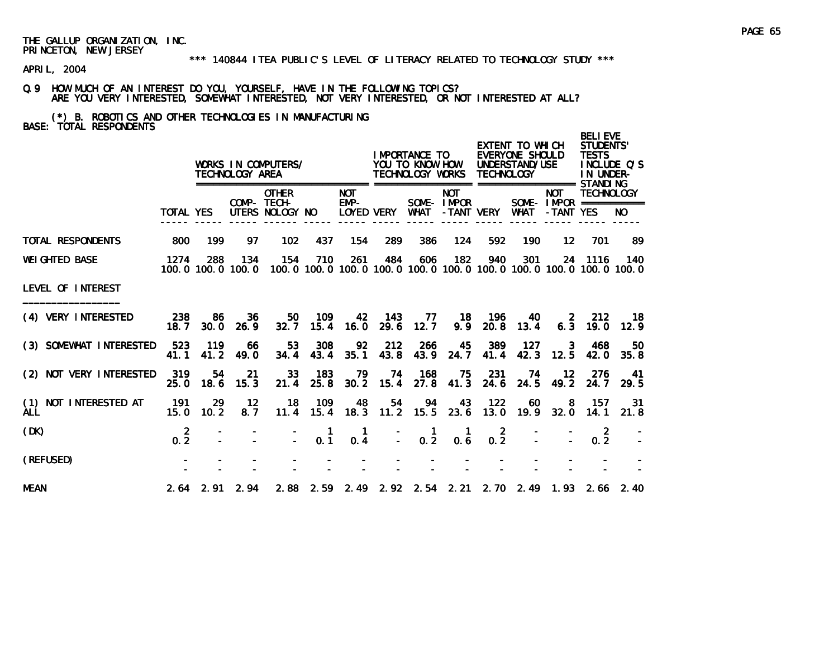APRIL, 2004

## Q.9 HOW MUCH OF AN INTEREST DO YOU, YOURSELF, HAVE IN THE FOLLOWING TOPICS? ARE YOU VERY INTERESTED, SOMEWHAT INTERESTED, NOT VERY INTERESTED, OR NOT INTERESTED AT ALL?

(\*) B. ROBOTICS AND OTHER TECHNOLOGIES IN MANUFACTURING BASE: TOTAL RESPONDENTS

|                                     |                       |             | TECHNOLOGY AREA          | WORKS IN COMPUTERS/                            |             |                                         |                      | I MPORTANCE TO<br>YOU TO KNOW HOW<br>TECHNOLOGY WORKS         |                          | <b>TECHNOLOGY</b>     | EXTENT TO WHICH<br>EVERYONE SHOULD<br>UNDERSTAND/USE |                         | <b>BELIEVE</b><br><b>STUDENTS'</b><br><b>TESTS</b><br>IN UNDER- | INCLUDE O'S                                                                |
|-------------------------------------|-----------------------|-------------|--------------------------|------------------------------------------------|-------------|-----------------------------------------|----------------------|---------------------------------------------------------------|--------------------------|-----------------------|------------------------------------------------------|-------------------------|-----------------------------------------------------------------|----------------------------------------------------------------------------|
|                                     | TOTAL YES             |             |                          | <b>OTHER</b><br>COMP- TECH-<br>UTERS NOLOGY NO |             | <b>NOT</b><br>EMP-<br><b>LOYED VERY</b> |                      | WHAT                                                          | <b>NOT</b><br>SOME-IMPOR | -TANT VERY            | WHAT                                                 | <b>NOT</b><br>-TANT YES | <b>TECHNOLOGY</b><br>SOME- $IMPROR$ ===========                 | NO.                                                                        |
| TOTAL RESPONDENTS                   | 800                   | 199         | 97                       | 102                                            | 437         | 154                                     | 289                  | 386                                                           | 124                      | 592                   | 190                                                  | $12 \,$                 | 701                                                             | 89                                                                         |
| <b>WEI GHTED BASE</b>               | 1274                  | 288         | 134<br>100.0 100.0 100.0 | 154                                            | 710         | 261                                     | 484                  | 606                                                           | 182                      | 940                   | 301                                                  |                         | 24 1116                                                         | - 140<br>100.0 100.0 100.0 100.0 100.0 100.0 100.0 100.0 100.0 100.0 100.0 |
| LEVEL OF INTEREST                   |                       |             |                          |                                                |             |                                         |                      |                                                               |                          |                       |                                                      |                         |                                                                 |                                                                            |
| (4) VERY INTERESTED                 | 238<br>18.7           | -86<br>30.0 | 36<br>26.9               | 50<br>32.7                                     | 109<br>15.4 | 42                                      | - 143<br>$16.0$ 29.6 | 77.<br>12.7                                                   | 18<br>9.9                | 196<br>20.8           | 40<br>13.4                                           | -2<br>6.3               | 212<br>19.0                                                     | 18.<br>12.9                                                                |
| (3) SOMEWHAT INTERESTED             | 523<br>41.1           | 119<br>41.2 | 66<br>49.0               | 53<br>34.4                                     | 308<br>43.4 | 92<br>35.1                              | 212<br>43.8          | 266<br>43.9                                                   | 45<br>24.7               | 389<br>41.4           | 127<br>42.3                                          | 3<br>12.5               | 468<br>42.0                                                     | 50<br>35.8                                                                 |
| (2) NOT VERY INTERESTED             | 319<br>25.0           | 54<br>18.6  | 21<br>15.3               | 33<br>21.4                                     | 183<br>25.8 | 79<br>30.2                              | 74                   | 168<br>15.4 27.8 41.3                                         | 75                       | 231<br>24.6           | 74<br>24.5                                           | $12 \,$<br>49.2         | -276<br>24.7                                                    | 41<br>29.5                                                                 |
| (1) NOT INTERESTED AT<br><b>ALL</b> | 191<br>15.0           | 29<br>10.2  | 12<br>8.7                | 18<br>11.4                                     | 109<br>15.4 | 48                                      | 54                   | 94<br>18.3 11.2 15.5                                          | 43<br>23.6               | 122<br>13.0           | 60<br>19.9                                           | 8<br>32.0               | 157<br>$-14.1$                                                  | -31<br>21.8                                                                |
| (DK)                                | $\overline{2}$<br>0.2 |             |                          |                                                | -1<br>0.1   | $\mathbf{1}$<br>0.4                     |                      | $\overline{1}$<br>$\begin{bmatrix} 1 \\ - \\ 0 \end{bmatrix}$ | $\mathbf{1}$<br>0.6      | $\overline{2}$<br>0.2 |                                                      |                         | $\overline{\mathbf{2}}$<br>0.2                                  |                                                                            |
| (REFUSED)                           |                       |             |                          |                                                |             |                                         |                      |                                                               |                          |                       |                                                      |                         |                                                                 |                                                                            |
| <b>MEAN</b>                         |                       |             | $2.64$ $2.91$ $2.94$     |                                                |             |                                         |                      |                                                               |                          |                       |                                                      |                         |                                                                 | 2.88 2.59 2.49 2.92 2.54 2.21 2.70 2.49 1.93 2.66 2.40                     |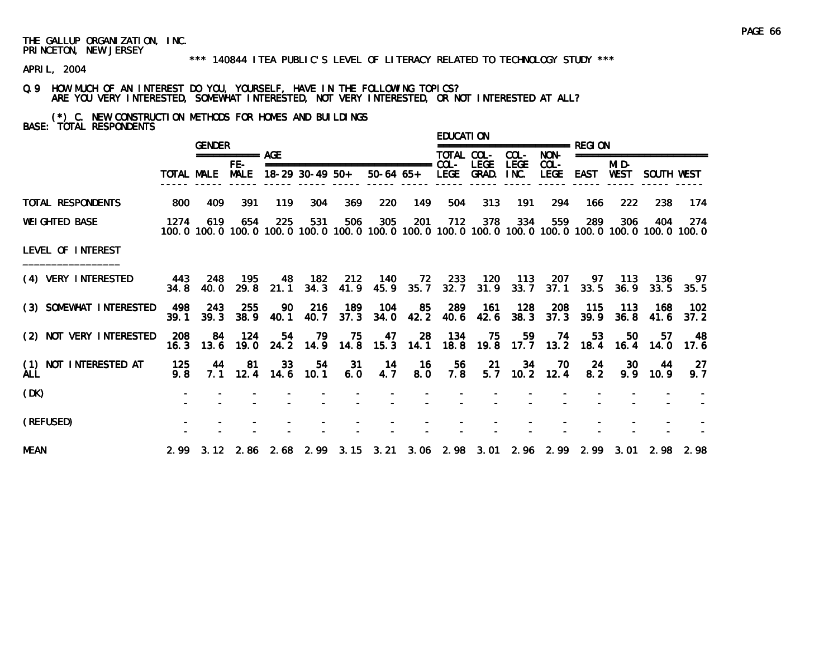#### \*\*\* 140844 ITEA PUBLIC'S LEVEL OF LITERACY RELATED TO TECHNOLOGY STUDY \*\*\*

APRIL, 2004

Q.9 HOW MUCH OF AN INTEREST DO YOU, YOURSELF, HAVE IN THE FOLLOWING TOPICS? ARE YOU VERY INTERESTED, SOMEWHAT INTERESTED, NOT VERY INTERESTED, OR NOT INTERESTED AT ALL?

(\*) C. NEW CONSTRUCTION METHODS FOR HOMES AND BUILDINGS BASE: TOTAL RESPONDENTS

|                                     |               | <b>GENDER</b>   |                        |      |                |                                                                           |                             |             | <b>EDUCATION</b> |                |                     |                                         |            |                  |                      |                                                                                                                        |
|-------------------------------------|---------------|-----------------|------------------------|------|----------------|---------------------------------------------------------------------------|-----------------------------|-------------|------------------|----------------|---------------------|-----------------------------------------|------------|------------------|----------------------|------------------------------------------------------------------------------------------------------------------------|
|                                     |               |                 | $=$ ============== AGF |      |                |                                                                           |                             |             | TOTAL COL-       |                | COL-                | NON-                                    |            |                  | ==================== |                                                                                                                        |
|                                     |               |                 | FE-                    |      |                | TOTAL MALE MALE 18-29 30-49 50+ 50-64 65+ LEGE GRAD.                      |                             |             |                  |                | <b>LEGE</b><br>INC. | $COL -$<br>LEGE                         | EAST WEST  | MI D-            | SOUTH WEST           |                                                                                                                        |
| TOTAL RESPONDENTS                   | 800           | 409             | 391                    | 119  | 304            | 369                                                                       | 220                         | 149         | 504              | 313            | 191                 | 294                                     | 166.       | 222              | 238                  | -174                                                                                                                   |
| <b>WEI GHTED BASE</b>               | 1274          | 619             | 654                    | 225  | 531            | 506                                                                       | 305                         | 201         | 712              | 378            | 334                 | 559                                     | 289        | 306              | 404                  | 274<br>100, 0 100, 0 100, 0 100, 0 100, 0 100, 0 100, 0 100, 0 100, 0 100, 0 100, 0 100, 0 100, 0 100, 0 100, 0 100, 0 |
| LEVEL OF INTEREST                   |               |                 |                        |      |                |                                                                           |                             |             |                  |                |                     |                                         |            |                  |                      |                                                                                                                        |
| (4) VERY INTERESTED                 | 34.8          | 40.0            | 443 248 195            |      |                | 48 182 212<br>29.8 21.1 34.3 41.9 45.9 35.7 32.7 31.9 33.7 37.1 33.5 36.9 | - 140                       |             |                  | 72 233 120 113 |                     |                                         | 207 97 113 |                  | - 136                | - 97<br>$33.5$ $35.5$                                                                                                  |
| (3) SOMEWHAT INTERESTED             | 39.1          | 498 243<br>39.3 | 255<br>38.9            | 40.1 | 90 216<br>40.7 | 189<br>37.3                                                               | 104                         | 34.0 42.2   |                  | 40.6 42.6      |                     | 85 289 161 128 208 115<br>$38.3$ $37.3$ | 39.9       | - 113<br>36.8    | - 168<br>41.6        | - 102<br>37.2                                                                                                          |
| (2) NOT VERY INTERESTED             | - 208<br>16.3 |                 | 84 124                 |      |                | 54 79 75<br>13.6 19.0 24.2 14.9 14.8 15.3 14.1                            |                             | 47 28       |                  | 134 75         | 59                  | 74                                      | 53         | 50               | 57                   | - 48<br>18.8 19.8 17.7 13.2 18.4 16.4 14.0 17.6                                                                        |
| (1) NOT INTERESTED AT<br><b>ALL</b> | 125<br>9.8    | 44              | -81                    | 33   | 54             | - 31<br>7.1 12.4 14.6 10.1 6.0 4.7                                        | $\overline{\phantom{0}}$ 14 | - 16<br>8.0 | - 56<br>7.8      | 21             | 34                  | 70<br>$5.7$ 10.2 12.4                   | -24<br>8.2 | <b>30</b><br>9.9 | 44<br>10.9           | -27<br>9.7                                                                                                             |
| (DK)                                |               |                 |                        |      |                |                                                                           |                             |             |                  |                |                     |                                         |            |                  |                      |                                                                                                                        |
| (REFUSED)                           |               |                 |                        |      |                |                                                                           |                             |             |                  |                |                     |                                         |            |                  |                      |                                                                                                                        |
| <b>MEAN</b>                         |               |                 |                        |      |                |                                                                           |                             |             |                  |                |                     |                                         |            |                  |                      | 2.99 3.12 2.86 2.68 2.99 3.15 3.21 3.06 2.98 3.01 2.96 2.99 2.99 3.01 2.98 2.98                                        |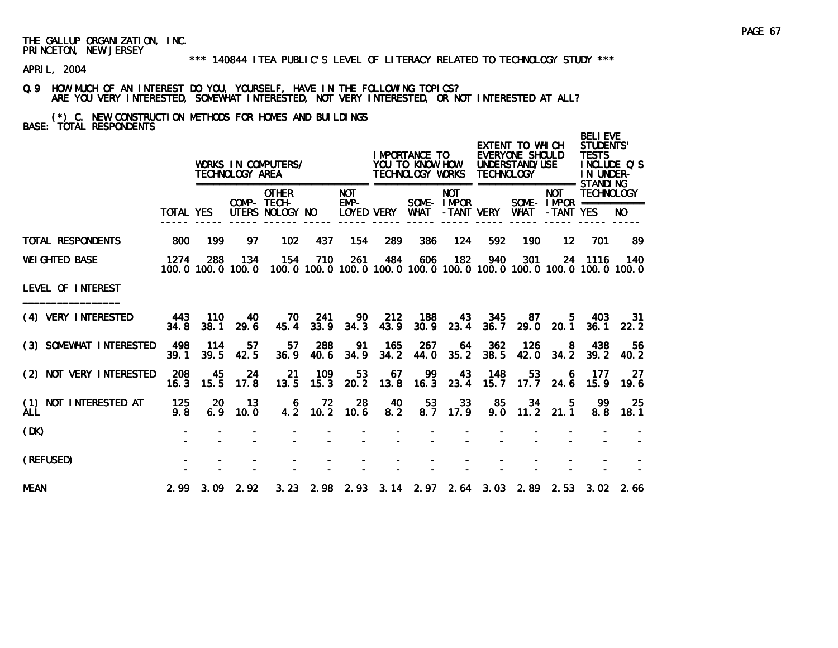APRIL, 2004

Q.9 HOW MUCH OF AN INTEREST DO YOU, YOURSELF, HAVE IN THE FOLLOWING TOPICS? ARE YOU VERY INTERESTED, SOMEWHAT INTERESTED, NOT VERY INTERESTED, OR NOT INTERESTED AT ALL?

(\*) C. NEW CONSTRUCTION METHODS FOR HOMES AND BUILDINGS BASE: TOTAL RESPONDENTS

|                                     |             |               | TECHNOLOGY AREA          | WORKS IN COMPUTERS/                            |              |                      |             | I MPORTANCE TO<br>YOU TO KNOW HOW<br>TECHNOLOGY WORKS |                          | <b>TECHNOLOGY</b> | EXTENT TO WHICH<br>EVERYONE SHOULD<br>UNDERSTAND/USE |                         | <b>BELIEVE</b><br><b>STUDENTS'</b><br><b>TESTS</b><br>IN UNDER- | INCLUDE O'S                                                                         |
|-------------------------------------|-------------|---------------|--------------------------|------------------------------------------------|--------------|----------------------|-------------|-------------------------------------------------------|--------------------------|-------------------|------------------------------------------------------|-------------------------|-----------------------------------------------------------------|-------------------------------------------------------------------------------------|
|                                     | TOTAL YES   |               |                          | <b>OTHER</b><br>COMP- TECH-<br>UTERS NOLOGY NO |              | <b>NOT</b><br>$EMP-$ | LOYED VERY  | WHAT                                                  | <b>NOT</b><br>SOME-IMPOR | -TANT VERY        | WHAT                                                 | <b>NOT</b><br>-TANT YES | <b>TECHNOLOGY</b><br>SOME- $IMPROR$ ===========                 | NO.                                                                                 |
| <b>TOTAL RESPONDENTS</b>            | 800         | 199           | 97                       | 102                                            | 437          | 154                  | 289         | 386                                                   | 124                      | 592               | 190                                                  | $12 \,$                 | 701                                                             | -89                                                                                 |
| <b>WEI GHTED BASE</b>               | 1274        | 288           | 134<br>100.0 100.0 100.0 | 154                                            | 710          | 261                  | 484         | 606                                                   | 182                      | 940               | 301                                                  |                         | 24 1116                                                         | 140<br>100, 0 100, 0 100, 0 100, 0 100, 0 100, 0 100, 0 100, 0 100, 0 100, 0 100, 0 |
| LEVEL OF INTEREST                   |             |               |                          |                                                |              |                      |             |                                                       |                          |                   |                                                      |                         |                                                                 |                                                                                     |
| (4) VERY INTERESTED                 | 443<br>34.8 | - 110<br>38.1 | 40<br>29.6               | 70 —<br>45.4                                   | -241<br>33.9 | 90<br>34.3           | 212<br>43.9 | 188<br>30.9                                           | 43<br>23.4               | 345<br>36.7       | 87.                                                  | 5.<br>$29.0$ $20.1$     | 403<br>36.1                                                     | -31<br>22.2                                                                         |
| (3) SOMEWHAT INTERESTED             | 498<br>39.1 | - 114<br>39.5 | 57<br>42.5               | 57<br>36.9                                     | 288<br>40.6  | -91<br>34.9          | 165<br>34.2 | 267<br>44.0                                           | 64<br>35.2               | 362<br>38.5       | 126<br>42.0                                          | - 8<br>34.2             | 438<br>39.2                                                     | 56.<br>40.2                                                                         |
| (2) NOT VERY INTERESTED             | 208<br>16.3 | 45<br>15.5    | -24<br>17.8              | -21<br>13.5                                    | 109<br>15.3  | 53<br>20.2           | 67          | 99<br>$13.8$ 16.3                                     | 43<br>23.4               | 148<br>15.7       | 53<br>17.7                                           | 6<br>24.6               | 177<br>15.9                                                     | -27<br>19.6                                                                         |
| (1) NOT INTERESTED AT<br><b>ALL</b> | 125<br>9.8  | 20<br>6.9     | 13<br>10.0               | 6                                              | 72           | 28<br>4.2 10.2 10.6  | 40<br>8.2   | 53                                                    | 33<br>$8.7$ 17.9         | 85                | 34<br>$9.0$ 11.2 21.1                                | $-5$                    | -99<br>8.8                                                      | 25<br>18.1                                                                          |
| (DK)                                |             |               |                          |                                                |              |                      |             |                                                       |                          |                   |                                                      |                         |                                                                 |                                                                                     |
| (REFUSED)                           |             |               |                          |                                                |              |                      |             |                                                       |                          |                   |                                                      |                         |                                                                 |                                                                                     |
| <b>MEAN</b>                         |             |               | $2.99$ $3.09$ $2.92$     |                                                |              |                      |             |                                                       |                          |                   |                                                      |                         |                                                                 | 3. 23 2. 98 2. 93 3. 14 2. 97 2. 64 3. 03 2. 89 2. 53 3. 02 2. 66                   |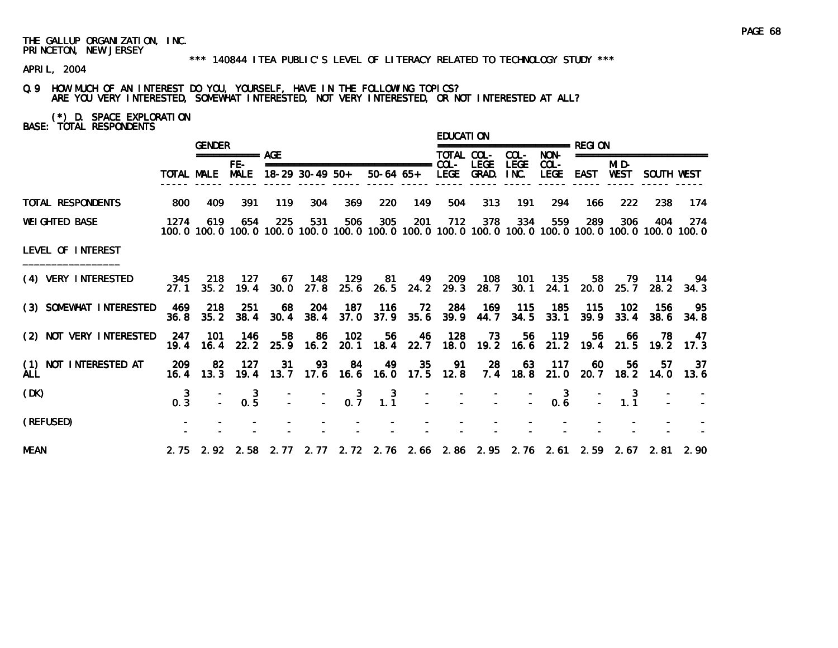APRIL, 2004

Q.9 HOW MUCH OF AN INTEREST DO YOU, YOURSELF, HAVE IN THE FOLLOWING TOPICS? ARE YOU VERY INTERESTED, SOMEWHAT INTERESTED, NOT VERY INTERESTED, OR NOT INTERESTED AT ALL?

(\*) D. SPACE EXPLORATION BASE: TOTAL RESPONDENTS

|                                     |                       | <b>GENDER</b>   |                                        |      |                   |                                           |                                                                                                                        |           | <b>EDUCATION</b> |                                |                        |                                                   |               |                     |                          |                   |
|-------------------------------------|-----------------------|-----------------|----------------------------------------|------|-------------------|-------------------------------------------|------------------------------------------------------------------------------------------------------------------------|-----------|------------------|--------------------------------|------------------------|---------------------------------------------------|---------------|---------------------|--------------------------|-------------------|
|                                     |                       |                 | =========== AGE                        |      |                   |                                           |                                                                                                                        |           | TOTAL COL-       |                                | COL-                   | NON-                                              |               |                     | ======================== |                   |
|                                     |                       |                 | FE-<br>TOTAL MALE MALE 18-29 30-49 50+ |      |                   |                                           | 50-64 65+                                                                                                              |           |                  | <b>LEGE</b><br>LEGE GRAD. INC. | <b>LEGE</b>            | $COL -$<br>LEGE EAST WEST                         |               | MI D-               | SOUTH WEST               |                   |
| TOTAL RESPONDENTS                   | 800                   | 409             | 391                                    | 119  | 304               | 369                                       | 220                                                                                                                    | 149       | 504              | 313                            | 191                    | 294                                               | 166           | 222                 | 238                      | 174               |
| <b>WEI GHTED BASE</b>               | 1274                  | 619             | 654                                    | 225  | 531               | 506                                       | 305<br>100, 0 100, 0 100, 0 100, 0 100, 0 100, 0 100, 0 100, 0 100, 0 100, 0 100, 0 100, 0 100, 0 100, 0 100, 0 100, 0 | 201       | 712              | 378                            | 334                    | 559                                               | 289           | 306                 | 404                      | 274               |
| LEVEL OF INTEREST                   |                       |                 |                                        |      |                   |                                           |                                                                                                                        |           |                  |                                |                        |                                                   |               |                     |                          |                   |
| (4) VERY INTERESTED                 | 345<br>27.1           | 218<br>35.2     | 127<br>19.4                            | 30.0 | 67 148<br>27.8    | 129                                       | 81<br>25.6 26.5 24.2 29.3 28.7                                                                                         |           |                  | 49 209 108                     | - 101<br>30.1          | - 135<br>24.1                                     | 58            | 79<br>$20.0$ $25.7$ | 114                      | - 94<br>28.2 34.3 |
| (3) SOMEWHAT INTERESTED             | 36. 8                 | 469 218<br>35.2 | 251<br>38.4                            | 68   | 204               | 187<br>$30.4$ $38.4$ $37.0$               | 116                                                                                                                    | 37.9 35.6 |                  | 39.9 44.7                      | 72 284 169 115<br>34.5 | 185<br>33.1                                       | - 115<br>39.9 | 102<br>33.4         | - 156                    | - 95<br>38.6 34.8 |
| (2) NOT VERY INTERESTED             | 19.4                  | 247 101<br>16.4 | - 146<br>22.2                          | 58   | - 86<br>25.9 16.2 | 102                                       | 56<br>20.1 18.4 22.7                                                                                                   | 46        | 128              | 73                             |                        | 56 119<br>18.0 19.2 16.6 21.2 19.4 21.5 19.2 17.3 | 56            | -66                 | - 78                     | 47                |
| (1) NOT INTERESTED AT<br><b>ALL</b> | 209<br>16.4           | 82<br>13.3      | -127                                   | 31   | 93                | 84                                        | 49<br>19.4 13.7 17.6 16.6 16.0 17.5 12.8 7.4 18.8 21.0 20.7 18.2 14.0                                                  | 35        | 91               | -28                            |                        | 63 117                                            | -60           | 56.                 | 57                       | -37<br>13.6       |
| (DK)                                | 3<br>$0.\overline{3}$ |                 | -3<br>0.5                              |      |                   | $\frac{1}{2}$ $\frac{1}{2}$ $\frac{3}{2}$ | $\begin{array}{c} 3 \\ 1.1 \end{array}$                                                                                |           |                  |                                |                        | $\overline{\mathbf{3}}$<br>0.6                    |               | -3<br>1.1           |                          |                   |
| (REFUSED)                           |                       |                 |                                        |      |                   |                                           |                                                                                                                        |           |                  |                                |                        |                                                   |               |                     |                          |                   |
| <b>MEAN</b>                         |                       |                 |                                        |      |                   |                                           | 2.75 2.92 2.58 2.77 2.77 2.72 2.76 2.66 2.86 2.95 2.76 2.61 2.59 2.67 2.81 2.90                                        |           |                  |                                |                        |                                                   |               |                     |                          |                   |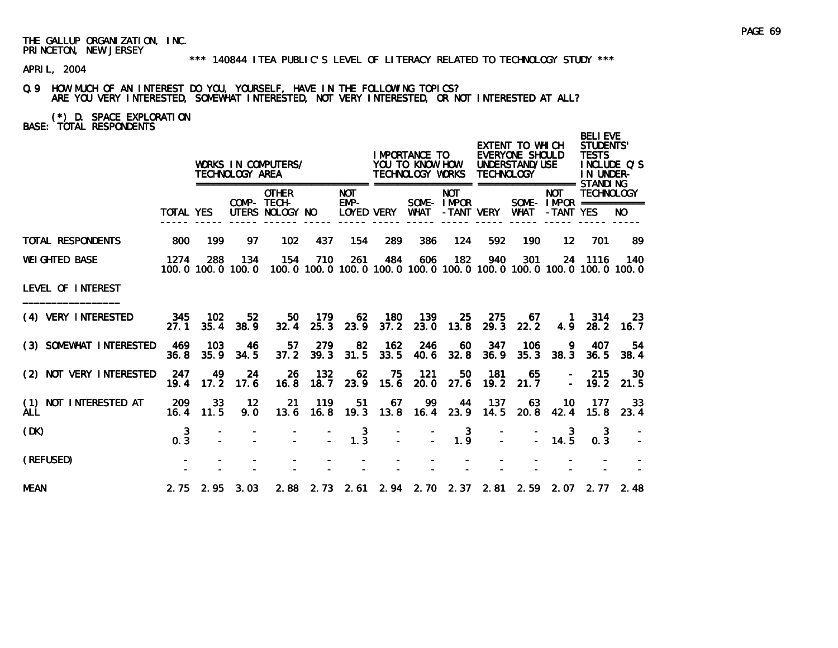APRIL, 2004

Q.9 HOW MUCH OF AN INTEREST DO YOU, YOURSELF, HAVE IN THE FOLLOWING TOPICS? ARE YOU VERY INTERESTED, SOMEWHAT INTERESTED, NOT VERY INTERESTED, OR NOT INTERESTED AT ALL?

(\*) D. SPACE EXPLORATION BASE: TOTAL RESPONDENTS

|                                     |               |               | TECHNOLOGY AREA          | WORKS IN COMPUTERS/                            |                |                                                  |                   | I MPORTANCE TO<br>YOU TO KNOW HOW<br>TECHNOLOGY WORKS |                          | <b>TECHNOLOGY</b> | EXTENT TO WHICH<br>EVERYONE SHOULD<br>UNDERSTAND/USE |                         | <b>BELIEVE</b><br><b>STUDENTS'</b><br><b>TESTS</b><br>INCLUDE O'S<br>IN UNDER- |                                                                                       |
|-------------------------------------|---------------|---------------|--------------------------|------------------------------------------------|----------------|--------------------------------------------------|-------------------|-------------------------------------------------------|--------------------------|-------------------|------------------------------------------------------|-------------------------|--------------------------------------------------------------------------------|---------------------------------------------------------------------------------------|
|                                     | TOTAL YES     |               |                          | <b>OTHER</b><br>COMP- TECH-<br>UTERS NOLOGY NO |                | <b>NOT</b><br>EMP-                               | <b>LOYED VERY</b> | WHAT                                                  | <b>NOT</b><br>SOME-IMPOR | -TANT VERY        | WHAT                                                 | <b>NOT</b><br>-TANT YES | <b>TECHNOLOGY</b><br>SOME - $IMPOR$ ============                               | NO.                                                                                   |
| <b>TOTAL RESPONDENTS</b>            | 800           | 199           | 97                       | 102                                            | 437            | 154                                              | 289               | 386                                                   | 124                      | 592               | 190                                                  | $12 \overline{ }$       | 701                                                                            | 89                                                                                    |
| <b>WEIGHTED BASE</b>                | 1274          | 288           | 134<br>100.0 100.0 100.0 | 154                                            | 710            | 261                                              | 484               | 606                                                   | 182                      | 940               | 301                                                  |                         | 24 1116                                                                        | - 140<br>100, 0 100, 0 100, 0 100, 0 100, 0 100, 0 100, 0 100, 0 100, 0 100, 0 100, 0 |
| LEVEL OF INTEREST                   |               |               |                          |                                                |                |                                                  |                   |                                                       |                          |                   |                                                      |                         |                                                                                |                                                                                       |
| (4) VERY INTERESTED                 | - 345<br>27.1 | 102<br>35.4   | 52<br>38.9               | 50<br>32.4                                     | 179<br>25.3    | 62<br>23.9                                       | 180<br>37.2       | 139<br>23.0                                           | 25<br>13.8               | 275<br>29.3       | 67.<br>22.2                                          | $\blacksquare$ 1<br>4.9 | 314<br>28.2                                                                    | -23<br>16.7                                                                           |
| (3) SOMEWHAT INTERESTED             | 469<br>36.8   | - 103<br>35.9 | -46<br>34.5              | 57.<br>37.2                                    | 279<br>39.3    | 82<br>31.5                                       | 162<br>33.5       | 246<br>40.6                                           | 60<br>32.8               | 347<br>36.9       | 106<br>35.3                                          | -9.<br>38.3             | 407<br>36.5                                                                    | 54<br>38.4                                                                            |
| (2) NOT VERY INTERESTED             | 247<br>19.4   | 49<br>17.2    | 24<br>17.6               | 26<br>16.8                                     | 132<br>18.7    | 62<br>23.9                                       | 75<br>15.6        | 121<br>20.0                                           | 50<br>27.6               | 181<br>19.2       | 65<br>21.7                                           |                         | 215<br>$-19.2$                                                                 | 30<br>21.5                                                                            |
| (1) NOT INTERESTED AT<br><b>ALL</b> | 209<br>16.4   | 33<br>11.5    | 12<br>9.0                | 21<br>13.6                                     | 119            | 51                                               | 67                | 99<br>16.8 19.3 13.8 16.4 23.9                        | 44                       | 137<br>14.5       | -63<br>20.8                                          | -10<br>42.4             | 177<br>15.8                                                                    | 33<br>23.4                                                                            |
| (DK)                                | 3<br>0.3      |               |                          |                                                | $\mathbb{Z}^+$ | $\begin{smallmatrix} 3 \\ 1.3 \end{smallmatrix}$ | $\mathbf{r}$      |                                                       | $\mathbf{3}$<br>1.9      |                   |                                                      | 14.5                    | 3<br>0.3                                                                       |                                                                                       |
| (REFUSED)                           |               |               |                          |                                                |                |                                                  |                   |                                                       |                          |                   |                                                      |                         |                                                                                |                                                                                       |
| <b>MEAN</b>                         |               |               | $2.75$ $2.95$ $3.03$     |                                                |                |                                                  |                   |                                                       |                          |                   |                                                      |                         | 2.88 2.73 2.61 2.94 2.70 2.37 2.81 2.59 2.07 2.77 2.48                         |                                                                                       |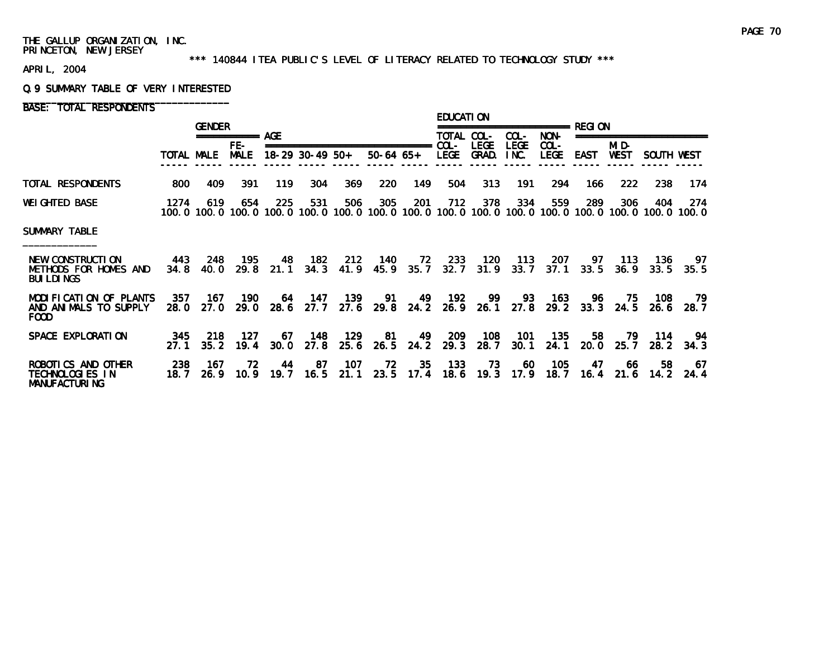#### \*\*\* 140844 ITEA PUBLIC'S LEVEL OF LITERACY RELATED TO TECHNOLOGY STUDY \*\*\*

APRIL, 2004

#### Q.9 SUMMARY TABLE OF VERY INTERESTED

BASE: TOTAL RESPONDENTS

|                                                                      |              | <b>GENDER</b> |                    |            |                                                      |             |             |                   | <b>EDUCATION</b> |                      |                     |                        |                         |               |             |                                                                                                              |
|----------------------------------------------------------------------|--------------|---------------|--------------------|------------|------------------------------------------------------|-------------|-------------|-------------------|------------------|----------------------|---------------------|------------------------|-------------------------|---------------|-------------|--------------------------------------------------------------------------------------------------------------|
|                                                                      |              |               | =========== AGF    |            |                                                      |             |             |                   | TOTAL COL-       |                      | COL-                | NON-                   | $=$ $=$ $=$ $=$ $=$ $=$ |               |             |                                                                                                              |
|                                                                      | TOTAL MALE   |               | FE-<br><b>MALE</b> |            | ===============================<br>$18-29$ 30-49 50+ |             | $50-64$ 65+ |                   | $COL -$<br>LEGE  | <b>LEGE</b><br>GRAD. | <b>LEGE</b><br>INC. | $COL -$<br><b>LEGE</b> | <b>EAST</b>             | MI D-<br>WEST | SOUTH WEST  |                                                                                                              |
| TOTAL RESPONDENTS                                                    | 800          | 409           | 391                | 119        | 304                                                  | 369         | 220         | 149               | 504              | 313                  | 191                 | 294                    | 166.                    | 222           | 238         | 174                                                                                                          |
| <b>WEIGHTED BASE</b>                                                 | 1274         | 619           | 654                | 225        | 531                                                  | 506         | 305         | 201               | 712              | 378                  | 334                 | 559                    | 289                     | 306           | 404         | 274<br>100.0 100.0 100.0 100.0 100.0 100.0 100.0 100.0 100.0 100.0 100.0 100.0 100.0 100.0 100.0 100.0 100.0 |
| SUMMARY TABLE                                                        |              |               |                    |            |                                                      |             |             |                   |                  |                      |                     |                        |                         |               |             |                                                                                                              |
| NEW CONSTRUCTION<br>METHODS FOR HOMES AND<br><b>BUI LDI NGS</b>      | 443<br>34.8  | 248<br>40.0   | 195<br>29.8        | 48<br>21.1 | 182<br>34.3                                          | 212<br>41.9 | 140<br>45.9 | 72<br>35.7        | 233<br>32.7      | 120<br>31.9          | 113<br>33.7         | 207<br>37.1            | 97.<br>33.5             | 113<br>36.9   | 136<br>33.5 | 97<br>35.5                                                                                                   |
| MODIFICATION OF PLANTS<br>AND ANIMALS TO SUPPLY<br>FOOD              | 357<br>28.0  | 167<br>27.0   | 190<br>29. O       | 64<br>28.6 | 147<br>27.7                                          | 139<br>27.6 | 91<br>29.8  | 49<br>24.2        | 192              | 99<br>$26.9$ 26.1    | 93<br>27.8          | 163<br>29.2            | 96.<br>33.3             | 75<br>24.5    | 108<br>26.6 | 79.<br>28.7                                                                                                  |
| SPACE EXPLORATION                                                    | 345<br>27.1  | 218<br>35.2   | 127<br>19.4        | 67<br>30.0 | 148<br>27.8                                          | 129<br>25.6 | 81          | 49<br>$26.5$ 24.2 | 209<br>29.3      | 108<br>28.7          | 101<br>30.1         | 135<br>24.1            | 58<br>20.0              | 79<br>25.7    | 114<br>28.2 | 94<br>34.3                                                                                                   |
| ROBOTICS AND OTHER<br><b>TECHNOLOGIES IN</b><br><b>MANUFACTURING</b> | 238<br>18. 7 | 167<br>26.9   | 72.<br>10.9        | 44<br>19.7 | 87<br>16.5                                           | 107<br>21.1 | 72<br>23.5  | 35<br>17.4        | 133<br>18.6      | 73<br>19.3           | 60<br>17.9          | 105<br>18.7            | 47<br>16.4              | -66<br>21.6   | 58.<br>14.2 | 67<br>24.4                                                                                                   |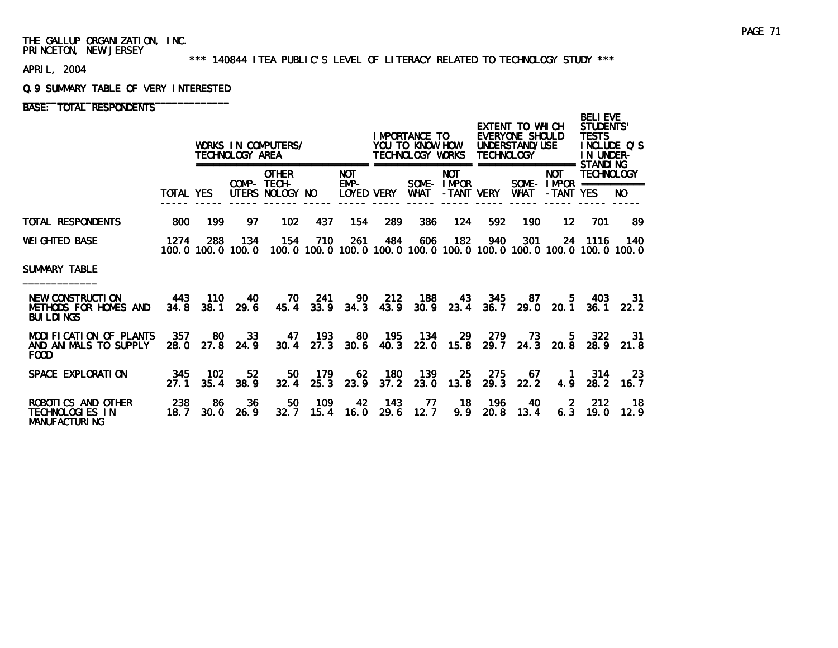#### \*\*\* 140844 ITEA PUBLIC'S LEVEL OF LITERACY RELATED TO TECHNOLOGY STUDY \*\*\*

APRIL, 2004

#### Q.9 SUMMARY TABLE OF VERY INTERESTED

# BASE: TOTAL RESPONDENTS

|                                                                |                  |                             | TECHNOLOGY AREA         | WORKS IN COMPUTERS/                            |                 |                                  |                      | IMPORTANCE TO<br>YOU TO KNOW HOW<br>TECHNOLOGY WORKS |                                        | <b>TECHNOLOGY</b> | EXTENT TO WHICH<br><b>EVERYONE SHOULD</b><br>UNDERSTAND/USE |                         | <b>BELIEVE</b><br><b>STUDENTS'</b><br><b>TESTS</b><br>INCLUDE O'S<br>IN UNDER-<br>STANDI NG |                    |  |
|----------------------------------------------------------------|------------------|-----------------------------|-------------------------|------------------------------------------------|-----------------|----------------------------------|----------------------|------------------------------------------------------|----------------------------------------|-------------------|-------------------------------------------------------------|-------------------------|---------------------------------------------------------------------------------------------|--------------------|--|
|                                                                | <b>TOTAL YES</b> |                             | ==========              | <b>OTHER</b><br>COMP- TECH-<br>UTERS NOLOGY NO | =============== | <b>NOT</b><br>EMP-<br>LOYED VERY | =================    | WHAT                                                 | <b>NOT</b><br>SOME-IMPOR<br>-TANT VERY | ------            | ===========<br><b>WHAT</b>                                  | <b>NOT</b><br>-TANT YES | TECHNOLOGY<br>SOME- $IMPROR$ ===========                                                    | NO.                |  |
| TOTAL RESPONDENTS                                              | 800              | 199                         | 97                      | 102                                            | 437             | 154                              | 289                  | 386                                                  | 124                                    | 592               | 190                                                         | 12 <sup>12</sup>        | 701                                                                                         | -89                |  |
| WEIGHTED BASE                                                  | 1274             | 288<br>100, 0 100, 0 100, 0 | 134                     | 154                                            | 710             | 261                              | 484                  | 606                                                  | 182                                    | 940               | 301                                                         |                         | 24 1116<br>100, 0 100, 0 100, 0 100, 0 100, 0 100, 0 100, 0 100, 0 100, 0 100, 0 100, 0     | 140                |  |
| SUMMARY TABLE                                                  |                  |                             |                         |                                                |                 |                                  |                      |                                                      |                                        |                   |                                                             |                         |                                                                                             |                    |  |
| NEW CONSTRUCTION<br>METHODS FOR HOMES AND<br><b>BUILDINGS</b>  | 443<br>34.8      | 110                         | 40<br>$38.1$ 29.6       | 70<br>45.4                                     | 241<br>33.9     | 90.<br>34.3                      | 212<br>43.9          | 188<br>30.9                                          | 43<br>23.4                             | 345<br>36.7       | 87<br>29.0                                                  | 5.<br>20.1              | 403                                                                                         | -31<br>$36.1$ 22.2 |  |
| MODIFICATION OF PLANTS<br>AND ANIMALS TO SUPPLY<br><b>FOOD</b> | 357<br>28.0      | 80                          | 33<br>27.8 24.9         | 47<br>30.4                                     | 193<br>27.3     | 80                               | - 195<br>$30.6$ 40.3 | - 134<br><b>22.0</b>                                 | <b>29</b><br>15.8                      | 279<br>29.7       | 73                                                          | 24.3 20.8               | 322<br>5.<br>28.9                                                                           | -31<br>21.8        |  |
| SPACE EXPLORATION                                              | 345<br>27.1      | 102<br>35.4                 | 52 <sub>2</sub><br>38.9 | 50<br>32.4                                     | 179<br>25.3     | 62<br>23.9                       | 180<br>37.2          | 139<br>23.0                                          | 25<br>13.8                             | 275<br>29.3       | 67.<br>22.2                                                 | $\blacksquare$ 1<br>4.9 | 314<br>28.2                                                                                 | -23<br>16.7        |  |
| ROBOTICS AND OTHER<br>TECHNOLOGIES IN<br><b>MANUFACTURING</b>  | 238<br>18.7      | 86<br>30.0                  | 36<br>26.9              | 50<br>32.7                                     | 109<br>15.4     | 42<br>16.0                       | - 143<br>29.6        | 77<br>12.7                                           | 18<br>9.9                              | -196<br>20.8      | 40<br>13.4                                                  | $\overline{2}$<br>6.3   | 212<br>19.0                                                                                 | -18<br>12.9        |  |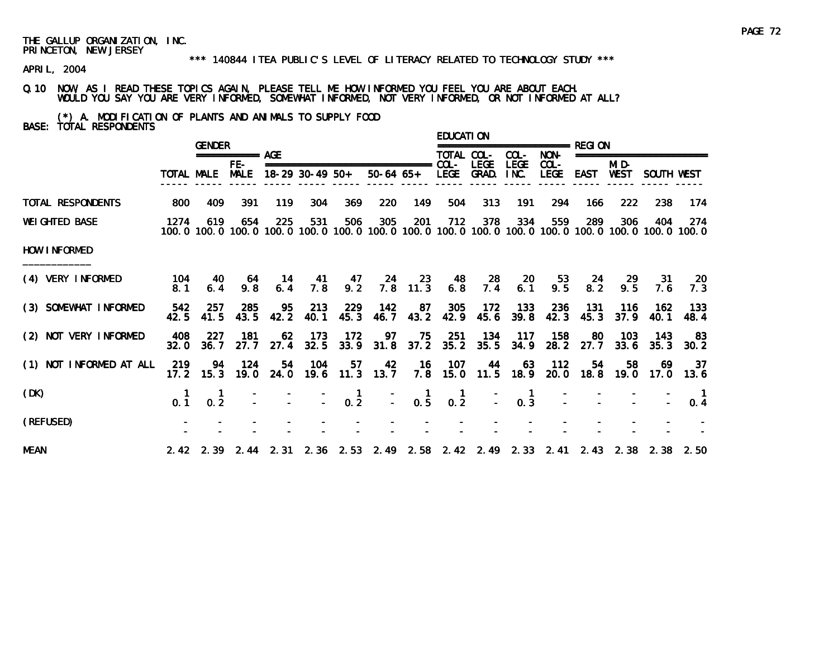#### \*\*\* 140844 ITEA PUBLIC'S LEVEL OF LITERACY RELATED TO TECHNOLOGY STUDY \*\*\*

APRIL, 2004

# Q.10 NOW, AS I READ THESE TOPICS AGAIN, PLEASE TELL ME HOW INFORMED YOU FEEL YOU ARE ABOUT EACH. WOULD YOU SAY YOU ARE VERY INFORMED, SOMEWHAT INFORMED, NOT VERY INFORMED, OR NOT INFORMED AT ALL?

(\*) A. MODIFICATION OF PLANTS AND ANIMALS TO SUPPLY FOOD BASE: TOTAL RESPONDENTS

|                         |             | <b>GENDER</b>     |                      |            |                 |                                         |                                                                       |                                                              | <b>EDUCATION</b> |                  |                     | =============== RFGI ON |                      |               |                      |                                                                                                              |
|-------------------------|-------------|-------------------|----------------------|------------|-----------------|-----------------------------------------|-----------------------------------------------------------------------|--------------------------------------------------------------|------------------|------------------|---------------------|-------------------------|----------------------|---------------|----------------------|--------------------------------------------------------------------------------------------------------------|
|                         |             |                   | $== == == == ==$ AGE |            |                 |                                         |                                                                       |                                                              | TOTAL COL-       |                  | COL-                | NON-                    |                      |               | ==================== |                                                                                                              |
|                         |             | TOTAL MALE MALE   | FE-                  |            | 18-29 30-49 50+ |                                         | ===============================<br>50-64 65+ LEGE GRAD.               |                                                              | COL-             | <b>LEGE</b>      | <b>LEGE</b><br>INC. | $COL -$<br>LEGE         | EAST                 | MI D-<br>WEST | SOUTH WEST           |                                                                                                              |
| TOTAL RESPONDENTS       | 800         | 409               | 391                  | 119        | 304             | 369                                     | 220                                                                   | 149                                                          | 504              | 313              | 191                 | 294                     | 166                  | 222           | 238                  | 174                                                                                                          |
| <b>WEI GHTED BASE</b>   | 1274        | 619               | 654                  | 225        | 531             | 506                                     | 305                                                                   | 201                                                          | 712              | 378              | 334                 | 559                     | 289                  | 306           | 404                  | 274<br>100.0 100.0 100.0 100.0 100.0 100.0 100.0 100.0 100.0 100.0 100.0 100.0 100.0 100.0 100.0 100.0 100.0 |
| HOW INFORMED            |             |                   |                      |            |                 |                                         |                                                                       |                                                              |                  |                  |                     |                         |                      |               |                      |                                                                                                              |
| (4) VERY INFORMED       | 104<br>8.1  | -40<br>6.4        | - 64<br>9.8          | 14<br>6.4  | 7.8             | 9.2                                     | 41 47 24 23                                                           | $7.8$ 11.3                                                   | 48<br>6.8        | - 28<br>7.4      | 20<br>6.1           | 53<br>9.5               | 24<br>8.2            | 29<br>9.5     | - 31<br>7.6          | - 20<br>7.3                                                                                                  |
| (3) SOMEWHAT INFORMED   | 542<br>42.5 | 257<br>41.5       | 285<br>43.5          | 95<br>42.2 | 213<br>40.1     | 229<br>45.3                             | 142                                                                   | 87<br>46.7 43.2                                              | 305              | 172<br>42.9 45.6 | 133<br>39.8         | <b>236</b><br>42.3      | 131<br>45.3          | 116<br>37.9   | 162<br>40.1          | -133<br>48.4                                                                                                 |
| (2) NOT VERY INFORMED   | 408<br>32.0 | 227<br>36.7       | 181<br>27.7          | 62<br>27.4 | 173<br>32.5     | -172                                    | 97<br>33.9 31.8 37.2 35.2 35.5                                        | 75                                                           | 251              | 134              | 117<br>34.9         | 158                     | 80<br>28.2 27.7 33.6 | 103           | 143<br>35.3          | 83<br>30.2                                                                                                   |
| (1) NOT INFORMED AT ALL | 219         | 94<br>$17.2$ 15.3 | - 124<br>19.0        | 54         | 104             | 57                                      | 42<br>24.0 19.6 11.3 13.7 7.8 15.0 11.5 18.9 20.0 18.8 19.0 17.0 13.6 | - 16                                                         | - 107            | 44               | 63                  | $-112$                  | 54                   | 58            | 69                   | 37                                                                                                           |
| (DK)                    | 0.1         | 0.2               |                      |            |                 | $\begin{bmatrix} 1 \\ -2 \end{bmatrix}$ |                                                                       | $\begin{matrix} 1 \\ 0.5 \end{matrix}$<br>$\mathbb{Z}^{n+1}$ | 0.2              |                  | 0.3                 |                         |                      |               |                      | 0.4                                                                                                          |
| (REFUSED)               |             |                   |                      |            |                 |                                         |                                                                       |                                                              |                  |                  |                     |                         |                      |               |                      |                                                                                                              |
| <b>MEAN</b>             |             |                   |                      |            |                 |                                         |                                                                       |                                                              |                  |                  |                     |                         |                      |               |                      | 2.42 2.39 2.44 2.31 2.36 2.53 2.49 2.58 2.42 2.49 2.33 2.41 2.43 2.38 2.50 2.50                              |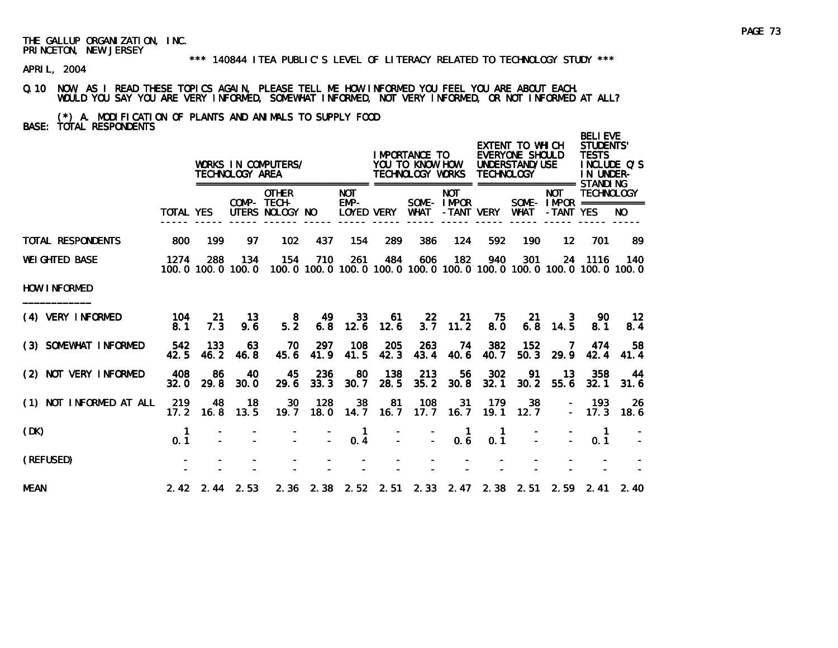#### \*\*\* 140844 ITEA PUBLIC'S LEVEL OF LITERACY RELATED TO TECHNOLOGY STUDY \*\*\*

APRIL, 2004

# Q.10 NOW, AS I READ THESE TOPICS AGAIN, PLEASE TELL ME HOW INFORMED YOU FEEL YOU ARE ABOUT EACH. WOULD YOU SAY YOU ARE VERY INFORMED, SOMEWHAT INFORMED, NOT VERY INFORMED, OR NOT INFORMED AT ALL?

(\*) A. MODIFICATION OF PLANTS AND ANIMALS TO SUPPLY FOOD BASE: TOTAL RESPONDENTS

|                          |                    |             | TECHNOLOGY AREA              | WORKS IN COMPUTERS/                            |             |                                  |             | I MPORTANCE TO<br>YOU TO KNOW HOW<br>TECHNOLOGY WORKS                               |                          | <b>TECHNOLOGY</b> | EXTENT TO WHICH<br>EVERYONE SHOULD<br>UNDERSTAND/USE |                         | <b>BELI EVE</b><br>STUDENTS'<br><b>TESTS</b><br>IN UNDER- | INCLUDE Q'S    |
|--------------------------|--------------------|-------------|------------------------------|------------------------------------------------|-------------|----------------------------------|-------------|-------------------------------------------------------------------------------------|--------------------------|-------------------|------------------------------------------------------|-------------------------|-----------------------------------------------------------|----------------|
|                          | <b>TOTAL YES</b>   |             |                              | <b>OTHER</b><br>COMP- TECH-<br>UTERS NOLOGY NO |             | <b>NOT</b><br>EMP-<br>LOYED VERY |             | WHAT                                                                                | <b>NOT</b><br>SOME-IMPOR | -TANT VERY        | WHAT                                                 | <b>NOT</b><br>-TANT YES | <b>TECHNOLOGY</b><br>SOME - $IMPOR$ ===========           | NO.            |
| <b>TOTAL RESPONDENTS</b> | 800                | 199         | 97                           | 102 <sub>2</sub>                               | 437         | 154                              | 289         | 386                                                                                 | 124                      | 592               | 190                                                  | $12 \,$                 | 701                                                       | 89             |
| <b>WEI GHTED BASE</b>    | 1274               | 288         | 134<br>100.0 100.0 100.0     | 154                                            | 710         | 261                              | 484         | 606<br>100, 0 100, 0 100, 0 100, 0 100, 0 100, 0 100, 0 100, 0 100, 0 100, 0 100, 0 | 182                      | 940               | 301                                                  |                         | 24 1116                                                   | 140            |
| HOW INFORMED             |                    |             |                              |                                                |             |                                  |             |                                                                                     |                          |                   |                                                      |                         |                                                           |                |
| (4) VERY INFORMED        | 104<br>8.1         | -21<br>7.3  | 13<br>9.6                    | 8<br>5.2                                       | 49<br>6.8   | 33<br>12.6                       | 61<br>12.6  | $22\overline{ }$<br>3.7                                                             | 21<br>11.2               | 75.<br>8.0        | 21<br>6.8                                            | 3<br>14.5               | 90.<br>8.1                                                | $12 \,$<br>8.4 |
| (3) SOMEWHAT INFORMED    | 542<br>42.5        | 133<br>46.2 | 63<br>46.8                   | 70<br>45.6                                     | 297<br>41.9 | 108<br>41.5                      | 205<br>42.3 | 263<br>43.4                                                                         | 74<br>40.6               | 382<br>40.7       | 152<br>50.3                                          | 7<br>29.9               | 474<br>42.4                                               | 58<br>41.4     |
| (2) NOT VERY INFORMED    | 408<br>32.0        | 86<br>29.8  | 40<br>30.0                   | 45<br>29.6                                     | 236<br>33.3 | 80<br>30.7                       | 138<br>28.5 | 213<br>35.2                                                                         | 56<br>30.8               | 302<br>32.1       | 91<br>30.2                                           | 13<br>55.6              | 358<br>32.1                                               | 44<br>31.6     |
| (1) NOT INFORMED AT ALL  | 219<br>17.2        | 48<br>16.8  | 18<br>13.5                   | 30<br>19.7                                     | 128<br>18.0 | 38<br>14.7                       | 81<br>16.7  | 108<br>17.7                                                                         | -31<br>16.7              | 179<br>19.1       | 38<br>12.7                                           |                         | - 193<br>$-17.3$                                          | 26<br>18.6     |
| (DK)                     | $\mathbf 1$<br>0.1 |             |                              |                                                |             | 1<br>0.4                         |             |                                                                                     | -1<br>0.6                | 0.1               |                                                      |                         | $\blacksquare$<br>0.1                                     |                |
| (REFUSED)                |                    |             |                              |                                                |             |                                  |             |                                                                                     |                          |                   |                                                      |                         |                                                           |                |
| <b>MEAN</b>              |                    |             | $2.42 \quad 2.44 \quad 2.53$ |                                                |             |                                  |             | 2. 36 2. 38 2. 52 2. 51 2. 33 2. 47 2. 38 2. 51                                     |                          |                   |                                                      |                         | $2.59$ $2.41$                                             | 2.40           |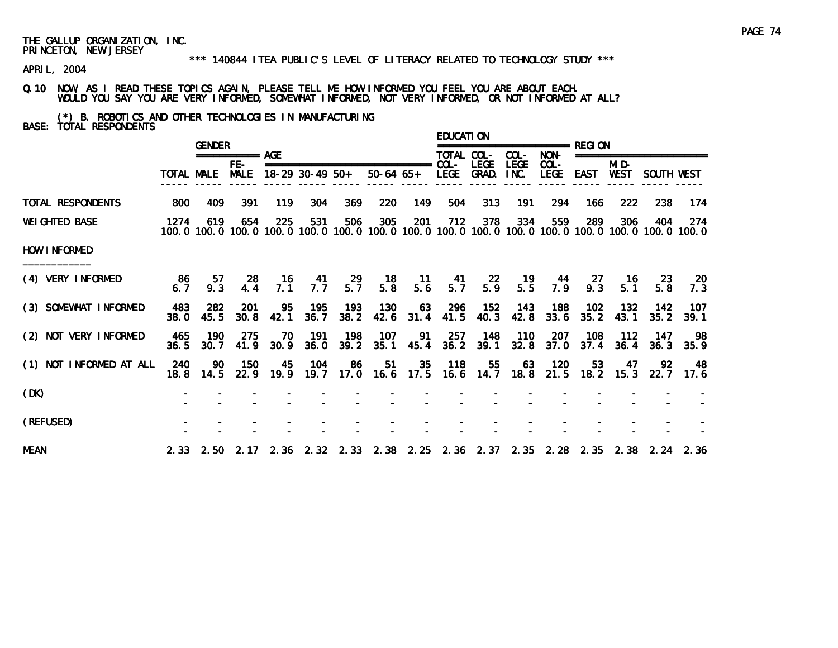#### \*\*\* 140844 ITEA PUBLIC'S LEVEL OF LITERACY RELATED TO TECHNOLOGY STUDY \*\*\*

APRIL, 2004

Q.10 NOW, AS I READ THESE TOPICS AGAIN, PLEASE TELL ME HOW INFORMED YOU FEEL YOU ARE ABOUT EACH. WOULD YOU SAY YOU ARE VERY INFORMED, SOMEWHAT INFORMED, NOT VERY INFORMED, OR NOT INFORMED AT ALL?

(\*) B. ROBOTICS AND OTHER TECHNOLOGIES IN MANUFACTURING BASE: TOTAL RESPONDENTS

|                         |             | <b>GENDER</b>    |                      |             |                 |             |                       |                        | <b>EDUCATION</b> |                      |                     | =============== RFGI ON |             |               |                                                                                 |                                                                                                              |
|-------------------------|-------------|------------------|----------------------|-------------|-----------------|-------------|-----------------------|------------------------|------------------|----------------------|---------------------|-------------------------|-------------|---------------|---------------------------------------------------------------------------------|--------------------------------------------------------------------------------------------------------------|
|                         |             |                  | $=$ =========== AGE  |             |                 |             |                       |                        | TOTAL COL-       |                      | COL-                | NON-                    |             |               | ========================                                                        |                                                                                                              |
|                         |             | TOTAL MALE       | $FE-$<br><b>MALE</b> |             | 18-29 30-49 50+ |             | 50-64 65+ LEGE GRAD.  |                        |                  | LEGE                 | <b>LEGE</b><br>INC. | $COL -$<br><b>LEGE</b>  | EAST        | MI D-<br>WEST | SOUTH WEST                                                                      |                                                                                                              |
| TOTAL RESPONDENTS       | 800         | 409              | 391                  | 119         | 304             | 369         | 220                   | 149                    | 504              | 313                  | 191                 | 294                     | 166         | 222           | 238                                                                             | 174                                                                                                          |
| <b>WEI GHTED BASE</b>   | 1274        | 619              | 654                  | 225         | 531             | 506         | 305                   | 201                    | 712              | 378                  | 334                 | 559                     | 289         | 306           | 404                                                                             | 274<br>100.0 100.0 100.0 100.0 100.0 100.0 100.0 100.0 100.0 100.0 100.0 100.0 100.0 100.0 100.0 100.0 100.0 |
| HOW INFORMED            |             |                  |                      |             |                 |             |                       |                        |                  |                      |                     |                         |             |               |                                                                                 |                                                                                                              |
| (4) VERY INFORMED       | -86<br>6.7  | 57<br>9.3        | -28<br>4.4           | - 16<br>7.1 | 7.7             | 5.7         | 41 29 18<br>5.8       | $\overline{11}$<br>5.6 | 41<br>5.7        | 22<br>5.9            | 19<br>5.5           | 44<br>7.9               | 27<br>9.3   | - 16<br>5.1   | -23-<br>5.8                                                                     | -20<br>7.3                                                                                                   |
| (3) SOMEWHAT INFORMED   | 483<br>38.0 | 282<br>45.5      | <b>201</b><br>30.8   | 95<br>42.1  | - 195<br>36.7   | 193<br>38.2 | 130<br>42.6           | 63<br>31.4             | 296<br>41.5      | 152<br>40.3          | 143<br>42.8         | 188<br>33.6             | 102<br>35.2 | 132<br>43.1   | 142<br>35.2                                                                     | -107<br>39.1                                                                                                 |
| (2) NOT VERY INFORMED   | 465<br>36.5 | - 190<br>30.7    | 275<br>41.9          | 70.<br>30.9 | 191<br>36.0     | 198         | 107<br>39.2 35.1 45.4 | 91                     | 257              | 148<br>$36.2$ $39.1$ | 110<br>32.8         | 207<br>37.0             | 108<br>37.4 | 112<br>36.4   | 147                                                                             | - 98<br>$36.3$ $35.9$                                                                                        |
| (1) NOT INFORMED AT ALL | 240         | -90<br>18.8 14.5 | 150                  | 45          | - 104           | -86         | 51                    | 35                     | 118              | $-55$                | 63                  | 120                     | 53          | 47            | 92<br>22.9 19.9 19.7 17.0 16.6 17.5 16.6 14.7 18.8 21.5 18.2 15.3 22.7 17.6     | - 48                                                                                                         |
| (DK)                    |             |                  |                      |             |                 |             |                       |                        |                  |                      |                     |                         |             |               |                                                                                 |                                                                                                              |
| (REFUSED)               |             |                  |                      |             |                 |             |                       |                        |                  |                      |                     |                         |             |               |                                                                                 |                                                                                                              |
| <b>MEAN</b>             |             |                  |                      |             |                 |             |                       |                        |                  |                      |                     |                         |             |               | 2.33 2.50 2.17 2.36 2.32 2.33 2.38 2.25 2.36 2.37 2.35 2.28 2.35 2.38 2.24 2.36 |                                                                                                              |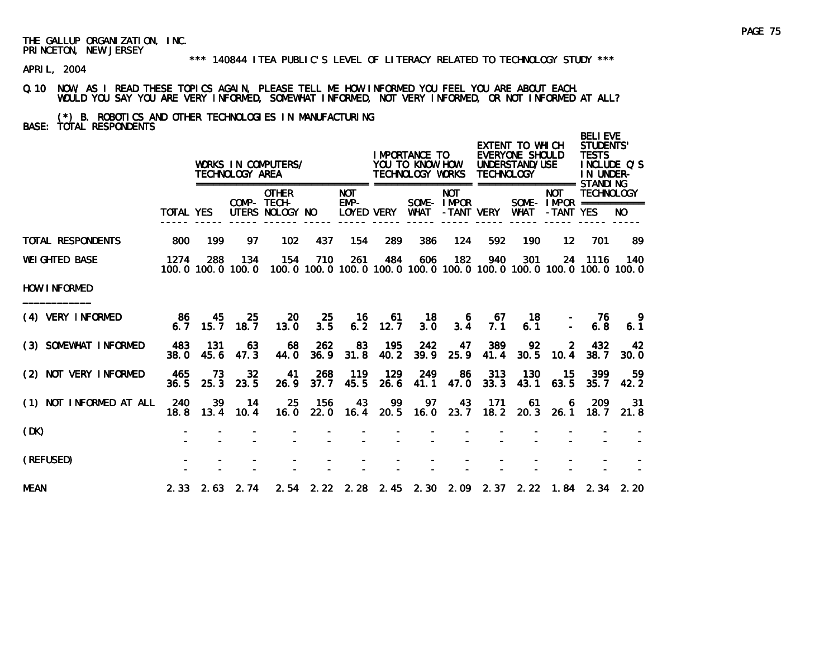#### \*\*\* 140844 ITEA PUBLIC'S LEVEL OF LITERACY RELATED TO TECHNOLOGY STUDY \*\*\*

APRIL, 2004

Q.10 NOW, AS I READ THESE TOPICS AGAIN, PLEASE TELL ME HOW INFORMED YOU FEEL YOU ARE ABOUT EACH. WOULD YOU SAY YOU ARE VERY INFORMED, SOMEWHAT INFORMED, NOT VERY INFORMED, OR NOT INFORMED AT ALL?

(\*) B. ROBOTICS AND OTHER TECHNOLOGIES IN MANUFACTURING BASE: TOTAL RESPONDENTS

|                          |                  |               | TECHNOLOGY AREA          | WORKS IN COMPUTERS/                            |             |                                    |             | I MPORTANCE TO<br>YOU TO KNOW HOW<br>TECHNOLOGY WORKS |                          | <b>TECHNOLOGY</b> | EXTENT TO WHICH<br>EVERYONE SHOULD<br>UNDERSTAND/USE |                         | <b>BELIEVE</b><br><b>STUDENTS'</b><br><b>TESTS</b><br>IN UNDER- | INCLUDE O'S                                                                         |
|--------------------------|------------------|---------------|--------------------------|------------------------------------------------|-------------|------------------------------------|-------------|-------------------------------------------------------|--------------------------|-------------------|------------------------------------------------------|-------------------------|-----------------------------------------------------------------|-------------------------------------------------------------------------------------|
|                          | <b>TOTAL YES</b> |               |                          | <b>OTHER</b><br>COMP- TECH-<br>UTERS NOLOGY NO |             | <b>NOT</b><br>$EMP-$<br>LOYED VERY |             | WHAT                                                  | <b>NOT</b><br>SOME-IMPOR | -TANT VERY        | WHAT                                                 | <b>NOT</b><br>-TANT YES | <b>TECHNOLOGY</b><br>SOME - $IMPOR$ ===========                 | NO.                                                                                 |
| <b>TOTAL RESPONDENTS</b> | 800              | 199           | 97                       | 102                                            | 437         | 154                                | 289         | 386                                                   | 124                      | 592               | 190                                                  | $12 \,$                 | 701                                                             | -89                                                                                 |
| <b>WEI GHTED BASE</b>    | 1274             | 288           | 134<br>100.0 100.0 100.0 | 154                                            | 710         | 261                                | 484         | 606                                                   | 182                      | 940               | 301                                                  |                         | 24 1116                                                         | 140<br>100, 0 100, 0 100, 0 100, 0 100, 0 100, 0 100, 0 100, 0 100, 0 100, 0 100, 0 |
| HOW INFORMED             |                  |               |                          |                                                |             |                                    |             |                                                       |                          |                   |                                                      |                         |                                                                 |                                                                                     |
| (4) VERY INFORMED        | -86<br>6.7       | 45<br>15.7    | 25<br>18.7               | 20<br>13.0                                     | 25<br>3.5   | -16<br>6.2                         | 61<br>12.7  | 18<br>3.0                                             | 6<br>3.4                 | -67<br>7.1        | 18<br>6.1                                            |                         | -76<br>6.8                                                      | 9.<br>6.1                                                                           |
| (3) SOMEWHAT INFORMED    | 483<br>38.0      | - 131<br>45.6 | 63<br>47.3               | 68<br>44.0                                     | 262<br>36.9 | 83<br>31.8                         | 195<br>40.2 | 242<br>39.9                                           | 47<br>25.9               | 389<br>41.4       | 92<br>30.5                                           | 2<br>10.4               | 432<br>38.7                                                     | 42<br>30.0                                                                          |
| (2) NOT VERY INFORMED    | 465<br>36.5      | 73<br>25.3    | 32<br>23.5               | 41<br>26.9                                     | 268<br>37.7 | 119<br>45.5                        | 129<br>26.6 | 249<br>41.1                                           | -86<br>47.0              | 313<br>33.3       | 130<br>43.1                                          | 15<br>63.5              | 399<br>35.7                                                     | 59<br>42.2                                                                          |
| (1) NOT INFORMED AT ALL  | 240<br>18.8      | 39<br>13.4    | $-14$<br>10.4            | 25<br>16.0                                     | 156         | 43                                 | - 99        | 97<br>22.0 16.4 20.5 16.0                             | 43<br>23.7               | 171<br>18.2       | 61<br>20.3                                           | 6<br>26.1               | 209<br>18. 7                                                    | 31<br>21.8                                                                          |
| (DK)                     |                  |               |                          |                                                |             |                                    |             |                                                       |                          |                   |                                                      |                         |                                                                 |                                                                                     |
| (REFUSED)                |                  |               |                          |                                                |             |                                    |             |                                                       |                          |                   |                                                      |                         |                                                                 |                                                                                     |
| <b>MEAN</b>              |                  |               | $2.33$ $2.63$ $2.74$     |                                                |             |                                    |             |                                                       |                          |                   |                                                      |                         |                                                                 | 2.54 2.22 2.28 2.45 2.30 2.09 2.37 2.22 1.84 2.34 2.20                              |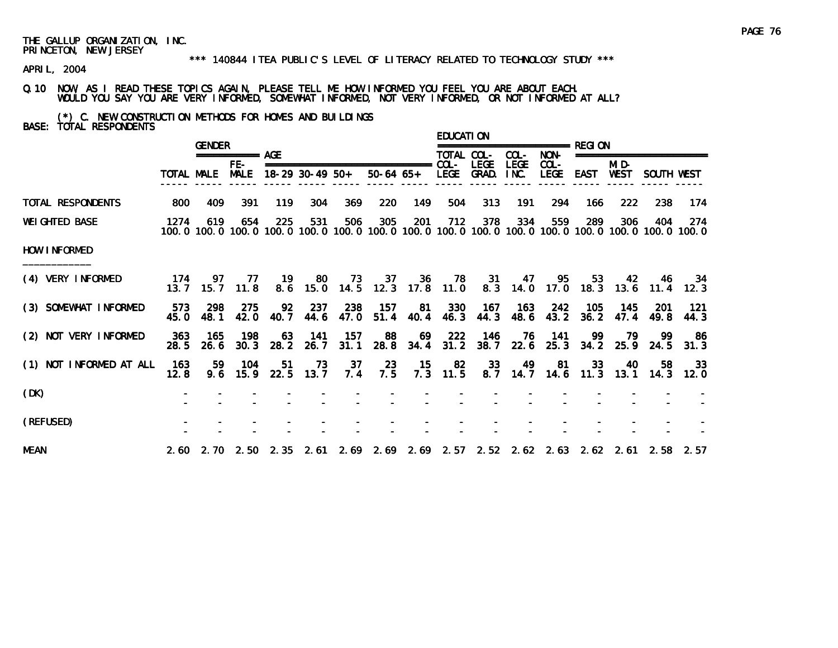#### \*\*\* 140844 ITEA PUBLIC'S LEVEL OF LITERACY RELATED TO TECHNOLOGY STUDY \*\*\*

APRIL, 2004

Q.10 NOW, AS I READ THESE TOPICS AGAIN, PLEASE TELL ME HOW INFORMED YOU FEEL YOU ARE ABOUT EACH. WOULD YOU SAY YOU ARE VERY INFORMED, SOMEWHAT INFORMED, NOT VERY INFORMED, OR NOT INFORMED AT ALL?

(\*) C. NEW CONSTRUCTION METHODS FOR HOMES AND BUILDINGS BASE: TOTAL RESPONDENTS

|                         |               | <b>GENDER</b> |                      |            |                 |                  |                                                                                              |                   | EDUCATI ON |             |                     | ================= RFGI ON                                 |       |               |                      |                                                                                                               |
|-------------------------|---------------|---------------|----------------------|------------|-----------------|------------------|----------------------------------------------------------------------------------------------|-------------------|------------|-------------|---------------------|-----------------------------------------------------------|-------|---------------|----------------------|---------------------------------------------------------------------------------------------------------------|
|                         |               |               | $== == == == ==$ AGE |            |                 |                  |                                                                                              |                   | TOTAL COL- |             | COL-                | NON-                                                      |       |               | ==================== |                                                                                                               |
|                         | TOTAL MALE    |               | FE-<br><b>MALE</b>   |            |                 | 18-29 30-49 50+  | 50-64 65+ LEGE GRAD.                                                                         |                   |            | <b>LEGE</b> | <b>LEGE</b><br>INC. | COL-<br>LEGE                                              | EAST  | MI D-<br>WEST | SOUTH WEST           |                                                                                                               |
| TOTAL RESPONDENTS       | 800           | 409           | 391                  | 119        | 304             | 369              | 220                                                                                          | 149               | 504        | 313         | 191                 | 294                                                       | 166   | 222           | 238                  | -174                                                                                                          |
| <b>WEI GHTED BASE</b>   | 1274          | 619           | 654                  | 225        | 531             | 506              | 305                                                                                          | 201               | 712        | 378         | 334                 | 559                                                       | 289   | 306           | 404                  | -274<br>100.0 100.0 100.0 100.0 100.0 100.0 100.0 100.0 100.0 100.0 100.0 100.0 100.0 100.0 100.0 100.0 100.0 |
| HOW INFORMED            |               |               |                      |            |                 |                  |                                                                                              |                   |            |             |                     |                                                           |       |               |                      |                                                                                                               |
| (4) VERY INFORMED       | -174<br>13.7  | 15.7          | 97 77<br>11.8        |            |                 |                  | 19 80 73 37 36 78 31 47 95<br>8.6 15.0 14.5 12.3 17.8 11.0 8.3 14.0 17.0 18.3 13.6 11.4 12.3 |                   |            |             |                     |                                                           |       | 53 42         |                      | 46 34                                                                                                         |
| (3) SOMEWHAT INFORMED   | 573<br>45.0   | 298<br>48.1   | 275<br>42.0          | 92<br>40.7 | -237            | 238<br>44.6 47.0 | - 157                                                                                        | 81<br>$51.4$ 40.4 | - 330      | 167         |                     | 163 242<br>46.3 44.3 48.6 43.2 36.2 47.4                  | - 105 | - 145         | -201<br>49.8         | - 121<br>44.3                                                                                                 |
| (2) NOT VERY INFORMED   | - 363<br>28.5 | 165<br>26.6   | 198<br>30.3          | 63<br>28.2 | 141<br>26.7     | - 157            | 88<br>31.1 28.8 34.4                                                                         | 69                | 222        | 146         | 76                  | 141<br>31.2 38.7 22.6 25.3 34.2 25.9 24.5                 | -99   | -79           | -99                  | -86<br>31.3                                                                                                   |
| (1) NOT INFORMED AT ALL | -163<br>12.8  | 59.<br>9.6    | 104<br>15.9          | 51         | 73<br>22.5 13.7 | 37<br>7.4        | -23<br>7.5                                                                                   | $-15$             | 82         | 33          |                     | 49 81 33 40<br>7.3 11.5 8.7 14.7 14.6 11.3 13.1 14.3 12.0 |       |               | 58.                  | -33                                                                                                           |
| (DK)                    |               |               |                      |            |                 |                  |                                                                                              |                   |            |             |                     |                                                           |       |               |                      |                                                                                                               |
| (REFUSED)               |               |               |                      |            |                 |                  |                                                                                              |                   |            |             |                     |                                                           |       |               |                      |                                                                                                               |
| <b>MEAN</b>             |               |               |                      |            |                 |                  | 2.60 2.70 2.50 2.35 2.61 2.69 2.69 2.69 2.57 2.52 2.62 2.63 2.62 2.61 2.58 2.57              |                   |            |             |                     |                                                           |       |               |                      |                                                                                                               |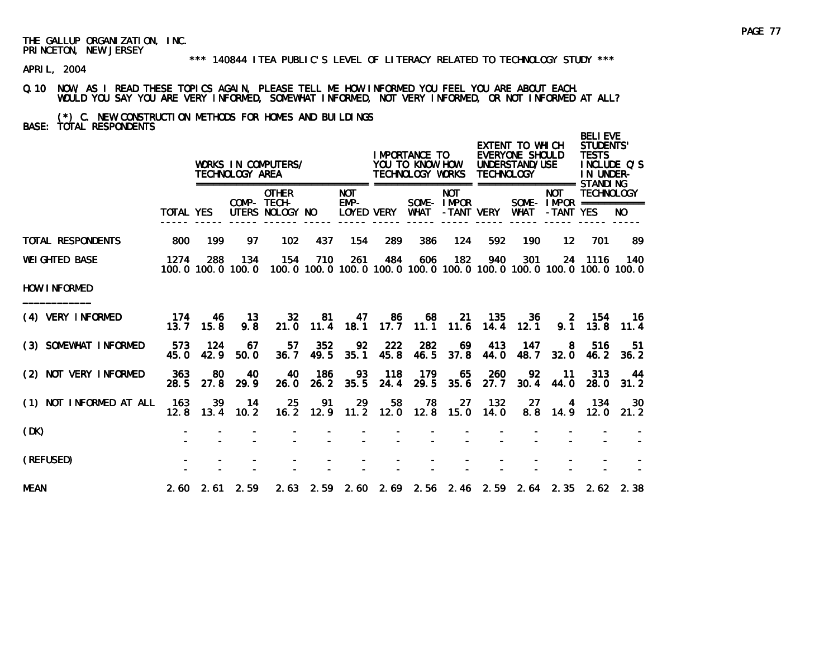#### \*\*\* 140844 ITEA PUBLIC'S LEVEL OF LITERACY RELATED TO TECHNOLOGY STUDY \*\*\*

APRIL, 2004

Q.10 NOW, AS I READ THESE TOPICS AGAIN, PLEASE TELL ME HOW INFORMED YOU FEEL YOU ARE ABOUT EACH. WOULD YOU SAY YOU ARE VERY INFORMED, SOMEWHAT INFORMED, NOT VERY INFORMED, OR NOT INFORMED AT ALL?

# (\*) C. NEW CONSTRUCTION METHODS FOR HOMES AND BUILDINGS BASE: TOTAL RESPONDENTS

|                         |             |               | TECHNOLOGY AREA          | WORKS IN COMPUTERS/                            |             |                              |             | I MPORTANCE TO<br>YOU TO KNOW HOW<br>TECHNOLOGY WORKS |                          | <b>TECHNOLOGY</b> | EXTENT TO WHICH<br>EVERYONE SHOULD<br>UNDERSTAND/USE |                         | <b>BELIEVE</b><br><b>STUDENTS'</b><br><b>TESTS</b><br>IN UNDER- | INCLUDE O'S                                                                         |
|-------------------------|-------------|---------------|--------------------------|------------------------------------------------|-------------|------------------------------|-------------|-------------------------------------------------------|--------------------------|-------------------|------------------------------------------------------|-------------------------|-----------------------------------------------------------------|-------------------------------------------------------------------------------------|
|                         | TOTAL YES   |               |                          | <b>OTHER</b><br>COMP- TECH-<br>UTERS NOLOGY NO |             | ======<br><b>NOT</b><br>EMP- | LOYED VERY  | <b>WHAT</b>                                           | <b>NOT</b><br>SOME-IMPOR | -TANT VERY        | WHAT                                                 | <b>NOT</b><br>-TANT YES | <b>TECHNOLOGY</b><br>SOME - IMPOR ===========                   | NO.                                                                                 |
| TOTAL RESPONDENTS       | 800         | 199           | 97                       | 102                                            | 437         | 154                          | 289         | 386                                                   | 124                      | 592               | 190                                                  | $12 \,$                 | 701                                                             | 89                                                                                  |
| <b>WEI GHTED BASE</b>   | 1274        | 288           | 134<br>100.0 100.0 100.0 | 154                                            | 710         | 261                          | 484         | 606                                                   | 182                      | 940               | 301                                                  |                         | 24 1116                                                         | 140<br>100, 0 100, 0 100, 0 100, 0 100, 0 100, 0 100, 0 100, 0 100, 0 100, 0 100, 0 |
| HOW INFORMED            |             |               |                          |                                                |             |                              |             |                                                       |                          |                   |                                                      |                         |                                                                 |                                                                                     |
| (4) VERY INFORMED       | 174<br>13.7 | 46<br>15.8    | - 13<br>9.8              | 32<br>21.0                                     | 81<br>11.4  | 47<br>18.1                   | 86<br>17.7  | 68<br>11.1                                            | 11.6                     | 21 135<br>14.4    | 36<br>12.1                                           | 9.1                     | 2 154<br>13.8                                                   | - 16<br>11.4                                                                        |
| (3) SOMEWHAT INFORMED   | 573<br>45.0 | - 124<br>42.9 | 67<br>50.0               | 57<br>36.7                                     | 352<br>49.5 | 92<br>35.1                   | 222<br>45.8 | 282<br>46.5                                           | 69<br>37.8               | 413<br>44.0       | 147<br>48.7                                          | - 8<br>32.0             | 516<br>46. 2                                                    | -51<br>36.2                                                                         |
| (2) NOT VERY INFORMED   | 363<br>28.5 | 80<br>27.8    | 40<br>29.9               | 40<br>26.0                                     | 186<br>26.2 | 93<br>35.5                   | 118<br>24.4 | 179<br>29.5                                           | 65<br>35.6               | 260<br>27.7       | 92<br>30.4                                           | $-11$<br>44.0           | 313<br>28.0                                                     | 44<br>31.2                                                                          |
| (1) NOT INFORMED AT ALL | 163<br>12.8 | 39<br>13.4    | 14<br>10.2               | 25                                             | 91          | 29                           | 58          | 78<br>16.2 12.9 11.2 12.0 12.8 15.0                   | 27                       | 132<br>14.0       | 27<br>8.8                                            | 4<br>14.9               | 134                                                             | 30<br>$12.0$ $21.2$                                                                 |
| (DK)                    |             |               |                          |                                                |             |                              |             |                                                       |                          |                   |                                                      |                         |                                                                 |                                                                                     |
| (REFUSED)               |             |               |                          |                                                |             |                              |             |                                                       |                          |                   |                                                      |                         |                                                                 |                                                                                     |
| <b>MEAN</b>             |             |               | $2.60$ $2.61$ $2.59$     |                                                |             |                              |             |                                                       |                          |                   |                                                      |                         |                                                                 | 2.63 2.59 2.60 2.69 2.56 2.46 2.59 2.64 2.35 2.62 2.38                              |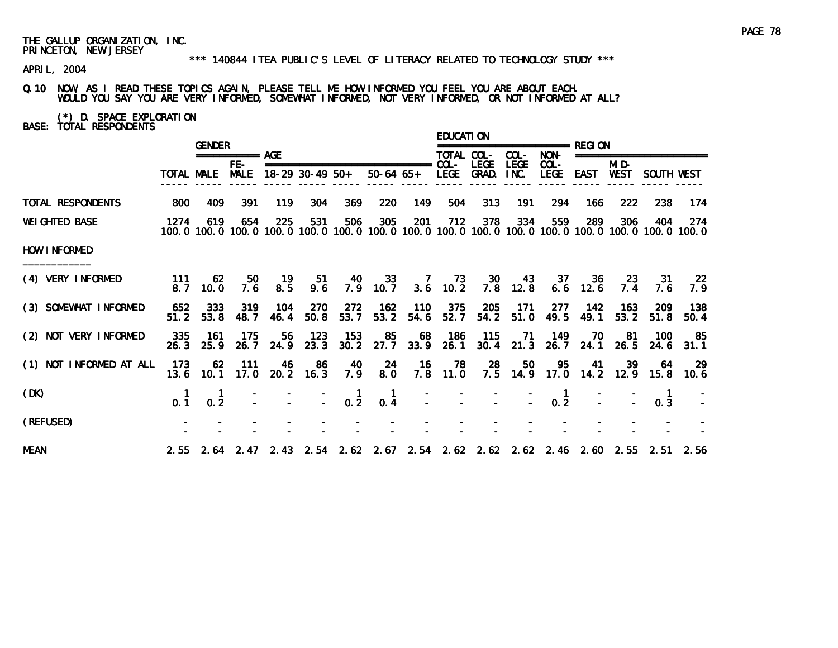#### \*\*\* 140844 ITEA PUBLIC'S LEVEL OF LITERACY RELATED TO TECHNOLOGY STUDY \*\*\*

APRIL, 2004

# Q.10 NOW, AS I READ THESE TOPICS AGAIN, PLEASE TELL ME HOW INFORMED YOU FEEL YOU ARE ABOUT EACH. WOULD YOU SAY YOU ARE VERY INFORMED, SOMEWHAT INFORMED, NOT VERY INFORMED, OR NOT INFORMED AT ALL?

(\*) D. SPACE EXPLORATION BASE: TOTAL RESPONDENTS

|                         |             | <b>GENDER</b>    |                      |             |                   |                                         |                                                                                                                        |             | <b>EDUCATION</b>   |                      |                     |                            |                  |                      |                          |                    |
|-------------------------|-------------|------------------|----------------------|-------------|-------------------|-----------------------------------------|------------------------------------------------------------------------------------------------------------------------|-------------|--------------------|----------------------|---------------------|----------------------------|------------------|----------------------|--------------------------|--------------------|
|                         |             |                  | =========== AGE      |             |                   |                                         |                                                                                                                        |             | TOTAL COL-         |                      | COL-                | NON-                       |                  |                      | ======================== |                    |
|                         | TOTAL MALE  |                  | $FE-$<br><b>MALE</b> |             | $18-29$ 30-49 50+ |                                         | $50-64$ $65+$                                                                                                          |             | LEGE               | <b>LEGE</b><br>GRAD. | <b>LEGE</b><br>INC. | $COL -$<br><b>LEGE</b>     | <b>EAST</b>      | MI D-<br><b>WEST</b> | SOUTH WEST               |                    |
| TOTAL RESPONDENTS       | 800         | 409              | 391                  | 119         | 304               | 369                                     | 220                                                                                                                    | 149         | 504                | 313                  | 191                 | 294                        | 166              | 222                  | 238                      | 174                |
| <b>WEI GHTED BASE</b>   | 1274        | 619              | 654                  | 225         | 531               | 506                                     | 305<br>100, 0 100, 0 100, 0 100, 0 100, 0 100, 0 100, 0 100, 0 100, 0 100, 0 100, 0 100, 0 100, 0 100, 0 100, 0 100, 0 | 201         | 712                | 378                  | 334                 | 559                        | 289              | 306                  | 404                      | 274                |
| HOW INFORMED            |             |                  |                      |             |                   |                                         |                                                                                                                        |             |                    |                      |                     |                            |                  |                      |                          |                    |
| (4) VERY INFORMED       | 111<br>8.7  | -62<br>10.0      | 50<br>7.6            | - 19<br>8.5 | 51<br>9.6         | - 40                                    | 33<br>$7.9$ 10.7                                                                                                       |             | 7 73<br>$3.6$ 10.2 | 30<br>7.8            | 43<br>12.8          | 37                         | 36<br>$6.6$ 12.6 | 23<br>7.4            | 31<br>7.6                | -22<br>7.9         |
| (3) SOMEWHAT INFORMED   | 652<br>51.2 | 333<br>53.8      | 319<br>48.7          | 104<br>46.4 | 270<br>50.8       | 272<br>53.7                             | 162<br>53.2                                                                                                            | 110<br>54.6 | 375<br>52.7        | 205<br>54.2          | 171<br>51.0         | 277<br>49.5                | 142<br>49.1      | 163<br>53.2          | 209<br>51.8              | 138<br>50.4        |
| (2) NOT VERY INFORMED   | 335<br>26.3 | -161<br>25.9     | 175<br>26.7          | 56.<br>24.9 | 123<br>23.3       | 153                                     | 85<br>$30.2$ $27.7$ $33.9$                                                                                             | 68          | 186<br>26.1        | 115                  | -71                 | 149<br>30.4 21.3 26.7 24.1 | 70               | -81<br>26.5          | 100<br>24.6              | -85<br>31.1        |
| (1) NOT INFORMED AT ALL | 173<br>13.6 | 62<br>10.1       | -111<br>17.0         | -46         | -86<br>20.2 16.3  | -40<br>7.9                              | -24<br>8.0                                                                                                             | - 16<br>7.8 | -78<br>11.0        | -28<br>7.5           | 50                  | 95<br>14.9 17.0            | -41              | 39<br>14.2 12.9      | -64                      | -29<br>$15.8$ 10.6 |
| (DK)                    | 0.1         | $0.\overline{2}$ |                      |             |                   | $\begin{bmatrix} 1 \\ -2 \end{bmatrix}$ | -1<br>0.4                                                                                                              |             |                    |                      |                     | 0.2                        |                  |                      | 0.3                      |                    |
| (REFUSED)               |             |                  |                      |             |                   |                                         |                                                                                                                        |             |                    |                      |                     |                            |                  |                      |                          |                    |
| <b>MEAN</b>             |             |                  |                      |             |                   |                                         | 2.55 2.64 2.47 2.43 2.54 2.62 2.67 2.54 2.62 2.62 2.62 2.46 2.60 2.55 2.51 2.56                                        |             |                    |                      |                     |                            |                  |                      |                          |                    |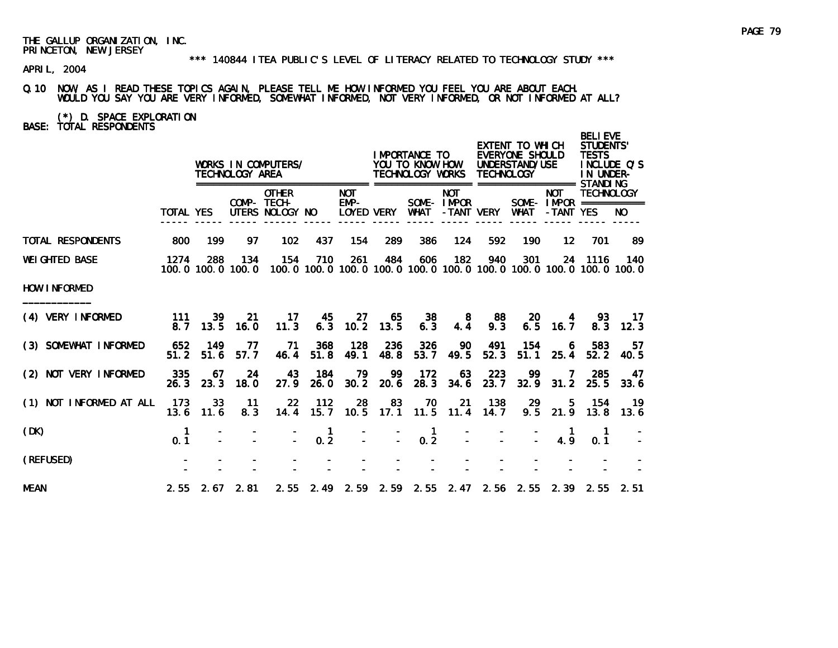APRIL, 2004

### Q.10 NOW, AS I READ THESE TOPICS AGAIN, PLEASE TELL ME HOW INFORMED YOU FEEL YOU ARE ABOUT EACH. WOULD YOU SAY YOU ARE VERY INFORMED, SOMEWHAT INFORMED, NOT VERY INFORMED, OR NOT INFORMED AT ALL?

(\*) D. SPACE EXPLORATION BASE: TOTAL RESPONDENTS

|                          |                    |             | TECHNOLOGY AREA          | WORKS IN COMPUTERS/                            |                     | ======                           |                     | I MPORTANCE TO<br>YOU TO KNOW HOW<br>TECHNOLOGY WORKS<br>================= |                          | <b>TECHNOLOGY</b> | EXTENT TO WHICH<br>EVERYONE SHOULD<br>UNDERSTAND/USE<br>=================== STANDI NG |                                                     | <b>BELIEVE</b><br><b>STUDENTS'</b><br><b>TESTS</b><br>IN UNDER- | INCLUDE Q'S   |
|--------------------------|--------------------|-------------|--------------------------|------------------------------------------------|---------------------|----------------------------------|---------------------|----------------------------------------------------------------------------|--------------------------|-------------------|---------------------------------------------------------------------------------------|-----------------------------------------------------|-----------------------------------------------------------------|---------------|
|                          | <b>TOTAL YES</b>   |             |                          | <b>OTHER</b><br>COMP- TECH-<br>UTERS NOLOGY NO |                     | <b>NOT</b><br>EMP-<br>LOYED VERY |                     | WHAT                                                                       | <b>NOT</b><br>SOME-IMPOR | -TANT VERY        | WHAT                                                                                  | <b>NOT</b><br>SOME - IMPOR ===========<br>-TANT YES | <b>TECHNOLOGY</b>                                               | NO.           |
| <b>TOTAL RESPONDENTS</b> | 800                | 199         | 97                       | 102                                            | 437                 | 154                              | 289                 | 386                                                                        | 124                      | 592               | 190                                                                                   | $12 \overline{ }$                                   | 701                                                             | 89            |
| <b>WEI GHTED BASE</b>    | 1274               | 288         | 134<br>100.0 100.0 100.0 | 154                                            | 710                 | 261                              | 484                 | 606                                                                        | 182                      | 940               | 301<br>100, 0 100, 0 100, 0 100, 0 100, 0 100, 0 100, 0 100, 0 100, 0 100, 0 100, 0   |                                                     | 24 1116                                                         | 140           |
| <b>HOW INFORMED</b>      |                    |             |                          |                                                |                     |                                  |                     |                                                                            |                          |                   |                                                                                       |                                                     |                                                                 |               |
| (4) VERY INFORMED        | 111<br>8. 7        | 39<br>13.5  | -21<br>16.0              | $\overline{17}$<br>11.3                        | 45<br>6.3           | 27<br>10.2                       | 65<br>13.5          | 38<br>6.3                                                                  | -8<br>4.4                | 88<br>9.3         | 20<br>6.5                                                                             | 4<br>16.7                                           | 93<br>8.3                                                       | $-17$<br>12.3 |
| (3) SOMEWHAT INFORMED    | 652<br>51.2        | 149<br>51.6 | -77<br>57.7              | - 71<br>46.4                                   | 368<br>51.8         | 128<br>49.1                      | 236<br>48.8         | 326<br>53.7                                                                | 90<br>49.5               | 491<br>52.3       | 154<br>51.1                                                                           | 6<br>25.4                                           | 583<br>52.2                                                     | -57<br>40.5   |
| (2) NOT VERY INFORMED    | 335<br>26.3        | -67<br>23.3 | 24<br>18.0               | 43<br>27.9                                     | 184<br>26.0         | - 79                             | - 99<br>$30.2$ 20.6 | 172<br>28.3                                                                | 63<br>34.6               | 223<br>23.7       | -99                                                                                   | $\overline{7}$<br>32.9 31.2                         | 285<br>25.5                                                     | 47<br>33.6    |
| (1) NOT INFORMED AT ALL  | 173<br>13.6        | 33<br>11.6  | 11<br>8.3                | $22 \,$<br>14.4                                | 112<br>15.7         | 28                               | 83                  | - 70<br>10.5 17.1 11.5 11.4 14.7                                           | 21                       | 138               | 29                                                                                    | 5.<br>$9.5$ 21.9                                    | 154<br>13.8                                                     | - 19<br>13.6  |
| (DK)                     | $\mathbf 1$<br>0.1 |             |                          |                                                | $\mathbf{1}$<br>0.2 |                                  | $\sim$              | $\blacksquare$<br>0.2                                                      |                          |                   |                                                                                       | 4.9                                                 | 0.1                                                             |               |
| (REFUSED)                |                    |             |                          |                                                |                     |                                  |                     |                                                                            |                          |                   |                                                                                       |                                                     |                                                                 |               |
| <b>MEAN</b>              |                    |             | $2.55$ $2.67$ $2.81$     |                                                |                     |                                  |                     |                                                                            |                          |                   | 2.55 2.49 2.59 2.59 2.55 2.47 2.56 2.55 2.39 2.55 2.51                                |                                                     |                                                                 |               |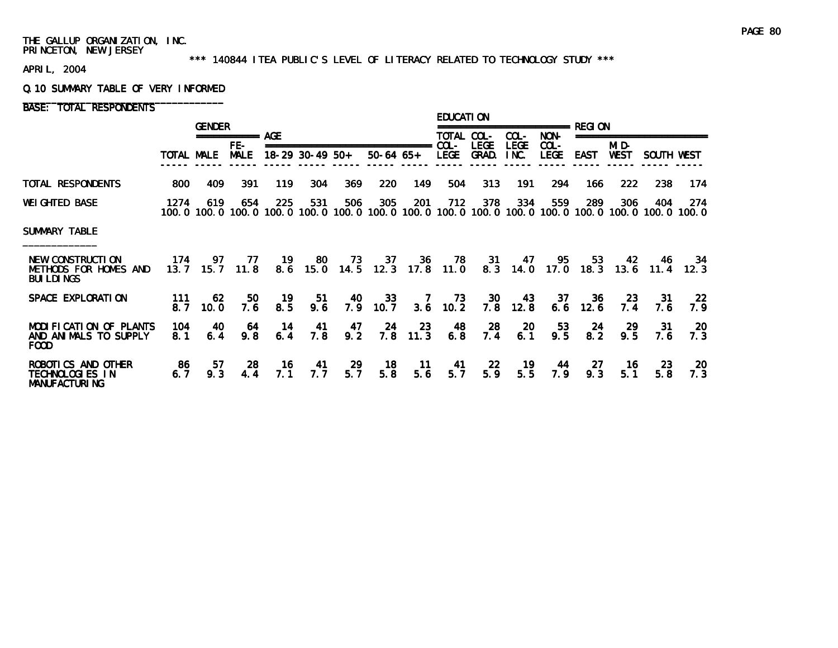#### \*\*\* 140844 ITEA PUBLIC'S LEVEL OF LITERACY RELATED TO TECHNOLOGY STUDY \*\*\*

APRIL, 2004

#### Q.10 SUMMARY TABLE OF VERY INFORMED

BASE: TOTAL RESPONDENTS

|                                                                 |             | <b>GENDER</b>                                                                                                |                    |           |                                                        |           |                        |                       | <b>EDUCATION</b> |                      |                     |                        |             |               |             |                         |
|-----------------------------------------------------------------|-------------|--------------------------------------------------------------------------------------------------------------|--------------------|-----------|--------------------------------------------------------|-----------|------------------------|-----------------------|------------------|----------------------|---------------------|------------------------|-------------|---------------|-------------|-------------------------|
|                                                                 |             |                                                                                                              | ============ AGF   |           |                                                        |           |                        |                       | TOTAL COL-       |                      | COL-                | NON-                   |             |               |             |                         |
|                                                                 | TOTAL MALE  |                                                                                                              | FE-<br><b>MALE</b> |           | ===============================<br>$18-29$ 30-49 $50+$ |           | $50-64$ $65+$          |                       | $COL -$<br>LEGE  | <b>LEGE</b><br>GRAD. | <b>LEGE</b><br>INC. | $COL -$<br><b>LEGE</b> | <b>EAST</b> | MI D-<br>WEST | SOUTH WEST  |                         |
| TOTAL RESPONDENTS                                               | 800         | 409                                                                                                          | 391                | 119       | 304                                                    | 369       | 220                    | 149                   | 504              | 313                  | 191                 | 294                    | 166         | 222           | 238         | 174                     |
| <b>WEI GHTED BASE</b>                                           | 1274        | 619<br>100.0 100.0 100.0 100.0 100.0 100.0 100.0 100.0 100.0 100.0 100.0 100.0 100.0 100.0 100.0 100.0 100.0 | 654                | 225       | 531                                                    | 506       | 305                    | 201                   | 712              | 378                  | 334                 | 559                    | 289         | 306           | 404         | 274                     |
| SUMMARY TABLE                                                   |             |                                                                                                              |                    |           |                                                        |           |                        |                       |                  |                      |                     |                        |             |               |             |                         |
| NEW CONSTRUCTION<br>METHODS FOR HOMES AND<br><b>BUI LDI NGS</b> | 174<br>13.7 | 97<br>15.7                                                                                                   | 77<br>11.8         | 19<br>8.6 | 80<br>15.0                                             | 73        | 37<br>$14.5$ 12.3 17.8 | 36                    | -78<br>11.0      | 31<br>8.3            | 47<br>14.0          | 95<br>17.0             | 53<br>18.3  | 42<br>13.6    | -46<br>11.4 | -34<br>12.3             |
| SPACE EXPLORATION                                               | 111<br>8.7  | 62<br>10.0                                                                                                   | 50<br>7.6          | 19<br>8.5 | 51<br>9.6                                              | 40<br>7.9 | 33<br>10.7             | $\overline{7}$<br>3.6 | 73<br>10.2       | <b>30</b><br>7.8     | 43<br>12.8          | 37<br>6.6              | 36<br>12.6  | 23<br>7.4     | 31<br>7.6   | $22\overline{ }$<br>7.9 |
| MODIFICATION OF PLANTS<br>AND ANIMALS TO SUPPLY<br>FOOD.        | 104<br>8.1  | 40<br>6.4                                                                                                    | 64<br>9.8          | 14<br>6.4 | 41<br>7.8                                              | 47<br>9.2 | 24<br>7.8              | 23<br>11.3            | 48<br>6.8        | 28<br>7.4            | 20<br>6.1           | 53<br>9.5              | 24<br>8.2   | -29<br>9.5    | 31<br>7.6   | 20<br>7.3               |
| ROBOTICS AND OTHER<br>TECHNOLOGIES IN<br><b>MANUFACTURING</b>   | 86<br>6.7   | 57<br>9.3                                                                                                    | 28<br>4.4          | 16<br>7.1 | 41<br>7.7                                              | 29<br>5.7 | 18<br>5.8              | 11<br>5.6             | 41<br>5.7        | -22<br>5.9           | 19<br>5.5           | 44<br>7.9              | 27<br>9.3   | 16<br>5.1     | 23<br>5.8   | 20<br>7.3               |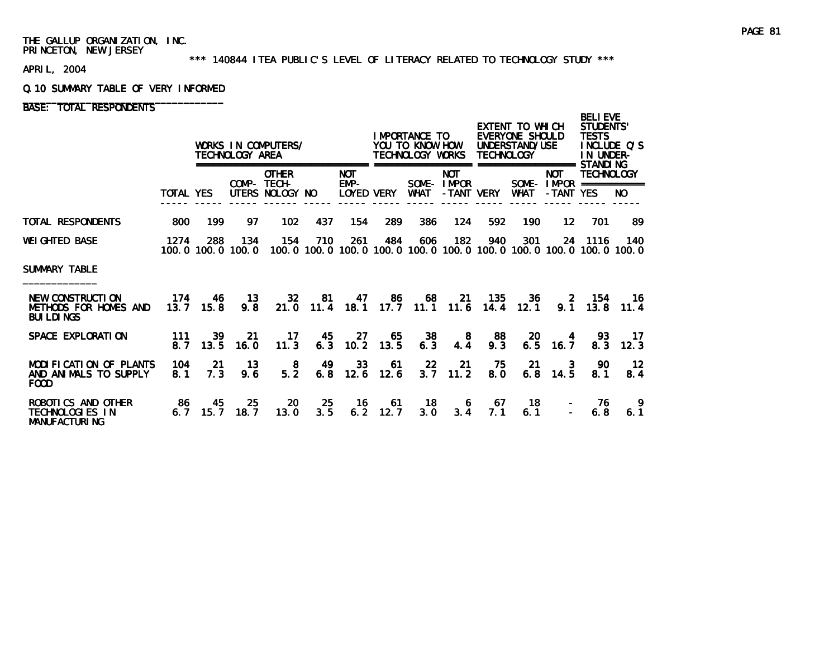#### \*\*\* 140844 ITEA PUBLIC'S LEVEL OF LITERACY RELATED TO TECHNOLOGY STUDY \*\*\*

APRIL, 2004

#### Q.10 SUMMARY TABLE OF VERY INFORMED

# BASE: TOTAL RESPONDENTS

|                                                                      |                  |                   | TECHNOLOGY AREA | WORKS IN COMPUTERS/                                                                              |            |                                                |                     | I MPORTANCE TO<br>YOU TO KNOW HOW<br>TECHNOLOGY WORKS |                                        | <b>TECHNOLOGY</b> | EXTENT TO WHICH<br>EVERYONE SHOULD<br>UNDERSTAND/USE |                                          | <b>BELIEVE</b><br><b>STUDENTS'</b><br><b>TESTS</b><br>INCLUDE Q'S<br>IN UNDER-<br>STANDI NG |                        |
|----------------------------------------------------------------------|------------------|-------------------|-----------------|--------------------------------------------------------------------------------------------------|------------|------------------------------------------------|---------------------|-------------------------------------------------------|----------------------------------------|-------------------|------------------------------------------------------|------------------------------------------|---------------------------------------------------------------------------------------------|------------------------|
|                                                                      | <b>TOTAL YES</b> |                   |                 | <b>OTHER</b><br>COMP- TECH-<br>UTERS NOLOGY NO                                                   |            | =================<br>NOT<br>EMP-<br>LOYED VERY |                     | WHAT                                                  | <b>NOT</b><br>SOME-IMPOR<br>-TANT VERY |                   | <b>WHAT</b>                                          | <b>NOT</b><br>-TANT YES                  | <b>TECHNOLOGY</b><br>SOME - $IMPOR$ ===========                                             | NO.                    |
| TOTAL RESPONDENTS                                                    | 800              | 199               | 97              | 102                                                                                              | 437        | 154                                            | 289                 | 386                                                   | 124                                    | 592               | 190                                                  | 12 <sup>12</sup>                         | 701                                                                                         | -89                    |
| WEIGHTED BASE                                                        | 1274             | 288               | 134             | 154<br>100.0 100.0 100.0 100.0 100.0 100.0 100.0 100.0 100.0 100.0 100.0 100.0 100.0 100.0 100.0 | 710        | 261                                            | 484                 | 606                                                   | 182                                    | 940               | 301                                                  |                                          | 24 1116                                                                                     | 140                    |
| SUMMARY TABLE                                                        |                  |                   |                 |                                                                                                  |            |                                                |                     |                                                       |                                        |                   |                                                      |                                          |                                                                                             |                        |
| NEW CONSTRUCTION<br>METHODS FOR HOMES AND<br><b>BUI LDI NGS</b>      | 174              | 46<br>$13.7$ 15.8 | 13<br>9.8       | 32 <sub>2</sub><br>21.0                                                                          | 81<br>11.4 |                                                |                     | 47 86 68 21 135<br>18.1 17.7 11.1 11.6                |                                        | 14.4              | 36<br>12.1                                           | $\sim$ 2                                 | 154<br>$9.1 \quad 13.8$                                                                     | - 16<br>11.4           |
| SPACE EXPLORATION                                                    | 111<br>8.7       | 39<br>13.5        | 21<br>16.0      | 17<br>11.3                                                                                       | 45         | $6.3$ 10.2                                     | 65<br>27<br>13.5    | 38<br>6.3                                             | - 8<br>4.4                             | 88<br>9.3         | 20<br>6.5                                            | 4<br>16.7                                | 93.<br>8.3                                                                                  | -17<br>12.3            |
| MODIFICATION OF PLANTS<br>AND ANIMALS TO SUPPLY<br><b>FOOD</b>       | 104<br>8.1       | -21<br>7.3        | 13<br>9.6       | -8<br>5.2                                                                                        | 6.8        | 49 33<br>12.6                                  | 61<br>12.6          | 22                                                    | 21<br>$3.7$ 11.2                       | 75<br>8.0         | -21                                                  | $\overline{\phantom{a}}$ 3<br>$6.8$ 14.5 | -90<br>8.1                                                                                  | $\overline{12}$<br>8.4 |
| ROBOTICS AND OTHER<br><b>TECHNOLOGIES IN</b><br><b>MANUFACTURING</b> | - 86<br>6.7      | 45<br>15.7        | 25<br>18.7      | <b>20</b><br>13.0                                                                                | 25<br>3.5  |                                                | 16 61<br>$6.2$ 12.7 | 3.0                                                   | $18$ 6<br>3.4                          | 67<br>7.1         | - 18<br>6.1                                          |                                          | -76<br>6.8                                                                                  | -9<br>6.1              |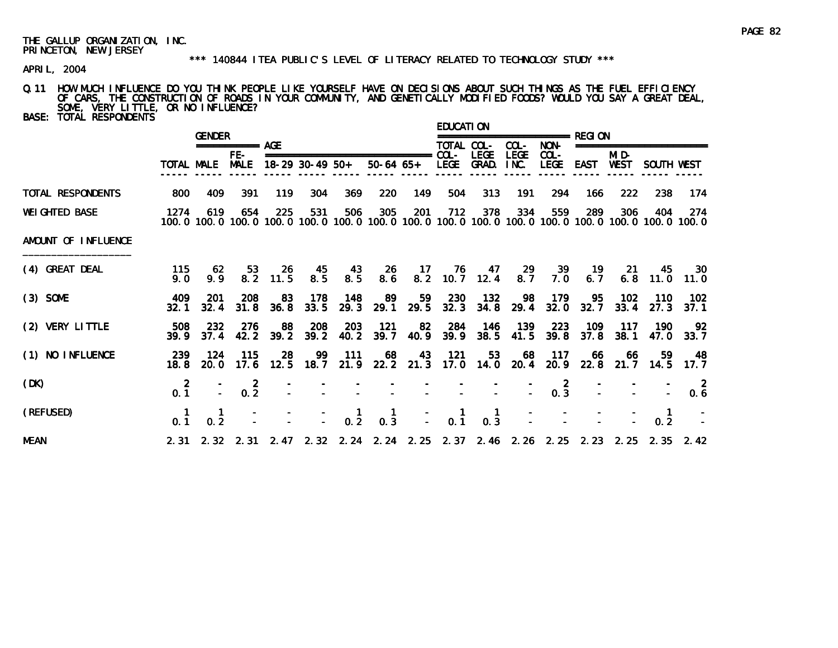#### \*\*\* 140844 ITEA PUBLIC'S LEVEL OF LITERACY RELATED TO TECHNOLOGY STUDY \*\*\*

APRIL, 2004

# Q.11 HOW MUCH INFLUENCE DO YOU THINK PEOPLE LIKE YOURSELF HAVE ON DECISIONS ABOUT SUCH THINGS AS THE FUEL EFFICIENCY OF CARS, THE CONSTRUCTION OF ROADS IN YOUR COMMUNITY, AND GENETICALLY MODIFIED FOODS? WOULD YOU SAY A GREAT DEAL, SOME, VERY LITTLE, OR NO INFLUENCE?

| <b>BASE: TOTAL RESPONDENTS</b> |                       |                                                                                                              |                       |                     |                                                                |             |                                                                                                                                                                                                                                  |                 | <b>EDUCATION</b>                                 |                                          |             |                  |             |               |                          |                       |
|--------------------------------|-----------------------|--------------------------------------------------------------------------------------------------------------|-----------------------|---------------------|----------------------------------------------------------------|-------------|----------------------------------------------------------------------------------------------------------------------------------------------------------------------------------------------------------------------------------|-----------------|--------------------------------------------------|------------------------------------------|-------------|------------------|-------------|---------------|--------------------------|-----------------------|
|                                |                       | <b>GENDER</b>                                                                                                | $== == == == == $ AGE |                     |                                                                |             |                                                                                                                                                                                                                                  |                 | TOTAL COL-                                       |                                          | COL-        | NON-             |             |               | ======================== |                       |
|                                |                       | TOTAL MALE                                                                                                   | $FE-$<br><b>MALE</b>  |                     | 18-29 30-49 50+                                                |             |                                                                                                                                                                                                                                  |                 |                                                  | <b>LEGE</b><br>50-64 65+ LEGE GRAD. INC. | <b>LEGE</b> | $COL -$<br>LEGE  | <b>EAST</b> | MI D-<br>WEST | SOUTH WEST               |                       |
| TOTAL RESPONDENTS              | 800                   | 409                                                                                                          | 391                   | 119                 | 304                                                            | 369         | 220                                                                                                                                                                                                                              | 149             | 504                                              | 313                                      | 191         | 294              | 166         | 222           | 238                      | 174                   |
| <b>WEI GHTED BASE</b>          | 1274                  | 619<br>100.0 100.0 100.0 100.0 100.0 100.0 100.0 100.0 100.0 100.0 100.0 100.0 100.0 100.0 100.0 100.0 100.0 | 654                   | 225                 | 531                                                            | 506         | 305                                                                                                                                                                                                                              | 201             | 712                                              | 378                                      | 334         | 559              | 289         | 306           | 404                      | -274                  |
| AMOUNT OF INFLUENCE            |                       |                                                                                                              |                       |                     |                                                                |             |                                                                                                                                                                                                                                  |                 |                                                  |                                          |             |                  |             |               |                          |                       |
| (4) GREAT DEAL                 | 115<br>9.0            | 62<br>9.9                                                                                                    | 53                    | -26<br>$8.2$ 11.5   | 45<br>8.5                                                      | 43<br>8.5   | 26<br>8.6                                                                                                                                                                                                                        | $-17$           | - 76                                             | - 47<br>8.2 10.7 12.4                    | -29<br>8.7  | 39<br>7.0        | 19<br>6.7   | -21           | 45<br>$6.8$ 11.0 11.0    | <b>30</b>             |
| $(3)$ SOME                     | 409<br>32.1           | -201<br>32.4                                                                                                 | 208                   | 83<br>$31.8$ $36.8$ | 178<br>33.5                                                    | 148<br>29.3 | 89                                                                                                                                                                                                                               | 59<br>29.1 29.5 | 230                                              | 132<br>32.3 34.8 29.4                    | -98         | - 179<br>32.0    | 95<br>32.7  | 102<br>33.4   | 110<br>27.3              | 102<br>37.1           |
| (2) VERY LITTLE                | 508<br>39.9           | -232<br>37.4                                                                                                 | 276                   | 88<br>42.2 39.2     | 208<br>39.2                                                    | 203<br>40.2 | 121                                                                                                                                                                                                                              | 82              |                                                  | 284 146<br>39.7 40.9 39.9 38.5 41.5 39.8 | 139         | 223              | 109<br>37.8 | -117<br>38.1  | 190<br>47.0              | - 92<br>33.7          |
| (1) NO INFLUENCE               | -239                  | 124<br>18.8 20.0 17.6 12.5 18.7 21.9 22.2 21.3 17.0 14.0 20.4 20.9 22.8 21.7 14.5 17.7                       | 115                   | 28                  |                                                                | 99 111      | 68                                                                                                                                                                                                                               | 43              | - 121                                            | 53                                       | 68          | 117              | -66         | -66           | 59.                      | - 48                  |
| (DK)                           | $\overline{2}$<br>0.1 |                                                                                                              | $\overline{2}$<br>0.2 |                     |                                                                |             | e termine de la construcción de la construcción de la construcción de la construcción de la construcción de la<br>Entre el construcción de la construcción de la construcción de la construcción de la construcción de la constr |                 |                                                  |                                          |             | $0.\overline{3}$ |             |               |                          | $\overline{2}$<br>0.6 |
| (REFUSED)                      | 0 <sub>1</sub>        | 0.2                                                                                                          |                       |                     | $\begin{array}{cccc} - & - & - & 1 \\ - & - & 0.2 \end{array}$ |             | $\begin{matrix} 1 \\ 0 & 3 \end{matrix}$                                                                                                                                                                                         | $\frac{1}{2}$ . | $\begin{smallmatrix} 1 \\ 0.1 \end{smallmatrix}$ | $\begin{matrix} 1 \\ 0.3 \end{matrix}$   |             |                  |             |               | 0.2                      |                       |
| <b>MEAN</b>                    |                       | 2. 31 2. 32 2. 31 2. 47 2. 32 2. 24 2. 24 2. 25 2. 37 2. 46 2. 26 2. 25 2. 23 2. 25 2. 35 2. 42              |                       |                     |                                                                |             |                                                                                                                                                                                                                                  |                 |                                                  |                                          |             |                  |             |               |                          |                       |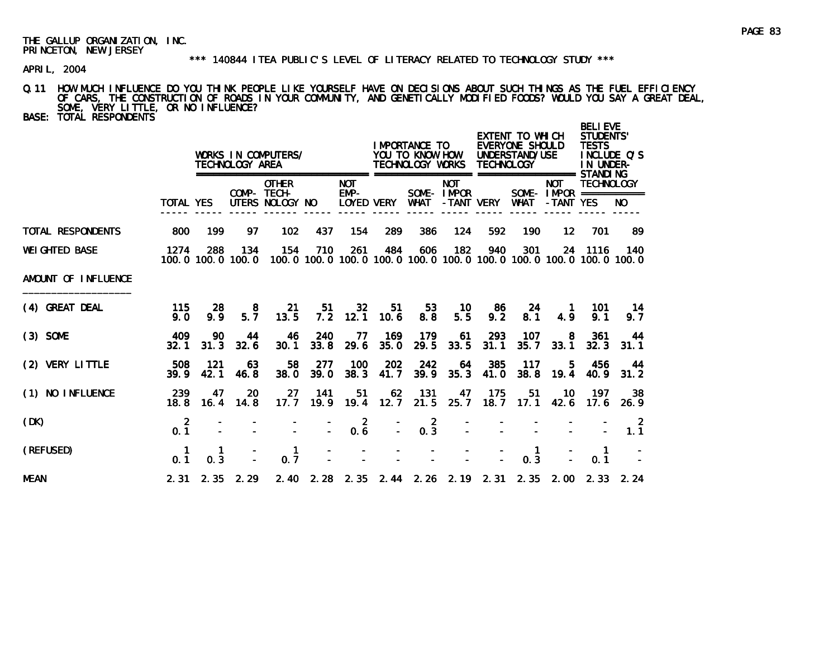#### \*\*\* 140844 ITEA PUBLIC'S LEVEL OF LITERACY RELATED TO TECHNOLOGY STUDY \*\*\*

APRIL, 2004

### Q.11 HOW MUCH INFLUENCE DO YOU THINK PEOPLE LIKE YOURSELF HAVE ON DECISIONS ABOUT SUCH THINGS AS THE FUEL EFFICIENCY OF CARS, THE CONSTRUCTION OF ROADS IN YOUR COMMUNITY, AND GENETICALLY MODIFIED FOODS? WOULD YOU SAY A GREAT DEAL, SOME, VERY LITTLE, OR NO INFLUENCE?

BASE: TOTAL RESPONDENTS

|                       |                       |             | TECHNOLOGY AREA          | WORKS IN COMPUTERS/<br>===================     |             |                         |                | I MPORTANCE TO<br>YOU TO KNOW HOW<br>TECHNOLOGY WORKS<br>================= |                          | <b>TECHNOLOGY</b> | EXTENT TO WHICH<br>EVERYONE SHOULD<br>UNDERSTAND/USE | =================                                   | <b>BELI EVE</b><br><b>STUDENTS'</b><br><b>TESTS</b><br>IN UNDER-<br>STANDI NG | INCLUDE Q'S                                                              |
|-----------------------|-----------------------|-------------|--------------------------|------------------------------------------------|-------------|-------------------------|----------------|----------------------------------------------------------------------------|--------------------------|-------------------|------------------------------------------------------|-----------------------------------------------------|-------------------------------------------------------------------------------|--------------------------------------------------------------------------|
|                       | <b>TOTAL YES</b>      |             |                          | <b>OTHER</b><br>COMP- TECH-<br>UTERS NOLOGY NO |             | <b>NOT</b><br>EMP-      | LOYED VERY     | WHAT                                                                       | <b>NOT</b><br>SOME-IMPOR | -TANT VERY        | <b>WHAT</b>                                          | <b>NOT</b><br>SOME - IMPOR ===========<br>-TANT YES | <b>TECHNOLOGY</b>                                                             | NO.                                                                      |
| TOTAL RESPONDENTS     | 800                   | 199         | 97                       | 102                                            | 437         | 154                     | 289            | 386                                                                        | 124                      | 592               | 190                                                  | 12 <sup>2</sup>                                     | 701                                                                           | -89                                                                      |
| <b>WEI GHTED BASE</b> | 1274                  | 288         | 134<br>100.0 100.0 100.0 | 154                                            | 710         | 261                     | 484            | 606                                                                        | 182                      | 940               | 301                                                  |                                                     | 24 1116                                                                       | 140<br>100.0 100.0 100.0 100.0 100.0 100.0 100.0 100.0 100.0 100.0 100.0 |
| AMOUNT OF INFLUENCE   |                       |             |                          |                                                |             |                         |                |                                                                            |                          |                   |                                                      |                                                     |                                                                               |                                                                          |
| (4) GREAT DEAL        | 115<br>9.0            | 28<br>9.9   | 8<br>5.7                 | 21<br>13.5                                     | 51<br>7.2   | 32 <sub>2</sub><br>12.1 | 51<br>10.6     | 53<br>8.8                                                                  | 10<br>5.5                | 86<br>9.2         | 24<br>8.1                                            | 4.9                                                 | 101<br>9.1                                                                    | 14<br>9.7                                                                |
| $(3)$ SOME            | 409<br>32.1           | 90<br>31.3  | 44<br>32.6               | 46<br>30.1                                     | 240<br>33.8 | 77<br>29.6              | 169<br>35.0    | 179<br>29.5                                                                | 61<br>33.5               | 293<br>31.1       | 107<br>35.7                                          | 8<br>33.1                                           | 361<br>32.3                                                                   | 44<br>31.1                                                               |
| (2) VERY LITTLE       | 508<br>39.9           | 121<br>42.1 | 63<br>46.8               | 58<br>38.0                                     | 277<br>39.0 | 100<br>38.3             | 202<br>41.7    | 242<br>39.9                                                                | 64<br>35.3               | 385<br>41.0       | 117<br>38.8                                          | 5.<br>19.4                                          | 456<br>40.9                                                                   | 44<br>31.2                                                               |
| (1) NO INFLUENCE      | 239<br>18.8           | 47<br>16.4  | <b>20</b><br>14.8        | 27<br>17.7                                     | 141<br>19.9 | 51<br>19.4              | 62<br>12.7     | 131<br>21.5                                                                | 47<br>25.7               | 175<br>18.7       | 51<br>17.1                                           | 10<br>42.6                                          | 197<br>17.6                                                                   | 38<br>-26.9                                                              |
| (DK)                  | $\overline{2}$<br>0.1 |             |                          |                                                |             | $\overline{2}$<br>0.6   | $\blacksquare$ | -2<br>0.3                                                                  |                          |                   |                                                      |                                                     |                                                                               | -2<br>1.1                                                                |
| (REFUSED)             | 0.1                   | 0.3         |                          | 1<br>0.7                                       |             |                         |                |                                                                            |                          |                   | 0.3                                                  |                                                     | 0.1                                                                           |                                                                          |
| <b>MEAN</b>           | 2.31                  | 2.35        | 2.29                     |                                                |             |                         |                |                                                                            |                          |                   |                                                      | 2.40 2.28 2.35 2.44 2.26 2.19 2.31 2.35 2.00        | 2.33                                                                          | 2.24                                                                     |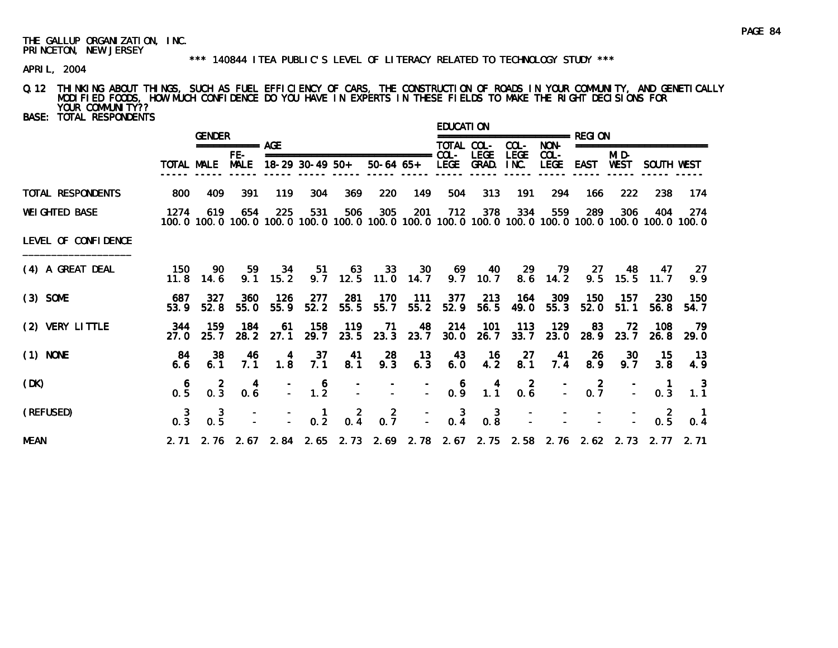#### \*\*\* 140844 ITEA PUBLIC'S LEVEL OF LITERACY RELATED TO TECHNOLOGY STUDY \*\*\*

APRIL, 2004

# Q.12 THINKING ABOUT THINGS, SUCH AS FUEL EFFICIENCY OF CARS, THE CONSTRUCTION OF ROADS IN YOUR COMMUNITY, AND GENETICALLY MODIFIED FOODS, HOW MUCH CONFIDENCE DO YOU HAVE IN EXPERTS IN THESE FIELDS TO MAKE THE RIGHT DECISIONS FOR YOUR COMMUNITY??

| <b>BASE: TOTAL RESPONDENTS</b> |                 |                                                                                                                        |                    |                        |                                                              |                  |                                                  |               | <b>EDUCATION</b>                                  |                                         |                                              |                                                                                                                             |                                          |                     |                                                  |                                        |
|--------------------------------|-----------------|------------------------------------------------------------------------------------------------------------------------|--------------------|------------------------|--------------------------------------------------------------|------------------|--------------------------------------------------|---------------|---------------------------------------------------|-----------------------------------------|----------------------------------------------|-----------------------------------------------------------------------------------------------------------------------------|------------------------------------------|---------------------|--------------------------------------------------|----------------------------------------|
|                                |                 | <b>GENDER</b>                                                                                                          | =========== AGE    |                        |                                                              |                  |                                                  |               | TOTAL COL-                                        |                                         | COL-                                         | NON-                                                                                                                        |                                          | ==================  |                                                  |                                        |
|                                |                 | TOTAL MALE                                                                                                             | FE-<br><b>MALE</b> |                        | 18-29 30-49 50+                                              |                  | ===============================<br>$50-64$ $65+$ |               | $COL -$                                           | <b>LEGE</b><br>LEGE GRAD.               | <b>LEGE</b><br>INC.                          | $COL -$<br>LEGE EAST WEST                                                                                                   |                                          | MI D-               | SOUTH WEST                                       |                                        |
| TOTAL RESPONDENTS              | 800             | 409                                                                                                                    | 391                | 119                    | 304                                                          | 369              | 220                                              | 149           | 504                                               | 313                                     | 191                                          | 294                                                                                                                         | 166                                      | 222                 | 238                                              | 174                                    |
| <b>WEI GHTED BASE</b>          | 1274            | 619<br>100, 0 100, 0 100, 0 100, 0 100, 0 100, 0 100, 0 100, 0 100, 0 100, 0 100, 0 100, 0 100, 0 100, 0 100, 0 100, 0 | 654                | 225                    | 531                                                          | 506              | 305                                              | 201           | 712                                               | 378                                     | 334                                          | 559                                                                                                                         | 289                                      | 306                 | 404                                              | 274                                    |
| LEVEL OF CONFIDENCE            |                 |                                                                                                                        |                    |                        |                                                              |                  |                                                  |               |                                                   |                                         |                                              |                                                                                                                             |                                          |                     |                                                  |                                        |
| (4) A GREAT DEAL               | 150             | -90<br>$11.8$ 14.6                                                                                                     | 59                 | 34<br>$9.1 \quad 15.2$ | 51                                                           | 63<br>$9.7$ 12.5 | 33<br>$11.0$ 14.7                                | 30            | - 69                                              | - 40<br>$9.7$ 10.7                      | 29                                           | 79<br>8.6 14.2                                                                                                              |                                          | 27 48<br>$9.5$ 15.5 | - 47<br>11.7                                     | - 27<br>9.9                            |
| $(3)$ SOME                     | 687<br>53.9     | 327<br>52.8                                                                                                            | 360<br>55.0        | - 126<br>55.9          | 277<br>52.2                                                  | 281<br>55.5      | 170<br>55.7                                      | - 111<br>55.2 | 377<br>52.9                                       | 213<br>56.5                             | 164<br>49.0                                  | 309<br>55.3                                                                                                                 | 150<br>52.0                              | -157<br>51.1        | <b>230</b><br>56.8                               | - 150<br>54.7                          |
| (2) VERY LITTLE                | 344<br>27.0     | 159<br>25.7                                                                                                            | 184                | 61<br>28.2 27.1        | 158<br>29.7                                                  | 119              | -71<br>23.5 23.3 23.7                            | 48            | 214<br>30.0                                       | 101<br>26.7                             | 113<br>33.7                                  | 129<br>23.0                                                                                                                 | 83<br>28.9                               | -72<br>23.7         | 108<br>26.8                                      | - 79<br>29.0                           |
| $(1)$ NONE                     | - 84<br>6.6     | -38<br>6.1                                                                                                             | 46<br>7.1          | 4<br>1.8               | 37<br>7.1                                                    | 41<br>8.1        | 28<br>9.3                                        | -13<br>6.3    | 43<br>6.0                                         | - 16<br>4.2                             | 27<br>8.1                                    | 41<br>7.4                                                                                                                   | -26<br>8.9                               | -30<br>9.7          | -15<br>3.8                                       | - 13<br>4.9                            |
| (DK)                           | 0.5             | $0.\overline{3}$                                                                                                       | 4<br>0.6           |                        | $\begin{array}{cc} - & 6 \\ - & 1.2 \end{array}$             |                  |                                                  |               | $\begin{array}{ccc} - & 6 \\ - & 0.9 \end{array}$ | $\begin{array}{c} 4 \\ 1.1 \end{array}$ | $\begin{smallmatrix}2\\0.6\end{smallmatrix}$ |                                                                                                                             | $\begin{bmatrix} 2 \\ 0.7 \end{bmatrix}$ | E.                  | $\begin{smallmatrix} 1 \\ 0.3 \end{smallmatrix}$ | $\frac{3}{1.1}$                        |
| (REFUSED)                      | $\frac{3}{0.3}$ | $\frac{3}{0.5}$                                                                                                        |                    |                        | $\begin{array}{cccc} - & 1 & 2 \\ - & 0.2 & 0.4 \end{array}$ |                  | $0.\overline{7}$                                 |               |                                                   |                                         |                                              | $\begin{array}{ccccccccccc} - & & 3 & & 3 & & - & & - & & - & & - \\ - & & 0.4 & & 0.8 & & - & & - & & - & & - \end{array}$ |                                          |                     | $0.\overline{5}$                                 | $\begin{matrix} 1 \\ 0.4 \end{matrix}$ |
| <b>MEAN</b>                    |                 | 2.71 2.76 2.67 2.84 2.65 2.73 2.69 2.78 2.67 2.75 2.58 2.76 2.62 2.73 2.77 2.71                                        |                    |                        |                                                              |                  |                                                  |               |                                                   |                                         |                                              |                                                                                                                             |                                          |                     |                                                  |                                        |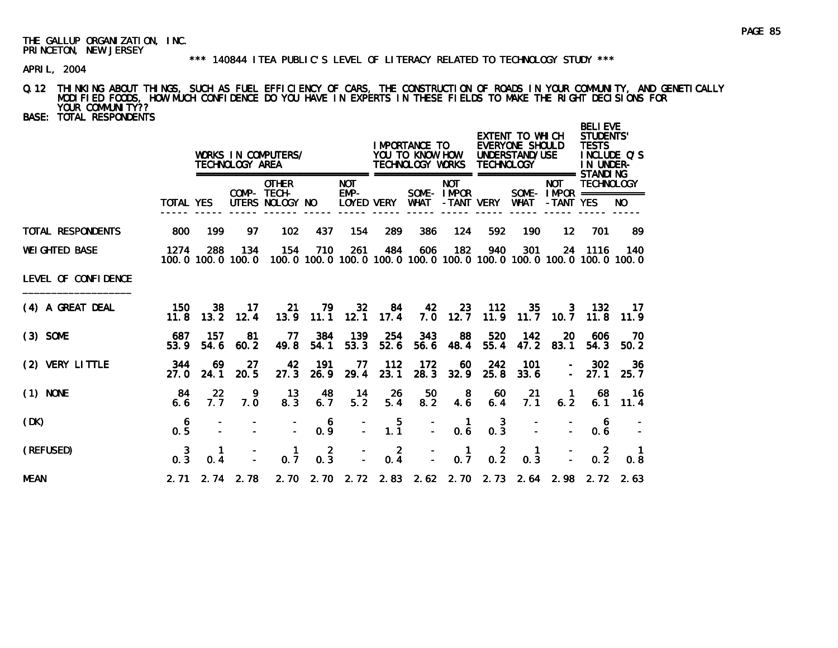#### \*\*\* 140844 ITEA PUBLIC'S LEVEL OF LITERACY RELATED TO TECHNOLOGY STUDY \*\*\*

APRIL, 2004

# Q.12 THINKING ABOUT THINGS, SUCH AS FUEL EFFICIENCY OF CARS, THE CONSTRUCTION OF ROADS IN YOUR COMMUNITY, AND GENETICALLY MODIFIED FOODS, HOW MUCH CONFIDENCE DO YOU HAVE IN EXPERTS IN THESE FIELDS TO MAKE THE RIGHT DECISIONS FOR YOUR COMMUNITY??

BASE: TOTAL RESPONDENTS

|                          |                  |                          | TECHNOLOGY AREA      | WORKS IN COMPUTERS/                                                                              |                       |                    |                 | IMPORTANCE TO<br>YOU TO KNOW HOW<br>TECHNOLOGY WORKS<br>================== |                                         | <b>TECHNOLOGY</b>     | EXTENT TO WHICH<br>EVERYONE SHOULD<br>UNDERSTAND/USE | =================                                      | <b>BELI EVE</b><br><b>STUDENTS'</b><br><b>TESTS</b><br>IN UNDER-<br>STANDI NG | INCLUDE Q'S |
|--------------------------|------------------|--------------------------|----------------------|--------------------------------------------------------------------------------------------------|-----------------------|--------------------|-----------------|----------------------------------------------------------------------------|-----------------------------------------|-----------------------|------------------------------------------------------|--------------------------------------------------------|-------------------------------------------------------------------------------|-------------|
|                          | TOTAL YES        |                          |                      | <b>OTHER</b><br>COMP- TECH-<br>UTERS NOLOGY NO                                                   |                       | <b>NOT</b><br>EMP- | LOYED VERY      | WHAT                                                                       | <b>NOT</b><br>SOME- IMPOR<br>-TANT VERY |                       | WHAT                                                 | <b>NOT</b><br>SOME - $IMPOR$ ============<br>-TANT YES | <b>TECHNOLOGY</b>                                                             | NO.         |
| <b>TOTAL RESPONDENTS</b> | 800              | 199                      | 97                   | 102                                                                                              | 437                   | 154                | 289             | 386                                                                        | 124                                     | 592                   | 190                                                  | 12                                                     | 701                                                                           | 89          |
| <b>WEI GHTED BASE</b>    | 1274             | 288                      | 134                  | 154<br>100.0 100.0 100.0 100.0 100.0 100.0 100.0 100.0 100.0 100.0 100.0 100.0 100.0 100.0 100.0 | 710                   | 261                | 484             | 606                                                                        | 182                                     | 940                   | 301                                                  |                                                        | 24 1116                                                                       | 140         |
| LEVEL OF CONFIDENCE      |                  |                          |                      |                                                                                                  |                       |                    |                 |                                                                            |                                         |                       |                                                      |                                                        |                                                                               |             |
| (4) A GREAT DEAL         | 150<br>11.8      | 38                       | 17<br>$13.2$ 12.4    | -21<br>13.9                                                                                      | 79<br>11.1            | 32<br>12.1         | 84<br>17.4      | 42                                                                         | -23-<br>$7.0$ 12.7                      | 112                   | 35.                                                  | 3<br>$11.9$ $11.7$ $10.7$                              | - 132<br>11.8                                                                 | 17<br>11.9  |
| $(3)$ SOME               | 687<br>53.9      | -157<br>54.6             | 81<br>60.2           | 77<br>49.8                                                                                       | 384<br>54.1           | 139<br>53.3        | 254<br>52.6     | 343<br>56.6                                                                | 88<br>48.4                              | 520<br>55.4           | 142<br>47.2                                          | 20<br>83.1                                             | 606<br>54.3                                                                   | 70<br>50.2  |
| (2) VERY LITTLE          | 344<br>27. O     | 69<br>24.1               | -27<br>20.5          | 42<br>27.3                                                                                       | 191<br>26.9           | 77<br>29.4         | 112<br>23.1     | 172<br>28.3                                                                | 60<br>32.9                              | 242<br>25.8           | 101<br>33.6                                          | $\sim$                                                 | 302<br>27.1                                                                   | 36<br>25.7  |
| $(1)$ NONE               | -84<br>6.6       | $22 \overline{ }$<br>7.7 | 9.<br>7.0            | 13<br>8.3                                                                                        | 48<br>6.7             | 14<br>5.2          | 26<br>5.4       | 50<br>8.2                                                                  | 8<br>4.6                                | 60<br>6.4             | 21<br>7.1                                            | $\mathbf{1}$<br>6.2                                    | 68<br>6.1                                                                     | -16<br>11.4 |
| (DK)                     | 6<br>0.5         |                          |                      |                                                                                                  | 6<br>0.9              | $\frac{1}{2}$      | $\frac{5}{1.1}$ | $\bar{z}$                                                                  | $\mathbf{1}$<br>0.6                     | 3<br>$0.\overline{3}$ |                                                      |                                                        | 0.6                                                                           |             |
| (REFUSED)                | $0.\overline{3}$ | 0.4                      |                      | 0.7                                                                                              | $\overline{2}$<br>0.3 |                    | $0.\frac{2}{4}$ |                                                                            | $\mathbf{1}$<br>0.7                     | $0.\overline{2}$      | $\mathbf{1}$<br>0.3                                  |                                                        | $\overline{2}$<br>0.2                                                         | 0.8         |
| <b>MEAN</b>              |                  |                          | $2.71$ $2.74$ $2.78$ |                                                                                                  |                       |                    |                 |                                                                            |                                         |                       |                                                      | 2. 70 2. 70 2. 72 2. 83 2. 62 2. 70 2. 73 2. 64 2. 98  |                                                                               | 2.72 2.63   |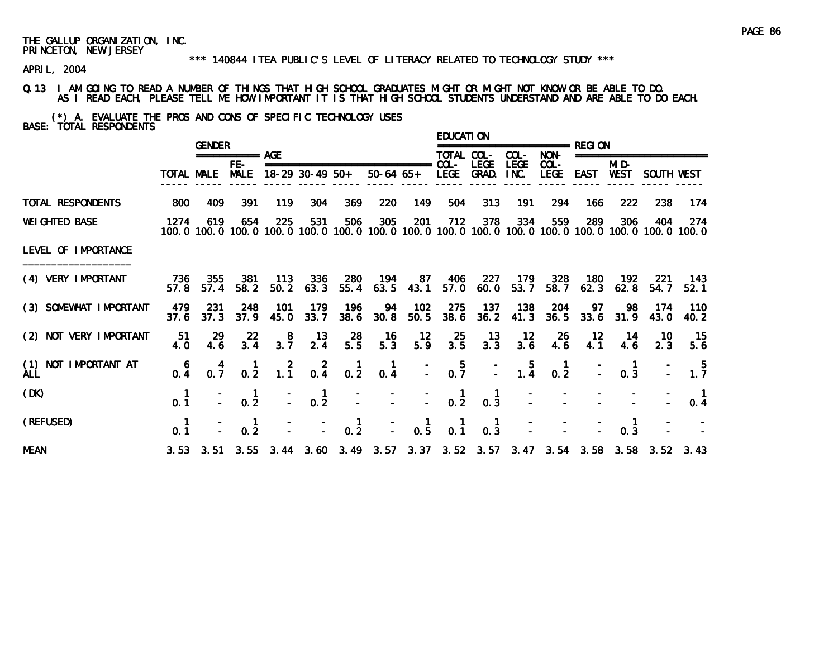#### \*\*\* 140844 ITEA PUBLIC'S LEVEL OF LITERACY RELATED TO TECHNOLOGY STUDY \*\*\*

APRIL, 2004

### Q.13 I AM GOING TO READ A NUMBER OF THINGS THAT HIGH SCHOOL GRADUATES MIGHT OR MIGHT NOT KNOW OR BE ABLE TO DO. AS I READ EACH, PLEASE TELL ME HOW IMPORTANT IT IS THAT HIGH SCHOOL STUDENTS UNDERSTAND AND ARE ABLE TO DO EACH.

(\*) A. EVALUATE THE PROS AND CONS OF SPECIFIC TECHNOLOGY USES BASE: TOTAL RESPONDENTS

|                                    |                                                  | <b>GENDER</b> |                                                    |                  |                                 |                  |                                 |                                        | <b>EDUCATION</b> |                                        |                                                  | =============== RFGI ON                |                  |               |                                                                                 |                                                                                                              |
|------------------------------------|--------------------------------------------------|---------------|----------------------------------------------------|------------------|---------------------------------|------------------|---------------------------------|----------------------------------------|------------------|----------------------------------------|--------------------------------------------------|----------------------------------------|------------------|---------------|---------------------------------------------------------------------------------|--------------------------------------------------------------------------------------------------------------|
|                                    |                                                  |               | =========== AGE                                    |                  |                                 |                  |                                 |                                        | TOTAL COL-       |                                        | COL-                                             | NON-                                   |                  |               | ===================                                                             |                                                                                                              |
|                                    |                                                  | TOTAL MALE    | FE-<br><b>MALE</b>                                 |                  | $18-29$ 30-49 50+               |                  | =============================== | 50-64 65+ LEGE                         | $COL -$          | <b>LEGE</b><br>GRAD.                   | <b>LEGE</b><br>INC.                              | $COL -$<br>LEGE                        | EAST             | MI D-<br>WEST | SOUTH WEST                                                                      |                                                                                                              |
| TOTAL RESPONDENTS                  | 800                                              | 409           | 391                                                | 119              | 304                             | 369              | 220                             | 149                                    | 504              | 313                                    | 191                                              | 294                                    | 166              | 222           | 238                                                                             | 174                                                                                                          |
| <b>WEI GHTED BASE</b>              | 1274                                             | 619           | 654                                                | 225              | 531                             | 506              | 305                             | 201                                    | 712              | 378                                    | 334                                              | 559                                    | 289              | 306           | 404                                                                             | 274<br>100.0 100.0 100.0 100.0 100.0 100.0 100.0 100.0 100.0 100.0 100.0 100.0 100.0 100.0 100.0 100.0 100.0 |
| LEVEL OF IMPORTANCE                |                                                  |               |                                                    |                  |                                 |                  |                                 |                                        |                  |                                        |                                                  |                                        |                  |               |                                                                                 |                                                                                                              |
| (4) VERY IMPORTANT                 | 736<br>57.8                                      | 355<br>57.4   | 381<br>58.2                                        | - 113<br>50.2    | 336<br>63.3                     | 280<br>55.4      | 194                             | 87<br>$63.5$ 43.1                      | 406<br>57.0      | -227<br>60.0                           | 179<br>53.7                                      | 328<br>58.7                            | 180<br>62.3      | 192<br>62.8   | -221<br>54.7                                                                    | 143<br>52.1                                                                                                  |
| (3) SOMEWHAT IMPORTANT             | 479<br>37.6                                      | -231<br>37.3  | 248<br>37.9                                        | 101<br>45.0      | 179<br>33.7                     | 196<br>38.6      | 94<br>30.8                      | 102<br>50.5                            | 275<br>38.6      | 137<br>36.2                            | 138<br>41.3                                      | 204<br>36.5                            | 97<br>33.6       | 98<br>31.9    | 174<br>43.0                                                                     | 110<br>40.2                                                                                                  |
| (2) NOT VERY IMPORTANT             | -51<br>4.0                                       | 29<br>4.6     | $\frac{22}{3.4}$                                   | $3.\overline{7}$ | $\frac{13}{2.4}$                | $\frac{28}{5.5}$ | $\frac{16}{5.3}$                | $\frac{12}{5.9}$                       | $\frac{25}{3.5}$ | $\frac{13}{3.3}$                       | $\frac{12}{3.6}$                                 | $^{26}_{4.6}$                          | $\frac{12}{4.1}$ | 14<br>4.6     | 10.<br>2.3                                                                      | -15<br>5.6                                                                                                   |
| (1) NOT IMPORTANT AT<br><b>ALL</b> | $0.\overline{4}$                                 | $0.7^{4}$     | $\frac{1}{0.2}$                                    | $1.\overline{1}$ | $0.\frac{2}{4}$                 | $0.\overline{2}$ | $\mathbf{1}$<br>0.4             |                                        | $0.\overline{7}$ |                                        | $\begin{array}{cc} - & 5 \\ - & 1.4 \end{array}$ | $\begin{matrix} 1 \\ 0.2 \end{matrix}$ |                  | 0.3           |                                                                                 | $\frac{5}{1.7}$                                                                                              |
| (DK)                               | 0.1                                              |               | 0.2                                                |                  | $0.\overline{2}$                |                  |                                 |                                        | $\frac{1}{0.2}$  | $\begin{matrix} 1 \\ 0.3 \end{matrix}$ |                                                  |                                        |                  |               |                                                                                 | 0.4                                                                                                          |
| (REFUSED)                          | $\begin{smallmatrix} 1 \\ 0.1 \end{smallmatrix}$ |               | $\begin{smallmatrix} 1 \\ 0 & 2 \end{smallmatrix}$ |                  | $\frac{1}{2}$ , $\frac{1}{2}$ , | $\frac{1}{0.2}$  | D.                              | $\begin{matrix} 1 \\ 0.5 \end{matrix}$ | 0.1              | $\begin{matrix} 1 \\ 0.3 \end{matrix}$ |                                                  |                                        |                  | 0.3           |                                                                                 |                                                                                                              |
| <b>MEAN</b>                        |                                                  |               |                                                    |                  |                                 |                  |                                 |                                        |                  |                                        |                                                  |                                        |                  |               | 3.53 3.51 3.55 3.44 3.60 3.49 3.57 3.37 3.52 3.57 3.47 3.54 3.58 3.58 3.52 3.43 |                                                                                                              |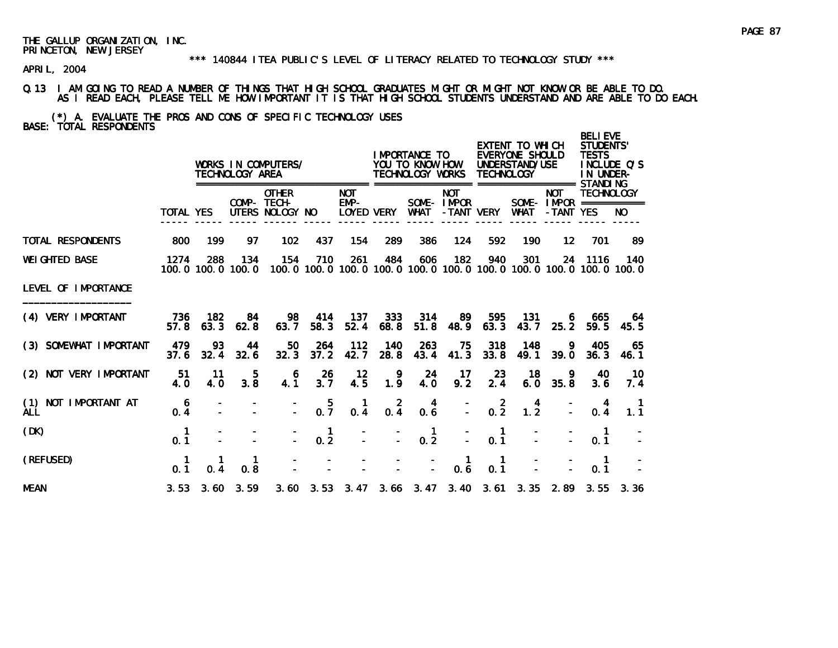#### \*\*\* 140844 ITEA PUBLIC'S LEVEL OF LITERACY RELATED TO TECHNOLOGY STUDY \*\*\*

APRIL, 2004

#### Q.13 I AM GOING TO READ A NUMBER OF THINGS THAT HIGH SCHOOL GRADUATES MIGHT OR MIGHT NOT KNOW OR BE ABLE TO DO. AS I READ EACH, PLEASE TELL ME HOW IMPORTANT IT IS THAT HIGH SCHOOL STUDENTS UNDERSTAND AND ARE ABLE TO DO EACH.

(\*) A. EVALUATE THE PROS AND CONS OF SPECIFIC TECHNOLOGY USES BASE: TOTAL RESPONDENTS

|                                       |                  |                   | TECHNOLOGY AREA          | WORKS IN COMPUTERS/                            |                  |                                  |                 | I MPORTANCE TO<br>YOU TO KNOW HOW<br>TECHNOLOGY WORKS |                                        | <b>TECHNOLOGY</b> | EXTENT TO WHICH<br>EVERYONE SHOULD<br>UNDERSTAND/USE<br>================== STANDI NG |                                                        | <b>BELIEVE</b><br>STUDENTS'<br><b>TESTS</b><br>IN UNDER- | INCLUDE Q'S |
|---------------------------------------|------------------|-------------------|--------------------------|------------------------------------------------|------------------|----------------------------------|-----------------|-------------------------------------------------------|----------------------------------------|-------------------|--------------------------------------------------------------------------------------|--------------------------------------------------------|----------------------------------------------------------|-------------|
|                                       | <b>TOTAL YES</b> |                   |                          | <b>OTHER</b><br>COMP- TECH-<br>UTERS NOLOGY NO |                  | <b>NOT</b><br>EMP-<br>LOYED VERY |                 | ===========<br>WHAT                                   | <b>NOT</b><br>SOME-IMPOR<br>-TANT VERY |                   | <b>WHAT</b>                                                                          | <b>NOT</b><br>SOME - $IMPOR$ ============<br>-TANT YES | <b>TECHNOLOGY</b>                                        | NO.         |
| <b>TOTAL RESPONDENTS</b>              | 800              | 199               | 97                       | 102                                            | 437              | 154                              | 289             | 386                                                   | 124                                    | 592               | 190                                                                                  | 12                                                     | 701                                                      | 89          |
| <b>WEI GHTED BASE</b>                 | 1274             | 288               | 134<br>100.0 100.0 100.0 | 154                                            | 710              | 261                              | 484             | 606                                                   | 182                                    | 940               | 301<br>100, 0 100, 0 100, 0 100, 0 100, 0 100, 0 100, 0 100, 0 100, 0 100, 0 100, 0  | 24                                                     | 1116                                                     | 140         |
| LEVEL OF IMPORTANCE                   |                  |                   |                          |                                                |                  |                                  |                 |                                                       |                                        |                   |                                                                                      |                                                        |                                                          |             |
| (4) VERY IMPORTANT                    | 736<br>57.8      | 182<br>63.3       | 84<br>62.8               | 98<br>63.7                                     | 414<br>58.3      | 137<br>52.4                      | 333<br>68.8     | 314<br>51.8                                           | 89<br>48.9                             | 595<br>63.3       | 131<br>43.7                                                                          | 6.<br>25.2                                             | 665<br>59.5                                              | 64<br>45.5  |
| (3) SOMEWHAT IMPORTANT                | 479<br>37.6      | 93<br>32.4        | 44<br>32.6               | 50<br>32.3                                     | 264<br>37.2      | 112<br>42.7                      | 140<br>28.8     | 263<br>43.4                                           | 75<br>41.3                             | 318<br>33.8       | 148<br>49.1                                                                          | 9<br>39.0                                              | 405<br>36.3                                              | 65<br>46.1  |
| (2) NOT VERY IMPORTANT                | 51<br>4.0        | 11<br>4.0         | 5<br>3.8                 | 6<br>4.1                                       | 26<br>3.7        | $12 \,$<br>4.5                   | 9<br>1.9        | 24<br>4.0                                             | 17<br>9.2                              | 23<br>2.4         | 18<br>6.0                                                                            | 9<br>35.8                                              | 40<br>3.6                                                | 10<br>7.4   |
| NOT IMPORTANT AT<br>(1)<br><b>ALL</b> | 6<br>0.4         |                   |                          |                                                | $0.\overline{7}$ | 0.4                              | $0.\frac{2}{4}$ | 4<br>0.6                                              |                                        | $0.\overline{2}$  | 4<br>$1.\overline{2}$                                                                |                                                        | 0.4                                                      | 1.1         |
| (DK)                                  | 0.1              |                   |                          |                                                | -1<br>0.2        |                                  |                 | 1<br>$0.\overline{2}$                                 |                                        | -1<br>0.1         |                                                                                      |                                                        | $\mathbf{1}$<br>0.1                                      |             |
| (REFUSED)                             | 0.1              | 0.4               | 1<br>0.8                 |                                                |                  |                                  |                 |                                                       | $\mathbf{1}$<br>0.6                    | -1<br>0.1         |                                                                                      |                                                        | $\mathbf{1}$<br>0.1                                      |             |
| <b>MEAN</b>                           |                  | $3.53 \quad 3.60$ | 3.59                     |                                                |                  |                                  |                 |                                                       |                                        |                   | 3.60 3.53 3.47 3.66 3.47 3.40 3.61 3.35 2.89                                         |                                                        | 3.55                                                     | 3.36        |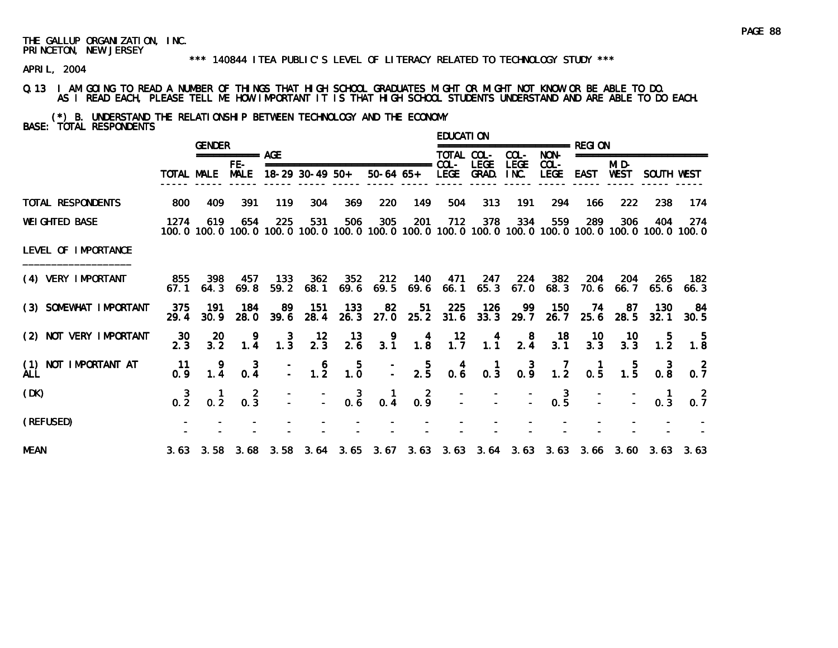#### \*\*\* 140844 ITEA PUBLIC'S LEVEL OF LITERACY RELATED TO TECHNOLOGY STUDY \*\*\*

APRIL, 2004

Q.13 I AM GOING TO READ A NUMBER OF THINGS THAT HIGH SCHOOL GRADUATES MIGHT OR MIGHT NOT KNOW OR BE ABLE TO DO. AS I READ EACH, PLEASE TELL ME HOW IMPORTANT IT IS THAT HIGH SCHOOL STUDENTS UNDERSTAND AND ARE ABLE TO DO EACH.

(\*) B. UNDERSTAND THE RELATIONSHIP BETWEEN TECHNOLOGY AND THE ECONOMY BASE: TOTAL RESPONDENTS

|                             |                  | <b>GENDER</b>        |                                    |                                                  |                                             |                                                  |                                                         |                                         | <b>EDUCATION</b>                                 |                     |                                         | ================ RFGI ON                                                                                                                                                                                                                                                                                            |                  |                                                      |                                                                                 |                                                                                                               |
|-----------------------------|------------------|----------------------|------------------------------------|--------------------------------------------------|---------------------------------------------|--------------------------------------------------|---------------------------------------------------------|-----------------------------------------|--------------------------------------------------|---------------------|-----------------------------------------|---------------------------------------------------------------------------------------------------------------------------------------------------------------------------------------------------------------------------------------------------------------------------------------------------------------------|------------------|------------------------------------------------------|---------------------------------------------------------------------------------|---------------------------------------------------------------------------------------------------------------|
|                             |                  |                      | =========== AGE                    |                                                  |                                             |                                                  |                                                         |                                         | TOTAL COL-                                       |                     | COL-                                    | NON-                                                                                                                                                                                                                                                                                                                |                  |                                                      | ====================                                                            |                                                                                                               |
|                             |                  | TOTAL MALE           | $FE-$<br><b>MALE</b>               |                                                  | 18-29 30-49 50+                             |                                                  | ===============================<br>50-64 65+ LEGE GRAD. |                                         | $COL -$                                          | LEGE                | <b>LEGE</b><br>INC.                     | $COL -$<br><b>LEGE</b>                                                                                                                                                                                                                                                                                              | EAST             | MI D-<br>WEST                                        | SOUTH WEST                                                                      |                                                                                                               |
| TOTAL RESPONDENTS           | 800              | 409                  | 391                                | 119                                              | 304                                         | 369                                              | 220                                                     | 149                                     | 504                                              | 313                 | 191                                     | 294                                                                                                                                                                                                                                                                                                                 | 166              | 222                                                  | 238                                                                             | -174                                                                                                          |
| <b>WEI GHTED BASE</b>       | 1274             | 619                  | 654                                | 225                                              | 531                                         | 506                                              | 305                                                     | 201                                     | 712                                              | 378                 | 334                                     | 559                                                                                                                                                                                                                                                                                                                 | 289              | 306                                                  | 404                                                                             | -274<br>100.0 100.0 100.0 100.0 100.0 100.0 100.0 100.0 100.0 100.0 100.0 100.0 100.0 100.0 100.0 100.0 100.0 |
| LEVEL OF IMPORTANCE         |                  |                      |                                    |                                                  |                                             |                                                  |                                                         |                                         |                                                  |                     |                                         |                                                                                                                                                                                                                                                                                                                     |                  |                                                      |                                                                                 |                                                                                                               |
| (4) VERY IMPORTANT          | 855<br>67.1      | 398<br>64.3          | 457<br>69.8                        | - 133<br>59.2                                    | 362<br>68.1                                 | 352<br>69.6                                      | 212                                                     | 69.5 69.6                               | 66.1                                             | 140 471 247<br>65.3 | 224<br>67.0                             | 382<br>68.3                                                                                                                                                                                                                                                                                                         | 204<br>70. 6     | -204<br>66. 7                                        | -265<br>65.6                                                                    | - 182<br>66.3                                                                                                 |
| (3) SOMEWHAT IMPORTANT      | 375<br>29.4      | - 191<br>30.9        | 184<br>28.0                        | 89.                                              | - 151<br>39.6 28.4                          | -133                                             | 82<br>26.3 27.0 25.2 31.6 33.3 29.7                     | 51                                      | -225                                             | - 126               | 99                                      | 150<br>26.7                                                                                                                                                                                                                                                                                                         | 74               | -87<br>25.6 28.5                                     | 130<br>32.1                                                                     | -84<br>30.5                                                                                                   |
| (2) NOT VERY IMPORTANT      | 30<br>2.3        | -20<br>$3.2^{\circ}$ | $\frac{9}{1.4}$                    | $\begin{smallmatrix} 3 \\ 1.3 \end{smallmatrix}$ | $\frac{12}{2.3}$                            | $\frac{13}{2.6}$                                 | $\begin{array}{c} 9 \\ 3.1 \end{array}$                 | $\begin{array}{c} 4 \\ 1.8 \end{array}$ | $\frac{12}{1.7}$                                 | 1.1                 | $\begin{array}{c} 8 \\ 2.4 \end{array}$ | $\frac{18}{3.1}$                                                                                                                                                                                                                                                                                                    | $\frac{10}{3.3}$ | $\frac{10}{3.3}$                                     | 1.5                                                                             | $\begin{array}{c} 5 \\ 1.8 \end{array}$                                                                       |
| (1) NOT IMPORTANT AT<br>ALL | 11<br>0.9        | $\frac{9}{1.4}$      | 3<br>0.4                           |                                                  | $\frac{-}{-}$ 1.2                           | $\begin{smallmatrix} 5 \\ 1.0 \end{smallmatrix}$ |                                                         | $\frac{-}{-}$ 2.5                       | $\begin{smallmatrix} 4 \\ 0.6 \end{smallmatrix}$ |                     |                                         | $\begin{array}{cccc} & 1 & 3 & 7 \\ 0.3 & 0.9 & 1.2 \end{array}$                                                                                                                                                                                                                                                    |                  | $\begin{array}{cc} & 1 & 5 \\ 0.5 & 1.5 \end{array}$ | $0.\overline{8}$                                                                | $0.\overline{7}$                                                                                              |
| (DK)                        | $0.\overline{2}$ | $0.\overline{2}$     | $\overline{2}$<br>$0.\overline{3}$ |                                                  | $\frac{1}{2}$ $\frac{1}{2}$ $\frac{3}{0.6}$ |                                                  | $0.\overline{4}$                                        | $0.\overline{9}$                        |                                                  |                     |                                         | $\frac{1}{2}$ $\frac{1}{2}$ $\frac{1}{2}$ $\frac{1}{2}$ $\frac{1}{2}$ $\frac{1}{2}$ $\frac{1}{2}$ $\frac{1}{2}$ $\frac{1}{2}$ $\frac{1}{2}$ $\frac{1}{2}$ $\frac{1}{2}$ $\frac{1}{2}$ $\frac{1}{2}$ $\frac{1}{2}$ $\frac{1}{2}$ $\frac{1}{2}$ $\frac{1}{2}$ $\frac{1}{2}$ $\frac{1}{2}$ $\frac{1}{2}$ $\frac{1}{2}$ |                  |                                                      | 0.3                                                                             | 0.7                                                                                                           |
| (REFUSED)                   |                  |                      |                                    |                                                  |                                             |                                                  |                                                         |                                         |                                                  |                     |                                         |                                                                                                                                                                                                                                                                                                                     |                  |                                                      |                                                                                 |                                                                                                               |
| <b>MEAN</b>                 |                  |                      |                                    |                                                  |                                             |                                                  |                                                         |                                         |                                                  |                     |                                         |                                                                                                                                                                                                                                                                                                                     |                  |                                                      | 3.63 3.58 3.68 3.58 3.64 3.65 3.67 3.63 3.63 3.64 3.63 3.63 3.66 3.60 3.63 3.63 |                                                                                                               |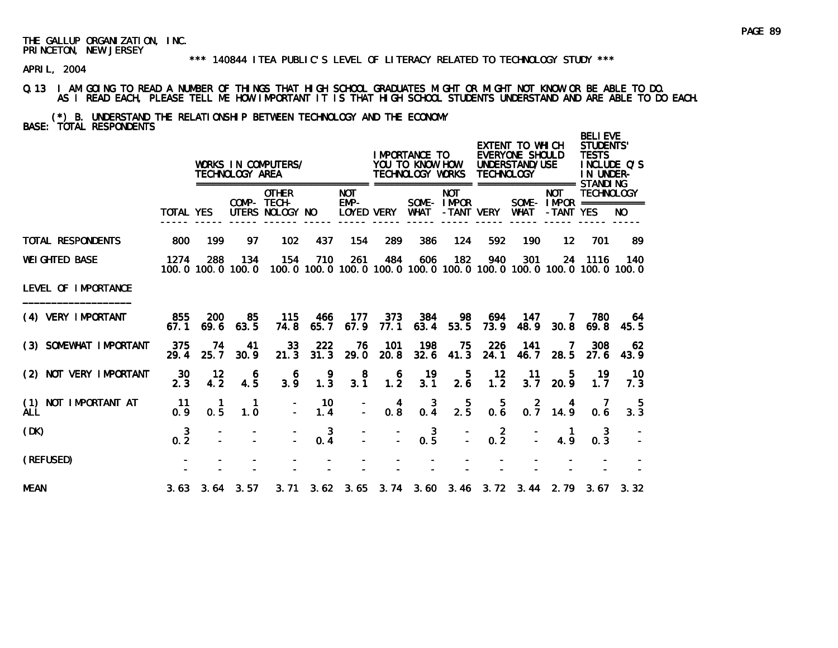#### \*\*\* 140844 ITEA PUBLIC'S LEVEL OF LITERACY RELATED TO TECHNOLOGY STUDY \*\*\*

APRIL, 2004

### Q.13 I AM GOING TO READ A NUMBER OF THINGS THAT HIGH SCHOOL GRADUATES MIGHT OR MIGHT NOT KNOW OR BE ABLE TO DO. AS I READ EACH, PLEASE TELL ME HOW IMPORTANT IT IS THAT HIGH SCHOOL STUDENTS UNDERSTAND AND ARE ABLE TO DO EACH.

(\*) B. UNDERSTAND THE RELATIONSHIP BETWEEN TECHNOLOGY AND THE ECONOMY BASE: TOTAL RESPONDENTS

|                                       |                       |                      | TECHNOLOGY AREA          | WORKS IN COMPUTERS/                            |                                                  |                                              |                                         | I MPORTANCE TO<br>YOU TO KNOW HOW<br>TECHNOLOGY WORKS                    |                          | <b>TECHNOLOGY</b>     | EXTENT TO WHICH<br>EVERYONE SHOULD<br>UNDERSTAND/USE<br>=================== STANDI NG |                                                        | <b>BELIEVE</b><br><b>STUDENTS'</b><br><b>TESTS</b><br>IN UNDER- | INCLUDE Q'S |
|---------------------------------------|-----------------------|----------------------|--------------------------|------------------------------------------------|--------------------------------------------------|----------------------------------------------|-----------------------------------------|--------------------------------------------------------------------------|--------------------------|-----------------------|---------------------------------------------------------------------------------------|--------------------------------------------------------|-----------------------------------------------------------------|-------------|
|                                       | <b>TOTAL YES</b>      |                      |                          | <b>OTHER</b><br>COMP- TECH-<br>UTERS NOLOGY NO |                                                  | <b>NOT</b><br>$EMP-$<br><b>LOYED VERY</b>    |                                         | <b>WHAT</b>                                                              | <b>NOT</b><br>SOME-IMPOR | -TANT VERY            | WHAT                                                                                  | <b>NOT</b><br>SOME - $IMPOR$ ============<br>-TANT YES | <b>TECHNOLOGY</b>                                               | NO.         |
| TOTAL RESPONDENTS                     | 800                   | 199                  | 97                       | 102                                            | 437                                              | 154                                          | 289                                     | 386                                                                      | 124                      | 592                   | 190                                                                                   | 12                                                     | 701                                                             | 89          |
| <b>WEI GHTED BASE</b>                 | 1274                  | 288                  | 134<br>100.0 100.0 100.0 | 154                                            | 710                                              | 261                                          | 484                                     | 606<br>100.0 100.0 100.0 100.0 100.0 100.0 100.0 100.0 100.0 100.0 100.0 | 182                      | 940                   | 301                                                                                   |                                                        | 24 1116                                                         | 140         |
| LEVEL OF IMPORTANCE                   |                       |                      |                          |                                                |                                                  |                                              |                                         |                                                                          |                          |                       |                                                                                       |                                                        |                                                                 |             |
| (4) VERY IMPORTANT                    | 855<br>67.1           | <b>200</b><br>69.6   | 85<br>63.5               | 115<br>74.8                                    | 466<br>65.7                                      | 177<br>67.9                                  | 373<br>77.1                             | 384<br>63.4                                                              | 98<br>53.5               | 694<br>73.9           | 147<br>48.9                                                                           | $\prime$<br>30.8                                       | 780<br>69.8                                                     | 64<br>45.5  |
| (3) SOMEWHAT IMPORTANT                | 375<br>29.4           | 74<br>25.7           | 41<br>30.9               | 33<br>21.3                                     | 222<br>31.3                                      | 76<br>29.0                                   | 101<br>20.8                             | 198<br>32.6                                                              | 75<br>41.3               | 226<br>24.1           | 141<br>46.7                                                                           | 7<br>28.5                                              | 308<br>27.6                                                     | 62<br>43.9  |
| (2) NOT VERY IMPORTANT                | 30<br>2.3             | 12<br>4.2            | 6<br>4.5                 | 6<br>3.9                                       | $\begin{smallmatrix} 9 \\ 1.3 \end{smallmatrix}$ | $\begin{smallmatrix}8\\3.1\end{smallmatrix}$ | $\begin{array}{c} 6 \\ 1.2 \end{array}$ | 19<br>3.1                                                                | 5<br>2.6                 | 12<br>1.2             | -11<br>3.7                                                                            | 5<br>20.9                                              | 19<br>1.7                                                       | 10<br>7.3   |
| NOT IMPORTANT AT<br>(1)<br><b>ALL</b> | 11<br>0.9             | 1<br>0.5             | $\mathbf 1$<br>1.0       |                                                | 10<br>1.4                                        | $\mathbf{r}$                                 | 4<br>$0.\overline{8}$                   | $0.\frac{3}{4}$                                                          | $2.\overline{5}$         | 5<br>$0.\overline{6}$ |                                                                                       | $\begin{array}{ccc} & 2 & 4 \\ 0.7 & 14.9 \end{array}$ | 0.6                                                             | -5<br>3.3   |
| (DK)                                  | 3<br>$0.\overline{2}$ |                      |                          |                                                | 3<br>$0.\,4$                                     |                                              |                                         | $0.\overline{5}$                                                         |                          | $0.\overline{2}$      |                                                                                       | 4.9                                                    | 3<br>0.3                                                        |             |
| (REFUSED)                             |                       |                      |                          |                                                |                                                  |                                              |                                         |                                                                          |                          |                       |                                                                                       |                                                        |                                                                 |             |
| <b>MEAN</b>                           |                       | $3.63$ $3.64$ $3.57$ |                          |                                                |                                                  |                                              |                                         | 3. 71 3. 62 3. 65 3. 74 3. 60 3. 46 3. 72 3. 44 2. 79 3. 67 3. 32        |                          |                       |                                                                                       |                                                        |                                                                 |             |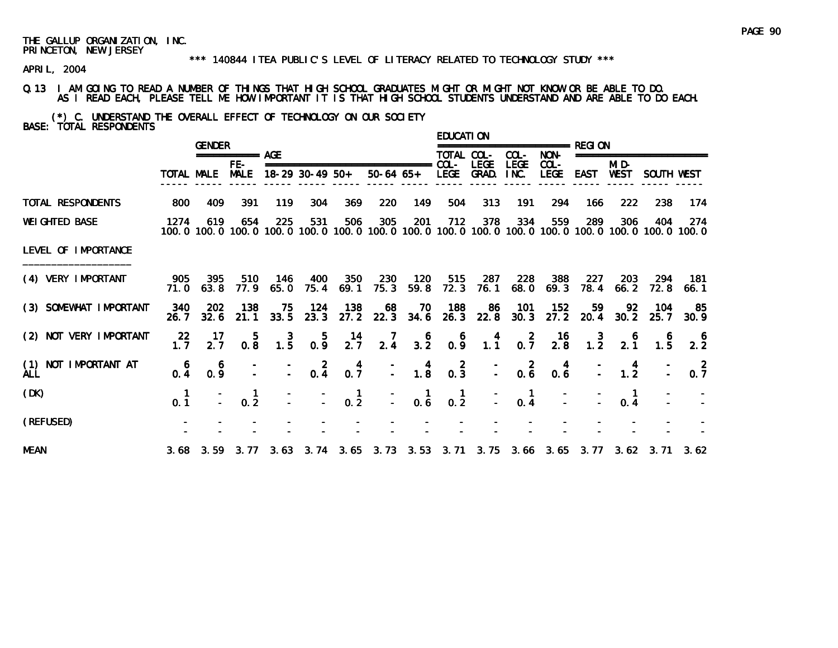#### \*\*\* 140844 ITEA PUBLIC'S LEVEL OF LITERACY RELATED TO TECHNOLOGY STUDY \*\*\*

APRIL, 2004

Q.13 I AM GOING TO READ A NUMBER OF THINGS THAT HIGH SCHOOL GRADUATES MIGHT OR MIGHT NOT KNOW OR BE ABLE TO DO. AS I READ EACH, PLEASE TELL ME HOW IMPORTANT IT IS THAT HIGH SCHOOL STUDENTS UNDERSTAND AND ARE ABLE TO DO EACH.

(\*) C. UNDERSTAND THE OVERALL EFFECT OF TECHNOLOGY ON OUR SOCIETY BASE: TOTAL RESPONDENTS

|                                    |                  | <b>GENDER</b>          |                    |                                         |                                         |                  |                                              |                                                    | <b>EDUCATION</b>      |                             |                                                  | =============== RFGI ON                           |              |                 |                                              |                                                                                                               |
|------------------------------------|------------------|------------------------|--------------------|-----------------------------------------|-----------------------------------------|------------------|----------------------------------------------|----------------------------------------------------|-----------------------|-----------------------------|--------------------------------------------------|---------------------------------------------------|--------------|-----------------|----------------------------------------------|---------------------------------------------------------------------------------------------------------------|
|                                    |                  |                        | =========== AGE    |                                         |                                         |                  |                                              |                                                    | TOTAL COL-            |                             | COL-                                             | NON-                                              |              |                 | ===================                          |                                                                                                               |
|                                    | TOTAL MALE       |                        | FE-<br><b>MALE</b> |                                         | $18-29$ 30-49 50+                       |                  | ===============================<br>50-64 65+ |                                                    | $COL -$<br>LEGE GRAD. | <b>LEGE</b>                 | <b>LEGE</b><br>INC.                              | $COL -$<br>LEGE                                   | EAST         | MI D-<br>WEST   | SOUTH WEST                                   |                                                                                                               |
| TOTAL RESPONDENTS                  | 800              | 409                    | 391                | 119                                     | 304                                     | 369              | 220                                          | 149                                                | 504                   | 313                         | 191                                              | 294                                               | 166          | 222             | 238                                          | 174                                                                                                           |
| <b>WEIGHTED BASE</b>               | 1274             | 619                    | 654                | 225                                     | 531                                     | 506              | 305                                          | 201                                                | 712                   | 378                         | 334                                              | 559                                               | 289          | 306             | 404                                          | -274<br>100.0 100.0 100.0 100.0 100.0 100.0 100.0 100.0 100.0 100.0 100.0 100.0 100.0 100.0 100.0 100.0 100.0 |
| LEVEL OF IMPORTANCE                |                  |                        |                    |                                         |                                         |                  |                                              |                                                    |                       |                             |                                                  |                                                   |              |                 |                                              |                                                                                                               |
| (4) VERY IMPORTANT                 | 905              | 395<br>71.0 63.8       | 510<br>77.9        | - 146<br>65. 0                          | - 400                                   | 350<br>75.4 69.1 | 230<br>75.3                                  | 59.8                                               | 120 515<br>72.3       | - 287                       | 228<br>76.1 68.0                                 | 388<br>69.3                                       | -227<br>78.4 | 203<br>66.2     | -294<br>72.8                                 | - 181<br>66.1                                                                                                 |
| (3) SOMEWHAT IMPORTANT             | 340<br>26.7      | 202<br>32.6            | 138<br>21.1        | 75<br>33.5                              | 124<br>23.3                             | 138<br>27.2      | 68                                           | 70                                                 | 188                   | - 86<br>22.3 34.6 26.3 22.8 | 101                                              | 152<br>$30.3$ $27.2$ $20.4$                       | 59           | 92<br>30.2      | 104<br>25.7                                  | -85<br>30.9                                                                                                   |
| (2) NOT VERY IMPORTANT             | $\frac{22}{1.7}$ | - 17<br>2 <sub>7</sub> | $0.\overline{8}$   | $\begin{array}{c} 3 \\ 1.5 \end{array}$ | $0.\overline{9}$                        | $\frac{14}{2.7}$ |                                              | $\begin{array}{cc} 7 & 6 \\ 2.4 & 3.2 \end{array}$ |                       |                             |                                                  | 6  4  2  16  3  6<br>0.9  1.1  0.7  2.8  1.2  2.1 |              |                 | $\begin{smallmatrix}6\\1.5\end{smallmatrix}$ | $2.2^{6}$                                                                                                     |
| (1) NOT IMPORTANT AT<br><b>ALL</b> | $0.\frac{6}{4}$  | $\epsilon$<br>0.9      |                    |                                         | $\begin{bmatrix} 2 \\ -2 \end{bmatrix}$ | $0.\overline{7}$ |                                              | $\begin{array}{cc} - & 4 \\ - & 1.8 \end{array}$   | $0.\overline{3}$      |                             | $\begin{bmatrix} - & 2 \\ - & 0.6 \end{bmatrix}$ | $\begin{smallmatrix} 4 \\ 0.6 \end{smallmatrix}$  |              | $\frac{4}{1.2}$ |                                              | $\frac{2}{3}$<br>0.7                                                                                          |
| (DK)                               | 0.1              |                        | 0.2                |                                         |                                         | $0.\overline{2}$ |                                              | $\begin{bmatrix} - & 1 \\ - & 0.6 \end{bmatrix}$   | $0.\overline{2}$      |                             | 0.4                                              |                                                   |              | 0.4             |                                              |                                                                                                               |
| (REFUSED)                          |                  |                        |                    |                                         |                                         |                  |                                              |                                                    |                       |                             |                                                  |                                                   |              |                 |                                              |                                                                                                               |
| <b>MEAN</b>                        |                  |                        |                    |                                         |                                         |                  |                                              |                                                    |                       |                             |                                                  |                                                   |              |                 |                                              | 3.68 3.59 3.77 3.63 3.74 3.65 3.73 3.53 3.71 3.75 3.66 3.65 3.77 3.62 3.71 3.62                               |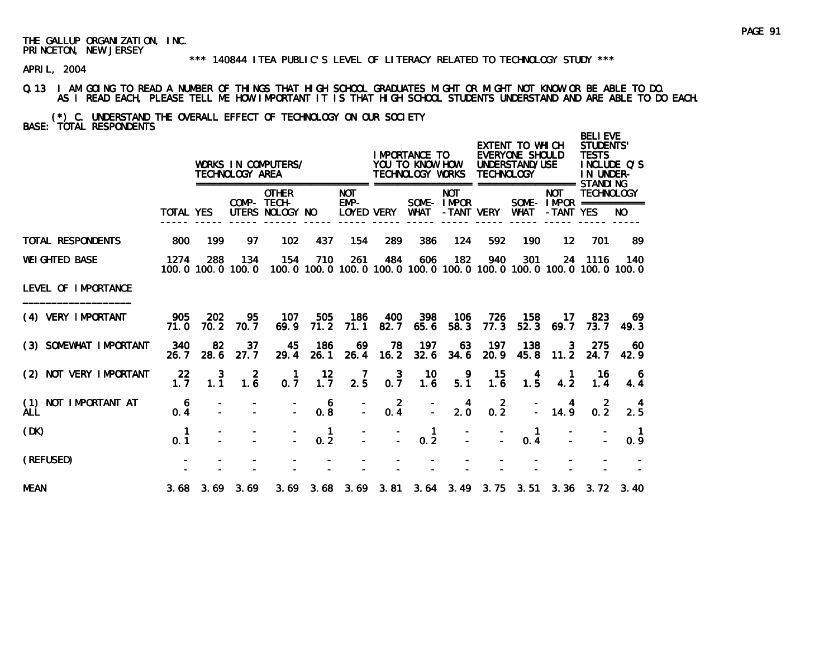#### \*\*\* 140844 ITEA PUBLIC'S LEVEL OF LITERACY RELATED TO TECHNOLOGY STUDY \*\*\*

APRIL, 2004

### Q.13 I AM GOING TO READ A NUMBER OF THINGS THAT HIGH SCHOOL GRADUATES MIGHT OR MIGHT NOT KNOW OR BE ABLE TO DO. AS I READ EACH, PLEASE TELL ME HOW IMPORTANT IT IS THAT HIGH SCHOOL STUDENTS UNDERSTAND AND ARE ABLE TO DO EACH.

(\*) C. UNDERSTAND THE OVERALL EFFECT OF TECHNOLOGY ON OUR SOCIETY BASE: TOTAL RESPONDENTS

|                                       |                  |                    | TECHNOLOGY AREA          | WORKS IN COMPUTERS/                            |                     |                                  |                  | I MPORTANCE TO<br>YOU TO KNOW HOW<br>TECHNOLOGY WORKS |                                        | <b>TECHNOLOGY</b> | EXTENT TO WHICH<br>EVERYONE SHOULD<br>UNDERSTAND/USE<br>=================== STANDI NG |                                                                                     | <b>BELIEVE</b><br>STUDENTS'<br><b>TESTS</b><br>IN UNDER- | INCLUDE Q'S |
|---------------------------------------|------------------|--------------------|--------------------------|------------------------------------------------|---------------------|----------------------------------|------------------|-------------------------------------------------------|----------------------------------------|-------------------|---------------------------------------------------------------------------------------|-------------------------------------------------------------------------------------|----------------------------------------------------------|-------------|
|                                       | <b>TOTAL YES</b> |                    |                          | <b>OTHER</b><br>COMP- TECH-<br>UTERS NOLOGY NO |                     | <b>NOT</b><br>EMP-<br>LOYED VERY |                  | <b>WHAT</b>                                           | <b>NOT</b><br>SOME-IMPOR<br>-TANT VERY |                   | WHAT                                                                                  | <b>NOT</b><br>SOME - IMPOR $=$ $=$ $=$ $=$ $=$ $=$ $=$ $=$ $=$ $=$ $=$<br>-TANT YES | <b>TECHNOLOGY</b>                                        | NO.         |
| <b>TOTAL RESPONDENTS</b>              | 800              | 199                | 97                       | 102                                            | 437                 | 154                              | 289              | 386                                                   | 124                                    | 592               | 190                                                                                   | $12 \,$                                                                             | 701                                                      | 89          |
| <b>WEI GHTED BASE</b>                 | 1274             | 288                | 134<br>100.0 100.0 100.0 | 154                                            | 710                 | 261                              | 484              | 606                                                   | 182                                    | 940               | 301<br>100, 0 100, 0 100, 0 100, 0 100, 0 100, 0 100, 0 100, 0 100, 0 100, 0 100, 0   | 24                                                                                  | 1116                                                     | 140         |
| LEVEL OF IMPORTANCE                   |                  |                    |                          |                                                |                     |                                  |                  |                                                       |                                        |                   |                                                                                       |                                                                                     |                                                          |             |
| (4) VERY IMPORTANT                    | 905<br>71.0      | <b>202</b><br>70.2 | 95<br>70.7               | 107<br>69.9                                    | 505<br>71.2         | 186<br>71.1                      | 400<br>82.7      | 398<br>65.6                                           | 106<br>58.3                            | 726<br>77.3       | 158<br>52.3                                                                           | 17<br>69.7                                                                          | 823<br>73.7                                              | 69.<br>49.3 |
| (3) SOMEWHAT IMPORTANT                | 340<br>26.7      | 82<br>28.6         | 37<br>27.7               | 45<br>29.4                                     | 186<br>26.1         | 69<br>26.4                       | 78<br>16.2       | 197<br>32.6                                           | 63<br>34.6                             | 197<br>20.9       | 138<br>45.8                                                                           | 3<br>11.2                                                                           | 275<br>24.7                                              | 60<br>42.9  |
| (2) NOT VERY IMPORTANT                | 22<br>1.7        | 3<br>1.1           | 2<br>1.6                 | 0.7                                            | 12<br>1.7           | 7<br>$2.\overline{5}$            | 3<br>$0.\bar{7}$ | 10<br>1.6                                             | 9<br>5.1                               | 15<br>1.6         | 1.5                                                                                   | 4.2                                                                                 | 16.<br>1.4                                               | 4.4         |
| NOT IMPORTANT AT<br>(1)<br><b>ALL</b> | 6<br>0.4         |                    |                          |                                                | 6<br>0.8            |                                  | $0.\frac{2}{4}$  |                                                       | $2.\overline{0}$                       | $0.\overline{2}$  |                                                                                       | 14.9                                                                                | 0.2                                                      | 2.5         |
| (DK)                                  | 1<br>0.1         |                    |                          |                                                | $\mathbf{1}$<br>0.2 |                                  |                  | 1<br>0.2                                              |                                        |                   | 0.4                                                                                   |                                                                                     |                                                          | 0.9         |
| (REFUSED)                             |                  |                    |                          |                                                |                     |                                  |                  |                                                       |                                        |                   |                                                                                       |                                                                                     |                                                          |             |
| <b>MEAN</b>                           | 3.68             |                    | $3.69$ $3.69$            |                                                | $3.69$ $3.68$       |                                  |                  |                                                       |                                        |                   | 3.69 3.81 3.64 3.49 3.75 3.51 3.36 3.72 3.40                                          |                                                                                     |                                                          |             |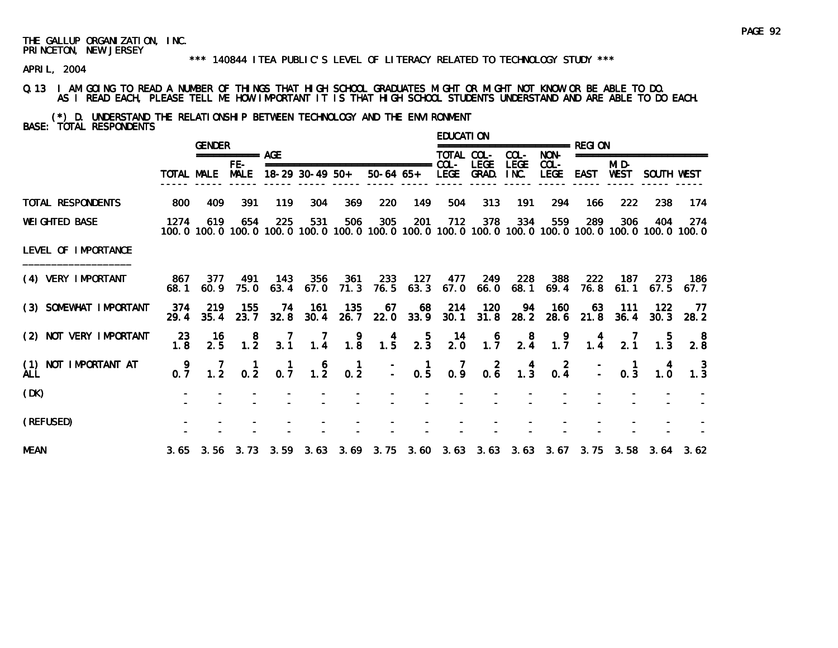#### \*\*\* 140844 ITEA PUBLIC'S LEVEL OF LITERACY RELATED TO TECHNOLOGY STUDY \*\*\*

APRIL, 2004

Q.13 I AM GOING TO READ A NUMBER OF THINGS THAT HIGH SCHOOL GRADUATES MIGHT OR MIGHT NOT KNOW OR BE ABLE TO DO. AS I READ EACH, PLEASE TELL ME HOW IMPORTANT IT IS THAT HIGH SCHOOL STUDENTS UNDERSTAND AND ARE ABLE TO DO EACH.

(\*) D. UNDERSTAND THE RELATIONSHIP BETWEEN TECHNOLOGY AND THE ENVIRONMENT BASE: TOTAL RESPONDENTS

|                             |             | <b>GENDER</b>   |                                              |                 |                        |                                         |                                                                    |                 | EDUCATI ON       |                                          |             | =============== RFGI ON                                  |                  |                                               |                                                                |                                                                                                                        |
|-----------------------------|-------------|-----------------|----------------------------------------------|-----------------|------------------------|-----------------------------------------|--------------------------------------------------------------------|-----------------|------------------|------------------------------------------|-------------|----------------------------------------------------------|------------------|-----------------------------------------------|----------------------------------------------------------------|------------------------------------------------------------------------------------------------------------------------|
|                             |             |                 | =========== AGE                              |                 |                        |                                         |                                                                    |                 | TOTAL COL-       |                                          | COL-        | NON-                                                     |                  |                                               | ====================                                           |                                                                                                                        |
|                             |             | TOTAL MALE      | FE-<br><b>MALE</b>                           |                 | $18-29$ 30-49 50+      |                                         | ===============================                                    |                 | $COL -$          | <b>LEGE</b><br>50-64 65+ LEGE GRAD. INC. | <b>LEGE</b> | $COL-$<br><b>LEGE</b>                                    | <b>EAST</b>      | MI D-<br>WEST                                 | SOUTH WEST                                                     |                                                                                                                        |
| TOTAL RESPONDENTS           | 800         | 409             | 391                                          | 119             | 304                    | 369                                     | 220                                                                | 149             | 504              | 313                                      | 191         | 294                                                      | 166              | 222                                           | 238                                                            | 174                                                                                                                    |
| <b>WEI GHTED BASE</b>       | 1274        | 619             | 654                                          | 225             | 531                    | 506                                     | 305                                                                | 201             | 712              | 378                                      | 334         | 559                                                      | 289              | 306                                           | 404                                                            | 274<br>100, 0 100, 0 100, 0 100, 0 100, 0 100, 0 100, 0 100, 0 100, 0 100, 0 100, 0 100, 0 100, 0 100, 0 100, 0 100, 0 |
| LEVEL OF IMPORTANCE         |             |                 |                                              |                 |                        |                                         |                                                                    |                 |                  |                                          |             |                                                          |                  |                                               |                                                                |                                                                                                                        |
| (4) VERY IMPORTANT          | 68. 1       | 867 377<br>60.9 | - 491<br>75.0                                | 143<br>63.4     | 356<br>67.0            | 361<br>71.3                             | 233                                                                |                 |                  | 127 477 249<br>76.5 63.3 67.0 66.0 68.1  |             | 228 388                                                  | 222<br>69.4 76.8 | - 187<br>61.1                                 | 273                                                            | - 186<br>$67.5$ $67.7$                                                                                                 |
| (3) SOMEWHAT IMPORTANT      | 374<br>29.4 | 219<br>35.4     | 155<br>23.7                                  | -74             | - 161<br>$32.8$ $30.4$ | - 135<br>26.7                           | 67                                                                 | 22.0 33.9       |                  | 68 214 120                               | 94          | - 160<br>30.1 31.8 28.2 28.6 21.8 36.4                   | -63              | - 111                                         | 122<br>30.3                                                    | -77<br>28.2                                                                                                            |
| (2) NOT VERY IMPORTANT      | 23<br>1.8   | - 16<br>2.5     | $\begin{smallmatrix}8\\1.2\end{smallmatrix}$ | $\frac{7}{3.1}$ | $\frac{7}{1.4}$        | $\begin{array}{c} 9 \\ 1.8 \end{array}$ | $\begin{array}{c} 4 \\ 1.5 \end{array}$                            | $\frac{5}{2.3}$ | $\frac{14}{2.0}$ | $\frac{6}{1.7}$                          |             | $\begin{array}{ccc}\n & 8 & 9 \\ 2.4 & 1.7\n\end{array}$ |                  |                                               | $\begin{array}{cccc} 4 & 7 & 5 \\ 1.4 & 2.1 & 1.3 \end{array}$ | $\begin{smallmatrix}8\\2.8\end{smallmatrix}$                                                                           |
| (1) NOT IMPORTANT AT<br>ALL | 0.7         |                 |                                              |                 |                        |                                         | 7 1 1 6 1 - 1 7 2 4 2<br>1.2 0.2 0.7 1.2 0.2 - 0.5 0.9 0.6 1.3 0.4 |                 |                  |                                          |             |                                                          |                  | $\begin{bmatrix} 1 \\ - \\ 0.3 \end{bmatrix}$ | $\begin{smallmatrix} 4 \\ 1.0 \end{smallmatrix}$               | $\frac{3}{1.3}$                                                                                                        |
| (DK)                        |             |                 |                                              |                 |                        |                                         |                                                                    |                 |                  |                                          |             |                                                          |                  |                                               |                                                                |                                                                                                                        |
| (REFUSED)                   |             |                 |                                              |                 |                        |                                         |                                                                    |                 |                  |                                          |             |                                                          |                  |                                               |                                                                |                                                                                                                        |
| <b>MEAN</b>                 |             |                 |                                              |                 |                        |                                         |                                                                    |                 |                  |                                          |             |                                                          |                  |                                               |                                                                | 3.65 3.56 3.73 3.59 3.63 3.69 3.75 3.60 3.63 3.63 3.63 3.67 3.75 3.58 3.64 3.62                                        |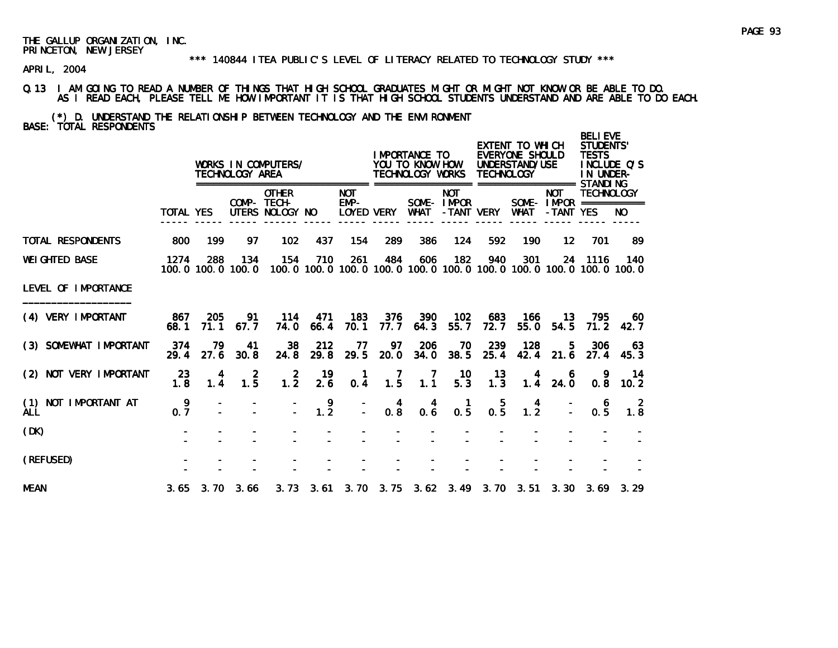#### \*\*\* 140844 ITEA PUBLIC'S LEVEL OF LITERACY RELATED TO TECHNOLOGY STUDY \*\*\*

APRIL, 2004

### Q.13 I AM GOING TO READ A NUMBER OF THINGS THAT HIGH SCHOOL GRADUATES MIGHT OR MIGHT NOT KNOW OR BE ABLE TO DO. AS I READ EACH, PLEASE TELL ME HOW IMPORTANT IT IS THAT HIGH SCHOOL STUDENTS UNDERSTAND AND ARE ABLE TO DO EACH.

# (\*) D. UNDERSTAND THE RELATIONSHIP BETWEEN TECHNOLOGY AND THE ENVIRONMENT BASE: TOTAL RESPONDENTS

|                                    |                  |             | TECHNOLOGY AREA          | WORKS IN COMPUTERS/                            |                       |                                         |                                    | I MPORTANCE TO<br>YOU TO KNOW HOW<br>TECHNOLOGY WORKS |                                        | <b>TECHNOLOGY</b> | EXTENT TO WHICH<br>EVERYONE SHOULD<br>UNDERSTAND/USE                                |                                                                                     | <b>BELIEVE</b><br>STUDENTS'<br><b>TESTS</b><br>INCLUDE O'S<br>IN UNDER- |             |
|------------------------------------|------------------|-------------|--------------------------|------------------------------------------------|-----------------------|-----------------------------------------|------------------------------------|-------------------------------------------------------|----------------------------------------|-------------------|-------------------------------------------------------------------------------------|-------------------------------------------------------------------------------------|-------------------------------------------------------------------------|-------------|
|                                    | <b>TOTAL YES</b> |             |                          | <b>OTHER</b><br>COMP- TECH-<br>UTERS NOLOGY NO |                       | <b>NOT</b><br>EMP-<br><b>LOYED VERY</b> |                                    | <b>WHAT</b>                                           | <b>NOT</b><br>SOME-IMPOR<br>-TANT VERY |                   | <b>WHAT</b>                                                                         | <b>NOT</b><br>SOME - IMPOR $=$ $=$ $=$ $=$ $=$ $=$ $=$ $=$ $=$ $=$ $=$<br>-TANT YES | <b>TECHNOLOGY</b>                                                       | NO.         |
| TOTAL RESPONDENTS                  | 800              | 199         | 97                       | 102                                            | 437                   | 154                                     | 289                                | 386                                                   | 124                                    | 592               | 190                                                                                 | $12 \overline{ }$                                                                   | 701                                                                     | 89          |
| <b>WEI GHTED BASE</b>              | 1274             | 288         | 134<br>100.0 100.0 100.0 | 154                                            | 710                   | 261                                     | 484                                | 606                                                   | 182                                    | 940               | 301<br>100, 0 100, 0 100, 0 100, 0 100, 0 100, 0 100, 0 100, 0 100, 0 100, 0 100, 0 | 24                                                                                  | 1116                                                                    | 140         |
| LEVEL OF IMPORTANCE                |                  |             |                          |                                                |                       |                                         |                                    |                                                       |                                        |                   |                                                                                     |                                                                                     |                                                                         |             |
| (4) VERY IMPORTANT                 | 867<br>68.1      | 205<br>71.1 | 91<br>67.7               | 114<br>74.0                                    | 471<br>66.4           | 183<br>70.1                             | 376<br>77.7                        | 390<br>64.3                                           | 102<br>55.7                            | 683<br>72.7       | 166<br>55.0                                                                         | 13.<br>54.5                                                                         | 795<br>71.2                                                             | 60.<br>42.7 |
| (3) SOMEWHAT IMPORTANT             | 374<br>29.4      | 79<br>27.6  | 41<br>30.8               | 38<br>24.8                                     | 212<br>29.8           | 77<br>29.5                              | 97<br>20.0                         | 206<br>34.0                                           | 70<br>38.5                             | 239<br>25.4       | 128<br>42.4                                                                         | 5.<br>21.6                                                                          | 306<br>27.4                                                             | 63<br>45.3  |
| (2) NOT VERY IMPORTANT             | 23<br>1.8        | 4<br>1.4    | 2<br>$1.\overline{5}$    | 2<br>$1.\overline{2}$                          | 19<br>2.6             | $\mathbf 1$<br>0.4                      | 7<br>$1.\overline{5}$              | $\overline{7}$<br>$1.\overline{1}$                    | 10<br>$5.\overline{3}$                 | 13<br>1.3         | 4<br>1.4                                                                            | 6<br>24.0                                                                           | 0.8                                                                     | 14<br>10.2  |
| (1) NOT IMPORTANT AT<br><b>ALL</b> | 9<br>0.7         |             |                          |                                                | 9<br>$1.\overline{2}$ | $\overline{\mathbb{Z}}$                 | $\overline{4}$<br>$0.\overline{8}$ | 4<br>0.6                                              | $\mathbf{1}$<br>0.5                    | 5<br>0.5          | 4<br>$1.\overline{2}$                                                               |                                                                                     | 6<br>0.5                                                                | 2<br>1.8    |
| (DK)                               |                  |             |                          |                                                |                       |                                         |                                    |                                                       |                                        |                   |                                                                                     |                                                                                     |                                                                         |             |
| (REFUSED)                          |                  |             |                          |                                                |                       |                                         |                                    |                                                       |                                        |                   |                                                                                     |                                                                                     |                                                                         |             |
| <b>MEAN</b>                        |                  |             | $3.65$ $3.70$ $3.66$     |                                                |                       |                                         |                                    |                                                       |                                        |                   |                                                                                     |                                                                                     |                                                                         |             |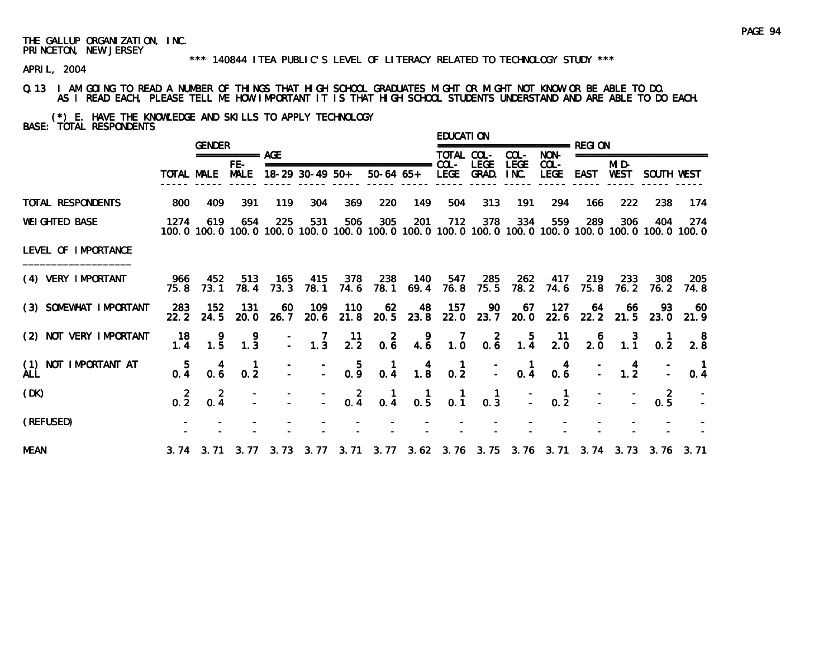#### \*\*\* 140844 ITEA PUBLIC'S LEVEL OF LITERACY RELATED TO TECHNOLOGY STUDY \*\*\*

APRIL, 2004

### Q.13 I AM GOING TO READ A NUMBER OF THINGS THAT HIGH SCHOOL GRADUATES MIGHT OR MIGHT NOT KNOW OR BE ABLE TO DO. AS I READ EACH, PLEASE TELL ME HOW IMPORTANT IT IS THAT HIGH SCHOOL STUDENTS UNDERSTAND AND ARE ABLE TO DO EACH.

(\*) E. HAVE THE KNOWLEDGE AND SKILLS TO APPLY TECHNOLOGY BASE: TOTAL RESPONDENTS

|                             |                 | <b>GENDER</b>    |                  |               |                                                   |                  |                                                                                                                |                                                    | <b>EDUCATION</b>                                 |                                          |                                                           | ================== RFGI ON                           |                                                 |                                                  |                     |                                                                                                               |
|-----------------------------|-----------------|------------------|------------------|---------------|---------------------------------------------------|------------------|----------------------------------------------------------------------------------------------------------------|----------------------------------------------------|--------------------------------------------------|------------------------------------------|-----------------------------------------------------------|------------------------------------------------------|-------------------------------------------------|--------------------------------------------------|---------------------|---------------------------------------------------------------------------------------------------------------|
|                             |                 |                  | =========== AGE  |               |                                                   |                  |                                                                                                                |                                                    | TOTAL COL-                                       |                                          | COL-                                                      | NON-                                                 |                                                 |                                                  | =================== |                                                                                                               |
|                             |                 |                  | $FE-$            |               | TOTAL MALE MALE 18-29 30-49 50+                   |                  | ===============================                                                                                |                                                    | $COL -$                                          | <b>LEGE</b><br>50-64 65+ LEGE GRAD. INC. | <b>LEGE</b>                                               | $COL -$                                              | LEGE EAST WEST                                  | MI D-                                            | SOUTH WEST          |                                                                                                               |
| TOTAL RESPONDENTS           | 800             | 409              | 391              | 119           | 304                                               | 369              | 220                                                                                                            | 149                                                | 504                                              | 313                                      | 191                                                       | 294                                                  | 166                                             | 222                                              | 238                 | 174                                                                                                           |
| <b>WEIGHTED BASE</b>        | 1274            | 619              | 654              | 225           | 531                                               | 506              | 305                                                                                                            | 201                                                | 712                                              | 378                                      | 334                                                       | 559                                                  | 289                                             | 306                                              | 404                 | -274<br>100.0 100.0 100.0 100.0 100.0 100.0 100.0 100.0 100.0 100.0 100.0 100.0 100.0 100.0 100.0 100.0 100.0 |
| LEVEL OF IMPORTANCE         |                 |                  |                  |               |                                                   |                  |                                                                                                                |                                                    |                                                  |                                          |                                                           |                                                      |                                                 |                                                  |                     |                                                                                                               |
| (4) VERY IMPORTANT          | 75.8            | 966 452<br>73.1  | 513<br>78.4      | - 165<br>73.3 | 415<br>78.1                                       | 378<br>74.6      | 238                                                                                                            | 140<br>78.1 69.4                                   | 76.8                                             | 547 285<br>75.5                          |                                                           | 262 417 219 233<br>78.2 74.6                         | 75.8                                            |                                                  | 308<br>76.2 76.2    | 205<br>74.8                                                                                                   |
| (3) SOMEWHAT IMPORTANT      | 283<br>22.2     | 152<br>24.5      | -131<br>20.0     | 60<br>26.7    | 109                                               | 110              | 62<br>20.6 21.8 20.5 23.8                                                                                      | 48                                                 |                                                  |                                          |                                                           | 157 90 67 127 64 66<br>22.0 23.7 20.0 22.6 22.2 21.5 |                                                 |                                                  | 93<br>23.0          | - 60<br>21.9                                                                                                  |
| (2) NOT VERY IMPORTANT      | 18<br>1.4       | 1.5              | -9<br>1.3        |               | $\begin{array}{ccc} - & 7 \\ - & 1.3 \end{array}$ | $\frac{11}{2.2}$ | $0.\overline{6}$                                                                                               | 9, 4, 6                                            | $\begin{array}{c} 7 \\ 1.0 \end{array}$          |                                          | $\begin{array}{cccc}\n & 2 & 5 \\ 0.6 & 1.4\n\end{array}$ | $\frac{11}{2.0}$                                     | $\begin{smallmatrix}&&6\\&2.0\end{smallmatrix}$ | $\begin{array}{c} 3 \\ 1.1 \end{array}$          | 0.2                 | $\begin{array}{c} 8 \\ 2.8 \end{array}$                                                                       |
| (1) NOT IMPORTANT AT<br>ALL | $0.\frac{5}{4}$ | 0.6              | $0.\overline{2}$ |               | $\frac{1}{2}$ $\frac{1}{2}$ $\frac{5}{0.9}$       |                  |                                                                                                                | $\begin{array}{cc} 1 & 4 \\ 0.4 & 1.8 \end{array}$ | $\begin{matrix} 1 \\ 0.2 \end{matrix}$           |                                          | $\begin{bmatrix} 1 \\ - \\ 0.4 \end{bmatrix}$             | $\begin{smallmatrix} 4 \\ 0.6 \end{smallmatrix}$     |                                                 | $\begin{array}{cc} - & 4 \\ - & 1.2 \end{array}$ |                     | 0.4                                                                                                           |
| (DK)                        | $0.\frac{2}{2}$ | $0.\overline{4}$ |                  |               |                                                   |                  | $-2$ 1 1<br>$-0.4$ 0.4 0.5                                                                                     |                                                    | $\begin{smallmatrix} 1 \\ 0.1 \end{smallmatrix}$ | $\frac{1}{0.3}$                          |                                                           | $\begin{smallmatrix} 1 \\ 0.2 \end{smallmatrix}$     |                                                 |                                                  | $0.\frac{2}{5}$     |                                                                                                               |
| (REFUSED)                   |                 |                  |                  |               |                                                   |                  |                                                                                                                |                                                    |                                                  |                                          |                                                           |                                                      |                                                 |                                                  |                     |                                                                                                               |
| <b>MEAN</b>                 |                 |                  |                  |               |                                                   |                  | 3. 74  3. 71  3. 77  3. 73  3. 77  3. 71  3. 77  3. 62  3. 76  3. 75  3. 76  3. 71  3. 74  3. 73  3. 76  3. 71 |                                                    |                                                  |                                          |                                                           |                                                      |                                                 |                                                  |                     |                                                                                                               |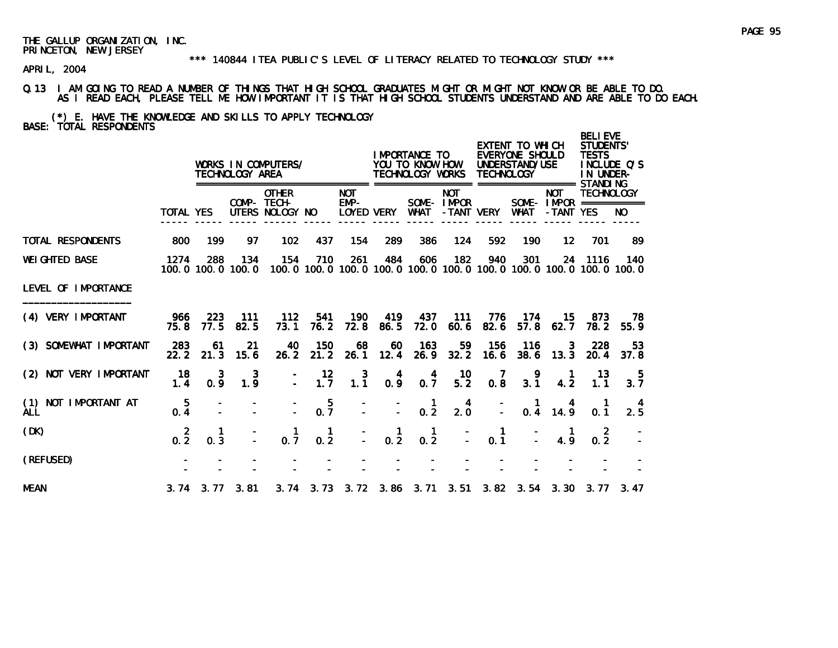#### \*\*\* 140844 ITEA PUBLIC'S LEVEL OF LITERACY RELATED TO TECHNOLOGY STUDY \*\*\*

APRIL, 2004

#### Q.13 I AM GOING TO READ A NUMBER OF THINGS THAT HIGH SCHOOL GRADUATES MIGHT OR MIGHT NOT KNOW OR BE ABLE TO DO. AS I READ EACH, PLEASE TELL ME HOW IMPORTANT IT IS THAT HIGH SCHOOL STUDENTS UNDERSTAND AND ARE ABLE TO DO EACH.

(\*) E. HAVE THE KNOWLEDGE AND SKILLS TO APPLY TECHNOLOGY BASE: TOTAL RESPONDENTS

|                                       |                       |                      | TECHNOLOGY AREA          | WORKS IN COMPUTERS/                            |             |                                    |                 | I MPORTANCE TO<br>YOU TO KNOW HOW<br>TECHNOLOGY WORKS |                                        | <b>TECHNOLOGY</b> | EXTENT TO WHICH<br>EVERYONE SHOULD<br>UNDERSTAND/USE<br>================= |                                                       | <b>BELIEVE</b><br>STUDENTS'<br><b>TESTS</b><br>IN UNDER-<br>STANDI NG | INCLUDE Q'S |
|---------------------------------------|-----------------------|----------------------|--------------------------|------------------------------------------------|-------------|------------------------------------|-----------------|-------------------------------------------------------|----------------------------------------|-------------------|---------------------------------------------------------------------------|-------------------------------------------------------|-----------------------------------------------------------------------|-------------|
|                                       | <b>TOTAL YES</b>      |                      |                          | <b>OTHER</b><br>COMP- TECH-<br>UTERS NOLOGY NO |             | <b>NOT</b><br>$EMP-$<br>LOYED VERY |                 | <b>WHAT</b>                                           | <b>NOT</b><br>SOME-IMPOR<br>-TANT VERY |                   | WHAT                                                                      | <b>NOT</b><br>SOME - $IMPOR$ ===========<br>-TANT YES | <b>TECHNOLOGY</b>                                                     | NO.         |
| TOTAL RESPONDENTS                     | 800                   | 199                  | 97                       | 102                                            | 437         | 154                                | 289             | 386                                                   | 124                                    | 592               | 190                                                                       | 12                                                    | 701                                                                   | 89          |
| <b>WEI GHTED BASE</b>                 | 1274                  | 288                  | 134<br>100.0 100.0 100.0 | 154                                            | 710         | 261                                | 484             | 606                                                   | 182                                    | 940               | 301<br>100.0 100.0 100.0 100.0 100.0 100.0 100.0 100.0 100.0 100.0 100.0  | 24                                                    | 1116                                                                  | 140         |
| LEVEL OF IMPORTANCE                   |                       |                      |                          |                                                |             |                                    |                 |                                                       |                                        |                   |                                                                           |                                                       |                                                                       |             |
| (4) VERY IMPORTANT                    | 966<br>75.8           | 223<br>77.5          | 111<br>82.5              | 112<br>73.1                                    | 541<br>76.2 | 190<br>72.8                        | 419<br>86.5     | 437<br>72.0                                           | -111<br>60.6                           | 776<br>82.6       | 174<br>57.8                                                               | 15.<br>62.7                                           | 873<br>78.2                                                           | 78<br>55.9  |
| (3) SOMEWHAT IMPORTANT                | 283<br>22.2           | 61<br>21.3           | 21<br>15.6               | 40<br>26.2                                     | 150<br>21.2 | 68<br>26.1                         | 60<br>12.4      | 163<br>26.9                                           | 59<br>32.2                             | 156<br>16.6       | 116<br>38.6                                                               | 3<br>13.3                                             | 228<br>20.4                                                           | 53<br>37.8  |
| (2) NOT VERY IMPORTANT                | 18<br>1.4             | 3<br>0.9             | 3<br>1.9                 |                                                | 12<br>1.7   | $1.\overline{1}$                   | $0.9^{4}$       | $0.\overline{7}$                                      | 10<br>$5.\overline{2}$                 | 0.8               | 9<br>3.1                                                                  | 4.2                                                   | 13<br>1.1                                                             | -5<br>3.7   |
| NOT IMPORTANT AT<br>(1)<br><b>ALL</b> | $\overline{5}$<br>0.4 |                      |                          |                                                | 5<br>0.7    |                                    |                 | $\frac{1}{0.2}$                                       | 4<br>2.0                               |                   | $\mathbf{1}$                                                              | $0.4$ 14.9                                            | 0.1                                                                   | 2.5         |
| (DK)                                  | $0.\frac{2}{2}$       | 0.3                  |                          | 0.7                                            | -1<br>0.2   | $\bar{\mathbb{Z}}$                 | $\frac{1}{0.2}$ | -1<br>0.2                                             |                                        | 0.1               |                                                                           | 4.9                                                   | 0.2                                                                   |             |
| (REFUSED)                             |                       |                      |                          |                                                |             |                                    |                 |                                                       |                                        |                   |                                                                           |                                                       |                                                                       |             |
| <b>MEAN</b>                           |                       | $3.74$ $3.77$ $3.81$ |                          |                                                |             |                                    |                 |                                                       |                                        |                   | 3. 74 3. 73 3. 72 3. 86 3. 71 3. 51 3. 82 3. 54 3. 30 3. 77               |                                                       |                                                                       | 3.47        |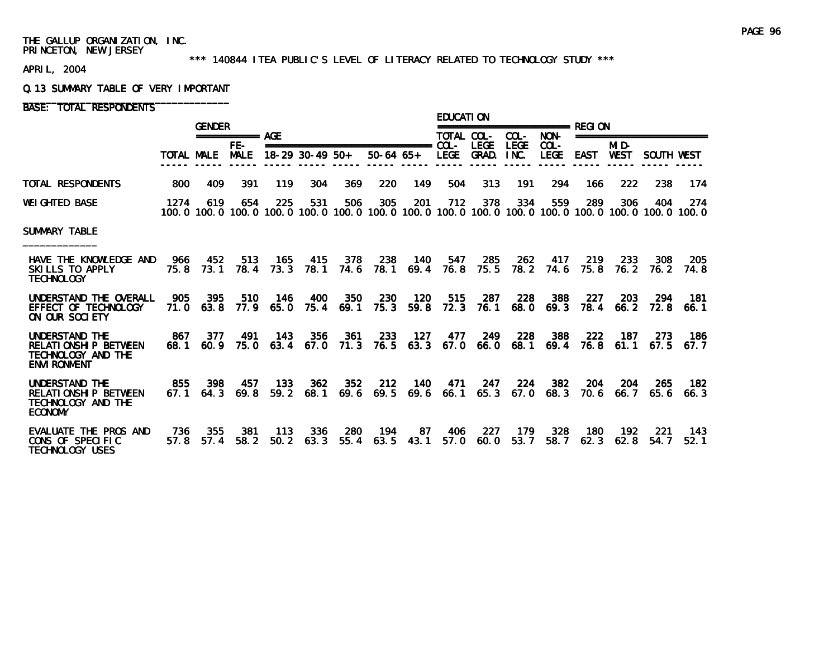#### \*\*\* 140844 ITEA PUBLIC'S LEVEL OF LITERACY RELATED TO TECHNOLOGY STUDY \*\*\*

APRIL, 2004

#### Q.13 SUMMARY TABLE OF VERY IMPORTANT

BASE: TOTAL RESPONDENTS

|                                                                                     |              | <b>GENDER</b>    |                      |             |                   |             |                                                  |             | EDUCATI ON             |                      |                     |                     |             |                      |                                                                                                                        |              |
|-------------------------------------------------------------------------------------|--------------|------------------|----------------------|-------------|-------------------|-------------|--------------------------------------------------|-------------|------------------------|----------------------|---------------------|---------------------|-------------|----------------------|------------------------------------------------------------------------------------------------------------------------|--------------|
|                                                                                     |              |                  | $== == == == ==$ AGE |             |                   |             |                                                  |             | TOTAL COL-             |                      | COL-                | NON-                |             |                      | ====================                                                                                                   |              |
|                                                                                     | TOTAL MALE   |                  | $FE-$<br><b>MALE</b> |             | $18-29$ 30-49 50+ |             | ===============================<br>$50-64$ $65+$ |             | $COL -$<br><b>LEGE</b> | <b>LEGE</b><br>GRAD. | <b>LEGE</b><br>INC. | COL-<br><b>LEGE</b> | <b>EAST</b> | MI D-<br><b>WEST</b> | SOUTH WEST                                                                                                             |              |
| TOTAL RESPONDENTS                                                                   | 800          | 409              | 391                  | 119         | 304               | 369         | 220                                              | 149         | 504                    | 313                  | 191                 | 294                 | 166         | 222                  | 238                                                                                                                    | 174          |
| <b>WEIGHTED BASE</b>                                                                | 1274         | 619              | 654                  | 225         | 531               | 506         | 305                                              | -201        | 712                    | 378                  | 334                 | 559                 | 289         | 306                  | 404<br>100, 0 100, 0 100, 0 100, 0 100, 0 100, 0 100, 0 100, 0 100, 0 100, 0 100, 0 100, 0 100, 0 100, 0 100, 0 100, 0 | 274          |
| <b>SUMMARY TABLE</b>                                                                |              |                  |                      |             |                   |             |                                                  |             |                        |                      |                     |                     |             |                      |                                                                                                                        |              |
| HAVE THE KNOWLEDGE AND<br>SKILLS TO APPLY<br><b>TECHNOLOGY</b>                      | 966          | 452<br>75.8 73.1 | 513<br>78.4          | 165<br>73.3 | 415<br>78.1       | 378<br>74.6 | 238<br>78.1                                      | 140<br>69.4 | 547<br>76.8            | 285<br>75.5          | <b>262</b><br>78.2  | 417<br>74.6         | 219<br>75.8 | 233<br>76.2          | 308<br>76. 2                                                                                                           | 205<br>74.8  |
| UNDERSTAND THE OVERALL<br>EFFECT OF TECHNOLOGY<br>ON OUR SOCIETY                    | 905<br>71. O | 395<br>63.8      | 510<br>77.9          | 146<br>65.0 | 400<br>75.4       | 350<br>69.1 | 230<br>75.3                                      | 120<br>59.8 | 515<br>72.3            | 287<br>76.1          | 228<br>68.0         | 388<br>69.3         | 227<br>78.4 | 203<br>66.2          | 294<br>72.8                                                                                                            | 181<br>66. 1 |
| UNDERSTAND THE<br>RELATIONSHIP BETWEEN<br>TECHNOLOGY AND THE<br><b>ENVI RONMENT</b> | 867<br>68.1  | 377<br>60.9      | 491<br>75.0          | 143<br>63.4 | 356<br>67.0       | 361<br>71.3 | 233<br>76.5                                      | 127<br>63.3 | 477<br>67.0            | 249<br>66.0          | 228<br>68.1         | 388<br>69.4         | 222<br>76.8 | 187<br>61.1          | 273<br>67.5                                                                                                            | 186<br>67.7  |
| UNDERSTAND THE<br>RELATIONSHIP BETWEEN<br>TECHNOLOGY AND THE<br><b>ECONOMY</b>      | 855<br>67.1  | 398<br>64.3      | 457<br>69.8          | 133<br>59.2 | 362<br>68.1       | 352<br>69.6 | 212<br>69.5                                      | 140<br>69.6 | 471<br>66.1            | 247<br>65.3          | 224<br>67.0         | 382<br>68.3         | 204<br>70.6 | 204<br>66.7          | 265<br>65.6                                                                                                            | 182.<br>66.3 |
| EVALUATE THE PROS AND<br>CONS OF SPECIFIC<br><b>TECHNOLOGY USES</b>                 | 736<br>57.8  | 355<br>57.4      | 381<br>58.2          | 113<br>50.2 | 336<br>63.3       | 280<br>55.4 | 194<br>63.5                                      | 87<br>43.1  | 406<br>57.0            | 227<br>60.0          | 179<br>53.7         | 328<br>58.7         | 180<br>62.3 | 192<br>62.8          | 221<br>54.7                                                                                                            | 143<br>52.1  |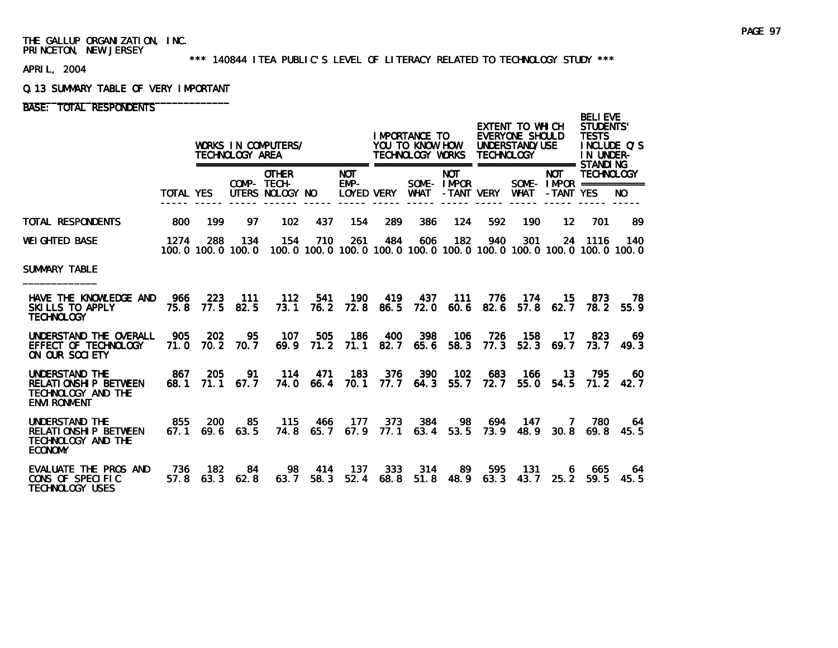#### \*\*\* 140844 ITEA PUBLIC'S LEVEL OF LITERACY RELATED TO TECHNOLOGY STUDY \*\*\*

APRIL, 2004

#### Q.13 SUMMARY TABLE OF VERY IMPORTANT

# BASE: TOTAL RESPONDENTS

|                                                                                            |               |             | TECHNOLOGY AREA     | WORKS IN COMPUTERS/                                                                                      |                  |                    |             | I MPORTANCE TO<br>YOU TO KNOW HOW<br>TECHNOLOGY WORKS |                                         | <b>TECHNOLOGY</b>       | EXTENT TO WHICH<br>EVERYONE SHOULD<br>UNDERSTAND/USE |                                                       | <b>BELIEVE</b><br><b>STUDENTS'</b><br><b>TESTS</b><br>INCLUDE O'S<br>IN UNDER- |                        |
|--------------------------------------------------------------------------------------------|---------------|-------------|---------------------|----------------------------------------------------------------------------------------------------------|------------------|--------------------|-------------|-------------------------------------------------------|-----------------------------------------|-------------------------|------------------------------------------------------|-------------------------------------------------------|--------------------------------------------------------------------------------|------------------------|
|                                                                                            | TOTAL YES     |             |                     | <b>OTHER</b><br>COMP- TECH-<br>UTERS NOLOGY NO                                                           |                  | <b>NOT</b><br>EMP- |             | LOYED VERY WHAT                                       | <b>NOT</b><br>SOME- IMPOR<br>-TANT VERY |                         | <b>WHAT</b>                                          | <b>NOT</b><br>SOME- $IMPROR$ ===========<br>-TANT YES | <b>TECHNOLOGY</b>                                                              | NO.                    |
| TOTAL RESPONDENTS                                                                          | 800           | 199         | 97                  | 102                                                                                                      | 437              | 154                | 289         | 386                                                   | 124                                     | 592                     | 190                                                  | 12                                                    | 701                                                                            | 89                     |
| WEIGHTED BASE                                                                              | 1274          | 288         | 134                 | 154<br>100, 0 100, 0 100, 0 100, 0 100, 0 100, 0 100, 0 100, 0 100, 0 100, 0 100, 0 100, 0 100, 0 100, 0 | 710              | 261                | 484         | 606                                                   | - 182                                   | 940                     | 301                                                  |                                                       | 24 1116                                                                        | 140                    |
| SUMMARY TABLE                                                                              |               |             |                     |                                                                                                          |                  |                    |             |                                                       |                                         |                         |                                                      |                                                       |                                                                                |                        |
| HAVE THE KNOWLEDGE AND<br>SKILLS TO APPLY<br><b>TECHNOLOGY</b>                             | - 966<br>75.8 | 223         | 111<br>77.5 82.5    | 112<br>73.1                                                                                              | 541<br>76.2      | 190<br>72.8        | 419<br>86.5 | - 437<br>72.0                                         | 111<br>60.6                             | 776<br>82.6             | -174<br>57.8                                         | 15.<br>62.7                                           | 873<br>78. 2                                                                   | -78<br>55.9            |
| UNDERSTAND THE OVERALL<br>EFFECT OF TECHNOLOGY<br>ON OUR SOCIETY                           | 905<br>71.0   | 202         | 95<br>70.2 70.7     | 107<br>69.9                                                                                              | 505<br>71.2      | 186<br>71.1        | 400         | 398<br>82.7 65.6                                      | 106<br>58.3                             | 726<br>77.3             | 158                                                  | 17<br>52.3 69.7 73.7 49.3                             | - 823                                                                          | -69                    |
| UNDERSTAND THE<br><b>RELATIONSHIP BETWEEN</b><br>TECHNOLOGY AND THE<br><b>ENVI RONMENT</b> | - 867<br>68.1 | 205         | 91<br>$71.1$ 67.7   | -114                                                                                                     | 471<br>74.0 66.4 | - 183<br>70.1      | 376         | 390<br>77.7 64.3                                      | - 102<br>55.7                           | 683<br>72.7             | -166<br>55.0                                         | 13<br>54.5                                            | - 795                                                                          | 60<br>71.2 42.7        |
| UNDERSTAND THE<br><b>RELATIONSHIP BETWEEN</b><br>TECHNOLOGY AND THE<br><b>ECONOMY</b>      | 855<br>67.1   | 200         | 85<br>$69.6$ $63.5$ | - 115<br>74.8                                                                                            | 466              | 177                | 373         | 384<br>65.7 67.9 77.1 63.4 53.5                       | 98                                      | 694<br>73.9             | - 147<br>48.9                                        | $\overline{7}$                                        | 780                                                                            | 64<br>$30.8$ 69.8 45.5 |
| EVALUATE THE PROS AND<br>CONS OF SPECIFIC<br><b>TECHNOLOGY USES</b>                        | - 736<br>57.8 | 182<br>63.3 | 84<br>62.8          | 98<br>63.7                                                                                               | 414<br>58.3      | 137<br>52.4        | 333<br>68.8 | 314                                                   | 89.                                     | 595<br>$51.8$ 48.9 63.3 | 131<br>43.7                                          | 6<br>25.2                                             | 665<br>59.5                                                                    | 64.<br>45.5            |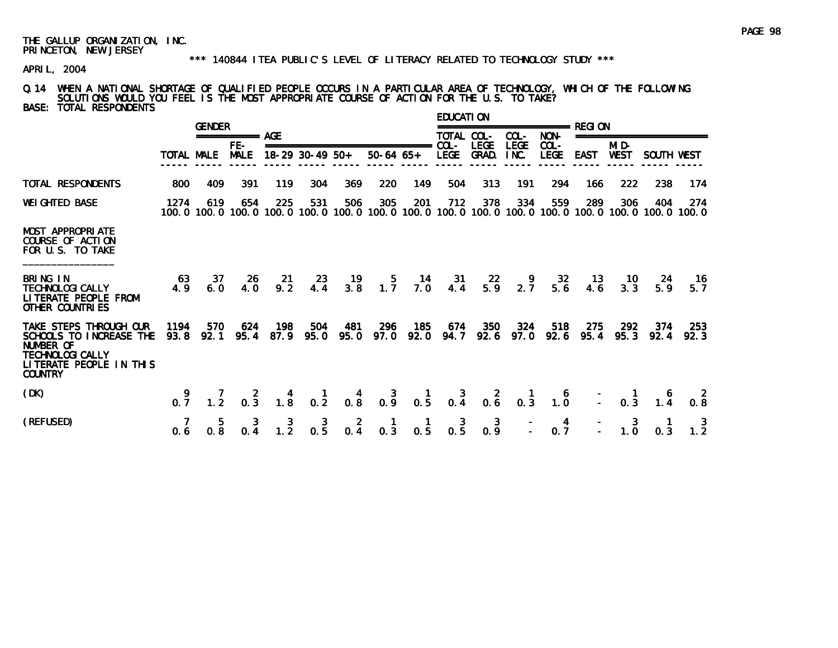#### \*\*\* 140844 ITEA PUBLIC'S LEVEL OF LITERACY RELATED TO TECHNOLOGY STUDY \*\*\*

APRIL, 2004

Q.14 WHEN A NATIONAL SHORTAGE OF QUALIFIED PEOPLE OCCURS IN A PARTICULAR AREA OF TECHNOLOGY, WHICH OF THE FOLLOWING SOLUTIONS WOULD YOU FEEL IS THE MOST APPROPRIATE COURSE OF ACTION FOR THE U.S. TO TAKE? BASE: TOTAL RESPONDENTS

|                                                                                                                                               |                   | <b>GENDER</b> |                                                       |                                                  |                   |                     |                                                                                                              |             | <b>EDUCATION</b>      |                      |                     |                        | ============= REGI ON |                                         |                         |                  |
|-----------------------------------------------------------------------------------------------------------------------------------------------|-------------------|---------------|-------------------------------------------------------|--------------------------------------------------|-------------------|---------------------|--------------------------------------------------------------------------------------------------------------|-------------|-----------------------|----------------------|---------------------|------------------------|-----------------------|-----------------------------------------|-------------------------|------------------|
|                                                                                                                                               |                   |               | =========== AGE                                       |                                                  |                   |                     |                                                                                                              |             | TOTAL COL-            |                      | COL-                | NON-                   |                       |                                         | ======================= |                  |
|                                                                                                                                               | <b>TOTAL MALE</b> |               | $FE-$<br><b>MALE</b>                                  |                                                  | $18-29$ 30-49 50+ |                     | _______________________________<br>$50-64$ $65+$                                                             |             | $COL-$<br><b>LEGE</b> | <b>LEGE</b><br>GRAD. | <b>LEGE</b><br>INC. | $COL -$<br><b>LEGE</b> | <b>EAST</b>           | MID-<br><b>WEST</b>                     | SOUTH WEST              |                  |
| TOTAL RESPONDENTS                                                                                                                             | 800               | 409           | 391                                                   | 119                                              | 304               | 369                 | 220                                                                                                          | 149         | 504                   | 313                  | 191                 | 294                    | 166                   | 222                                     | 238                     | 174              |
| <b>WEIGHTED BASE</b>                                                                                                                          | 1274              | 619           | 654                                                   | 225                                              | 531               | 506                 | 305<br>100.0 100.0 100.0 100.0 100.0 100.0 100.0 100.0 100.0 100.0 100.0 100.0 100.0 100.0 100.0 100.0 100.0 | 201         | 712                   | 378                  | 334                 | 559                    | 289                   | 306                                     | 404                     | 274              |
| <b>MOST APPROPRIATE</b><br>COURSE OF ACTION<br>FOR U.S. TO TAKE                                                                               |                   |               |                                                       |                                                  |                   |                     |                                                                                                              |             |                       |                      |                     |                        |                       |                                         |                         |                  |
| BRING IN<br><b>TECHNOLOGI CALLY</b><br>LITERATE PEOPLE FROM<br>OTHER COUNTRIES                                                                | 63<br>4.9         | -37<br>6.0    | -26<br>4.0                                            | -21<br>9.2                                       | 23<br>4.4         | 19<br>3.8           | 5.<br>1.7                                                                                                    | -14<br>7.0  | -31<br>4.4            | -22<br>5.9           | 9<br>2.7            | 32<br>5.6              | 13<br>4.6             | 10<br>3.3                               | -24<br>5.9              | 16<br>5.7        |
| TAKE STEPS THROUGH OUR<br>SCHOOLS TO INCREASE THE<br><b>NUMBER OF</b><br><b>TECHNOLOGI CALLY</b><br>LITERATE PEOPLE IN THIS<br><b>COUNTRY</b> | 1194<br>93.8      | 570<br>92.1   | 624                                                   | 198<br>95.4 87.9                                 | 504<br>95.0       | - 481<br>95.0       | 296<br>97.0                                                                                                  | 185<br>92.0 | 674<br>94.7           | 350<br>92.6          | 324<br>97.0         | 518<br>92.6            | 275<br>95.4           | 292<br>95.3                             | 374<br>92.4             | -253<br>92.3     |
| (DK)                                                                                                                                          | 0.7               |               | $\begin{array}{ccc} & 7 & 2 \\ 1.2 & 0.3 \end{array}$ | $\begin{smallmatrix} 4 \\ 1.8 \end{smallmatrix}$ |                   |                     | 1 4 3 1 3 2 1 6<br>0.2 0.8 0.9 0.5 0.4 0.6 0.3 1.0                                                           |             |                       |                      |                     |                        |                       | $\begin{bmatrix} 1 \\ -2 \end{bmatrix}$ | $\frac{6}{1.4}$         | $0.\overline{8}$ |
| (REFUSED)                                                                                                                                     | 0.6               | 0.8           | 0.4                                                   | $\frac{3}{1.2}$                                  | $0.\overline{5}$  | $\mathbf{z}$<br>0.4 | 0.3                                                                                                          | 0.5         | 3<br>0.5              | 0.9                  |                     | $0.\overline{7}$       |                       | 1.0                                     | 0.3                     | $\frac{3}{1.2}$  |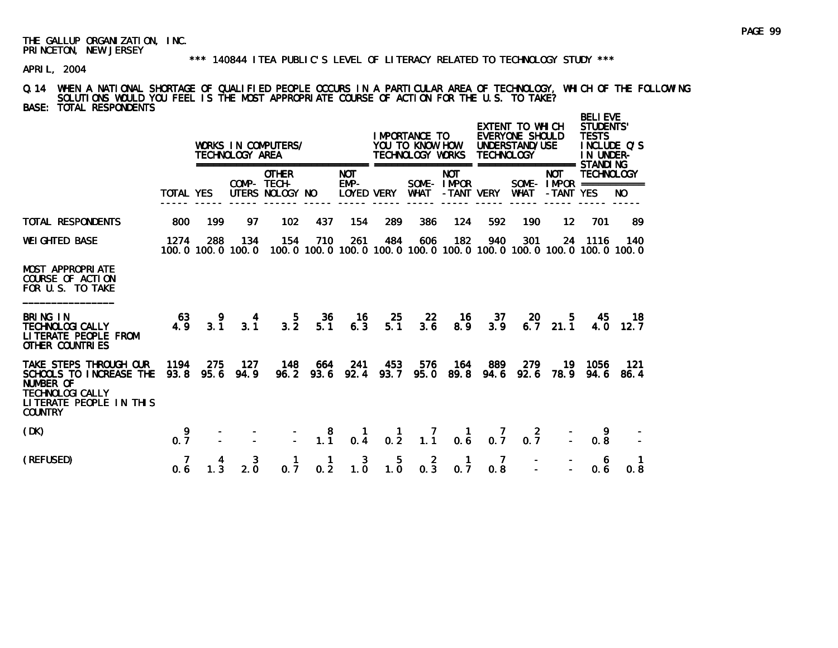#### \*\*\* 140844 ITEA PUBLIC'S LEVEL OF LITERACY RELATED TO TECHNOLOGY STUDY \*\*\*

APRIL, 2004

### Q.14 WHEN A NATIONAL SHORTAGE OF QUALIFIED PEOPLE OCCURS IN A PARTICULAR AREA OF TECHNOLOGY, WHICH OF THE FOLLOWING SOLUTIONS WOULD YOU FEEL IS THE MOST APPROPRIATE COURSE OF ACTION FOR THE U.S. TO TAKE? BASE: TOTAL RESPONDENTS

|                                                                                                                                        |                  |             | TECHNOLOGY AREA          | WORKS IN COMPUTERS/                            |                                              | =====                                     | ==========             | IMPORTANCE TO<br>YOU TO KNOW HOW<br>TECHNOLOGY WORKS |                                                  | <b>TECHNOLOGY</b> | EXTENT TO WHICH<br>EVERYONE SHOULD<br>UNDERSTAND/USE<br>==================== STANDI NG |                                                       | <b>BELIEVE</b><br><b>STUDENTS'</b><br><b>TESTS</b><br>IN UNDER- | INCLUDE O'S |
|----------------------------------------------------------------------------------------------------------------------------------------|------------------|-------------|--------------------------|------------------------------------------------|----------------------------------------------|-------------------------------------------|------------------------|------------------------------------------------------|--------------------------------------------------|-------------------|----------------------------------------------------------------------------------------|-------------------------------------------------------|-----------------------------------------------------------------|-------------|
|                                                                                                                                        | <b>TOTAL YES</b> |             |                          | <b>OTHER</b><br>COMP- TECH-<br>UTERS NOLOGY NO |                                              | <b>NOT</b><br>$EMP-$<br><b>LOYED VERY</b> |                        | <b>WHAT</b>                                          | <b>NOT</b><br>SOME-IMPOR<br>-TANT VERY           |                   | <b>WHAT</b>                                                                            | <b>NOT</b><br>SOME - $IMPOR$ ===========<br>-TANT YES | <b>TECHNOLOGY</b>                                               | NO.         |
| <b>TOTAL RESPONDENTS</b>                                                                                                               | 800              | 199         | 97                       | 102                                            | 437                                          | 154                                       | 289                    | 386                                                  | 124                                              | 592               | 190                                                                                    | $12 \,$                                               | 701                                                             | 89          |
| <b>WEI GHTED BASE</b>                                                                                                                  | 1274             | 288         | 134<br>100.0 100.0 100.0 | 154                                            | 710                                          | 261                                       | 484                    | 606                                                  | 182                                              | 940               | 301<br>100, 0 100, 0 100, 0 100, 0 100, 0 100, 0 100, 0 100, 0 100, 0 100, 0 100, 0    | 24                                                    | 1116                                                            | 140         |
| <b>MOST APPROPRIATE</b><br>COURSE OF ACTION<br>FOR U.S. TO TAKE                                                                        |                  |             |                          |                                                |                                              |                                           |                        |                                                      |                                                  |                   |                                                                                        |                                                       |                                                                 |             |
| BRING IN<br><b>TECHNOLOGI CALLY</b><br>LITERATE PEOPLE FROM<br><b>OTHER COUNTRIES</b>                                                  | 63<br>4.9        | 3.1         | 4<br>3.1                 | 5.<br>$3.\overline{2}$                         | 36<br>5.1                                    | - 16<br>6.3                               | 25<br>5.1              | -22<br>3.6                                           | -16<br>8.9                                       | 37<br>3.9         | 20<br>6.7                                                                              | 5.<br>21.1                                            | 45<br>4.0                                                       | 18<br>12.7  |
| TAKE STEPS THROUGH OUR<br>SCHOOLS TO INCREASE THE<br>NUMBER OF<br><b>TECHNOLOGI CALLY</b><br>LITERATE PEOPLE IN THIS<br><b>COUNTRY</b> | 1194<br>93.8     | 275<br>95.6 | - 127<br>94.9            | 148                                            | 664<br>96.2 93.6                             | 241<br>92.4                               | 453                    | 576<br>93.7 95.0                                     | 164                                              | 889<br>89.8 94.6  | 279<br>92.6                                                                            | 19<br>78.9                                            | 1056<br>94.6                                                    | 121<br>86.4 |
| (DK)                                                                                                                                   | 9<br>0, 7        |             |                          |                                                | $\begin{smallmatrix}8\\1.1\end{smallmatrix}$ | 0.4                                       | $\frac{1}{0.2}$        | $\frac{7}{1.1}$                                      | $\begin{smallmatrix} 1 \\ 0.6 \end{smallmatrix}$ | 0.7               | -2<br>0.7                                                                              |                                                       | 9<br>0.8                                                        |             |
| (REFUSED)                                                                                                                              | 0.6              |             | 3<br>2.0                 | 0.7                                            | 1<br>0.2                                     | 3<br>1.0                                  | 5.<br>$1.\overline{0}$ | $0.\overline{3}$                                     | 1<br>0.7                                         | 7<br>0.8          |                                                                                        |                                                       | 6<br>0.6                                                        | 0.8         |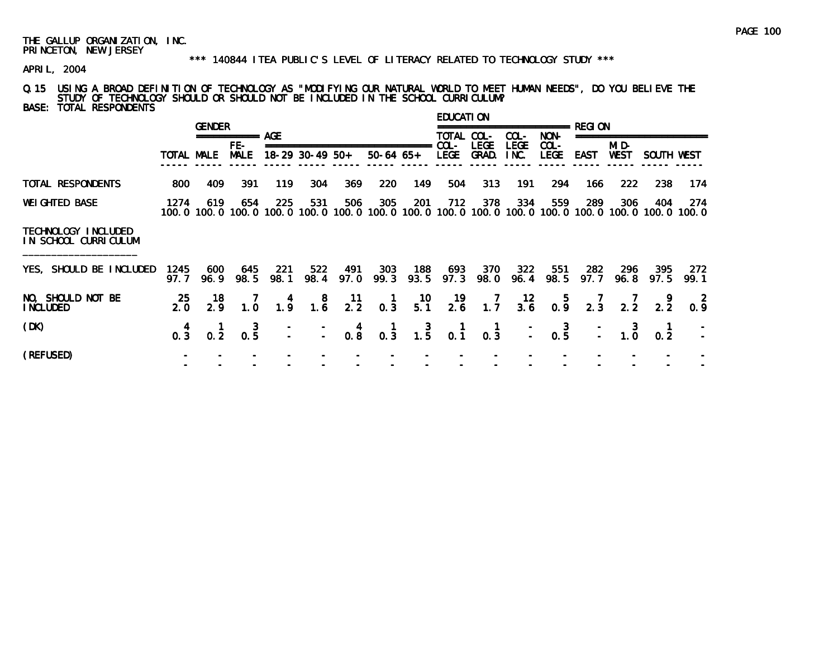### \*\*\* 140844 ITEA PUBLIC'S LEVEL OF LITERACY RELATED TO TECHNOLOGY STUDY \*\*\*

APRIL, 2004

# Q.15 USING A BROAD DEFINITION OF TECHNOLOGY AS "MODIFYING OUR NATURAL WORLD TO MEET HUMAN NEEDS", DO YOU BELIEVE THE STUDY OF TECHNOLOGY SHOULD OR SHOULD NOT BE INCLUDED IN THE SCHOOL CURRICULUM? BASE: TOTAL RESPONDENTS

|                                             |                                                  | <b>GENDER</b>   |                      |                                         |                                                           |                  |                                                  |                                         | <b>EDUCATION</b>                       |                                                  |                     |                                                  |                 |                      |                                                                                                        |                     |
|---------------------------------------------|--------------------------------------------------|-----------------|----------------------|-----------------------------------------|-----------------------------------------------------------|------------------|--------------------------------------------------|-----------------------------------------|----------------------------------------|--------------------------------------------------|---------------------|--------------------------------------------------|-----------------|----------------------|--------------------------------------------------------------------------------------------------------|---------------------|
|                                             |                                                  |                 | ===========          | AGE                                     |                                                           |                  |                                                  |                                         | TOTAL COL-                             |                                                  | $COL -$             | NON-                                             |                 |                      |                                                                                                        |                     |
|                                             | TOTAL MALE                                       |                 | $FE-$<br><b>MALE</b> |                                         | $18-29$ 30-49 50+                                         |                  | $50-64$ 65+                                      | ---------                               | $COL -$<br><b>LEGE</b>                 | <b>LEGE</b><br>GRAD.                             | <b>LEGE</b><br>INC. | $COL -$<br><b>LEGE</b>                           | <b>EAST</b>     | MI D-<br><b>WEST</b> | SOUTH WEST                                                                                             |                     |
| TOTAL RESPONDENTS                           | 800                                              | 409             | 391                  | 119                                     | 304                                                       | 369              | 220                                              | 149                                     | 504                                    | 313                                              | 191                 | 294                                              | 166             | 222                  | 238                                                                                                    | 174                 |
| <b>WEI GHTED BASE</b>                       | 1274                                             | 619             | 654                  | 225                                     | 531                                                       | 506              | 305                                              | 201                                     | 712                                    | 378                                              | 334                 | 559                                              | 289             | 306                  | 404<br>100.0 100.0 100.0 100.0 100.0 100.0 100.0 100.0 100.0 100.0 100.0 100.0 100.0 100.0 100.0 100.0 | 274<br>100.0        |
| TECHNOLOGY INCLUDED<br>IN SCHOOL CURRICULUM |                                                  |                 |                      |                                         |                                                           |                  |                                                  |                                         |                                        |                                                  |                     |                                                  |                 |                      |                                                                                                        |                     |
| YES, SHOULD BE INCLUDED                     | 1245<br>97. 7                                    | 600<br>96.9     | 645<br>98.5          | 221<br>98.1                             | 522<br>98.4                                               | 491<br>97.0      | 303<br>99.3                                      | 188<br>93.5                             | 693<br>97.3                            | 370<br>98.0                                      | 322<br>96.4         | 551<br>98.5                                      | 282<br>97.7     | 296<br>96.8          | 395<br>97.5                                                                                            | 272<br>99.1         |
| NO, SHOULD NOT BE<br><b>INCLUDED</b>        | 25<br>2.0                                        | 18<br>2.9       | $\frac{7}{1.0}$      | $\begin{array}{c} 4 \\ 1.9 \end{array}$ | $\begin{smallmatrix}8\\1.6\end{smallmatrix}$              | $\frac{11}{2.2}$ | $\begin{smallmatrix} 1 \\ 0.3 \end{smallmatrix}$ | $\frac{10}{5.1}$                        | $\frac{19}{2.6}$                       | 1.7                                              | $\frac{12}{3.6}$    | 0.9                                              | $\frac{7}{2.3}$ | $\frac{7}{2.2}$      | $\frac{9}{2.2}$                                                                                        | <sup>2</sup><br>0.9 |
| (DK)                                        | $\begin{smallmatrix} 4 \\ 0.3 \end{smallmatrix}$ | $\frac{1}{0.2}$ | $0.\overline{5}$     |                                         | $\begin{array}{ccc} - & - & 4 \\ - & - & 0.8 \end{array}$ |                  | $\begin{matrix} 1 \\ 0 & 3 \end{matrix}$         | $\begin{array}{c} 3 \\ 1.5 \end{array}$ | $\begin{matrix} 1 \\ 0.1 \end{matrix}$ | $\begin{smallmatrix} 1 \\ 0.3 \end{smallmatrix}$ |                     | $\begin{bmatrix} - & 3 \\ - & 0.5 \end{bmatrix}$ |                 | $\frac{1}{2}$ 1.0    | $0.\overline{2}$                                                                                       |                     |
| (REFUSED)                                   |                                                  |                 |                      |                                         |                                                           |                  |                                                  |                                         |                                        |                                                  |                     |                                                  |                 |                      |                                                                                                        |                     |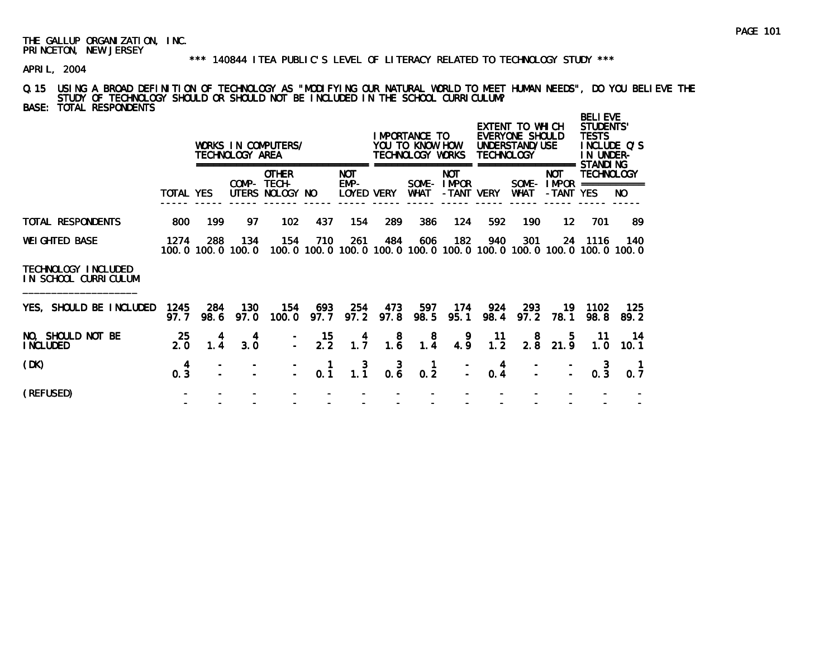### \*\*\* 140844 ITEA PUBLIC'S LEVEL OF LITERACY RELATED TO TECHNOLOGY STUDY \*\*\*

APRIL, 2004

# Q.15 USING A BROAD DEFINITION OF TECHNOLOGY AS "MODIFYING OUR NATURAL WORLD TO MEET HUMAN NEEDS", DO YOU BELIEVE THE STUDY OF TECHNOLOGY SHOULD OR SHOULD NOT BE INCLUDED IN THE SCHOOL CURRICULUM? BASE: TOTAL RESPONDENTS

|                                             |                                        |                          | TECHNOLOGY AREA | WORKS IN COMPUTERS/                            |             |                                         |                  | I MPORTANCE TO<br>YOU TO KNOW HOW<br>TECHNOLOGY WORKS |                                        | <b>TECHNOLOGY</b> | EXTENT TO WHICH<br>EVERYONE SHOULD<br>UNDERSTAND/USE |                         | <b>BELI EVE</b><br>STUDENTS'<br><b>TESTS</b><br>IN UNDER-<br>STANDI NG       | INCLUDE Q'S |
|---------------------------------------------|----------------------------------------|--------------------------|-----------------|------------------------------------------------|-------------|-----------------------------------------|------------------|-------------------------------------------------------|----------------------------------------|-------------------|------------------------------------------------------|-------------------------|------------------------------------------------------------------------------|-------------|
|                                             | TOTAL YES                              |                          |                 | <b>OTHER</b><br>COMP- TECH-<br>UTERS NOLOGY NO |             | <b>NOT</b><br>EMP-<br><b>LOYED VERY</b> |                  | WHAT                                                  | <b>NOT</b><br>SOME-IMPOR<br>-TANT VERY |                   | <b>WHAT</b>                                          | <b>NOT</b><br>-TANT YES | TECHNOLOGY<br>SOME - $IMPOR$ ===========                                     | NO.         |
| TOTAL RESPONDENTS                           | 800                                    | 199                      | 97              | 102                                            | 437         | 154                                     | 289              | 386                                                   | 124                                    | 592               | 190                                                  | 12                      | 701                                                                          | 89          |
| <b>WEIGHTED BASE</b>                        | 1274                                   | 288<br>100.0 100.0 100.0 | 134             | 154                                            | 710         | 261                                     | 484              | 606                                                   | 182                                    | 940               | 301                                                  |                         | 24 1116<br>100.0 100.0 100.0 100.0 100.0 100.0 100.0 100.0 100.0 100.0 100.0 | 140         |
| TECHNOLOGY INCLUDED<br>IN SCHOOL CURRICULUM |                                        |                          |                 |                                                |             |                                         |                  |                                                       |                                        |                   |                                                      |                         |                                                                              |             |
| YES, SHOULD BE INCLUDED                     | 1245<br>97.7                           | 284<br>98.6              | 130<br>97.0     | 154<br>100.0                                   | 693<br>97.7 | 254<br>97.2                             | 473<br>97.8      | 597<br>98.5                                           | 174<br>95.1                            | 924<br>98.4       | 293<br>97.2                                          | 19<br>78.1              | 1102<br>98.8                                                                 | 125<br>89.2 |
| NO, SHOULD NOT BE<br>I NCLUDED              | 25<br>2.0                              | 4<br>1.4                 | 4<br>3.0        |                                                | 15<br>2.2   | 4<br>1.7                                | 8<br>1.6         | 8<br>1.4                                              | 9<br>4.9                               | 11<br>1.2         | 8                                                    | 5.<br>$2.8$ 21.9        | -11<br>1.0                                                                   | -14<br>10.1 |
| (DK)                                        | $\begin{matrix} 4 \\ 0.3 \end{matrix}$ |                          |                 |                                                | 0.1         | 3<br>1.1                                | $0.\overline{6}$ | $0.\overline{2}$                                      |                                        | 4<br>0.4          |                                                      |                         | 0.3                                                                          | 0.7         |
| (REFUSED)                                   |                                        |                          |                 |                                                |             |                                         |                  |                                                       |                                        |                   |                                                      |                         |                                                                              |             |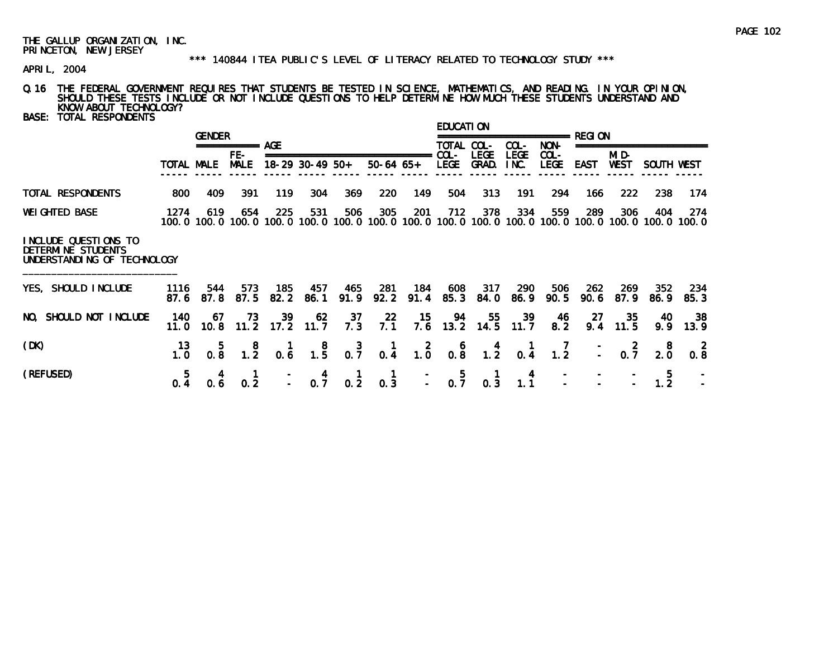#### \*\*\* 140844 ITEA PUBLIC'S LEVEL OF LITERACY RELATED TO TECHNOLOGY STUDY \*\*\*

APRIL, 2004

# Q.16 THE FEDERAL GOVERNMENT REQUIRES THAT STUDENTS BE TESTED IN SCIENCE, MATHEMATICS, AND READING. IN YOUR OPINION, SHOULD THESE TESTS INCLUDE OR NOT INCLUDE QUESTIONS TO HELP DETERMINE HOW MUCH THESE STUDENTS UNDERSTAND AND KNOW ABOUT TECHNOLOGY?

BASE: TOTAL RESPONDENTS

|                                                                           |            | <b>GENDER</b> |                    |     |                   |     |             |     | EDUCATI ON              |                     |              |                                             | REGI ON |             |            |                                                                                                                        |
|---------------------------------------------------------------------------|------------|---------------|--------------------|-----|-------------------|-----|-------------|-----|-------------------------|---------------------|--------------|---------------------------------------------|---------|-------------|------------|------------------------------------------------------------------------------------------------------------------------|
|                                                                           |            |               | ===========<br>FE- | AGF |                   |     |             |     | <b>TOTAL</b><br>$COL -$ | COL-<br><b>LEGE</b> | COL-<br>LEGE | ========================<br>NON-<br>$COL -$ |         | MI D-       |            |                                                                                                                        |
|                                                                           | TOTAL MALE |               | <b>MALE</b>        |     | $18-29$ 30-49 50+ |     | $50-64$ 65+ |     | <b>LEGE</b>             | GRAD.               | INC.         | <b>LEGE</b>                                 | EAST    | <b>WEST</b> | SOUTH WEST |                                                                                                                        |
| TOTAL RESPONDENTS                                                         | 800        | 409           | 391                | 119 | 304               | 369 | 220         | 149 | 504                     | 313                 | 191          | 294                                         | 166     | 222         | 238        | 174                                                                                                                    |
| <b>WEI GHTED BASE</b>                                                     | 1274       | 619           | 654                | 225 | 531               | 506 | 305         | 201 | 712                     | 378                 | 334          | 559                                         | 289     | 306         | 404        | 274<br>100. 0 100. 0 100. 0 100. 0 100. 0 100. 0 100. 0 100. 0 100. 0 100. 0 100. 0 100. 0 100. 0 100. 0 100. 0 100. 0 |
| INCLUDE QUESTIONS TO<br>DETERMINE STUDENTS<br>UNDERSTANDING OF TECHNOLOGY |            |               |                    |     |                   |     |             |     |                         |                     |              |                                             |         |             |            |                                                                                                                        |

| YES, SHOULD INCLUDE    |                                                                 | 1116 544 | 573 | 185 457 465 281 184 608 317 290 506 262 269 352 234<br>87.6 87.8 87.5 82.2 86.1 91.9 92.2 91.4 85.3 84.0 86.9 90.5 90.6 87.9 86.9 85.3 |  |  |  |  |  |  |
|------------------------|-----------------------------------------------------------------|----------|-----|----------------------------------------------------------------------------------------------------------------------------------------|--|--|--|--|--|--|
| NO, SHOULD NOT INCLUDE | 140  67  73  39  62  37  22  15  94  55  39  46  27  35  40  38 |          |     | 11.0 10.8 11.2 17.2 11.7 7.3 7.1 7.6 13.2 14.5 11.7 8.2 9.4 11.5 9.9 13.9                                                              |  |  |  |  |  |  |
| (DK)                   |                                                                 |          |     | 13  5  8  1  8  3  1  2  6  4  1  7  -  2  8  2<br>1.0  0.8  1.2  0.6  1.5  0.7  0.4  1.0  0.8  1.2  0.4  1.2  -  0.7  2.0  0.8        |  |  |  |  |  |  |
| (REFUSED)              |                                                                 |          |     | $5$ 4 1 - 4 1 1 - 5 1 4 - - - 5 -<br>0.4 0.6 0.2 - 0.7 0.2 0.3 - 0.7 0.3 1.1 - - - 1.2 -                                               |  |  |  |  |  |  |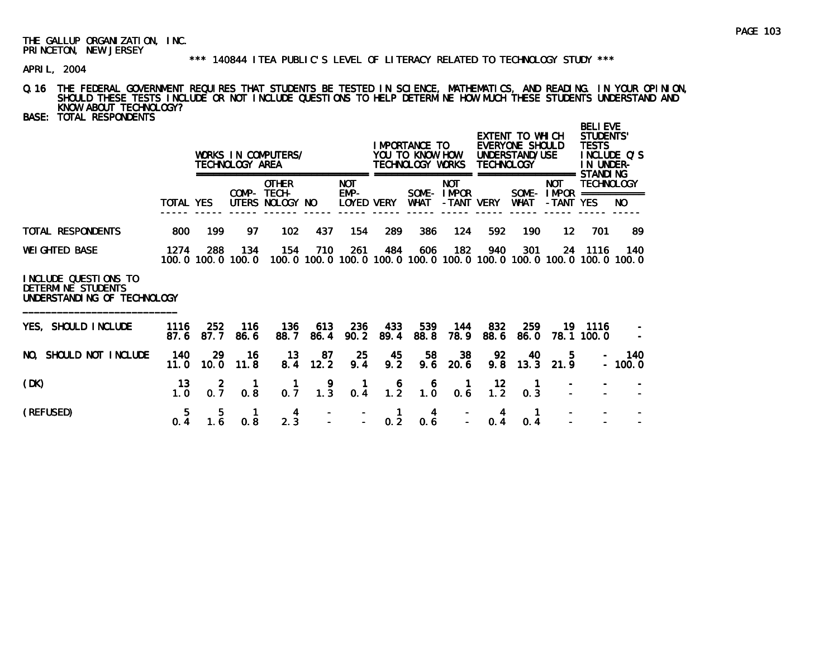# \*\*\* 140844 ITEA PUBLIC'S LEVEL OF LITERACY RELATED TO TECHNOLOGY STUDY \*\*\*

APRIL, 2004

- Q.16 THE FEDERAL GOVERNMENT REQUIRES THAT STUDENTS BE TESTED IN SCIENCE, MATHEMATICS, AND READING. IN YOUR OPINION, SHOULD THESE TESTS INCLUDE OR NOT INCLUDE QUESTIONS TO HELP DETERMINE HOW MUCH THESE STUDENTS UNDERSTAND AND KNOW ABOUT TECHNOLOGY?
- BASE: TOTAL RESPONDENTS

|                      |                |              | TECHNOLOGY AREA | WORKS IN COMPUTERS/                            |              |                                  |     | IMPORTANCE TO<br>YOU TO KNOW HOW<br>TECHNOLOGY WORKS |                                           | <b>TECHNOLOGY</b> | EXTENT TO WHICH<br>EVERYONE SHOULD<br>UNDERSTAND/USE |                                   | <b>BELIEVE</b><br>STUDENTS'<br><b>TESTS</b><br>IN UNDER-<br>STANDI NG | INCLUDE O'S |
|----------------------|----------------|--------------|-----------------|------------------------------------------------|--------------|----------------------------------|-----|------------------------------------------------------|-------------------------------------------|-------------------|------------------------------------------------------|-----------------------------------|-----------------------------------------------------------------------|-------------|
|                      | TOTAL YES      |              |                 | <b>OTHER</b><br>COMP- TECH-<br>UTERS NOLOGY NO |              | <b>NOT</b><br>EMP-<br>LOYED VERY |     | SOME-<br>WHAT                                        | <b>NOT</b><br><b>I MPOR</b><br>-TANT VERY |                   | SOME-<br><b>WHAT</b>                                 | <b>NOT</b><br>I MPOR<br>-TANT YES | <b>TECHNOLOGY</b>                                                     | NO.         |
| TOTAL RESPONDENTS    | 800            | 199          | 97              | 102                                            | 437          | 154                              | 289 | 386                                                  | 124                                       | 592               | 190                                                  | 12                                | 701                                                                   | 89          |
| <b>WEIGHTED BASE</b> | 1274<br>100. 0 | 288<br>100.0 | 134<br>100.0    | 154<br>100. O                                  | 710<br>100.0 | 261                              | 484 | 606                                                  | 182<br>100.0 100.0 100.0 100.0 100.0      | 940               | 301                                                  | 24                                | 1116<br>100.0 100.0 100.0 100.0                                       | 140         |

### INCLUDE QUESTIONS TO DETERMINE STUDENTSUNDERSTANDING OF TECHNOLOGY

| YES, SHOULD INCLUDE    | 1116 | -252           | -116 | -136                                                                           | 613 | - 236 | - 433 | 539 | 144 | -832 | -259                                               |                 | 19 1116                  | $\overline{a}$ |
|------------------------|------|----------------|------|--------------------------------------------------------------------------------|-----|-------|-------|-----|-----|------|----------------------------------------------------|-----------------|--------------------------|----------------|
|                        |      | 87.6 87.7 86.6 |      |                                                                                |     |       |       |     |     |      | 88.7 86.4 90.2 89.4 88.8 78.9 88.6 86.0 78.1 100.0 |                 |                          | $\equiv$       |
| NO, SHOULD NOT INCLUDE |      | 140 29         | - 16 | 13 87 25 45 58 38                                                              |     |       |       |     |     | 92   | 40                                                 | 5.              |                          | $- 140$        |
|                        |      |                |      | 11.0 10.0 11.8 8.4 12.2 9.4 9.2 9.6 20.6 9.8 13.3 21.9                         |     |       |       |     |     |      |                                                    |                 |                          | $-100.0$       |
| (DK)                   |      |                |      |                                                                                |     |       |       |     |     |      |                                                    |                 |                          |                |
|                        |      |                |      | 1.0 0.7 0.8 0.7 1.3 0.4 1.2 1.0 0.6 1.2 0.3                                    |     |       |       |     |     |      |                                                    |                 |                          |                |
| (REFUSED)              |      |                |      |                                                                                |     |       |       |     |     |      |                                                    |                 | <b>Contract Contract</b> |                |
|                        |      |                |      | $5$ $5$ $1$ $4$ $  1$ $4$ $ 4$ $1$<br>0.4 1.6 0.8 2.3 $ -$ 0.2 0.6 $-$ 0.4 0.4 |     |       |       |     |     |      |                                                    | $\sim 10^{-10}$ |                          |                |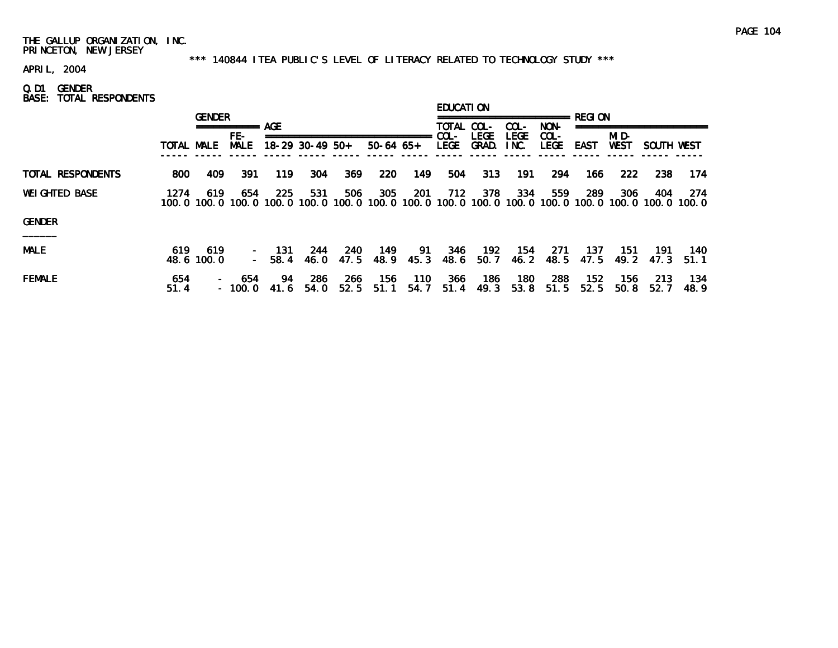#### \*\*\* 140844 ITEA PUBLIC'S LEVEL OF LITERACY RELATED TO TECHNOLOGY STUDY \*\*\*

APRIL, 2004

Q.D1 GENDER BASE: TOTAL RESPONDENTS

|                       |             | <b>GENDER</b>     |                          |              |                   |             |                    |             | EDUCATI ON          |                                |                     |                        |             |                          |               |               |
|-----------------------|-------------|-------------------|--------------------------|--------------|-------------------|-------------|--------------------|-------------|---------------------|--------------------------------|---------------------|------------------------|-------------|--------------------------|---------------|---------------|
|                       |             |                   | ===========              | <b>AGE</b>   |                   |             |                    |             | TOTAL COL-          |                                | COL-                | NON-                   |             |                          |               |               |
|                       | TOTAL MALE  |                   | FE-<br><b>MALE</b>       |              | $18-29$ 30-49 50+ |             | $50-64$ 65+        |             | COL-<br><b>LEGE</b> | <b>LEGE</b><br>GRAD.           | <b>LEGE</b><br>INC. | $COL -$<br><b>LEGE</b> | EAST        | MI D-<br><b>WEST</b>     | SOUTH WEST    |               |
| TOTAL RESPONDENTS     | 800         | 409               | 391                      | 119          | 304               | 369         | 220                | 149         | 504                 | 313                            | 191                 | 294                    | 166         | 222                      | 238           | 174           |
| <b>WEI GHTED BASE</b> | 1274        | 619               | 654<br>100.0 100.0 100.0 | 225<br>100.0 | 531<br>100.0      | 506         | 305<br>100.0 100.0 | 201         | 712                 | 378<br>100.0 100.0 100.0 100.0 | 334                 | 559                    | 289         | 306<br>100.0 100.0 100.0 | 404<br>100. 0 | -274<br>100.0 |
| <b>GENDER</b>         |             |                   |                          |              |                   |             |                    |             |                     |                                |                     |                        |             |                          |               |               |
| $\qquad \qquad$       |             |                   |                          |              |                   |             |                    |             |                     |                                |                     |                        |             |                          |               |               |
| <b>MALE</b>           | 619         | 619<br>48.6 100.0 | $\sim$<br>$\sim$ .       | 131<br>58.4  | 244<br>46.0       | 240<br>47.5 | 149<br>48.9        | -91<br>45.3 | 346<br>48.6         | 192<br>50.7                    | 154<br>46.2         | 271<br>48.5            | 137<br>47.5 | 151<br>49.2              | 191<br>47.3   | 140<br>51.1   |
| <b>FEMALE</b>         | 654<br>51.4 |                   | 654<br>$-100.0$          | 94<br>41.6   | 286<br>54.0       | 266<br>52.5 | 156<br>51.1        | 110<br>54.7 | 366<br>51.4         | 186<br>49.3                    | 180<br>53.8         | 288<br>51.5            | 152<br>52.5 | 156<br>50.8              | 213<br>52.7   | 134<br>48.9   |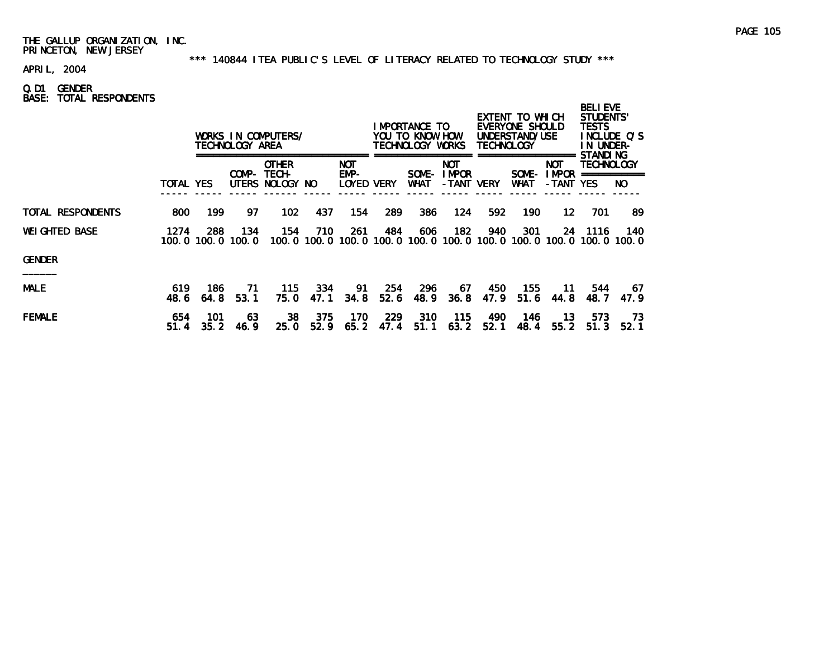#### \*\*\* 140844 ITEA PUBLIC'S LEVEL OF LITERACY RELATED TO TECHNOLOGY STUDY \*\*\*

APRIL, 2004

Q.D1 GENDER BASE: TOTAL RESPONDENTS

|                   |             |             | TECHNOLOGY AREA          | WORKS IN COMPUTERS/                            |             |                                  |              | IMPORTANCE TO<br>YOU TO KNOW HOW<br>TECHNOLOGY WORKS |                                                  | <b>TECHNOLOGY</b> | EXTENT TO WHICH<br>EVERYONE SHOULD<br>UNDERSTAND/USE |                                   | <b>BELIEVE</b><br>STUDENTS'<br><b>TESTS</b><br>IN UNDER-<br>STANDI NG | INCLUDE O'S  |
|-------------------|-------------|-------------|--------------------------|------------------------------------------------|-------------|----------------------------------|--------------|------------------------------------------------------|--------------------------------------------------|-------------------|------------------------------------------------------|-----------------------------------|-----------------------------------------------------------------------|--------------|
|                   | TOTAL YES   |             |                          | <b>OTHER</b><br>COMP- TECH-<br>UTERS NOLOGY NO |             | <b>NOT</b><br>EMP-<br>LOYED VERY |              | SOME-<br>WHAT                                        | <b>NOT</b><br><b>IMPOR</b><br>-TANT VERY         |                   | SOME-<br><b>WHAT</b>                                 | <b>NOT</b><br>I MPOR<br>-TANT YES | <b>TECHNOLOGY</b><br>===========                                      | NO.          |
| TOTAL RESPONDENTS | 800         | 199         | 97                       | 102                                            | 437         | 154                              | 289          | 386                                                  | 124                                              | 592               | 190                                                  | 12                                | 701                                                                   | 89           |
| WEIGHTED BASE     | 1274        | 288         | 134<br>100.0 100.0 100.0 | 154                                            | 710         | 261                              | 484          | 606                                                  | 182<br>100.0 100.0 100.0 100.0 100.0 100.0 100.0 | 940               | 301                                                  | 24<br>100.0 100.0 100.0 100.0     | -1116                                                                 | 140.         |
| GENDER            |             |             |                          |                                                |             |                                  |              |                                                      |                                                  |                   |                                                      |                                   |                                                                       |              |
| <b>MALE</b>       | 619<br>48.6 | 186<br>64.8 | 71<br>53.1               | 115<br>75.0                                    | 334<br>47.1 | 91<br>34.8                       | -254<br>52.6 | 296<br>48.9                                          | 67.<br>36.8                                      | 450<br>47.9       | 155<br>51.6                                          | 11.<br>44.8                       | 544<br>48.7                                                           | 67<br>47.9   |
| <b>FEMALE</b>     | 654<br>51.4 | 101<br>35.2 | 63<br>46.9               | 38<br>25.0                                     | 375<br>52.9 | 170<br>65.2                      | -229<br>47.4 | 310<br>51.1                                          | 115<br>63.2                                      | 490<br>52.1       | 146<br>48.4                                          | 13.<br>55.2                       | 573<br>51.3                                                           | - 73<br>52.1 |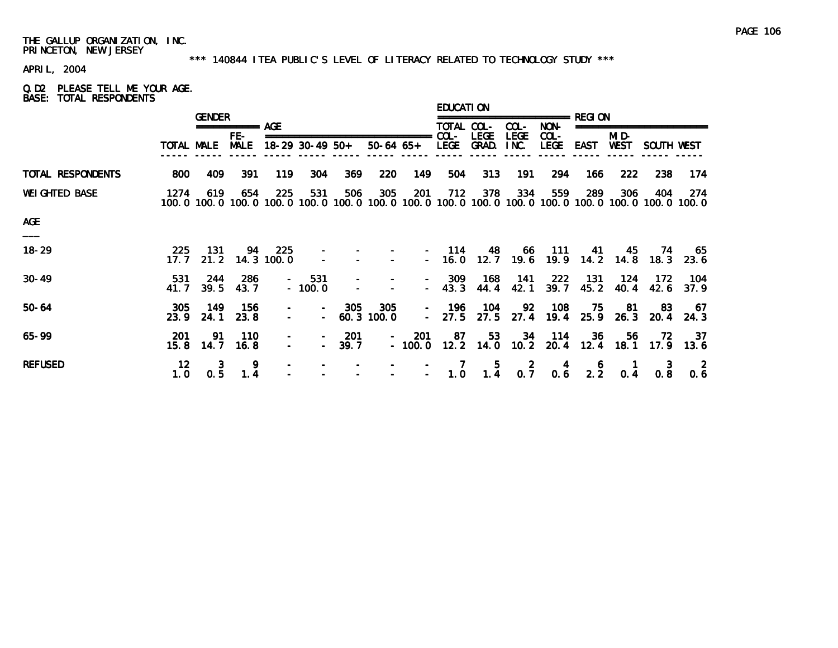#### \*\*\* 140844 ITEA PUBLIC'S LEVEL OF LITERACY RELATED TO TECHNOLOGY STUDY \*\*\*

APRIL, 2004

#### Q.D2 PLEASE TELL ME YOUR AGE. BASE: TOTAL RESPONDENTS

|                   |                        | <b>GENDER</b> |                    |                   |                                    |                          |                  |                                    | <b>EDUCATION</b> |                      |                       |                        |             |               |                                                                                                              |                     |
|-------------------|------------------------|---------------|--------------------|-------------------|------------------------------------|--------------------------|------------------|------------------------------------|------------------|----------------------|-----------------------|------------------------|-------------|---------------|--------------------------------------------------------------------------------------------------------------|---------------------|
|                   |                        |               | ============ AGF   |                   |                                    |                          |                  |                                    | TOTAL COL-       |                      | COL-                  | NON-                   |             |               |                                                                                                              |                     |
|                   | TOTAL MALE             |               | FE-<br><b>MALE</b> |                   | $18-29$ 30-49 50+                  |                          | $50-64$ $65+$    | ======                             | $COL -$<br>LEGE  | <b>LEGE</b><br>GRAD. | <b>LEGE</b><br>INC.   | $COL -$<br><b>LEGE</b> | <b>EAST</b> | MI D-<br>WEST | SOUTH WEST                                                                                                   |                     |
| TOTAL RESPONDENTS | 800                    | 409           | 391                | 119               | 304                                | 369                      | <b>220</b>       | 149                                | 504              | 313                  | 191                   | 294                    | 166         | 222           | 238                                                                                                          | 174                 |
| WEIGHTED BASE     | 1274                   | 619           | 654                | 225               | 531                                | 506                      | 305              | 201                                | 712              | 378                  | 334                   | 559                    | 289         | 306           | 404<br>100.0 100.0 100.0 100.0 100.0 100.0 100.0 100.0 100.0 100.0 100.0 100.0 100.0 100.0 100.0 100.0 100.0 | 274                 |
| <b>AGE</b>        |                        |               |                    |                   |                                    |                          |                  |                                    |                  |                      |                       |                        |             |               |                                                                                                              |                     |
| $18 - 29$         | 225<br>17.7            | 131<br>21.2   | 94                 | 225<br>14.3 100.0 |                                    |                          |                  |                                    | 114<br>$-16.0$   | 48<br>12.7           | 66<br>19.6            | -111<br>19.9           | 41<br>14.2  | 45<br>14.8    | 74<br>18.3                                                                                                   | -65<br>23.6         |
| $30 - 49$         | 531<br>41. 7           | 244<br>39.5   | 286<br>43.7        |                   | 531<br>$\sim 100$<br>$-100.0$      | $\overline{\phantom{a}}$ |                  | $\sim$ 10 $\pm$                    | 309<br>43.3      | 168<br>44.4          | 141<br>42.1           | 222<br>39.7            | 131<br>45.2 | 124<br>40.4   | 172<br>42.6                                                                                                  | 104<br>37.9         |
| $50 - 64$         | 305<br>23.9            | 149<br>24.1   | 156<br>23.8        | $\qquad \qquad -$ | $\sim$ 10 $\pm$                    | 305                      | 305<br>60.3100.0 | $\sim$ 10 $\pm$<br>$\sim$ 10 $\pm$ | 196<br>27.5      | 104<br>27.5          | 92<br>27.4            | 108<br>19.4            | 75<br>25.9  | -81<br>26.3   | -83<br>20.4                                                                                                  | - 67<br>24.3        |
| 65-99             | 201<br>15.8            | 91<br>14.7    | 110<br>16.8        | $\blacksquare$    | $\overline{\phantom{a}}$<br>$\sim$ | 201<br>39.7              | $\sim$ 100 $\mu$ | <b>201</b><br>$-100.0$             | 87               | 53<br>$12.2$ 14.0    | 34<br>10.2            | - 114<br>20.4          | 36<br>12.4  | 56.<br>18.1   | 72.                                                                                                          | - 37<br>$17.9$ 13.6 |
| <b>REFUSED</b>    | 12 <sub>2</sub><br>1.0 | 3<br>0.5      | 1.4                |                   |                                    |                          |                  | $\overline{\phantom{0}}$           | 1.0              | 5<br>1.4             | $\overline{2}$<br>0.7 | 0.6                    | 2.2         | 0.4           | 0.8                                                                                                          | 0.6                 |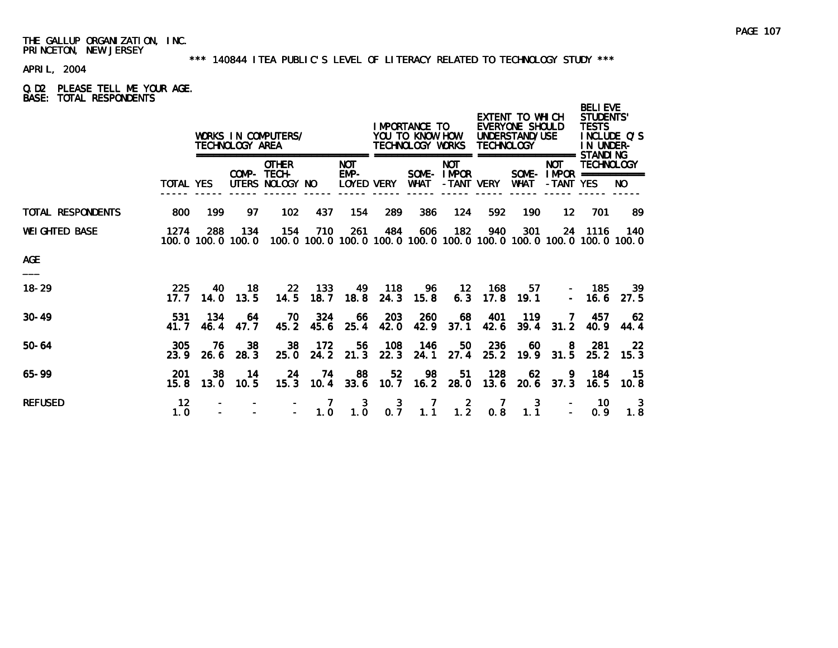#### \*\*\* 140844 ITEA PUBLIC'S LEVEL OF LITERACY RELATED TO TECHNOLOGY STUDY \*\*\*

APRIL, 2004

# Q.D2 PLEASE TELL ME YOUR AGE. BASE: TOTAL RESPONDENTS

|                       |                  |             | TECHNOLOGY AREA | WORKS IN COMPUTERS/                                                                                      | IMPORTANCE TO<br>YOU TO KNOW HOW<br>TECHNOLOGY WORKS<br>--------------- ------------------ |                 |                       | <b>TECHNOLOGY</b> | EXTENT TO WHICH<br>EVERYONE SHOULD<br>UNDERSTAND/USE | <b>BELIEVE</b><br><b>STUDENTS'</b><br><b>TESTS</b><br>INCLUDE Q'S<br>IN UNDER-<br><b>STANDING</b> |             |                                                                                            |                   |              |
|-----------------------|------------------|-------------|-----------------|----------------------------------------------------------------------------------------------------------|--------------------------------------------------------------------------------------------|-----------------|-----------------------|-------------------|------------------------------------------------------|---------------------------------------------------------------------------------------------------|-------------|--------------------------------------------------------------------------------------------|-------------------|--------------|
|                       | <b>TOTAL YES</b> |             |                 | <b>OTHER</b><br>COMP- TECH-<br>UTERS NOLOGY NO                                                           |                                                                                            | NOT.<br>EMP-    | LOYED VERY            | WHAT              | <b>NOT</b><br>SOME-IMPOR                             |                                                                                                   |             | =================<br><b>NOT</b><br>SOME- $IMPROR$ ===========<br>-TANT VERY WHAT -TANT YES | <b>TECHNOLOGY</b> | NO.          |
| TOTAL RESPONDENTS     | 800              | 199         | 97              | 102                                                                                                      | 437                                                                                        | 154             | 289                   | 386               | 124                                                  | 592                                                                                               | 190         | 12 <sup>1</sup>                                                                            | 701               | -89          |
| <b>WEI GHTED BASE</b> | 1274             | 288         | 134             | 154<br>100, 0 100, 0 100, 0 100, 0 100, 0 100, 0 100, 0 100, 0 100, 0 100, 0 100, 0 100, 0 100, 0 100, 0 | 710                                                                                        | 261             | 484                   | 606               | 182                                                  | 940                                                                                               | 301         |                                                                                            | 24 1116           | - 140        |
| <b>AGE</b>            |                  |             |                 |                                                                                                          |                                                                                            |                 |                       |                   |                                                      |                                                                                                   |             |                                                                                            |                   |              |
| $18 - 29$             | 225<br>17.7      | -40<br>14.0 | 18<br>13.5      | 22 <sub>2</sub><br>14.5                                                                                  | - 133<br>18.7                                                                              | 18.8            | 24.3                  | 15.8              | 49 118 96 12 168                                     | $6.3$ 17.8                                                                                        | 57<br>19.1  | $\equiv$                                                                                   | 185<br>16.6       | -39<br>27.5  |
| $30 - 49$             | 531<br>41.7      | 134<br>46.4 | -64<br>47.7     | 70                                                                                                       | 324<br>$45.2$ $45.6$                                                                       | 66<br>25.4      | 203<br>42.0           | 260<br>42.9       | 68<br>37.1                                           | - 401<br>42.6                                                                                     | 119<br>39.4 | <b>7</b><br>31.2                                                                           | 457<br>40.9       | - 62<br>44.4 |
| $50 - 64$             | 305<br>23.9      | -76<br>26.6 | 38<br>28.3      | 38<br>25.0                                                                                               | - 172                                                                                      | 56<br>24.2 21.3 | 108<br>22.3           | 146<br>24.1       | 50<br>27.4                                           | 236<br>25.2                                                                                       | 60<br>19.9  | 8<br>31.5                                                                                  | -281<br>25.2      | -22<br>15.3  |
| $65 - 99$             | -201<br>15.8     | -38<br>13.0 | 14<br>10.5      | 24<br>15.3                                                                                               |                                                                                            | 74 88           | 52                    | 98                | 51<br>10.4 33.6 10.7 16.2 28.0                       | 128<br>13.6                                                                                       | 62          | 9.<br>$20.6$ 37.3                                                                          | 184<br>16.5       | - 15<br>10.8 |
| <b>REFUSED</b>        | 12<br>1.0        |             |                 |                                                                                                          | 1.0                                                                                        | 3<br>1.0        | $\overline{3}$<br>0.7 | 1.1               | $\overline{2}$<br>1.2                                | 0.8                                                                                               | 3<br>1.1    |                                                                                            | -10<br>0.9        | -3<br>1.8    |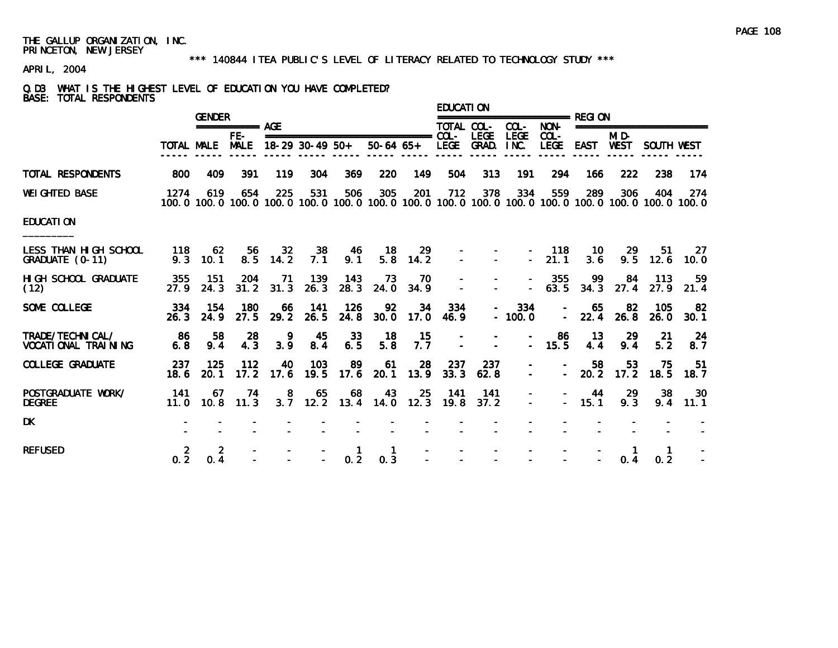#### \*\*\* 140844 ITEA PUBLIC'S LEVEL OF LITERACY RELATED TO TECHNOLOGY STUDY \*\*\*

# APRIL, 2004

# Q.D3 WHAT IS THE HIGHEST LEVEL OF EDUCATION YOU HAVE COMPLETED? BASE: TOTAL RESPONDENTS

|                                             |                       | <b>GENDER</b>         |                                                                                                                        |             |                 |                       |             |                           | EDUCATI ON               |             |                    |                        | ======================== REGI ON |               |             |             |
|---------------------------------------------|-----------------------|-----------------------|------------------------------------------------------------------------------------------------------------------------|-------------|-----------------|-----------------------|-------------|---------------------------|--------------------------|-------------|--------------------|------------------------|----------------------------------|---------------|-------------|-------------|
|                                             |                       | =========== AGE       |                                                                                                                        |             |                 |                       |             |                           | TOTAL COL- COL-          |             |                    | NON-                   | ========================         |               |             |             |
|                                             | TOTAL MALE            |                       | FE-<br><b>MALE</b>                                                                                                     |             | 18-29 30-49 50+ |                       |             | 50-64 65+ LEGE GRAD. INC. |                          |             | LEGE               | $COL -$<br><b>LEGE</b> | <b>EAST</b>                      | MI D-<br>WEST | SOUTH WEST  |             |
| TOTAL RESPONDENTS                           | 800                   | 409                   | 391                                                                                                                    | 119         | 304             | 369                   | 220         | 149                       | 504                      | 313         | 191                | 294                    | 166                              | 222           | 238         | 174         |
| WEIGHTED BASE                               | 1274                  | 619                   | 654<br>100, 0 100, 0 100, 0 100, 0 100, 0 100, 0 100, 0 100, 0 100, 0 100, 0 100, 0 100, 0 100, 0 100, 0 100, 0 100, 0 | 225         | 531             | 506                   | 305         | 201                       | 712                      | 378         | 334                | 559                    | 289                              | 306           | 404         | -274        |
| EDUCATI ON                                  |                       |                       |                                                                                                                        |             |                 |                       |             |                           |                          |             |                    |                        |                                  |               |             |             |
| LESS THAN HIGH SCHOOL<br>GRADUATE (0-11)    | 118<br>9.3            | 62<br>10.1            | 56<br>8.5                                                                                                              | 32<br>14.2  | 38<br>7.1       | 46<br>9.1             | -18<br>5.8  | 29<br>14.2                |                          |             | $\sim$             | 118<br>21.1            | 10<br>3.6                        | -29<br>9.5    | 51<br>12.6  | -27<br>10.0 |
| HIGH SCHOOL GRADUATE<br>(12)                | 355<br>27.9           | 151<br>24.3           | 204<br>31.2                                                                                                            | -71<br>31.3 | 139<br>26.3     | 143<br>28.3           | -73<br>24.0 | 70<br>34.9                | $\sim$                   | $\sim$      | $\sim$             | 355<br>63.5            | -99<br>34.3                      | 84<br>27.4    | 113<br>27.9 | 59<br>21.4  |
| SOME COLLEGE                                | 334<br>26.3           | - 154<br>24.9         | 180<br>27.5                                                                                                            | -66<br>29.2 | - 141<br>26.5   | 126<br>24.8           | 92<br>30.0  | 34<br>17.0                | 334<br>46.9              | $\sim$      | 334<br>$-100.0$    | $\sim$<br>$\sim$ $-$   | -65<br>22.4                      | -82<br>26.8   | 105<br>26.0 | -82<br>30.1 |
| TRADE/TECHNI CAL/<br>VOCATI ONAL TRAI NI NG | -86<br>6.8            | 58<br>9.4             | 28<br>4.3                                                                                                              | 9<br>3.9    | 45<br>8.4       | 33<br>6.5             | 18<br>5.8   | -15<br>7.7                | $\overline{\phantom{a}}$ | $\sim$      | $\sim$ .           | 86<br>15.5             | 13<br>4.4                        | -29<br>9.4    | -21<br>5.2  | 24<br>8.7   |
| COLLEGE GRADUATE                            | 237<br>18.6           | 125<br>20.1           | 112<br>17.2                                                                                                            | 40<br>17.6  | 103<br>19.5     | 89<br>17.6            | 61<br>20.1  | 28<br>13.9                | 237<br>33.3              | 237<br>62.8 | $\equiv$<br>$\sim$ | $\sim$ .               | 58<br>20.2                       | 53<br>17.2    | 75<br>18.5  | -51<br>18.7 |
| POSTGRADUATE WORK/<br>DEGREE                | 141                   | 67                    | 74<br>$11.0$ $10.8$ $11.3$                                                                                             | 8           | 65              | 68<br>$3.7$ 12.2 13.4 | 43          | -25<br>$14.0$ 12.3        | -141<br>19.8             | 141<br>37.2 | $\sim$<br>$\sim$   | $\sim$                 | 44<br>15.1                       | 29<br>9.3     | 38<br>9.4   | -30<br>11.1 |
| DK                                          |                       |                       |                                                                                                                        |             |                 |                       |             |                           |                          |             |                    |                        |                                  |               |             |             |
| <b>REFUSED</b>                              | $\overline{2}$<br>0.2 | $\overline{2}$<br>0.4 |                                                                                                                        |             |                 | 0.2                   | 0.3         |                           |                          |             |                    |                        |                                  | 0.4           | 0.2         |             |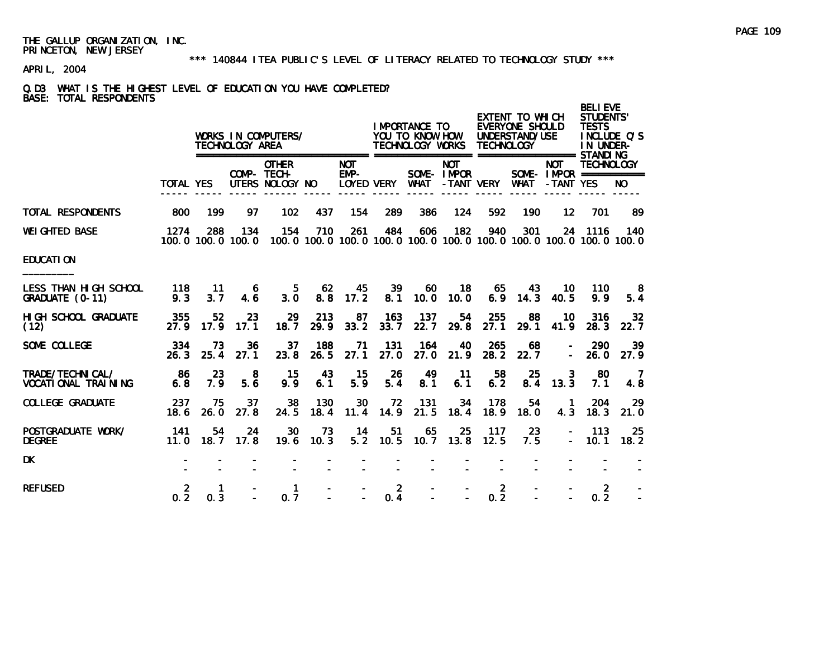### \*\*\* 140844 ITEA PUBLIC'S LEVEL OF LITERACY RELATED TO TECHNOLOGY STUDY \*\*\*

# APRIL, 2004

# Q.D3 WHAT IS THE HIGHEST LEVEL OF EDUCATION YOU HAVE COMPLETED? BASE: TOTAL RESPONDENTS

|                                                 |                       |            | TECHNOLOGY AREA          | WORKS IN COMPUTERS/<br>========================= |             |                                    |                       | I MPORTANCE TO<br>YOU TO KNOW HOW<br>TECHNOLOGY WORKS |                           | <b>TECHNOLOGY</b>     | EXTENT TO WHICH<br>EVERYONE SHOULD<br>UNDERSTAND/USE |                                                                                    | <b>BELIEVE</b><br><b>STUDENTS'</b><br><b>TESTS</b><br>INCLUDE O'S<br>IN UNDER-<br><b>STANDING</b> |                         |
|-------------------------------------------------|-----------------------|------------|--------------------------|--------------------------------------------------|-------------|------------------------------------|-----------------------|-------------------------------------------------------|---------------------------|-----------------------|------------------------------------------------------|------------------------------------------------------------------------------------|---------------------------------------------------------------------------------------------------|-------------------------|
|                                                 | <b>TOTAL YES</b>      |            | COMP- TECH-              | <b>OTHER</b><br>UTERS NOLOGY NO                  |             | <b>NOT</b><br>$EMP-$<br>LOYED VERY |                       | <b>WHAT</b>                                           | <b>NOT</b><br>SOME- IMPOR | -TANT VERY            | <b>WHAT</b>                                          | <b>NOT</b><br>SOME - IMPOR ===========<br>-TANT YES                                | <b>TECHNOLOGY</b>                                                                                 | NO.                     |
| <b>TOTAL RESPONDENTS</b>                        | 800                   | 199        | 97                       | 102                                              | 437         | 154                                | 289                   | 386                                                   | 124                       | 592                   | 190                                                  | $12 \,$                                                                            | 701                                                                                               | 89                      |
| <b>WEI GHTED BASE</b>                           | 1274                  | 288        | 134<br>100.0 100.0 100.0 | 154                                              | 710         | 261                                | 484                   | 606                                                   | 182                       | 940                   | 301                                                  | 24<br>100, 0 100, 0 100, 0 100, 0 100, 0 100, 0 100, 0 100, 0 100, 0 100, 0 100, 0 | 1116                                                                                              | 140                     |
| <b>EDUCATION</b>                                |                       |            |                          |                                                  |             |                                    |                       |                                                       |                           |                       |                                                      |                                                                                    |                                                                                                   |                         |
| LESS THAN HIGH SCHOOL<br>GRADUATE (0-11)        | 118<br>9.3            | 11<br>3.7  | -6<br>4.6                | 5.<br>3.0                                        | 62<br>8.8   | 45<br>17.2                         | 39<br>8.1             | 60<br>10.0                                            | 18<br>10.0                | 65<br>6.9             | 43.<br>14.3                                          | 10<br>40.5                                                                         | 110<br>9.9                                                                                        | -8<br>5.4               |
| HI GH SCHOOL GRADUATE<br>(12)                   | 355<br>27.9           | 52<br>17.9 | 23<br>17.1               | 29<br>18.7                                       | 213<br>29.9 | 87<br>33.2                         | 163<br>33.7           | 137<br>22.7                                           | 54<br>29.8                | 255<br>27.1           | 88<br>29.1                                           | 10<br>41.9                                                                         | 316<br>28.3                                                                                       | 32 <sub>2</sub><br>22.7 |
| SOME COLLEGE                                    | 334<br>26.3           | 73<br>25.4 | 36<br>27.1               | 37<br>23.8                                       | 188<br>26.5 | 71<br>27.1                         | 131<br>27.0           | 164<br>27.0                                           | 40<br>21.9                | 265<br>28.2           | 68<br>22.7                                           | $\overline{\phantom{a}}$                                                           | 290<br>26.0                                                                                       | 39<br>27.9              |
| TRADE/TECHNICAL/<br><b>VOCATI ONAL TRAINING</b> | -86<br>6.8            | 23<br>7.9  | 8<br>5.6                 | 15<br>9.9                                        | 43<br>6.1   | 15<br>5.9                          | 26<br>5.4             | 49<br>8.1                                             | 11<br>6.1                 | 58<br>6.2             | 25<br>8.4                                            | 3<br>13.3                                                                          | -80<br>7.1                                                                                        | $\overline{7}$<br>4.8   |
| <b>COLLEGE GRADUATE</b>                         | 237<br>18.6           | 75<br>26.0 | 37<br>27.8               | 38<br>24.5                                       | 130<br>18.4 | 30<br>11.4                         | 72<br>14.9            | 131<br>21.5                                           | 34<br>18.4                | 178<br>18.9           | 54<br>18.0                                           | -1<br>4.3                                                                          | 204<br>18.3                                                                                       | 29<br>21.0              |
| POSTGRADUATE WORK/<br><b>DEGREE</b>             | 141<br>11.0           | 54<br>18.7 | 24<br>17.8               | 30<br>19.6                                       | 73<br>10.3  | 14<br>5.2                          | 51<br>10.5            | 65<br>10.7                                            | 25<br>13.8                | 117<br>12.5           | 23<br>7.5                                            | $\qquad \qquad \blacksquare$                                                       | 113<br>10.1                                                                                       | 25<br>18.2              |
| <b>DK</b>                                       |                       |            |                          |                                                  |             |                                    |                       |                                                       |                           |                       |                                                      |                                                                                    |                                                                                                   |                         |
| <b>REFUSED</b>                                  | $\overline{2}$<br>0.2 | 1.<br>0.3  |                          | $\mathbf 1$<br>0.7                               |             |                                    | $\overline{2}$<br>0.4 |                                                       |                           | $\overline{2}$<br>0.2 |                                                      |                                                                                    | $\overline{2}$<br>0.2                                                                             |                         |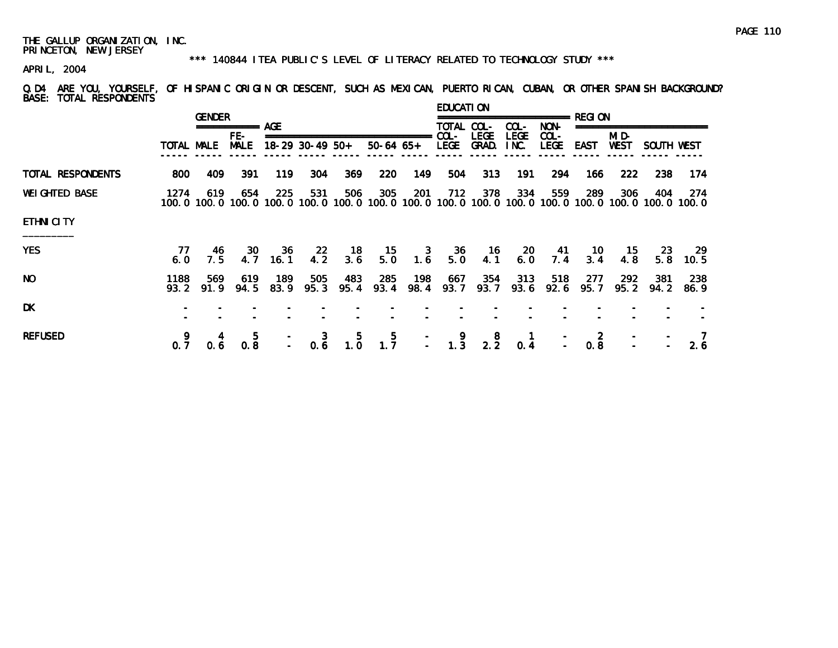### \*\*\* 140844 ITEA PUBLIC'S LEVEL OF LITERACY RELATED TO TECHNOLOGY STUDY \*\*\*

APRIL, 2004

Q.D4 ARE YOU, YOURSELF, OF HISPANIC ORIGIN OR DESCENT, SUCH AS MEXICAN, PUERTO RICAN, CUBAN, OR OTHER SPANISH BACKGROUND? BASE: TOTAL RESPONDENTS

|                       |              | <b>GENDER</b> |                    |               |             |                 |                                                 |                                         | EDUCATI ON      |                        |                     |                 |             |                  |                                                                                                              |              |
|-----------------------|--------------|---------------|--------------------|---------------|-------------|-----------------|-------------------------------------------------|-----------------------------------------|-----------------|------------------------|---------------------|-----------------|-------------|------------------|--------------------------------------------------------------------------------------------------------------|--------------|
|                       |              |               |                    |               |             |                 |                                                 |                                         | TOTAL COL-      |                        | COL-                | NON-            |             | ================ |                                                                                                              |              |
|                       |              | TOTAL MALE    | FE-<br><b>MALE</b> |               |             | 18-29 30-49 50+ | ================================<br>$50-64$ 65+ |                                         | $COL -$<br>LEGE | <b>LEGE</b><br>GRAD.   | <b>LEGE</b><br>INC. | $COL -$<br>LEGE | EAST        | MI D-<br>WEST    | SOUTH WEST                                                                                                   |              |
| TOTAL RESPONDENTS     | 800          | 409           | 391                | 119           | 304         | 369             | <b>220</b>                                      | 149                                     | 504             | 313                    | 191                 | 294             | 166         | 222              | 238                                                                                                          | 174          |
| <b>WEI GHTED BASE</b> | 1274         | 619           | 654                | 225           | 531         | 506             | 305                                             | 201                                     | 712             | 378                    | 334                 | 559             | 289         | 306              | 404<br>100.0 100.0 100.0 100.0 100.0 100.0 100.0 100.0 100.0 100.0 100.0 100.0 100.0 100.0 100.0 100.0 100.0 | 274          |
| <b>ETHNICITY</b>      |              |               |                    |               |             |                 |                                                 |                                         |                 |                        |                     |                 |             |                  |                                                                                                              |              |
| <b>YES</b>            | 77<br>6.0    | -46<br>7.5    | <b>30</b><br>4.7   | -36<br>16.1   | 22<br>4.2   | - 18<br>3.6     | 15<br>5.0                                       | $\begin{array}{c} 3 \\ 1.6 \end{array}$ | - 36<br>5.0     | 16<br>4.1              | 20<br>6.0           | - 41<br>7.4     | - 10<br>3.4 | - 15<br>4.8      | -23-<br>5.8                                                                                                  | - 29<br>10.5 |
| NO.                   | 1188<br>93.2 | 569<br>91.9   | 619<br>94.5        | 189<br>83.9   | 505<br>95.3 | 483<br>95.4     | 285<br>93.4                                     | 198<br>98.4                             | 667<br>93.7     | 354<br>93.7            | 313<br>93.6         | 518<br>92.6     | 277<br>95.7 | 292<br>95.2      | 381<br>94.2                                                                                                  | 238<br>86.9  |
| DK                    |              |               |                    |               |             |                 |                                                 |                                         |                 |                        |                     |                 |             |                  |                                                                                                              |              |
| <b>REFUSED</b>        | 0.7          | 4<br>0.6      | 5<br>0.8           | $\frac{1}{2}$ | 3           | -5<br>$0.6$ 1.0 | $\frac{5}{1.7}$                                 |                                         |                 | $-$ 9 8<br>$-$ 1.3 2.2 | 0.4                 | $\frac{1}{2}$   | 0.8         |                  |                                                                                                              | 2.6          |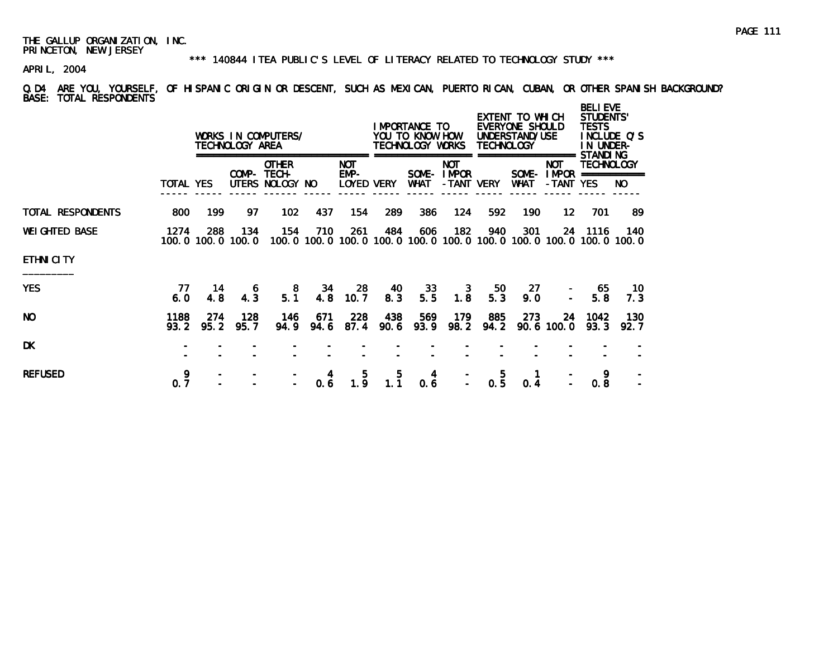### \*\*\* 140844 ITEA PUBLIC'S LEVEL OF LITERACY RELATED TO TECHNOLOGY STUDY \*\*\*

APRIL, 2004

Q.D4 ARE YOU, YOURSELF, OF HISPANIC ORIGIN OR DESCENT, SUCH AS MEXICAN, PUERTO RICAN, CUBAN, OR OTHER SPANISH BACKGROUND? BASE: TOTAL RESPONDENTS

|                       |                  |                          | TECHNOLOGY AREA | WORKS IN COMPUTERS/                            |             |                                    |             | I MPORTANCE TO<br>YOU TO KNOW HOW<br>TECHNOLOGY WORKS |                                         | <b>TECHNOLOGY</b> | EXTENT TO WHICH<br>EVERYONE SHOULD<br>UNDERSTAND/USE |                                                                   | <b>BELI EVE</b><br><b>STUDENTS'</b><br><b>TESTS</b><br>INCLUDE Q'S<br>IN UNDER-<br>STANDI NG |             |  |
|-----------------------|------------------|--------------------------|-----------------|------------------------------------------------|-------------|------------------------------------|-------------|-------------------------------------------------------|-----------------------------------------|-------------------|------------------------------------------------------|-------------------------------------------------------------------|----------------------------------------------------------------------------------------------|-------------|--|
|                       | <b>TOTAL YES</b> |                          |                 | <b>OTHER</b><br>COMP- TECH-<br>UTERS NOLOGY NO |             | <b>NOT</b><br>$EMP-$<br>LOYED VERY |             | WHAT                                                  | <b>NOT</b><br>SOME- IMPOR<br>-TANT VERY |                   | WHAT                                                 | <b>NOT</b><br>SOME-IMPOR<br>-TANT YES                             | TECHNOLOGY<br>===========                                                                    | NO.         |  |
| TOTAL RESPONDENTS     | 800              | 199                      | 97.             | 102                                            | 437         | 154                                | 289         | 386                                                   | 124                                     | 592               | 190                                                  | 12 <sup>12</sup>                                                  | 701                                                                                          | 89          |  |
| <b>WEI GHTED BASE</b> | 1274             | 288<br>100.0 100.0 100.0 | 134             | 154                                            | 710         | 261                                | 484         | 606                                                   | 182                                     | 940               | 301                                                  | 100.0 100.0 100.0 100.0 100.0 100.0 100.0 100.0 100.0 100.0 100.0 | 24 1116                                                                                      | 140         |  |
| <b>ETHNI CITY</b>     |                  |                          |                 |                                                |             |                                    |             |                                                       |                                         |                   |                                                      |                                                                   |                                                                                              |             |  |
| <b>YES</b>            | 77<br>6.0        | 14<br>4.8                | O<br>4.3        | 8<br>5.1                                       | 34<br>4.8   | -28<br>10.7                        | 40<br>8.3   | 33<br>5.5                                             | 3<br>1.8                                | 50<br>5.3         | 27<br>9.0                                            |                                                                   | 65<br>5.8                                                                                    | -10<br>7.3  |  |
| <b>NO</b>             | 1188<br>93.2     | 274<br>95.2              | 128<br>95.7     | 146<br>94.9                                    | 671<br>94.6 | 228<br>87.4                        | 438<br>90.6 | 569<br>93.9                                           | 179<br>98.2                             | 885<br>94.2       | 273                                                  | 24<br>$90.6$ 100.0                                                | 1042<br>93.3                                                                                 | 130<br>92.7 |  |
| <b>DK</b>             |                  |                          |                 |                                                |             |                                    |             |                                                       |                                         |                   |                                                      |                                                                   |                                                                                              |             |  |
| <b>REFUSED</b>        | 9<br>0.7         |                          |                 |                                                | 4<br>0.6    | 5.<br>1.9                          | 5.<br>1.1   | 4<br>0.6                                              |                                         | 5<br>0.5          | 0.4                                                  |                                                                   | 9<br>0.8                                                                                     |             |  |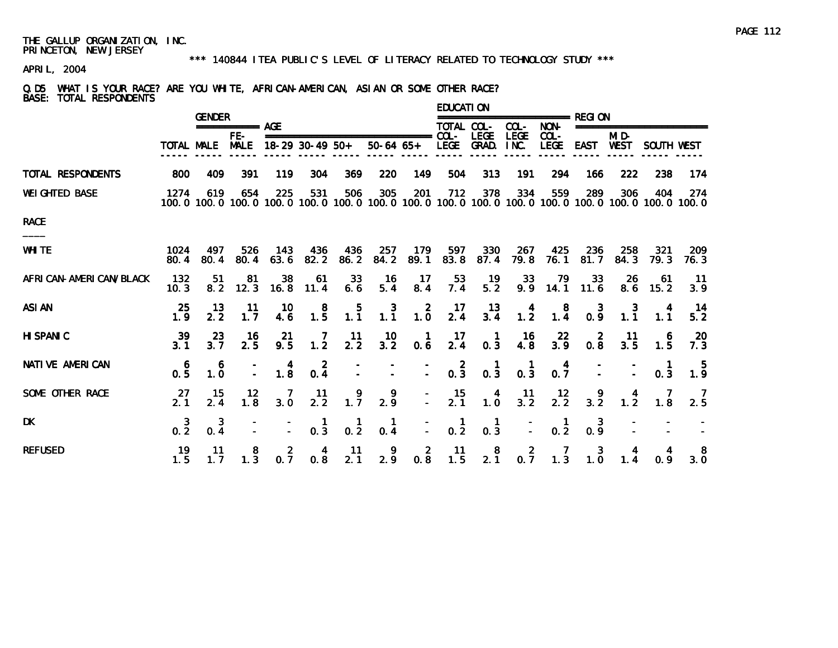### \*\*\* 140844 ITEA PUBLIC'S LEVEL OF LITERACY RELATED TO TECHNOLOGY STUDY \*\*\*

APRIL, 2004

### Q.D5 WHAT IS YOUR RACE? ARE YOU WHITE, AFRICAN-AMERICAN, ASIAN OR SOME OTHER RACE? BASE: TOTAL RESPONDENTS

|                          |                      |             | <b>GENDER</b>          |                                         |                                                  |                  |                     |                                        | EDUCATI ON             |                                                  |                                          |                                              |                       |                                                  |                                                                                                              |                        |
|--------------------------|----------------------|-------------|------------------------|-----------------------------------------|--------------------------------------------------|------------------|---------------------|----------------------------------------|------------------------|--------------------------------------------------|------------------------------------------|----------------------------------------------|-----------------------|--------------------------------------------------|--------------------------------------------------------------------------------------------------------------|------------------------|
|                          |                      |             | =========== AGE<br>FE- |                                         |                                                  |                  |                     |                                        | TOTAL COL-             | <b>LEGE</b>                                      | COL-                                     | NON-<br>$COL -$                              |                       | MI D-                                            | ==================                                                                                           |                        |
|                          | <b>TOTAL MALE</b>    |             | <b>MALE</b>            |                                         | $18-29$ 30-49 50+                                |                  | $50-64$ 65+         |                                        | LEGE GRAD.             |                                                  | <b>LEGE</b><br>INC.                      | <b>LEGE</b>                                  | EAST                  | WEST                                             | SOUTH WEST                                                                                                   |                        |
| <b>TOTAL RESPONDENTS</b> | 800                  | 409         | 391                    | 119                                     | 304                                              | 369              | 220                 | 149                                    | 504                    | 313                                              | 191                                      | 294                                          | 166                   | 222                                              | 238                                                                                                          | 174                    |
| <b>WEI GHTED BASE</b>    | 1274                 | 619         | 654                    | 225                                     | 531                                              | 506              | 305                 | 201                                    | 712                    | 378                                              | 334                                      | 559                                          | 289                   | 306                                              | 404<br>100.0 100.0 100.0 100.0 100.0 100.0 100.0 100.0 100.0 100.0 100.0 100.0 100.0 100.0 100.0 100.0 100.0 | 274                    |
| <b>RACE</b>              |                      |             |                        |                                         |                                                  |                  |                     |                                        |                        |                                                  |                                          |                                              |                       |                                                  |                                                                                                              |                        |
| <b>WHITE</b>             | 1024<br>80.4         | 497<br>80.4 | 526<br>80.4            | 143<br>63.6                             | 436<br>82.2                                      | 436<br>86.2      | 257<br>84.2         | 179<br>89.1                            | 597<br>83.8            | 330<br>87.4                                      | 267<br>79.8                              | 425<br>76.1                                  | 236<br>81.7           | 258<br>84.3                                      | 321<br>79.3                                                                                                  | <b>209</b><br>76.3     |
| AFRI CAN-AMERI CAN/BLACK | 132<br>10.3          | -51<br>8.2  | 81<br>12.3             | 38<br>16.8                              | 61<br>11.4                                       | 33<br>6.6        | 16<br>5.4           | 17<br>8.4                              | 53<br>7.4              | $\frac{19}{5.2}$                                 | 33<br>9.9                                | $\begin{array}{c} \n79 \\ 14.1\n\end{array}$ | 33<br>11.6            | 26<br>8.6                                        | 61<br>15.2                                                                                                   | 11<br>3.9              |
| <b>ASI AN</b>            | 25<br>1.9            | 13<br>2.2   | -11<br>1.7             | 10<br>4.6                               | 8<br>$1.\overline{5}$                            | 1.5              | $\frac{3}{1.1}$     | $\frac{2}{1.0}$                        | -17<br>2.4             | 13<br>$3.\overline{4}$                           | $\frac{4}{1.2}$                          | $\begin{smallmatrix}8\\1.4\end{smallmatrix}$ | 0.9                   | $\begin{smallmatrix} 3 \\ 1.1 \end{smallmatrix}$ | 1.1                                                                                                          | 14<br>$5.\overline{2}$ |
| <b>HI SPANIC</b>         | 39<br>3 <sub>1</sub> | 23<br>3.7   | $\frac{16}{2.5}$       | $21$<br>9.5                             | $\frac{7}{1.2}$                                  | $\frac{11}{2.2}$ | $\frac{10}{3.2}$    | $\begin{matrix} 1 \\ 0.6 \end{matrix}$ | $\frac{17}{2.4}$       | $\begin{matrix} 1 \\ 0.3 \end{matrix}$           | $\begin{array}{c} 16 \\ 4.8 \end{array}$ | $\frac{22}{3.9}$                             | $0.\overline{8}$      | $\frac{11}{3.5}$                                 | 6<br>$1.\overline{5}$                                                                                        | $\frac{20}{7.3}$       |
| <b>NATI VE AMERICAN</b>  | $0.\frac{6}{5}$      | 6<br>1.0    |                        | $\begin{array}{c} 4 \\ 1.8 \end{array}$ | $0.\frac{2}{4}$                                  |                  |                     | $\overline{\mathbb{Z}}$                | $0.\overline{3}$       | $\begin{smallmatrix} 1 \\ 0.3 \end{smallmatrix}$ | $\begin{matrix} 1 \\ 0.3 \end{matrix}$   | $0.\overline{7}$                             |                       |                                                  | 0.3                                                                                                          | $\frac{5}{1.9}$        |
| SOME OTHER RACE          | $\frac{27}{2.1}$     | 15<br>2.4   | $\frac{12}{1.8}$       | $\begin{array}{c} 7 \\ 3.0 \end{array}$ | 11<br>2.2                                        | 1.7              | 9<br>2.9            |                                        | 15<br>$2.\overline{1}$ | $\begin{array}{c} 4 \\ 1.0 \end{array}$          | $\frac{11}{3.2}$                         | $\frac{12}{2.2}$                             | $\frac{9}{3.2}$       | $\frac{4}{1.2}$                                  | $\frac{7}{1.8}$                                                                                              | $\frac{7}{2.5}$        |
| <b>DK</b>                | $0.\overline{2}$     | 3<br>0.4    |                        |                                         | $\begin{smallmatrix} 1 \\ 0.3 \end{smallmatrix}$ | $\frac{1}{0.2}$  | $\mathbf{1}$<br>0.4 | Ē.                                     | 0.2                    | 0.3                                              |                                          | 0.2                                          | 3<br>$0.\overline{9}$ |                                                  |                                                                                                              |                        |
| <b>REFUSED</b>           | 19<br>1.5            | 11<br>1.7   | 8<br>1.3               | $0.\overline{7}$                        | 4<br>0.8                                         | -11<br>2.1       | 2.9                 | $0.\overline{8}$                       | -11<br>1.5             | 8<br>$2.\overline{1}$                            | $0.\overline{7}$                         | 1.3                                          | 3<br>1.0              | 1.4                                              | 0.9                                                                                                          | 8<br>3.0               |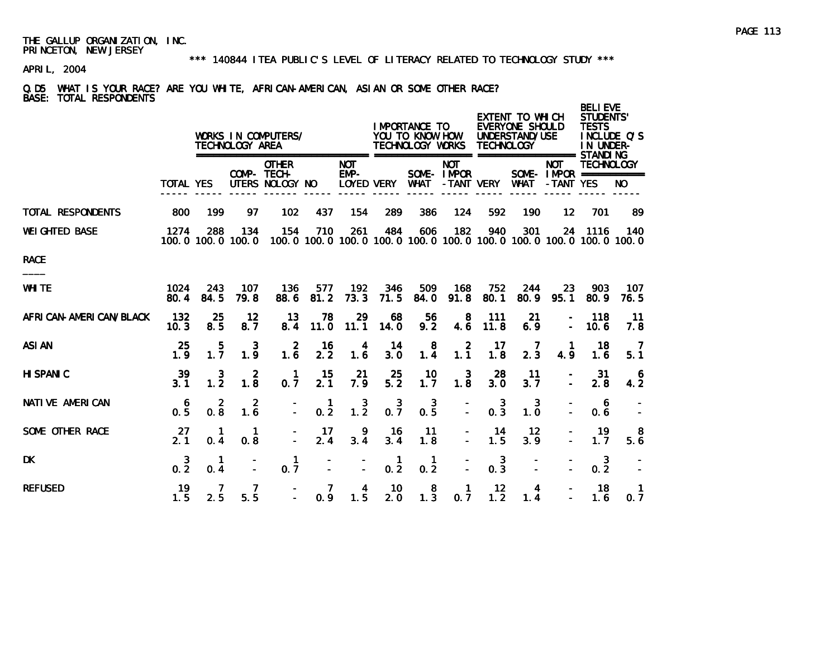### \*\*\* 140844 ITEA PUBLIC'S LEVEL OF LITERACY RELATED TO TECHNOLOGY STUDY \*\*\*

APRIL, 2004

### Q.D5 WHAT IS YOUR RACE? ARE YOU WHITE, AFRICAN-AMERICAN, ASIAN OR SOME OTHER RACE? BASE: TOTAL RESPONDENTS

|                          |                       |                       | TECHNOLOGY AREA          | WORKS IN COMPUTERS/<br>========================= |             |                    |                     | I MPORTANCE TO<br>YOU TO KNOW HOW<br>TECHNOLOGY WORKS |                           | TECHNOLOGY          | EXTENT TO WHICH<br>EVERYONE SHOULD<br>UNDERSTAND/USE |                   | <b>BELI EVE</b><br><b>STUDENTS'</b><br><b>TESTS</b><br>IN UNDER- | INCLUDE O'S                                                              |
|--------------------------|-----------------------|-----------------------|--------------------------|--------------------------------------------------|-------------|--------------------|---------------------|-------------------------------------------------------|---------------------------|---------------------|------------------------------------------------------|-------------------|------------------------------------------------------------------|--------------------------------------------------------------------------|
|                          | <b>TOTAL YES</b>      |                       |                          | <b>OTHER</b><br>COMP- TECH-<br>UTERS NOLOGY NO   |             | <b>NOT</b><br>EMP- | LOYED VERY          | <b>WHAT</b>                                           | <b>NOT</b><br>SOME- IMPOR | -TANT VERY          | WHAT                                                 | NOT<br>-TANT YES  | <b>TECHNOLOGY</b>                                                | NO.                                                                      |
| <b>TOTAL RESPONDENTS</b> | 800                   | 199                   | 97                       | 102                                              | 437         | 154                | 289                 | 386                                                   | 124                       | 592                 | 190                                                  | 12 <sup>2</sup>   | 701                                                              | 89                                                                       |
| <b>WEI GHTED BASE</b>    | 1274                  | 288                   | 134<br>100.0 100.0 100.0 | 154                                              | 710         | 261                | 484                 | 606                                                   | 182                       | 940                 | 301                                                  |                   | 24 1116                                                          | 140<br>100.0 100.0 100.0 100.0 100.0 100.0 100.0 100.0 100.0 100.0 100.0 |
| <b>RACE</b>              |                       |                       |                          |                                                  |             |                    |                     |                                                       |                           |                     |                                                      |                   |                                                                  |                                                                          |
| <b>WHITE</b>             | 1024<br>80.4          | 243<br>84.5           | 107<br>79.8              | 136<br>88.6                                      | 577<br>81.2 | 192<br>73.3        | 346<br>71.5         | 509<br>84.0                                           | 168<br>91.8               | 752<br>80.1         | 244<br>80.9                                          | <b>23</b><br>95.1 | 903<br>80.9                                                      | 107<br>76.5                                                              |
| AFRI CAN-AMERI CAN/BLACK | 132<br>10.3           | 25<br>8.5             | 12<br>8.7                | 13<br>8.4                                        | 78<br>11.0  | 29<br>11.1         | 68<br>14.0          | 56<br>9.2                                             | 8<br>4.6                  | 111<br>11.8         | 21<br>6.9                                            |                   | 118<br>10.6                                                      | 11<br>7.8                                                                |
| <b>ASI AN</b>            | 25<br>1.9             | 5<br>$1.\overline{7}$ | 3<br>1.9                 | $\mathbf{2}$<br>1.6                              | 16<br>2.2   | 4<br>1.6           | 14<br>3.0           | 8<br>$1.\overline{4}$                                 | 2<br>1.1                  | 17<br>1.8           | 2.3                                                  | 4.9               | 18<br>1.6                                                        | $\overline{7}$<br>5.1                                                    |
| <b>HI SPANIC</b>         | 39<br>3.1             | 3<br>$1.\overline{2}$ | $\overline{2}$<br>1.8    | $\mathbf{1}$<br>0.7                              | 15<br>2.1   | 21<br>7.9          | 25<br>5.2           | 10<br>1.7                                             | $\overline{3}$<br>1.8     | 28<br>3.0           | 11<br>3.7                                            |                   | -31<br>2.8                                                       | -6<br>4.2                                                                |
| <b>NATIVE AMERICAN</b>   | 6<br>$0.\overline{5}$ | 2<br>0.8              | 2<br>1.6                 | $\overline{a}$                                   | -1<br>0.2   | $1.\overline{2}$   | $0.\overline{7}$    | 3<br>$0.\bar{5}$                                      |                           | 3<br>0.3            | 3<br>1.0                                             |                   | 6<br>0.6                                                         |                                                                          |
| SOME OTHER RACE          | 27<br>2.1             | 0.4                   | 1<br>0.8                 |                                                  | 17<br>2.4   | 9<br>3.4           | 16<br>3.4           | 11<br>1.8                                             | $\equiv$                  | 14<br>1.5           | 12<br>3.9                                            |                   | 19<br>1.7                                                        | 8<br>5.6                                                                 |
| <b>DK</b>                | $0.\frac{3}{2}$       | 0.4                   |                          | 1<br>0.7                                         |             | $\overline{a}$     | $\mathbf{1}$<br>0.2 | 1<br>0.2                                              |                           | $\mathbf{3}$<br>0.3 |                                                      |                   | 3<br>0.2                                                         |                                                                          |
| <b>REFUSED</b>           | 19<br>1.5             | 2.5                   | 5.5                      |                                                  | 7<br>0.9    | 4<br>1.5           | 10<br>2.0           | 8<br>$1.\overline{3}$                                 | $\mathbf{1}$<br>0.7       | 12<br>1.2           | 4<br>1.4                                             |                   | 18<br>1.6                                                        | 0.7                                                                      |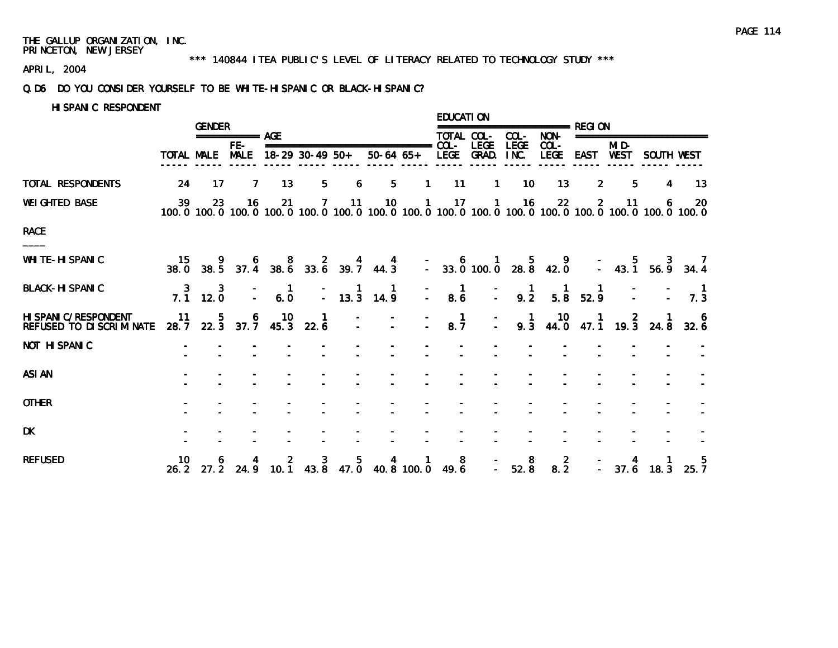### \*\*\* 140844 ITEA PUBLIC'S LEVEL OF LITERACY RELATED TO TECHNOLOGY STUDY \*\*\*

APRIL, 2004

### Q.D6 DO YOU CONSIDER YOURSELF TO BE WHITE-HISPANIC OR BLACK-HISPANIC?

HISPANIC RESPONDENT

|                                                     |    |                                                        | <b>GENDER</b>        |                                                  |                                         |   |                                                                                                     |              | EDUCATI ON                          |                                   |                                                   |                                              |                |                     |            |                                                                                                                                                                                                                                                                                   |
|-----------------------------------------------------|----|--------------------------------------------------------|----------------------|--------------------------------------------------|-----------------------------------------|---|-----------------------------------------------------------------------------------------------------|--------------|-------------------------------------|-----------------------------------|---------------------------------------------------|----------------------------------------------|----------------|---------------------|------------|-----------------------------------------------------------------------------------------------------------------------------------------------------------------------------------------------------------------------------------------------------------------------------------|
|                                                     |    |                                                        | $== == == == ==$ AGE |                                                  |                                         |   |                                                                                                     |              | TOTAL COL-                          |                                   | COL-                                              | NON-                                         |                | =================== |            |                                                                                                                                                                                                                                                                                   |
|                                                     |    | <b>TOTAL MALE</b>                                      | FE-                  |                                                  | MALE 18-29 30-49 50+                    |   |                                                                                                     |              |                                     | LEGE<br>50-64 65+ LEGE GRAD. INC. | <b>LEGE</b>                                       | $COL -$                                      | LEGE EAST WEST | MI D-               | SOUTH WEST |                                                                                                                                                                                                                                                                                   |
| <b>TOTAL RESPONDENTS</b>                            | 24 | 17                                                     | 7                    | 13                                               | 5.                                      | 6 | 5 <sub>5</sub>                                                                                      | $\mathbf{1}$ | 11                                  | $\mathbf{1}$                      | 10                                                | 13                                           | $\overline{2}$ | 5                   | 4          | 13                                                                                                                                                                                                                                                                                |
| <b>WEIGHTED BASE</b>                                |    |                                                        |                      |                                                  |                                         |   |                                                                                                     |              |                                     |                                   |                                                   |                                              |                |                     |            | $\begin{array}{cccccccc} 39 & 23 & 16 & 21 & 7 & 11 & 10 & 1 & 17 & 1 & 16 & 22 & 2 & 11 & 6 & 20 \\ 100. 0 & 100. 0 & 100. 0 & 100. 0 & 100. 0 & 100. 0 & 100. 0 & 100. 0 & 100. 0 & 100. 0 & 100. 0 & 100. 0 & 100. 0 & 100. 0 & 100. 0 & 100. 0 & 100. 0 & 100. 0 & 100. 0 & $ |
| <b>RACE</b>                                         |    |                                                        |                      |                                                  |                                         |   |                                                                                                     |              |                                     |                                   |                                                   |                                              |                |                     |            |                                                                                                                                                                                                                                                                                   |
| <b>WHI TE-HI SPANIC</b>                             |    |                                                        |                      |                                                  |                                         |   |                                                                                                     |              |                                     |                                   |                                                   |                                              |                |                     |            | 15  9  6  8  2  4  4  -  6  1  5  9 -  5  3  7<br>38.0  38.5  37.4  38.6  33.6  39.7  44.3  -  33.0  100.0  28.8  42.0 -  43.1  56.9  34.4                                                                                                                                        |
| <b>BLACK-HI SPANIC</b>                              |    | $\begin{array}{ccc} & 3 & 3 \\ 7.1 & 12.0 \end{array}$ |                      | $\begin{bmatrix} - & 1 \\ - & 6.0 \end{bmatrix}$ |                                         |   | $\begin{array}{cccc} - & 1 & 1 \\ - & 13.3 & 14.9 \end{array}$                                      |              | $\blacksquare$<br>$\frac{1}{2}$ 8.6 |                                   | $-$ 1 1 1<br>$-$ 9.2 5.8 52.9                     |                                              |                |                     |            | $\frac{1}{7.3}$                                                                                                                                                                                                                                                                   |
| HI SPANI C/RESPONDENT<br>REFUSED TO DI SCRI MI NATE |    |                                                        |                      |                                                  | 11 5 6 10 1<br>28.7 22.3 37.7 45.3 22.6 |   |                                                                                                     |              | $\blacksquare$<br>8.7               | $\mathbb{Z}$                      |                                                   |                                              |                |                     |            | 1 10 1 2 1 6<br>9.3 44.0 47.1 19.3 24.8 32.6                                                                                                                                                                                                                                      |
| <b>NOT HI SPANIC</b>                                |    |                                                        |                      |                                                  |                                         |   |                                                                                                     |              |                                     |                                   |                                                   |                                              |                |                     |            |                                                                                                                                                                                                                                                                                   |
| <b>ASI AN</b>                                       |    |                                                        |                      |                                                  |                                         |   |                                                                                                     |              |                                     |                                   |                                                   |                                              |                |                     |            |                                                                                                                                                                                                                                                                                   |
| <b>OTHER</b>                                        |    |                                                        |                      |                                                  |                                         |   |                                                                                                     |              |                                     |                                   |                                                   |                                              |                |                     |            |                                                                                                                                                                                                                                                                                   |
| <b>DK</b>                                           |    |                                                        |                      |                                                  |                                         |   |                                                                                                     |              |                                     |                                   |                                                   |                                              |                |                     |            |                                                                                                                                                                                                                                                                                   |
| <b>REFUSED</b>                                      |    |                                                        |                      |                                                  |                                         |   | 10   6   4   2   3   5   4   1   8<br>26.2   27.2   24.9   10.1   43.8   47.0   40.8   100.0   49.6 |              |                                     |                                   | $\begin{array}{cc} - & 8 \\ - & 52.8 \end{array}$ | $\begin{smallmatrix}2\\8.2\end{smallmatrix}$ |                |                     |            | $-$ 4 1 5<br>$-$ 37.6 18.3 25.7                                                                                                                                                                                                                                                   |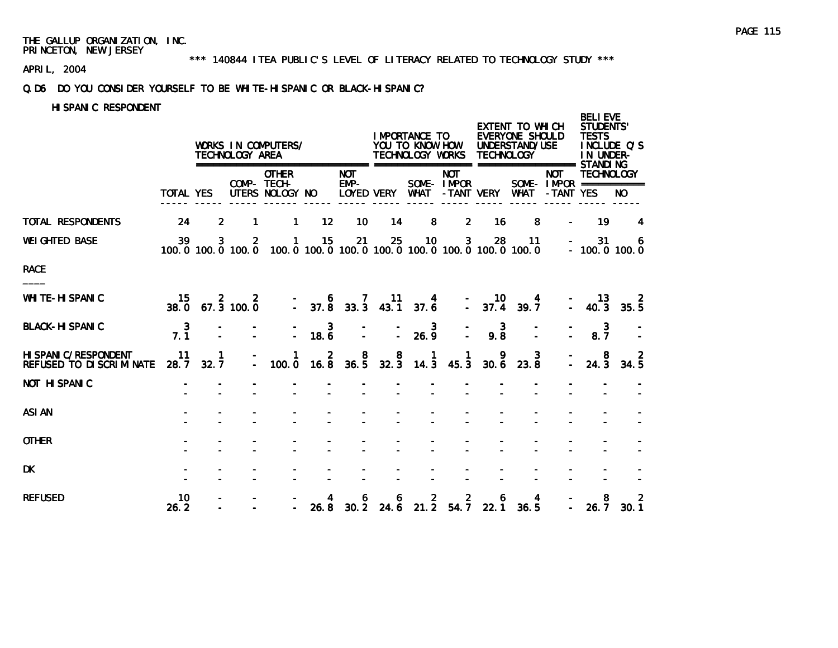\*\*\* 140844 ITEA PUBLIC'S LEVEL OF LITERACY RELATED TO TECHNOLOGY STUDY \*\*\*

APRIL, 2004

### Q.D6 DO YOU CONSIDER YOURSELF TO BE WHITE-HISPANIC OR BLACK-HISPANIC?

### HISPANIC RESPONDENT

|                                                           |                  |                      | TECHNOLOGY AREA                 | WORKS IN COMPUTERS/                                                               |                                          |                      |                                      | I MPORTANCE TO<br>YOU TO KNOW HOW<br>TECHNOLOGY WORKS |                           | <b>TECHNOLOGY</b>                             | EXTENT TO WHICH<br><b>EVERYONE SHOULD</b><br>UNDERSTAND/USE |                                                     | <b>BELI EVE</b><br><b>STUDENTS'</b><br><b>TESTS</b><br>IN UNDER- | INCLUDE Q'S        |
|-----------------------------------------------------------|------------------|----------------------|---------------------------------|-----------------------------------------------------------------------------------|------------------------------------------|----------------------|--------------------------------------|-------------------------------------------------------|---------------------------|-----------------------------------------------|-------------------------------------------------------------|-----------------------------------------------------|------------------------------------------------------------------|--------------------|
|                                                           | <b>TOTAL YES</b> |                      |                                 | <b>OTHER</b><br>COMP- TECH-<br>UTERS NOLOGY NO                                    |                                          | <b>NOT</b><br>$EMP-$ | LOYED VERY WHAT                      |                                                       | <b>NOT</b><br>SOME- IMPOR | -TANT VERY                                    | WHAT                                                        | <b>NOT</b><br>SOME - IMPOR ===========<br>-TANT YES | <b>TECHNOLOGY</b>                                                | NO.                |
| TOTAL RESPONDENTS                                         | 24               | $\overline{2}$       | 1                               | $\mathbf{1}$                                                                      | $12 \overline{ }$                        | 10 <sup>°</sup>      | 14                                   | 8                                                     | $\overline{2}$            | 16                                            | 8                                                           |                                                     | 19                                                               | 4                  |
| <b>WEI GHTED BASE</b>                                     | 39               | 3                    | $\overline{2}$                  | $\mathbf{1}$<br>100.0 100.0 100.0 100.0 100.0 100.0 100.0 100.0 100.0 100.0 100.0 | 15                                       | 21                   | 25                                   | 10 <sub>1</sub>                                       | 3 <sub>z</sub>            | 28                                            | 11                                                          |                                                     | 31                                                               | 6<br>$-100.0100.0$ |
| <b>RACE</b>                                               |                  |                      |                                 |                                                                                   |                                          |                      |                                      |                                                       |                           |                                               |                                                             |                                                     |                                                                  |                    |
| <b>WHI TE-HI SPANIC</b>                                   | 15               |                      | $15$ $2$ $2$<br>38.0 67.3 100.0 |                                                                                   | $-$ 6 7 11 4<br>$-$ 37.8 33.3 43.1 37.6  |                      |                                      |                                                       |                           | $-$ 10<br>$-$ 37.4                            | 4<br>39.7                                                   |                                                     | 13<br>$-40.3$                                                    | 35.5               |
| <b>BLACK-HI SPANIC</b>                                    | $7.\overline{1}$ |                      |                                 | D.                                                                                | $\begin{array}{c} 3 \\ 18.6 \end{array}$ | $\Delta$             | $\mathbb{Z}$                         | $\frac{3}{26.9}$                                      |                           | $\overline{\mathbf{3}}$<br>$9.\,\overline{8}$ |                                                             |                                                     | $\mathbf{3}$<br>8.7                                              |                    |
| HI SPANI C/RESPONDENT<br><b>REFUSED TO DI SCRIMI NATE</b> | 11<br>28.7       | $\mathbf{1}$<br>32.7 |                                 | 1<br>100.0                                                                        | $\overline{2}$<br>16.8                   | 8<br>36.5            | $\begin{array}{c}8\\32.3\end{array}$ | $\mathbf{1}$<br>14.3                                  | 1.<br>45.3                | 9<br>30.6                                     | 3<br>23.8                                                   |                                                     | 8<br>24.3                                                        | 34.5               |
| <b>NOT HI SPANIC</b>                                      |                  |                      |                                 |                                                                                   |                                          |                      |                                      |                                                       |                           |                                               |                                                             |                                                     |                                                                  |                    |
| <b>ASI AN</b>                                             |                  |                      |                                 |                                                                                   |                                          |                      |                                      |                                                       |                           |                                               |                                                             |                                                     |                                                                  |                    |
| <b>OTHER</b>                                              |                  |                      |                                 |                                                                                   |                                          |                      |                                      |                                                       |                           |                                               |                                                             |                                                     |                                                                  |                    |
| <b>DK</b>                                                 |                  |                      |                                 |                                                                                   |                                          |                      |                                      |                                                       |                           |                                               |                                                             |                                                     |                                                                  |                    |
| <b>REFUSED</b>                                            | 10<br>26.2       |                      |                                 |                                                                                   | 26.8                                     |                      |                                      |                                                       |                           |                                               | 6 6 2 2 6 4<br>30.2 24.6 21.2 54.7 22.1 36.5                |                                                     | 8<br>26.7                                                        | 2<br>30.1          |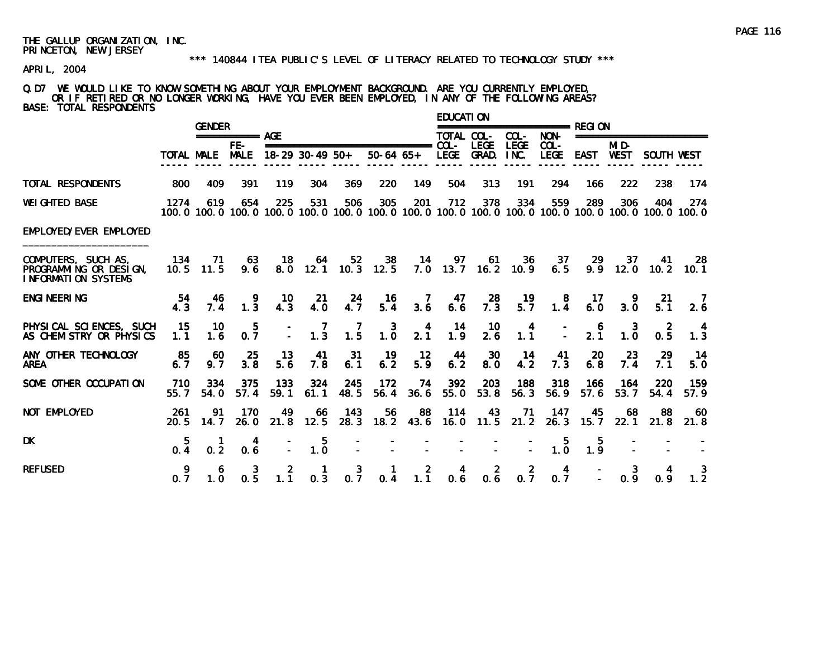APRIL, 2004

### Q.D7 WE WOULD LIKE TO KNOW SOMETHING ABOUT YOUR EMPLOYMENT BACKGROUND. ARE YOU CURRENTLY EMPLOYED, OR IF RETIRED OR NO LONGER WORKING, HAVE YOU EVER BEEN EMPLOYED, IN ANY OF THE FOLLOWING AREAS? BASE: TOTAL RESPONDENTS

|                                                                             |             | <b>GENDER</b>     |                       |                        |                                                  |                  |                          |                 | EDUCATI ON  |                            |                                                  |                                                  |                       |                                                  |                          |                                                                                                              |
|-----------------------------------------------------------------------------|-------------|-------------------|-----------------------|------------------------|--------------------------------------------------|------------------|--------------------------|-----------------|-------------|----------------------------|--------------------------------------------------|--------------------------------------------------|-----------------------|--------------------------------------------------|--------------------------|--------------------------------------------------------------------------------------------------------------|
|                                                                             |             |                   | ============ AGF      |                        |                                                  |                  |                          |                 | TOTAL COL-  |                            | COL-                                             | NON-                                             |                       |                                                  | ======================== |                                                                                                              |
|                                                                             | TOTAL MALE  |                   | FE-<br><b>MALE</b>    |                        | $18-29$ 30-49 50+                                |                  | $50-64$ $65+$            |                 |             | LEGE GRAD.                 | <b>LEGE</b><br>INC.                              | $COL -$<br><b>LEGE</b>                           | <b>EAST</b>           | MID-<br><b>WEST</b>                              | SOUTH WEST               |                                                                                                              |
| <b>TOTAL RESPONDENTS</b>                                                    | 800         | 409               | 391                   | 119                    | 304                                              | 369              | 220                      | 149             | 504         | 313                        | 191                                              | 294                                              | 166                   | 222                                              | 238                      | 174                                                                                                          |
| <b>WEI GHTED BASE</b>                                                       | 1274        | 619               | 654                   | 225                    | 531                                              | 506              | 305                      | 201             | 712         | 378                        | 334                                              | 559                                              | 289                   | 306                                              | 404                      | 274<br>100.0 100.0 100.0 100.0 100.0 100.0 100.0 100.0 100.0 100.0 100.0 100.0 100.0 100.0 100.0 100.0 100.0 |
| EMPLOYED/EVER EMPLOYED                                                      |             |                   |                       |                        |                                                  |                  |                          |                 |             |                            |                                                  |                                                  |                       |                                                  |                          |                                                                                                              |
| COMPUTERS, SUCH AS,<br>PROGRAMMING OR DESIGN,<br><b>INFORMATION SYSTEMS</b> | 134         | 71<br>$10.5$ 11.5 | 63<br>9.6             | 18                     | -64                                              | 52               | 38<br>8.0 12.1 10.3 12.5 | $\overline{14}$ | 97          | 61<br>$7.0$ 13.7 16.2 10.9 | -36                                              | 37<br>6.5                                        | 29                    | 37                                               | -41<br>$9.9$ 12.0 10.2   | -28<br>10.1                                                                                                  |
| <b>ENGI NEERI NG</b>                                                        | 54<br>4.3   | -46<br>7.4        | 9<br>1.3              | 10<br>$4.\overline{3}$ | -21<br>4.0                                       | $\frac{24}{4.7}$ | -16<br>$5.\overline{4}$  | - 7<br>3.6      | 47<br>6.6   | $\frac{28}{7.3}$           | $\frac{19}{5.7}$                                 | $\begin{smallmatrix}8\\1.4\end{smallmatrix}$     | 17<br>6.0             | $\frac{9}{3.0}$                                  | -21<br>5.1               | $\overline{7}$<br>2.6                                                                                        |
| PHYSICAL SCIENCES, SUCH<br>AS CHEMISTRY OR PHYSICS                          | 15<br>1.1   | 10<br>1.6         | 5<br>0.7              | $\mathbb{I}$           | $\overline{7}$<br>$1.\overline{3}$               | $\frac{7}{1.5}$  | $1.\overline{0}$         | $\frac{4}{2.1}$ | 14<br>1.9   | 10<br>$2.\overline{6}$     | $\begin{smallmatrix} 4 \\ 1.1 \end{smallmatrix}$ |                                                  | $\frac{6}{2.1}$       | $\begin{smallmatrix} 3 \\ 1.0 \end{smallmatrix}$ | $\overline{2}$<br>0.5    | 1.3                                                                                                          |
| ANY OTHER TECHNOLOGY<br><b>AREA</b>                                         | 85<br>6.7   | 60<br>9.7         | 25<br>3.8             | 13<br>5.6              | 41<br>7.8                                        | 31<br>6.1        | -19<br>6.2               | 12<br>5.9       | 44<br>6.2   | <b>30</b><br>8.0           | 14<br>4.2                                        | 41<br>7.3                                        | 20<br>6.8             | 23<br>7.4                                        | 29<br>7.1                | 14<br>5.0                                                                                                    |
| SOME OTHER OCCUPATION                                                       | 710<br>55.7 | 334<br>54.0       | 375<br>57.4           | 133<br>59.1            | 324<br>61.1                                      | 245<br>48.5      | - 172<br>56.4            | - 74<br>36.6    | 392<br>55.0 | 203<br>53.8                | 188<br>56.3                                      | 318<br>56.9                                      | 166<br>57.6           | 164<br>53.7                                      | 220<br>54.4              | 159<br>57.9                                                                                                  |
| NOT EMPLOYED                                                                | 261<br>20.5 | 91<br>14.7        | 170<br>26.0           | 49<br>21.8             | 66<br>12.5                                       | - 143<br>28.3    | 56<br>18.2               | 88<br>43.6      | 114         | 43<br>$16.0$ 11.5          | 71<br>21.2                                       | 147<br>26.3                                      | 45<br>15.7            | 68<br>22.1                                       | 88<br>21.8               | 60<br>21.8                                                                                                   |
| <b>DK</b>                                                                   | 5<br>0.4    | 0.2               | 4<br>0.6              |                        | $\begin{smallmatrix} 5 \\ 1.0 \end{smallmatrix}$ |                  |                          |                 |             |                            |                                                  | $\begin{smallmatrix} 5 \\ 1.0 \end{smallmatrix}$ | 5<br>$1.\overline{9}$ |                                                  |                          |                                                                                                              |
| <b>REFUSED</b>                                                              | 0.7         | 6<br>1.0          | 3<br>$0.\overline{5}$ | 2<br>1.1               | 0.3                                              | 3<br>0.7         | 0.4                      | 2<br>1.1        | 4<br>0.6    | $\overline{2}$<br>0.6      | $\overline{2}$<br>0.7                            | $\overline{a}$<br>0.7                            |                       | 3<br>0.9                                         | 0.9                      | $1.\overline{2}$                                                                                             |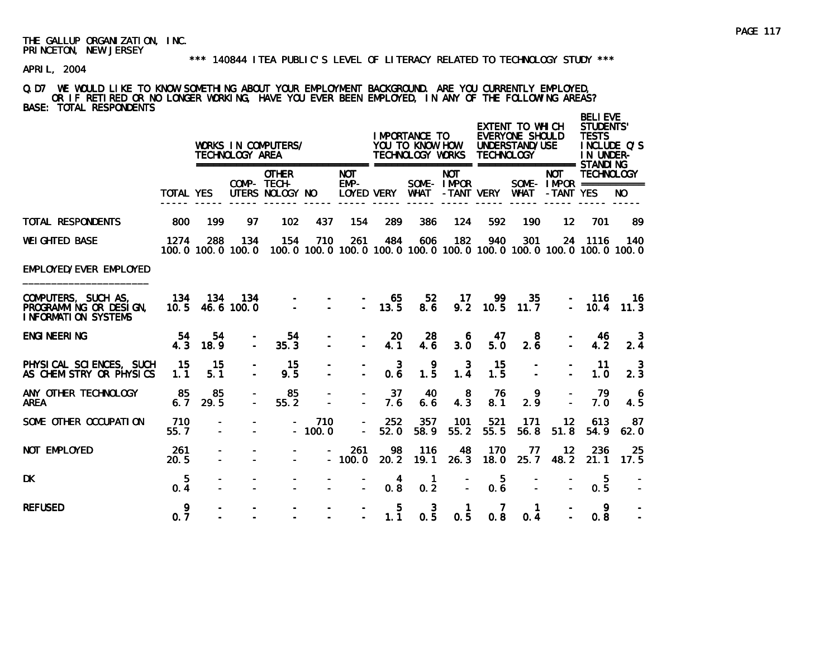### \*\*\* 140844 ITEA PUBLIC'S LEVEL OF LITERACY RELATED TO TECHNOLOGY STUDY \*\*\*

APRIL, 2004

### Q.D7 WE WOULD LIKE TO KNOW SOMETHING ABOUT YOUR EMPLOYMENT BACKGROUND. ARE YOU CURRENTLY EMPLOYED, OR IF RETIRED OR NO LONGER WORKING, HAVE YOU EVER BEEN EMPLOYED, IN ANY OF THE FOLLOWING AREAS? BASE: TOTAL RESPONDENTS

|                                                                             |                  |                 | TECHNOLOGY AREA          | WORKS IN COMPUTERS/                                                                 |                 |                                    |                       | I MPORTANCE TO<br>YOU TO KNOW HOW<br>TECHNOLOGY WORKS |                          | <b>TECHNOLOGY</b> | <b>EXTENT TO WHICH</b><br>EVERYONE SHOULD<br>UNDERSTAND/USE |                         | <b>BELI EVE</b><br><b>STUDENTS'</b><br><b>TESTS</b><br>INCLUDE O'S<br>IN UNDER- |             |
|-----------------------------------------------------------------------------|------------------|-----------------|--------------------------|-------------------------------------------------------------------------------------|-----------------|------------------------------------|-----------------------|-------------------------------------------------------|--------------------------|-------------------|-------------------------------------------------------------|-------------------------|---------------------------------------------------------------------------------|-------------|
|                                                                             | <b>TOTAL YES</b> |                 |                          | <b>OTHER</b><br>COMP- TECH-<br>UTERS NOLOGY NO                                      |                 | <b>NOT</b><br>$EMP-$<br>LOYED VERY |                       | <b>WHAT</b>                                           | <b>NOT</b><br>SOME-IMPOR | -TANT VERY        | <b>WHAT</b>                                                 | <b>NOT</b><br>-TANT YES | <b>TECHNOLOGY</b><br>SOME - IMPOR ===========                                   | NO.         |
| <b>TOTAL RESPONDENTS</b>                                                    | 800              | 199             | 97                       | 102                                                                                 | 437             | 154                                | 289                   | 386                                                   | 124                      | 592               | 190                                                         | 12                      | 701                                                                             | 89          |
| <b>WEI GHTED BASE</b>                                                       | 1274             | 288             | 134<br>100.0 100.0 100.0 | 154<br>100, 0 100, 0 100, 0 100, 0 100, 0 100, 0 100, 0 100, 0 100, 0 100, 0 100, 0 | 710             | 261                                | 484                   | 606                                                   | 182                      | 940               | 301                                                         |                         | 24 1116                                                                         | 140         |
| EMPLOYED/EVER EMPLOYED                                                      |                  |                 |                          |                                                                                     |                 |                                    |                       |                                                       |                          |                   |                                                             |                         |                                                                                 |             |
| COMPUTERS, SUCH AS,<br>PROGRAMMING OR DESIGN,<br><b>INFORMATION SYSTEMS</b> | 134              | 10.5 46.6 100.0 | 134 134                  |                                                                                     |                 | $\Delta$                           | 65<br>13.5            | 52 <sub>2</sub><br>8.6                                | 17<br>9.2                | 99<br>10.5        | 35<br>11.7                                                  | $\equiv$                | 116<br>10.4                                                                     | 16.<br>11.3 |
| <b>ENGI NEERI NG</b>                                                        | -54<br>4.3       | 54<br>18.9      |                          | 54<br>35.3                                                                          |                 |                                    | <b>20</b><br>4.1      | 28<br>4.6                                             | 6<br>3.0                 | 47<br>5.0         | 8<br>2.6                                                    |                         | 46<br>4.2                                                                       | 3<br>2.4    |
| PHYSICAL SCIENCES, SUCH<br>AS CHEMISTRY OR PHYSICS                          | 15<br>1.1        | 15<br>5.1       |                          | 15<br>9.5                                                                           |                 |                                    | $\mathbf{3}$<br>0.6   | $\begin{smallmatrix} 9 \\ 1.5 \end{smallmatrix}$      | 3<br>$1.\overline{4}$    | 15<br>1.5         |                                                             |                         | -11<br>1.0                                                                      | -3<br>2.3   |
| ANY OTHER TECHNOLOGY<br><b>AREA</b>                                         | 85<br>6.7        | 85<br>29.5      |                          | 85<br>55.2                                                                          |                 |                                    | 37<br>7.6             | 40<br>6.6                                             | 8<br>4.3                 | 76<br>8.1         | 9<br>2.9                                                    |                         | 79<br>7.0                                                                       | -6<br>4.5   |
| SOME OTHER OCCUPATION                                                       | 710<br>55.7      |                 |                          |                                                                                     | 710<br>$-100.0$ | $\sim$                             | 252<br>52.0           | 357<br>58.9                                           | 101<br>55.2              | 521<br>55.5       | 171<br>56.8                                                 | 12<br>51.8              | 613<br>54.9                                                                     | 87<br>62.0  |
| NOT EMPLOYED                                                                | 261<br>20.5      |                 |                          |                                                                                     |                 | 261<br>$-100.0$                    | 98<br>20.2            | 116<br>19.1                                           | 48<br>26.3               | 170<br>18.0       | 77<br>25.7                                                  | 12<br>48.2              | 236<br>21.1                                                                     | 25<br>17.5  |
| <b>DK</b>                                                                   | 5<br>0.4         |                 |                          |                                                                                     |                 | $\mathbf{r}$                       | 4<br>$0.\overline{8}$ | 1<br>0.2                                              | $\overline{a}$           | 5<br>0.6          | $\overline{a}$                                              |                         | 5<br>0.5                                                                        |             |
| <b>REFUSED</b>                                                              | 9<br>0.7         |                 |                          |                                                                                     |                 |                                    | 5<br>1.1              | $0.\frac{3}{5}$                                       | 1<br>0.5                 | 7<br>0.8          | 1<br>0.4                                                    |                         | 9<br>0.8                                                                        |             |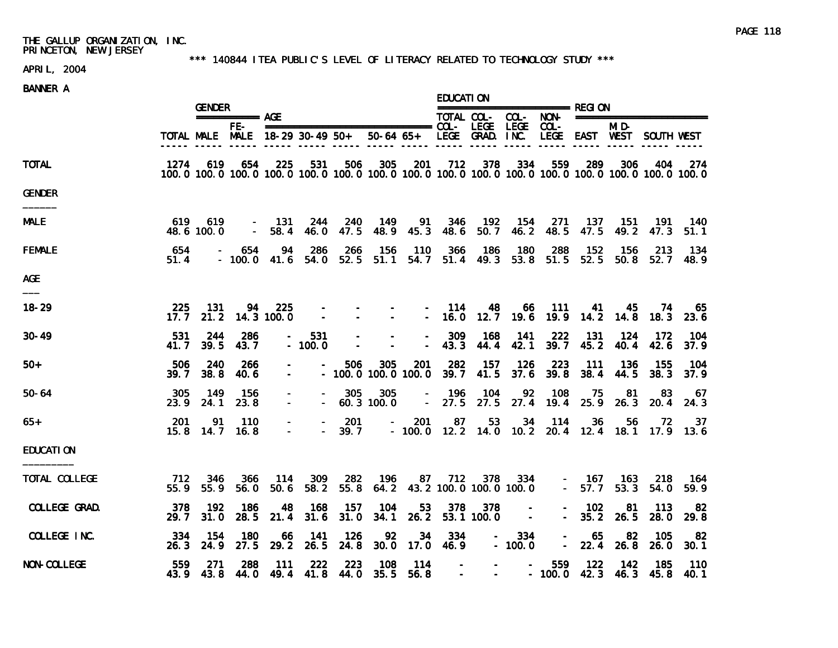### \*\*\* 140844 ITEA PUBLIC'S LEVEL OF LITERACY RELATED TO TECHNOLOGY STUDY \*\*\*

# APRIL, 2004

|                    |              | <b>GENDER</b>     |                                                                                                                        |                      |                      |                                        |                   |                         | <b>EDUCATION</b>        | ======================== REGI ON                                    |                                                    |             |                   |                                                              |               |              |
|--------------------|--------------|-------------------|------------------------------------------------------------------------------------------------------------------------|----------------------|----------------------|----------------------------------------|-------------------|-------------------------|-------------------------|---------------------------------------------------------------------|----------------------------------------------------|-------------|-------------------|--------------------------------------------------------------|---------------|--------------|
|                    |              |                   | =========== AGE                                                                                                        |                      |                      |                                        |                   |                         |                         |                                                                     |                                                    |             |                   | TOTAL COL- COL- NON- =======================                 |               |              |
|                    |              |                   | FE-I<br>TOTAL MALE MALE 18-29 30-49 50+                                                                                |                      |                      |                                        |                   |                         |                         |                                                                     |                                                    |             |                   | MI D-<br>50-64 65+ LEGE GRAD. INC. LEGE EAST WEST SOUTH WEST |               |              |
| <b>TOTAL</b>       | 1274         | 619               | 654<br>100. 0 100. 0 100. 0 100. 0 100. 0 100. 0 100. 0 100. 0 100. 0 100. 0 100. 0 100. 0 100. 0 100. 0 100. 0 100. 0 | 225                  | 531                  | 506                                    | 305               | 201                     | 712                     |                                                                     | 378 334                                            | 559         | 289               | 306                                                          | 404           | -274         |
| <b>GENDER</b>      |              |                   |                                                                                                                        |                      |                      |                                        |                   |                         |                         |                                                                     |                                                    |             |                   |                                                              |               |              |
| <b>MALE</b>        | 619          | 619<br>48.6 100.0 | $\sim$                                                                                                                 | - 131<br>58.4        | 244<br>46.0          | 240<br>47.5                            | 149               | 91<br>48.9 45.3         | 346<br>48.6             | 192<br>50.7                                                         | - 154<br>46.2                                      | 271<br>48.5 | 137<br>47.5       | 151<br>49.2                                                  | 191<br>47.3   | 140<br>51.1  |
| <b>FEMALE</b>      | 654<br>51.4  |                   | - 654<br>$-100.0$ 41.6 54.0 52.5 51.1 54.7 51.4 49.3 53.8 51.5 52.5 50.8 52.7                                          | 94                   | -286                 | 266                                    | - 156             | - 110                   | - 366                   | - 186                                                               | - 180                                              | 288         | - 152             | 156                                                          | 213           | 134<br>48.9  |
| <b>AGE</b>         |              |                   |                                                                                                                        |                      |                      |                                        |                   |                         |                         |                                                                     |                                                    |             |                   |                                                              |               |              |
| $18 - 29$          | 225<br>17.7  | -131<br>21.2      |                                                                                                                        | 94 225<br>14.3 100.0 | $\sim$ $-$<br>$\sim$ | $\sim$ $-$<br>$\sim$                   | $\sim$            | $\sim 100$ km s $^{-1}$ | $- 114$                 | 48<br>$-16.0$ 12.7 19.6                                             | 66                                                 | - 111       | 41                | - 45<br>19.9 14.2 14.8                                       | 74<br>18.3    | 65<br>23.6   |
| $30 - 49$          | 531<br>41. 7 | 244<br>39.5       | 286<br>43.7                                                                                                            | $\sim$               | 531<br>$-100.0$      | $\sim$                                 | $\blacksquare$    | $\mathbf{r}$            | 309<br>43.3             | 168<br>44.4                                                         | -141<br>42.1                                       | 222<br>39.7 | 131<br>45.2       | -124<br>40.4                                                 | -172<br>42.6  | 104<br>37.9  |
| $50+$              | 506<br>39.7  | 240<br>38.8       | 266<br>40.6                                                                                                            | $\sim$               |                      | 506<br>$-100.0100.0100.0$              | 305               | 201                     | 282<br>39.7             | 157<br>41.5                                                         | 126<br>37.6                                        | 223<br>39.8 | 111<br>38.4       | -136<br>44.5                                                 | 155<br>38.3   | 104<br>37.9  |
| $50 - 64$          | 305<br>23.9  | 149<br>24.1       | 156<br>23.8                                                                                                            | $\sim$               | $\sim$               | 305                                    | 305<br>60.3 100.0 |                         | $- 196$                 | 104                                                                 | 92                                                 | 108         | 75                | 81<br>$-27.5$ 27.5 27.4 19.4 25.9 26.3 20.4                  | 83            | - 67<br>24.3 |
| 65+                | 201<br>15.8  | 91<br>14.7        | 110<br>16.8                                                                                                            | $\sim$<br>$\sim$     | $\overline{a}$       | 201<br>39.7                            |                   | 201<br>$\sim$ 10 $\pm$  | 87                      | 53                                                                  | 34                                                 | 114         | 36                | 56<br>$-100.0$ 12.2 14.0 10.2 20.4 12.4 18.1 17.9 13.6       | 72.           | 37           |
| <b>EDUCATION</b>   |              |                   |                                                                                                                        |                      |                      |                                        |                   |                         |                         |                                                                     |                                                    |             |                   |                                                              |               |              |
| TOTAL COLLEGE      | 712          | 346<br>55.9 55.9  | 366<br>56.0                                                                                                            | - 114<br>50.6        | 309                  | 282<br>58.2 55.8                       | 196               | 87                      | 712                     | 64.2 43.2 100.0 100.0 100.0                                         | 378 334                                            |             | $- 167$           | 163<br>$-57.753.3$                                           | - 218<br>54.0 | -164<br>59.9 |
| COLLEGE GRAD.      | 378<br>29.7  | 192<br>31.0       | 186<br>28.5                                                                                                            | 48<br>21.4           | 168<br>31.6          | 157<br>31.0                            | 104<br>34.1       | 53<br>26.2              | 378                     | 378<br>53.1 100.0                                                   | $\sim$<br>$\sim 100$                               |             | $-102$<br>$-35.2$ | 81<br>26.5                                                   | 113<br>28.0   | 82<br>29.8   |
| COLLEGE INC.       | 334<br>26.3  | 154<br>24.9       | 180<br>27.5                                                                                                            | 66                   | 141<br>29.2 26.5     | 126<br>24.8                            | 92<br>30.0        | 34                      | - 334<br>17.0 46.9      |                                                                     | 334<br>$\frac{1}{2}$ and $\frac{1}{2}$<br>$-100.0$ | $\sim$      | 65<br>$-22.4$     | 82<br>26.8                                                   | 105<br>26.0   | 82<br>30.1   |
| <b>NON-COLLEGE</b> | 559          | -271<br>43.9 43.8 | 288                                                                                                                    | 111                  | 222                  | - 223<br>44.0 49.4 41.8 44.0 35.5 56.8 | 108               | - 114                   | $\sim 100$ km s $^{-1}$ | $\sim$<br>$\mathcal{L}_{\text{max}}$ and $\mathcal{L}_{\text{max}}$ | <b>Contract Contract</b>                           | 559         | 122               | 142<br>$-100.0$ 42.3 46.3 45.8                               | 185           | 110<br>40.1  |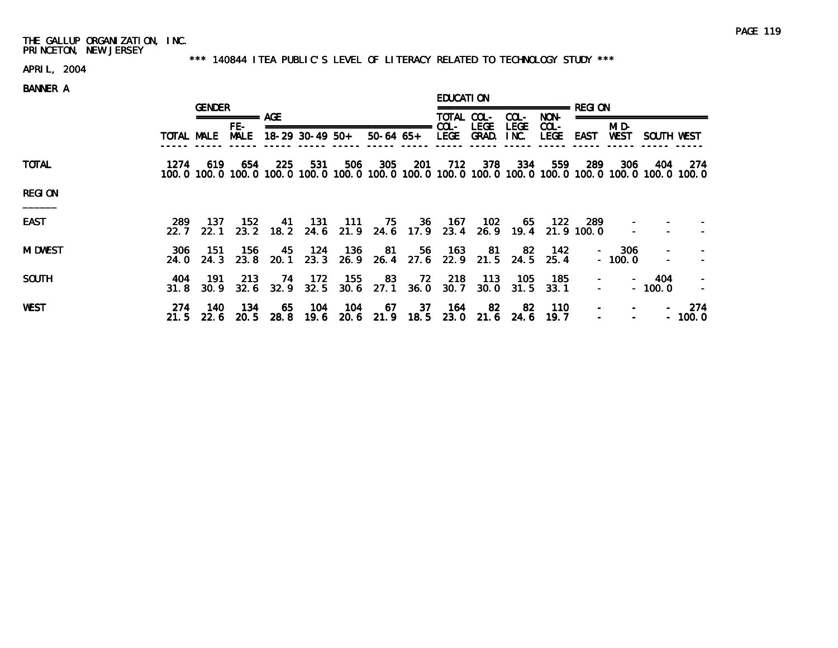### \*\*\* 140844 ITEA PUBLIC'S LEVEL OF LITERACY RELATED TO TECHNOLOGY STUDY \*\*\*

# APRIL, 2004

|                 |             | <b>GENDER</b> |                         |             |                 |                  |             |            | <b>EDUCATION</b>   |             |                     |                 |                  |                            |                          |                                                                                                                         |
|-----------------|-------------|---------------|-------------------------|-------------|-----------------|------------------|-------------|------------|--------------------|-------------|---------------------|-----------------|------------------|----------------------------|--------------------------|-------------------------------------------------------------------------------------------------------------------------|
|                 |             |               | ============ AGE<br>FE- |             |                 |                  |             |            | TOTAL COL-<br>COL- | <b>LEGE</b> | COL-<br><b>LEGE</b> | NON-<br>$COL -$ |                  | =================<br>MI D- |                          |                                                                                                                         |
|                 | TOTAL MALE  |               | <b>MALE</b>             |             | 18-29 30-49 50+ |                  | 50-64 65+   |            | LEGE               | GRAD.       | INC.                | LEGE EAST       |                  | WEST                       | SOUTH WEST               |                                                                                                                         |
| <b>TOTAL</b>    | 1274        | 619           | 654                     | 225         | 531             | 506              | 305         | 201        | 712                | 378         | 334                 | 559             | 289              | 306                        | 404                      | -274<br>100. 0 100. 0 100. 0 100. 0 100. 0 100. 0 100. 0 100. 0 100. 0 100. 0 100. 0 100. 0 100. 0 100. 0 100. 0 100. 0 |
| <b>REGION</b>   |             |               |                         |             |                 |                  |             |            |                    |             |                     |                 |                  |                            |                          |                                                                                                                         |
| <b>EAST</b>     | 289<br>22.7 | 137<br>22.1   | 152<br>23.2             | 41<br>18. 2 | 131             | 111<br>24.6 21.9 | 75<br>24.6  | 36<br>17.9 | 167<br>23.4        | 102<br>26.9 | 65<br>19.4          | 122             | 289<br>21.9100.0 |                            |                          |                                                                                                                         |
| <b>MI DWEST</b> | 306<br>24.0 | -151<br>24.3  | 156<br>23.8             | 45<br>20.1  | - 124<br>23.3   | 136<br>26.9      | -81<br>26.4 | 56<br>27.6 | 163<br>22.9        | 81<br>21.5  | -82<br>24.5         | 142<br>25.4     |                  | $-306$<br>$-100.0$         |                          |                                                                                                                         |
| <b>SOUTH</b>    | 404<br>31.8 | 191<br>30.9   | 213<br>32.6             | 74<br>32.9  | 172<br>32.5     | 155<br>30.6      | 83<br>27.1  | 72<br>36.0 | 218<br>30.7        | 113<br>30.0 | 105<br>31.5         | 185<br>33.1     |                  | $\overline{\phantom{a}}$   | 404<br>$-100.0$          |                                                                                                                         |
| WEST            | 274<br>21.5 | 140<br>22.6   | 134<br>20.5             | 65<br>28.8  | 104<br>19.6     | 104<br>20.6      | 67<br>21.9  | 37<br>18.5 | 164<br>23.0        | -82<br>21.6 | -82<br>24.6         | 110<br>19.7     |                  |                            | $\overline{\phantom{m}}$ | 274<br>$-100.0$                                                                                                         |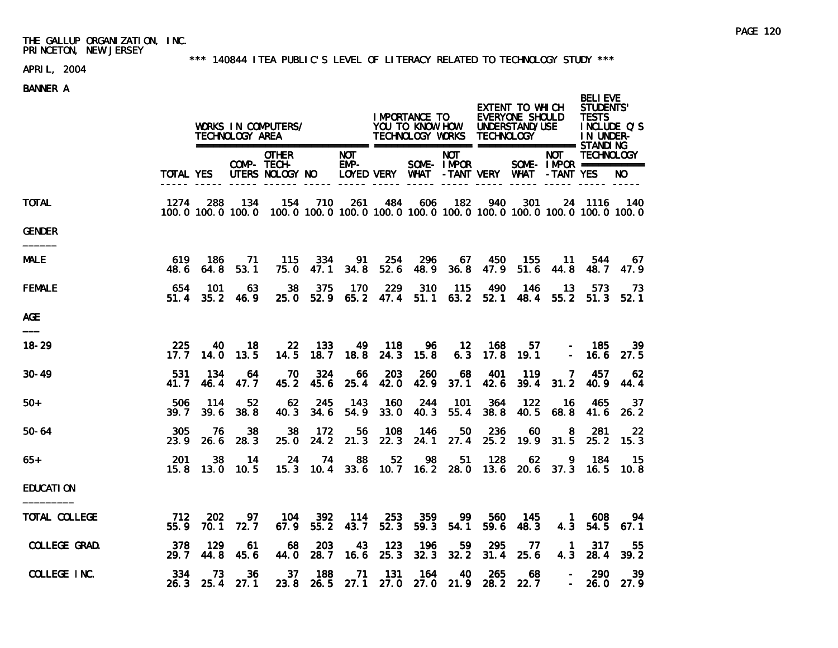### \*\*\* 140844 ITEA PUBLIC'S LEVEL OF LITERACY RELATED TO TECHNOLOGY STUDY \*\*\*

# APRIL, 2004

|                  |              |                    | TECHNOLOGY AREA    | WORKS IN COMPUTERS/                                                                              |             |                         |                       | IMPORTANCE TO | TECHNOLOGY WORKS TECHNOLOGY          |             | EXTENT TO WHICH<br><b>EVERYONE SHOULD</b><br>YOU TO KNOW HOW UNDERSTAND/USE |                       | <b>BELI EVE</b><br><b>STUDENTS'</b><br><b>TESTS</b><br>INCLUDE Q'S<br>IN UNDER- |              |
|------------------|--------------|--------------------|--------------------|--------------------------------------------------------------------------------------------------|-------------|-------------------------|-----------------------|---------------|--------------------------------------|-------------|-----------------------------------------------------------------------------|-----------------------|---------------------------------------------------------------------------------|--------------|
|                  | TOTAL YES    |                    |                    | <b>OTHER</b><br>COMP- TECH-<br>UTERS NOLOGY NO                                                   |             | NOT.<br>$EMP-$          |                       |               | <b>NOT</b><br>SOME-IMPOR             |             | LOYED VERY WHAT - TANT VERY WHAT - TANT YES                                 | <b>NOT</b>            | <b>TECHNOLOGY</b><br>SOME - IMPOR ===========                                   | NO.          |
| TOTAL            | 1274         | 288                | 134                | 154<br>100.0 100.0 100.0 100.0 100.0 100.0 100.0 100.0 100.0 100.0 100.0 100.0 100.0 100.0 100.0 | 710         | 261                     | 484                   | 606           | 182                                  | 940         | 301                                                                         |                       | 24 1116                                                                         | - 140        |
| GENDER           |              |                    |                    |                                                                                                  |             |                         |                       |               |                                      |             |                                                                             |                       |                                                                                 |              |
| <b>MALE</b>      | 619<br>48. 6 | 186<br>64.8        | 71<br>53.1         | -115<br>75.0                                                                                     | 334<br>47.1 | - 91                    | - 254<br>34.8 52.6    | 296           | 67<br>48.9 36.8 47.9                 | - 450       | 155<br>51.6                                                                 | - 11<br>44.8          | 544<br>48. 7                                                                    | - 67<br>47.9 |
| FEMALE           | 654<br>51.4  | 101<br>35.2        | 63<br>46.9         | 38<br>25.0                                                                                       | 375         | 170                     | 229                   | 310           | 115<br>52.9 65.2 47.4 51.1 63.2 52.1 | 490         | 146<br>48.4                                                                 | 13                    | 573<br>$55.2$ $51.3$                                                            | - 73<br>52.1 |
| AGE              |              |                    |                    |                                                                                                  |             |                         |                       |               |                                      |             |                                                                             |                       |                                                                                 |              |
| $18 - 29$        | 225<br>17.7  | 40.<br>14.0        | 18<br>13.5         | <b>22</b><br>14.5                                                                                | 133         | 49<br>$18.7$ $18.8$     | 118<br>24.3           | 96.<br>15.8   | $\overline{12}$                      | - 168       | 57.<br>$6.3$ 17.8 19.1                                                      | $\sim$                | - 185<br>16.6                                                                   | 39<br>27.5   |
| 30-49            | 531<br>41.7  | 134<br>46.4        | 64<br>47.7         | 70<br>45.2                                                                                       | 324<br>45.6 | 66                      | 203<br>25.4 42.0 42.9 | <b>260</b>    | 68<br>37.1                           | 401<br>42.6 | 119<br>39.4                                                                 | 7<br>31.2             | 457<br>40.9                                                                     | 62<br>44.4   |
| 50+              | 506<br>39.7  | 114<br>39.6        | 52<br>38.8         | 62<br>40.3                                                                                       | 245<br>34.6 | - 143<br>54.9           | 160<br>33.0           | 244<br>40.3   | 101<br>55.4                          | 364<br>38.8 | 122<br>40.5                                                                 | - 16<br>68.8          | 465<br>41.6                                                                     | -37<br>26.2  |
| 50-64            | 305<br>23.9  | -76<br>26.6        | 38<br>28.3         | 38<br>25.0                                                                                       | 172         | 56<br>24.2 21.3         | 108<br>22.3           | 146<br>24.1   | 50<br>27.4                           | 236<br>25.2 | 60                                                                          | 8<br>19.9 31.5        | 281<br>25.2                                                                     | -22<br>15.3  |
| 65+              | 201<br>15.8  | 38<br>13.0         | 14<br>10.5         | 24<br>15.3                                                                                       | 74<br>10.4  | 88                      | 52                    | 98            | 51<br>33.6 10.7 16.2 28.0            | 128<br>13.6 | 62                                                                          | 9                     | 184<br>20.6 37.3 16.5                                                           | -15<br>10.8  |
| <b>EDUCATION</b> |              |                    |                    |                                                                                                  |             |                         |                       |               |                                      |             |                                                                             |                       |                                                                                 |              |
| TOTAL COLLEGE    | 712<br>55.9  | <b>202</b><br>70.1 | 97.<br>72.7        | 104<br>67.9                                                                                      | 392         | - 114<br>55.2 43.7 52.3 | 253                   | 359<br>59.3   | 99.<br>54.1                          | 560<br>59.6 | 145<br>48.3                                                                 | $\blacksquare$<br>4.3 | 608<br>54.5                                                                     | -94<br>67.1  |
| COLLEGE GRAD.    | 378<br>29.7  | 129<br>44.8        | 61<br>45.6         | 68<br>44.0                                                                                       | 203<br>28.7 | 43<br>16.6              | 123<br>25.3           | 196<br>32.3   | 59<br>32.2                           | 295<br>31.4 | -77<br>25.6                                                                 | -1<br>4.3             | 317<br>28.4                                                                     | 55<br>39.2   |
| COLLEGE INC.     | 334<br>26.3  | 73                 | -36<br>$25.4$ 27.1 | - 37                                                                                             | 188         | $-71$                   | - 131                 | 164           | $-40$                                | 265         | -68<br>23.8 26.5 27.1 27.0 27.0 21.9 28.2 22.7                              |                       | -290<br>26.0 27.9                                                               | 39           |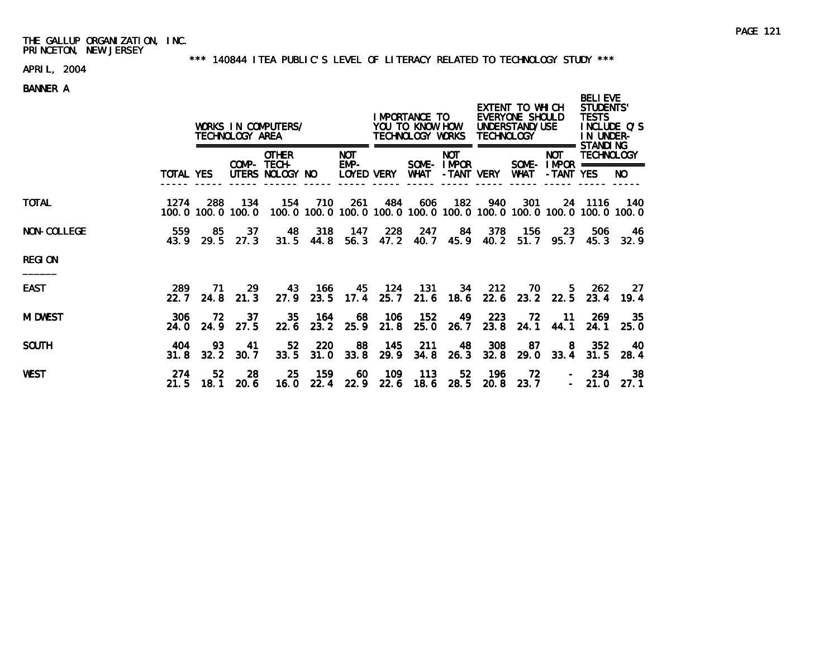### \*\*\* 140844 ITEA PUBLIC'S LEVEL OF LITERACY RELATED TO TECHNOLOGY STUDY \*\*\*

# APRIL, 2004

|                    |                  | WORKS IN COMPUTERS/<br>TECHNOLOGY AREA |            |                                                |                    |                                  |                    | I MPORTANCE TO<br>YOU TO KNOW HOW<br>TECHNOLOGY WORKS |                                        | <b>TECHNOLOGY</b> | EXTENT TO WHICH<br>EVERYONE SHOULD<br>UNDERSTAND/USE | <b>BELIEVE</b><br>STUDENTS'<br><b>TESTS</b><br>INCLUDE Q'S<br>IN UNDER- |                                                                              |              |
|--------------------|------------------|----------------------------------------|------------|------------------------------------------------|--------------------|----------------------------------|--------------------|-------------------------------------------------------|----------------------------------------|-------------------|------------------------------------------------------|-------------------------------------------------------------------------|------------------------------------------------------------------------------|--------------|
|                    | <b>TOTAL YES</b> |                                        |            | <b>OTHER</b><br>COMP- TECH-<br>UTERS NOLOGY NO |                    | <b>NOT</b><br>EMP-<br>LOYED VERY |                    | WHAT                                                  | <b>NOT</b><br>SOME-IMPOR<br>-TANT VERY |                   | <b>WHAT</b>                                          | ==========<br><b>NOT</b><br>-TANT YES                                   | STANDI NG<br><b>TECHNOLOGY</b><br>SOME - $IMPOR$ ============                | NO.          |
| <b>TOTAL</b>       | 1274             | 288<br>100.0 100.0 100.0               | 134        | 154                                            | 710                | 261                              | 484                | 606                                                   | 182                                    | 940               | 301                                                  |                                                                         | 24 1116<br>100.0 100.0 100.0 100.0 100.0 100.0 100.0 100.0 100.0 100.0 100.0 | 140          |
| <b>NON-COLLEGE</b> | 559<br>43.9      | 85<br>29.5                             | 37<br>27.3 | 48                                             | 318<br>$31.5$ 44.8 | - 147                            | 228<br>$56.3$ 47.2 | 247<br>40.7                                           | 84<br>45.9                             | 378<br>40.2       | - 156<br>51.7                                        | -23<br>95.7                                                             | 506<br>45.3                                                                  | - 46<br>32.9 |
| <b>REGION</b>      |                  |                                        |            |                                                |                    |                                  |                    |                                                       |                                        |                   |                                                      |                                                                         |                                                                              |              |
| <b>EAST</b>        | 289<br>22.7      | 71.<br>24.8                            | 29<br>21.3 | 43<br>27.9                                     | 166<br>23.5        | 45<br>17.4                       | 124<br>25.7        | 131<br>21.6                                           | 34<br>18.6                             | 212<br>22.6       | 70.<br>23.2                                          | 5.<br>22.5                                                              | -262<br>23.4                                                                 | -27<br>19.4  |
| <b>MI DWEST</b>    | 306<br>24.0      | 72.<br>24.9                            | 37<br>27.5 | 35<br>22.6                                     | 164<br>23.2        | 68<br>25.9                       | 106<br>21.8        | 152<br>25.0                                           | 49<br>26.7                             | 223<br>23.8       | 72<br>24.1                                           | -11<br>44.1                                                             | -269<br>24.1                                                                 | 35<br>25.0   |
| <b>SOUTH</b>       | 404<br>31.8      | 93<br>32.2                             | 41<br>30.7 | 52<br>33.5                                     | 220<br>31.0        | 88<br>33.8                       | 145<br>29.9        | 211<br>34.8                                           | -48<br>26.3                            | 308<br>32.8       | 87<br>29.0                                           | -8<br>33.4                                                              | 352<br>31.5                                                                  | 40<br>28.4   |
| <b>WEST</b>        | 274<br>21.5      | 52<br>18.1                             | 28<br>20.6 | 25<br>16.0                                     | 159<br>22.4        | 60<br>22.9                       | 109<br>22.6        | 113<br>18.6                                           | 52<br>28.5                             | 196<br>20.8       | 72<br>23.7                                           |                                                                         | 234<br>21.0                                                                  | 38<br>27.1   |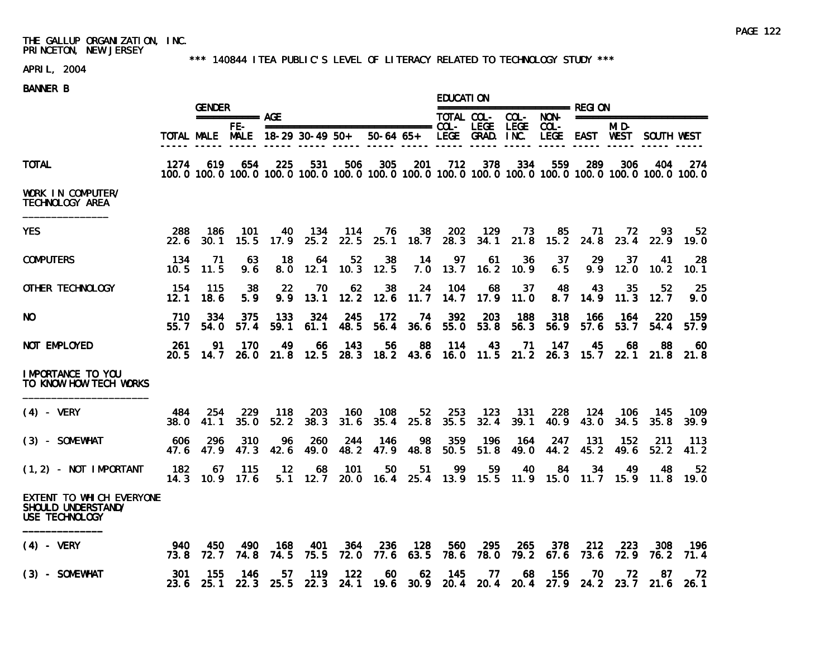### \*\*\* 140844 ITEA PUBLIC'S LEVEL OF LITERACY RELATED TO TECHNOLOGY STUDY \*\*\*

# APRIL, 2004

|                                                                  |             |                   | <b>GENDER</b>                          |             |                        |                         |                                                         |             |             | <b>EDUCATION</b> |                 |             |                         |                                                                                                                        |                     |             |  |
|------------------------------------------------------------------|-------------|-------------------|----------------------------------------|-------------|------------------------|-------------------------|---------------------------------------------------------|-------------|-------------|------------------|-----------------|-------------|-------------------------|------------------------------------------------------------------------------------------------------------------------|---------------------|-------------|--|
|                                                                  |             |                   | $== == == == ==$ AGE                   |             |                        |                         |                                                         |             |             | TOTAL COL-       | $COL-$          | NON-        | ======================= |                                                                                                                        |                     |             |  |
|                                                                  |             |                   | FE-<br>TOTAL MALE MALE 18-29 30-49 50+ |             |                        |                         | $50-64$ $65+$                                           |             |             | LEGE GRAD. INC.  |                 | COL-        |                         | MI D-<br>LEGE EAST WEST                                                                                                | SOUTH WEST          |             |  |
| <b>TOTAL</b>                                                     | 1274        | 619               | 654                                    | 225         | 531                    | 506                     | 305                                                     | 201         | 712         | 378              | 334             | 559         | 289                     | 306<br>100, 0 100, 0 100, 0 100, 0 100, 0 100, 0 100, 0 100, 0 100, 0 100, 0 100, 0 100, 0 100, 0 100, 0 100, 0 100, 0 | 404                 | 274         |  |
| WORK IN COMPUTER/<br>TECHNOLOGY AREA                             |             |                   |                                        |             |                        |                         |                                                         |             |             |                  |                 |             |                         |                                                                                                                        |                     |             |  |
| <b>YES</b>                                                       | 288<br>22.6 | 186<br>30.1       | 101<br>15.5                            | 40<br>17.9  | 134<br>25.2            | 114<br>22.5             | 76<br>25.1                                              | 38<br>18.7  | 202<br>28.3 | 129              | 73<br>34.1 21.8 | 85          | -71<br>$15.2$ 24.8      | - 72                                                                                                                   | 93<br>23.4 22.9     | 52<br>19.0  |  |
| <b>COMPUTERS</b>                                                 | 134<br>10.5 | 71<br>11.5        | 63<br>9.6                              | -18<br>8.0  | 64<br>12.1             | 52 <sub>2</sub><br>10.3 | 38<br>12.5                                              | -14<br>7.0  | 97<br>13.7  | 61<br>16.2       | 36<br>10.9      | 37<br>6.5   | 29<br>9.9               | 37<br>12.0                                                                                                             | 41<br>10.2          | 28<br>10.1  |  |
| OTHER TECHNOLOGY                                                 | 154<br>12.1 | 115<br>18.6       | 38<br>5.9                              | -22<br>9.9  | 70<br>13.1             | 62<br>12.2              | 38<br>12.6                                              | 24<br>11.7  | 104<br>14.7 | 68<br>17.9       | 37<br>11.0      | 48<br>8.7   | 43<br>14.9              | 35<br>11.3                                                                                                             | 52<br>12.7          | 25<br>9.0   |  |
| NO.                                                              | 710<br>55.7 | 334<br>54.0       | 375<br>57.4                            | 133<br>59.1 | 324<br>61.1            | 245<br>48.5             | 172<br>56.4                                             | 74<br>36.6  | 392<br>55.0 | 203<br>53.8      | 188<br>56.3     | 318<br>56.9 | 166<br>57.6             | 164<br>53.7                                                                                                            | 220<br>54.4         | 159<br>57.9 |  |
| NOT EMPLOYED                                                     | -261        | 91<br>20.5 14.7   | 170                                    | 49          | 66                     | -143                    | 56                                                      | -88         | 114         | 43.              | 71              | - 147       | 45                      | 68<br>26.0 21.8 12.5 28.3 18.2 43.6 16.0 11.5 21.2 26.3 15.7 22.1 21.8                                                 | 88                  | 60<br>21.8  |  |
| IMPORTANCE TO YOU<br>TO KNOW HOW TECH WORKS                      |             |                   |                                        |             |                        |                         |                                                         |             |             |                  |                 |             |                         |                                                                                                                        |                     |             |  |
| $(4)$ - VERY                                                     | 484<br>38.0 | 254<br>41.1       | 229<br>35.0                            | 118<br>52.2 | 203<br>38.3            | 160<br>31.6             | 108<br>35.4                                             | 52<br>25.8  | 253<br>35.5 | - 123<br>32.4    | - 131<br>39.1   | 228<br>40.9 | - 124<br>43.0           | -106<br>34.5                                                                                                           | -145<br>35.8        | 109<br>39.9 |  |
| (3) - SOMEWHAT                                                   | 606<br>47.6 | 296<br>47.9       | 310<br>47.3                            | 96<br>42.6  | 260<br>49.0            | 244<br>48.2             | 146<br>47.9                                             | 98<br>48.8  | 359<br>50.5 | 196<br>51.8      | 164<br>49.0     | 247<br>44.2 | 131<br>45.2             | 152<br>49.6                                                                                                            | -211<br>52.2        | 113<br>41.2 |  |
| $(1, 2)$ - NOT IMPORTANT                                         | 182         | 67<br>$14.3$ 10.9 | 115<br>17.6                            | 12          | 68<br>$5.1 \quad 12.7$ | 101                     | 50<br>20.0 16.4 25.4 13.9 15.5                          | 51          | 99          | 59               | 40              | 84          | 34                      | 49<br>11.9 15.0 11.7 15.9 11.8                                                                                         | 48                  | 52<br>19.0  |  |
| EXTENT TO WHICH EVERYONE<br>SHOULD UNDERSTAND/<br>USE TECHNOLOGY |             |                   |                                        |             |                        |                         |                                                         |             |             |                  |                 |             |                         |                                                                                                                        |                     |             |  |
| $(4)$ – VERY                                                     | 940<br>73.8 | 450<br>72. 7      | 490<br>74.8                            | 168<br>74.5 | 401<br>75.5            | 364<br>72.0             | 236<br>77.6                                             | 128<br>63.5 | 560<br>78.6 | 295<br>78.0      | 265<br>79.2     | 378<br>67.6 | 212<br>73.6             | 223<br>72.9                                                                                                            | 308<br>76.2         | 196<br>71.4 |  |
| (3) - SOMEWHAT                                                   | 301         | 155<br>23.6 25.1  | 146<br>22.3                            | 57          | 119                    | 122                     | 60<br>25.5 22.3 24.1 19.6 30.9 20.4 20.4 20.4 27.9 24.2 | 62          | -145        | 77               | 68              | 156         | 70                      | 72                                                                                                                     | 87<br>$23.7$ $21.6$ | 72<br>26.1  |  |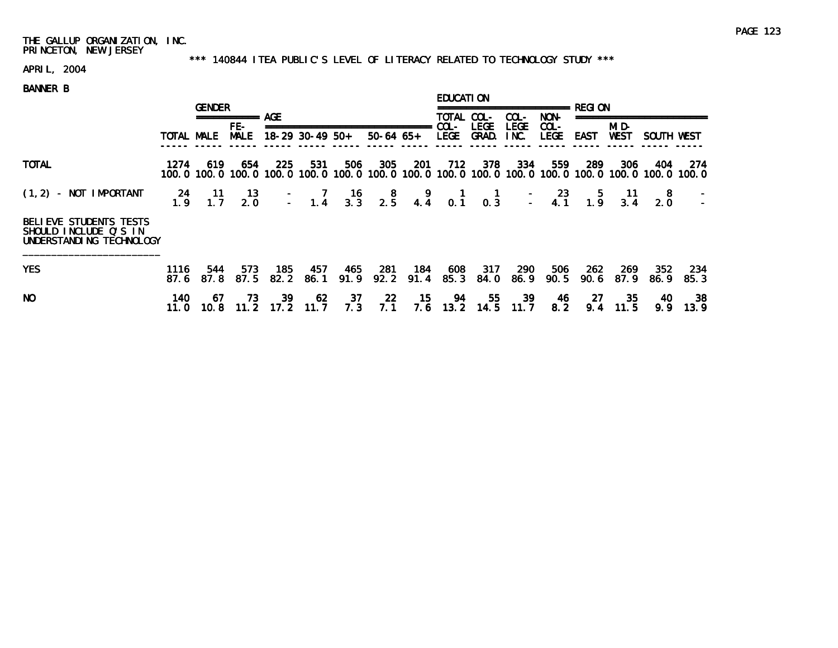### \*\*\* 140844 ITEA PUBLIC'S LEVEL OF LITERACY RELATED TO TECHNOLOGY STUDY \*\*\*

# APRIL, 2004

|                                                                                    |                  | <b>GENDER</b>                                                                                                          |                    |                   |             |               |                                                                       |             | <b>EDUCATION</b>       |                      |                     |                        |             |                      |                                              |             |  |
|------------------------------------------------------------------------------------|------------------|------------------------------------------------------------------------------------------------------------------------|--------------------|-------------------|-------------|---------------|-----------------------------------------------------------------------|-------------|------------------------|----------------------|---------------------|------------------------|-------------|----------------------|----------------------------------------------|-------------|--|
|                                                                                    |                  |                                                                                                                        | ============ AGE   |                   |             |               |                                                                       |             |                        | TOTAL COL-           | COL-                | NON-                   |             |                      |                                              |             |  |
|                                                                                    | TOTAL MALE       |                                                                                                                        | FE-<br><b>MALE</b> | $18-29$ 30-49 50+ |             | $50-64$ $65+$ |                                                                       |             | $COL -$<br><b>LEGE</b> | <b>LEGE</b><br>GRAD. | <b>LEGE</b><br>INC. | $COL -$<br><b>LEGE</b> | EAST        | MI D-<br><b>WEST</b> | SOUTH WEST                                   |             |  |
| <b>TOTAL</b>                                                                       | 1274             | 619<br>100, 0 100, 0 100, 0 100, 0 100, 0 100, 0 100, 0 100, 0 100, 0 100, 0 100, 0 100, 0 100, 0 100, 0 100, 0 100, 0 | 654                | 225               | 531         | 506           | 305                                                                   | -201        | 712                    | 378                  | 334                 | 559                    | -289        | 306                  | 404                                          | -274        |  |
| $(1, 2)$ - NOT IMPORTANT                                                           | $\frac{24}{1.9}$ | $\begin{array}{c} 11 \\ 1.7 \end{array}$                                                                               | $\frac{13}{2.0}$   |                   |             |               | $-$ 7 16 8 9 1 1 - 23 5 11<br>- 1.4 3.3 2.5 4.4 0.1 0.3 - 4.1 1.9 3.4 |             |                        |                      |                     |                        |             |                      | $\begin{smallmatrix}8\\2.0\end{smallmatrix}$ |             |  |
| <b>BELIEVE STUDENTS TESTS</b><br>SHOULD INCLUDE Q'S IN<br>UNDERSTANDING TECHNOLOGY |                  |                                                                                                                        |                    |                   |             |               |                                                                       |             |                        |                      |                     |                        |             |                      |                                              |             |  |
| <b>YES</b>                                                                         | 1116<br>87.6     | 544<br>87.8                                                                                                            | 573<br>87.5        | 185<br>82.2       | 457<br>86.1 | 465<br>91.9   | -281<br>92.2                                                          | 184<br>91.4 | 608<br>85.3            | 317<br>84.0          | 290<br>86.9         | 506<br>90.5            | 262<br>90.6 | 269<br>87.9          | 352<br>86.9                                  | 234<br>85.3 |  |
| NO.                                                                                | 140.<br>11. O    | 67<br>10.8                                                                                                             | 73<br>11.2         | 39<br>17.2        | 62<br>11.7  | 37<br>7.3     | -22<br>7.1                                                            | 15<br>7.6   | 94<br>13.2             | 55<br>14.5           | 39<br>11.7          | -46<br>8.2             | 27<br>9.4   | -35<br>11.5          | 40<br>9.9                                    | -38<br>13.9 |  |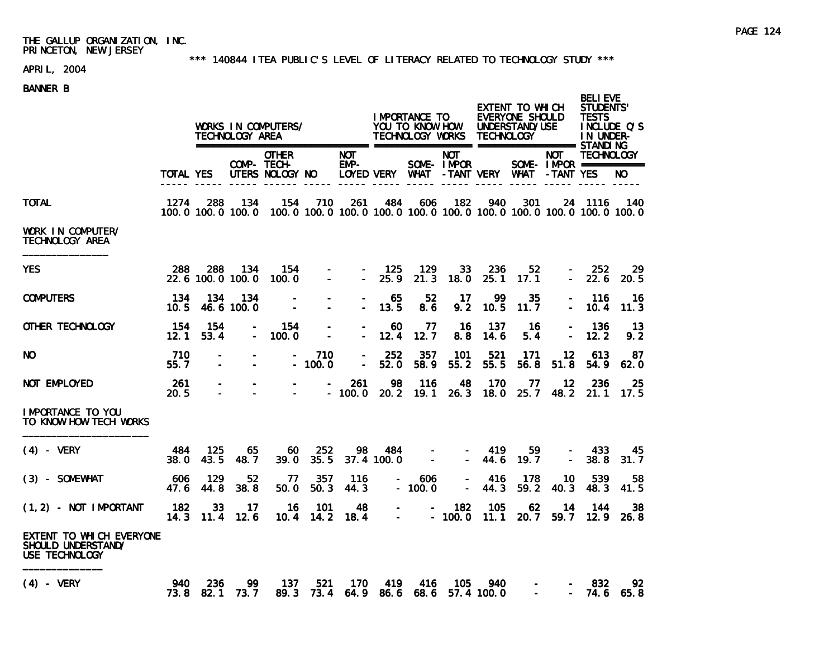### \*\*\* 140844 ITEA PUBLIC'S LEVEL OF LITERACY RELATED TO TECHNOLOGY STUDY \*\*\*

# APRIL, 2004

|                                                                  | TOTAL YES     |                   | IMPORTANCE TO<br>WORKS IN COMPUTERS/<br>YOU TO KNOW HOW<br>TECHNOLOGY WORKS TECHNOLOGY<br>TECHNOLOGY AREA |                                                                                                  |                                            |                      |                     |                                                    |                          |                   | EXTENT TO WHICH<br>EVERYONE SHOULD<br>UNDERSTAND/USE | <b>BELI EVE</b><br>STUDENTS'<br><b>TESTS</b><br>INCLUDE Q'S<br>IN UNDER- |                                                 |                   |
|------------------------------------------------------------------|---------------|-------------------|-----------------------------------------------------------------------------------------------------------|--------------------------------------------------------------------------------------------------|--------------------------------------------|----------------------|---------------------|----------------------------------------------------|--------------------------|-------------------|------------------------------------------------------|--------------------------------------------------------------------------|-------------------------------------------------|-------------------|
|                                                                  |               |                   |                                                                                                           | <b>OTHER</b><br>COMP- TECH-<br>UTERS NOLOGY NO                                                   |                                            | <b>NOT</b><br>$EMP-$ |                     | LOYED VERY WHAT - TANT VERY WHAT - TANT YES        | <b>NOT</b><br>SOME-IMPOR |                   |                                                      | <b>NOT</b>                                                               | <b>TECHNOLOGY</b><br>SOME- $IMPROR$ =========== | NO.               |
| TOTAL                                                            | 1274          | 288               | - 134                                                                                                     | 154<br>100.0 100.0 100.0 100.0 100.0 100.0 100.0 100.0 100.0 100.0 100.0 100.0 100.0 100.0 100.0 | 710                                        | 261                  | 484                 | 606                                                | 182                      | 940               | 301                                                  |                                                                          | 24 1116                                         | - 140             |
| WORK IN COMPUTER/<br>TECHNOLOGY AREA                             |               |                   |                                                                                                           |                                                                                                  |                                            |                      |                     |                                                    |                          |                   |                                                      |                                                                          |                                                 |                   |
| YES                                                              | 288           | 288               | 134<br>22.6 100.0 100.0                                                                                   | 154<br>100.0                                                                                     | $\sim$                                     | $\mathbf{r}$         | - 125<br>25.9       | 129<br>21.3                                        | 33<br>18.0               | 236<br>25.1       | 52<br>17.1                                           |                                                                          | 252<br>22.6                                     | 29<br>20.5        |
| <b>COMPUTERS</b>                                                 | -134<br>10.5  | 134               | 134<br>46.6 100.0                                                                                         |                                                                                                  |                                            |                      | 65<br>13.5          | 52<br>8.6                                          | 17<br>9.2                | 99<br>10.5        | 35<br>11.7                                           |                                                                          | 116<br>10.4                                     | -16<br>11.3       |
| OTHER TECHNOLOGY                                                 | - 154<br>12.1 | 154<br>53.4       | $\blacksquare$                                                                                            | 154<br>100.0                                                                                     | $\overline{\phantom{a}}$                   |                      | 60<br>12.4          | 77<br>12.7                                         | - 16<br>8.8              | 137<br>14.6       | - 16<br>5.4                                          |                                                                          | 136<br>12.2                                     | - 13<br>9.2       |
| NO                                                               | 710<br>55.7   |                   |                                                                                                           |                                                                                                  | 710<br>$-100.0$                            | $\overline{a}$       | 252<br>52.0         | 357<br>58.9                                        | 101<br>55.2              | 521<br>55.5       | 171<br>56.8                                          | 12<br>51.8                                                               | -613<br>54.9                                    | 87<br>62.0        |
| NOT EMPLOYED                                                     | 261<br>20.5   | $\overline{a}$    |                                                                                                           | $\equiv$                                                                                         |                                            | 261<br>$-100.0$      | 98                  | 116<br>20.2 19.1                                   | - 48<br>26.3             | 170<br>18.0       | - 77                                                 | 12                                                                       | 236<br>25.7 48.2 21.1                           | -25<br>- 17.5     |
| IMPORTANCE TO YOU<br>TO KNOW HOW TECH WORKS                      |               |                   |                                                                                                           |                                                                                                  |                                            |                      |                     |                                                    |                          |                   |                                                      |                                                                          |                                                 |                   |
| $(4)$ - VERY                                                     | 484<br>38.0   | 125<br>43.5       | 65<br>48.7                                                                                                | 60<br>39.0                                                                                       | 252<br>35.5                                | -98                  | - 484<br>37.4 100.0 | $\sim$<br>$\sim$                                   |                          | $-419$<br>$-44.6$ | 59<br>19.7                                           | $\equiv$                                                                 | 433<br>38.8                                     | -45<br>31.7       |
| (3) - SOMEWHAT                                                   | 606<br>47.6   | 129<br>44.8       | 52<br>38.8                                                                                                | - 77<br>50.0                                                                                     | 357<br>50.3                                | 116<br>44.3          |                     | 606<br>$\frac{1}{2}$ and $\frac{1}{2}$<br>$-100.0$ |                          | -416<br>$-44.3$   | 178<br>59.2                                          | 10<br>40.3                                                               | 539<br>48.3                                     | 58<br>41.5        |
| $(1, 2)$ - NOT IMPORTANT                                         | 182           | 33<br>$14.3$ 11.4 | 17<br>12.6                                                                                                | 16<br>10.4                                                                                       | 101<br>14.2                                | 48<br>18.4           | $\sim$              | $\sim$<br>$\Delta \sim 10^4$                       | 182<br>$-100.0$          | 105<br>11.1       | 62<br>20.7                                           | 14<br>59.7                                                               | 144                                             | 38<br>$12.9$ 26.8 |
| EXTENT TO WHICH EVERYONE<br>SHOULD UNDERSTAND/<br>USE TECHNOLOGY |               |                   |                                                                                                           |                                                                                                  |                                            |                      |                     |                                                    |                          |                   |                                                      |                                                                          |                                                 |                   |
| $(4)$ - VERY                                                     | 940           | 236               | -99<br>73.8 82.1 73.7                                                                                     | 137                                                                                              | 521<br>89.3 73.4 64.9 86.6 68.6 57.4 100.0 | 170                  | - 419               | 416                                                | - 105                    | 940               |                                                      |                                                                          | -832<br>74.6 65.8                               | 92                |